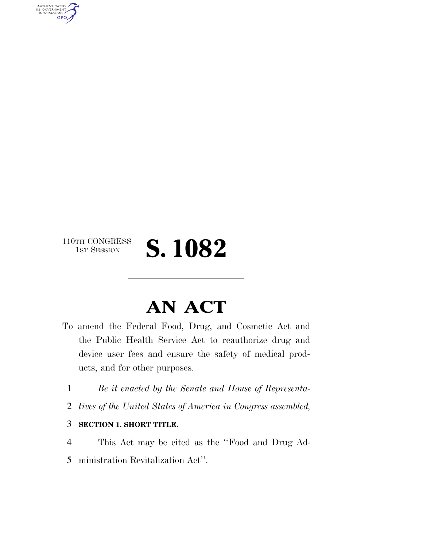110TH CONGRESS<br>1st Session

AUTHENTICATED<br>U.S. GOVERNMENT<br>INFORMATION

**GPO** 

# S. 1082

## **AN ACT**

- To amend the Federal Food, Drug, and Cosmetic Act and the Public Health Service Act to reauthorize drug and device user fees and ensure the safety of medical products, and for other purposes.
- 1 *Be it enacted by the Senate and House of Representa-*
- 2 *tives of the United States of America in Congress assembled,*
- 3 **SECTION 1. SHORT TITLE.**

4 This Act may be cited as the ''Food and Drug Ad-5 ministration Revitalization Act''.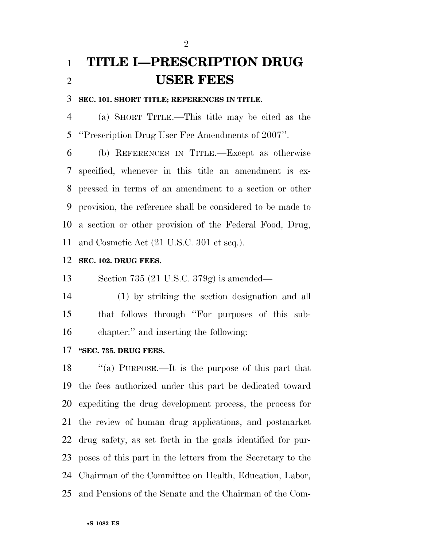### **TITLE I—PRESCRIPTION DRUG USER FEES**

#### **SEC. 101. SHORT TITLE; REFERENCES IN TITLE.**

 (a) SHORT TITLE.—This title may be cited as the ''Prescription Drug User Fee Amendments of 2007''.

 (b) REFERENCES IN TITLE.—Except as otherwise specified, whenever in this title an amendment is ex- pressed in terms of an amendment to a section or other provision, the reference shall be considered to be made to a section or other provision of the Federal Food, Drug, and Cosmetic Act (21 U.S.C. 301 et seq.).

#### **SEC. 102. DRUG FEES.**

Section 735 (21 U.S.C. 379g) is amended—

 (1) by striking the section designation and all that follows through ''For purposes of this sub-chapter:'' and inserting the following:

#### **''SEC. 735. DRUG FEES.**

 ''(a) PURPOSE.—It is the purpose of this part that the fees authorized under this part be dedicated toward expediting the drug development process, the process for the review of human drug applications, and postmarket drug safety, as set forth in the goals identified for pur- poses of this part in the letters from the Secretary to the Chairman of the Committee on Health, Education, Labor, and Pensions of the Senate and the Chairman of the Com-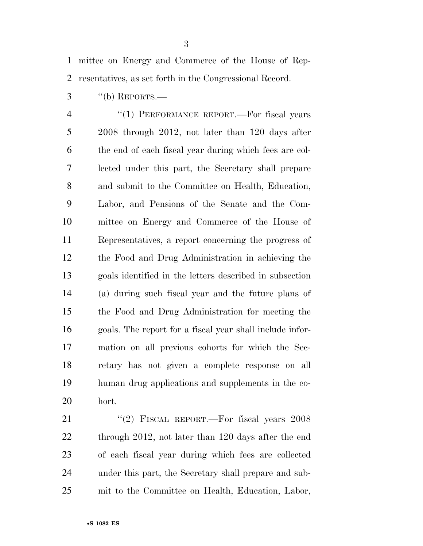mittee on Energy and Commerce of the House of Rep-resentatives, as set forth in the Congressional Record.

"(b) REPORTS.—

4 "(1) PERFORMANCE REPORT.—For fiscal years 2008 through 2012, not later than 120 days after the end of each fiscal year during which fees are col- lected under this part, the Secretary shall prepare and submit to the Committee on Health, Education, Labor, and Pensions of the Senate and the Com- mittee on Energy and Commerce of the House of Representatives, a report concerning the progress of the Food and Drug Administration in achieving the goals identified in the letters described in subsection (a) during such fiscal year and the future plans of the Food and Drug Administration for meeting the goals. The report for a fiscal year shall include infor- mation on all previous cohorts for which the Sec- retary has not given a complete response on all human drug applications and supplements in the co-hort.

21 "(2) FISCAL REPORT.—For fiscal years 2008 22 through 2012, not later than 120 days after the end of each fiscal year during which fees are collected under this part, the Secretary shall prepare and sub-mit to the Committee on Health, Education, Labor,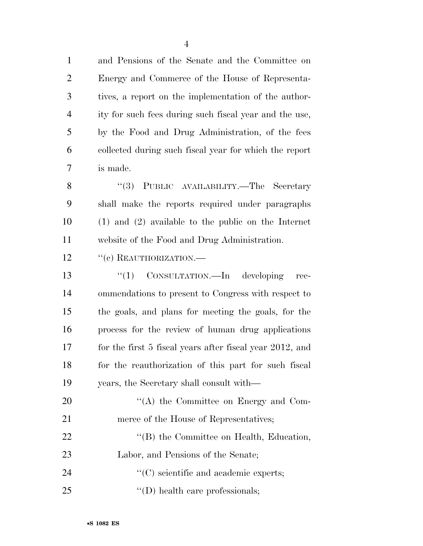and Pensions of the Senate and the Committee on Energy and Commerce of the House of Representa- tives, a report on the implementation of the author- ity for such fees during such fiscal year and the use, by the Food and Drug Administration, of the fees collected during such fiscal year for which the report is made.

8 "(3) PUBLIC AVAILABILITY.—The Secretary shall make the reports required under paragraphs (1) and (2) available to the public on the Internet website of the Food and Drug Administration.

12 "(c) REAUTHORIZATION.—

13 "(1) CONSULTATION.—In developing rec- ommendations to present to Congress with respect to the goals, and plans for meeting the goals, for the process for the review of human drug applications for the first 5 fiscal years after fiscal year 2012, and for the reauthorization of this part for such fiscal years, the Secretary shall consult with—

20 "'(A) the Committee on Energy and Com-21 merce of the House of Representatives; 22 ''(B) the Committee on Health, Education, Labor, and Pensions of the Senate; 24  $\cdot$  (C) scientific and academic experts;

25  $\text{``(D) health care professionals;}$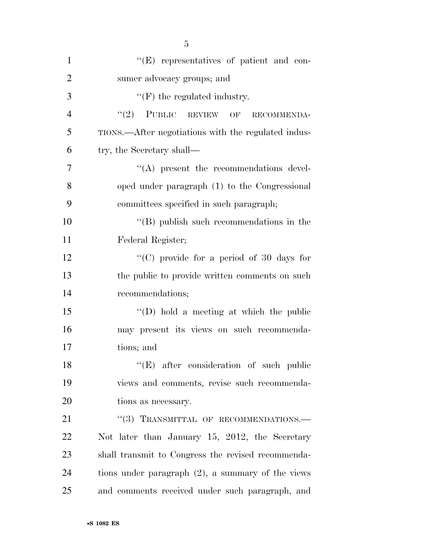| $\mathbf{1}$   | "(E) representatives of patient and con-             |
|----------------|------------------------------------------------------|
| $\overline{2}$ | sumer advocacy groups; and                           |
| 3              | $\lq\lq(F)$ the regulated industry.                  |
| $\overline{4}$ | $``(2)$ PUBLIC REVIEW OF<br>RECOMMENDA-              |
| 5              | TIONS.—After negotiations with the regulated indus-  |
| 6              | try, the Secretary shall—                            |
| 7              | $\lq\lq$ present the recommendations devel-          |
| 8              | oped under paragraph (1) to the Congressional        |
| 9              | committees specified in such paragraph;              |
| 10             | $\lq\lq$ (B) publish such recommendations in the     |
| 11             | Federal Register;                                    |
| 12             | "(C) provide for a period of $30$ days for           |
| 13             | the public to provide written comments on such       |
| 14             | recommendations;                                     |
| 15             | "(D) hold a meeting at which the public              |
| 16             | may present its views on such recommenda-            |
| 17             | tions; and                                           |
| 18             | "(E) after consideration of such public              |
| 19             | views and comments, revise such recommenda-          |
| 20             | tions as necessary.                                  |
| 21             | "(3) TRANSMITTAL OF RECOMMENDATIONS.-                |
| 22             | Not later than January 15, 2012, the Secretary       |
| 23             | shall transmit to Congress the revised recommenda-   |
| 24             | tions under paragraph $(2)$ , a summary of the views |
| 25             | and comments received under such paragraph, and      |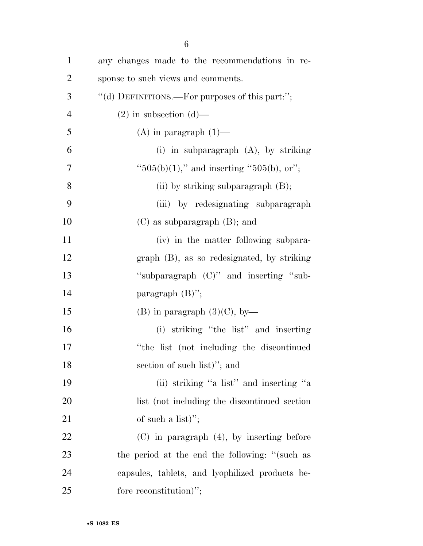| $\mathbf{1}$   | any changes made to the recommendations in re-   |
|----------------|--------------------------------------------------|
| $\overline{2}$ | sponse to such views and comments.               |
| 3              | "(d) DEFINITIONS.—For purposes of this part:";   |
| $\overline{4}$ | $(2)$ in subsection $(d)$ —                      |
| 5              | $(A)$ in paragraph $(1)$ —                       |
| 6              | (i) in subparagraph $(A)$ , by striking          |
| 7              | " $505(b)(1)$ ," and inserting " $505(b)$ , or"; |
| 8              | (ii) by striking subparagraph (B);               |
| 9              | (iii) by redesignating subparagraph              |
| 10             | $(C)$ as subparagraph $(B)$ ; and                |
| 11             | (iv) in the matter following subpara-            |
| 12             | $graph$ (B), as so redesignated, by striking     |
| 13             | "subparagraph (C)" and inserting "sub-           |
| 14             | paragraph $(B)$ ";                               |
| 15             | (B) in paragraph $(3)(C)$ , by-                  |
| 16             | (i) striking "the list" and inserting            |
| 17             | "the list (not including the discontinued        |
| 18             | section of such list)"; and                      |
| 19             | (ii) striking "a list" and inserting "a          |
| <b>20</b>      | list (not including the discontinued section     |
| 21             | of such a list)";                                |
| 22             | $(C)$ in paragraph $(4)$ , by inserting before   |
| 23             | the period at the end the following: "(such as   |
| 24             | capsules, tablets, and lyophilized products be-  |
| 25             | fore reconstitution)";                           |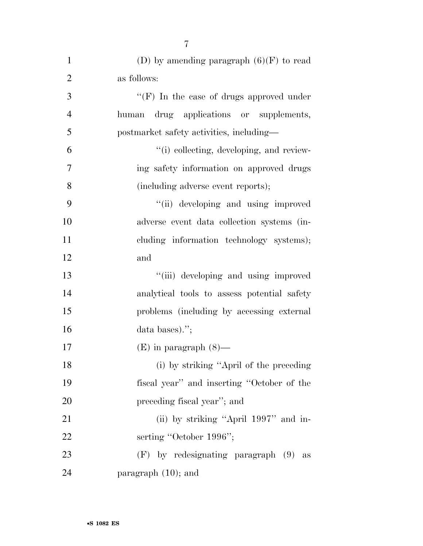| $\mathbf{1}$   | (D) by amending paragraph $(6)(F)$ to read  |
|----------------|---------------------------------------------|
| $\overline{2}$ | as follows:                                 |
| 3              | "(F) In the case of drugs approved under    |
| $\overline{4}$ | drug applications or supplements,<br>human  |
| 5              | postmarket safety activities, including—    |
| 6              | "(i) collecting, developing, and review-    |
| 7              | ing safety information on approved drugs    |
| 8              | (including adverse event reports);          |
| 9              | "(ii) developing and using improved         |
| 10             | adverse event data collection systems (in-  |
| 11             | cluding information technology systems);    |
| 12             | and                                         |
| 13             | "(iii) developing and using improved        |
| 14             | analytical tools to assess potential safety |
| 15             | problems (including by accessing external   |
| 16             | data bases).";                              |
| 17             | $(E)$ in paragraph $(8)$ —                  |
| 18             | (i) by striking "April of the preceding     |
| 19             | fiscal year" and inserting "October of the  |
| 20             | preceding fiscal year"; and                 |
| 21             | (ii) by striking "April 1997" and in-       |
| 22             | serting "October 1996";                     |
| 23             | $(F)$ by redesignating paragraph $(9)$ as   |
| 24             | paragraph $(10)$ ; and                      |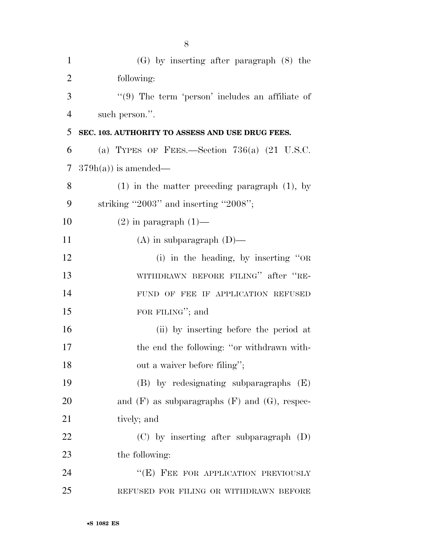| $\mathbf{1}$   | $(G)$ by inserting after paragraph $(8)$ the         |
|----------------|------------------------------------------------------|
| $\overline{2}$ | following:                                           |
| 3              | $\lq(9)$ The term 'person' includes an affiliate of  |
| $\overline{4}$ | such person.".                                       |
| 5              | SEC. 103. AUTHORITY TO ASSESS AND USE DRUG FEES.     |
| 6              | (a) TYPES OF FEES.—Section $736(a)$ (21 U.S.C.       |
| 7              | $379h(a)$ is amended—                                |
| 8              | $(1)$ in the matter preceding paragraph $(1)$ , by   |
| 9              | striking "2003" and inserting "2008";                |
| 10             | $(2)$ in paragraph $(1)$ —                           |
| 11             | $(A)$ in subparagraph $(D)$ —                        |
| 12             | (i) in the heading, by inserting "OR                 |
| 13             | WITHDRAWN BEFORE FILING" after "RE-                  |
| 14             | FUND OF FEE IF APPLICATION REFUSED                   |
| 15             | FOR FILING"; and                                     |
| 16             | (ii) by inserting before the period at               |
| 17             | the end the following: "or withdrawn with-           |
| 18             | out a waiver before filing";                         |
| 19             | $(B)$ by redesignating subparagraphs $(E)$           |
| 20             | and $(F)$ as subparagraphs $(F)$ and $(G)$ , respec- |
| 21             | tively; and                                          |
| 22             | (C) by inserting after subparagraph (D)              |
| 23             | the following:                                       |
| 24             | "(E) FEE FOR APPLICATION PREVIOUSLY                  |
| 25             | REFUSED FOR FILING OR WITHDRAWN BEFORE               |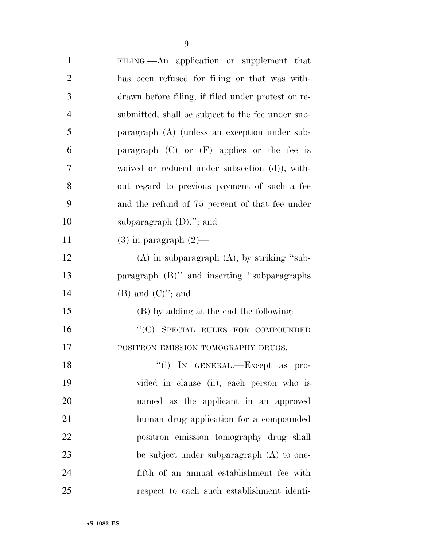| $\mathbf{1}$   | FILING.—An application or supplement that          |
|----------------|----------------------------------------------------|
| $\overline{2}$ | has been refused for filing or that was with-      |
| 3              | drawn before filing, if filed under protest or re- |
| $\overline{4}$ | submitted, shall be subject to the fee under sub-  |
| 5              | paragraph (A) (unless an exception under sub-      |
| 6              | paragraph $(C)$ or $(F)$ applies or the fee is     |
| 7              | waived or reduced under subsection (d)), with-     |
| 8              | out regard to previous payment of such a fee       |
| 9              | and the refund of 75 percent of that fee under     |
| 10             | subparagraph $(D)$ ."; and                         |
| 11             | $(3)$ in paragraph $(2)$ —                         |
| 12             | $(A)$ in subparagraph $(A)$ , by striking "sub-    |
| 13             | paragraph (B)" and inserting "subparagraphs        |
| 14             | $(B)$ and $(C)$ "; and                             |
| 15             | (B) by adding at the end the following:            |
| 16             | "(C) SPECIAL RULES FOR COMPOUNDED                  |
| 17             | POSITRON EMISSION TOMOGRAPHY DRUGS.-               |
| 18             | "(i) IN GENERAL.—Except as pro-                    |
| 19             | vided in clause (ii), each person who is           |
| 20             | named as the applicant in an approved              |
| 21             | human drug application for a compounded            |
| 22             | positron emission tomography drug shall            |
| 23             | be subject under subparagraph (A) to one-          |
| 24             | fifth of an annual establishment fee with          |
| 25             | respect to each such establishment identi-         |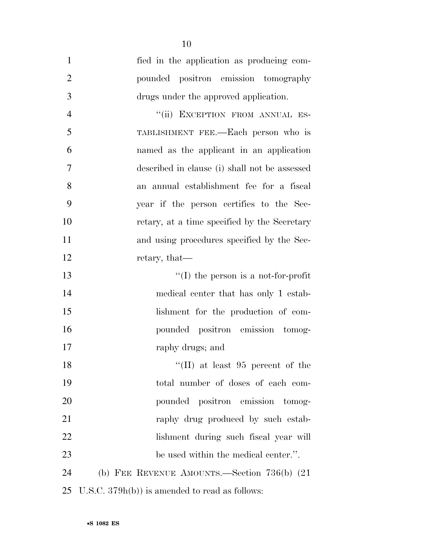| $\mathbf{1}$   | fied in the application as producing com-       |
|----------------|-------------------------------------------------|
| $\overline{2}$ | pounded positron emission tomography            |
| $\mathfrak{Z}$ | drugs under the approved application.           |
| $\overline{4}$ | "(ii) EXCEPTION FROM ANNUAL ES-                 |
| 5              | TABLISHMENT FEE.—Each person who is             |
| 6              | named as the applicant in an application        |
| 7              | described in clause (i) shall not be assessed   |
| 8              | an annual establishment fee for a fiscal        |
| 9              | year if the person certifies to the Sec-        |
| 10             | retary, at a time specified by the Secretary    |
| 11             | and using procedures specified by the Sec-      |
| 12             | retary, that—                                   |
| 13             | $\lq\lq$ (I) the person is a not-for-profit     |
| 14             | medical center that has only 1 estab-           |
| 15             | lishment for the production of com-             |
| 16             | pounded positron emission tomog-                |
| 17             | raphy drugs; and                                |
| 18             | "(II) at least $95$ percent of the              |
| 19             | total number of doses of each com-              |
| 20             | pounded positron emission tomog-                |
| 21             | raphy drug produced by such estab-              |
| 22             | lishment during such fiscal year will           |
| 23             | be used within the medical center.".            |
| 24             | (b) FEE REVENUE AMOUNTS.—Section $736(b)$ (21)  |
| 25             | U.S.C. $379h(b)$ is amended to read as follows: |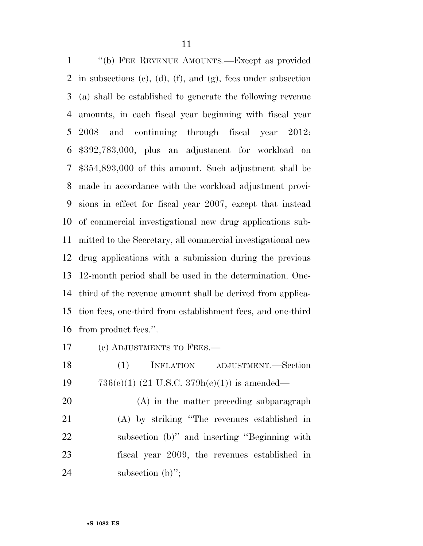''(b) FEE REVENUE AMOUNTS.—Except as provided in subsections (c), (d), (f), and (g), fees under subsection (a) shall be established to generate the following revenue amounts, in each fiscal year beginning with fiscal year 2008 and continuing through fiscal year 2012: \$392,783,000, plus an adjustment for workload on \$354,893,000 of this amount. Such adjustment shall be made in accordance with the workload adjustment provi- sions in effect for fiscal year 2007, except that instead of commercial investigational new drug applications sub- mitted to the Secretary, all commercial investigational new drug applications with a submission during the previous 12-month period shall be used in the determination. One- third of the revenue amount shall be derived from applica- tion fees, one-third from establishment fees, and one-third from product fees.''.

(c) ADJUSTMENTS TO FEES.—

 (1) INFLATION ADJUSTMENT.—Section 19  $736(e)(1)$  (21 U.S.C. 379h(e)(1)) is amended—

 (A) in the matter preceding subparagraph (A) by striking ''The revenues established in subsection (b)'' and inserting ''Beginning with fiscal year 2009, the revenues established in 24 subsection (b)";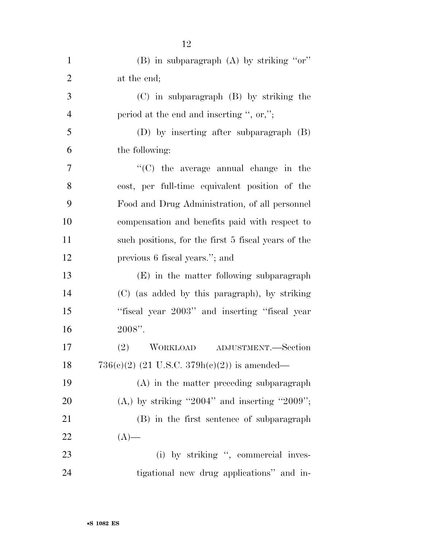| $\mathbf{1}$   | $(B)$ in subparagraph $(A)$ by striking "or"        |
|----------------|-----------------------------------------------------|
| $\overline{2}$ | at the end;                                         |
| 3              | $(C)$ in subparagraph $(B)$ by striking the         |
| $\overline{4}$ | period at the end and inserting ", or,";            |
| 5              | (D) by inserting after subparagraph (B)             |
| 6              | the following:                                      |
| 7              | $\cdot$ (C) the average annual change in the        |
| 8              | cost, per full-time equivalent position of the      |
| 9              | Food and Drug Administration, of all personnel      |
| 10             | compensation and benefits paid with respect to      |
| 11             | such positions, for the first 5 fiscal years of the |
| 12             | previous 6 fiscal years."; and                      |
| 13             | (E) in the matter following subparagraph            |
| 14             | (C) (as added by this paragraph), by striking       |
| 15             | "fiscal year 2003" and inserting "fiscal year       |
| 16             | $2008"$ .                                           |
| 17             | WORKLOAD ADJUSTMENT.—Section<br>(2)                 |
| 18             | $736(c)(2)$ (21 U.S.C. $379h(c)(2)$ ) is amended—   |
| 19             | $(A)$ in the matter preceding subparagraph          |
| 20             | $(A, )$ by striking "2004" and inserting "2009";    |
| 21             | (B) in the first sentence of subparagraph           |
| 22             | $(A)$ —                                             |
| 23             | (i) by striking ", commercial inves-                |
| 24             | tigational new drug applications" and in-           |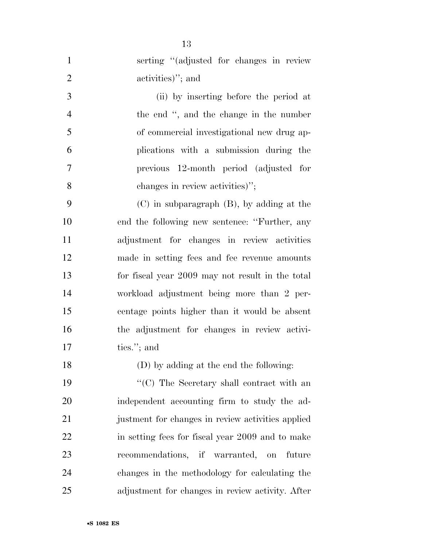| $\mathbf{1}$   | serting "(adjusted for changes in review          |
|----------------|---------------------------------------------------|
| $\overline{2}$ | activities)"; and                                 |
| 3              | (ii) by inserting before the period at            |
| $\overline{4}$ | the end ", and the change in the number           |
| 5              | of commercial investigational new drug ap-        |
| 6              | plications with a submission during the           |
| $\overline{7}$ | previous 12-month period (adjusted for            |
| 8              | changes in review activities)";                   |
| 9              | $(C)$ in subparagraph $(B)$ , by adding at the    |
| 10             | end the following new sentence: "Further, any     |
| 11             | adjustment for changes in review activities       |
| 12             | made in setting fees and fee revenue amounts      |
| 13             | for fiscal year 2009 may not result in the total  |
| 14             | workload adjustment being more than 2 per-        |
| 15             | centage points higher than it would be absent     |
| 16             | the adjustment for changes in review activi-      |
| 17             | ties."; and                                       |
| 18             | (D) by adding at the end the following:           |
| 19             | "(C) The Secretary shall contract with an         |
| 20             | independent accounting firm to study the ad-      |
| 21             | justment for changes in review activities applied |
| 22             | in setting fees for fiscal year 2009 and to make  |
| 23             | recommendations, if warranted, on future          |
| 24             | changes in the methodology for calculating the    |
| 25             | adjustment for changes in review activity. After  |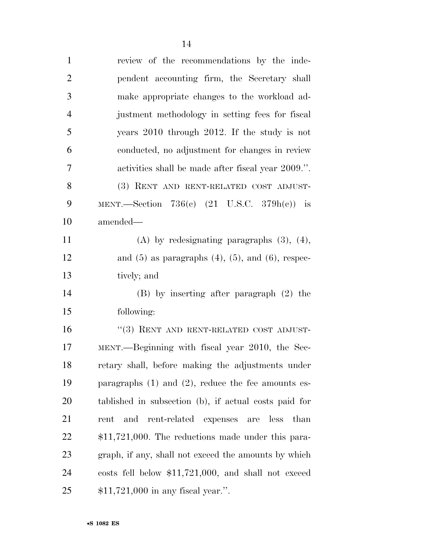| $\mathbf{1}$   | review of the recommendations by the inde-                     |
|----------------|----------------------------------------------------------------|
| $\overline{2}$ | pendent accounting firm, the Secretary shall                   |
| 3              | make appropriate changes to the workload ad-                   |
| $\overline{4}$ | justment methodology in setting fees for fiscal                |
| 5              | years $2010$ through $2012$ . If the study is not              |
| 6              | conducted, no adjustment for changes in review                 |
| 7              | activities shall be made after fiscal year 2009.".             |
| 8              | (3) RENT AND RENT-RELATED COST ADJUST-                         |
| 9              | MENT.—Section 736(c) $(21 \text{ U.S.C. } 379h(e))$ is         |
| 10             | amended—                                                       |
| 11             | (A) by redesignating paragraphs $(3)$ , $(4)$ ,                |
| 12             | and $(5)$ as paragraphs $(4)$ , $(5)$ , and $(6)$ , respec-    |
| 13             | tively; and                                                    |
| 14             | $(B)$ by inserting after paragraph $(2)$ the                   |
| 15             | following:                                                     |
| 16             | $``(3)$ RENT AND RENT-RELATED COST ADJUST-                     |
| 17             | MENT.—Beginning with fiscal year 2010, the Sec-                |
| 18             | retary shall, before making the adjustments under              |
| 19             | paragraphs $(1)$ and $(2)$ , reduce the fee amounts es-        |
| <b>20</b>      | tablished in subsection (b), if actual costs paid for          |
| 21             | rent-related<br>and<br>expenses<br>less<br>than<br>rent<br>are |
| 22             | $$11,721,000$ . The reductions made under this para-           |
| 23             | graph, if any, shall not exceed the amounts by which           |
| 24             | costs fell below $$11,721,000$ , and shall not exceed          |
| 25             | $$11,721,000$ in any fiscal year.".                            |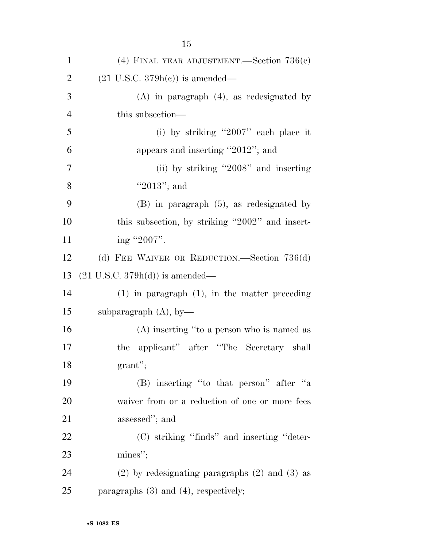| $\mathbf{1}$   | (4) FINAL YEAR ADJUSTMENT.—Section $736(e)$          |
|----------------|------------------------------------------------------|
| $\overline{2}$ | $(21 \text{ U.S.C. } 379h(c))$ is amended—           |
| 3              | $(A)$ in paragraph $(4)$ , as redesignated by        |
| $\overline{4}$ | this subsection—                                     |
| 5              | (i) by striking "2007" each place it                 |
| 6              | appears and inserting "2012"; and                    |
| $\tau$         | (ii) by striking "2008" and inserting                |
| 8              | "2013"; and                                          |
| 9              | $(B)$ in paragraph $(5)$ , as redesignated by        |
| 10             | this subsection, by striking "2002" and insert-      |
| 11             | ing "2007".                                          |
| 12             | (d) FEE WAIVER OR REDUCTION.—Section $736(d)$        |
| 13             | $(21 \text{ U.S.C. } 379h(d))$ is amended—           |
| 14             | $(1)$ in paragraph $(1)$ , in the matter preceding   |
| 15             | subparagraph $(A)$ , by-                             |
| 16             | (A) inserting "to a person who is named as           |
| 17             | applicant" after "The Secretary shall<br>the         |
| 18             | $grant$ ";                                           |
| 19             | (B) inserting "to that person" after "a              |
| 20             | waiver from or a reduction of one or more fees       |
| 21             | assessed"; and                                       |
| 22             | (C) striking "finds" and inserting "deter-           |
| 23             | $\text{mines}$ ";                                    |
| 24             | $(2)$ by redesignating paragraphs $(2)$ and $(3)$ as |
| 25             | paragraphs $(3)$ and $(4)$ , respectively;           |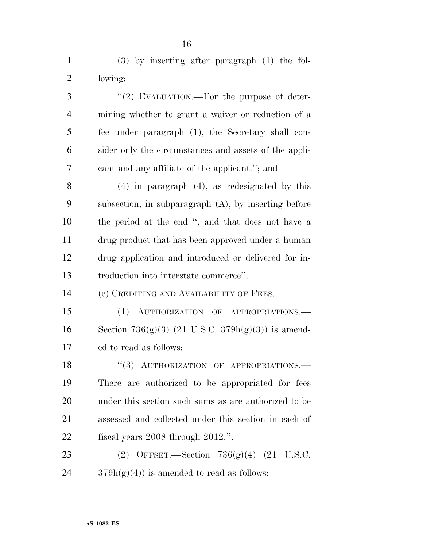| $\mathbf{1}$   | $(3)$ by inserting after paragraph $(1)$ the fol-       |
|----------------|---------------------------------------------------------|
| $\overline{2}$ | lowing:                                                 |
| 3              | "(2) EVALUATION.—For the purpose of deter-              |
| $\overline{4}$ | mining whether to grant a waiver or reduction of a      |
| 5              | fee under paragraph (1), the Secretary shall con-       |
| 6              | sider only the circumstances and assets of the appli-   |
| 7              | cant and any affiliate of the applicant."; and          |
| 8              | $(4)$ in paragraph $(4)$ , as redesignated by this      |
| 9              | subsection, in subparagraph $(A)$ , by inserting before |
| 10             | the period at the end ", and that does not have a       |
| 11             | drug product that has been approved under a human       |
| 12             | drug application and introduced or delivered for in-    |
| 13             | troduction into interstate commerce".                   |
| 14             | (e) CREDITING AND AVAILABILITY OF FEES.—                |
| 15             | (1) AUTHORIZATION OF APPROPRIATIONS.                    |
| 16             | Section 736(g)(3) (21 U.S.C. 379h(g)(3)) is amend-      |
| 17             | ed to read as follows:                                  |
| 18             | "(3) AUTHORIZATION OF APPROPRIATIONS.                   |
| 19             | There are authorized to be appropriated for fees        |
| 20             | under this section such sums as are authorized to be    |
| 21             | assessed and collected under this section in each of    |
| 22             | fiscal years $2008$ through $2012$ .".                  |
| 23             | (2) OFFSET.—Section $736(g)(4)$ (21 U.S.C.              |
|                |                                                         |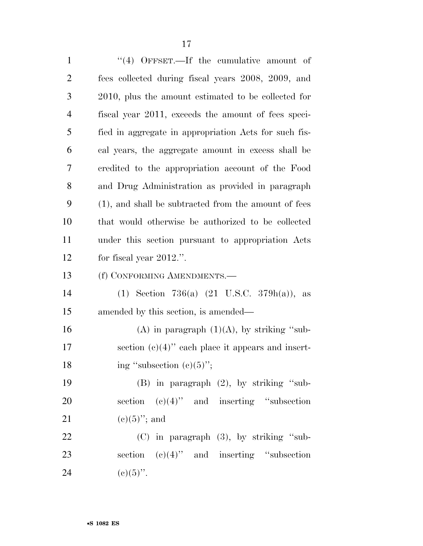| $\mathbf{1}$   | "(4) OFFSET.—If the cumulative amount of               |
|----------------|--------------------------------------------------------|
| $\overline{2}$ | fees collected during fiscal years 2008, 2009, and     |
| 3              | 2010, plus the amount estimated to be collected for    |
| $\overline{4}$ | fiscal year 2011, exceeds the amount of fees speci-    |
| 5              | fied in aggregate in appropriation Acts for such fis-  |
| 6              | cal years, the aggregate amount in excess shall be     |
| 7              | credited to the appropriation account of the Food      |
| 8              | and Drug Administration as provided in paragraph       |
| 9              | (1), and shall be subtracted from the amount of fees   |
| 10             | that would otherwise be authorized to be collected     |
| 11             | under this section pursuant to appropriation Acts      |
| 12             | for fiscal year $2012$ .".                             |
|                |                                                        |
| 13             | (f) CONFORMING AMENDMENTS.—                            |
| 14             | (1) Section 736(a) $(21 \text{ U.S.C. } 379h(a))$ , as |
| 15             | amended by this section, is amended—                   |
| 16             | (A) in paragraph $(1)(A)$ , by striking "sub-          |
| 17             | section $(c)(4)$ " each place it appears and insert-   |
| 18             | ing "subsection $(c)(5)$ ";                            |
| 19             | $(B)$ in paragraph $(2)$ , by striking "sub-           |
| 20             | section $(c)(4)$ " and inserting "subsection           |
| 21             | $(e)(5)$ "; and                                        |
| 22             | $(C)$ in paragraph $(3)$ , by striking "sub-           |
| 23             | section $(c)(4)$ " and inserting "subsection           |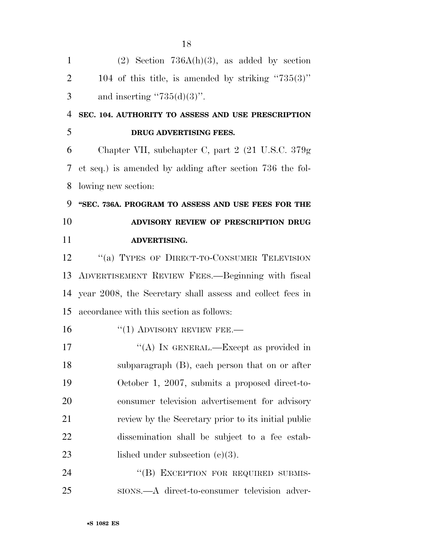| 1              | $(2)$ Section 736A(h)(3), as added by section             |
|----------------|-----------------------------------------------------------|
| $\overline{2}$ | 104 of this title, is amended by striking " $735(3)$ "    |
| 3              | and inserting " $735(d)(3)$ ".                            |
| $\overline{4}$ | SEC. 104. AUTHORITY TO ASSESS AND USE PRESCRIPTION        |
| 5              | DRUG ADVERTISING FEES.                                    |
| 6              | Chapter VII, subchapter C, part 2 (21 U.S.C. 379g)        |
| 7              | et seq.) is amended by adding after section 736 the fol-  |
| 8              | lowing new section:                                       |
| 9              | "SEC. 736A. PROGRAM TO ASSESS AND USE FEES FOR THE        |
| 10             | ADVISORY REVIEW OF PRESCRIPTION DRUG                      |
| 11             | ADVERTISING.                                              |
| 12             | "(a) TYPES OF DIRECT-TO-CONSUMER TELEVISION               |
| 13             | ADVERTISEMENT REVIEW FEES.—Beginning with fiscal          |
| 14             | year 2008, the Secretary shall assess and collect fees in |
| 15             | accordance with this section as follows:                  |
| 16             | $``(1)$ ADVISORY REVIEW FEE.—                             |
| 17             | "(A) IN GENERAL.—Except as provided in                    |
| 18             | subparagraph (B), each person that on or after            |
| 19             | October 1, 2007, submits a proposed direct-to-            |
| 20             | consumer television advertisement for advisory            |
| 21             | review by the Secretary prior to its initial public       |
| 22             | dissemination shall be subject to a fee estab-            |
| 23             | lished under subsection $(c)(3)$ .                        |
| 24             | "(B) EXCEPTION FOR REQUIRED SUBMIS-                       |
| 25             | sions.—A direct-to-consumer television adver-             |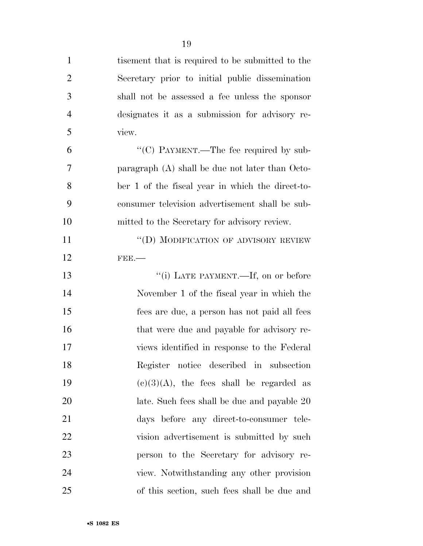| $\mathbf{1}$   | tisement that is required to be submitted to the  |
|----------------|---------------------------------------------------|
| $\overline{2}$ | Secretary prior to initial public dissemination   |
| 3              | shall not be assessed a fee unless the sponsor    |
| $\overline{4}$ | designates it as a submission for advisory re-    |
| 5              | view.                                             |
| 6              | "(C) PAYMENT.—The fee required by sub-            |
| 7              | paragraph $(A)$ shall be due not later than Octo- |
| 8              | ber 1 of the fiscal year in which the direct-to-  |
| 9              | consumer television advertisement shall be sub-   |
| 10             | mitted to the Secretary for advisory review.      |
| 11             | "(D) MODIFICATION OF ADVISORY REVIEW              |
| 12             | $FEE$ .                                           |
| 13             | "(i) LATE PAYMENT.—If, on or before               |
| 14             | November 1 of the fiscal year in which the        |
| 15             | fees are due, a person has not paid all fees      |
|                |                                                   |

16 that were due and payable for advisory re- views identified in response to the Federal Register notice described in subsection 19 (c)(3)(A), the fees shall be regarded as late. Such fees shall be due and payable 20 days before any direct-to-consumer tele- vision advertisement is submitted by such person to the Secretary for advisory re- view. Notwithstanding any other provision of this section, such fees shall be due and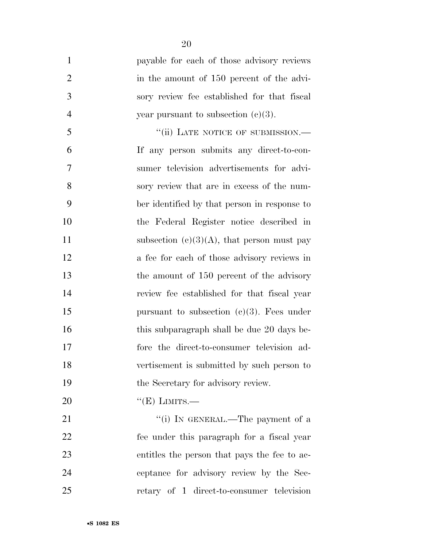| $\mathbf{1}$   | payable for each of those advisory reviews    |
|----------------|-----------------------------------------------|
| $\overline{2}$ | in the amount of 150 percent of the advi-     |
| 3              | sory review fee established for that fiscal   |
| $\overline{4}$ | year pursuant to subsection $(c)(3)$ .        |
| 5              | "(ii) LATE NOTICE OF SUBMISSION.—             |
| 6              | If any person submits any direct-to-con-      |
| 7              | sumer television advertisements for advi-     |
| 8              | sory review that are in excess of the num-    |
| 9              | ber identified by that person in response to  |
| 10             | the Federal Register notice described in      |
| 11             | subsection $(c)(3)(A)$ , that person must pay |
| 12             | a fee for each of those advisory reviews in   |
| 13             | the amount of 150 percent of the advisory     |
| 14             | review fee established for that fiscal year   |
| 15             | pursuant to subsection $(c)(3)$ . Fees under  |
| 16             | this subparagraph shall be due 20 days be-    |
| 17             | fore the direct-to-consumer television ad-    |
| 18             | vertisement is submitted by such person to    |
| 19             | the Secretary for advisory review.            |
| 20             | $``(E)$ LIMITS.—                              |
| 21             | "(i) IN GENERAL.—The payment of a             |
| 22             | fee under this paragraph for a fiscal year    |
| 23             | entitles the person that pays the fee to ac-  |
| 24             | ceptance for advisory review by the Sec-      |
| 25             | retary of 1 direct-to-consumer television     |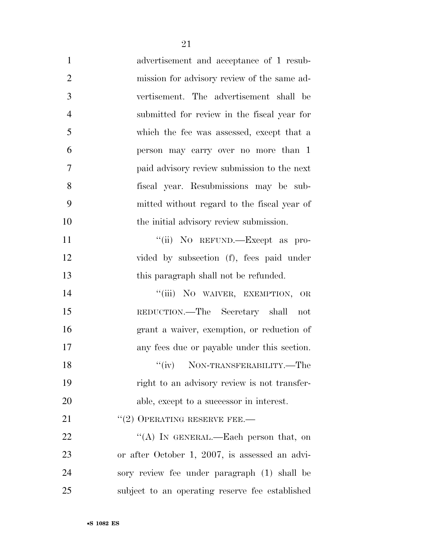| $\mathbf{1}$   | advertisement and acceptance of 1 resub-        |
|----------------|-------------------------------------------------|
| $\overline{2}$ | mission for advisory review of the same ad-     |
| 3              | vertisement. The advertisement shall be         |
| $\overline{4}$ | submitted for review in the fiscal year for     |
| 5              | which the fee was assessed, except that a       |
| 6              | person may carry over no more than 1            |
| 7              | paid advisory review submission to the next     |
| 8              | fiscal year. Resubmissions may be sub-          |
| 9              | mitted without regard to the fiscal year of     |
| 10             | the initial advisory review submission.         |
| 11             | "(ii) NO REFUND.—Except as pro-                 |
| 12             | vided by subsection (f), fees paid under        |
| 13             | this paragraph shall not be refunded.           |
| 14             | "(iii) NO WAIVER, EXEMPTION,<br>$\rm OR$        |
| 15             | REDUCTION.—The Secretary shall<br>not           |
| 16             | grant a waiver, exemption, or reduction of      |
| 17             | any fees due or payable under this section.     |
| 18             | NON-TRANSFERABILITY.-The                        |
| 19             | right to an advisory review is not transfer-    |
| 20             | able, except to a successor in interest.        |
| 21             | $''(2)$ OPERATING RESERVE FEE.—                 |
| 22             | "(A) IN GENERAL.—Each person that, on           |
| 23             | or after October 1, 2007, is assessed an advi-  |
| 24             | sory review fee under paragraph (1) shall be    |
| 25             | subject to an operating reserve fee established |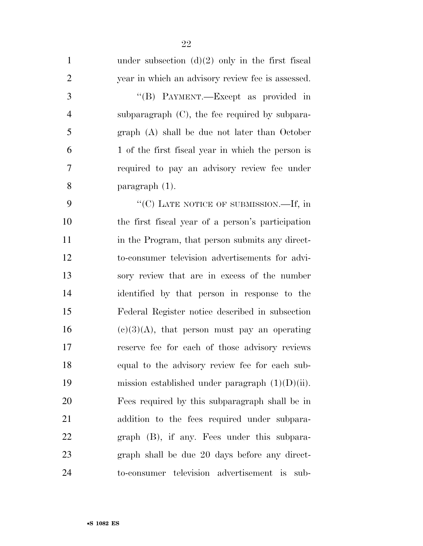| $\mathbf{1}$   | under subsection $(d)(2)$ only in the first fiscal |
|----------------|----------------------------------------------------|
| $\overline{2}$ | year in which an advisory review fee is assessed.  |
| 3              | "(B) PAYMENT.—Except as provided in                |
| 4              | subparagraph $(C)$ , the fee required by subpara-  |
| 5              | graph (A) shall be due not later than October      |
| 6              | 1 of the first fiscal year in which the person is  |
| 7              | required to pay an advisory review fee under       |
| 8              | paragraph $(1)$ .                                  |
| 9              | "(C) LATE NOTICE OF SUBMISSION.—If, in             |
| 10             | the first fiscal year of a person's participation  |
| 11             | in the Program, that person submits any direct-    |
| 12             | to-consumer television advertisements for advi-    |
| 13             | sory review that are in excess of the number       |
| 14             | identified by that person in response to the       |
| 15             | Federal Register notice described in subsection    |
| 16             | $(e)(3)(A)$ , that person must pay an operating    |
| 17             | reserve fee for each of those advisory reviews     |
| 18             | equal to the advisory review fee for each sub-     |
| 19             | mission established under paragraph $(1)(D)(ii)$ . |
| 20             | Fees required by this subparagraph shall be in     |
| 21             | addition to the fees required under subpara-       |
| 22             | graph (B), if any. Fees under this subpara-        |
| 23             | graph shall be due 20 days before any direct-      |
| 24             | to-consumer television advertisement is<br>sub-    |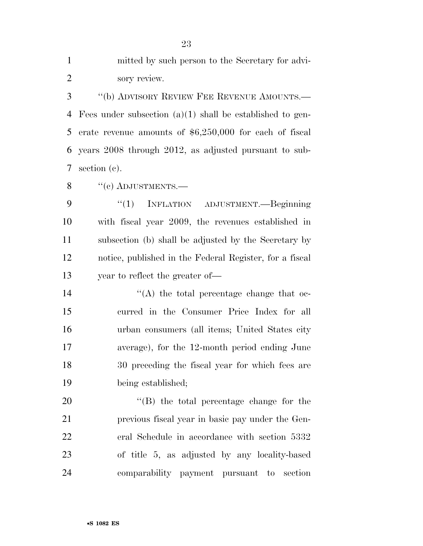| $\mathbf{1}$   | mitted by such person to the Secretary for advi-            |
|----------------|-------------------------------------------------------------|
| $\overline{2}$ | sory review.                                                |
| 3              | "(b) ADVISORY REVIEW FEE REVENUE AMOUNTS.—                  |
| 4              | Fees under subsection $(a)(1)$ shall be established to gen- |
| 5              | erate revenue amounts of $$6,250,000$ for each of fiscal    |
| 6              | years 2008 through 2012, as adjusted pursuant to sub-       |
| 7              | section $(c)$ .                                             |
| 8              | $``$ (c) ADJUSTMENTS.—                                      |
| 9              | ``(1)<br>INFLATION ADJUSTMENT. - Beginning                  |
| 10             | with fiscal year 2009, the revenues established in          |
| 11             | subsection (b) shall be adjusted by the Secretary by        |
| 12             | notice, published in the Federal Register, for a fiscal     |
| 13             | year to reflect the greater of—                             |
| 14             | $\cdot$ (A) the total percentage change that oc-            |
| 15             | curred in the Consumer Price Index for all                  |
| 16             | urban consumers (all items; United States city              |
| 17             | average), for the 12-month period ending June               |
| 18             | 30 preceding the fiscal year for which fees are             |
| 19             | being established;                                          |
| 20             | $\lq$ (B) the total percentage change for the               |
| 21             | previous fiscal year in basic pay under the Gen-            |
| 22             | eral Schedule in accordance with section 5332               |
| 23             | of title 5, as adjusted by any locality-based               |
| 24             | comparability payment pursuant<br>to section                |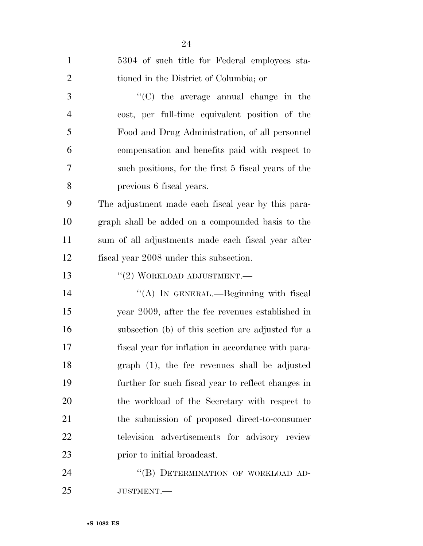| $\mathbf{1}$   | 5304 of such title for Federal employees sta-       |
|----------------|-----------------------------------------------------|
| $\overline{2}$ | tioned in the District of Columbia; or              |
| 3              | "(C) the average annual change in the               |
| 4              | cost, per full-time equivalent position of the      |
| 5              | Food and Drug Administration, of all personnel      |
| 6              | compensation and benefits paid with respect to      |
| 7              | such positions, for the first 5 fiscal years of the |
| 8              | previous 6 fiscal years.                            |
| 9              | The adjustment made each fiscal year by this para-  |
| 10             | graph shall be added on a compounded basis to the   |
| 11             | sum of all adjustments made each fiscal year after  |
| 12             | fiscal year 2008 under this subsection.             |
| 13             | $``(2)$ WORKLOAD ADJUSTMENT.—                       |
| 14             | "(A) IN GENERAL.—Beginning with fiscal              |
| 15             | year 2009, after the fee revenues established in    |
| 16             | subsection (b) of this section are adjusted for a   |
| 17             | fiscal year for inflation in accordance with para-  |
| 18             | graph (1), the fee revenues shall be adjusted       |
| 19             | further for such fiscal year to reflect changes in  |
| 20             | the workload of the Secretary with respect to       |
| 21             | the submission of proposed direct-to-consumer       |
| 22             | television advertisements for advisory review       |
| 23             | prior to initial broadcast.                         |
| 24             | "(B) DETERMINATION OF WORKLOAD AD-                  |
| 25             | JUSTMENT.-                                          |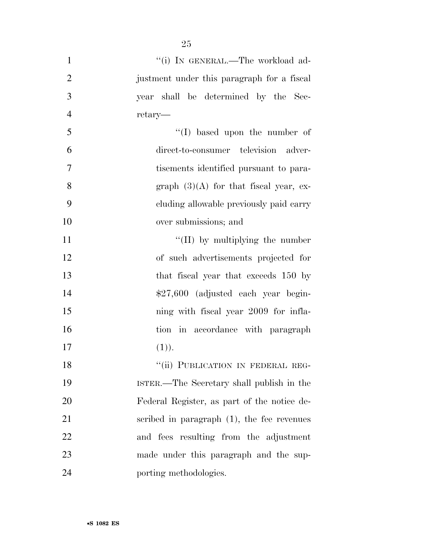| $\mathbf{1}$   | "(i) IN GENERAL.—The workload ad-             |
|----------------|-----------------------------------------------|
| $\overline{2}$ | justment under this paragraph for a fiscal    |
| 3              | year shall be determined by the Sec-          |
| $\overline{4}$ | retary—                                       |
| 5              | $\lq\lq$ (I) based upon the number of         |
| 6              | direct-to-consumer television adver-          |
| 7              | tisements identified pursuant to para-        |
| 8              | graph $(3)(A)$ for that fiscal year, ex-      |
| 9              | cluding allowable previously paid carry       |
| 10             | over submissions; and                         |
| 11             | $\lq\lq$ (II) by multiplying the number       |
| 12             | of such advertisements projected for          |
| 13             | that fiscal year that exceeds 150 by          |
| 14             | $$27,600$ (adjusted each year begin-          |
| 15             | ning with fiscal year 2009 for infla-         |
| 16             | in accordance with paragraph<br>tion          |
| 17             | (1)).                                         |
| 18             | "(ii) PUBLICATION IN FEDERAL REG-             |
| 19             | ISTER.—The Secretary shall publish in the     |
| 20             | Federal Register, as part of the notice de-   |
| 21             | scribed in paragraph $(1)$ , the fee revenues |
| 22             | and fees resulting from the adjustment        |
| 23             | made under this paragraph and the sup-        |
| 24             | porting methodologies.                        |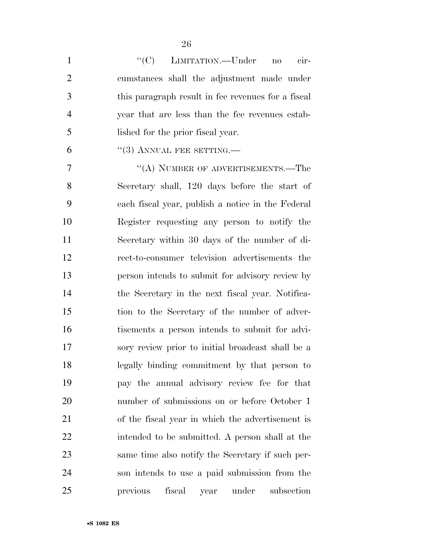| $\mathbf{1}$   | "(C) LIMITATION.—Under<br>cir-<br>$\mathbf{n}\mathbf{o}$ |
|----------------|----------------------------------------------------------|
| $\overline{2}$ | cumstances shall the adjustment made under               |
| 3              | this paragraph result in fee revenues for a fiscal       |
| $\overline{4}$ | year that are less than the fee revenues estab-          |
| 5              | lished for the prior fiscal year.                        |
| 6              | $\cdot$ (3) ANNUAL FEE SETTING.—                         |
| 7              | "(A) NUMBER OF ADVERTISEMENTS.—The                       |
| 8              | Secretary shall, 120 days before the start of            |
| 9              | each fiscal year, publish a notice in the Federal        |
| 10             | Register requesting any person to notify the             |
| 11             | Secretary within 30 days of the number of di-            |
| 12             | rect-to-consumer television advertisements the           |
| 13             | person intends to submit for advisory review by          |
| 14             | the Secretary in the next fiscal year. Notifica-         |
| 15             | tion to the Secretary of the number of adver-            |
| 16             | tisements a person intends to submit for advi-           |
| 17             | sory review prior to initial broadcast shall be a        |
| 18             | legally binding commitment by that person to             |
| 19             | pay the annual advisory review fee for that              |
| 20             | number of submissions on or before October 1             |
| 21             | of the fiscal year in which the advertisement is         |
| 22             | intended to be submitted. A person shall at the          |
| 23             | same time also notify the Secretary if such per-         |
| 24             | son intends to use a paid submission from the            |
| 25             | previous<br>fiscal<br>under<br>subsection<br>year        |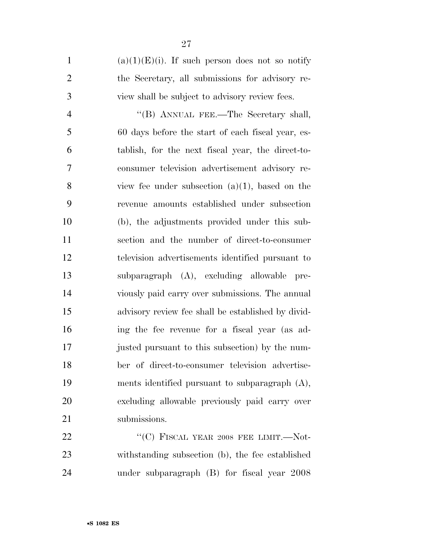1 (a)(1)(E)(i). If such person does not so notify the Secretary, all submissions for advisory re-view shall be subject to advisory review fees.

4 ''(B) ANNUAL FEE.—The Secretary shall, 60 days before the start of each fiscal year, es- tablish, for the next fiscal year, the direct-to- consumer television advertisement advisory re- view fee under subsection (a)(1), based on the revenue amounts established under subsection (b), the adjustments provided under this sub- section and the number of direct-to-consumer television advertisements identified pursuant to subparagraph (A), excluding allowable pre- viously paid carry over submissions. The annual advisory review fee shall be established by divid- ing the fee revenue for a fiscal year (as ad- justed pursuant to this subsection) by the num- ber of direct-to-consumer television advertise- ments identified pursuant to subparagraph (A), excluding allowable previously paid carry over submissions.

22 ""(C) FISCAL YEAR 2008 FEE LIMIT.—Not- withstanding subsection (b), the fee established under subparagraph (B) for fiscal year 2008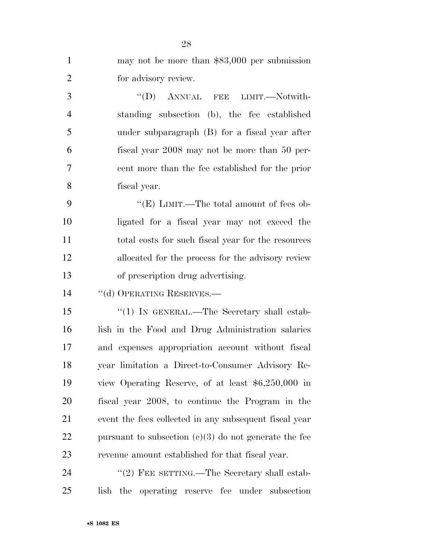| $\mathbf{1}$   | may not be more than $$83,000$ per submission           |
|----------------|---------------------------------------------------------|
| $\overline{2}$ | for advisory review.                                    |
| 3              | "(D) ANNUAL FEE LIMIT.—Notwith-                         |
| $\overline{4}$ | standing subsection (b), the fee established            |
| 5              | under subparagraph (B) for a fiscal year after          |
| 6              | fiscal year 2008 may not be more than 50 per-           |
| $\tau$         | cent more than the fee established for the prior        |
| 8              | fiscal year.                                            |
| 9              | " $(E)$ LIMIT.—The total amount of fees ob-             |
| 10             | ligated for a fiscal year may not exceed the            |
| 11             | total costs for such fiscal year for the resources      |
| 12             | allocated for the process for the advisory review       |
| 13             | of prescription drug advertising.                       |
| 14             | "(d) OPERATING RESERVES.-                               |
| 15             | "(1) IN GENERAL.—The Secretary shall estab-             |
| 16             | lish in the Food and Drug Administration salaries       |
| 17             | and expenses appropriation account without fiscal       |
| 18             | year limitation a Direct-to-Consumer Advisory Re-       |
| 19             | view Operating Reserve, of at least $$6,250,000$ in     |
| 20             | fiscal year 2008, to continue the Program in the        |
| 21             | event the fees collected in any subsequent fiscal year  |
| 22             | pursuant to subsection $(c)(3)$ do not generate the fee |
| 23             | revenue amount established for that fiscal year.        |
| 24             | "(2) FEE SETTING.—The Secretary shall estab-            |
| 25             | the operating reserve fee under subsection<br>lish      |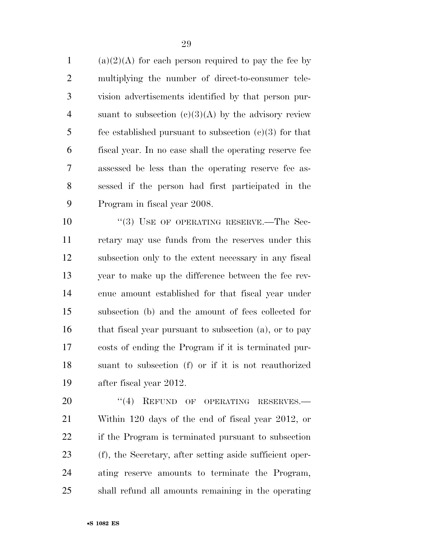1 (a)(2)(A) for each person required to pay the fee by multiplying the number of direct-to-consumer tele- vision advertisements identified by that person pur-4 suant to subsection  $(c)(3)(A)$  by the advisory review 5 fee established pursuant to subsection  $(c)(3)$  for that fiscal year. In no case shall the operating reserve fee assessed be less than the operating reserve fee as- sessed if the person had first participated in the Program in fiscal year 2008.

10 "(3) USE OF OPERATING RESERVE.—The Sec- retary may use funds from the reserves under this subsection only to the extent necessary in any fiscal year to make up the difference between the fee rev- enue amount established for that fiscal year under subsection (b) and the amount of fees collected for 16 that fiscal year pursuant to subsection (a), or to pay costs of ending the Program if it is terminated pur- suant to subsection (f) or if it is not reauthorized after fiscal year 2012.

20 "(4) REFUND OF OPERATING RESERVES.— Within 120 days of the end of fiscal year 2012, or if the Program is terminated pursuant to subsection (f), the Secretary, after setting aside sufficient oper- ating reserve amounts to terminate the Program, shall refund all amounts remaining in the operating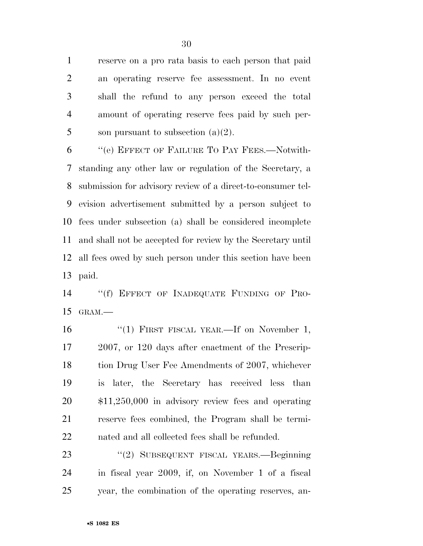reserve on a pro rata basis to each person that paid an operating reserve fee assessment. In no event shall the refund to any person exceed the total amount of operating reserve fees paid by such per-5 son pursuant to subsection  $(a)(2)$ .

 ''(e) EFFECT OF FAILURE TO PAY FEES.—Notwith- standing any other law or regulation of the Secretary, a submission for advisory review of a direct-to-consumer tel- evision advertisement submitted by a person subject to fees under subsection (a) shall be considered incomplete and shall not be accepted for review by the Secretary until all fees owed by such person under this section have been paid.

14 "(f) EFFECT OF INADEQUATE FUNDING OF PRO-GRAM.—

16 "(1) FIRST FISCAL YEAR.—If on November 1, 2007, or 120 days after enactment of the Prescrip-18 tion Drug User Fee Amendments of 2007, whichever is later, the Secretary has received less than \$11,250,000 in advisory review fees and operating reserve fees combined, the Program shall be termi-nated and all collected fees shall be refunded.

 ''(2) SUBSEQUENT FISCAL YEARS.—Beginning in fiscal year 2009, if, on November 1 of a fiscal year, the combination of the operating reserves, an-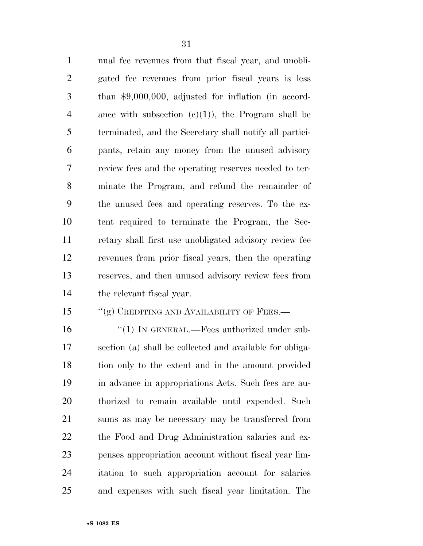nual fee revenues from that fiscal year, and unobli- gated fee revenues from prior fiscal years is less than \$9,000,000, adjusted for inflation (in accord-4 ance with subsection  $(c)(1)$ , the Program shall be terminated, and the Secretary shall notify all partici- pants, retain any money from the unused advisory review fees and the operating reserves needed to ter- minate the Program, and refund the remainder of the unused fees and operating reserves. To the ex- tent required to terminate the Program, the Sec- retary shall first use unobligated advisory review fee revenues from prior fiscal years, then the operating reserves, and then unused advisory review fees from the relevant fiscal year.

#### 15 "(g) CREDITING AND AVAILABILITY OF FEES.—

16 "(1) IN GENERAL.—Fees authorized under sub- section (a) shall be collected and available for obliga- tion only to the extent and in the amount provided in advance in appropriations Acts. Such fees are au- thorized to remain available until expended. Such sums as may be necessary may be transferred from the Food and Drug Administration salaries and ex- penses appropriation account without fiscal year lim- itation to such appropriation account for salaries and expenses with such fiscal year limitation. The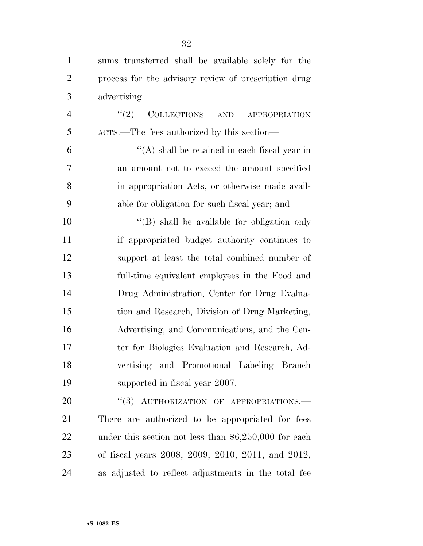sums transferred shall be available solely for the process for the advisory review of prescription drug advertising.

4 "(2) COLLECTIONS AND APPROPRIATION ACTS.—The fees authorized by this section—

 $(4)$  shall be retained in each fiscal year in an amount not to exceed the amount specified in appropriation Acts, or otherwise made avail-able for obligation for such fiscal year; and

 $\langle (B)$  shall be available for obligation only if appropriated budget authority continues to support at least the total combined number of full-time equivalent employees in the Food and Drug Administration, Center for Drug Evalua- tion and Research, Division of Drug Marketing, Advertising, and Communications, and the Cen- ter for Biologics Evaluation and Research, Ad- vertising and Promotional Labeling Branch supported in fiscal year 2007.

20 "(3) AUTHORIZATION OF APPROPRIATIONS. There are authorized to be appropriated for fees under this section not less than \$6,250,000 for each of fiscal years 2008, 2009, 2010, 2011, and 2012, as adjusted to reflect adjustments in the total fee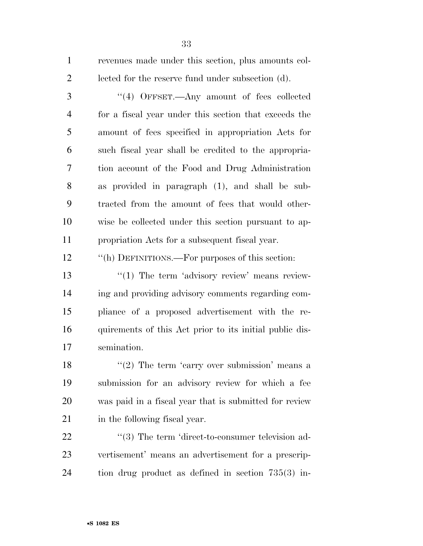revenues made under this section, plus amounts col-lected for the reserve fund under subsection (d).

 ''(4) OFFSET.—Any amount of fees collected for a fiscal year under this section that exceeds the amount of fees specified in appropriation Acts for such fiscal year shall be credited to the appropria- tion account of the Food and Drug Administration as provided in paragraph (1), and shall be sub- tracted from the amount of fees that would other- wise be collected under this section pursuant to ap-propriation Acts for a subsequent fiscal year.

''(h) DEFINITIONS.—For purposes of this section:

 $\frac{1}{2}$  The term 'advisory review' means review- ing and providing advisory comments regarding com- pliance of a proposed advertisement with the re- quirements of this Act prior to its initial public dis-semination.

18 ''(2) The term 'carry over submission' means a submission for an advisory review for which a fee was paid in a fiscal year that is submitted for review in the following fiscal year.

22  $\frac{u(3)}{2}$  The term 'direct-to-consumer television ad- vertisement' means an advertisement for a prescrip-tion drug product as defined in section 735(3) in-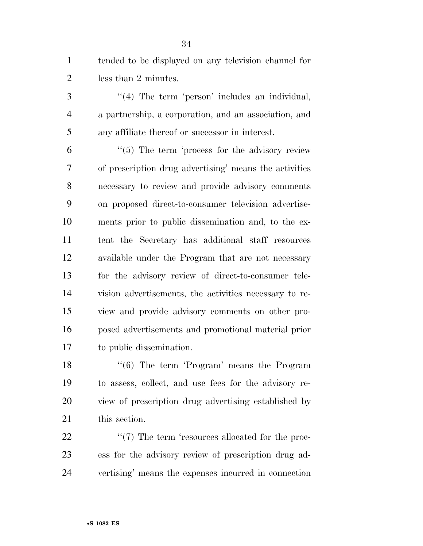tended to be displayed on any television channel for less than 2 minutes.

3 "(4) The term 'person' includes an individual, a partnership, a corporation, and an association, and any affiliate thereof or successor in interest.

 ''(5) The term 'process for the advisory review of prescription drug advertising' means the activities necessary to review and provide advisory comments on proposed direct-to-consumer television advertise- ments prior to public dissemination and, to the ex- tent the Secretary has additional staff resources available under the Program that are not necessary for the advisory review of direct-to-consumer tele- vision advertisements, the activities necessary to re- view and provide advisory comments on other pro- posed advertisements and promotional material prior to public dissemination.

18 ''(6) The term 'Program' means the Program to assess, collect, and use fees for the advisory re- view of prescription drug advertising established by this section.

22  $\frac{4}{7}$  The term 'resources allocated for the proc- ess for the advisory review of prescription drug ad-vertising' means the expenses incurred in connection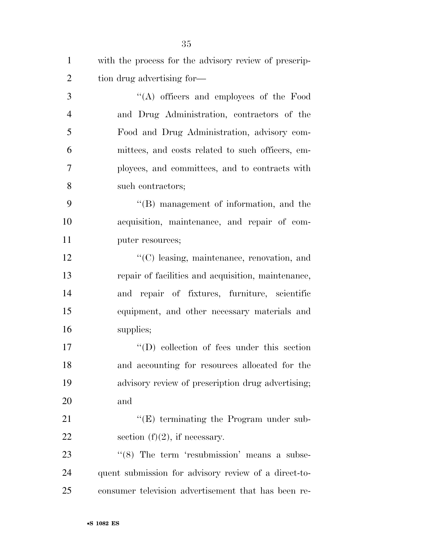| $\mathbf{1}$   | with the process for the advisory review of prescrip- |
|----------------|-------------------------------------------------------|
| $\overline{2}$ | tion drug advertising for—                            |
| 3              | "(A) officers and employees of the Food               |
| $\overline{4}$ | and Drug Administration, contractors of the           |
| 5              | Food and Drug Administration, advisory com-           |
| 6              | mittees, and costs related to such officers, em-      |
| 7              | ployees, and committees, and to contracts with        |
| 8              | such contractors;                                     |
| 9              | "(B) management of information, and the               |
| 10             | acquisition, maintenance, and repair of com-          |
| 11             | puter resources;                                      |
| 12             | $\lq\lq$ (C) leasing, maintenance, renovation, and    |
| 13             | repair of facilities and acquisition, maintenance,    |
| 14             | and repair of fixtures, furniture, scientific         |
| 15             | equipment, and other necessary materials and          |
| 16             | supplies;                                             |
| 17             | $\lq\lq$ (D) collection of fees under this section    |
| 18             | and accounting for resources allocated for the        |
| 19             | advisory review of prescription drug advertising;     |
| 20             | and                                                   |
| 21             | $\lq\lq$ (E) terminating the Program under sub-       |
| 22             | section $(f)(2)$ , if necessary.                      |
| 23             | $\lq(8)$ The term 'resubmission' means a subse-       |
| 24             | quent submission for advisory review of a direct-to-  |
| 25             | consumer television advertisement that has been re-   |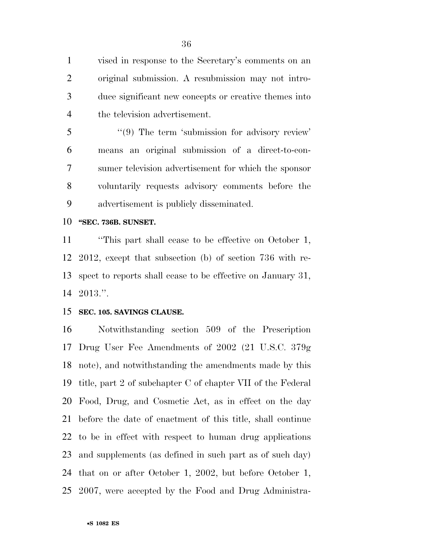vised in response to the Secretary's comments on an original submission. A resubmission may not intro- duce significant new concepts or creative themes into the television advertisement.

5 "(9) The term 'submission for advisory review' means an original submission of a direct-to-con- sumer television advertisement for which the sponsor voluntarily requests advisory comments before the advertisement is publicly disseminated.

#### **''SEC. 736B. SUNSET.**

 ''This part shall cease to be effective on October 1, 2012, except that subsection (b) of section 736 with re- spect to reports shall cease to be effective on January 31, 2013.''.

#### **SEC. 105. SAVINGS CLAUSE.**

 Notwithstanding section 509 of the Prescription Drug User Fee Amendments of 2002 (21 U.S.C. 379g note), and notwithstanding the amendments made by this title, part 2 of subchapter C of chapter VII of the Federal Food, Drug, and Cosmetic Act, as in effect on the day before the date of enactment of this title, shall continue to be in effect with respect to human drug applications and supplements (as defined in such part as of such day) that on or after October 1, 2002, but before October 1, 2007, were accepted by the Food and Drug Administra-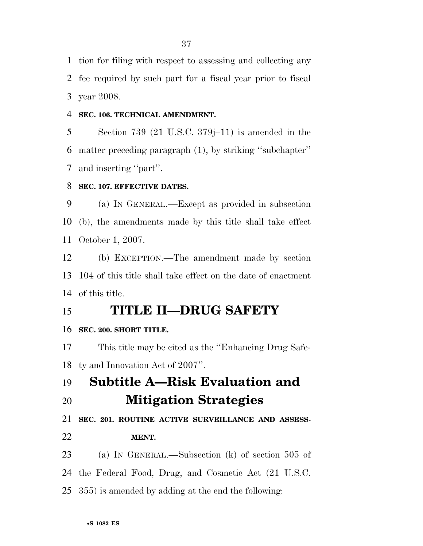tion for filing with respect to assessing and collecting any fee required by such part for a fiscal year prior to fiscal year 2008.

#### **SEC. 106. TECHNICAL AMENDMENT.**

 Section 739 (21 U.S.C. 379j–11) is amended in the matter preceding paragraph (1), by striking ''subchapter'' and inserting ''part''.

## **SEC. 107. EFFECTIVE DATES.**

 (a) IN GENERAL.—Except as provided in subsection (b), the amendments made by this title shall take effect October 1, 2007.

 (b) EXCEPTION.—The amendment made by section 104 of this title shall take effect on the date of enactment of this title.

# **TITLE II—DRUG SAFETY**

### **SEC. 200. SHORT TITLE.**

 This title may be cited as the ''Enhancing Drug Safe-ty and Innovation Act of 2007''.

**Subtitle A—Risk Evaluation and** 

**Mitigation Strategies** 

**SEC. 201. ROUTINE ACTIVE SURVEILLANCE AND ASSESS-**

# **MENT.**

- (a) IN GENERAL.—Subsection (k) of section 505 of
- the Federal Food, Drug, and Cosmetic Act (21 U.S.C.
- 355) is amended by adding at the end the following: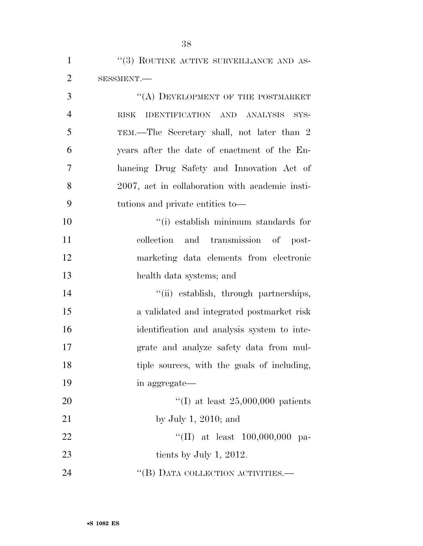''(3) ROUTINE ACTIVE SURVEILLANCE AND AS- SESSMENT.— 3 "(A) DEVELOPMENT OF THE POSTMARKET RISK IDENTIFICATION AND ANALYSIS SYS- TEM.—The Secretary shall, not later than 2 years after the date of enactment of the En- hancing Drug Safety and Innovation Act of 2007, act in collaboration with academic insti- tutions and private entities to— ''(i) establish minimum standards for collection and transmission of post- marketing data elements from electronic health data systems; and 14 ''(ii) establish, through partnerships, a validated and integrated postmarket risk identification and analysis system to inte- grate and analyze safety data from mul-18 tiple sources, with the goals of including, in aggregate— ''(I) at least 25,000,000 patients by July 1, 2010; and  $\text{``(II)}$  at least 100,000,000 pa- tients by July 1, 2012. 24 "(B) DATA COLLECTION ACTIVITIES.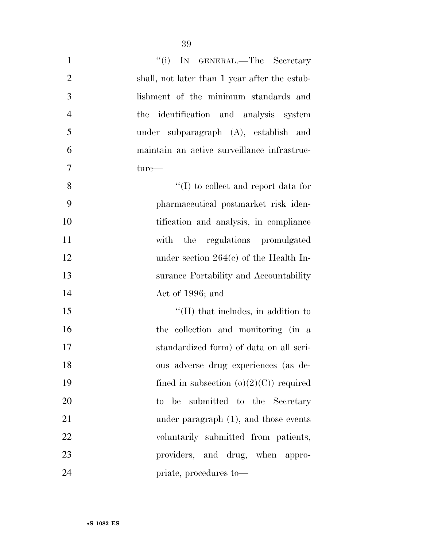| $\mathbf{1}$   | ``(i)<br>IN GENERAL.—The Secretary            |
|----------------|-----------------------------------------------|
| $\overline{2}$ | shall, not later than 1 year after the estab- |
| 3              | lishment of the minimum standards and         |
| $\overline{4}$ | the identification and analysis system        |
| 5              | under subparagraph (A), establish and         |
| 6              | maintain an active surveillance infrastruc-   |
| 7              | $ture-$                                       |
| 8              | $\lq\lq$ to collect and report data for       |
| 9              | pharmaceutical postmarket risk iden-          |
| 10             | tification and analysis, in compliance        |
| 11             | with the regulations promulgated              |
| 12             | under section $264(c)$ of the Health In-      |
| 13             | surance Portability and Accountability        |
| 14             | Act of 1996; and                              |
| 15             | $\lq$ (II) that includes, in addition to      |
| 16             | the collection and monitoring (in a           |
| 17             | standardized form) of data on all seri-       |
| 18             | ous adverse drug experiences (as de-          |
| 19             | fined in subsection $(o)(2)(C)$ required      |
| 20             | to be submitted to the Secretary              |
| 21             | under paragraph $(1)$ , and those events      |
| 22             | voluntarily submitted from patients,          |
| 23             | providers, and drug, when appro-              |
| 24             | priate, procedures to—                        |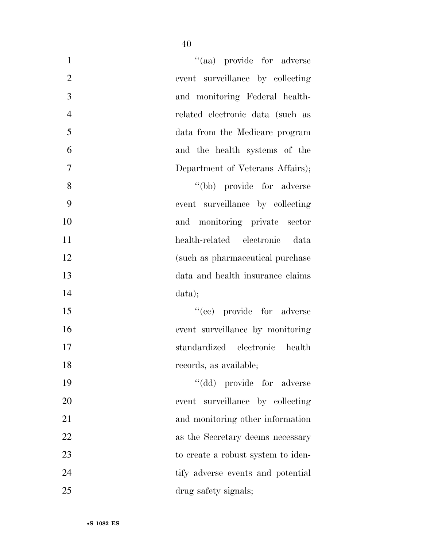| $\mathbf{1}$   | "(aa) provide for adverse          |
|----------------|------------------------------------|
| $\overline{2}$ | event surveillance by collecting   |
| 3              | and monitoring Federal health-     |
| $\overline{4}$ | related electronic data (such as   |
| 5              | data from the Medicare program     |
| 6              | and the health systems of the      |
| $\overline{7}$ | Department of Veterans Affairs);   |
| 8              | "(bb) provide for adverse          |
| 9              | event surveillance by collecting   |
| 10             | and monitoring private sector      |
| 11             | health-related electronic<br>data  |
| 12             | (such as pharmaceutical purchase   |
| 13             | data and health insurance claims   |
| 14             | data);                             |
| 15             | "(cc) provide for adverse          |
| 16             | event surveillance by monitoring   |
| 17             | standardized electronic<br>health  |
| 18             | records, as available;             |
| 19             | "(dd) provide for adverse          |
| 20             | event surveillance by collecting   |
| 21             | and monitoring other information   |
| 22             | as the Secretary deems necessary   |
| 23             | to create a robust system to iden- |
| 24             | tify adverse events and potential  |
| 25             | drug safety signals;               |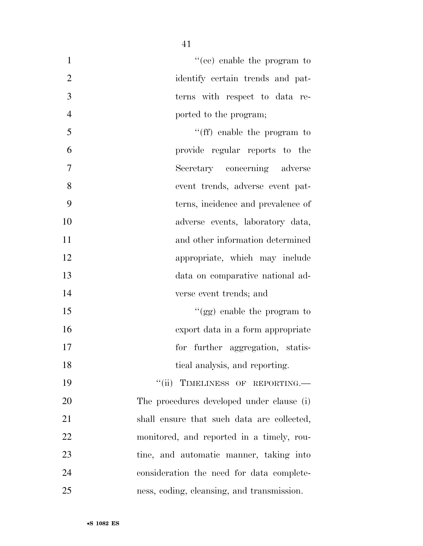| $\mathbf{1}$   | $f'(ee)$ enable the program to             |
|----------------|--------------------------------------------|
| $\overline{2}$ | identify certain trends and pat-           |
| 3              | terns with respect to data re-             |
| $\overline{4}$ | ported to the program;                     |
| 5              | "(ff) enable the program to                |
| 6              | provide regular reports to the             |
| $\overline{7}$ | Secretary concerning adverse               |
| 8              | event trends, adverse event pat-           |
| 9              | terns, incidence and prevalence of         |
| 10             | adverse events, laboratory data,           |
| 11             | and other information determined           |
| 12             | appropriate, which may include             |
| 13             | data on comparative national ad-           |
| 14             | verse event trends; and                    |
| 15             | "(gg) enable the program to                |
| 16             | export data in a form appropriate          |
| 17             | for further aggregation, statis-           |
| 18             | tical analysis, and reporting.             |
| 19             | "(ii) TIMELINESS OF REPORTING.             |
| 20             | The procedures developed under clause (i)  |
| 21             | shall ensure that such data are collected, |
| 22             | monitored, and reported in a timely, rou-  |
| 23             | tine, and automatic manner, taking into    |
| 24             | consideration the need for data complete-  |
| 25             | ness, coding, cleansing, and transmission. |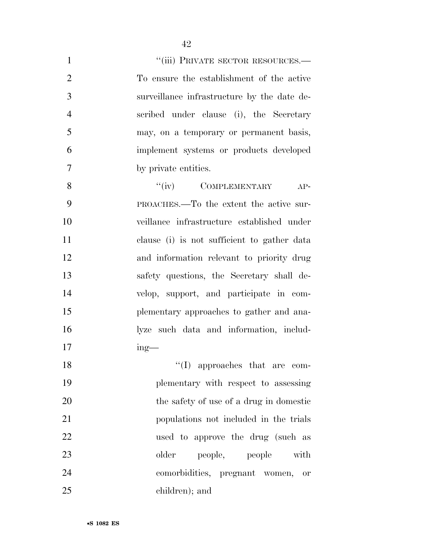| $\mathbf{1}$   | "(iii) PRIVATE SECTOR RESOURCES.-           |
|----------------|---------------------------------------------|
| $\overline{2}$ | To ensure the establishment of the active   |
| 3              | surveillance infrastructure by the date de- |
| $\overline{4}$ | scribed under clause (i), the Secretary     |
| 5              | may, on a temporary or permanent basis,     |
| 6              | implement systems or products developed     |
| $\overline{7}$ | by private entities.                        |
| 8              | "(iv) COMPLEMENTARY AP-                     |
| 9              | PROACHES.—To the extent the active sur-     |
| 10             | veillance infrastructure established under  |
| 11             | clause (i) is not sufficient to gather data |
| 12             | and information relevant to priority drug   |
| 13             | safety questions, the Secretary shall de-   |
| 14             | velop, support, and participate in com-     |
| 15             | plementary approaches to gather and ana-    |
| 16             | lyze such data and information, includ-     |
| 17             | $ing$ —                                     |
| 18             | $\lq\lq$ (I) approaches that are com-       |
| 19             | plementary with respect to assessing        |
| 20             | the safety of use of a drug in domestic     |
| 21             | populations not included in the trials      |
| 22             | used to approve the drug (such as           |
| 23             | older<br>people, people<br>with             |
| 24             | comorbidities, pregnant women,<br><b>or</b> |
| 25             | children); and                              |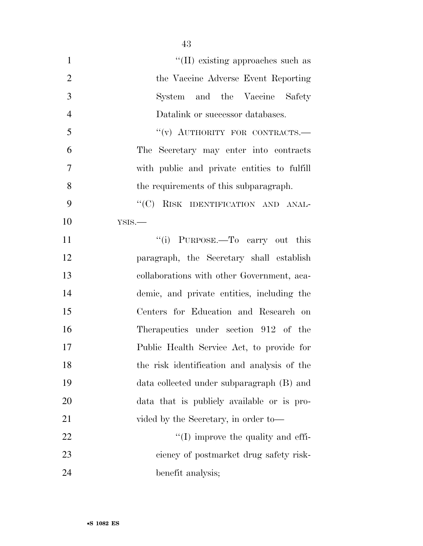| $\mathbf{1}$   | "(II) existing approaches such as           |
|----------------|---------------------------------------------|
| $\overline{2}$ | the Vaccine Adverse Event Reporting         |
| 3              | System and the Vaccine Safety               |
| $\overline{4}$ | Datalink or successor databases.            |
| 5              | "(v) AUTHORITY FOR CONTRACTS.-              |
| 6              | The Secretary may enter into contracts      |
| $\tau$         | with public and private entities to fulfill |
| 8              | the requirements of this subparagraph.      |
| 9              | "(C) RISK IDENTIFICATION AND ANAL-          |
| 10             | YSIS.                                       |
| 11             | "(i) PURPOSE.—To carry out this             |
| 12             | paragraph, the Secretary shall establish    |
| 13             | collaborations with other Government, aca-  |
| 14             | demic, and private entities, including the  |
| 15             | Centers for Education and Research on       |
| 16             | Therapeutics under section 912 of the       |
| 17             | Public Health Service Act, to provide for   |
| 18             | the risk identification and analysis of the |
| 19             | data collected under subparagraph (B) and   |
| 20             | data that is publicly available or is pro-  |
| 21             | vided by the Secretary, in order to-        |
| 22             | $\lq\lq$ (I) improve the quality and effi-  |
| 23             | ciency of postmarket drug safety risk-      |
| 24             | benefit analysis;                           |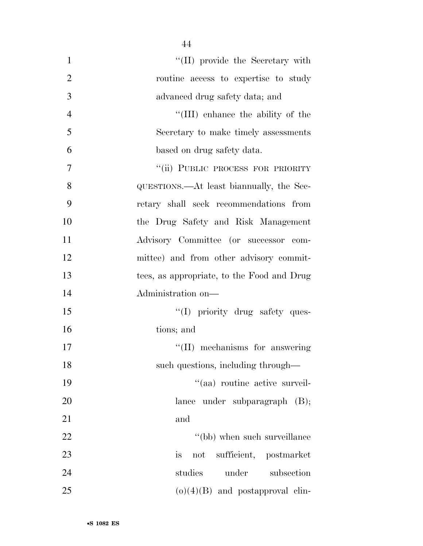| $\mathbf{1}$   | "(II) provide the Secretary with           |
|----------------|--------------------------------------------|
| $\overline{2}$ | routine access to expertise to study       |
| 3              | advanced drug safety data; and             |
| $\overline{4}$ | "(III) enhance the ability of the          |
| 5              | Secretary to make timely assessments       |
| 6              | based on drug safety data.                 |
| 7              | "(ii) PUBLIC PROCESS FOR PRIORITY          |
| 8              | QUESTIONS.—At least bian mually, the Sec-  |
| 9              | retary shall seek recommendations from     |
| 10             | the Drug Safety and Risk Management        |
| 11             | Advisory Committee (or successor com-      |
| 12             | mittee) and from other advisory commit-    |
| 13             | tees, as appropriate, to the Food and Drug |
| 14             | Administration on-                         |
| 15             | "(I) priority drug safety ques-            |
| 16             | tions; and                                 |
| 17             | "(II) mechanisms for answering             |
| 18             | such questions, including through—         |
| 19             | "(aa) routine active surveil-              |
| 20             | lance under subparagraph $(B)$ ;           |
| 21             | and                                        |
| 22             | "(bb) when such surveillance               |
| 23             | sufficient, postmarket<br>is<br>not        |
| 24             | studies<br>under<br>subsection             |
| 25             | $(o)(4)(B)$ and postapproval clin-         |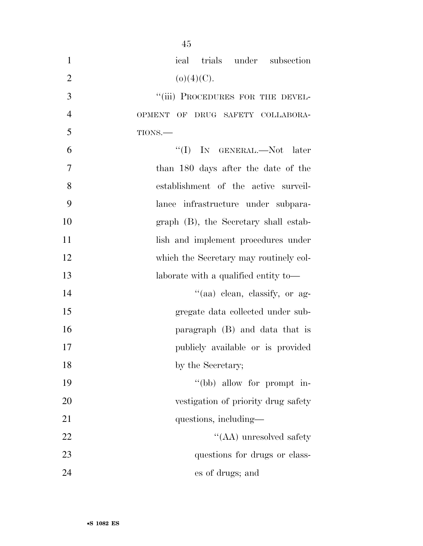| $\mathbf{1}$   | ical trials under subsection               |
|----------------|--------------------------------------------|
| $\overline{2}$ | $(o)(4)(C)$ .                              |
| 3              | "(iii) PROCEDURES FOR THE DEVEL-           |
| $\overline{4}$ | OF DRUG SAFETY COLLABORA-<br><b>OPMENT</b> |
| 5              | TIONS.                                     |
| 6              | "(I) IN GENERAL.—Not later                 |
| $\overline{7}$ | than 180 days after the date of the        |
| 8              | establishment of the active surveil-       |
| 9              | lance infrastructure under subpara-        |
| 10             | graph (B), the Secretary shall estab-      |
| 11             | lish and implement procedures under        |
| 12             | which the Secretary may routinely col-     |
| 13             | laborate with a qualified entity to—       |
| 14             | "(aa) clean, classify, or ag-              |
| 15             | gregate data collected under sub-          |
| 16             | paragraph (B) and data that is             |
| 17             | publicly available or is provided          |
| 18             | by the Secretary;                          |
| 19             | "(bb) allow for prompt in-                 |
| 20             | vestigation of priority drug safety        |
| 21             | questions, including—                      |
| 22             | "(AA) unresolved safety                    |
| 23             | questions for drugs or class-              |
| 24             | es of drugs; and                           |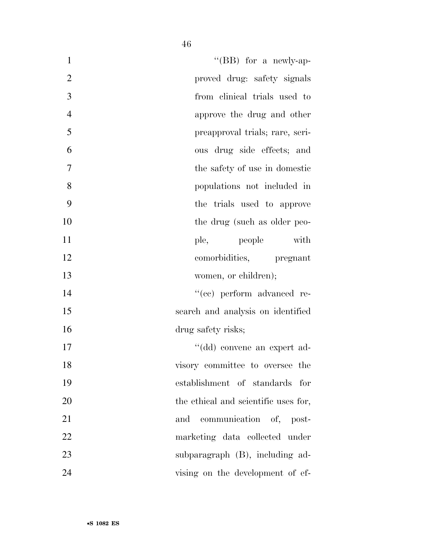| $\mathbf{1}$   | "(BB) for a newly-ap-                |
|----------------|--------------------------------------|
| $\overline{2}$ | proved drug: safety signals          |
| 3              | from clinical trials used to         |
| $\overline{4}$ | approve the drug and other           |
| 5              | preapproval trials; rare, seri-      |
| 6              | ous drug side effects; and           |
| 7              | the safety of use in domestic        |
| 8              | populations not included in          |
| 9              | the trials used to approve           |
| 10             | the drug (such as older peo-         |
| 11             | with<br>ple, people                  |
| 12             | comorbidities, pregnant              |
| 13             | women, or children);                 |
| 14             | "(cc) perform advanced re-           |
| 15             | search and analysis on identified    |
| 16             | drug safety risks;                   |
| 17             | "(dd) convene an expert ad-          |
| 18             | visory committee to oversee the      |
| 19             | establishment of standards for       |
| 20             | the ethical and scientific uses for, |
| 21             | and communication of, post-          |
| 22             | marketing data collected under       |
| 23             | subparagraph (B), including ad-      |

vising on the development of ef-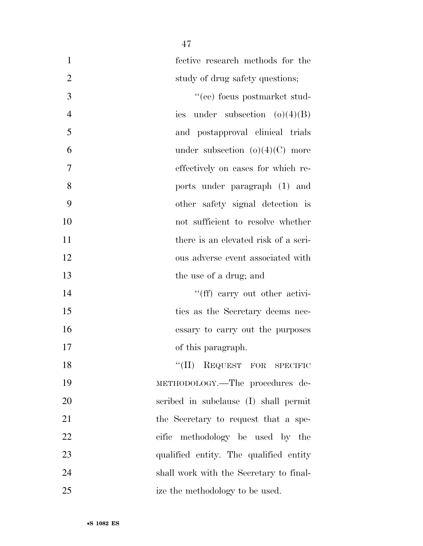| $\mathbf{1}$   | fective research methods for the        |
|----------------|-----------------------------------------|
| $\overline{2}$ | study of drug safety questions;         |
| 3              | "(ee) focus postmarket stud-            |
| $\overline{4}$ | ies under subsection $(o)(4)(B)$        |
| 5              | and postapproval clinical trials        |
| 6              | under subsection $(o)(4)(C)$ more       |
| 7              | effectively on cases for which re-      |
| 8              | ports under paragraph (1) and           |
| 9              | other safety signal detection is        |
| 10             | not sufficient to resolve whether       |
| 11             | there is an elevated risk of a seri-    |
| 12             | ous adverse event associated with       |
| 13             | the use of a drug; and                  |
| 14             | "(ff) carry out other activi-           |
| 15             | ties as the Secretary deems nec-        |
| 16             | essary to carry out the purposes        |
| 17             | of this paragraph.                      |
| 18             | "(II) REQUEST FOR SPECIFIC              |
| 19             | METHODOLOGY.-The procedures de-         |
| 20             | scribed in subclause (I) shall permit   |
| 21             | the Secretary to request that a spe-    |
| 22             | cific methodology be used by the        |
| 23             | qualified entity. The qualified entity  |
| 24             | shall work with the Secretary to final- |
| 25             | ize the methodology to be used.         |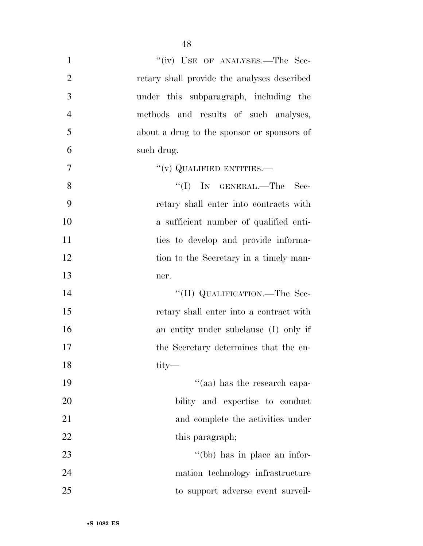| $\mathbf{1}$   | "(iv) USE OF ANALYSES.—The Sec-             |
|----------------|---------------------------------------------|
| $\overline{2}$ | retary shall provide the analyses described |
| 3              | under this subparagraph, including the      |
| $\overline{4}$ | methods and results of such analyses,       |
| 5              | about a drug to the sponsor or sponsors of  |
| 6              | such drug.                                  |
| 7              | $``(v)$ QUALIFIED ENTITIES.—                |
| 8              | "(I) IN GENERAL.—The Sec-                   |
| 9              | retary shall enter into contracts with      |
| 10             | a sufficient number of qualified enti-      |
| 11             | ties to develop and provide informa-        |
| 12             | tion to the Secretary in a timely man-      |
| 13             | ner.                                        |
| 14             | "(II) QUALIFICATION.—The Sec-               |
| 15             | retary shall enter into a contract with     |
| 16             | an entity under subclause (I) only if       |
| 17             | the Secretary determines that the en-       |
| 18             | tity-                                       |
| 19             | "(aa) has the research capa-                |
| 20             | bility and expertise to conduct             |
| 21             | and complete the activities under           |
| <u>22</u>      | this paragraph;                             |
| 23             | "(bb) has in place an infor-                |
| 24             | mation technology infrastructure            |
| 25             | to support adverse event surveil-           |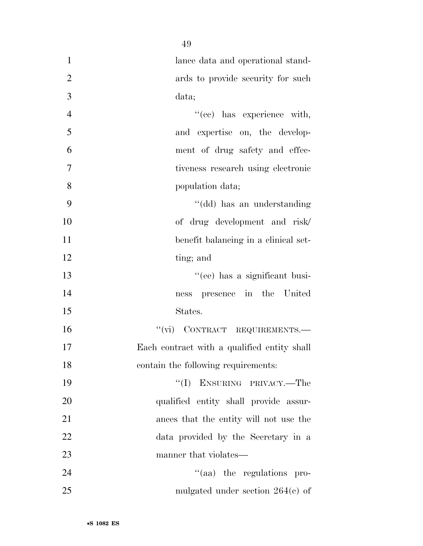| $\mathbf{1}$   | lance data and operational stand-           |
|----------------|---------------------------------------------|
| $\overline{2}$ | ards to provide security for such           |
| 3              | data;                                       |
| $\overline{4}$ | "(ee) has experience with,                  |
| 5              | and expertise on, the develop-              |
| 6              | ment of drug safety and effec-              |
| $\tau$         | tiveness research using electronic          |
| 8              | population data;                            |
| 9              | "(dd) has an understanding                  |
| 10             | of drug development and risk/               |
| 11             | benefit balancing in a clinical set-        |
| 12             | ting; and                                   |
| 13             | "(ee) has a significant busi-               |
| 14             | presence in the United<br>ness              |
| 15             | States.                                     |
| 16             | "(vi) CONTRACT REQUIREMENTS.-               |
| 17             | Each contract with a qualified entity shall |
| 18             | contain the following requirements:         |
| 19             | "(I) ENSURING PRIVACY.—The                  |
| 20             | qualified entity shall provide assur-       |
| 21             | ances that the entity will not use the      |
| 22             | data provided by the Secretary in a         |
| 23             | manner that violates—                       |
| 24             | "(aa) the regulations pro-                  |
| 25             | mulgated under section $264(e)$ of          |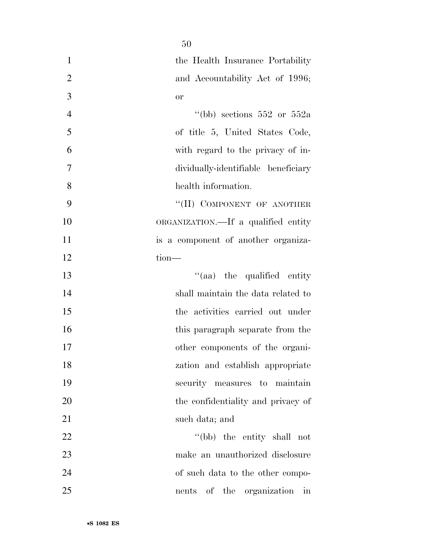| $\mathbf{1}$   | the Health Insurance Portability    |
|----------------|-------------------------------------|
| $\overline{2}$ | and Accountability Act of 1996;     |
| 3              | <b>or</b>                           |
| $\overline{4}$ | "(bb) sections $552$ or $552a$      |
| 5              | of title 5, United States Code,     |
| 6              | with regard to the privacy of in-   |
| $\tau$         | dividually-identifiable beneficiary |
| 8              | health information.                 |
| 9              | "(II) COMPONENT OF ANOTHER          |
| 10             | ORGANIZATION.—If a qualified entity |
| 11             | is a component of another organiza- |
| 12             | tion-                               |
| 13             | "(aa) the qualified entity          |
| 14             | shall maintain the data related to  |
| 15             | the activities carried out under    |
| 16             | this paragraph separate from the    |
| 17             | other components of the organi-     |
| 18             | zation and establish appropriate    |
| 19             | security measures to maintain       |
| 20             | the confidentiality and privacy of  |
| 21             | such data; and                      |
| 22             | "(bb) the entity shall not          |
| 23             | make an unauthorized disclosure     |
| 24             | of such data to the other compo-    |
| 25             | nents of the organization in        |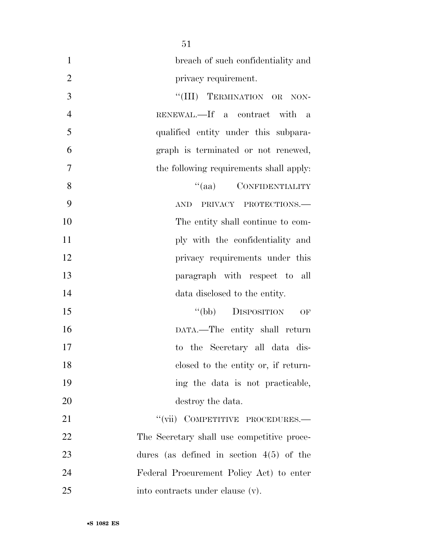| $\mathbf{1}$   | breach of such confidentiality and           |
|----------------|----------------------------------------------|
| $\overline{2}$ | privacy requirement.                         |
| 3              | "(III) TERMINATION OR NON-                   |
| $\overline{4}$ | RENEWAL.—If a contract with<br>$\mathbf{a}$  |
| 5              | qualified entity under this subpara-         |
| 6              | graph is terminated or not renewed,          |
| $\overline{7}$ | the following requirements shall apply:      |
| 8              | "(aa) CONFIDENTIALITY                        |
| 9              | PRIVACY PROTECTIONS.<br>$\operatorname{AND}$ |
| 10             | The entity shall continue to com-            |
| 11             | ply with the confidentiality and             |
| 12             | privacy requirements under this              |
| 13             | paragraph with respect to all                |
| 14             | data disclosed to the entity.                |
| 15             | "(bb) DISPOSITION<br>OF                      |
| 16             | DATA.-The entity shall return                |
| 17             | to the Secretary all data dis-               |
| 18             | closed to the entity or, if return-          |
| 19             | ing the data is not practicable,             |
| 20             | destroy the data.                            |
| 21             | "(vii) COMPETITIVE PROCEDURES.—              |
| 22             | The Secretary shall use competitive proce-   |
| 23             | dures (as defined in section $4(5)$ of the   |
| 24             | Federal Procurement Policy Act) to enter     |
| 25             | into contracts under clause (v).             |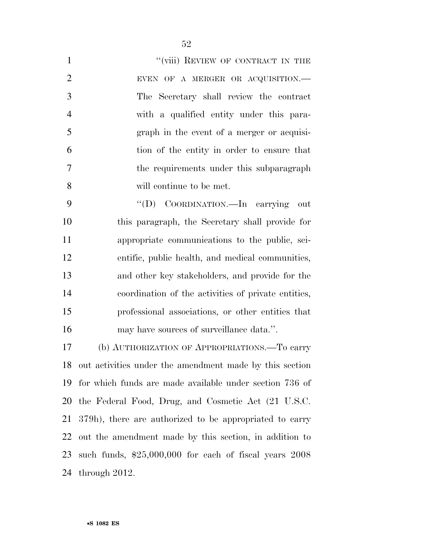| $\mathbf{1}$   | "(viii) REVIEW OF CONTRACT IN THE                   |
|----------------|-----------------------------------------------------|
| $\overline{2}$ | EVEN OF A MERGER OR ACQUISITION.-                   |
| 3              | The Secretary shall review the contract             |
| $\overline{4}$ | with a qualified entity under this para-            |
| 5              | graph in the event of a merger or acquisi-          |
| 6              | tion of the entity in order to ensure that          |
| $\overline{7}$ | the requirements under this subparagraph            |
| 8              | will continue to be met.                            |
| 9              | "(D) COORDINATION.—In carrying<br>out               |
| 10             | this paragraph, the Secretary shall provide for     |
| 11             | appropriate communications to the public, sci-      |
| 12             | entific, public health, and medical communities,    |
| 13             | and other key stakeholders, and provide for the     |
| 14             | coordination of the activities of private entities, |
| 15             | professional associations, or other entities that   |
| 16             | may have sources of surveillance data.".            |
|                |                                                     |

 (b) AUTHORIZATION OF APPROPRIATIONS.—To carry out activities under the amendment made by this section for which funds are made available under section 736 of the Federal Food, Drug, and Cosmetic Act (21 U.S.C. 379h), there are authorized to be appropriated to carry out the amendment made by this section, in addition to such funds, \$25,000,000 for each of fiscal years 2008 through 2012.

•**S 1082 ES**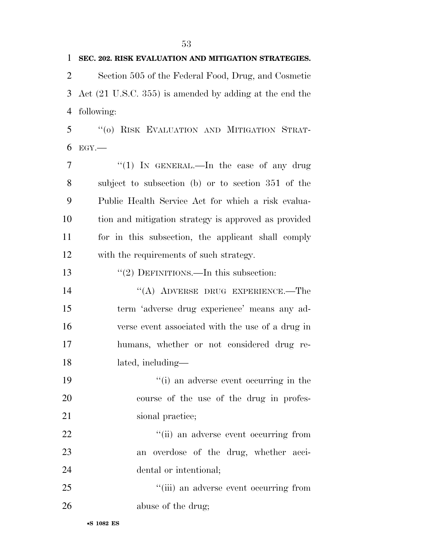**SEC. 202. RISK EVALUATION AND MITIGATION STRATEGIES.**  Section 505 of the Federal Food, Drug, and Cosmetic Act (21 U.S.C. 355) is amended by adding at the end the following: ''(o) RISK EVALUATION AND MITIGATION STRAT- EGY. 7 "(1) IN GENERAL.—In the case of any drug subject to subsection (b) or to section 351 of the Public Health Service Act for which a risk evalua- tion and mitigation strategy is approved as provided for in this subsection, the applicant shall comply with the requirements of such strategy. 13 "(2) DEFINITIONS.—In this subsection: ''(A) ADVERSE DRUG EXPERIENCE.—The term 'adverse drug experience' means any ad- verse event associated with the use of a drug in humans, whether or not considered drug re- lated, including— ''(i) an adverse event occurring in the course of the use of the drug in profes-21 sional practice;  $\frac{1}{1}$  an adverse event occurring from an overdose of the drug, whether acci- dental or intentional; ''(iii) an adverse event occurring from abuse of the drug;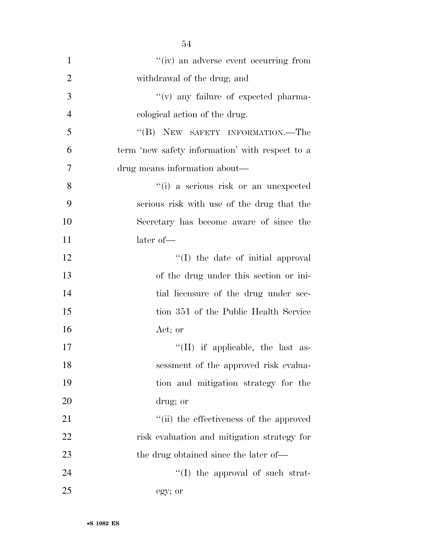| $\mathbf{1}$   | "(iv) an adverse event occurring from           |
|----------------|-------------------------------------------------|
| $\overline{2}$ | withdrawal of the drug; and                     |
| 3              | "(v) any failure of expected pharma-            |
| $\overline{4}$ | cological action of the drug.                   |
|                |                                                 |
| 5              | "(B) NEW SAFETY INFORMATION.—The                |
| 6              | term 'new safety information' with respect to a |
| $\overline{7}$ | drug means information about—                   |
| 8              | "(i) a serious risk or an unexpected            |
| 9              | serious risk with use of the drug that the      |
| 10             | Secretary has become aware of since the         |
| 11             | later of-                                       |
| 12             | "(I) the date of initial approval               |
| 13             | of the drug under this section or ini-          |
| 14             | tial licensure of the drug under sec-           |
| 15             | tion 351 of the Public Health Service           |
| 16             | Act; or                                         |
| 17             | $\lq\lq$ (II) if applicable, the last as-       |
| 18             | sessment of the approved risk evalua-           |
| 19             | tion and mitigation strategy for the            |
| 20             | drug; or                                        |
| 21             | "(ii) the effectiveness of the approved         |
| 22             | risk evaluation and mitigation strategy for     |
| 23             | the drug obtained since the later of—           |
| 24             | $\lq\lq$ (I) the approval of such strat-        |
| 25             | egy; or                                         |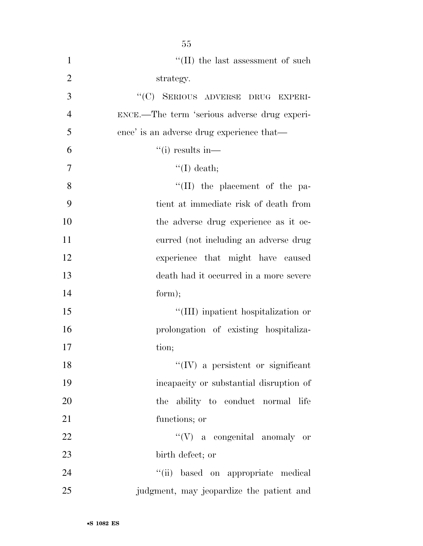| $\mathbf{1}$   | $\lq\lq(\text{II})$ the last assessment of such |
|----------------|-------------------------------------------------|
| $\overline{2}$ | strategy.                                       |
| 3              | "(C) SERIOUS ADVERSE DRUG EXPERI-               |
| $\overline{4}$ | ENCE.—The term 'serious adverse drug experi-    |
| 5              | ence' is an adverse drug experience that—       |
| 6              | $``(i)$ results in—                             |
| 7              | $\lq\lq$ (I) death;                             |
| 8              | $\lq\lq$ (II) the placement of the pa-          |
| 9              | tient at immediate risk of death from           |
| 10             | the adverse drug experience as it oc-           |
| 11             | curred (not including an adverse drug           |
| 12             | experience that might have caused               |
| 13             | death had it occurred in a more severe          |
| 14             | form);                                          |
| 15             | "(III) inpatient hospitalization or             |
| 16             | prolongation of existing hospitaliza-           |
| 17             | tion;                                           |
| 18             | "(IV) a persistent or significant               |
| 19             | incapacity or substantial disruption of         |
| 20             | the ability to conduct normal life              |
| 21             | functions; or                                   |
| 22             | $\lq\lq (V)$ a congenital anomaly or            |
| 23             | birth defect; or                                |
| 24             | "(ii) based on appropriate medical              |
| 25             | judgment, may jeopardize the patient and        |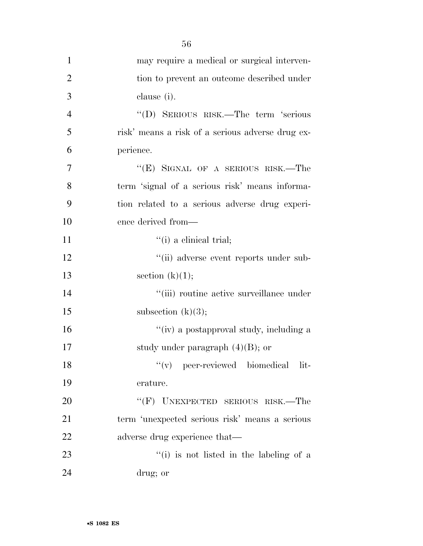| $\mathbf{1}$   | may require a medical or surgical interven-      |
|----------------|--------------------------------------------------|
| $\overline{2}$ | tion to prevent an outcome described under       |
| 3              | clause (i).                                      |
| $\overline{4}$ | "(D) SERIOUS RISK.—The term 'serious             |
| 5              | risk' means a risk of a serious adverse drug ex- |
| 6              | perience.                                        |
| $\overline{7}$ | "(E) SIGNAL OF A SERIOUS RISK.—The               |
| 8              | term 'signal of a serious risk' means informa-   |
| 9              | tion related to a serious adverse drug experi-   |
| 10             | ence derived from—                               |
| 11             | $\lq$ <sup>"</sup> (i) a clinical trial;         |
| 12             | "(ii) adverse event reports under sub-           |
| 13             | section $(k)(1);$                                |
| 14             | "(iii) routine active surveillance under         |
| 15             | subsection $(k)(3);$                             |
| 16             | "(iv) a postapproval study, including a          |
| 17             | study under paragraph $(4)(B)$ ; or              |
| 18             | "(v) peer-reviewed biomedical lit-               |
| 19             | erature.                                         |
| 20             | "(F) UNEXPECTED SERIOUS RISK.—The                |
| 21             | term 'unexpected serious risk' means a serious   |
| 22             | adverse drug experience that—                    |
| 23             | "(i) is not listed in the labeling of a          |
| 24             | drug; or                                         |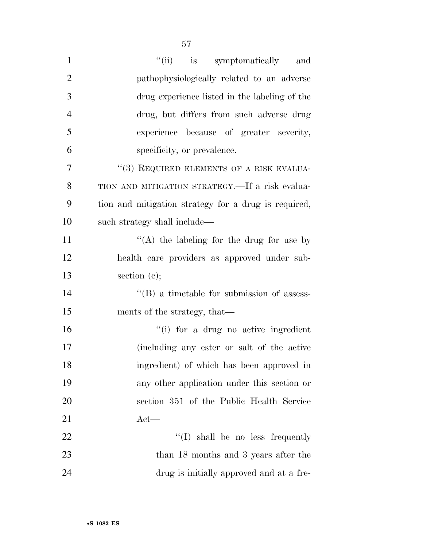| $\mathbf{1}$   | "(ii) is symptomatically<br>and                      |
|----------------|------------------------------------------------------|
| $\overline{2}$ | pathophysiologically related to an adverse           |
| 3              | drug experience listed in the labeling of the        |
| $\overline{4}$ | drug, but differs from such adverse drug             |
| 5              | experience because of greater severity,              |
| 6              | specificity, or prevalence.                          |
| $\overline{7}$ | $\lq (3)$ REQUIRED ELEMENTS OF A RISK EVALUA-        |
| 8              | TION AND MITIGATION STRATEGY.—If a risk evalua-      |
| 9              | tion and mitigation strategy for a drug is required, |
| 10             | such strategy shall include—                         |
| 11             | "(A) the labeling for the drug for use by            |
| 12             | health care providers as approved under sub-         |
| 13             | section $(e)$ ;                                      |
| 14             | $\lq\lq (B)$ a timetable for submission of assess-   |
| 15             | ments of the strategy, that—                         |
| 16             | "(i) for a drug no active ingredient                 |
| 17             | (including any ester or salt of the active           |
| 18             | ingredient) of which has been approved in            |
| 19             | any other application under this section or          |
| 20             | section 351 of the Public Health Service             |
| 21             | $Act$ —                                              |
| 22             | $\lq\lq$ shall be no less frequently                 |
| 23             | than 18 months and 3 years after the                 |
| 24             | drug is initially approved and at a fre-             |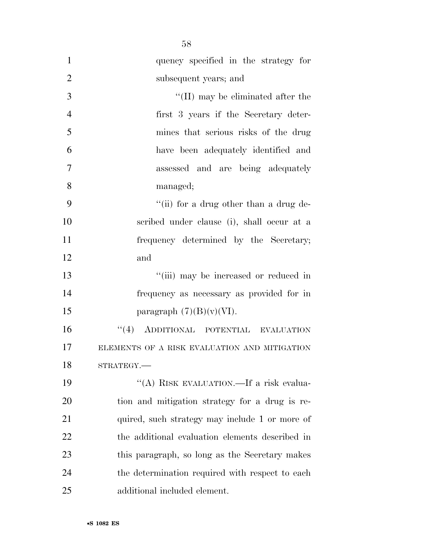| $\mathbf{1}$   | quency specified in the strategy for            |
|----------------|-------------------------------------------------|
| $\overline{2}$ | subsequent years; and                           |
| 3              | $\lq\lq$ (II) may be eliminated after the       |
| $\overline{4}$ | first 3 years if the Secretary deter-           |
| 5              | mines that serious risks of the drug            |
| 6              | have been adequately identified and             |
| 7              | assessed and are being adequately               |
| 8              | managed;                                        |
| 9              | "(ii) for a drug other than a drug de-          |
| 10             | scribed under clause (i), shall occur at a      |
| 11             | frequency determined by the Secretary;          |
| 12             | and                                             |
| 13             | "(iii) may be increased or reduced in           |
| 14             | frequency as necessary as provided for in       |
| 15             | paragraph $(7)(B)(v)(VI)$ .                     |
| 16             | "(4) ADDITIONAL POTENTIAL EVALUATION            |
| 17             | ELEMENTS OF A RISK EVALUATION AND MITIGATION    |
| 18             | STRATEGY.                                       |
| 19             | "(A) RISK EVALUATION.—If a risk evalua-         |
| 20             | tion and mitigation strategy for a drug is re-  |
| 21             | quired, such strategy may include 1 or more of  |
| 22             | the additional evaluation elements described in |
| 23             | this paragraph, so long as the Secretary makes  |
| 24             | the determination required with respect to each |
| 25             | additional included element.                    |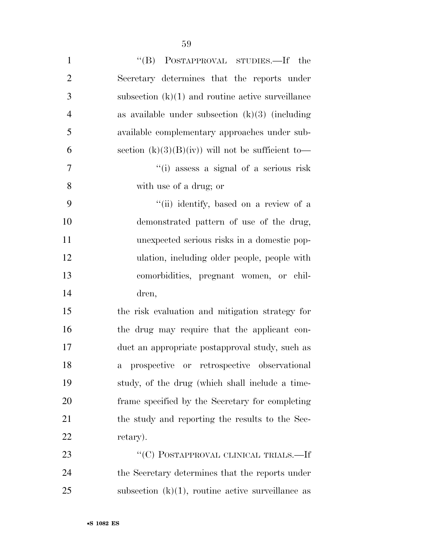| $\mathbf{1}$   | "(B) POSTAPPROVAL STUDIES.—If the                    |
|----------------|------------------------------------------------------|
| $\overline{2}$ | Secretary determines that the reports under          |
| 3              | subsection $(k)(1)$ and routine active surveillance  |
| $\overline{4}$ | as available under subsection $(k)(3)$ (including    |
| 5              | available complementary approaches under sub-        |
| 6              | section $(k)(3)(B)(iv)$ will not be sufficient to-   |
| 7              | "(i) assess a signal of a serious risk               |
| 8              | with use of a drug; or                               |
| 9              | "(ii) identify, based on a review of a               |
| 10             | demonstrated pattern of use of the drug,             |
| <sup>11</sup>  | unexpected serious risks in a domestic pop-          |
| 12             | ulation, including older people, people with         |
| 13             | comorbidities, pregnant women, or chil-              |
| 14             | dren,                                                |
| 15             | the risk evaluation and mitigation strategy for      |
| 16             | the drug may require that the applicant con-         |
| 17             | duct an appropriate postapproval study, such as      |
| 18             | a prospective or retrospective observational         |
| 19             | study, of the drug (which shall include a time-      |
| 20             | frame specified by the Secretary for completing      |
| 21             | the study and reporting the results to the Sec-      |
| 22             | retary).                                             |
| 23             | "(C) POSTAPPROVAL CLINICAL TRIALS.—If                |
| 24             | the Secretary determines that the reports under      |
| 25             | subsection $(k)(1)$ , routine active surveillance as |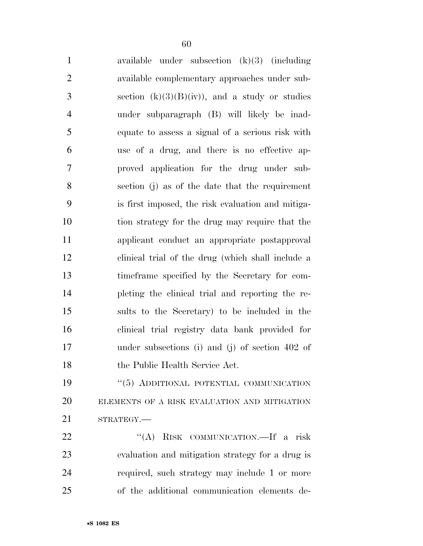| $\mathbf{1}$   | available under subsection $(k)(3)$ (including    |
|----------------|---------------------------------------------------|
| $\mathfrak{2}$ | available complementary approaches under sub-     |
| 3              | section $(k)(3)(B)(iv)$ , and a study or studies  |
| $\overline{4}$ | under subparagraph (B) will likely be inad-       |
| $\mathfrak{S}$ | equate to assess a signal of a serious risk with  |
| 6              | use of a drug, and there is no effective ap-      |
| $\tau$         | proved application for the drug under sub-        |
| 8              | section (j) as of the date that the requirement   |
| 9              | is first imposed, the risk evaluation and mitiga- |
| 10             | tion strategy for the drug may require that the   |
| 11             | applicant conduct an appropriate postapproval     |
| 12             | clinical trial of the drug (which shall include a |
| 13             | time frame specified by the Secretary for com-    |
| 14             | pleting the clinical trial and reporting the re-  |
| 15             | sults to the Secretary) to be included in the     |
| 16             | clinical trial registry data bank provided for    |
| 17             | under subsections (i) and (j) of section $402$ of |
| 18             | the Public Health Service Act.                    |
| 19             | "(5) ADDITIONAL POTENTIAL COMMUNICATION           |

 ELEMENTS OF A RISK EVALUATION AND MITIGATION 21 STRATEGY.

 ''(A) RISK COMMUNICATION.—If a risk evaluation and mitigation strategy for a drug is required, such strategy may include 1 or more of the additional communication elements de-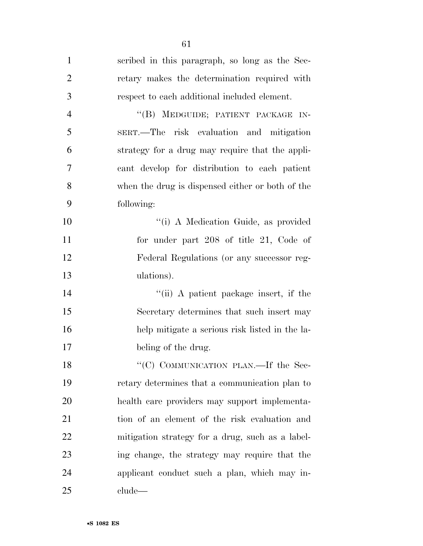| $\mathbf{1}$   | scribed in this paragraph, so long as the Sec-   |
|----------------|--------------------------------------------------|
| $\overline{2}$ | retary makes the determination required with     |
| 3              | respect to each additional included element.     |
| $\overline{4}$ | "(B) MEDGUIDE; PATIENT PACKAGE IN-               |
| 5              | SERT.-The risk evaluation and mitigation         |
| 6              | strategy for a drug may require that the appli-  |
| 7              | cant develop for distribution to each patient    |
| 8              | when the drug is dispensed either or both of the |
| 9              | following:                                       |
| 10             | "(i) A Medication Guide, as provided             |
| 11             | for under part 208 of title 21, Code of          |
| 12             | Federal Regulations (or any successor reg-       |
| 13             | ulations).                                       |
| 14             | "(ii) A patient package insert, if the           |
| 15             | Secretary determines that such insert may        |
| 16             | help mitigate a serious risk listed in the la-   |
| 17             | beling of the drug.                              |
| 18             | "(C) COMMUNICATION PLAN.—If the Sec-             |
| 19             | retary determines that a communication plan to   |
| 20             | health care providers may support implementa-    |
| 21             | tion of an element of the risk evaluation and    |
| 22             | mitigation strategy for a drug, such as a label- |
| 23             | ing change, the strategy may require that the    |
| 24             | applicant conduct such a plan, which may in-     |
| 25             | clude                                            |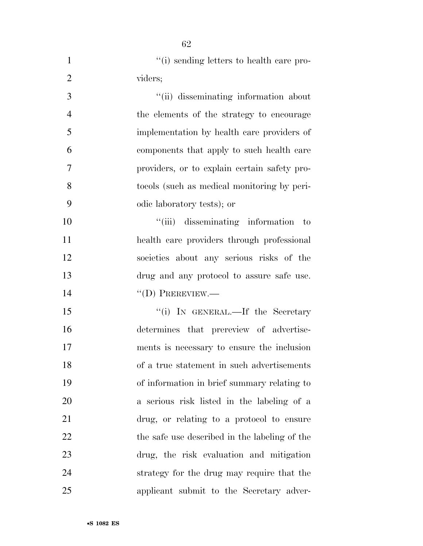| $\mathbf{1}$   | "(i) sending letters to health care pro-      |
|----------------|-----------------------------------------------|
| $\overline{2}$ | viders;                                       |
| 3              | "(ii) disseminating information about         |
| $\overline{4}$ | the elements of the strategy to encourage     |
| 5              | implementation by health care providers of    |
| 6              | components that apply to such health care     |
| 7              | providers, or to explain certain safety pro-  |
| 8              | tocols (such as medical monitoring by peri-   |
| 9              | odic laboratory tests); or                    |
| 10             | "(iii) disseminating information<br>to        |
| 11             | health care providers through professional    |
| 12             | societies about any serious risks of the      |
| 13             | drug and any protocol to assure safe use.     |
| 14             | $\lq\lq$ (D) PREREVIEW.—                      |
| 15             | "(i) IN GENERAL.—If the Secretary             |
| 16             | determines that prereview of advertise-       |
| 17             | ments is necessary to ensure the inclusion    |
| 18             | of a true statement in such advertisements    |
| 19             | of information in brief summary relating to   |
| 20             | a serious risk listed in the labeling of a    |
| 21             | drug, or relating to a protocol to ensure     |
| 22             | the safe use described in the labeling of the |
| 23             | drug, the risk evaluation and mitigation      |
| 24             | strategy for the drug may require that the    |
| 25             | applicant submit to the Secretary adver-      |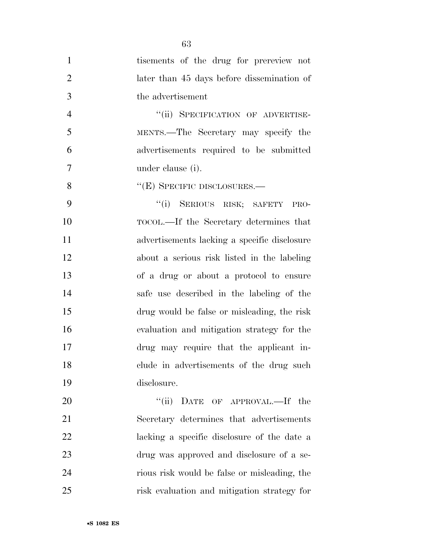| $\mathbf{1}$   | tisements of the drug for prereview not        |
|----------------|------------------------------------------------|
| $\overline{2}$ | later than 45 days before dissemination of     |
| 3              | the advertisement                              |
| $\overline{4}$ | "(ii) SPECIFICATION OF ADVERTISE-              |
| 5              | MENTS.—The Secretary may specify the           |
| 6              | advertisements required to be submitted        |
| 7              | under clause (i).                              |
| 8              | $\cdot$ (E) SPECIFIC DISCLOSURES.—             |
| 9              | "(i) SERIOUS RISK; SAFETY<br>PRO-              |
| 10             | TOCOL.—If the Secretary determines that        |
| <sup>11</sup>  | advertisements lacking a specific disclosure   |
| 12             | about a serious risk listed in the labeling    |
| 13             | of a drug or about a protocol to ensure        |
| 14             | safe use described in the labeling of the      |
| 15             | drug would be false or misleading, the risk    |
| 16             | evaluation and mitigation strategy for the     |
| 17             | drug may require that the applicant in-        |
| 18             | clude in advertisements of the drug such       |
| 19             | disclosure.                                    |
| 20             | $\lq(\mathrm{ii})$<br>DATE OF APPROVAL.—If the |
| 21             | Secretary determines that advertisements       |
| 22             | lacking a specific disclosure of the date a    |
| 23             | drug was approved and disclosure of a se-      |
| 24             | rious risk would be false or misleading, the   |

risk evaluation and mitigation strategy for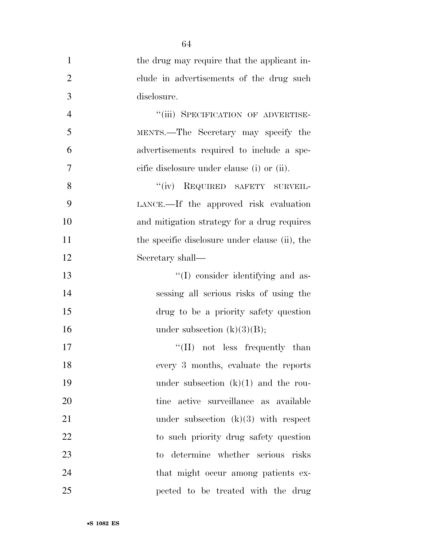|                | 64                                             |
|----------------|------------------------------------------------|
| $\mathbf{1}$   | the drug may require that the applicant in-    |
| $\overline{2}$ | clude in advertisements of the drug such       |
| 3              | disclosure.                                    |
| $\overline{4}$ | "(iii) SPECIFICATION OF ADVERTISE-             |
| 5              | MENTS.—The Secretary may specify the           |
| 6              | advertisements required to include a spe-      |
| 7              | cific disclosure under clause (i) or (ii).     |
| 8              | "(iv) REQUIRED SAFETY SURVEIL-                 |
| 9              | LANCE.—If the approved risk evaluation         |
| 10             | and mitigation strategy for a drug requires    |
| 11             | the specific disclosure under clause (ii), the |
| 12             | Secretary shall—                               |
| 13             | "(I) consider identifying and as-              |
| 14             | sessing all serious risks of using the         |
| 15             | drug to be a priority safety question          |
| 16             | under subsection $(k)(3)(B);$                  |
| 17             | $\lq\lq$ (II) not less frequently than         |
| 18             | every 3 months, evaluate the reports           |
| 19             | under subsection $(k)(1)$ and the rou-         |
| 20             | tine active surveillance as available          |
| 21             | under subsection $(k)(3)$ with respect         |
| 22             | to such priority drug safety question          |
| 23             | to determine whether serious risks             |
| 24             | that might occur among patients ex-            |
| 25             | pected to be treated with the drug             |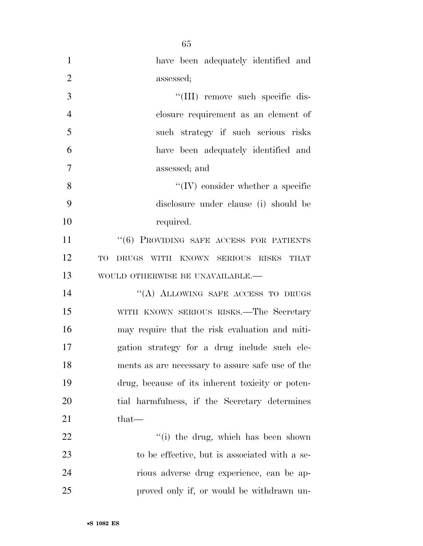| $\mathbf{1}$   | have been adequately identified and                 |
|----------------|-----------------------------------------------------|
| $\overline{2}$ | assessed;                                           |
| 3              | "(III) remove such specific dis-                    |
| $\overline{4}$ | closure requirement as an element of                |
| 5              | such strategy if such serious risks                 |
| 6              | have been adequately identified and                 |
| 7              | assessed; and                                       |
| 8              | $\lq\lq$ (IV) consider whether a specific           |
| 9              | disclosure under clause (i) should be               |
| 10             | required.                                           |
| 11             | "(6) PROVIDING SAFE ACCESS FOR PATIENTS             |
| 12             | DRUGS WITH KNOWN SERIOUS RISKS<br>TO<br><b>THAT</b> |
| 13             | WOULD OTHERWISE BE UNAVAILABLE.-                    |
| 14             | "(A) ALLOWING SAFE ACCESS TO DRUGS                  |
| 15             | WITH KNOWN SERIOUS RISKS.—The Secretary             |
| 16             | may require that the risk evaluation and miti-      |
| 17             | gation strategy for a drug include such ele-        |
| 18             | ments as are necessary to assure safe use of the    |
| 19             | drug, because of its inherent toxicity or poten-    |
| 20             | tial harmfulness, if the Secretary determines       |
| 21             | $that-$                                             |
| 22             | "(i) the drug, which has been shown                 |
| 23             | to be effective, but is associated with a se-       |
| 24             | rious adverse drug experience, can be ap-           |
| 25             | proved only if, or would be withdrawn un-           |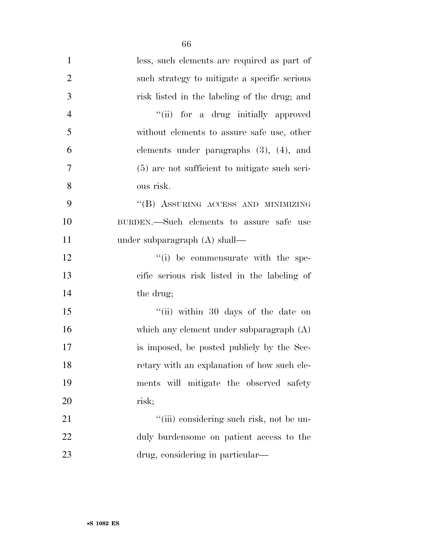| $\mathbf{1}$   | less, such elements are required as part of   |
|----------------|-----------------------------------------------|
| $\mathfrak{2}$ | such strategy to mitigate a specific serious  |
| 3              | risk listed in the labeling of the drug; and  |
| $\overline{4}$ | "(ii) for a drug initially approved           |
| 5              | without elements to assure safe use, other    |
| 6              | elements under paragraphs $(3)$ , $(4)$ , and |
| 7              | (5) are not sufficient to mitigate such seri- |
| 8              | ous risk.                                     |
| 9              | "(B) ASSURING ACCESS AND MINIMIZING           |
| 10             | BURDEN.-Such elements to assure safe use      |
| 11             | under subparagraph $(A)$ shall—               |
| 12             | "(i) be commensurate with the spe-            |
| 13             | cific serious risk listed in the labeling of  |
| 14             | the drug;                                     |
| 15             | "(ii) within 30 days of the date on           |
| 16             | which any element under subparagraph $(A)$    |
| 17             | is imposed, be posted publicly by the Sec-    |
| 18             | retary with an explanation of how such ele-   |
| 19             | ments will mitigate the observed safety       |
| 20             | risk;                                         |
| 21             | "(iii) considering such risk, not be un-      |
| 22             | duly burdensome on patient access to the      |
| 23             | drug, considering in particular—              |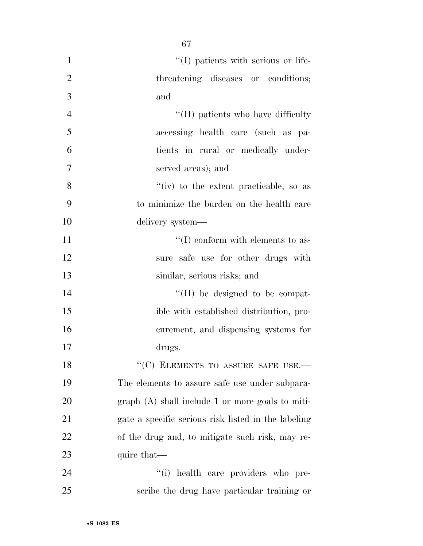| $\mathbf{1}$   | "(I) patients with serious or life-                 |
|----------------|-----------------------------------------------------|
| $\overline{2}$ | threatening diseases or conditions;                 |
| 3              | and                                                 |
| $\overline{4}$ | "(II) patients who have difficulty                  |
| 5              | accessing health care (such as pa-                  |
| 6              | tients in rural or medically under-                 |
| 7              | served areas); and                                  |
| 8              | "(iv) to the extent practicable, so as              |
| 9              | to minimize the burden on the health care           |
| 10             | delivery system—                                    |
| 11             | $\lq\lq$ conform with elements to as-               |
| 12             | sure safe use for other drugs with                  |
| 13             | similar, serious risks; and                         |
| 14             | $\lq\lq$ (II) be designed to be compat-             |
| 15             | ible with established distribution, pro-            |
| 16             | curement, and dispensing systems for                |
| 17             | drugs.                                              |
| 18             | "(C) ELEMENTS TO ASSURE SAFE USE.-                  |
| 19             | The elements to assure safe use under subpara-      |
| 20             | $graph(A)$ shall include 1 or more goals to miti-   |
| 21             | gate a specific serious risk listed in the labeling |
| 22             | of the drug and, to mitigate such risk, may re-     |
| 23             | quire that—                                         |
| 24             | "(i) health care providers who pre-                 |
| 25             | scribe the drug have particular training or         |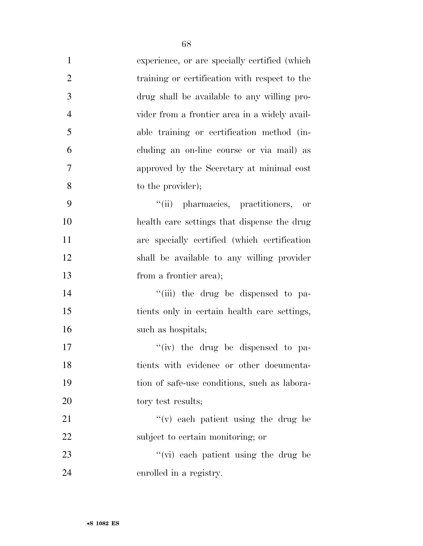| $\mathbf{1}$   | experience, or are specially certified (which |
|----------------|-----------------------------------------------|
| $\overline{2}$ | training or certification with respect to the |
| 3              | drug shall be available to any willing pro-   |
| $\overline{4}$ | vider from a frontier area in a widely avail- |
| 5              | able training or certification method (in-    |
| 6              | cluding an on-line course or via mail) as     |
| 7              | approved by the Secretary at minimal cost     |
| 8              | to the provider);                             |
| 9              | "(ii) pharmacies, practitioners, or           |
| 10             | health care settings that dispense the drug   |
| 11             | are specially certified (which certification  |
| 12             | shall be available to any willing provider    |
| 13             | from a frontier area);                        |
| 14             | "(iii) the drug be dispensed to pa-           |
| 15             | tients only in certain health care settings,  |
| 16             | such as hospitals;                            |
| 17             | "(iv) the drug be dispensed to pa-            |
| 18             | tients with evidence or other documenta-      |
| 19             | tion of safe-use conditions, such as labora-  |
| 20             | tory test results;                            |
| 21             | "(v) each patient using the drug be           |
| 22             | subject to certain monitoring; or             |
| 23             | "(vi) each patient using the drug be          |
| 24             | enrolled in a registry.                       |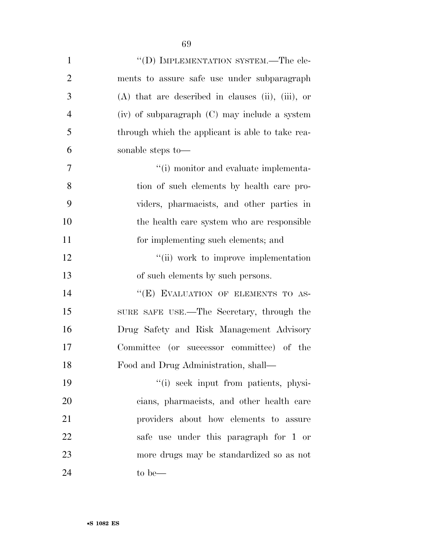| $\mathbf{1}$   | "(D) IMPLEMENTATION SYSTEM.—The ele-                |
|----------------|-----------------------------------------------------|
| $\overline{2}$ | ments to assure safe use under subparagraph         |
| 3              | $(A)$ that are described in clauses (ii), (iii), or |
| $\overline{4}$ | (iv) of subparagraph (C) may include a system       |
| 5              | through which the applicant is able to take rea-    |
| 6              | sonable steps to-                                   |
| 7              | "(i) monitor and evaluate implementa-               |
| 8              | tion of such elements by health care pro-           |
| 9              | viders, pharmacists, and other parties in           |
| 10             | the health care system who are responsible          |
| 11             | for implementing such elements; and                 |
| 12             | "(ii) work to improve implementation                |
| 13             | of such elements by such persons.                   |
| 14             | "(E) EVALUATION OF ELEMENTS TO AS-                  |
| 15             | SURE SAFE USE.—The Secretary, through the           |
| 16             | Drug Safety and Risk Management Advisory            |
| 17             | Committee (or successor committee) of the           |
| 18             | Food and Drug Administration, shall-                |
| 19             | "(i) seek input from patients, physi-               |
| 20             | cians, pharmacists, and other health care           |
| 21             | providers about how elements to assure              |
| 22             | safe use under this paragraph for 1 or              |
| 23             | more drugs may be standardized so as not            |
| 24             | to be—                                              |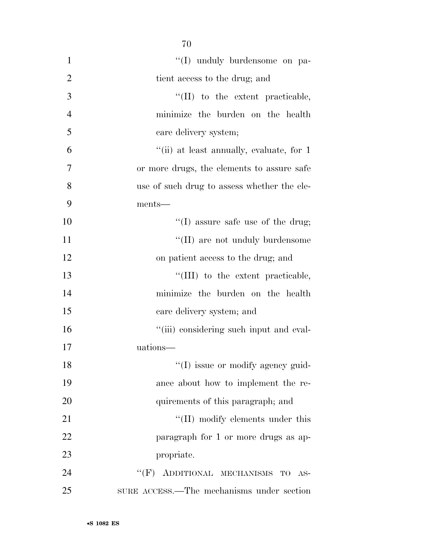| $\mathbf{1}$   | "(I) unduly burdensome on pa-               |
|----------------|---------------------------------------------|
| $\overline{2}$ | tient access to the drug; and               |
| 3              | "(II) to the extent practicable,            |
| $\overline{4}$ | minimize the burden on the health           |
| 5              | care delivery system;                       |
| 6              | "(ii) at least annually, evaluate, for 1    |
| $\overline{7}$ | or more drugs, the elements to assure safe  |
| 8              | use of such drug to assess whether the ele- |
| 9              | ments—                                      |
| 10             | $\lq\lq$ assure safe use of the drug;       |
| 11             | "(II) are not unduly burdensome             |
| 12             | on patient access to the drug; and          |
| 13             | "(III) to the extent practicable,           |
| 14             | minimize the burden on the health           |
| 15             | care delivery system; and                   |
| 16             | "(iii) considering such input and eval-     |
| 17             | uations-                                    |
| 18             | "(I) issue or modify agency guid-           |
| 19             | ance about how to implement the re-         |
| 20             | quirements of this paragraph; and           |
| 21             | "(II) modify elements under this            |
| 22             | paragraph for 1 or more drugs as ap-        |
| 23             | propriate.                                  |
| 24             | $``(F)$ ADDITIONAL MECHANISMS<br>TO<br>AS-  |
| 25             | SURE ACCESS.—The mechanisms under section   |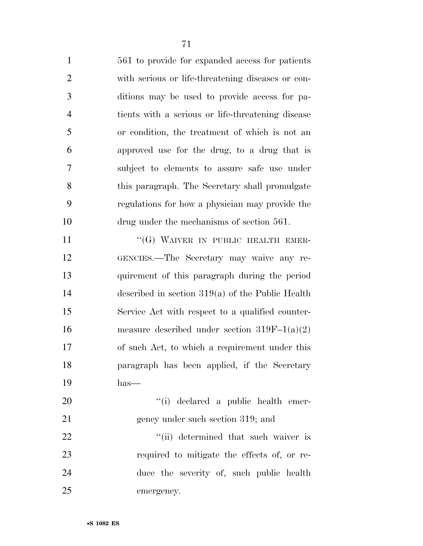561 to provide for expanded access for patients with serious or life-threatening diseases or con- ditions may be used to provide access for pa- tients with a serious or life-threatening disease or condition, the treatment of which is not an approved use for the drug, to a drug that is subject to elements to assure safe use under this paragraph. The Secretary shall promulgate regulations for how a physician may provide the drug under the mechanisms of section 561.

11 "(G) WAIVER IN PUBLIC HEALTH EMER- GENCIES.—The Secretary may waive any re- quirement of this paragraph during the period described in section 319(a) of the Public Health Service Act with respect to a qualified counter- measure described under section 319F–1(a)(2) of such Act, to which a requirement under this paragraph has been applied, if the Secretary has—

20  $\frac{1}{1}$  declared a public health emer-21 gency under such section 319; and

22 ''(ii) determined that such waiver is required to mitigate the effects of, or re- duce the severity of, such public health emergency.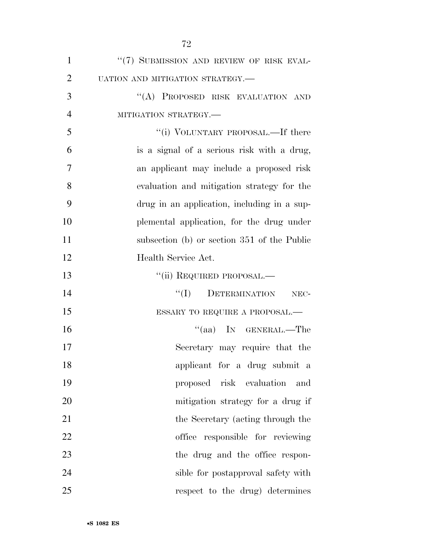| $\mathbf{1}$   | "(7) SUBMISSION AND REVIEW OF RISK EVAL-    |
|----------------|---------------------------------------------|
| $\overline{2}$ | UATION AND MITIGATION STRATEGY.-            |
| 3              | "(A) PROPOSED RISK EVALUATION AND           |
| $\overline{4}$ | MITIGATION STRATEGY.-                       |
| 5              | "(i) VOLUNTARY PROPOSAL.—If there           |
| 6              | is a signal of a serious risk with a drug,  |
| 7              | an applicant may include a proposed risk    |
| 8              | evaluation and mitigation strategy for the  |
| 9              | drug in an application, including in a sup- |
| 10             | plemental application, for the drug under   |
| 11             | subsection (b) or section 351 of the Public |
| 12             | Health Service Act.                         |
| 13             | "(ii) REQUIRED PROPOSAL.—                   |
| 14             | ``(I)<br>DETERMINATION<br>NEC-              |
| 15             | ESSARY TO REQUIRE A PROPOSAL.—              |
| 16             | "(aa) IN GENERAL.—The                       |
| 17             | Secretary may require that the              |
| 18             | applicant for a drug submit a               |
| 19             | proposed risk evaluation<br>and             |
| 20             | mitigation strategy for a drug if           |
| 21             | the Secretary (acting through the           |
| 22             | office responsible for reviewing            |
| 23             | the drug and the office respon-             |
| 24             | sible for postapproval safety with          |
| 25             | respect to the drug) determines             |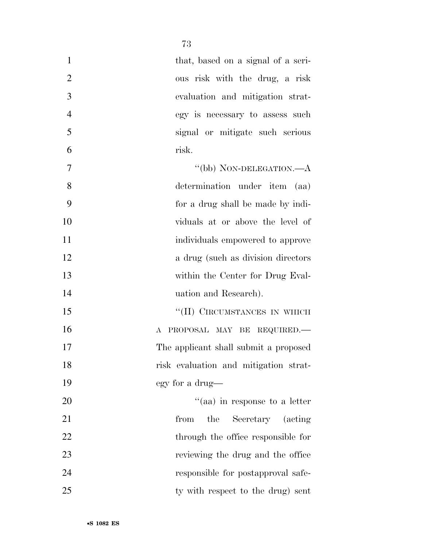| $\mathbf{1}$   | that, based on a signal of a seri-        |
|----------------|-------------------------------------------|
| $\overline{2}$ | ous risk with the drug, a risk            |
| 3              | evaluation and mitigation strat-          |
| $\overline{4}$ | egy is necessary to assess such           |
| 5              | signal or mitigate such serious           |
| 6              | risk.                                     |
| 7              | "(bb) NON-DELEGATION.—A                   |
| 8              | determination under item (aa)             |
| 9              | for a drug shall be made by indi-         |
| 10             | viduals at or above the level of          |
| 11             | individuals empowered to approve          |
| 12             | a drug (such as division directors        |
| 13             | within the Center for Drug Eval-          |
| 14             | uation and Research).                     |
| 15             | "(II) CIRCUMSTANCES IN WHICH              |
| 16             | PROPOSAL MAY BE REQUIRED.<br>$\mathbf{A}$ |
| 17             | The applicant shall submit a proposed     |
| 18             | risk evaluation and mitigation strat-     |
| 19             | egy for a drug—                           |
| 20             | "(aa) in response to a letter             |
| 21             | the<br>Secretary (acting<br>from          |
| 22             | through the office responsible for        |
| 23             | reviewing the drug and the office         |
| 24             | responsible for postapproval safe-        |
| 25             | ty with respect to the drug) sent         |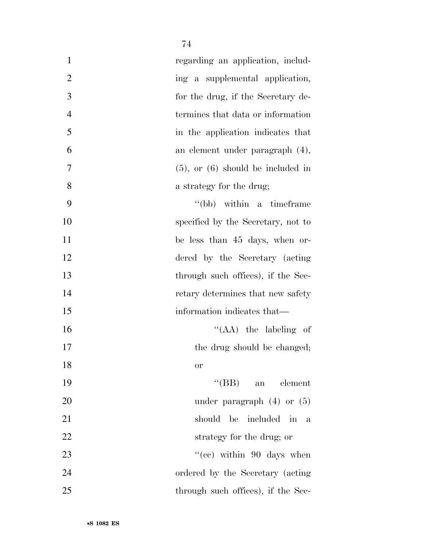| $\mathbf{1}$<br>regarding an application, includ-   |   |
|-----------------------------------------------------|---|
| $\mathfrak{2}$<br>ing a supplemental application,   |   |
| 3<br>for the drug, if the Secretary de-             |   |
| $\overline{4}$<br>termines that data or information |   |
| 5<br>in the application indicates that              |   |
| 6<br>an element under paragraph (4),                |   |
| 7<br>$(5)$ , or $(6)$ should be included in         |   |
| 8<br>a strategy for the drug;                       |   |
| 9<br>"(bb) within a timeframe"                      |   |
| 10<br>specified by the Secretary, not to            |   |
| 11<br>be less than 45 days, when or-                |   |
| 12<br>dered by the Secretary (acting                |   |
| 13<br>through such offices), if the Sec-            |   |
| 14<br>retary determines that new safety             |   |
| 15<br>information indicates that—                   |   |
| 16<br>"(AA) the labeling of                         |   |
| 17<br>the drug should be changed;                   |   |
| 18<br><b>or</b>                                     |   |
| 19<br>$\lq\lq(BB)$<br>an element                    |   |
| 20<br>under paragraph $(4)$ or $(5)$                |   |
| 21<br>should be included in                         | a |
| 22<br>strategy for the drug; or                     |   |
| 23<br>"(cc) within $90$ days when                   |   |
| 24<br>ordered by the Secretary (acting)             |   |
| 25<br>through such offices), if the Sec-            |   |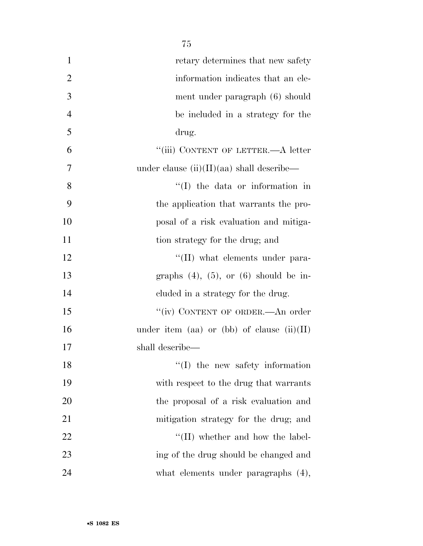| $\mathbf{1}$   | retary determines that new safety             |
|----------------|-----------------------------------------------|
| $\overline{2}$ | information indicates that an ele-            |
| 3              | ment under paragraph (6) should               |
| $\overline{4}$ | be included in a strategy for the             |
| 5              | drug.                                         |
| 6              | "(iii) CONTENT OF LETTER.-A letter            |
| 7              | under clause $(ii)(II)(aa)$ shall describe—   |
| 8              | $\lq (I)$ the data or information in          |
| 9              | the application that warrants the pro-        |
| 10             | posal of a risk evaluation and mitiga-        |
| 11             | tion strategy for the drug; and               |
| 12             | $\lq\lq$ (II) what elements under para-       |
| 13             | graphs $(4)$ , $(5)$ , or $(6)$ should be in- |
| 14             | cluded in a strategy for the drug.            |
| 15             | "(iv) CONTENT OF ORDER.—An order              |
| 16             | under item (aa) or (bb) of clause $(ii)(II)$  |
| 17             | shall describe—                               |
| 18             | $\lq\lq$ (I) the new safety information       |
| 19             | with respect to the drug that warrants        |
| 20             | the proposal of a risk evaluation and         |
| 21             | mitigation strategy for the drug; and         |
| 22             | $\lq\lq$ (II) whether and how the label-      |
| 23             | ing of the drug should be changed and         |
| 24             | what elements under paragraphs $(4)$ ,        |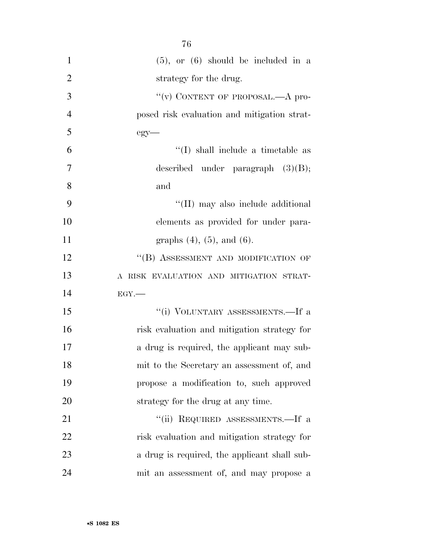| $\mathbf{1}$   | $(5)$ , or $(6)$ should be included in a     |
|----------------|----------------------------------------------|
| $\overline{2}$ | strategy for the drug.                       |
| 3              | "(v) CONTENT OF PROPOSAL.—A pro-             |
| $\overline{4}$ | posed risk evaluation and mitigation strat-  |
| 5              | $egy$ —                                      |
| 6              | "(I) shall include a timetable as            |
| 7              | described under paragraph $(3)(B)$ ;         |
| 8              | and                                          |
| 9              | "(II) may also include additional            |
| 10             | elements as provided for under para-         |
| 11             | graphs $(4)$ , $(5)$ , and $(6)$ .           |
| 12             | "(B) ASSESSMENT AND MODIFICATION OF          |
| 13             | A RISK EVALUATION AND MITIGATION STRAT-      |
| 14             | $EGY$ .                                      |
| 15             | "(i) VOLUNTARY ASSESSMENTS.—If a             |
| 16             | risk evaluation and mitigation strategy for  |
| 17             | a drug is required, the applicant may sub-   |
| 18             | mit to the Secretary an assessment of, and   |
| 19             | propose a modification to, such approved     |
| 20             | strategy for the drug at any time.           |
| 21             | "(ii) REQUIRED ASSESSMENTS.—If a             |
| 22             | risk evaluation and mitigation strategy for  |
| 23             | a drug is required, the applicant shall sub- |
| 24             | mit an assessment of, and may propose a      |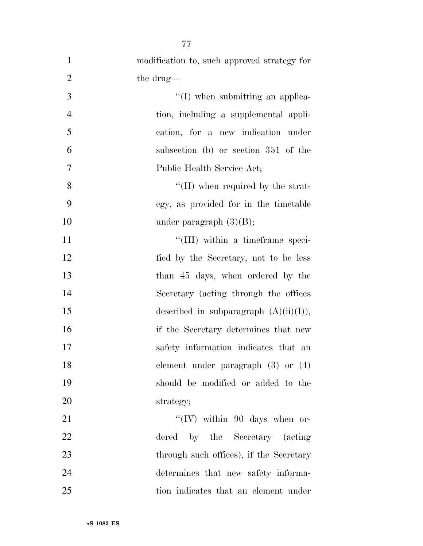| $\mathbf{1}$   | modification to, such approved strategy for |
|----------------|---------------------------------------------|
| $\overline{2}$ | the drug—                                   |
| 3              | $\lq\lq$ (I) when submitting an applica-    |
| $\overline{4}$ | tion, including a supplemental appli-       |
| 5              | cation, for a new indication under          |
| 6              | subsection (b) or section 351 of the        |
| $\tau$         | Public Health Service Act;                  |
| 8              | $\lq\lq$ (II) when required by the strat-   |
| 9              | egy, as provided for in the timetable       |
| 10             | under paragraph $(3)(B)$ ;                  |
| 11             | "(III) within a timeframe speci-            |
| 12             | fied by the Secretary, not to be less       |
| 13             | than 45 days, when ordered by the           |
| 14             | Secretary (acting through the offices       |
| 15             | described in subparagraph $(A)(ii)(I)$ ,    |
| 16             | if the Secretary determines that new        |
| 17             | safety information indicates that an        |
| 18             | element under paragraph $(3)$ or $(4)$      |
| 19             | should be modified or added to the          |
| 20             | strategy;                                   |
| 21             | "(IV) within 90 days when or-               |
| 22             | dered by the Secretary (acting              |
| 23             | through such offices), if the Secretary     |
| 24             | determines that new safety informa-         |
| 25             | tion indicates that an element under        |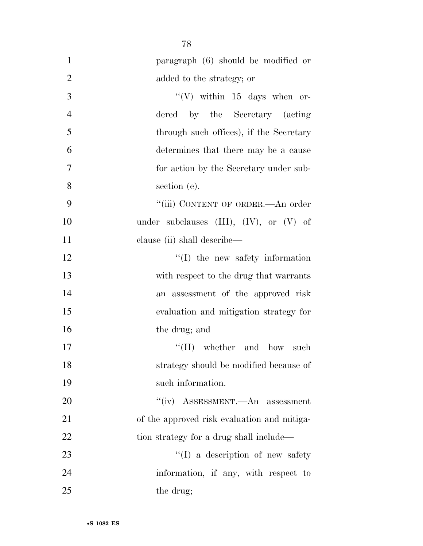| $\mathbf{1}$   | paragraph (6) should be modified or             |
|----------------|-------------------------------------------------|
| $\overline{2}$ | added to the strategy; or                       |
| 3              | "(V) within $15$ days when or-                  |
| $\overline{4}$ | dered by the Secretary (acting                  |
| 5              | through such offices), if the Secretary         |
| 6              | determines that there may be a cause            |
| $\overline{7}$ | for action by the Secretary under sub-          |
| 8              | section (e).                                    |
| 9              | "(iii) CONTENT OF ORDER.—An order               |
| 10             | under subclauses $(III)$ , $(IV)$ , or $(V)$ of |
| 11             | clause (ii) shall describe—                     |
| 12             | $\lq\lq$ (I) the new safety information         |
| 13             | with respect to the drug that warrants          |
| 14             | an assessment of the approved risk              |
| 15             | evaluation and mitigation strategy for          |
| 16             | the drug; and                                   |
| 17             | $\lq\lq$ (II) whether and how such              |
| 18             | strategy should be modified because of          |
| 19             | such information.                               |
| 20             | "(iv) ASSESSMENT.—An assessment                 |
| 21             | of the approved risk evaluation and mitiga-     |
| 22             | tion strategy for a drug shall include—         |
| 23             | "(I) a description of new safety                |
| 24             | information, if any, with respect to            |
| 25             | the drug;                                       |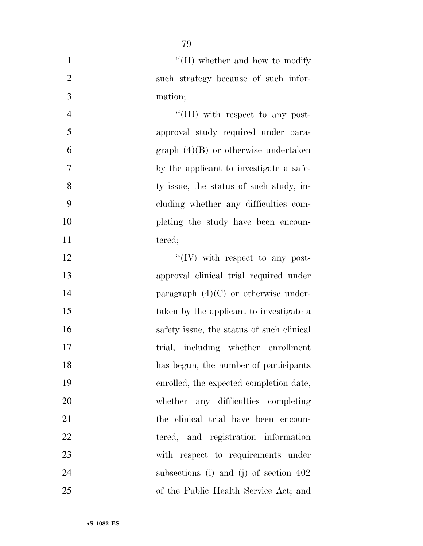| $\mathbf{1}$   | $\lq\lq$ (II) whether and how to modify   |
|----------------|-------------------------------------------|
| $\overline{2}$ | such strategy because of such infor-      |
| 3              | mation;                                   |
| $\overline{4}$ | "(III) with respect to any post-          |
| 5              | approval study required under para-       |
| 6              | graph $(4)(B)$ or otherwise undertaken    |
| 7              | by the applicant to investigate a safe-   |
| 8              | ty issue, the status of such study, in-   |
| 9              | cluding whether any difficulties com-     |
| 10             | pleting the study have been encoun-       |
| 11             | tered;                                    |
| 12             | $\lq\lq$ (IV) with respect to any post-   |
| 13             | approval clinical trial required under    |
| 14             | paragraph $(4)(C)$ or otherwise under-    |
| 15             | taken by the applicant to investigate a   |
| 16             | safety issue, the status of such clinical |
| 17             | trial, including whether enrollment       |
| 18             | has begun, the number of participants     |
| 19             | enrolled, the expected completion date,   |
| 20             | whether any difficulties completing       |
| 21             | the clinical trial have been encoun-      |
| 22             | tered, and registration information       |
| 23             | with respect to requirements under        |
| 24             | subsections (i) and (j) of section $402$  |
| 25             | of the Public Health Service Act; and     |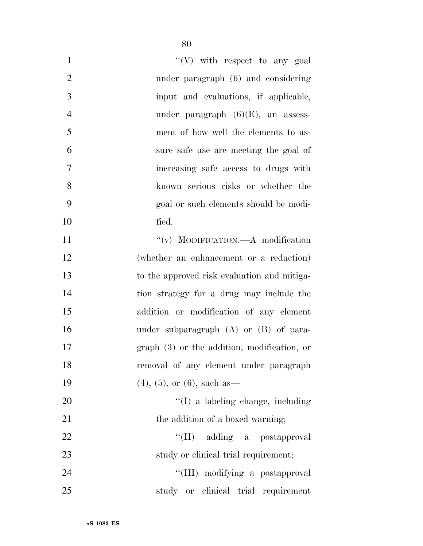| $\mathbf{1}$   | $\lq\lq(V)$ with respect to any goal         |
|----------------|----------------------------------------------|
| $\overline{2}$ | under paragraph (6) and considering          |
| 3              | input and evaluations, if applicable,        |
| $\overline{4}$ | under paragraph $(6)(E)$ , an assess-        |
| 5              | ment of how well the elements to as-         |
| 6              | sure safe use are meeting the goal of        |
| $\overline{7}$ | increasing safe access to drugs with         |
| 8              | known serious risks or whether the           |
| 9              | goal or such elements should be modi-        |
| 10             | fied.                                        |
| 11             | "(v) MODIFICATION.—A modification            |
| 12             | (whether an enhancement or a reduction)      |
| 13             | to the approved risk evaluation and mitiga-  |
| 14             | tion strategy for a drug may include the     |
| 15             | addition or modification of any element      |
| 16             | under subparagraph $(A)$ or $(B)$ of para-   |
| 17             | $graph(3)$ or the addition, modification, or |
| 18             | removal of any element under paragraph       |
| 19             | $(4)$ , $(5)$ , or $(6)$ , such as           |
| <b>20</b>      | $\lq\lq$ (I) a labeling change, including    |
| 21             | the addition of a boxed warning;             |
| 22             | "(II) adding a postapproval                  |
| 23             | study or clinical trial requirement;         |
| 24             | "(III) modifying a postapproval              |
| 25             | study or clinical trial requirement          |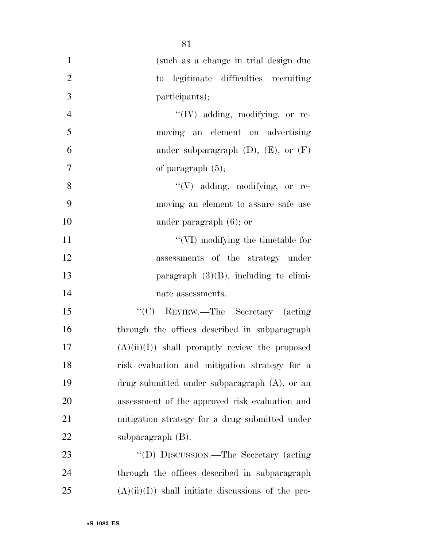| $\mathbf{1}$   | (such as a change in trial design due               |
|----------------|-----------------------------------------------------|
| $\overline{2}$ | to legitimate difficulties recruiting               |
| 3              | participants);                                      |
| $\overline{4}$ | $\lq\lq (IV)$ adding, modifying, or re-             |
| 5              | moving an element on advertising                    |
| 6              | under subparagraph $(D)$ , $(E)$ , or $(F)$         |
| 7              | of paragraph $(5)$ ;                                |
| 8              | "(V) adding, modifying, or re-                      |
| 9              | moving an element to assure safe use                |
| 10             | under paragraph $(6)$ ; or                          |
| 11             | "(VI) modifying the timetable for                   |
| 12             | assessments of the strategy under                   |
| 13             | paragraph $(3)(B)$ , including to elimi-            |
| 14             | nate assessments.                                   |
| 15             | "(C) REVIEW.—The Secretary (acting                  |
| 16             | through the offices described in subparagraph       |
| 17             | $(A)(ii)(I)$ shall promptly review the proposed     |
| 18             | risk evaluation and mitigation strategy for a       |
| 19             | drug submitted under subparagraph $(A)$ , or an     |
| 20             | assessment of the approved risk evaluation and      |
| 21             | mitigation strategy for a drug submitted under      |
| 22             | subparagraph $(B)$ .                                |
| 23             | "(D) DISCUSSION.—The Secretary (acting              |
| 24             | through the offices described in subparagraph       |
| 25             | $(A)(ii)(I)$ shall initiate discussions of the pro- |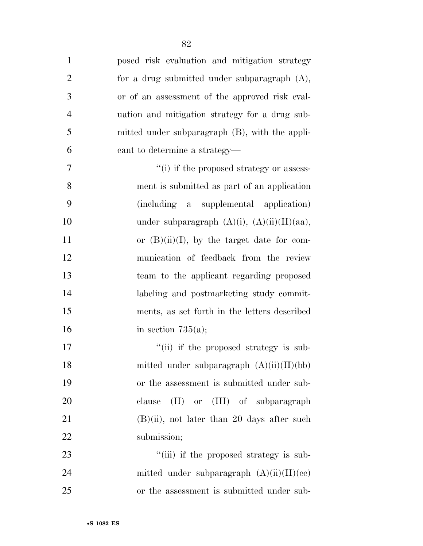| $\mathbf{1}$   | posed risk evaluation and mitigation strategy     |
|----------------|---------------------------------------------------|
| $\overline{2}$ | for a drug submitted under subparagraph $(A)$ ,   |
| 3              | or of an assessment of the approved risk eval-    |
| $\overline{4}$ | uation and mitigation strategy for a drug sub-    |
| 5              | mitted under subparagraph (B), with the appli-    |
| 6              | cant to determine a strategy—                     |
| 7              | "(i) if the proposed strategy or assess-          |
| 8              | ment is submitted as part of an application       |
| 9              | (including a supplemental application)            |
| 10             | under subparagraph $(A)(i)$ , $(A)(ii)(II)(aa)$ , |
| 11             | or $(B)(ii)(I)$ , by the target date for com-     |
| 12             | munication of feedback from the review            |
| 13             | team to the applicant regarding proposed          |
| 14             | labeling and postmarketing study commit-          |
| 15             | ments, as set forth in the letters described      |
| 16             | in section $735(a)$ ;                             |
| 17             | "(ii) if the proposed strategy is sub-            |
| 18             | mitted under subparagraph $(A)(ii)(II)(bb)$       |
| 19             | or the assessment is submitted under sub-         |
| 20             | (II) or (III) of subparagraph<br>clause           |
| 21             | $(B)(ii)$ , not later than 20 days after such     |
| 22             | submission;                                       |
| 23             | "(iii) if the proposed strategy is sub-           |
| 24             | mitted under subparagraph $(A)(ii)(II)(ce)$       |

or the assessment is submitted under sub-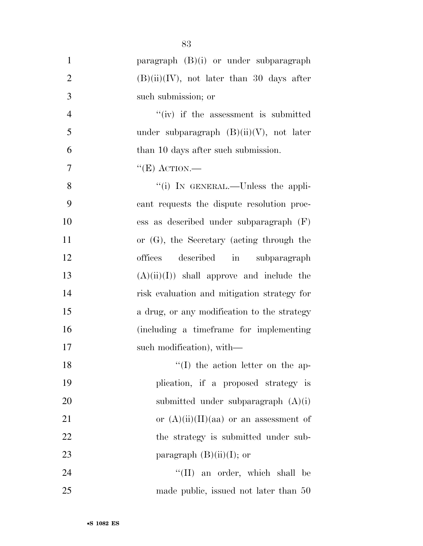| $\mathbf{1}$   | paragraph (B)(i) or under subparagraph       |
|----------------|----------------------------------------------|
| $\overline{2}$ | $(B)(ii)(IV)$ , not later than 30 days after |
| 3              | such submission; or                          |
| $\overline{4}$ | $``(iv)$ if the assessment is submitted      |
| 5              | under subparagraph $(B)(ii)(V)$ , not later  |
| 6              | than 10 days after such submission.          |
| $\overline{7}$ | " $(E)$ ACTION.—                             |
| 8              | "(i) IN GENERAL.—Unless the appli-           |
| 9              | cant requests the dispute resolution proc-   |
| 10             | ess as described under subparagraph $(F)$    |
| 11             | or $(G)$ , the Secretary (acting through the |
| 12             | described in subparagraph<br>offices         |
| 13             | $(A)(ii)(I)$ shall approve and include the   |
| 14             | risk evaluation and mitigation strategy for  |
| 15             | a drug, or any modification to the strategy  |
| 16             | (including a timeframe for implementing      |
| 17             | such modification), with—                    |
| 18             | $\lq\lq$ (I) the action letter on the ap-    |
| 19             | plication, if a proposed strategy is         |
| 20             | submitted under subparagraph $(A)(i)$        |
| 21             | or $(A)(ii)(II)(aa)$ or an assessment of     |
| 22             | the strategy is submitted under sub-         |
| 23             | paragraph $(B)(ii)(I)$ ; or                  |
| 24             | $\lq\lq$ (II) an order, which shall be       |
| 25             | made public, issued not later than 50        |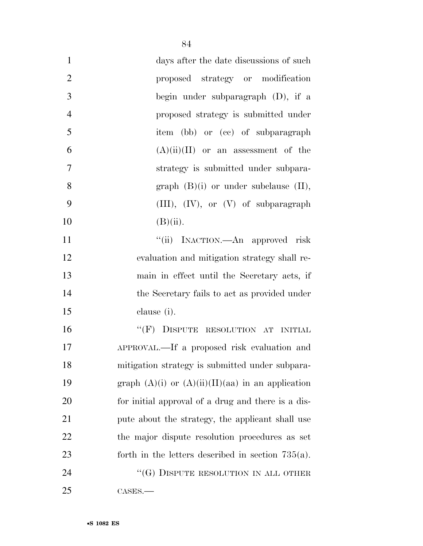| $\mathbf{1}$   | days after the date discussions of such               |
|----------------|-------------------------------------------------------|
| $\overline{2}$ | proposed strategy or modification                     |
| 3              | begin under subparagraph $(D)$ , if a                 |
| $\overline{4}$ | proposed strategy is submitted under                  |
| 5              | item (bb) or (cc) of subparagraph                     |
| 6              | $(A)(ii)(II)$ or an assessment of the                 |
| 7              | strategy is submitted under subpara-                  |
| 8              | graph $(B)(i)$ or under subclause $(II)$ ,            |
| 9              | $(III), (IV), or (V)$ of subparagraph                 |
| 10             | $(B)(ii)$ .                                           |
| 11             | "(ii) INACTION.—An approved risk                      |
| 12             | evaluation and mitigation strategy shall re-          |
| 13             | main in effect until the Secretary acts, if           |
| 14             | the Secretary fails to act as provided under          |
| 15             | clause (i).                                           |
| 16             | "(F) DISPUTE RESOLUTION AT INITIAL                    |
| 17             | APPROVAL.—If a proposed risk evaluation and           |
| 18             | mitigation strategy is submitted under subpara-       |
| 19             | graph $(A)(i)$ or $(A)(ii)(II)(aa)$ in an application |
| <b>20</b>      | for initial approval of a drug and there is a dis-    |
| 21             | pute about the strategy, the applicant shall use      |
| 22             | the major dispute resolution procedures as set        |
| 23             | forth in the letters described in section $735(a)$ .  |
| 24             | " $(G)$ DISPUTE RESOLUTION IN ALL OTHER               |
| 25             | CASES.                                                |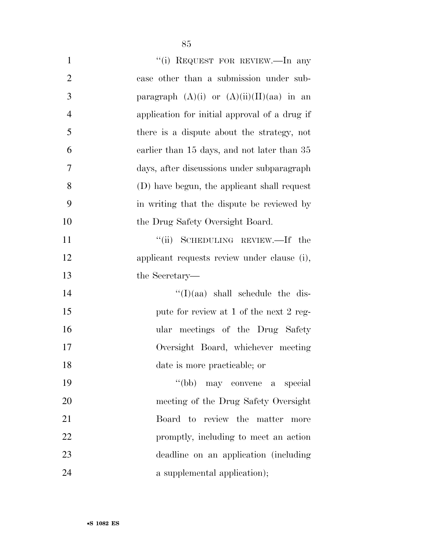| $\mathbf{1}$   | "(i) REQUEST FOR REVIEW.—In any               |
|----------------|-----------------------------------------------|
| $\overline{2}$ | case other than a submission under sub-       |
| 3              | paragraph $(A)(i)$ or $(A)(ii)(II)(aa)$ in an |
| $\overline{4}$ | application for initial approval of a drug if |
| 5              | there is a dispute about the strategy, not    |
| 6              | earlier than 15 days, and not later than 35   |
| 7              | days, after discussions under subparagraph    |
| 8              | (D) have begun, the applicant shall request   |
| 9              | in writing that the dispute be reviewed by    |
| 10             | the Drug Safety Oversight Board.              |
| 11             | "(ii) SCHEDULING REVIEW.—If the               |
| 12             | applicant requests review under clause (i),   |
| 13             | the Secretary—                                |
| 14             | $\lq\lq$ (I)(aa) shall schedule the dis-      |
| 15             | pute for review at 1 of the next 2 reg-       |
| 16             | ular meetings of the Drug Safety              |
| 17             | Oversight Board, whichever meeting            |
| 18             | date is more practicable; or                  |
| 19             | "(bb) may convene a special                   |
| 20             | meeting of the Drug Safety Oversight          |
| 21             | Board to review the matter<br>more            |
| 22             | promptly, including to meet an action         |
| 23             | deadline on an application (including         |
| 24             | a supplemental application);                  |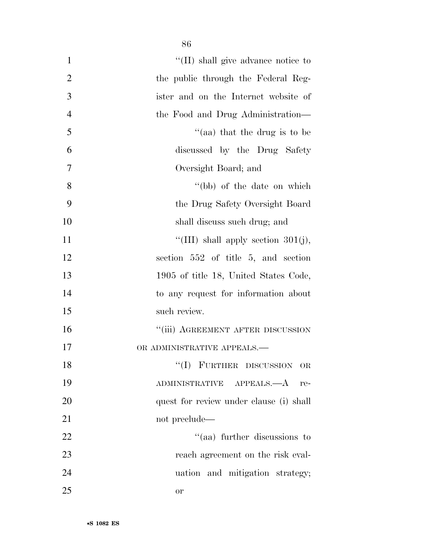| $\mathbf{1}$   | "(II) shall give advance notice to      |
|----------------|-----------------------------------------|
| $\overline{2}$ | the public through the Federal Reg-     |
| 3              | ister and on the Internet website of    |
| $\overline{4}$ | the Food and Drug Administration—       |
| 5              | "(aa) that the drug is to be            |
| 6              | discussed by the Drug Safety            |
| 7              | Oversight Board; and                    |
| 8              | "(bb) of the date on which              |
| 9              | the Drug Safety Oversight Board         |
| 10             | shall discuss such drug; and            |
| 11             | "(III) shall apply section $301(j)$ ,   |
| 12             | section 552 of title 5, and section     |
| 13             | 1905 of title 18, United States Code,   |
| 14             | to any request for information about    |
| 15             | such review.                            |
| 16             | "(iii) AGREEMENT AFTER DISCUSSION       |
| 17             | OR ADMINISTRATIVE APPEALS.—             |
| 18             | "(I) FURTHER DISCUSSION<br><b>OR</b>    |
| 19             | ADMINISTRATIVE APPEALS.—A<br>re-        |
| 20             | quest for review under clause (i) shall |
| 21             | not preclude—                           |
| 22             | "(aa) further discussions to            |
| 23             | reach agreement on the risk eval-       |
| 24             | uation and mitigation strategy;         |
| 25             | <b>or</b>                               |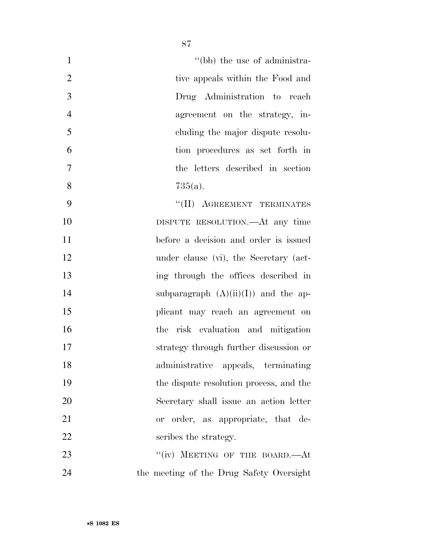| $\mathbf{1}$   | "(bb) the use of administra-             |
|----------------|------------------------------------------|
| $\overline{2}$ | tive appeals within the Food and         |
| 3              | Drug Administration to reach             |
| $\overline{4}$ | agreement on the strategy, in-           |
| 5              | eluding the major dispute resolu-        |
| 6              | tion procedures as set forth in          |
| $\tau$         | the letters described in section         |
| 8              | $735(a)$ .                               |
| 9              | "(II) AGREEMENT TERMINATES               |
| 10             | DISPUTE RESOLUTION.—At any time          |
| 11             | before a decision and order is issued    |
| 12             | under clause (vi), the Secretary (act-   |
| 13             | ing through the offices described in     |
| 14             | subparagraph $(A)(ii)(I)$ and the ap-    |
| 15             | plicant may reach an agreement on        |
| 16             | the risk evaluation and mitigation       |
| 17             | strategy through further discussion or   |
| 18             | administrative appeals, terminating      |
| 19             | the dispute resolution process, and the  |
| 20             | Secretary shall issue an action letter   |
| 21             | or order, as appropriate, that de-       |
| 22             | scribes the strategy.                    |
| 23             | "(iv) MEETING OF THE BOARD.—At           |
| 24             | the meeting of the Drug Safety Oversight |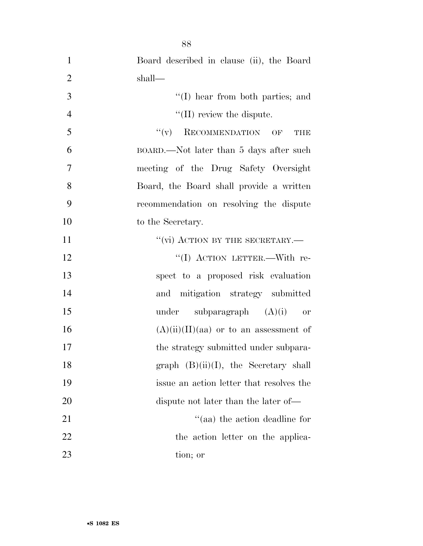| $\mathbf{1}$   | Board described in clause (ii), the Board |
|----------------|-------------------------------------------|
| $\overline{2}$ | shall—                                    |
| 3              | "(I) hear from both parties; and          |
| $\overline{4}$ | $\lq\lq$ (II) review the dispute.         |
| 5              | RECOMMENDATION OF<br>``(v)<br>THE         |
| 6              | BOARD.—Not later than 5 days after such   |
| $\tau$         | meeting of the Drug Safety Oversight      |
| 8              | Board, the Board shall provide a written  |
| 9              | recommendation on resolving the dispute   |
| 10             | to the Secretary.                         |
| 11             | "(vi) ACTION BY THE SECRETARY.-           |
| 12             | "(I) ACTION LETTER.—With re-              |
| 13             | spect to a proposed risk evaluation       |
| 14             | and mitigation strategy submitted         |
| 15             | under subparagraph $(A)(i)$<br>or         |
| 16             | $(A)(ii)(II)(aa)$ or to an assessment of  |
| 17             | the strategy submitted under subpara-     |
| 18             | graph $(B)(ii)(I)$ , the Secretary shall  |
| 19             | issue an action letter that resolves the  |
| 20             | dispute not later than the later of—      |
| 21             | "(aa) the action deadline for             |
| 22             | the action letter on the applica-         |
| 23             | tion; or                                  |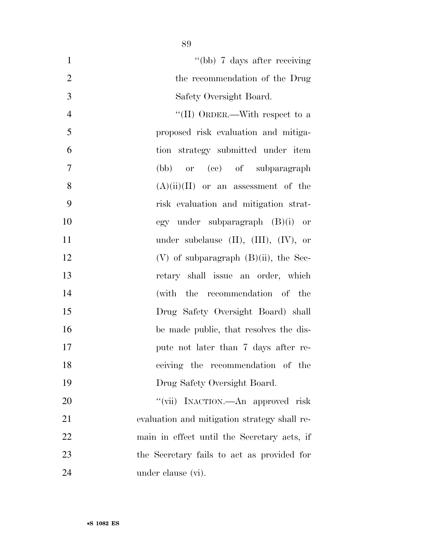| $\mathbf{1}$   | "(bb) 7 days after receiving                   |
|----------------|------------------------------------------------|
| $\mathbf{2}$   | the recommendation of the Drug                 |
| $\overline{3}$ | Safety Oversight Board.                        |
| $\overline{4}$ | "(II) ORDER.—With respect to a                 |
| 5              | proposed risk evaluation and mitiga-           |
| 6              | tion strategy submitted under item             |
| 7              | or (cc) of subparagraph<br>(bb)                |
| 8              | $(A)(ii)(II)$ or an assessment of the          |
| 9              | risk evaluation and mitigation strat-          |
| 10             | egy under subparagraph $(B)(i)$ or             |
| 11             | under subclause $(II)$ , $(III)$ , $(IV)$ , or |
| 12             | $(V)$ of subparagraph $(B)(ii)$ , the Sec-     |
| 13             | retary shall issue an order, which             |
| 14             | (with the recommendation of the                |
| 15             | Drug Safety Oversight Board) shall             |
| 16             | be made public, that resolves the dis-         |
| 17             | pute not later than 7 days after re-           |
| 18             | ceiving the recommendation of the              |
| 19             | Drug Safety Oversight Board.                   |
| 20             | "(vii) INACTION.—An approved risk              |
| 21             | evaluation and mitigation strategy shall re-   |
| 22             | main in effect until the Secretary acts, if    |
| 23             | the Secretary fails to act as provided for     |
| 24             | under clause (vi).                             |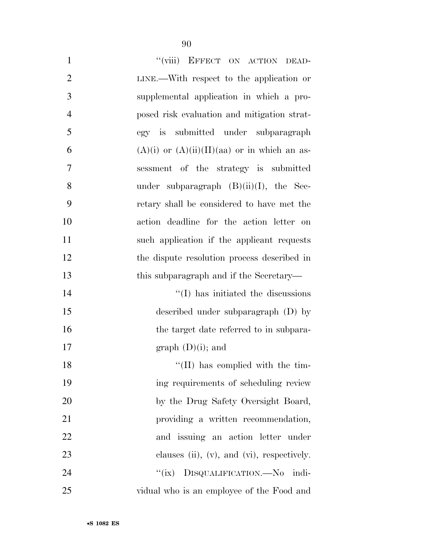| $\mathbf{1}$   | "(viii) EFFECT ON ACTION DEAD-                      |
|----------------|-----------------------------------------------------|
| $\overline{2}$ | LINE.—With respect to the application or            |
| 3              | supplemental application in which a pro-            |
| $\overline{4}$ | posed risk evaluation and mitigation strat-         |
| 5              | egy is submitted under subparagraph                 |
| 6              | $(A)(i)$ or $(A)(ii)(II)(aa)$ or in which an as-    |
| 7              | sessment of the strategy is submitted               |
| 8              | under subparagraph $(B)(ii)(I)$ , the Sec-          |
| 9              | retary shall be considered to have met the          |
| 10             | action deadline for the action letter on            |
| 11             | such application if the applicant requests          |
| 12             | the dispute resolution process described in         |
| 13             | this subparagraph and if the Secretary—             |
| 14             | $\lq\lq$ (I) has initiated the discussions          |
| 15             | described under subparagraph (D) by                 |
| 16             | the target date referred to in subpara-             |
| 17             | graph $(D)(i)$ ; and                                |
| 18             | $\lq\lq$ (II) has complied with the tim-            |
| 19             | ing requirements of scheduling review               |
| 20             | by the Drug Safety Oversight Board,                 |
| 21             | providing a written recommendation,                 |
| 22             | and issuing an action letter under                  |
| 23             | clauses $(ii)$ , $(v)$ , and $(vi)$ , respectively. |
| 24             | "(ix) DISQUALIFICATION.—No indi-                    |
| 25             | vidual who is an employee of the Food and           |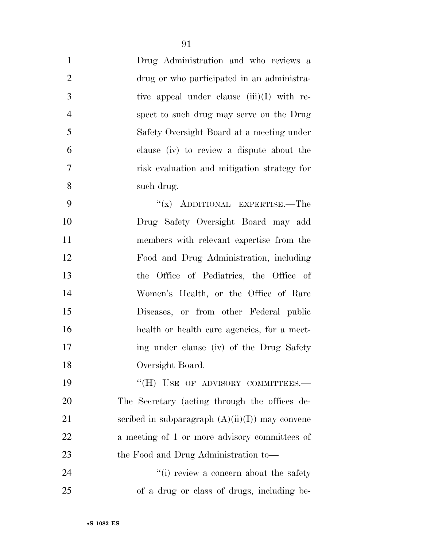| $\mathbf{1}$   | Drug Administration and who reviews a        |
|----------------|----------------------------------------------|
| $\overline{2}$ | drug or who participated in an administra-   |
| 3              | tive appeal under clause $(iii)(I)$ with re- |
| $\overline{4}$ | spect to such drug may serve on the Drug     |
| 5              | Safety Oversight Board at a meeting under    |
| 6              | clause (iv) to review a dispute about the    |
| 7              | risk evaluation and mitigation strategy for  |
| 8              | such drug.                                   |
| 9              | "(x) ADDITIONAL EXPERTISE.—The               |
| 10             | Drug Safety Oversight Board may add          |
| 11             | members with relevant expertise from the     |
| 12             | Food and Drug Administration, including      |
| 13             | the Office of Pediatrics, the Office of      |
| 14             | Women's Health, or the Office of Rare        |
| 15             | Diseases, or from other Federal public       |
| 16             | health or health care agencies, for a meet-  |
| 17             | ing under clause (iv) of the Drug Safety     |
| 18             | Oversight Board.                             |
| 19             | "(H) USE OF ADVISORY COMMITTEES.-            |

 The Secretary (acting through the offices de-21 scribed in subparagraph  $(A)(ii)(I))$  may convene a meeting of 1 or more advisory committees of the Food and Drug Administration to—

24 ''(i) review a concern about the safety of a drug or class of drugs, including be-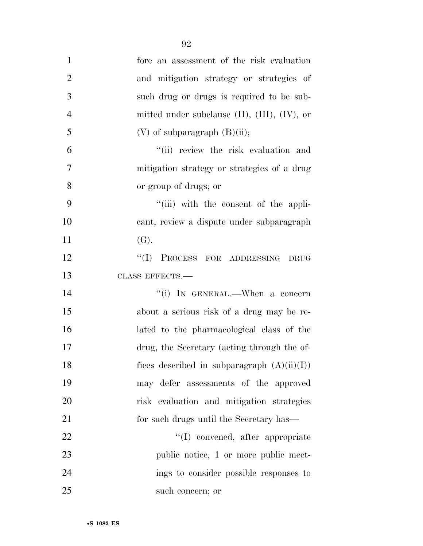| $\mathbf{1}$   | fore an assessment of the risk evaluation             |
|----------------|-------------------------------------------------------|
| $\overline{2}$ | and mitigation strategy or strategies of              |
| 3              | such drug or drugs is required to be sub-             |
| $\overline{4}$ | mitted under subclause $(II)$ , $(III)$ , $(IV)$ , or |
| 5              | $(V)$ of subparagraph $(B)(ii)$ ;                     |
| 6              | "(ii) review the risk evaluation and                  |
| 7              | mitigation strategy or strategies of a drug           |
| 8              | or group of drugs; or                                 |
| 9              | "(iii) with the consent of the appli-                 |
| 10             | cant, review a dispute under subparagraph             |
| 11             | (G).                                                  |
| 12             | ``(I)<br>PROCESS FOR ADDRESSING DRUG                  |
| 13             | CLASS EFFECTS.-                                       |
| 14             | "(i) IN GENERAL.—When a concern                       |
| 15             | about a serious risk of a drug may be re-             |
| 16             | lated to the pharmacological class of the             |
| 17             | drug, the Secretary (acting through the of-           |
| 18             | fices described in subparagraph $(A)(ii)(I))$         |
| 19             | may defer assessments of the approved                 |
| 20             | risk evaluation and mitigation strategies             |
| 21             | for such drugs until the Secretary has—               |
| $22\,$         | "(I) convened, after appropriate                      |
| 23             | public notice, 1 or more public meet-                 |
| 24             | ings to consider possible responses to                |
| 25             | such concern; or                                      |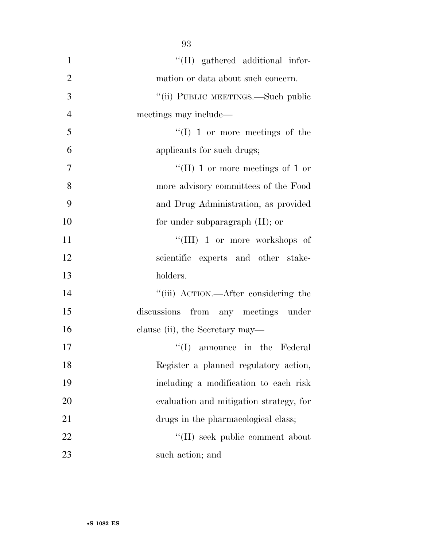| $\mathbf{1}$   | "(II) gathered additional infor-        |
|----------------|-----------------------------------------|
| $\overline{2}$ | mation or data about such concern.      |
| 3              | "(ii) PUBLIC MEETINGS.—Such public      |
| $\overline{4}$ | meetings may include—                   |
| 5              | $\lq\lq$ (I) 1 or more meetings of the  |
| 6              | applicants for such drugs;              |
| 7              | "(II) 1 or more meetings of 1 or        |
| 8              | more advisory committees of the Food    |
| 9              | and Drug Administration, as provided    |
| 10             | for under subparagraph $(H)$ ; or       |
| 11             | "(III) 1 or more workshops of           |
| 12             | scientific experts and other stake-     |
| 13             | holders.                                |
| 14             | "(iii) ACTION.—After considering the    |
| 15             | discussions<br>from any meetings under  |
| 16             | clause (ii), the Secretary may—         |
| 17             | announce in the Federal<br>``(I)        |
| 18             | Register a planned regulatory action,   |
| 19             | including a modification to each risk   |
| 20             | evaluation and mitigation strategy, for |
| 21             | drugs in the pharmacological class;     |
| 22             | "(II) seek public comment about         |
| 23             | such action; and                        |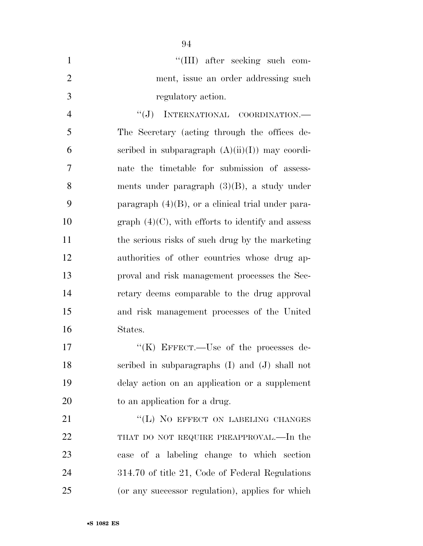|               | $\lq\lq$ (III) after seeking such com- |
|---------------|----------------------------------------|
|               | ment, issue an order addressing such   |
| $\mathcal{R}$ | regulatory action.                     |

 $``(J)$  INTERNATIONAL COORDINATION.— The Secretary (acting through the offices de-6 seribed in subparagraph  $(A)(ii)(I))$  may coordi- nate the timetable for submission of assess- ments under paragraph (3)(B), a study under paragraph (4)(B), or a clinical trial under para-10 graph  $(4)(C)$ , with efforts to identify and assess the serious risks of such drug by the marketing authorities of other countries whose drug ap- proval and risk management processes the Sec- retary deems comparable to the drug approval and risk management processes of the United States.

 $((K)$  EFFECT.—Use of the processes de- scribed in subparagraphs (I) and (J) shall not delay action on an application or a supplement to an application for a drug.

21 "(L) NO EFFECT ON LABELING CHANGES 22 THAT DO NOT REQUIRE PREAPPROVAL.—In the case of a labeling change to which section 314.70 of title 21, Code of Federal Regulations (or any successor regulation), applies for which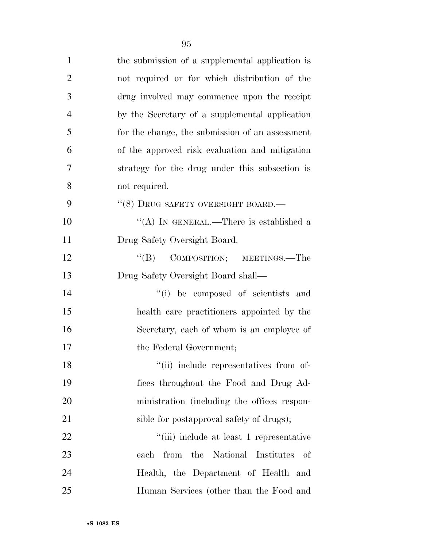| $\mathbf{1}$   | the submission of a supplemental application is |
|----------------|-------------------------------------------------|
| $\overline{2}$ | not required or for which distribution of the   |
| 3              | drug involved may commence upon the receipt     |
| $\overline{4}$ | by the Secretary of a supplemental application  |
| 5              | for the change, the submission of an assessment |
| 6              | of the approved risk evaluation and mitigation  |
| 7              | strategy for the drug under this subsection is  |
| 8              | not required.                                   |
| 9              | $``(8)$ DRUG SAFETY OVERSIGHT BOARD.—           |
| 10             | "(A) IN GENERAL.—There is established a         |
| 11             | Drug Safety Oversight Board.                    |
| 12             | "(B) COMPOSITION; MEETINGS.—The                 |
| 13             | Drug Safety Oversight Board shall—              |
| 14             | "(i) be composed of scientists and              |
| 15             | health care practitioners appointed by the      |
| 16             | Secretary, each of whom is an employee of       |
| 17             | the Federal Government;                         |
| 18             | "(ii) include representatives from of-          |
| 19             | fices throughout the Food and Drug Ad-          |
| 20             | ministration (including the offices respon-     |
| 21             | sible for postapproval safety of drugs);        |
| 22             | "(iii) include at least 1 representative        |
| 23             | from the National Institutes<br>each<br>of      |
| 24             | Health, the Department of Health and            |
| 25             | Human Services (other than the Food and         |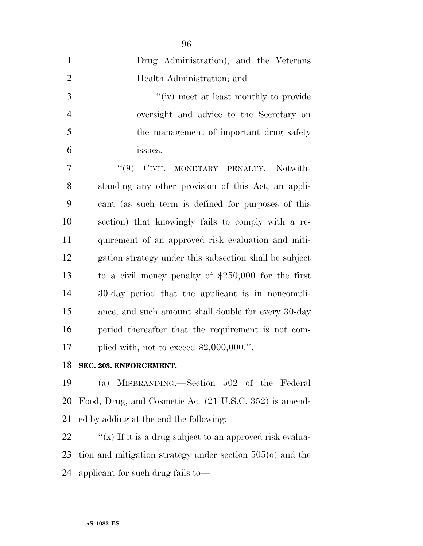| $\mathbf{1}$   | Drug Administration), and the Veterans                 |
|----------------|--------------------------------------------------------|
| $\overline{2}$ | Health Administration; and                             |
| 3              | "(iv) meet at least monthly to provide                 |
| $\overline{4}$ | oversight and advice to the Secretary on               |
| 5              | the management of important drug safety                |
| 6              | issues.                                                |
| $\overline{7}$ | "(9) CIVIL MONETARY PENALTY.-Notwith-                  |
| 8              | standing any other provision of this Act, an appli-    |
| 9              | cant (as such term is defined for purposes of this     |
| 10             | section) that knowingly fails to comply with a re-     |
| 11             | quirement of an approved risk evaluation and miti-     |
| 12             | gation strategy under this subsection shall be subject |
| 13             | to a civil money penalty of $$250,000$ for the first   |
| 14             | 30-day period that the applicant is in noncompli-      |
| 15             | ance, and such amount shall double for every 30-day    |
| 16             | period thereafter that the requirement is not com-     |
| 17             | plied with, not to exceed $$2,000,000."$ .             |
|                |                                                        |

**SEC. 203. ENFORCEMENT.** 

 (a) MISBRANDING.—Section 502 of the Federal Food, Drug, and Cosmetic Act (21 U.S.C. 352) is amend-ed by adding at the end the following:

22  $\gamma$  (x) If it is a drug subject to an approved risk evalua- tion and mitigation strategy under section 505(o) and the applicant for such drug fails to—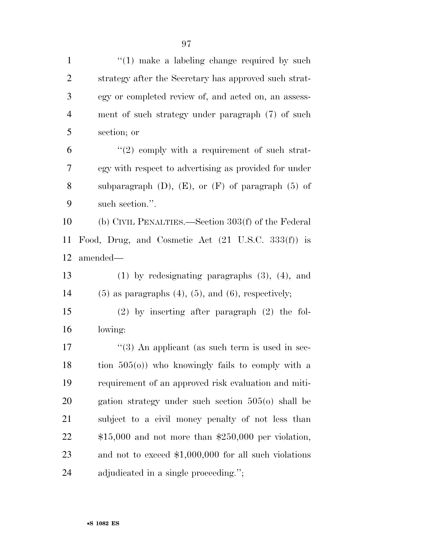| $\mathbf{1}$   | $\lq(1)$ make a labeling change required by such              |
|----------------|---------------------------------------------------------------|
| $\overline{c}$ | strategy after the Secretary has approved such strat-         |
| 3              | egy or completed review of, and acted on, an assess-          |
| $\overline{4}$ | ment of such strategy under paragraph (7) of such             |
| 5              | section; or                                                   |
| 6              | $\lq(2)$ comply with a requirement of such strat-             |
| 7              | egy with respect to advertising as provided for under         |
| 8              | subparagraph $(D)$ , $(E)$ , or $(F)$ of paragraph $(5)$ of   |
| 9              | such section.".                                               |
| 10             | (b) CIVIL PENALTIES.—Section 303(f) of the Federal            |
| 11             | Food, Drug, and Cosmetic Act $(21 \text{ U.S.C. } 333(f))$ is |
| 12             | amended—                                                      |
| 13             | $(1)$ by redesignating paragraphs $(3)$ , $(4)$ , and         |
| 14             | $(5)$ as paragraphs $(4)$ , $(5)$ , and $(6)$ , respectively; |
| 15             | $(2)$ by inserting after paragraph $(2)$ the fol-             |
| 16             | lowing:                                                       |
| 17             | $(3)$ An applicant (as such term is used in sec-              |
| 18             | tion $505(0)$ ) who knowingly fails to comply with a          |
| 19             | requirement of an approved risk evaluation and miti-          |
| 20             | gation strategy under such section $505(0)$ shall be          |
| 21             | subject to a civil money penalty of not less than             |
| 22             | $$15,000$ and not more than $$250,000$ per violation,         |
| 23             |                                                               |
|                | and not to exceed $$1,000,000$ for all such violations        |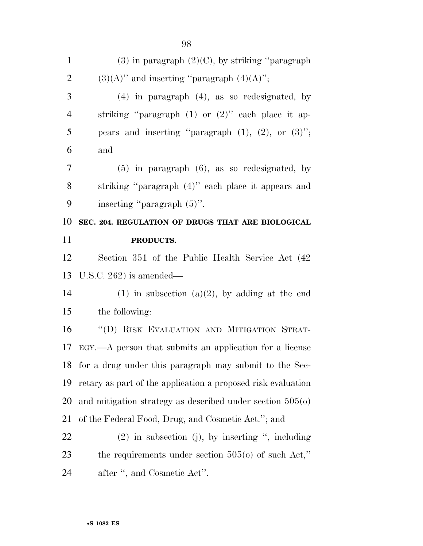| $\mathbf{1}$   | $(3)$ in paragraph $(2)(C)$ , by striking "paragraph"        |
|----------------|--------------------------------------------------------------|
| $\mathbf{2}$   | $(3)(A)$ " and inserting "paragraph $(4)(A)$ ";              |
| 3              | $(4)$ in paragraph $(4)$ , as so redesignated, by            |
| $\overline{4}$ | striking "paragraph $(1)$ or $(2)$ " each place it ap-       |
| 5              | pears and inserting "paragraph $(1)$ , $(2)$ , or $(3)$ ";   |
| 6              | and                                                          |
| 7              | $(5)$ in paragraph $(6)$ , as so redesignated, by            |
| $8\,$          | striking "paragraph (4)" each place it appears and           |
| 9              | inserting "paragraph $(5)$ ".                                |
| 10             | SEC. 204. REGULATION OF DRUGS THAT ARE BIOLOGICAL            |
| 11             | PRODUCTS.                                                    |
| 12             | Section 351 of the Public Health Service Act (42)            |
|                |                                                              |
| 13             | U.S.C. $262$ ) is amended—                                   |
|                | $(1)$ in subsection $(a)(2)$ , by adding at the end          |
| 14<br>15       | the following:                                               |
| 16             | "(D) RISK EVALUATION AND MITIGATION STRAT-                   |
| 17             | $EGY$ .—A person that submits an application for a license   |
|                | 18 for a drug under this paragraph may submit to the Sec-    |
| 19             | retary as part of the application a proposed risk evaluation |
| 20             | and mitigation strategy as described under section $505(0)$  |
|                | of the Federal Food, Drug, and Cosmetic Act."; and           |
| 21<br>22       | $(2)$ in subsection (j), by inserting ", including           |
| 23             | the requirements under section $505(0)$ of such Act,"        |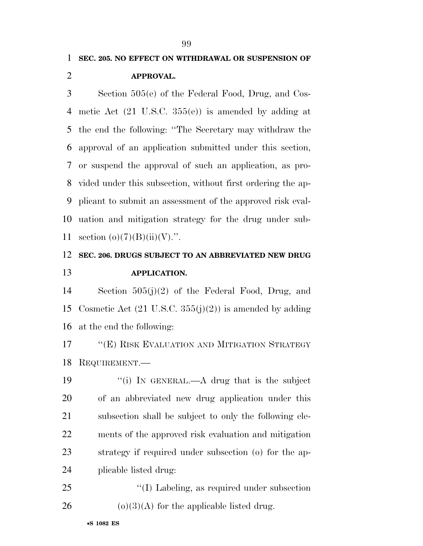## **SEC. 205. NO EFFECT ON WITHDRAWAL OR SUSPENSION OF APPROVAL.**

 Section 505(e) of the Federal Food, Drug, and Cos- metic Act (21 U.S.C. 355(e)) is amended by adding at the end the following: ''The Secretary may withdraw the approval of an application submitted under this section, or suspend the approval of such an application, as pro- vided under this subsection, without first ordering the ap- plicant to submit an assessment of the approved risk eval- uation and mitigation strategy for the drug under sub-11 section  $(o)(7)(B)(ii)(V)$ .".

## **SEC. 206. DRUGS SUBJECT TO AN ABBREVIATED NEW DRUG APPLICATION.**

 Section 505(j)(2) of the Federal Food, Drug, and 15 Cosmetic Act  $(21 \text{ U.S.C. } 355(i)(2))$  is amended by adding at the end the following:

 ''(E) RISK EVALUATION AND MITIGATION STRATEGY REQUIREMENT.—

19 "(i) In GENERAL.—A drug that is the subject of an abbreviated new drug application under this subsection shall be subject to only the following ele- ments of the approved risk evaluation and mitigation strategy if required under subsection (o) for the ap-plicable listed drug:

25 "(I) Labeling, as required under subsection 26 (o)(3)(A) for the applicable listed drug.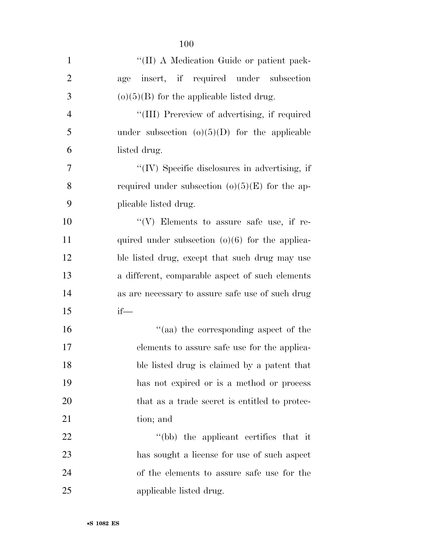| $\mathbf{1}$   | "(II) A Medication Guide or patient pack-         |
|----------------|---------------------------------------------------|
| $\overline{2}$ | insert, if required under subsection<br>age       |
| 3              | $(o)(5)(B)$ for the applicable listed drug.       |
| $\overline{4}$ | "(III) Prereview of advertising, if required      |
| 5              |                                                   |
|                | under subsection $(o)(5)(D)$ for the applicable   |
| 6              | listed drug.                                      |
| 7              | "(IV) Specific disclosures in advertising, if     |
| 8              | required under subsection $(o)(5)(E)$ for the ap- |
| 9              | plicable listed drug.                             |
| 10             | "(V) Elements to assure safe use, if re-          |
| 11             | quired under subsection $(o)(6)$ for the applica- |
| 12             | ble listed drug, except that such drug may use    |
| 13             | a different, comparable aspect of such elements   |
| 14             | as are necessary to assure safe use of such drug  |
| 15             | $if$ —                                            |
| 16             | "(aa) the corresponding aspect of the             |
| 17             | elements to assure safe use for the applica-      |
| 18             | ble listed drug is claimed by a patent that       |
| 19             | has not expired or is a method or process         |
| 20             | that as a trade secret is entitled to protec-     |
| 21             | tion; and                                         |
| 22             | "(bb) the applicant certifies that it             |
| 23             | has sought a license for use of such aspect       |
| 24             | of the elements to assure safe use for the        |
| 25             | applicable listed drug.                           |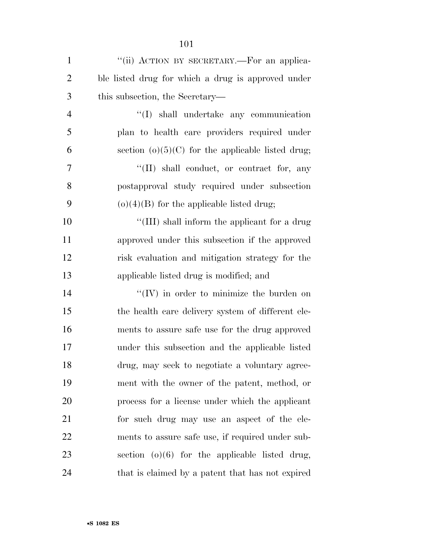| $\mathbf{1}$   | "(ii) ACTION BY SECRETARY.—For an applica-          |
|----------------|-----------------------------------------------------|
| $\overline{2}$ | ble listed drug for which a drug is approved under  |
| 3              | this subsection, the Secretary—                     |
| $\overline{4}$ | "(I) shall undertake any communication              |
| 5              | plan to health care providers required under        |
| 6              | section $(o)(5)(C)$ for the applicable listed drug; |
| 7              | "(II) shall conduct, or contract for, any           |
| 8              | postapproval study required under subsection        |
| 9              | $(o)(4)(B)$ for the applicable listed drug;         |
| 10             | "(III) shall inform the applicant for a drug        |
| 11             | approved under this subsection if the approved      |
| 12             | risk evaluation and mitigation strategy for the     |
| 13             | applicable listed drug is modified; and             |
| 14             | $\lq\lq$ (IV) in order to minimize the burden on    |
| 15             | the health care delivery system of different ele-   |
| 16             | ments to assure safe use for the drug approved      |
| 17             | under this subsection and the applicable listed     |
| 18             | drug, may seek to negotiate a voluntary agree-      |
| 19             | ment with the owner of the patent, method, or       |
| 20             | process for a license under which the applicant     |
| 21             | for such drug may use an aspect of the ele-         |
| 22             | ments to assure safe use, if required under sub-    |
| 23             | section $(o)(6)$ for the applicable listed drug,    |
| 24             | that is claimed by a patent that has not expired    |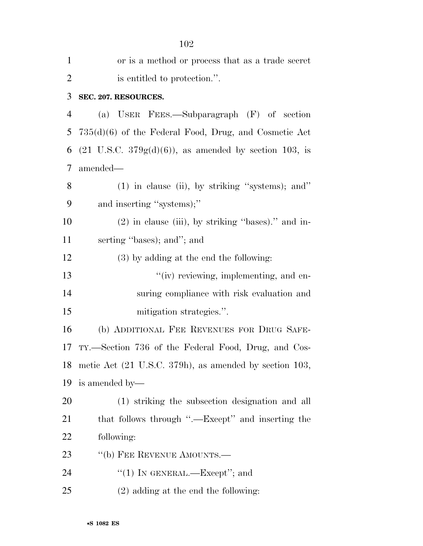| $\mathbf{1}$   | or is a method or process that as a trade secret                           |
|----------------|----------------------------------------------------------------------------|
| $\overline{2}$ | is entitled to protection.".                                               |
| 3              | SEC. 207. RESOURCES.                                                       |
| $\overline{4}$ | (a) USER FEES.—Subparagraph (F) of section                                 |
| 5              | $735(d)(6)$ of the Federal Food, Drug, and Cosmetic Act                    |
| 6              | $(21 \text{ U.S.C. } 379g(d)(6))$ , as amended by section 103, is          |
| 7              | amended-                                                                   |
| 8              | $(1)$ in clause (ii), by striking "systems); and"                          |
| 9              | and inserting "systems);"                                                  |
| 10             | (2) in clause (iii), by striking "bases)." and in-                         |
| 11             | serting "bases); and"; and                                                 |
| 12             | $(3)$ by adding at the end the following:                                  |
| 13             | "(iv) reviewing, implementing, and en-                                     |
| 14             | suring compliance with risk evaluation and                                 |
| 15             | mitigation strategies.".                                                   |
| 16             | (b) ADDITIONAL FEE REVENUES FOR DRUG SAFE-                                 |
| 17             | TY.—Section 736 of the Federal Food, Drug, and Cos-                        |
| 18             | metic Act $(21 \text{ U.S.C. } 379 \text{h})$ , as amended by section 103, |
| 19             | is amended by—                                                             |
| 20             | (1) striking the subsection designation and all                            |
| 21             | that follows through ".—Except" and inserting the                          |
| 22             | following:                                                                 |
| 23             | "(b) FEE REVENUE AMOUNTS.—                                                 |
| 24             | "(1) IN GENERAL.—Except"; and                                              |
| 25             | $(2)$ adding at the end the following:                                     |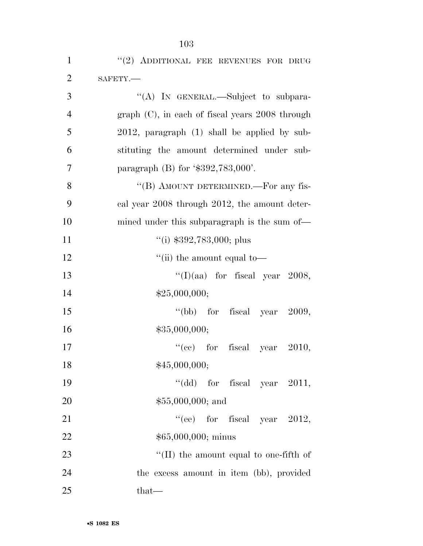| $\mathbf{1}$   | "(2) ADDITIONAL FEE REVENUES FOR DRUG              |
|----------------|----------------------------------------------------|
| $\overline{2}$ | SAFETY.-                                           |
| 3              | "(A) IN GENERAL.—Subject to subpara-               |
| $\overline{4}$ | $graph (C)$ , in each of fiscal years 2008 through |
| 5              | $2012$ , paragraph $(1)$ shall be applied by sub-  |
| 6              | stituting the amount determined under sub-         |
| 7              | paragraph (B) for $\text{\$392,783,000}'.$         |
| 8              | "(B) AMOUNT DETERMINED.—For any fis-               |
| 9              | cal year 2008 through 2012, the amount deter-      |
| 10             | mined under this subparagraph is the sum of—       |
| 11             | $\degree$ (i) \$392,783,000; plus                  |
| 12             | "(ii) the amount equal to-                         |
| 13             | "(I)(aa) for fiscal year 2008,                     |
| 14             | \$25,000,000;                                      |
| 15             | "(bb) for fiscal year $2009$ ,                     |
| 16             | \$35,000,000;                                      |
| 17             | "(cc) for fiscal year $2010$ ,                     |
| 18             | \$45,000,000;                                      |
| 19             | "(dd) for fiscal year $2011$ ,                     |
| 20             | $$55,000,000;$ and                                 |
| 21             | "(ee) for fiscal year $2012$ ,                     |
| 22             | $$65,000,000;$ minus                               |
| 23             | "(II) the amount equal to one-fifth of             |
| 24             | the excess amount in item (bb), provided           |
| 25             | that-                                              |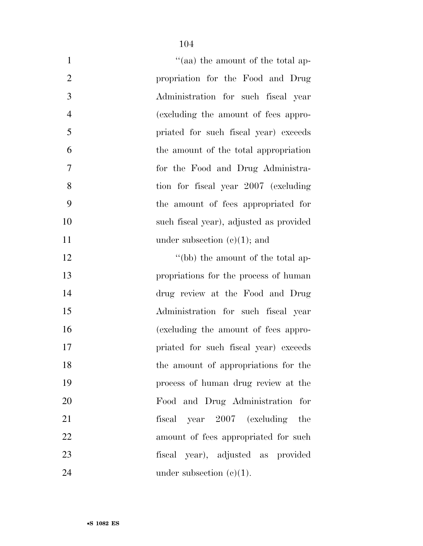| $\mathbf{1}$   | "(aa) the amount of the total ap-       |
|----------------|-----------------------------------------|
| $\overline{2}$ | propriation for the Food and Drug       |
| 3              | Administration for such fiscal year     |
| $\overline{4}$ | (excluding the amount of fees appro-    |
| 5              | priated for such fiscal year) exceeds   |
| 6              | the amount of the total appropriation   |
| 7              | for the Food and Drug Administra-       |
| 8              | tion for fiscal year 2007 (excluding    |
| 9              | the amount of fees appropriated for     |
| 10             | such fiscal year), adjusted as provided |
| 11             | under subsection $(e)(1)$ ; and         |
| 12             | "(bb) the amount of the total ap-       |
| 13             | propriations for the process of human   |
| 14             | drug review at the Food and Drug        |
| 15             | Administration for such fiscal year     |
| 16             | (excluding the amount of fees appro-    |
| 17             | priated for such fiscal year) exceeds   |
| 18             | the amount of appropriations for the    |
| 19             | process of human drug review at the     |
| 20             | Food and Drug Administration for        |
| 21             | fiscal year 2007 (excluding<br>the      |
| 22             | amount of fees appropriated for such    |
| 23             | fiscal year), adjusted as provided      |
| 24             | under subsection $(e)(1)$ .             |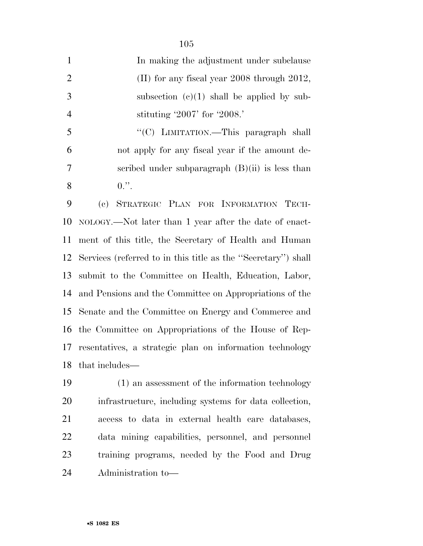| $\mathbf{1}$   | In making the adjustment under subclause                     |
|----------------|--------------------------------------------------------------|
| 2              | (II) for any fiscal year $2008$ through $2012$ ,             |
| 3              | subsection $(e)(1)$ shall be applied by sub-                 |
| $\overline{4}$ | stituting $2007'$ for $2008.'$                               |
| 5              | "(C) LIMITATION.—This paragraph shall                        |
| 6              | not apply for any fiscal year if the amount de-              |
|                | $\alpha$ scaribod under subparacreaph $(R)(ii)$ is loss than |

8  $0.$ ".

scribed under subparagraph (B)(ii) is less than

 (c) STRATEGIC PLAN FOR INFORMATION TECH- NOLOGY.—Not later than 1 year after the date of enact- ment of this title, the Secretary of Health and Human Services (referred to in this title as the ''Secretary'') shall submit to the Committee on Health, Education, Labor, and Pensions and the Committee on Appropriations of the Senate and the Committee on Energy and Commerce and the Committee on Appropriations of the House of Rep- resentatives, a strategic plan on information technology that includes—

 (1) an assessment of the information technology infrastructure, including systems for data collection, access to data in external health care databases, data mining capabilities, personnel, and personnel training programs, needed by the Food and Drug Administration to—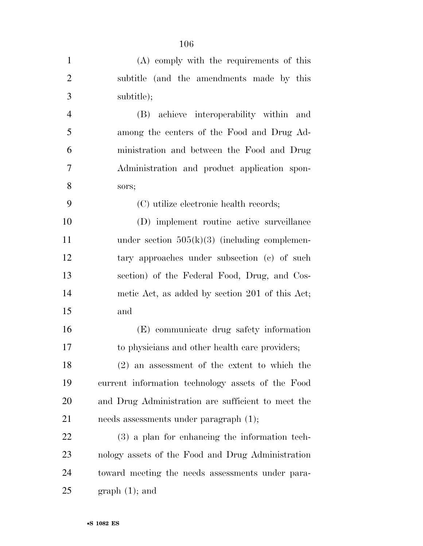| $\mathbf{1}$   | (A) comply with the requirements of this           |
|----------------|----------------------------------------------------|
| $\overline{2}$ | subtitle (and the amendments made by this          |
| 3              | subtitle);                                         |
| $\overline{4}$ | (B) achieve interoperability within and            |
| 5              | among the centers of the Food and Drug Ad-         |
| 6              | ministration and between the Food and Drug         |
| 7              | Administration and product application spon-       |
| 8              | sors;                                              |
| 9              | (C) utilize electronic health records;             |
| 10             | (D) implement routine active surveillance          |
| 11             | under section $505(k)(3)$ (including complemen-    |
| 12             | tary approaches under subsection (c) of such       |
| 13             | section) of the Federal Food, Drug, and Cos-       |
| 14             | metic Act, as added by section 201 of this Act;    |
| 15             | and                                                |
| 16             | (E) communicate drug safety information            |
| 17             | to physicians and other health care providers;     |
| 18             | $(2)$ an assessment of the extent to which the     |
| 19             | current information technology assets of the Food  |
| 20             | and Drug Administration are sufficient to meet the |
| 21             | needs assessments under paragraph $(1)$ ;          |
| 22             | $(3)$ a plan for enhancing the information tech-   |
| 23             | nology assets of the Food and Drug Administration  |
| 24             | toward meeting the needs assessments under para-   |
| 25             | $graph(1);$ and                                    |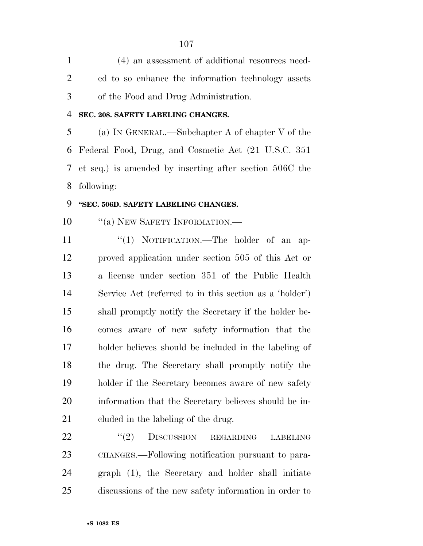| $\mathbf{1}$   | (4) an assessment of additional resources need-                 |
|----------------|-----------------------------------------------------------------|
| $\overline{2}$ | ed to so enhance the information technology assets              |
| 3              | of the Food and Drug Administration.                            |
| 4              | SEC. 208. SAFETY LABELING CHANGES.                              |
| 5              | (a) IN GENERAL.—Subchapter A of chapter V of the                |
| 6              | Federal Food, Drug, and Cosmetic Act (21 U.S.C. 351)            |
| 7              | et seq.) is amended by inserting after section 506C the         |
| 8              | following:                                                      |
| 9              | "SEC. 506D. SAFETY LABELING CHANGES.                            |
| 10             | "(a) NEW SAFETY INFORMATION.-                                   |
| 11             | "(1) NOTIFICATION.—The holder of an ap-                         |
| 12             | proved application under section 505 of this Act or             |
| 13             | a license under section 351 of the Public Health                |
| 14             | Service Act (referred to in this section as a 'holder')         |
| 15             | shall promptly notify the Secretary if the holder be-           |
| 16             | comes aware of new safety information that the                  |
| 17             | holder believes should be included in the labeling of           |
| 18             | the drug. The Secretary shall promptly notify the               |
| 19             | holder if the Secretary becomes aware of new safety             |
| 20             | information that the Secretary believes should be in-           |
| 21             | eluded in the labeling of the drug.                             |
| 22             | (2)<br><b>DISCUSSION</b><br><b>REGARDING</b><br><b>LABELING</b> |
| 23             | CHANGES.—Following notification pursuant to para-               |
| 24             | graph (1), the Secretary and holder shall initiate              |
| 25             | discussions of the new safety information in order to           |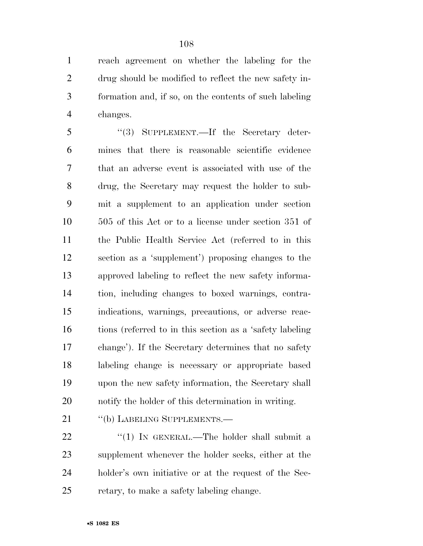reach agreement on whether the labeling for the drug should be modified to reflect the new safety in- formation and, if so, on the contents of such labeling changes.

 ''(3) SUPPLEMENT.—If the Secretary deter- mines that there is reasonable scientific evidence that an adverse event is associated with use of the drug, the Secretary may request the holder to sub- mit a supplement to an application under section 505 of this Act or to a license under section 351 of the Public Health Service Act (referred to in this section as a 'supplement') proposing changes to the approved labeling to reflect the new safety informa- tion, including changes to boxed warnings, contra- indications, warnings, precautions, or adverse reac- tions (referred to in this section as a 'safety labeling change'). If the Secretary determines that no safety labeling change is necessary or appropriate based upon the new safety information, the Secretary shall notify the holder of this determination in writing.

21 "(b) LABELING SUPPLEMENTS.—

 $\frac{22}{10}$  <sup>''</sup>(1) In GENERAL.—The holder shall submit a supplement whenever the holder seeks, either at the holder's own initiative or at the request of the Sec-retary, to make a safety labeling change.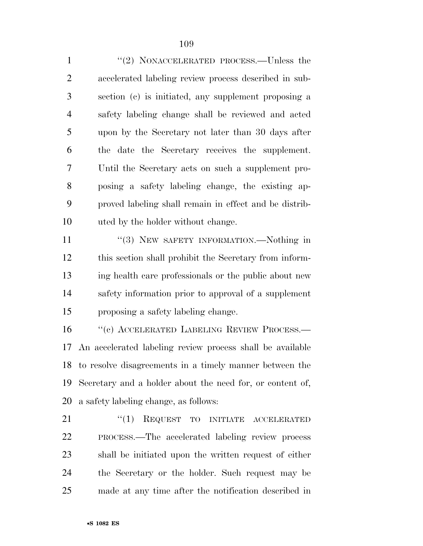1 "(2) NONACCELERATED PROCESS.—Unless the accelerated labeling review process described in sub- section (c) is initiated, any supplement proposing a safety labeling change shall be reviewed and acted upon by the Secretary not later than 30 days after the date the Secretary receives the supplement. Until the Secretary acts on such a supplement pro- posing a safety labeling change, the existing ap- proved labeling shall remain in effect and be distrib-uted by the holder without change.

11 "(3) NEW SAFETY INFORMATION.—Nothing in this section shall prohibit the Secretary from inform- ing health care professionals or the public about new safety information prior to approval of a supplement proposing a safety labeling change.

16 "(c) ACCELERATED LABELING REVIEW PROCESS.— An accelerated labeling review process shall be available to resolve disagreements in a timely manner between the Secretary and a holder about the need for, or content of, a safety labeling change, as follows:

21 "(1) REQUEST TO INITIATE ACCELERATED PROCESS.—The accelerated labeling review process shall be initiated upon the written request of either the Secretary or the holder. Such request may be made at any time after the notification described in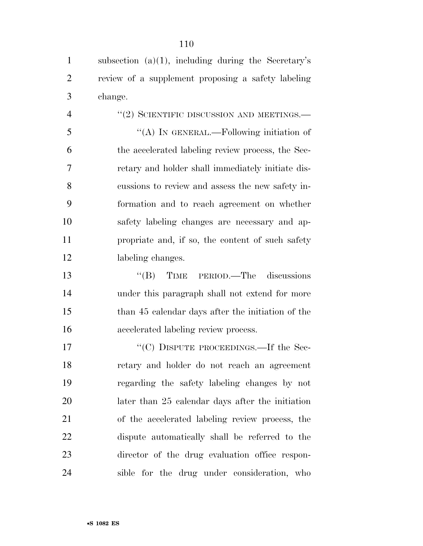| $\mathbf{1}$   | subsection $(a)(1)$ , including during the Secretary's |
|----------------|--------------------------------------------------------|
| $\overline{2}$ | review of a supplement proposing a safety labeling     |
| 3              | change.                                                |
| $\overline{4}$ | $``(2)$ SCIENTIFIC DISCUSSION AND MEETINGS.—           |
| 5              | "(A) IN GENERAL.—Following initiation of               |
| 6              | the accelerated labeling review process, the Sec-      |
| 7              | retary and holder shall immediately initiate dis-      |
| 8              | cussions to review and assess the new safety in-       |
| 9              | formation and to reach agreement on whether            |
| 10             | safety labeling changes are necessary and ap-          |
| 11             | propriate and, if so, the content of such safety       |
| 12             | labeling changes.                                      |
| 13             | $\lq\lq(B)$ TIME<br>PERIOD.—The discussions            |
| 14             | under this paragraph shall not extend for more         |
| 15             | than 45 calendar days after the initiation of the      |
| 16             | accelerated labeling review process.                   |
| 17             | "(C) DISPUTE PROCEEDINGS.—If the Sec-                  |
| 18             | retary and holder do not reach an agreement            |
| 19             | regarding the safety labeling changes by not           |
| 20             | later than 25 calendar days after the initiation       |
| 21             | of the accelerated labeling review process, the        |
| 22             | dispute automatically shall be referred to the         |
| 23             | director of the drug evaluation office respon-         |
| 24             | sible for the drug under consideration, who            |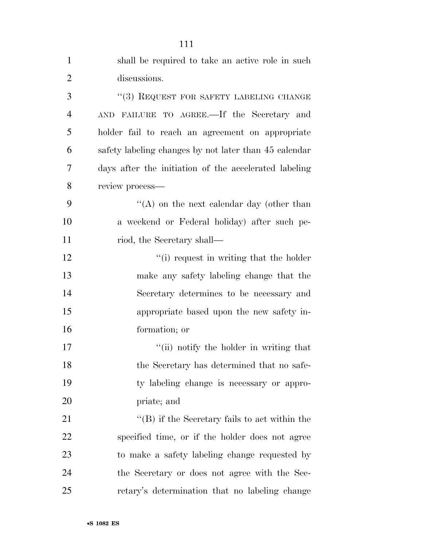| $\mathbf{1}$   | shall be required to take an active role in such      |
|----------------|-------------------------------------------------------|
| $\overline{2}$ | discussions.                                          |
| 3              | "(3) REQUEST FOR SAFETY LABELING CHANGE               |
| $\overline{4}$ | FAILURE TO AGREE.—If the Secretary and<br><b>AND</b>  |
| 5              | holder fail to reach an agreement on appropriate      |
| 6              | safety labeling changes by not later than 45 calendar |
| 7              | days after the initiation of the accelerated labeling |
| 8              | review process-                                       |
| 9              | "(A) on the next calendar day (other than             |
| 10             | a weekend or Federal holiday) after such pe-          |
| 11             | riod, the Secretary shall—                            |
| 12             | "(i) request in writing that the holder               |
| 13             | make any safety labeling change that the              |
| 14             | Secretary determines to be necessary and              |
| 15             | appropriate based upon the new safety in-             |
| 16             | formation; or                                         |
| 17             | "(ii) notify the holder in writing that               |
| 18             | the Secretary has determined that no safe-            |
| 19             | ty labeling change is necessary or appro-             |
| 20             | priate; and                                           |
| 21             | "(B) if the Secretary fails to act within the         |
| 22             | specified time, or if the holder does not agree       |
| 23             | to make a safety labeling change requested by         |
| 24             | the Secretary or does not agree with the Sec-         |
| 25             | retary's determination that no labeling change        |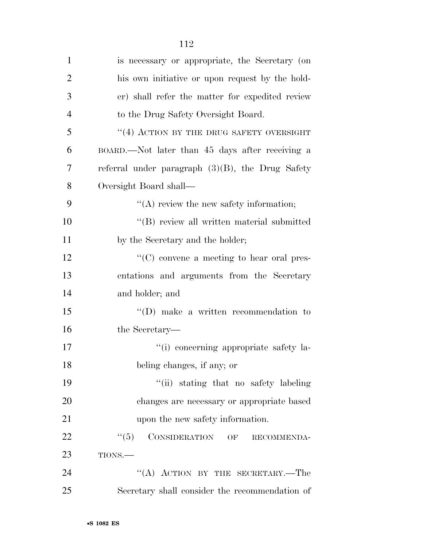| $\mathbf{1}$   | is necessary or appropriate, the Secretary (on      |
|----------------|-----------------------------------------------------|
| $\overline{2}$ | his own initiative or upon request by the hold-     |
| 3              | er) shall refer the matter for expedited review     |
| $\overline{4}$ | to the Drug Safety Oversight Board.                 |
| 5              | "(4) ACTION BY THE DRUG SAFETY OVERSIGHT            |
| 6              | BOARD.—Not later than 45 days after receiving a     |
| 7              | referral under paragraph $(3)(B)$ , the Drug Safety |
| 8              | Oversight Board shall—                              |
| 9              | $\lq\lq$ review the new safety information;         |
| 10             | "(B) review all written material submitted          |
| 11             | by the Secretary and the holder;                    |
| 12             | $\lq\lq$ (C) convene a meeting to hear oral pres-   |
| 13             | entations and arguments from the Secretary          |
| 14             | and holder; and                                     |
| 15             | $\lq\lq$ (D) make a written recommendation to       |
| 16             | the Secretary—                                      |
| 17             | "(i) concerning appropriate safety la-              |
| 18             | beling changes, if any; or                          |
| 19             | "(ii) stating that no safety labeling               |
| 20             | changes are necessary or appropriate based          |
| 21             | upon the new safety information.                    |
| 22             | CONSIDERATION OF<br>``(5)<br>RECOMMENDA-            |
| 23             | TIONS.                                              |
| 24             | "(A) ACTION BY THE SECRETARY.—The                   |
| 25             | Secretary shall consider the recommendation of      |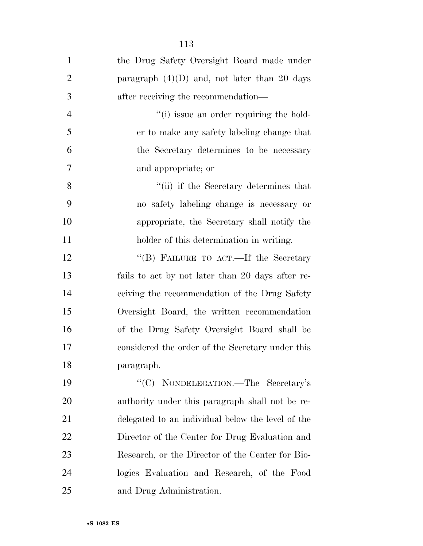| $\mathbf{1}$   | the Drug Safety Oversight Board made under        |
|----------------|---------------------------------------------------|
| $\overline{2}$ | paragraph $(4)(D)$ and, not later than 20 days    |
| 3              | after receiving the recommendation—               |
| $\overline{4}$ | "(i) issue an order requiring the hold-           |
| 5              | er to make any safety labeling change that        |
| 6              | the Secretary determines to be necessary          |
| 7              | and appropriate; or                               |
| 8              | "(ii) if the Secretary determines that            |
| 9              | no safety labeling change is necessary or         |
| 10             | appropriate, the Secretary shall notify the       |
| 11             | holder of this determination in writing.          |
| 12             | "(B) FAILURE TO ACT.—If the Secretary             |
| 13             | fails to act by not later than 20 days after re-  |
| 14             | ceiving the recommendation of the Drug Safety     |
| 15             | Oversight Board, the written recommendation       |
| 16             | of the Drug Safety Oversight Board shall be       |
| 17             | considered the order of the Secretary under this  |
| 18             | paragraph.                                        |
| 19             | "(C) NONDELEGATION.—The Secretary's               |
| <b>20</b>      | authority under this paragraph shall not be re-   |
| 21             | delegated to an individual below the level of the |
| 22             | Director of the Center for Drug Evaluation and    |
| 23             | Research, or the Director of the Center for Bio-  |
| 24             | logics Evaluation and Research, of the Food       |
| 25             | and Drug Administration.                          |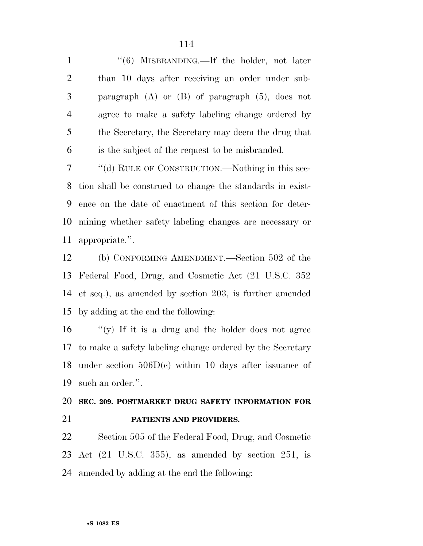1 ''(6) MISBRANDING.—If the holder, not later than 10 days after receiving an order under sub- paragraph (A) or (B) of paragraph (5), does not agree to make a safety labeling change ordered by the Secretary, the Secretary may deem the drug that is the subject of the request to be misbranded.

 ''(d) RULE OF CONSTRUCTION.—Nothing in this sec- tion shall be construed to change the standards in exist- ence on the date of enactment of this section for deter- mining whether safety labeling changes are necessary or appropriate.''.

 (b) CONFORMING AMENDMENT.—Section 502 of the Federal Food, Drug, and Cosmetic Act (21 U.S.C. 352 et seq.), as amended by section 203, is further amended by adding at the end the following:

 $\gamma$  (y) If it is a drug and the holder does not agree to make a safety labeling change ordered by the Secretary under section 506D(c) within 10 days after issuance of such an order.''.

## **SEC. 209. POSTMARKET DRUG SAFETY INFORMATION FOR PATIENTS AND PROVIDERS.**

 Section 505 of the Federal Food, Drug, and Cosmetic Act (21 U.S.C. 355), as amended by section 251, is amended by adding at the end the following: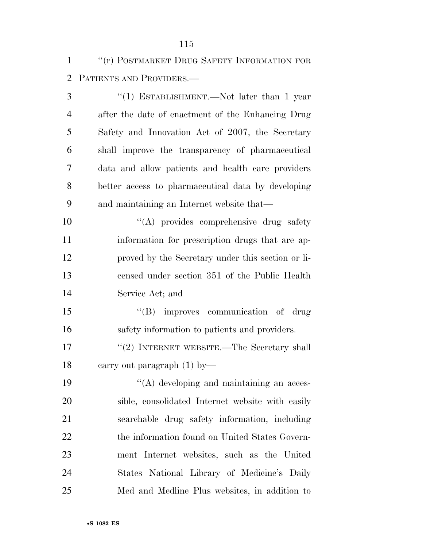''(r) POSTMARKET DRUG SAFETY INFORMATION FOR PATIENTS AND PROVIDERS.—

 ''(1) ESTABLISHMENT.—Not later than 1 year after the date of enactment of the Enhancing Drug Safety and Innovation Act of 2007, the Secretary shall improve the transparency of pharmaceutical data and allow patients and health care providers better access to pharmaceutical data by developing and maintaining an Internet website that—  $\langle (A)$  provides comprehensive drug safety information for prescription drugs that are ap- proved by the Secretary under this section or li- censed under section 351 of the Public Health Service Act; and 15 "(B) improves communication of drug safety information to patients and providers. 17 "(2) INTERNET WEBSITE.—The Secretary shall carry out paragraph (1) by— 19 ''(A) developing and maintaining an acces- sible, consolidated Internet website with easily searchable drug safety information, including 22 the information found on United States Govern- ment Internet websites, such as the United States National Library of Medicine's Daily Med and Medline Plus websites, in addition to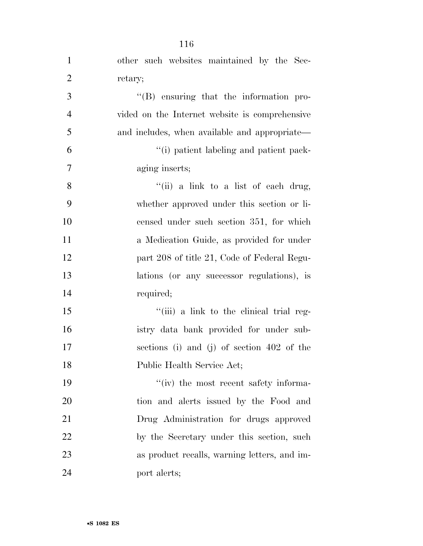| $\mathbf{1}$   | other such websites maintained by the Sec-      |
|----------------|-------------------------------------------------|
| $\overline{2}$ | retary;                                         |
| 3              | $\lq\lq (B)$ ensuring that the information pro- |
| $\overline{4}$ | vided on the Internet website is comprehensive  |
| 5              | and includes, when available and appropriate—   |
| 6              | "(i) patient labeling and patient pack-         |
| $\tau$         | aging inserts;                                  |
| 8              | "(ii) a link to a list of each drug,            |
| 9              | whether approved under this section or li-      |
| 10             | censed under such section 351, for which        |
| 11             | a Medication Guide, as provided for under       |
| 12             | part 208 of title 21, Code of Federal Regu-     |
| 13             | lations (or any successor regulations), is      |
| 14             | required;                                       |
| 15             | "(iii) a link to the clinical trial reg-        |
| 16             | istry data bank provided for under sub-         |
| 17             | sections (i) and (j) of section $402$ of the    |
| 18             | Public Health Service Act;                      |
| 19             | "(iv) the most recent safety informa-           |
| 20             | tion and alerts issued by the Food and          |
| 21             | Drug Administration for drugs approved          |
| 22             | by the Secretary under this section, such       |
| 23             | as product recalls, warning letters, and im-    |
| 24             | port alerts;                                    |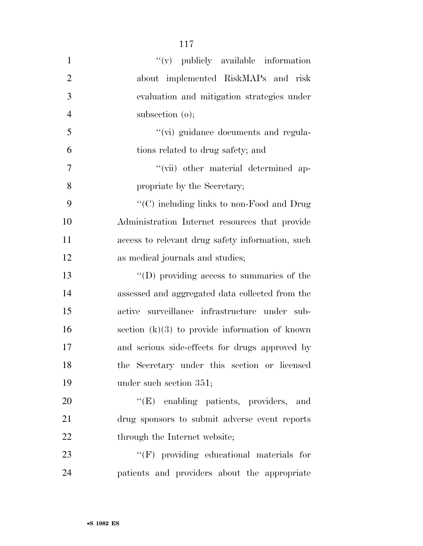| $\mathbf{1}$   | $f'(v)$ publicly available information            |
|----------------|---------------------------------------------------|
| $\overline{2}$ | about implemented RiskMAPs and risk               |
| 3              | evaluation and mitigation strategies under        |
| $\overline{4}$ | subsection $(o)$ ;                                |
| 5              | "(vi) guidance documents and regula-              |
| 6              | tions related to drug safety; and                 |
| 7              | "(vii) other material determined ap-              |
| 8              | propriate by the Secretary;                       |
| 9              | "(C) including links to non-Food and Drug         |
| 10             | Administration Internet resources that provide    |
| 11             | access to relevant drug safety information, such  |
| 12             | as medical journals and studies;                  |
| 13             | $\lq\lq$ (D) providing access to summaries of the |
| 14             | assessed and aggregated data collected from the   |
| 15             | active surveillance infrastructure under sub-     |
| 16             | section $(k)(3)$ to provide information of known  |
| 17             | and serious side-effects for drugs approved by    |
| 18             | the Secretary under this section or licensed      |
| 19             | under such section 351;                           |
| <b>20</b>      | "(E) enabling patients, providers, and            |
| 21             | drug sponsors to submit adverse event reports     |
| 22             | through the Internet website;                     |
| 23             | $\lq\lq(F)$ providing educational materials for   |
| 24             | patients and providers about the appropriate      |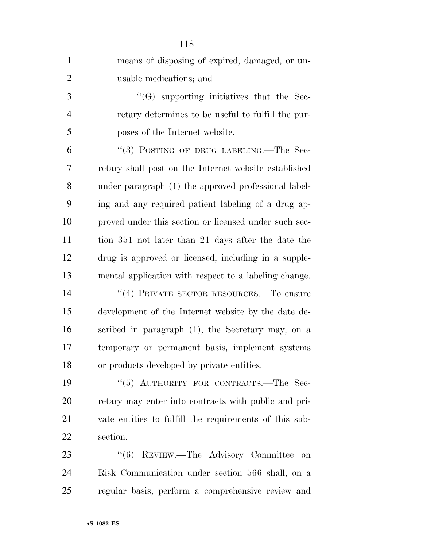| $\mathbf{1}$   | means of disposing of expired, damaged, or un-         |
|----------------|--------------------------------------------------------|
| $\overline{2}$ | usable medications; and                                |
| 3              | $\lq\lq(G)$ supporting initiatives that the Sec-       |
| $\overline{4}$ | retary determines to be useful to fulfill the pur-     |
| 5              | poses of the Internet website.                         |
| 6              | "(3) POSTING OF DRUG LABELING.—The Sec-                |
| 7              | retary shall post on the Internet website established  |
| 8              | under paragraph (1) the approved professional label-   |
| 9              | ing and any required patient labeling of a drug ap-    |
| 10             | proved under this section or licensed under such sec-  |
| 11             | tion 351 not later than 21 days after the date the     |
| 12             | drug is approved or licensed, including in a supple-   |
| 13             | mental application with respect to a labeling change.  |
| 14             | "(4) PRIVATE SECTOR RESOURCES.—To ensure               |
| 15             | development of the Internet website by the date de-    |
| 16             | scribed in paragraph $(1)$ , the Secretary may, on a   |
| 17             | temporary or permanent basis, implement systems        |
| 18             | or products developed by private entities.             |
| 19             | "(5) AUTHORITY FOR CONTRACTS.-The Sec-                 |
| 20             | retary may enter into contracts with public and pri-   |
| 21             | vate entities to fulfill the requirements of this sub- |
| 22             | section.                                               |
| 23             | "(6) REVIEW.—The Advisory Committee<br>on              |
| 24             | Risk Communication under section 566 shall, on a       |
| 25             | regular basis, perform a comprehensive review and      |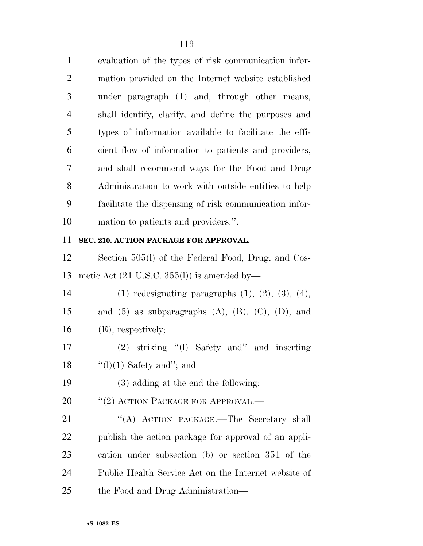| $\mathbf{1}$   | evaluation of the types of risk communication infor-   |
|----------------|--------------------------------------------------------|
| 2              | mation provided on the Internet website established    |
| 3              | under paragraph (1) and, through other means,          |
| $\overline{4}$ | shall identify, clarify, and define the purposes and   |
| 5              | types of information available to facilitate the effi- |
| 6              | cient flow of information to patients and providers,   |
| 7              | and shall recommend ways for the Food and Drug         |
| 8              | Administration to work with outside entities to help   |
| 9              | facilitate the dispensing of risk communication infor- |
| 10             | mation to patients and providers.".                    |

#### **SEC. 210. ACTION PACKAGE FOR APPROVAL.**

 Section 505(l) of the Federal Food, Drug, and Cos-metic Act (21 U.S.C. 355(l)) is amended by—

 (1) redesignating paragraphs (1), (2), (3), (4), 15 and (5) as subparagraphs  $(A)$ ,  $(B)$ ,  $(C)$ ,  $(D)$ , and (E), respectively;

 (2) striking ''(l) Safety and'' and inserting 18  $\frac{1}{2}$  (1)(1) Safety and"; and

(3) adding at the end the following:

20 <sup>"</sup>(2) ACTION PACKAGE FOR APPROVAL.—

21 "(A) ACTION PACKAGE.—The Secretary shall publish the action package for approval of an appli- cation under subsection (b) or section 351 of the Public Health Service Act on the Internet website of the Food and Drug Administration—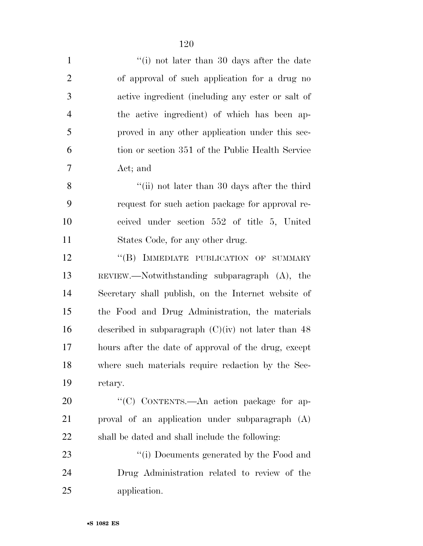| $\mathbf{1}$   | "(i) not later than 30 days after the date            |
|----------------|-------------------------------------------------------|
| $\mathfrak{2}$ | of approval of such application for a drug no         |
| 3              | active ingredient (including any ester or salt of     |
| $\overline{4}$ | the active ingredient) of which has been ap-          |
| 5              | proved in any other application under this sec-       |
| 6              | tion or section 351 of the Public Health Service      |
| 7              | Act; and                                              |
| 8              | "(ii) not later than 30 days after the third          |
| 9              | request for such action package for approval re-      |
| 10             | ceived under section 552 of title 5, United           |
| 11             | States Code, for any other drug.                      |
| 12             | "(B) IMMEDIATE PUBLICATION OF SUMMARY                 |
| 13             | REVIEW.—Notwithstanding subparagraph $(A)$ , the      |
| 14             | Secretary shall publish, on the Internet website of   |
| 15             | the Food and Drug Administration, the materials       |
| 16             | described in subparagraph $(C)(iv)$ not later than 48 |
| 17             | hours after the date of approval of the drug, except  |
| 18             | where such materials require redaction by the Sec-    |
| 19             | retary.                                               |
| 20             | "(C) CONTENTS. An action package for ap-              |
| 21             | proval of an application under subparagraph (A)       |
| 22             | shall be dated and shall include the following:       |
| 23             | "(i) Documents generated by the Food and              |
| 24             | Drug Administration related to review of the          |
| 25             | application.                                          |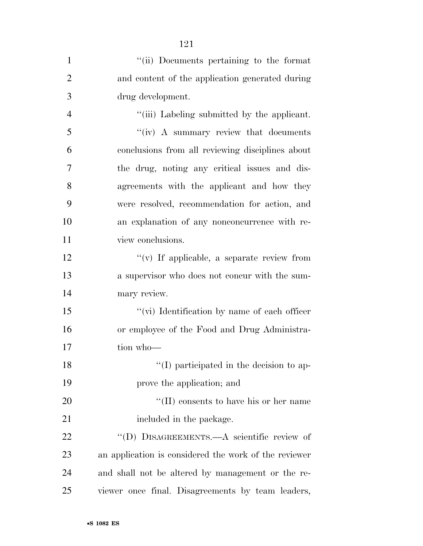| $\mathbf{1}$   | "(ii) Documents pertaining to the format              |
|----------------|-------------------------------------------------------|
| $\overline{2}$ | and content of the application generated during       |
| 3              | drug development.                                     |
| $\overline{4}$ | "(iii) Labeling submitted by the applicant.           |
| 5              | "(iv) A summary review that documents                 |
| 6              | conclusions from all reviewing disciplines about      |
| 7              | the drug, noting any critical issues and dis-         |
| 8              | agreements with the applicant and how they            |
| 9              | were resolved, recommendation for action, and         |
| 10             | an explanation of any nonconcurrence with re-         |
| 11             | view conclusions.                                     |
| 12             | $\lq\lq$ (v) If applicable, a separate review from    |
| 13             | a supervisor who does not concur with the sum-        |
| 14             | mary review.                                          |
| 15             | "(vi) Identification by name of each officer          |
| 16             | or employee of the Food and Drug Administra-          |
| 17             | tion who-                                             |
| 18             | "(I) participated in the decision to ap-              |
| 19             | prove the application; and                            |
| 20             | $\lq\lq$ (II) consents to have his or her name        |
| 21             | included in the package.                              |
| 22             | "(D) DISAGREEMENTS.—A scientific review of            |
| 23             | an application is considered the work of the reviewer |
| 24             | and shall not be altered by management or the re-     |
| 25             | viewer once final. Disagreements by team leaders,     |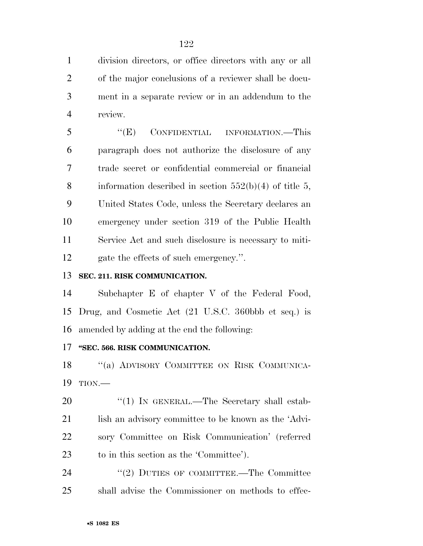division directors, or office directors with any or all of the major conclusions of a reviewer shall be docu- ment in a separate review or in an addendum to the review.

 ''(E) CONFIDENTIAL INFORMATION.—This paragraph does not authorize the disclosure of any trade secret or confidential commercial or financial 8 information described in section  $552(b)(4)$  of title 5, United States Code, unless the Secretary declares an emergency under section 319 of the Public Health Service Act and such disclosure is necessary to miti-gate the effects of such emergency.''.

#### **SEC. 211. RISK COMMUNICATION.**

 Subchapter E of chapter V of the Federal Food, Drug, and Cosmetic Act (21 U.S.C. 360bbb et seq.) is amended by adding at the end the following:

#### **''SEC. 566. RISK COMMUNICATION.**

18 "(a) ADVISORY COMMITTEE ON RISK COMMUNICA-TION.—

20 "(1) IN GENERAL.—The Secretary shall estab-21 lish an advisory committee to be known as the 'Advi- sory Committee on Risk Communication' (referred to in this section as the 'Committee').

24 ''(2) DUTIES OF COMMITTEE.—The Committee shall advise the Commissioner on methods to effec-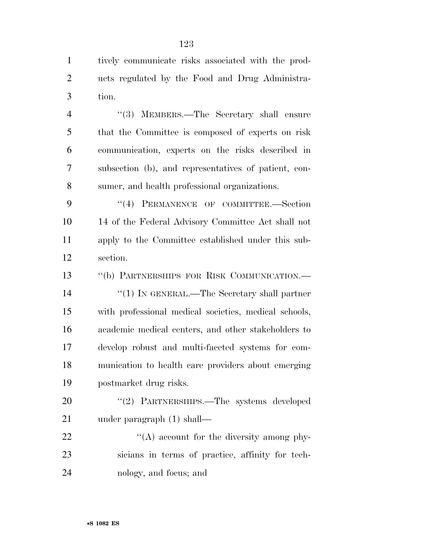tively communicate risks associated with the prod- ucts regulated by the Food and Drug Administra-tion.

4 "(3) MEMBERS.—The Secretary shall ensure that the Committee is composed of experts on risk communication, experts on the risks described in subsection (b), and representatives of patient, con-sumer, and health professional organizations.

9 "(4) PERMANENCE OF COMMITTEE.-Section 14 of the Federal Advisory Committee Act shall not apply to the Committee established under this sub-section.

 ''(b) PARTNERSHIPS FOR RISK COMMUNICATION.— ''(1) IN GENERAL.—The Secretary shall partner with professional medical societies, medical schools, academic medical centers, and other stakeholders to develop robust and multi-faceted systems for com- munication to health care providers about emerging postmarket drug risks.

20 "(2) PARTNERSHIPS.—The systems developed under paragraph (1) shall—

22 "(A) account for the diversity among phy- sicians in terms of practice, affinity for tech-nology, and focus; and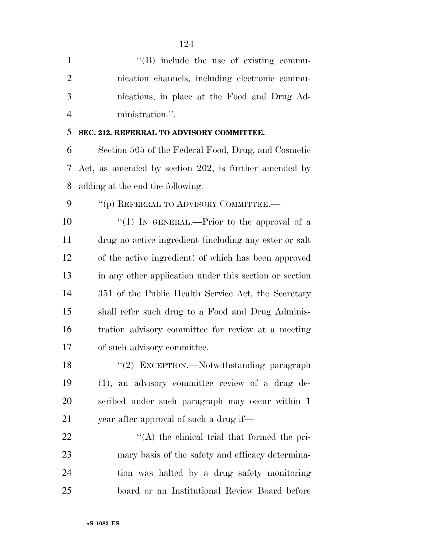| $\mathbf{1}$   | $\lq\lq$ (B) include the use of existing commu-        |
|----------------|--------------------------------------------------------|
| $\overline{2}$ | nication channels, including electronic commu-         |
| 3              | nications, in place at the Food and Drug Ad-           |
| $\overline{4}$ | ministration.".                                        |
| 5              | SEC. 212. REFERRAL TO ADVISORY COMMITTEE.              |
| 6              | Section 505 of the Federal Food, Drug, and Cosmetic    |
| 7              | Act, as amended by section 202, is further amended by  |
| 8              | adding at the end the following:                       |
| 9              | "(p) REFERRAL TO ADVISORY COMMITTEE.-                  |
| 10             | "(1) IN GENERAL.—Prior to the approval of a            |
| 11             | drug no active ingredient (including any ester or salt |
| 12             | of the active ingredient) of which has been approved   |
| 13             | in any other application under this section or section |
| 14             | 351 of the Public Health Service Act, the Secretary    |
| 15             | shall refer such drug to a Food and Drug Adminis-      |
| 16             | tration advisory committee for review at a meeting     |
| 17             | of such advisory committee.                            |
| 18             | "(2) EXCEPTION.—Notwithstanding paragraph              |
| 19             | (1), an advisory committee review of a drug de-        |
| 20             | scribed under such paragraph may occur within 1        |
| 21             | year after approval of such a drug if—                 |
| 22             | "(A) the clinical trial that formed the pri-           |
| 23             | mary basis of the safety and efficacy determina-       |
| 24             | tion was halted by a drug safety monitoring            |
| 25             | board or an Institutional Review Board before          |

•**S 1082 ES**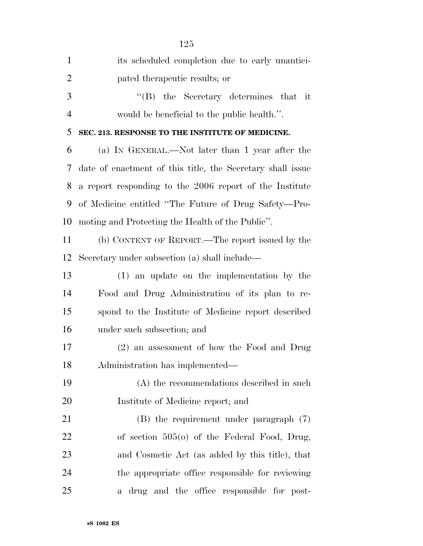| $\mathbf{1}$   | its scheduled completion due to early unantici-            |
|----------------|------------------------------------------------------------|
| $\overline{2}$ | pated therapeutic results; or                              |
| 3              | $\lq\lq$ the Secretary determines that it                  |
| $\overline{4}$ | would be beneficial to the public health.".                |
| 5              | SEC. 213. RESPONSE TO THE INSTITUTE OF MEDICINE.           |
| 6              | (a) IN GENERAL.—Not later than 1 year after the            |
| 7              | date of enactment of this title, the Secretary shall issue |
| 8              | a report responding to the 2006 report of the Institute    |
| 9              | of Medicine entitled "The Future of Drug Safety—Pro-       |
| 10             | moting and Protecting the Health of the Public".           |
| 11             | (b) CONTENT OF REPORT.—The report issued by the            |
| 12             | Secretary under subsection (a) shall include—              |
| 13             | $(1)$ an update on the implementation by the               |
| 14             | Food and Drug Administration of its plan to re-            |
| 15             | spond to the Institute of Medicine report described        |
| 16             | under such subsection; and                                 |
| 17             | (2) an assessment of how the Food and Drug                 |
| 18             | Administration has implemented—                            |
| 19             | (A) the recommendations described in such                  |
| 20             | Institute of Medicine report; and                          |
| 21             | $(B)$ the requirement under paragraph $(7)$                |
| 22             | of section $505(0)$ of the Federal Food, Drug,             |
| 23             | and Cosmetic Act (as added by this title), that            |
| 24             | the appropriate office responsible for reviewing           |
| 25             | drug and the office responsible for post-<br>a -           |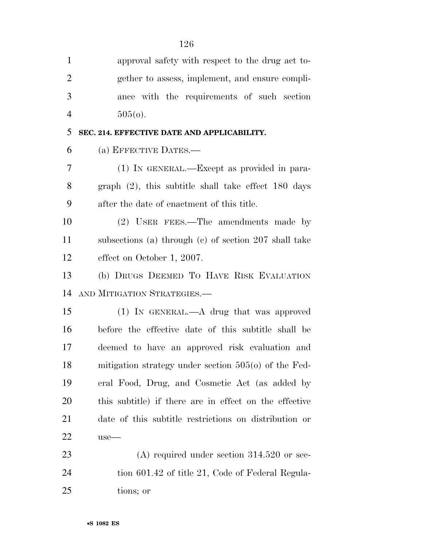| $\mathbf{1}$   | approval safety with respect to the drug act to-       |
|----------------|--------------------------------------------------------|
| $\overline{2}$ | gether to assess, implement, and ensure compli-        |
| 3              | ance with the requirements of such section             |
| $\overline{4}$ | $505(0)$ .                                             |
| 5              | SEC. 214. EFFECTIVE DATE AND APPLICABILITY.            |
| 6              | (a) EFFECTIVE DATES.—                                  |
| 7              | (1) IN GENERAL.—Except as provided in para-            |
| 8              | graph $(2)$ , this subtitle shall take effect 180 days |
| 9              | after the date of enactment of this title.             |
| 10             | (2) USER FEES.—The amendments made by                  |
| 11             | subsections (a) through (c) of section 207 shall take  |
| 12             | effect on October 1, 2007.                             |
| 13             | (b) DRUGS DEEMED TO HAVE RISK EVALUATION               |
| 14             | AND MITIGATION STRATEGIES.-                            |
| 15             | $(1)$ In GENERAL.—A drug that was approved             |
| 16             | before the effective date of this subtitle shall be    |
| 17             | deemed to have an approved risk evaluation and         |
| 18             | mitigation strategy under section $505(0)$ of the Fed- |
| 19             | eral Food, Drug, and Cosmetic Act (as added by         |
| 20             | this subtitle) if there are in effect on the effective |
| 21             | date of this subtitle restrictions on distribution or  |
| 22             | $use-$                                                 |
| 23             | $(A)$ required under section 314.520 or sec-           |
| 24             | tion 601.42 of title 21, Code of Federal Regula-       |
| 25             | tions; or                                              |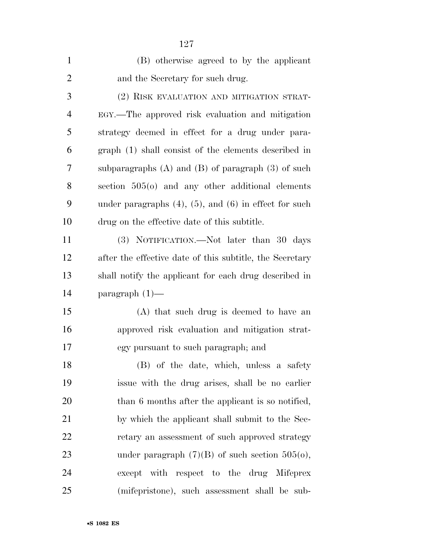| $\mathbf{1}$   | (B) otherwise agreed to by the applicant                      |
|----------------|---------------------------------------------------------------|
| $\overline{2}$ | and the Secretary for such drug.                              |
| 3              | (2) RISK EVALUATION AND MITIGATION STRAT-                     |
| $\overline{4}$ | EGY.—The approved risk evaluation and mitigation              |
| 5              | strategy deemed in effect for a drug under para-              |
| 6              | graph (1) shall consist of the elements described in          |
| 7              | subparagraphs $(A)$ and $(B)$ of paragraph $(3)$ of such      |
| 8              | section $505(0)$ and any other additional elements            |
| 9              | under paragraphs $(4)$ , $(5)$ , and $(6)$ in effect for such |
| 10             | drug on the effective date of this subtitle.                  |
| 11             | (3) NOTIFICATION.—Not later than 30 days                      |
| 12             | after the effective date of this subtitle, the Secretary      |
| 13             | shall notify the applicant for each drug described in         |
| 14             | paragraph $(1)$ —                                             |
| 15             | (A) that such drug is deemed to have an                       |
| 16             | approved risk evaluation and mitigation strat-                |
| 17             | egy pursuant to such paragraph; and                           |
| 18             | (B) of the date, which, unless a safety                       |
| 19             | issue with the drug arises, shall be no earlier               |
| 20             | than 6 months after the applicant is so notified,             |
| 21             | by which the applicant shall submit to the Sec-               |
| 22             | retary an assessment of such approved strategy                |
| 23             | under paragraph $(7)(B)$ of such section $505(0)$ ,           |
| 24             | except with respect to the drug Mifeprex                      |
| 25             | (mifepristone), such assessment shall be sub-                 |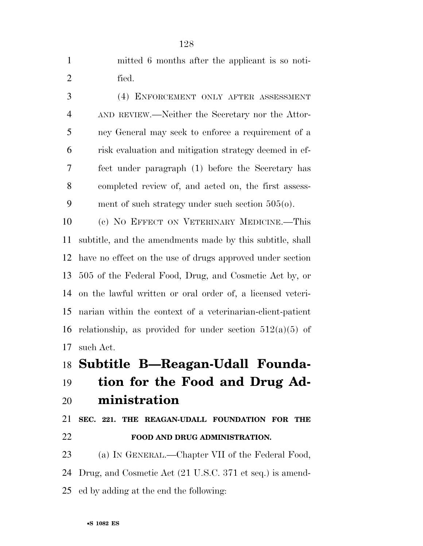|       |  | mitted 6 months after the applicant is so noti- |  |  |
|-------|--|-------------------------------------------------|--|--|
| fied. |  |                                                 |  |  |

 (4) ENFORCEMENT ONLY AFTER ASSESSMENT AND REVIEW.—Neither the Secretary nor the Attor- ney General may seek to enforce a requirement of a risk evaluation and mitigation strategy deemed in ef- fect under paragraph (1) before the Secretary has completed review of, and acted on, the first assess-ment of such strategy under such section 505(o).

 (c) NO EFFECT ON VETERINARY MEDICINE.—This subtitle, and the amendments made by this subtitle, shall have no effect on the use of drugs approved under section 505 of the Federal Food, Drug, and Cosmetic Act by, or on the lawful written or oral order of, a licensed veteri- narian within the context of a veterinarian-client-patient 16 relationship, as provided for under section  $512(a)(5)$  of such Act.

### **Subtitle B—Reagan-Udall Founda-**

# **tion for the Food and Drug Ad-**

# **ministration**

## **SEC. 221. THE REAGAN-UDALL FOUNDATION FOR THE FOOD AND DRUG ADMINISTRATION.**

- (a) IN GENERAL.—Chapter VII of the Federal Food,
- Drug, and Cosmetic Act (21 U.S.C. 371 et seq.) is amend-
- ed by adding at the end the following: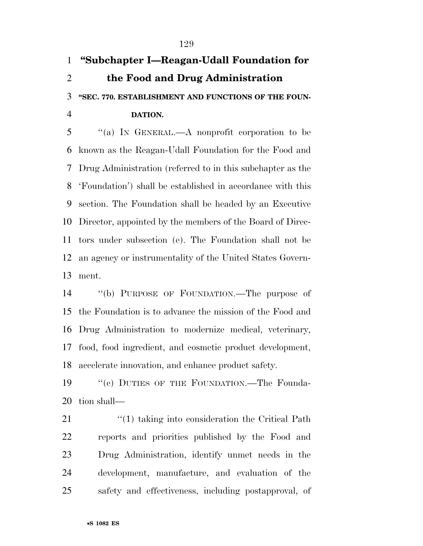## **''Subchapter I—Reagan-Udall Foundation for the Food and Drug Administration ''SEC. 770. ESTABLISHMENT AND FUNCTIONS OF THE FOUN-DATION.**

 ''(a) IN GENERAL.—A nonprofit corporation to be known as the Reagan-Udall Foundation for the Food and Drug Administration (referred to in this subchapter as the 'Foundation') shall be established in accordance with this section. The Foundation shall be headed by an Executive Director, appointed by the members of the Board of Direc- tors under subsection (e). The Foundation shall not be an agency or instrumentality of the United States Govern-ment.

 ''(b) PURPOSE OF FOUNDATION.—The purpose of the Foundation is to advance the mission of the Food and Drug Administration to modernize medical, veterinary, food, food ingredient, and cosmetic product development, accelerate innovation, and enhance product safety.

19 ""(c) DUTIES OF THE FOUNDATION.—The Founda-tion shall—

21 ''(1) taking into consideration the Critical Path reports and priorities published by the Food and Drug Administration, identify unmet needs in the development, manufacture, and evaluation of the safety and effectiveness, including postapproval, of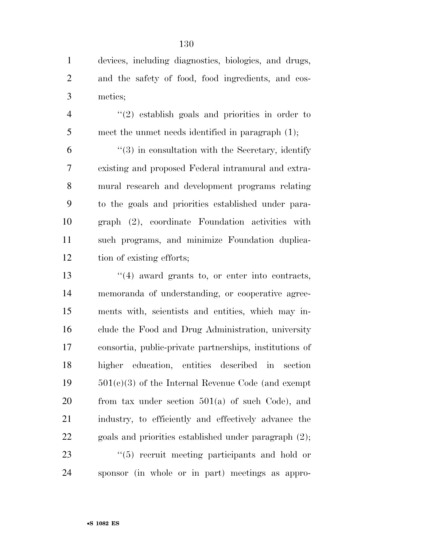devices, including diagnostics, biologics, and drugs, and the safety of food, food ingredients, and cos-metics;

 ''(2) establish goals and priorities in order to meet the unmet needs identified in paragraph (1);

 $(3)$  in consultation with the Secretary, identify existing and proposed Federal intramural and extra- mural research and development programs relating to the goals and priorities established under para- graph (2), coordinate Foundation activities with such programs, and minimize Foundation duplica-tion of existing efforts;

13 ''(4) award grants to, or enter into contracts, memoranda of understanding, or cooperative agree- ments with, scientists and entities, which may in- clude the Food and Drug Administration, university consortia, public-private partnerships, institutions of higher education, entities described in section 501(c)(3) of the Internal Revenue Code (and exempt from tax under section  $501(a)$  of such Code), and industry, to efficiently and effectively advance the goals and priorities established under paragraph (2);  $\frac{1}{2}$  (5) recruit meeting participants and hold or sponsor (in whole or in part) meetings as appro-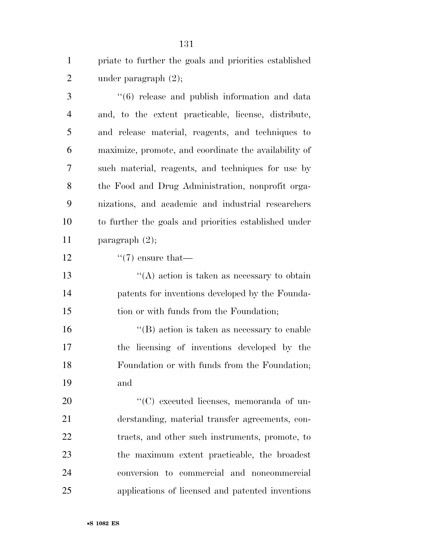priate to further the goals and priorities established 2 under paragraph  $(2)$ ;

 ''(6) release and publish information and data and, to the extent practicable, license, distribute, and release material, reagents, and techniques to maximize, promote, and coordinate the availability of such material, reagents, and techniques for use by the Food and Drug Administration, nonprofit orga- nizations, and academic and industrial researchers to further the goals and priorities established under paragraph (2);  $\frac{1}{2}$   $\frac{1}{2}$  ensure that  $\langle (A) \rangle$  action is taken as necessary to obtain patents for inventions developed by the Founda- tion or with funds from the Foundation;  $\langle G \rangle$  action is taken as necessary to enable the licensing of inventions developed by the Foundation or with funds from the Foundation; and  $\cdot$  (C) executed licenses, memoranda of un- derstanding, material transfer agreements, con-tracts, and other such instruments, promote, to

 the maximum extent practicable, the broadest conversion to commercial and noncommercial applications of licensed and patented inventions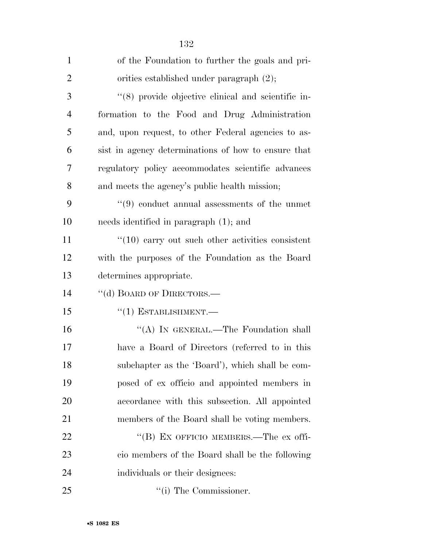| $\mathbf{1}$   | of the Foundation to further the goals and pri-              |
|----------------|--------------------------------------------------------------|
| $\overline{2}$ | orities established under paragraph (2);                     |
| 3              | $\cdot$ (8) provide objective clinical and scientific in-    |
| $\overline{4}$ | formation to the Food and Drug Administration                |
| 5              | and, upon request, to other Federal agencies to as-          |
| 6              | sist in agency determinations of how to ensure that          |
| 7              | regulatory policy accommodates scientific advances           |
| 8              | and meets the agency's public health mission;                |
| 9              | $\cdot\cdot\cdot(9)$ conduct annual assessments of the unmet |
| 10             | needs identified in paragraph (1); and                       |
| 11             | $\lq(10)$ carry out such other activities consistent         |
| 12             | with the purposes of the Foundation as the Board             |
| 13             | determines appropriate.                                      |
| 14             | "(d) BOARD OF DIRECTORS.—                                    |
| 15             | $``(1)$ ESTABLISHMENT.—                                      |
| 16             | "(A) IN GENERAL.—The Foundation shall                        |
| 17             | have a Board of Directors (referred to in this               |
| 18             | subchapter as the 'Board'), which shall be com-              |
| 19             | posed of ex officio and appointed members in                 |
| 20             | accordance with this subsection. All appointed               |
| 21             | members of the Board shall be voting members.                |
| 22             | "(B) EX OFFICIO MEMBERS.—The ex offi-                        |
| 23             | cio members of the Board shall be the following              |
| 24             | individuals or their designees:                              |
| 25             | $\lq\lq$ (i) The Commissioner.                               |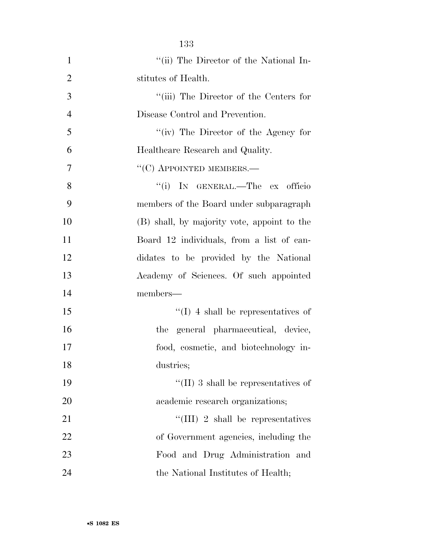|                | 133                                         |
|----------------|---------------------------------------------|
| 1              | "(ii) The Director of the National In-      |
| $\overline{2}$ | stitutes of Health.                         |
| 3              | "(iii) The Director of the Centers for      |
| $\overline{4}$ | Disease Control and Prevention.             |
| 5              | "(iv) The Director of the Agency for        |
| 6              | Healthcare Research and Quality.            |
| $\overline{7}$ | $``(C)$ APPOINTED MEMBERS.—                 |
| 8              | "(i) IN GENERAL.—The ex officio             |
| 9              | members of the Board under subparagraph     |
| 10             | (B) shall, by majority vote, appoint to the |
| 11             | Board 12 individuals, from a list of can-   |
| 12             | didates to be provided by the National      |
| 13             | Academy of Sciences. Of such appointed      |
| 14             | members-                                    |
| 15             | $\lq\lq$ (I) 4 shall be representatives of  |
| 16             | the general pharmaceutical, device,         |
| 17             | food, cosmetic, and biotechnology in-       |
| 18             | dustries;                                   |
| 19             | $\lq\lq$ (II) 3 shall be representatives of |
| 20             | academic research organizations;            |
| 21             | "(III) 2 shall be representatives           |
| 22             | of Government agencies, including the       |
| 23             | Food and Drug Administration and            |
| 24             | the National Institutes of Health;          |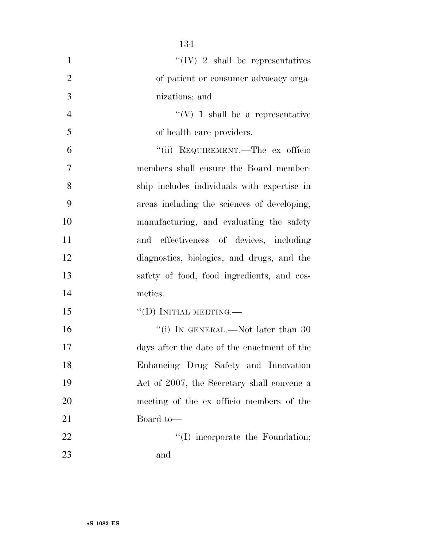| $\mathbf{1}$   | $\lq\lq (IV)$ 2 shall be representatives    |
|----------------|---------------------------------------------|
| $\overline{2}$ | of patient or consumer advocacy orga-       |
| 3              | nizations; and                              |
| $\overline{4}$ | $\lq\lq(V)$ 1 shall be a representative     |
| 5              | of health care providers.                   |
| 6              | "(ii) REQUIREMENT.—The ex officio           |
| 7              | members shall ensure the Board member-      |
| 8              | ship includes individuals with expertise in |
| 9              | areas including the sciences of developing, |
| 10             | manufacturing, and evaluating the safety    |
| 11             | effectiveness of devices, including<br>and  |
| 12             | diagnostics, biologics, and drugs, and the  |
| 13             | safety of food, food ingredients, and cos-  |
| 14             | metics.                                     |
| 15             | $\lq\lq$ (D) INITIAL MEETING.—              |
| 16             | "(i) IN GENERAL.—Not later than 30          |
| 17             | days after the date of the enactment of the |
| 18             | Enhancing Drug Safety and Innovation        |
| 19             | Act of 2007, the Secretary shall convene a  |
| 20             | meeting of the ex officio members of the    |
| 21             | Board to-                                   |
| 22             | "(I) incorporate the Foundation;            |
| 23             | and                                         |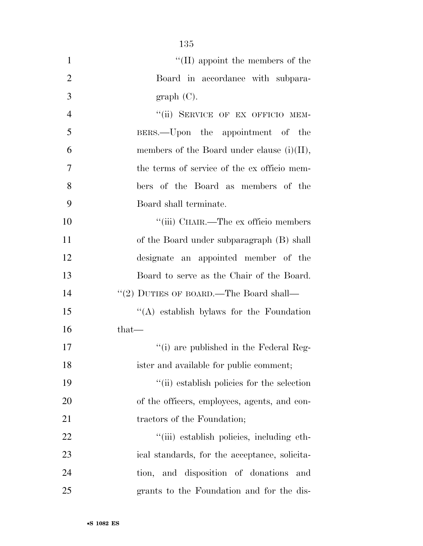| $\mathbf{1}$   | $\lq\lq$ (II) appoint the members of the      |
|----------------|-----------------------------------------------|
| $\overline{2}$ | Board in accordance with subpara-             |
| 3              | graph(C).                                     |
| $\overline{4}$ | "(ii) SERVICE OF EX OFFICIO MEM-              |
| 5              | BERS.—Upon the appointment of the             |
| 6              | members of the Board under clause $(i)(II)$ , |
| 7              | the terms of service of the ex officio mem-   |
| 8              | bers of the Board as members of the           |
| 9              | Board shall terminate.                        |
| 10             | "(iii) CHAIR.—The ex officio members          |
| 11             | of the Board under subparagraph (B) shall     |
| 12             | designate an appointed member of the          |
| 13             | Board to serve as the Chair of the Board.     |
| 14             | "(2) DUTIES OF BOARD.—The Board shall—        |
| 15             | $\lq\lq$ establish by a for the Foundation    |
| 16             | $that-$                                       |
| 17             | "(i) are published in the Federal Reg-        |
| 18             | ister and available for public comment;       |
| 19             | "(ii) establish policies for the selection    |
| 20             | of the officers, employees, agents, and con-  |
| 21             | tractors of the Foundation;                   |
| 22             | "(iii) establish policies, including eth-     |
| 23             | ical standards, for the acceptance, solicita- |
| 24             | tion, and disposition of donations<br>and     |
| 25             | grants to the Foundation and for the dis-     |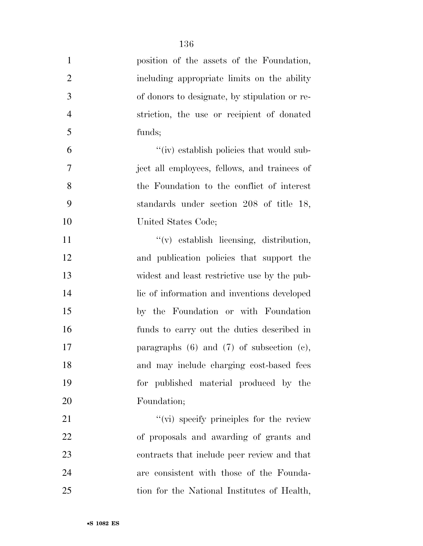| $\mathbf{1}$   | position of the assets of the Foundation,        |
|----------------|--------------------------------------------------|
| $\overline{2}$ | including appropriate limits on the ability      |
| 3              | of donors to designate, by stipulation or re-    |
| $\overline{4}$ | striction, the use or recipient of donated       |
| 5              | funds;                                           |
| 6              | "(iv) establish policies that would sub-         |
| 7              | ject all employees, fellows, and trainees of     |
| 8              | the Foundation to the conflict of interest       |
| 9              | standards under section 208 of title 18,         |
| 10             | United States Code;                              |
| 11             | $f'(v)$ establish licensing, distribution,       |
| 12             | and publication policies that support the        |
| 13             | widest and least restrictive use by the pub-     |
| 14             | lic of information and inventions developed      |
| 15             | by the Foundation or with Foundation             |
| 16             | funds to carry out the duties described in       |
| 17             | paragraphs $(6)$ and $(7)$ of subsection $(e)$ , |
| 18             | and may include charging cost-based fees         |
| 19             | for published material produced by the           |
| 20             | Foundation;                                      |
| 21             | "(vi) specify principles for the review          |
| 22             | of proposals and awarding of grants and          |
| 23             | contracts that include peer review and that      |
| 24             | are consistent with those of the Founda-         |
| 25             | tion for the National Institutes of Health,      |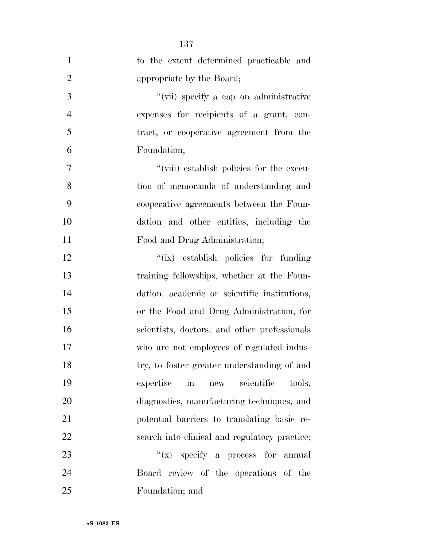| $\mathbf{1}$   | to the extent determined practicable and      |
|----------------|-----------------------------------------------|
| $\overline{2}$ | appropriate by the Board;                     |
| 3              | "(vii) specify a cap on administrative        |
| $\overline{4}$ | expenses for recipients of a grant, con-      |
| 5              | tract, or cooperative agreement from the      |
| 6              | Foundation;                                   |
| 7              | "(viii) establish policies for the execu-     |
| 8              | tion of memoranda of understanding and        |
| 9              | cooperative agreements between the Foun-      |
| 10             | dation and other entities, including the      |
| 11             | Food and Drug Administration;                 |
| 12             | "(ix) establish policies for funding          |
| 13             | training fellowships, whether at the Foun-    |
| 14             | dation, academic or scientific institutions,  |
| 15             | or the Food and Drug Administration, for      |
| 16             | scientists, doctors, and other professionals  |
| 17             | who are not employees of regulated indus-     |
| 18             | try, to foster greater understanding of and   |
| 19             | new scientific<br>expertise<br>in<br>tools,   |
| 20             | diagnostics, manufacturing techniques, and    |
| 21             | potential barriers to translating basic re-   |
| 22             | search into clinical and regulatory practice; |
| 23             | $f(x)$ specify a process for annual           |
| 24             | Board review of the operations of the         |
| 25             | Foundation; and                               |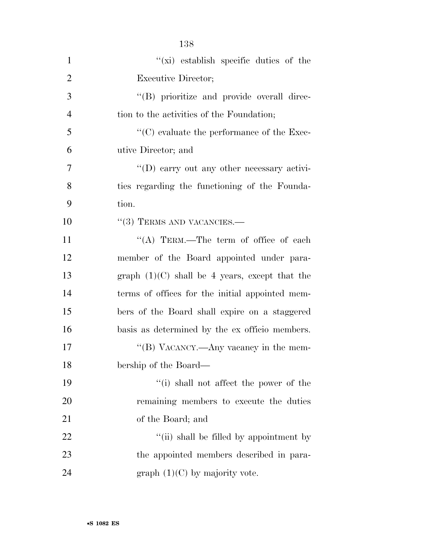| $\mathbf{1}$   | $\lq\lq$ (xi) establish specific duties of the     |
|----------------|----------------------------------------------------|
| $\overline{2}$ | <b>Executive Director;</b>                         |
| 3              | "(B) prioritize and provide overall direc-         |
| $\overline{4}$ | tion to the activities of the Foundation;          |
| 5              | $\lq\lq$ evaluate the performance of the Exec-     |
| 6              | utive Director; and                                |
| 7              | $\lq\lq$ (D) carry out any other necessary activi- |
| 8              | ties regarding the functioning of the Founda-      |
| 9              | tion.                                              |
| 10             | $\cdot\cdot(3)$ TERMS AND VACANCIES.—              |
| 11             | "(A) TERM.—The term of office of each              |
| 12             | member of the Board appointed under para-          |
| 13             | graph $(1)(C)$ shall be 4 years, except that the   |
| 14             | terms of offices for the initial appointed mem-    |
| 15             | bers of the Board shall expire on a staggered      |
| 16             | basis as determined by the ex officio members.     |
| 17             | "(B) VACANCY.—Any vacancy in the mem-              |
| 18             | bership of the Board—                              |
| 19             | "(i) shall not affect the power of the             |
| 20             | remaining members to execute the duties            |
| 21             | of the Board; and                                  |
| 22             | "(ii) shall be filled by appointment by            |
| 23             | the appointed members described in para-           |
| 24             | graph $(1)(C)$ by majority vote.                   |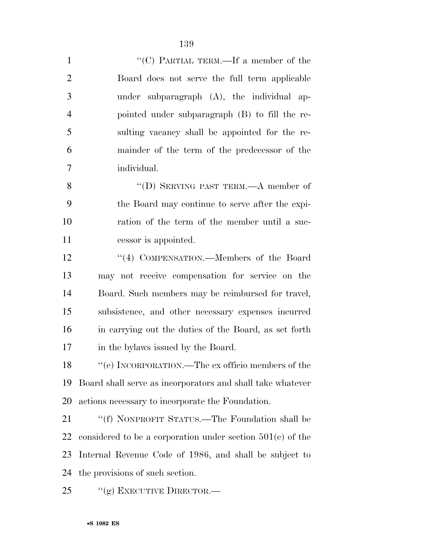| $\mathbf{1}$   | "(C) PARTIAL TERM.—If a member of the                        |
|----------------|--------------------------------------------------------------|
| $\overline{2}$ | Board does not serve the full term applicable                |
| 3              | under subparagraph (A), the individual ap-                   |
| $\overline{4}$ | pointed under subparagraph (B) to fill the re-               |
| 5              | sulting vacancy shall be appointed for the re-               |
| 6              | mainder of the term of the predecessor of the                |
| 7              | individual.                                                  |
| 8              | "(D) SERVING PAST TERM.—A member of                          |
| 9              | the Board may continue to serve after the expi-              |
| 10             | ration of the term of the member until a suc-                |
| 11             | cessor is appointed.                                         |
| 12             | "(4) COMPENSATION.—Members of the Board                      |
| 13             | may not receive compensation for service on the              |
| 14             | Board. Such members may be reimbursed for travel,            |
| 15             | subsistence, and other necessary expenses incurred           |
| 16             | in carrying out the duties of the Board, as set forth        |
| 17             | in the bylaws issued by the Board.                           |
| 18             | "(e) INCORPORATION.—The ex officio members of the            |
| 19             | Board shall serve as incorporators and shall take whatever   |
| 20             | actions necessary to incorporate the Foundation.             |
| 21             | "(f) NONPROFIT STATUS.—The Foundation shall be               |
| 22             | considered to be a corporation under section $501(c)$ of the |
| 23             | Internal Revenue Code of 1986, and shall be subject to       |
| 24             | the provisions of such section.                              |

25 "(g) EXECUTIVE DIRECTOR.—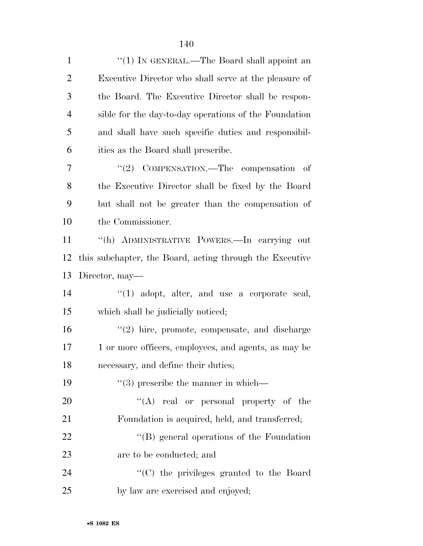| $\mathbf{1}$   | "(1) IN GENERAL.—The Board shall appoint an              |
|----------------|----------------------------------------------------------|
| $\overline{2}$ | Executive Director who shall serve at the pleasure of    |
| 3              | the Board. The Executive Director shall be respon-       |
| $\overline{4}$ | sible for the day-to-day operations of the Foundation    |
| 5              | and shall have such specific duties and responsibil-     |
| 6              | ities as the Board shall prescribe.                      |
| 7              | "(2) COMPENSATION.—The compensation<br>- of              |
| 8              | the Executive Director shall be fixed by the Board       |
| 9              | but shall not be greater than the compensation of        |
| 10             | the Commissioner.                                        |
| 11             | "(h) ADMINISTRATIVE POWERS.—In carrying out              |
| 12             | this subchapter, the Board, acting through the Executive |
| 13             | Director, may—                                           |
| 14             | $\lq(1)$ adopt, alter, and use a corporate seal,         |
| 15             | which shall be judicially noticed;                       |
| 16             | $\lq(2)$ hire, promote, compensate, and discharge        |
| 17             | 1 or more officers, employees, and agents, as may be     |
| 18             | necessary, and define their duties;                      |
| 19             | $\lq(3)$ prescribe the manner in which—                  |
| 20             | $\lq\lq$ real or personal property of the                |
| 21             | Foundation is acquired, held, and transferred;           |
| 22             | $\lq\lq (B)$ general operations of the Foundation        |
| 23             | are to be conducted; and                                 |
| 24             | "(C) the privileges granted to the Board                 |
| 25             | by law are exercised and enjoyed;                        |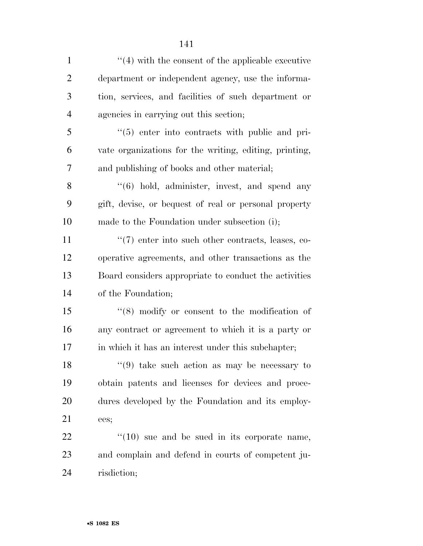| $\mathbf{1}$   | $\lq(4)$ with the consent of the applicable executive  |
|----------------|--------------------------------------------------------|
| $\overline{2}$ | department or independent agency, use the informa-     |
| 3              | tion, services, and facilities of such department or   |
| $\overline{4}$ | agencies in carrying out this section;                 |
| 5              | "(5) enter into contracts with public and pri-         |
| 6              | vate organizations for the writing, editing, printing, |
| 7              | and publishing of books and other material;            |
| 8              | $\cdot$ (6) hold, administer, invest, and spend any    |
| 9              | gift, devise, or bequest of real or personal property  |
| 10             | made to the Foundation under subsection (i);           |
| 11             | "(7) enter into such other contracts, leases, co-      |
| 12             | operative agreements, and other transactions as the    |
| 13             | Board considers appropriate to conduct the activities  |
| 14             | of the Foundation;                                     |
| 15             | $\cdot$ (8) modify or consent to the modification of   |
| 16             | any contract or agreement to which it is a party or    |
| 17             | in which it has an interest under this subchapter;     |
| 18             | $(9)$ take such action as may be necessary to          |
| 19             | obtain patents and licenses for devices and proce-     |
| 20             | dures developed by the Foundation and its employ-      |
| 21             | ees;                                                   |
| 22             | $\lq(10)$ sue and be sued in its corporate name,       |
| 23             | and complain and defend in courts of competent ju-     |
| 24             | risdiction;                                            |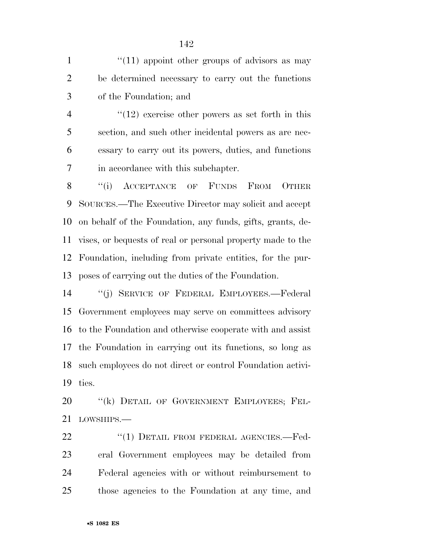1  $\frac{1}{11}$  appoint other groups of advisors as may be determined necessary to carry out the functions of the Foundation; and

4 ''(12) exercise other powers as set forth in this section, and such other incidental powers as are nec- essary to carry out its powers, duties, and functions in accordance with this subchapter.

8 "(i) ACCEPTANCE OF FUNDS FROM OTHER SOURCES.—The Executive Director may solicit and accept on behalf of the Foundation, any funds, gifts, grants, de- vises, or bequests of real or personal property made to the Foundation, including from private entities, for the pur-poses of carrying out the duties of the Foundation.

 ''(j) SERVICE OF FEDERAL EMPLOYEES.—Federal Government employees may serve on committees advisory to the Foundation and otherwise cooperate with and assist the Foundation in carrying out its functions, so long as such employees do not direct or control Foundation activi-ties.

20 "(k) DETAIL OF GOVERNMENT EMPLOYEES; FEL-21 LOWSHIPS —

22 "(1) DETAIL FROM FEDERAL AGENCIES.-Fed- eral Government employees may be detailed from Federal agencies with or without reimbursement to those agencies to the Foundation at any time, and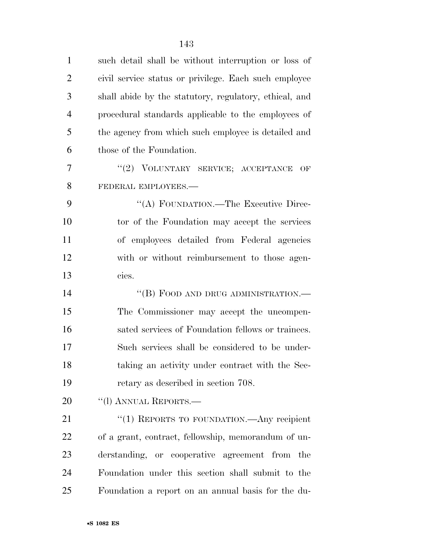| $\mathbf{1}$   | such detail shall be without interruption or loss of   |
|----------------|--------------------------------------------------------|
| $\overline{2}$ | civil service status or privilege. Each such employee  |
| 3              | shall abide by the statutory, regulatory, ethical, and |
| $\overline{4}$ | procedural standards applicable to the employees of    |
| 5              | the agency from which such employee is detailed and    |
| 6              | those of the Foundation.                               |
| 7              | "(2) VOLUNTARY SERVICE; ACCEPTANCE<br>OF               |
| 8              | FEDERAL EMPLOYEES.-                                    |
| 9              | "(A) FOUNDATION.—The Executive Direc-                  |
| 10             | tor of the Foundation may accept the services          |
| 11             | of employees detailed from Federal agencies            |
| 12             | with or without reimbursement to those agen-           |
| 13             | cies.                                                  |
| 14             | "(B) FOOD AND DRUG ADMINISTRATION.-                    |
| 15             | The Commissioner may accept the uncompen-              |
| 16             | sated services of Foundation fellows or trainees.      |
| 17             | Such services shall be considered to be under-         |
| 18             | taking an activity under contract with the Sec-        |
| 19             | retary as described in section 708.                    |
| 20             | "(1) ANNUAL REPORTS.—                                  |
| 21             | "(1) REPORTS TO FOUNDATION.—Any recipient              |
| 22             | of a grant, contract, fellowship, memorandum of un-    |
| 23             | derstanding, or cooperative agreement from the         |
| 24             | Foundation under this section shall submit to the      |
| 25             | Foundation a report on an annual basis for the du-     |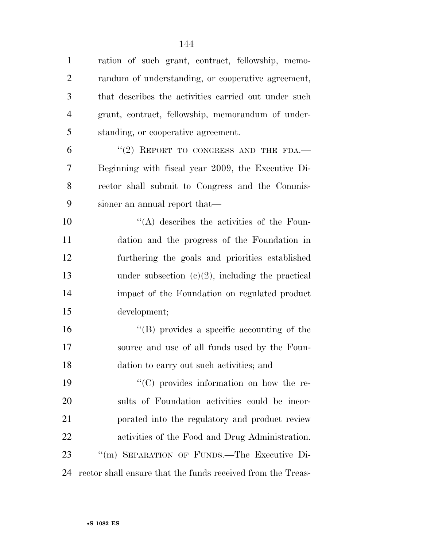ration of such grant, contract, fellowship, memo- randum of understanding, or cooperative agreement, that describes the activities carried out under such grant, contract, fellowship, memorandum of under-standing, or cooperative agreement.

 "(2) REPORT TO CONGRESS AND THE FDA.— Beginning with fiscal year 2009, the Executive Di- rector shall submit to Congress and the Commis-sioner an annual report that—

 $\langle (A)$  describes the activities of the Foun- dation and the progress of the Foundation in furthering the goals and priorities established under subsection (c)(2), including the practical impact of the Foundation on regulated product development;

16  $\langle$  (B) provides a specific accounting of the source and use of all funds used by the Foun-dation to carry out such activities; and

 $"({\rm C})$  provides information on how the re- sults of Foundation activities could be incor- porated into the regulatory and product review activities of the Food and Drug Administration. ''(m) SEPARATION OF FUNDS.—The Executive Di-rector shall ensure that the funds received from the Treas-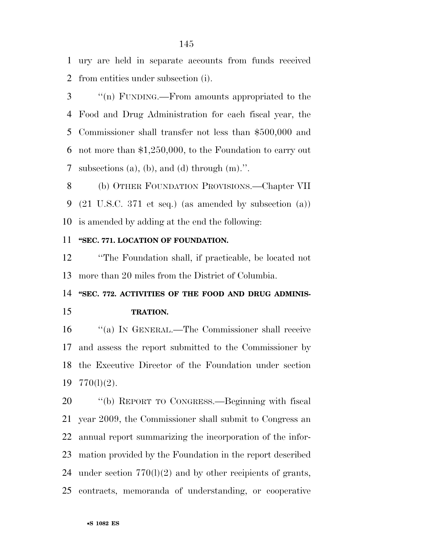ury are held in separate accounts from funds received from entities under subsection (i).

 ''(n) FUNDING.—From amounts appropriated to the Food and Drug Administration for each fiscal year, the Commissioner shall transfer not less than \$500,000 and not more than \$1,250,000, to the Foundation to carry out subsections (a), (b), and (d) through (m).''.

 (b) OTHER FOUNDATION PROVISIONS.—Chapter VII (21 U.S.C. 371 et seq.) (as amended by subsection (a)) is amended by adding at the end the following:

#### **''SEC. 771. LOCATION OF FOUNDATION.**

 ''The Foundation shall, if practicable, be located not more than 20 miles from the District of Columbia.

## **''SEC. 772. ACTIVITIES OF THE FOOD AND DRUG ADMINIS-TRATION.**

 ''(a) IN GENERAL.—The Commissioner shall receive and assess the report submitted to the Commissioner by the Executive Director of the Foundation under section 770(l)(2).

 ''(b) REPORT TO CONGRESS.—Beginning with fiscal year 2009, the Commissioner shall submit to Congress an annual report summarizing the incorporation of the infor- mation provided by the Foundation in the report described 24 under section  $770(1)(2)$  and by other recipients of grants, contracts, memoranda of understanding, or cooperative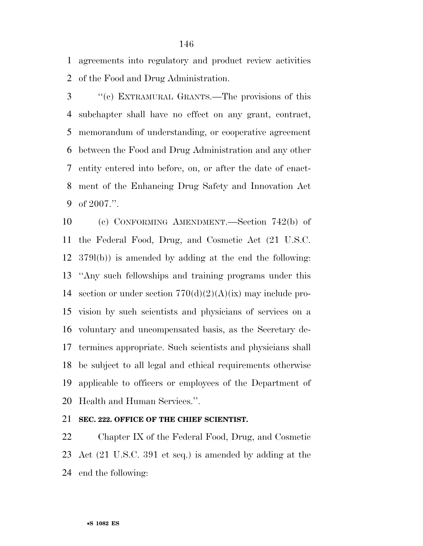agreements into regulatory and product review activities of the Food and Drug Administration.

 ''(c) EXTRAMURAL GRANTS.—The provisions of this subchapter shall have no effect on any grant, contract, memorandum of understanding, or cooperative agreement between the Food and Drug Administration and any other entity entered into before, on, or after the date of enact- ment of the Enhancing Drug Safety and Innovation Act of 2007.''.

 (c) CONFORMING AMENDMENT.—Section 742(b) of the Federal Food, Drug, and Cosmetic Act (21 U.S.C. 379l(b)) is amended by adding at the end the following: ''Any such fellowships and training programs under this 14 section or under section  $770(d)(2)(A)(ix)$  may include pro- vision by such scientists and physicians of services on a voluntary and uncompensated basis, as the Secretary de- termines appropriate. Such scientists and physicians shall be subject to all legal and ethical requirements otherwise applicable to officers or employees of the Department of Health and Human Services.''.

**SEC. 222. OFFICE OF THE CHIEF SCIENTIST.** 

 Chapter IX of the Federal Food, Drug, and Cosmetic Act (21 U.S.C. 391 et seq.) is amended by adding at the end the following: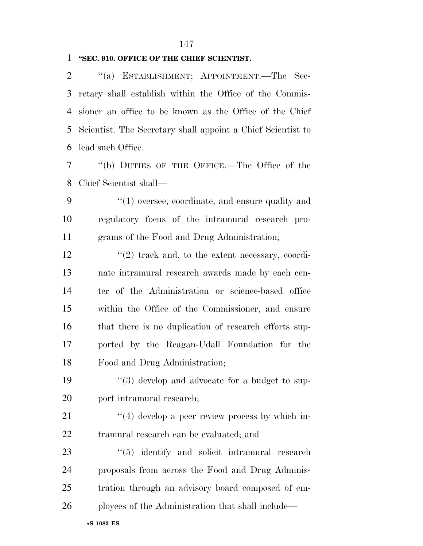#### 

#### **''SEC. 910. OFFICE OF THE CHIEF SCIENTIST.**

 ''(a) ESTABLISHMENT; APPOINTMENT.—The Sec- retary shall establish within the Office of the Commis- sioner an office to be known as the Office of the Chief Scientist. The Secretary shall appoint a Chief Scientist to lead such Office.

 ''(b) DUTIES OF THE OFFICE.—The Office of the Chief Scientist shall—

9 ''(1) oversee, coordinate, and ensure quality and regulatory focus of the intramural research pro-grams of the Food and Drug Administration;

 $\frac{12}{2}$  ''(2) track and, to the extent necessary, coordi- nate intramural research awards made by each cen- ter of the Administration or science-based office within the Office of the Commissioner, and ensure 16 that there is no duplication of research efforts sup- ported by the Reagan-Udall Foundation for the Food and Drug Administration;

19 ''(3) develop and advocate for a budget to sup-20 port intramural research;

21 ''(4) develop a peer review process by which in-tramural research can be evaluated; and

23 ''(5) identify and solicit intramural research proposals from across the Food and Drug Adminis- tration through an advisory board composed of em-ployees of the Administration that shall include—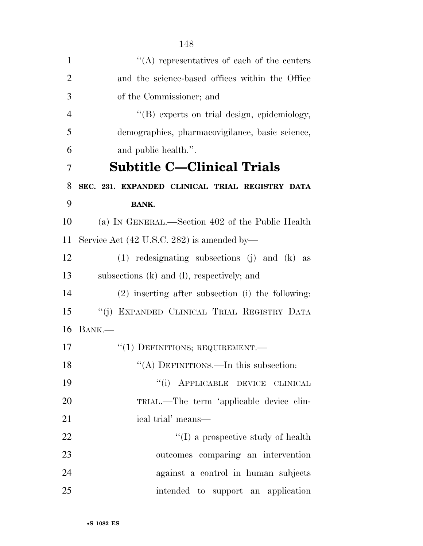| $\mathbf{1}$   | $\lq\lq$ representatives of each of the centers     |
|----------------|-----------------------------------------------------|
| $\overline{2}$ | and the science-based offices within the Office     |
| 3              | of the Commissioner; and                            |
| $\overline{4}$ | "(B) experts on trial design, epidemiology,         |
| 5              | demographics, pharmacovigilance, basic science,     |
| 6              | and public health.".                                |
| 7              | <b>Subtitle C-Clinical Trials</b>                   |
| 8              | SEC. 231. EXPANDED CLINICAL TRIAL REGISTRY DATA     |
| 9              | <b>BANK.</b>                                        |
| 10             | (a) IN GENERAL.—Section 402 of the Public Health    |
| 11             | Service Act (42 U.S.C. 282) is amended by—          |
| 12             | $(1)$ redesignating subsections $(j)$ and $(k)$ as  |
| 13             | subsections (k) and (l), respectively; and          |
| 14             | $(2)$ inserting after subsection (i) the following: |
| 15             | "(j) EXPANDED CLINICAL TRIAL REGISTRY DATA          |
| 16             | BANK.-                                              |
| 17             | $``(1)$ DEFINITIONS; REQUIREMENT.—                  |
| 18             | "(A) DEFINITIONS.—In this subsection:               |
| 19             | "(i) APPLICABLE DEVICE CLINICAL                     |
| 20             | TRIAL.—The term 'applicable device clin-            |
| 21             | ical trial' means—                                  |
| 22             | $\lq\lq$ (I) a prospective study of health          |
| 23             | outcomes comparing an intervention                  |
| 24             | against a control in human subjects                 |
| 25             | intended to support an application                  |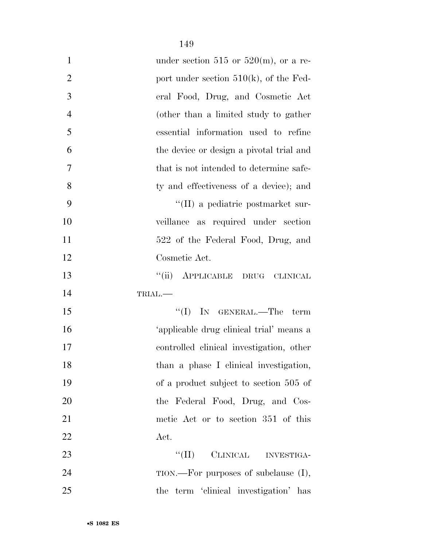| $\mathbf{1}$   | under section 515 or 520 $(m)$ , or a re- |
|----------------|-------------------------------------------|
| $\overline{2}$ | port under section $510(k)$ , of the Fed- |
| 3              | eral Food, Drug, and Cosmetic Act         |
| $\overline{4}$ | (other than a limited study to gather     |
| 5              | essential information used to refine      |
| 6              | the device or design a pivotal trial and  |
| 7              | that is not intended to determine safe-   |
| 8              | ty and effectiveness of a device); and    |
| 9              | "(II) a pediatric postmarket sur-         |
| 10             | veillance as required under section       |
| 11             | 522 of the Federal Food, Drug, and        |
| 12             | Cosmetic Act.                             |
| 13             | ``(ii)<br>APPLICABLE DRUG CLINICAL        |
| 14             | TRIAL.                                    |
| 15             | $\lq\lq$ (I) IN GENERAL.—The<br>term      |
| 16             | 'applicable drug clinical trial' means a  |
| 17             | controlled clinical investigation, other  |
| 18             | than a phase I clinical investigation,    |
| 19             | of a product subject to section 505 of    |
| 20             | the Federal Food, Drug, and Cos-          |
| 21             | metic Act or to section 351 of this       |
| 22             | Act.                                      |
| 23             | $``(\Pi)$<br>CLINICAL INVESTIGA-          |
| 24             | $TION.$ For purposes of subclause $(I),$  |
| 25             | the term 'clinical investigation' has     |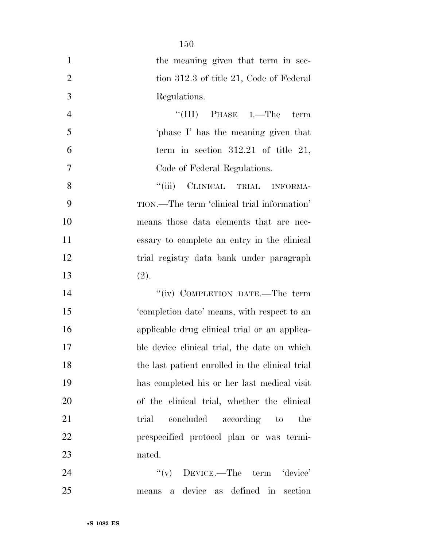|                | 150                                                         |
|----------------|-------------------------------------------------------------|
| $\mathbf{1}$   | the meaning given that term in sec-                         |
| $\overline{2}$ | tion 312.3 of title 21, Code of Federal                     |
| 3              | Regulations.                                                |
| $\overline{4}$ | $\lq\lq$ (III) PHASE I.—The<br>term                         |
| 5              | phase I' has the meaning given that                         |
| 6              | term in section $312.21$ of title 21,                       |
| 7              | Code of Federal Regulations.                                |
| 8              | "(iii) CLINICAL TRIAL INFORMA-                              |
| 9              | TION.—The term 'clinical trial information'                 |
| 10             | means those data elements that are nec-                     |
| 11             | essary to complete an entry in the clinical                 |
| 12             | trial registry data bank under paragraph                    |
| 13             | (2).                                                        |
| 14             | "(iv) COMPLETION DATE.—The term                             |
| 15             | 'completion date' means, with respect to an                 |
| 16             | applicable drug clinical trial or an applica-               |
| 17             | ble device clinical trial, the date on which                |
| 18             | the last patient enrolled in the clinical trial             |
| 19             | has completed his or her last medical visit                 |
| 20             | of the clinical trial, whether the clinical                 |
| 21             | concluded according to<br>trial<br>the                      |
| 22             | prespecified protocol plan or was termi-                    |
| 23             | nated.                                                      |
| 24             | $f'(v)$ DEVICE.—The term 'device'                           |
| 25             | device<br>as defined in<br>section<br>$\mathbf{a}$<br>means |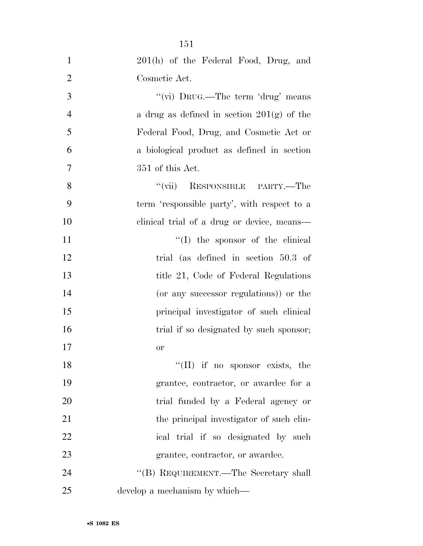| $\mathbf{1}$   | 201(h) of the Federal Food, Drug, and        |
|----------------|----------------------------------------------|
| $\overline{2}$ | Cosmetic Act.                                |
| 3              | "(vi) DRUG.—The term 'drug' means            |
| 4              | a drug as defined in section $201(g)$ of the |
| 5              | Federal Food, Drug, and Cosmetic Act or      |
| 6              | a biological product as defined in section   |
| 7              | 351 of this Act.                             |
| 8              | "(vii) RESPONSIBLE PARTY.—The                |
| 9              | term 'responsible party', with respect to a  |
| 10             | clinical trial of a drug or device, means—   |
| 11             | "(I) the sponsor of the clinical             |
| 12             | trial (as defined in section 50.3 of         |
| 13             | title 21, Code of Federal Regulations        |
| 14             | (or any successor regulations)) or the       |
| 15             | principal investigator of such clinical      |
| 16             | trial if so designated by such sponsor;      |
| 17             | or                                           |
| 18             | "(II) if no sponsor exists, the              |
| 19             | grantee, contractor, or awardee for a        |
| 20             | trial funded by a Federal agency or          |
| 21             | the principal investigator of such clin-     |
| 22             | ical trial if so designated by such          |
| 23             | grantee, contractor, or awardee.             |
| 24             | "(B) REQUIREMENT.—The Secretary shall        |
| 25             | develop a mechanism by which—                |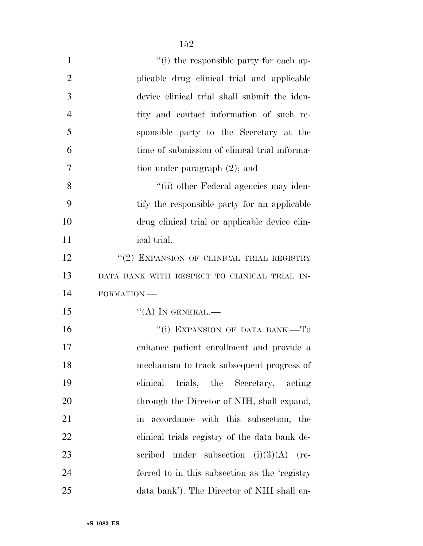| $\mathbf{1}$   | "(i) the responsible party for each ap-           |
|----------------|---------------------------------------------------|
| $\overline{2}$ | plicable drug clinical trial and applicable       |
| 3              | device clinical trial shall submit the iden-      |
| $\overline{4}$ | tity and contact information of such re-          |
| 5              | sponsible party to the Secretary at the           |
| 6              | time of submission of clinical trial informa-     |
| 7              | tion under paragraph $(2)$ ; and                  |
| 8              | "(ii) other Federal agencies may iden-            |
| 9              | tify the responsible party for an applicable      |
| 10             | drug clinical trial or applicable device clin-    |
| 11             | ical trial.                                       |
| 12             | "(2) EXPANSION OF CLINICAL TRIAL REGISTRY         |
| 13             | DATA BANK WITH RESPECT TO CLINICAL TRIAL IN-      |
| 14             | FORMATION.-                                       |
| 15             | $\lq\lq (A)$ IN GENERAL.—                         |
| 16             | "(i) EXPANSION OF DATA BANK.-To                   |
| 17             | enhance patient enrollment and provide a          |
| 18             | mechanism to track subsequent progress of         |
| 19             | trials, the Secretary,<br>clinical<br>acting      |
| 20             | through the Director of NIH, shall expand,        |
| 21             | in accordance with this subsection, the           |
| 22             | elinical trials registry of the data bank de-     |
| 23             | under subsection $(i)(3)(A)$<br>scribed<br>$(re-$ |
| 24             | ferred to in this subsection as the 'registry     |
| 25             | data bank'). The Director of NIH shall en-        |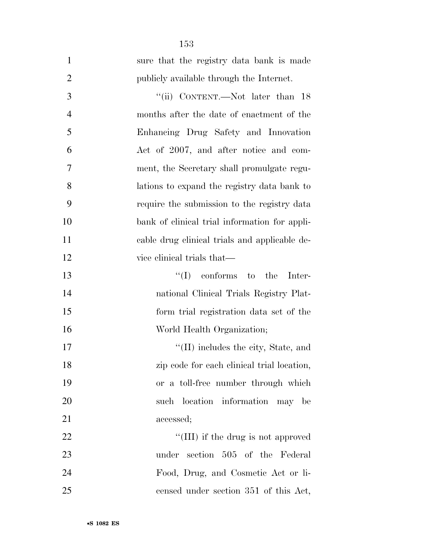| $\mathbf{1}$   | sure that the registry data bank is made      |
|----------------|-----------------------------------------------|
| $\overline{2}$ | publicly available through the Internet.      |
| 3              | "(ii) CONTENT.—Not later than 18              |
| $\overline{4}$ | months after the date of enactment of the     |
| 5              | Enhancing Drug Safety and Innovation          |
| 6              | Act of 2007, and after notice and com-        |
| 7              | ment, the Secretary shall promulgate regu-    |
| 8              | lations to expand the registry data bank to   |
| 9              | require the submission to the registry data   |
| 10             | bank of clinical trial information for appli- |
| 11             | cable drug clinical trials and applicable de- |
| 12             | vice clinical trials that—                    |
| 13             | $\lq\lq$ conforms to the<br>Inter-            |
| 14             | national Clinical Trials Registry Plat-       |
| 15             | form trial registration data set of the       |
| 16             | World Health Organization;                    |
| 17             | $\lq$ (II) includes the city, State, and      |
| 18             | zip code for each clinical trial location,    |
| 19             | or a toll-free number through which           |
| 20             | such location information may be              |
| 21             | accessed;                                     |
| 22             | "(III) if the drug is not approved            |
| 23             | under section 505 of the Federal              |
| 24             | Food, Drug, and Cosmetic Act or li-           |
| 25             | censed under section 351 of this Act,         |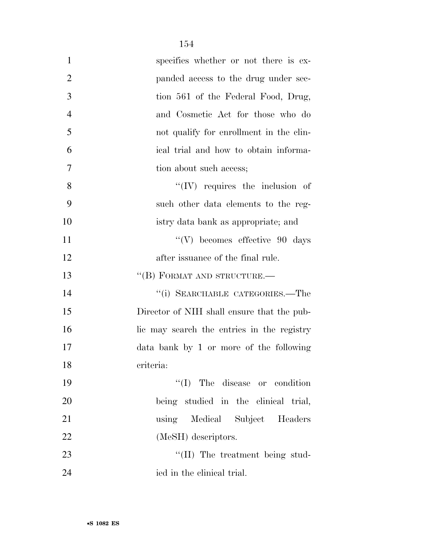| $\mathbf{1}$   | specifies whether or not there is ex-      |
|----------------|--------------------------------------------|
| $\overline{2}$ | panded access to the drug under sec-       |
| 3              | tion 561 of the Federal Food, Drug,        |
| $\overline{4}$ | and Cosmetic Act for those who do          |
| 5              | not qualify for enrollment in the clin-    |
| 6              | ical trial and how to obtain informa-      |
| 7              | tion about such access;                    |
| 8              | $\lq\lq$ (IV) requires the inclusion of    |
| 9              | such other data elements to the reg-       |
| 10             | istry data bank as appropriate; and        |
| 11             | $\lq\lq(V)$ becomes effective 90 days      |
| 12             | after issuance of the final rule.          |
| 13             | "(B) FORMAT AND STRUCTURE.-                |
| 14             | "(i) SEARCHABLE CATEGORIES.—The            |
| 15             | Director of NIH shall ensure that the pub- |
| 16             | lic may search the entries in the registry |
| 17             | data bank by 1 or more of the following    |
| 18             | criteria:                                  |
| 19             | $\lq\lq$ (I) The disease or condition      |
| 20             | being studied in the clinical trial,       |
| 21             | using Medical Subject Headers              |
| 22             | (MeSH) descriptors.                        |
| 23             | "(II) The treatment being stud-            |
| 24             | ied in the clinical trial.                 |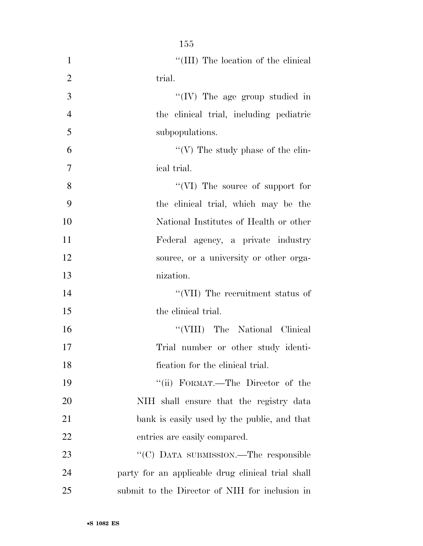| $\mathbf{1}$   | "(III) The location of the clinical               |
|----------------|---------------------------------------------------|
| $\overline{2}$ | trial.                                            |
| 3              | $\lq\lq$ (IV) The age group studied in            |
| $\overline{4}$ | the clinical trial, including pediatric           |
| 5              | subpopulations.                                   |
| 6              | "(V) The study phase of the clin-                 |
| $\tau$         | ical trial.                                       |
| 8              | "(VI) The source of support for                   |
| 9              | the clinical trial, which may be the              |
| 10             | National Institutes of Health or other            |
| 11             | Federal agency, a private industry                |
| 12             | source, or a university or other orga-            |
| 13             | nization.                                         |
| 14             | "(VII) The recruitment status of                  |
| 15             | the clinical trial.                               |
| 16             | "(VIII) The National Clinical                     |
| 17             | Trial number or other study identi-               |
| 18             | fication for the clinical trial.                  |
| 19             | "(ii) FORMAT.—The Director of the                 |
| 20             | NIH shall ensure that the registry data           |
| 21             | bank is easily used by the public, and that       |
| 22             | entries are easily compared.                      |
| 23             | "(C) DATA SUBMISSION.—The responsible             |
| 24             | party for an applicable drug clinical trial shall |
| 25             | submit to the Director of NIH for inclusion in    |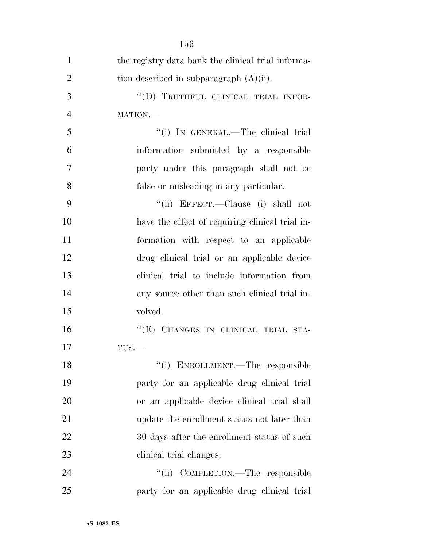| $\mathbf{1}$   | the registry data bank the clinical trial informa- |
|----------------|----------------------------------------------------|
| $\overline{2}$ | tion described in subparagraph $(A)(ii)$ .         |
| 3              | "(D) TRUTHFUL CLINICAL TRIAL INFOR-                |
| $\overline{4}$ | MATION.                                            |
| 5              | "(i) IN GENERAL.—The clinical trial                |
| 6              | information submitted by a responsible             |
| $\overline{7}$ | party under this paragraph shall not be            |
| 8              | false or misleading in any particular.             |
| 9              | "(ii) EFFECT.—Clause (i) shall not                 |
| 10             | have the effect of requiring clinical trial in-    |
| 11             | formation with respect to an applicable            |
| 12             | drug clinical trial or an applicable device        |
| 13             | clinical trial to include information from         |
| 14             | any source other than such clinical trial in-      |
| 15             | volved.                                            |
| 16             | "(E) CHANGES IN CLINICAL TRIAL STA-                |
| 17             | $TUS$ .                                            |
| 18             | "(i) ENROLLMENT.—The responsible                   |
| 19             | party for an applicable drug clinical trial        |
| 20             | or an applicable device clinical trial shall       |
| 21             | update the enrollment status not later than        |
| 22             | 30 days after the enrollment status of such        |
| 23             | clinical trial changes.                            |
| 24             | "(ii) COMPLETION.—The responsible                  |
| 25             | party for an applicable drug clinical trial        |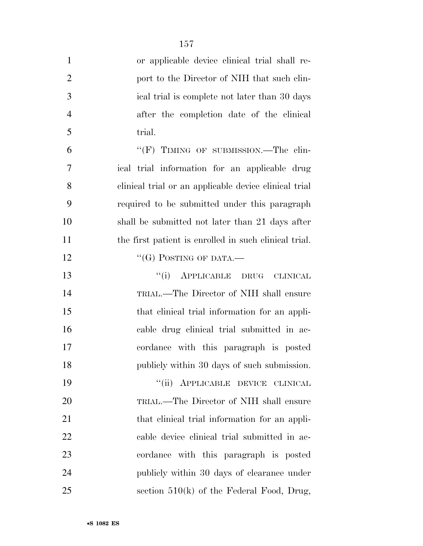| $\mathbf{1}$   | or applicable device clinical trial shall re-         |
|----------------|-------------------------------------------------------|
| $\overline{2}$ | port to the Director of NIH that such clin-           |
| 3              | ical trial is complete not later than 30 days         |
| $\overline{4}$ | after the completion date of the clinical             |
| 5              | trial.                                                |
| 6              | "(F) TIMING OF SUBMISSION.—The clin-                  |
| 7              | ical trial information for an applicable drug         |
| 8              | clinical trial or an applicable device clinical trial |
| 9              | required to be submitted under this paragraph         |
| 10             | shall be submitted not later than 21 days after       |
| 11             | the first patient is enrolled in such clinical trial. |
| 12             | "(G) POSTING OF DATA.—                                |
| 13             | "(i) APPLICABLE DRUG CLINICAL                         |
| 14             | TRIAL.—The Director of NIH shall ensure               |
| 15             | that clinical trial information for an appli-         |
| 16             | cable drug clinical trial submitted in ac-            |
| 17             | cordance with this paragraph is posted                |
| 18             | publicly within 30 days of such submission.           |
| 19             | "(ii) APPLICABLE DEVICE CLINICAL                      |
| 20             | TRIAL.—The Director of NIH shall ensure               |
| 21             | that clinical trial information for an appli-         |
| 22             | cable device clinical trial submitted in ac-          |
| 23             | cordance with this paragraph is posted                |
| 24             | publicly within 30 days of clearance under            |
| 25             | section $510(k)$ of the Federal Food, Drug,           |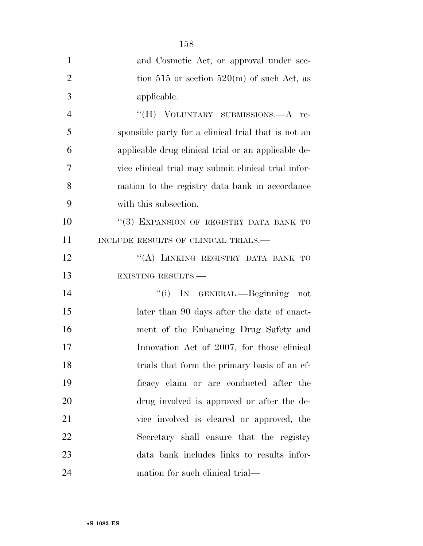| $\mathbf{1}$   | and Cosmetic Act, or approval under sec-             |
|----------------|------------------------------------------------------|
| $\overline{2}$ | tion 515 or section 520(m) of such Act, as           |
| 3              | applicable.                                          |
| $\overline{4}$ | "(H) VOLUNTARY SUBMISSIONS.—A re-                    |
| 5              | sponsible party for a clinical trial that is not an  |
| 6              | applicable drug clinical trial or an applicable de-  |
| 7              | vice clinical trial may submit clinical trial infor- |
| 8              | mation to the registry data bank in accordance       |
| 9              | with this subsection.                                |
| 10             | "(3) EXPANSION OF REGISTRY DATA BANK TO              |
| 11             | INCLUDE RESULTS OF CLINICAL TRIALS.—                 |
| 12             | "(A) LINKING REGISTRY DATA BANK TO                   |
| 13             | EXISTING RESULTS.                                    |
| 14             | "(i) IN GENERAL.—Beginning<br>not                    |
| 15             | later than 90 days after the date of enact-          |
| 16             | ment of the Enhancing Drug Safety and                |
| 17             | Innovation Act of 2007, for those clinical           |
| 18             | trials that form the primary basis of an ef-         |
| 19             | ficacy claim or are conducted after the              |
| 20             | drug involved is approved or after the de-           |
| 21             | vice involved is cleared or approved, the            |
| 22             | Secretary shall ensure that the registry             |
| 23             | data bank includes links to results infor-           |
| 24             | mation for such clinical trial—                      |

•**S 1082 ES**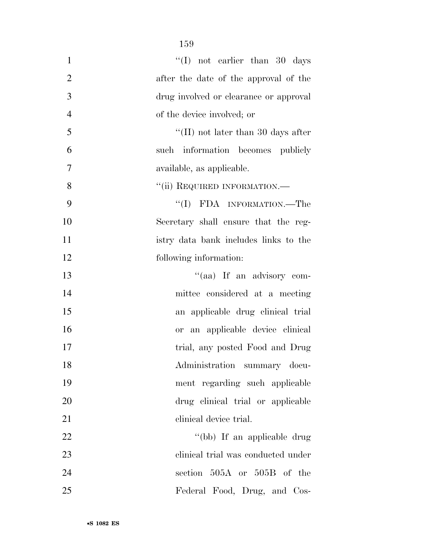| $\mathbf{1}$<br>"(I) not earlier than 30 days           |  |
|---------------------------------------------------------|--|
| $\overline{2}$<br>after the date of the approval of the |  |
| 3<br>drug involved or clearance or approval             |  |
| $\overline{4}$<br>of the device involved; or            |  |
| 5<br>"(II) not later than 30 days after                 |  |
| 6<br>such information becomes publicly                  |  |
| $\overline{7}$<br>available, as applicable.             |  |
| 8<br>"(ii) REQUIRED INFORMATION.-                       |  |
| 9<br>"(I) FDA INFORMATION.—The                          |  |
| 10<br>Secretary shall ensure that the reg-              |  |
| 11<br>istry data bank includes links to the             |  |
| 12<br>following information:                            |  |
| 13<br>"(aa) If an advisory com-                         |  |
| 14<br>mittee considered at a meeting                    |  |
| 15<br>an applicable drug clinical trial                 |  |
| 16<br>or an applicable device clinical                  |  |
| 17<br>trial, any posted Food and Drug                   |  |
| 18<br>Administration summary docu-                      |  |
| 19<br>ment regarding such applicable                    |  |
| 20<br>drug clinical trial or applicable                 |  |
| 21<br>clinical device trial.                            |  |
| 22<br>"(bb) If an applicable drug                       |  |
| 23<br>clinical trial was conducted under                |  |
| 24<br>section 505A or 505B of the                       |  |
| 25<br>Federal Food, Drug, and Cos-                      |  |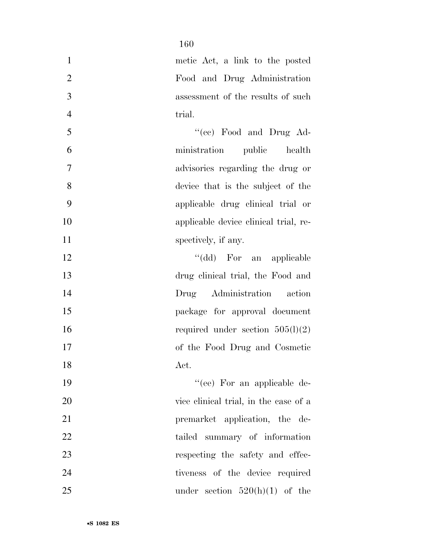| $\mathbf{1}$   | metic Act, a link to the posted       |
|----------------|---------------------------------------|
| $\overline{2}$ | Food and Drug Administration          |
| 3              | assessment of the results of such     |
| $\overline{4}$ | trial.                                |
| 5              | "(cc) Food and Drug Ad-               |
| 6              | ministration<br>public health         |
| $\tau$         | advisories regarding the drug or      |
| 8              | device that is the subject of the     |
| 9              | applicable drug clinical trial or     |
| 10             | applicable device clinical trial, re- |
| 11             | spectively, if any.                   |
| 12             | "(dd) For an applicable               |
| 13             | drug clinical trial, the Food and     |
| 14             | Drug Administration action            |
| 15             | package for approval document         |
| 16             | required under section $505(l)(2)$    |
| 17             | of the Food Drug and Cosmetic         |
| 18             | Act.                                  |
| 19             | $``(ee)$ For an applicable de-        |
| 20             | vice clinical trial, in the case of a |
| 21             | premarket application, the de-        |
| 22             | tailed summary of information         |
| 23             | respecting the safety and effec-      |
| 24             | tiveness of the device required       |
| 25             | under section $520(h)(1)$ of the      |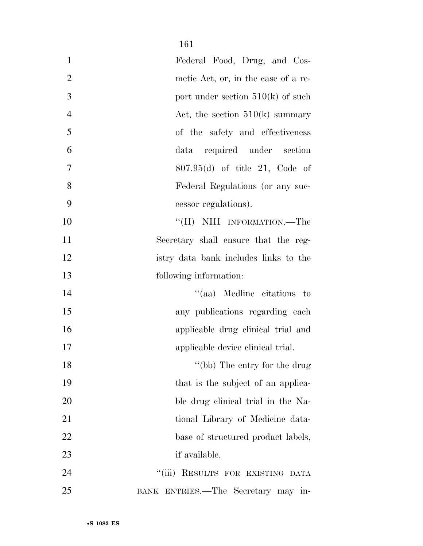| $\mathbf{1}$   | Federal Food, Drug, and Cos-          |
|----------------|---------------------------------------|
| $\overline{2}$ | metic Act, or, in the case of a re-   |
| 3              | port under section $510(k)$ of such   |
| $\overline{4}$ | Act, the section $510(k)$ summary     |
| 5              | of the safety and effectiveness       |
| 6              | data required under section           |
| $\tau$         | $807.95(d)$ of title 21, Code of      |
| 8              | Federal Regulations (or any suc-      |
| 9              | cessor regulations).                  |
| 10             | "(II) NIH INFORMATION.—The            |
| 11             | Secretary shall ensure that the reg-  |
| 12             | istry data bank includes links to the |
| 13             | following information:                |
| 14             | "(aa) Medline citations to            |
| 15             | any publications regarding each       |
| 16             | applicable drug clinical trial and    |
| 17             | applicable device clinical trial.     |
| 18             | "(bb) The entry for the drug          |
| 19             | that is the subject of an applica-    |
| 20             | ble drug clinical trial in the Na-    |
| 21             | tional Library of Medicine data-      |
| 22             | base of structured product labels,    |
| 23             | if available.                         |
| 24             | "(iii) RESULTS FOR EXISTING DATA      |
| 25             | BANK ENTRIES.—The Secretary may in-   |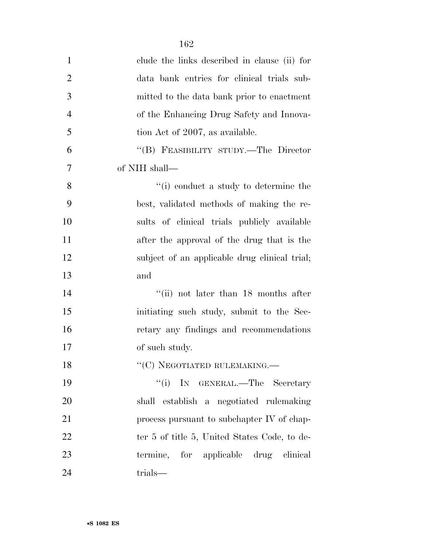| $\mathbf{1}$   | clude the links described in clause (ii) for  |
|----------------|-----------------------------------------------|
| $\overline{2}$ | data bank entries for clinical trials sub-    |
| 3              | mitted to the data bank prior to enactment    |
| $\overline{4}$ | of the Enhancing Drug Safety and Innova-      |
| 5              | tion Act of 2007, as available.               |
| 6              | "(B) FEASIBILITY STUDY.—The Director          |
| 7              | of NIH shall—                                 |
| 8              | "(i) conduct a study to determine the         |
| 9              | best, validated methods of making the re-     |
| 10             | sults of clinical trials publicly available   |
| 11             | after the approval of the drug that is the    |
| 12             | subject of an applicable drug clinical trial; |
| 13             | and                                           |
| 14             | "(ii) not later than 18 months after          |
| 15             | initiating such study, submit to the Sec-     |
| 16             | retary any findings and recommendations       |
| 17             | of such study.                                |
| 18             | "(C) NEGOTIATED RULEMAKING.-                  |
| 19             | "(i) IN GENERAL.—The Secretary                |
| 20             | shall establish a negotiated rulemaking       |
| 21             | process pursuant to subchapter IV of chap-    |
| 22             | ter 5 of title 5, United States Code, to de-  |
| 23             | termine, for applicable drug clinical         |
| 24             | trials—                                       |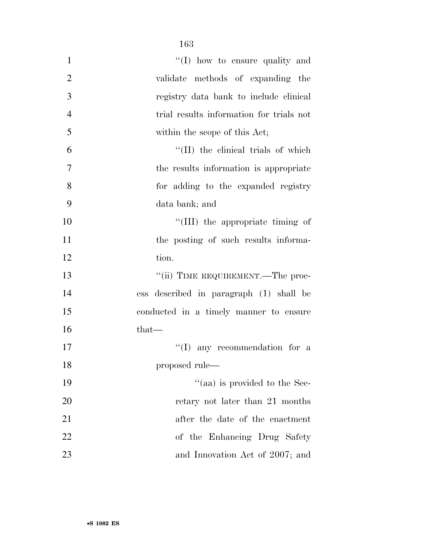| $\mathbf{1}$   | "(I) how to ensure quality and           |
|----------------|------------------------------------------|
| $\overline{2}$ | validate methods of expanding the        |
| 3              | registry data bank to include clinical   |
| $\overline{4}$ | trial results information for trials not |
| 5              | within the scope of this Act;            |
| 6              | "(II) the clinical trials of which       |
| $\overline{7}$ | the results information is appropriate   |
| 8              | for adding to the expanded registry      |
| 9              | data bank; and                           |
| 10             | "(III) the appropriate timing of         |
| 11             | the posting of such results informa-     |
| 12             | tion.                                    |
| 13             | "(ii) TIME REQUIREMENT.—The proc-        |
| 14             | ess described in paragraph (1) shall be  |
| 15             | conducted in a timely manner to ensure   |
| 16             | that—                                    |
| 17             | $\lq\lq$ (I) any recommendation for a    |
| 18             | proposed rule—                           |
| 19             | "(aa) is provided to the Sec-            |
| 20             | retary not later than 21 months          |
| 21             | after the date of the enactment          |
| 22             | of the Enhancing Drug Safety             |
| 23             | and Innovation Act of 2007; and          |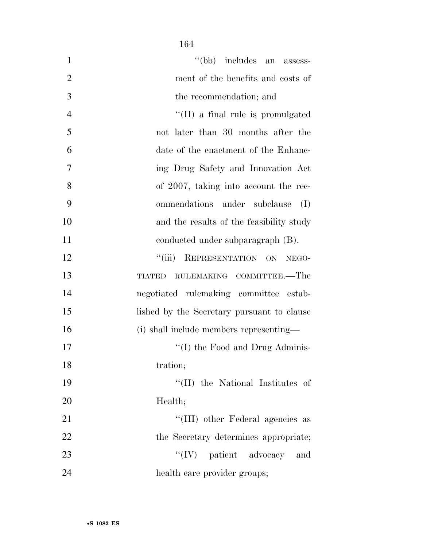| $\mathbf{1}$   | "(bb) includes an assess-                  |
|----------------|--------------------------------------------|
| $\overline{2}$ | ment of the benefits and costs of          |
| 3              | the recommendation; and                    |
| $\overline{4}$ | "(II) a final rule is promulgated          |
| 5              | not later than 30 months after the         |
| 6              | date of the enactment of the Enhanc-       |
| 7              | ing Drug Safety and Innovation Act         |
| 8              | of 2007, taking into account the rec-      |
| 9              | ommendations under subclause<br>(I)        |
| 10             | and the results of the feasibility study   |
| 11             | conducted under subparagraph (B).          |
| 12             | ``(iii)<br>REPRESENTATION ON NEGO-         |
| 13             | RULEMAKING COMMITTEE.-The<br><b>TIATED</b> |
| 14             | negotiated rulemaking committee estab-     |
| 15             | lished by the Secretary pursuant to clause |
| 16             | (i) shall include members representing—    |
| 17             | $\lq\lq$ (I) the Food and Drug Adminis-    |
| 18             | tration;                                   |
| 19             | "(II) the National Institutes of           |
| 20             | Health;                                    |
| 21             | "(III) other Federal agencies as           |
| 22             | the Secretary determines appropriate;      |
| 23             | $``(IV)$ patient advocacy<br>and           |
| 24             | health care provider groups;               |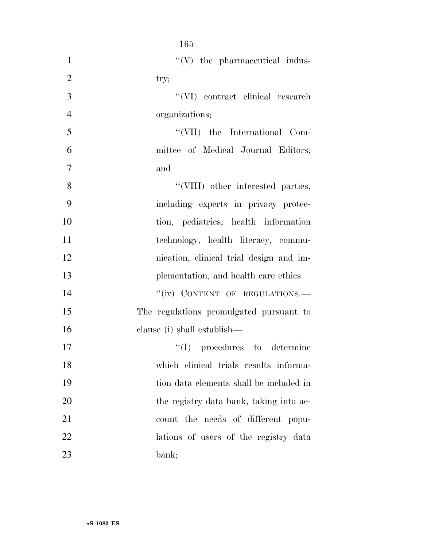| $\mathbf{1}$   | $\lq\lq (V)$ the pharmaceutical indus-  |
|----------------|-----------------------------------------|
| $\overline{2}$ | try;                                    |
| 3              | $``(VI)$ contract clinical research     |
| $\overline{4}$ | organizations;                          |
| 5              | "(VII) the International Com-           |
| 6              | mittee of Medical Journal Editors;      |
| $\tau$         | and                                     |
| 8              | "(VIII) other interested parties,       |
| 9              | including experts in privacy protec-    |
| 10             | tion, pediatrics, health information    |
| 11             | technology, health literacy, commu-     |
| 12             | nication, clinical trial design and im- |
| 13             | plementation, and health care ethics.   |
| 14             | "(iv) CONTENT OF REGULATIONS.-          |
| 15             | The regulations promulgated pursuant to |
| 16             | clause (i) shall establish—             |
| 17             | $\lq\lq$ (I) procedures to determine    |
| 18             | which clinical trials results informa-  |
| 19             | tion data elements shall be included in |
| 20             | the registry data bank, taking into ac- |
| 21             | count the needs of different popu-      |
| 22             | lations of users of the registry data   |
| 23             | bank;                                   |

•**S 1082 ES**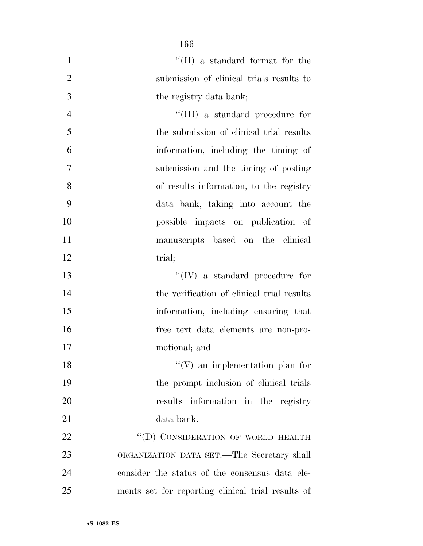| $\mathbf{1}$   | "(II) a standard format for the                   |
|----------------|---------------------------------------------------|
| $\overline{2}$ | submission of clinical trials results to          |
| 3              | the registry data bank;                           |
| $\overline{4}$ | "(III) a standard procedure for                   |
| 5              | the submission of clinical trial results          |
| 6              | information, including the timing of              |
| 7              | submission and the timing of posting              |
| 8              | of results information, to the registry           |
| 9              | data bank, taking into account the                |
| 10             | possible impacts on publication of                |
| 11             | manuscripts based on the clinical                 |
| 12             | trial;                                            |
| 13             | $\lq\lq (IV)$ a standard procedure for            |
| 14             | the verification of clinical trial results        |
| 15             | information, including ensuring that              |
| 16             | free text data elements are non-pro-              |
| 17             | motional; and                                     |
| 18             | $f'(V)$ an implementation plan for                |
| 19             | the prompt inclusion of clinical trials           |
| 20             | results information in the registry               |
| 21             | data bank.                                        |
| 22             | "(D) CONSIDERATION OF WORLD HEALTH                |
| 23             | ORGANIZATION DATA SET.—The Secretary shall        |
| 24             | consider the status of the consensus data ele-    |
| 25             | ments set for reporting clinical trial results of |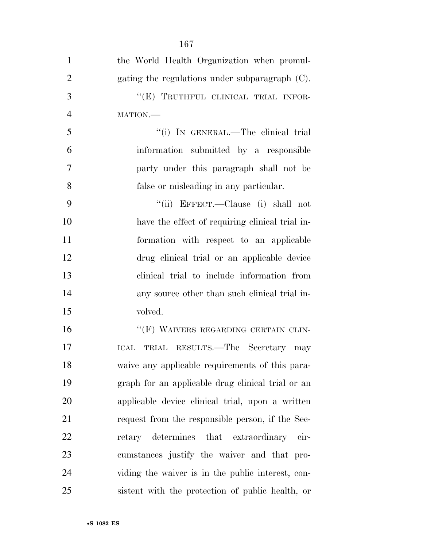| $\mathbf{1}$   | the World Health Organization when promul-        |
|----------------|---------------------------------------------------|
| $\overline{2}$ | gating the regulations under subparagraph (C).    |
| 3              | "(E) TRUTHFUL CLINICAL TRIAL INFOR-               |
| $\overline{4}$ | MATION.                                           |
| 5              | "(i) IN GENERAL.—The clinical trial               |
| 6              | information submitted by a responsible            |
| 7              | party under this paragraph shall not be           |
| 8              | false or misleading in any particular.            |
| 9              | "(ii) EFFECT.—Clause (i) shall not                |
| 10             | have the effect of requiring clinical trial in-   |
| 11             | formation with respect to an applicable           |
| 12             | drug clinical trial or an applicable device       |
| 13             | clinical trial to include information from        |
| 14             | any source other than such clinical trial in-     |
| 15             | volved.                                           |
| 16             | "(F) WAIVERS REGARDING CERTAIN CLIN-              |
| 17             | ICAL TRIAL RESULTS.—The Secretary may             |
| 18             | waive any applicable requirements of this para-   |
| 19             | graph for an applicable drug clinical trial or an |
| 20             | applicable device clinical trial, upon a written  |
| 21             | request from the responsible person, if the Sec-  |
| 22             | determines that extraordinary<br>retary<br>cir-   |
| 23             | cumstances justify the waiver and that pro-       |
| 24             | viding the waiver is in the public interest, con- |
| 25             | sistent with the protection of public health, or  |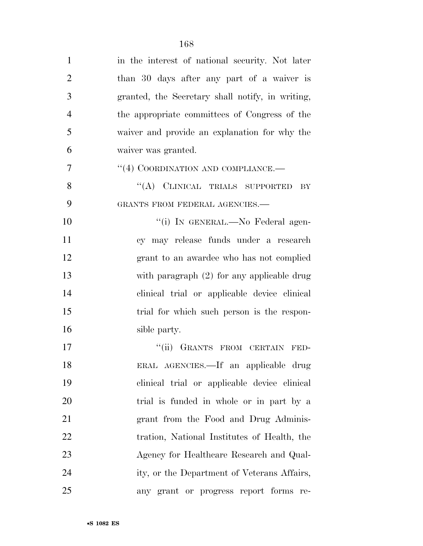| $\mathbf{1}$   | in the interest of national security. Not later  |
|----------------|--------------------------------------------------|
| $\overline{2}$ | than 30 days after any part of a waiver is       |
| 3              | granted, the Secretary shall notify, in writing, |
| $\overline{4}$ | the appropriate committees of Congress of the    |
| 5              | waiver and provide an explanation for why the    |
| 6              | waiver was granted.                              |
| $\tau$         | "(4) COORDINATION AND COMPLIANCE.—               |
| 8              | "(A) CLINICAL TRIALS SUPPORTED<br>BY             |
| 9              | GRANTS FROM FEDERAL AGENCIES.-                   |
| 10             | "(i) IN GENERAL.—No Federal agen-                |
| 11             | cy may release funds under a research            |
| 12             | grant to an awardee who has not complied         |
| 13             | with paragraph $(2)$ for any applicable drug     |
| 14             | clinical trial or applicable device clinical     |
| 15             | trial for which such person is the respon-       |
| 16             | sible party.                                     |
| 17             | "(ii) GRANTS FROM CERTAIN FED-                   |
| 18             | ERAL AGENCIES.—If an applicable drug             |
| 19             | clinical trial or applicable device clinical     |
| 20             | trial is funded in whole or in part by a         |
| 21             | grant from the Food and Drug Adminis-            |
| <u>22</u>      | tration, National Institutes of Health, the      |
| 23             | Agency for Healthcare Research and Qual-         |
| 24             | ity, or the Department of Veterans Affairs,      |
| 25             | any grant or progress report forms re-           |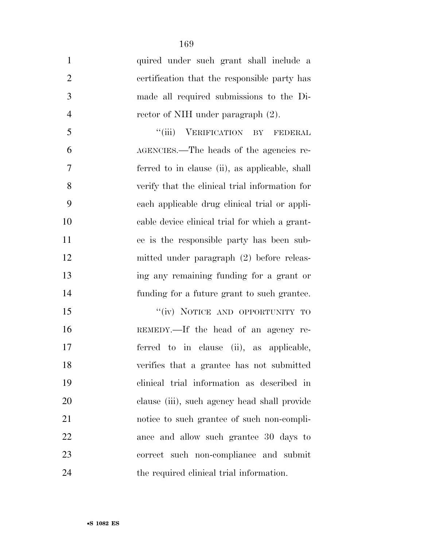| $\mathbf{1}$   | quired under such grant shall include a        |
|----------------|------------------------------------------------|
| $\overline{2}$ | certification that the responsible party has   |
| 3              | made all required submissions to the Di-       |
| $\overline{4}$ | rector of NIH under paragraph (2).             |
| 5              | "(iii) VERIFICATION BY FEDERAL                 |
| 6              | AGENCIES.—The heads of the agencies re-        |
| 7              | ferred to in clause (ii), as applicable, shall |
| 8              | verify that the clinical trial information for |
| 9              | each applicable drug clinical trial or appli-  |
| 10             | cable device clinical trial for which a grant- |
| 11             | ee is the responsible party has been sub-      |
| 12             | mitted under paragraph (2) before releas-      |
| 13             | ing any remaining funding for a grant or       |
| 14             | funding for a future grant to such grantee.    |
| 15             | "(iv) NOTICE AND OPPORTUNITY TO                |
| 16             | REMEDY.—If the head of an agency re-           |
| 17             | ferred to in clause (ii), as applicable,       |
| 18             | verifies that a grantee has not submitted      |
| 19             | clinical trial information as described in     |
| 20             | clause (iii), such agency head shall provide   |
| 21             | notice to such grantee of such non-compli-     |
| 22             | ance and allow such grantee 30 days to         |
| 23             | correct such non-compliance and submit         |
| 24             | the required clinical trial information.       |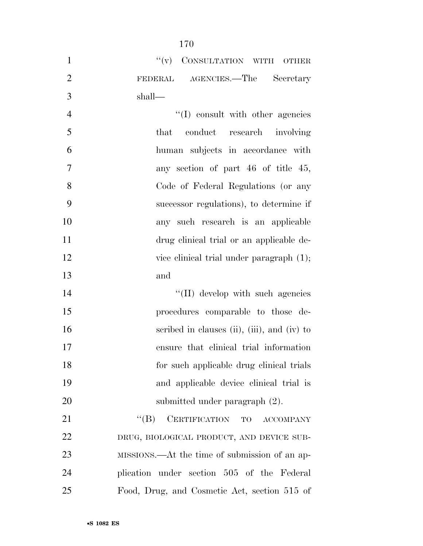|                | 170                                           |
|----------------|-----------------------------------------------|
| $\mathbf{1}$   | "(v) CONSULTATION WITH OTHER                  |
| $\mathfrak{2}$ | FEDERAL AGENCIES.—The Secretary               |
| 3              | shall—                                        |
| $\overline{4}$ | $\lq\lq$ consult with other agencies          |
| 5              | that conduct research involving               |
| 6              | human subjects in accordance with             |
| $\overline{7}$ | any section of part 46 of title 45,           |
| 8              | Code of Federal Regulations (or any           |
| 9              | successor regulations), to determine if       |
| 10             | any such research is an applicable            |
| 11             | drug clinical trial or an applicable de-      |
| 12             | vice clinical trial under paragraph $(1)$ ;   |
| 13             | and                                           |
| 14             | "(II) develop with such agencies              |
| 15             | procedures comparable to those de-            |
| 16             | scribed in clauses (ii), (iii), and (iv) to   |
| 17             | ensure that clinical trial information        |
| 18             | for such applicable drug clinical trials      |
| 19             | and applicable device clinical trial is       |
| 20             | submitted under paragraph (2).                |
| 21             | $``(B)$ CERTIFICATION TO ACCOMPANY            |
| 22             | DRUG, BIOLOGICAL PRODUCT, AND DEVICE SUB-     |
| 23             | MISSIONS.—At the time of submission of an ap- |
| 24             | plication under section 505 of the Federal    |
| 25             | Food, Drug, and Cosmetic Act, section 515 of  |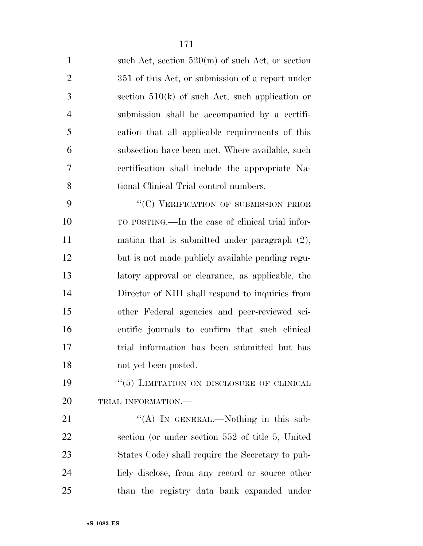| $\mathbf{1}$   | such Act, section $520(m)$ of such Act, or section |
|----------------|----------------------------------------------------|
| $\overline{2}$ | 351 of this Act, or submission of a report under   |
| 3              | section $510(k)$ of such Act, such application or  |
| $\overline{4}$ | submission shall be accompanied by a certifi-      |
| 5              | cation that all applicable requirements of this    |
| 6              | subsection have been met. Where available, such    |
| 7              | certification shall include the appropriate Na-    |
| 8              | tional Clinical Trial control numbers.             |
| 9              | "(C) VERIFICATION OF SUBMISSION PRIOR              |
| 10             | TO POSTING.—In the case of clinical trial infor-   |
| 11             | mation that is submitted under paragraph $(2)$ ,   |
| 12             | but is not made publicly available pending regu-   |
| 13             | latory approval or clearance, as applicable, the   |
| 14             | Director of NIH shall respond to inquiries from    |
| 15             | other Federal agencies and peer-reviewed sci-      |
| 16             | entific journals to confirm that such clinical     |
| 17             | trial information has been submitted but has       |
| 18             | not yet been posted.                               |
| 19             | $``(5)$ LIMITATION ON DISCLOSURE OF CLINICAL       |
| 20             | TRIAL INFORMATION.-                                |
| 21             | "(A) IN GENERAL.—Nothing in this sub-              |
| 22             | section (or under section 552 of title 5, United   |
| 23             | States Code) shall require the Secretary to pub-   |
| 24             | liely disclose, from any record or source other    |
| 25             | than the registry data bank expanded under         |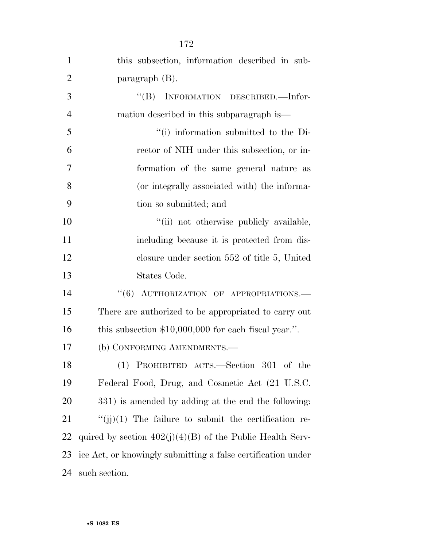| $\mathbf{1}$   | this subsection, information described in sub-               |
|----------------|--------------------------------------------------------------|
| $\overline{2}$ | paragraph $(B)$ .                                            |
| 3              | "(B) INFORMATION DESCRIBED.—Infor-                           |
| $\overline{4}$ | mation described in this subparagraph is—                    |
| 5              | "(i) information submitted to the Di-                        |
| 6              | rector of NIH under this subsection, or in-                  |
| 7              | formation of the same general nature as                      |
| 8              | (or integrally associated with) the informa-                 |
| 9              | tion so submitted; and                                       |
| 10             | "(ii) not otherwise publicly available,                      |
| 11             | including because it is protected from dis-                  |
| 12             | closure under section $552$ of title 5, United               |
| 13             | States Code.                                                 |
| 14             | AUTHORIZATION OF APPROPRIATIONS.<br>``(6)                    |
| 15             | There are authorized to be appropriated to carry out         |
| 16             | this subsection $$10,000,000$ for each fiscal year.".        |
| 17             | (b) CONFORMING AMENDMENTS.-                                  |
| 18             | (1) PROHIBITED ACTS.—Section 301 of the                      |
| 19             | Federal Food, Drug, and Cosmetic Act (21 U.S.C.              |
| 20             | 331) is amended by adding at the end the following:          |
| 21             | $\lq\lq$ (ij)(1) The failure to submit the certification re- |
| 22             | quired by section $402(j)(4)(B)$ of the Public Health Serv-  |
| 23             | ice Act, or knowingly submitting a false certification under |
| 24             | such section.                                                |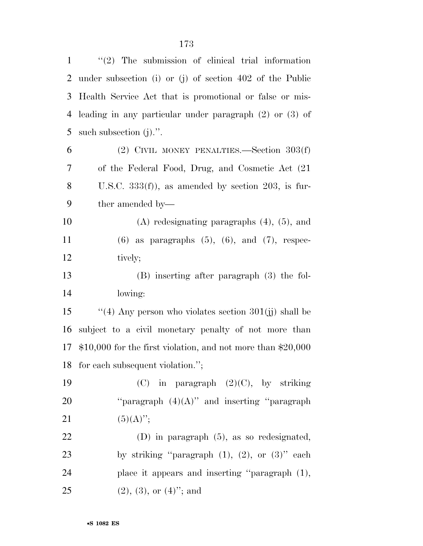| $\mathbf{1}$   | $\lq(2)$ The submission of clinical trial information          |
|----------------|----------------------------------------------------------------|
| 2              | under subsection (i) or (j) of section $402$ of the Public     |
| 3              | Health Service Act that is promotional or false or mis-        |
| $\overline{4}$ | leading in any particular under paragraph $(2)$ or $(3)$ of    |
| 5              | such subsection $(j)$ .".                                      |
| 6              | (2) CIVIL MONEY PENALTIES.—Section $303(f)$                    |
| 7              | of the Federal Food, Drug, and Cosmetic Act (21)               |
| 8              | U.S.C. $333(f)$ , as amended by section 203, is fur-           |
| 9              | ther amended by—                                               |
| 10             | $(A)$ redesignating paragraphs $(4)$ , $(5)$ , and             |
| 11             | $(6)$ as paragraphs $(5)$ , $(6)$ , and $(7)$ , respec-        |
| 12             | tively;                                                        |
| 13             | (B) inserting after paragraph (3) the fol-                     |
| 14             | lowing:                                                        |
| 15             | "(4) Any person who violates section $301(jj)$ shall be        |
| 16             | subject to a civil monetary penalty of not more than           |
| 17             | $$10,000$ for the first violation, and not more than $$20,000$ |
|                | 18 for each subsequent violation.";                            |
| 19             | in paragraph $(2)(C)$ , by striking<br>(C)                     |
| 20             | "paragraph $(4)(A)$ " and inserting "paragraph                 |
| 21             | $(5)(A)$ ";                                                    |
| 22             | $(D)$ in paragraph $(5)$ , as so redesignated,                 |
| 23             | by striking "paragraph $(1)$ , $(2)$ , or $(3)$ " each         |
| 24             | place it appears and inserting "paragraph (1),                 |
| 25             | $(2), (3),$ or $(4)$ <sup>"</sup> ; and                        |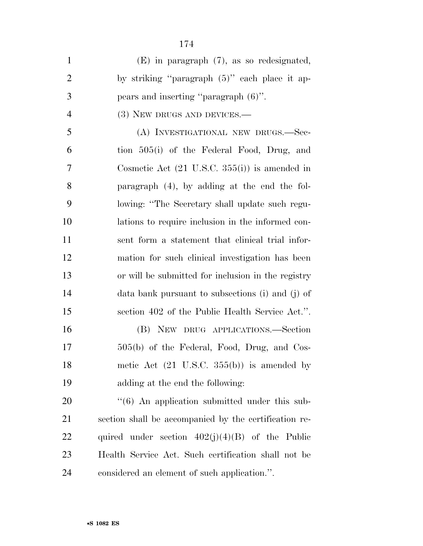| $\mathbf{1}$   | $(E)$ in paragraph $(7)$ , as so redesignated,            |
|----------------|-----------------------------------------------------------|
| $\mathfrak{2}$ | by striking "paragraph (5)" each place it ap-             |
| 3              | pears and inserting "paragraph $(6)$ ".                   |
| $\overline{4}$ | $(3)$ New DRUGS AND DEVICES.—                             |
| 5              | (A) INVESTIGATIONAL NEW DRUGS.-Sec-                       |
| 6              | tion 505(i) of the Federal Food, Drug, and                |
| 7              | Cosmetic Act $(21 \text{ U.S.C. } 355(i))$ is amended in  |
| 8              | paragraph $(4)$ , by adding at the end the fol-           |
| 9              | lowing: "The Secretary shall update such regu-            |
| 10             | lations to require inclusion in the informed con-         |
| 11             | sent form a statement that clinical trial infor-          |
| 12             | mation for such clinical investigation has been           |
| 13             | or will be submitted for inclusion in the registry        |
| 14             | data bank pursuant to subsections (i) and (j) of          |
| 15             | section 402 of the Public Health Service Act.".           |
| 16             | (B) NEW DRUG APPLICATIONS.—Section                        |
| 17             | 505(b) of the Federal, Food, Drug, and Cos-               |
| 18             | metic Act $(21 \text{ U.S.C. } 355(b))$ is amended by     |
| 19             | adding at the end the following:                          |
| 20             | $\cdot\cdot$ (6) An application submitted under this sub- |
| 21             | section shall be accompanied by the certification re-     |
| 22             | quired under section $402(j)(4)(B)$ of the Public         |
| 23             | Health Service Act. Such certification shall not be       |
| 24             | considered an element of such application.".              |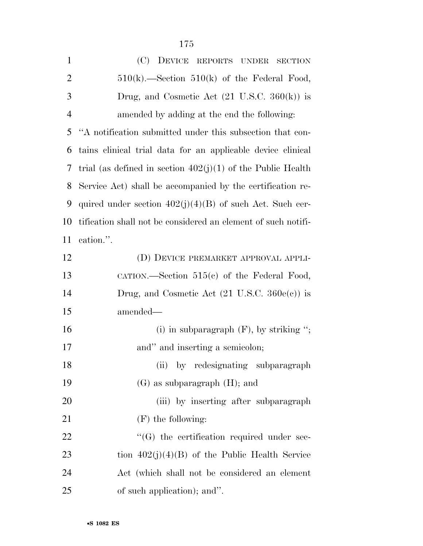| $\mathbf{1}$   | (C)<br>DEVICE REPORTS UNDER<br><b>SECTION</b>                  |
|----------------|----------------------------------------------------------------|
| $\overline{2}$ | $510(k)$ . Section $510(k)$ of the Federal Food,               |
| 3              | Drug, and Cosmetic Act $(21 \text{ U.S.C. } 360(\text{k}))$ is |
| $\overline{4}$ | amended by adding at the end the following:                    |
| 5              | "A notification submitted under this subsection that con-      |
| 6              | tains clinical trial data for an applicable device clinical    |
| 7              | trial (as defined in section $402(j)(1)$ of the Public Health  |
| 8              | Service Act) shall be accompanied by the certification re-     |
| 9              | quired under section $402(j)(4)(B)$ of such Act. Such cer-     |
| 10             | tification shall not be considered an element of such notifi-  |
| 11             | cation.".                                                      |
| 12             | (D) DEVICE PREMARKET APPROVAL APPLI-                           |
| 13             | CATION.—Section $515(c)$ of the Federal Food,                  |
| 14             | Drug, and Cosmetic Act $(21 \text{ U.S.C. } 360e(c))$ is       |
| 15             | amended—                                                       |
| 16             | (i) in subparagraph $(F)$ , by striking ";                     |
| 17             | and" and inserting a semicolon;                                |
| 18             | (ii) by redesignating subparagraph                             |
| 19             | $(G)$ as subparagraph $(H)$ ; and                              |
| 20             | (iii) by inserting after subparagraph                          |
| 21             | $(F)$ the following:                                           |
| 22             | $\lq\lq(G)$ the certification required under sec-              |
| 23             | tion $402(j)(4)(B)$ of the Public Health Service               |
| 24             | Act (which shall not be considered an element                  |
| 25             | of such application); and".                                    |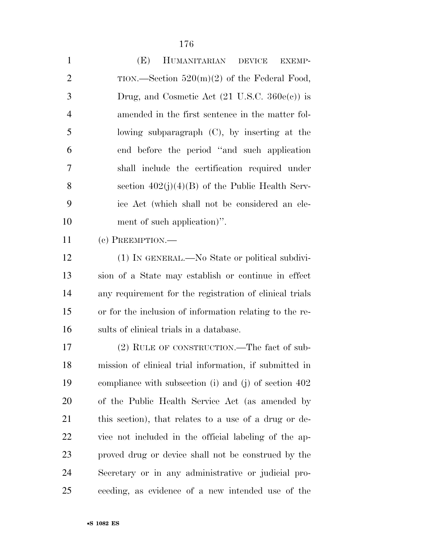| $\mathbf{1}$   | (E)<br>HUMANITARIAN DEVICE<br><b>EXEMP-</b>              |
|----------------|----------------------------------------------------------|
| $\overline{2}$ | TION.—Section $520(m)(2)$ of the Federal Food,           |
| 3              | Drug, and Cosmetic Act $(21 \text{ U.S.C. } 360e(e))$ is |
| $\overline{4}$ | amended in the first sentence in the matter fol-         |
| 5              | lowing subparagraph $(C)$ , by inserting at the          |
| 6              | end before the period "and such application"             |
| 7              | shall include the certification required under           |
| 8              | section $402(j)(4)(B)$ of the Public Health Serv-        |
| 9              | ice Act (which shall not be considered an ele-           |
| 10             | ment of such application)".                              |
| 11             | $(e)$ PREEMPTION.—                                       |
| 12             | (1) IN GENERAL.—No State or political subdivi-           |
| 13             | sion of a State may establish or continue in effect      |
| 14             | any requirement for the registration of clinical trials  |
| 15             | or for the inclusion of information relating to the re-  |
| 16             | sults of clinical trials in a database.                  |
| 17             | (2) RULE OF CONSTRUCTION.—The fact of sub-               |
| 18             | mission of clinical trial information, if submitted in   |
| 19             | compliance with subsection (i) and (j) of section $402$  |
| 20             | of the Public Health Service Act (as amended by          |
| 21             | this section), that relates to a use of a drug or de-    |
| 22             | vice not included in the official labeling of the ap-    |
| 23             | proved drug or device shall not be construed by the      |
| 24             | Secretary or in any administrative or judicial pro-      |
| 25             | ceeding, as evidence of a new intended use of the        |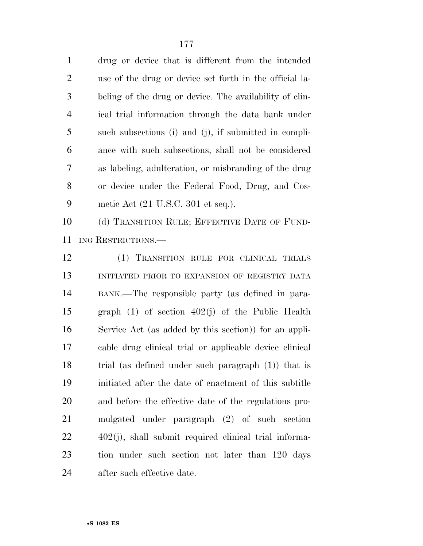| drug or device that is different from the intended       |
|----------------------------------------------------------|
| use of the drug or device set forth in the official la-  |
| beling of the drug or device. The availability of clin-  |
| ical trial information through the data bank under       |
| such subsections (i) and (j), if submitted in compli-    |
| ance with such subsections, shall not be considered      |
| as labeling, adulteration, or misbranding of the drug    |
| or device under the Federal Food, Drug, and Cos-         |
| metic Act $(21 \text{ U.S.C. } 301 \text{ et seq.}).$    |
| (d) TRANSITION RULE; EFFECTIVE DATE OF FUND-             |
| ING RESTRICTIONS.                                        |
| (1) TRANSITION RULE FOR CLINICAL TRIALS                  |
| INITIATED PRIOR TO EXPANSION OF REGISTRY DATA            |
| BANK.—The responsible party (as defined in para-         |
| graph $(1)$ of section $402(j)$ of the Public Health     |
| Service Act (as added by this section)) for an appli-    |
| cable drug clinical trial or applicable device clinical  |
| trial (as defined under such paragraph $(1)$ ) that is   |
| initiated after the date of enactment of this subtitle   |
| and before the effective date of the regulations pro-    |
| mulgated under paragraph (2) of such section             |
| $402(j)$ , shall submit required clinical trial informa- |
| tion under such section not later than 120 days          |
|                                                          |

after such effective date.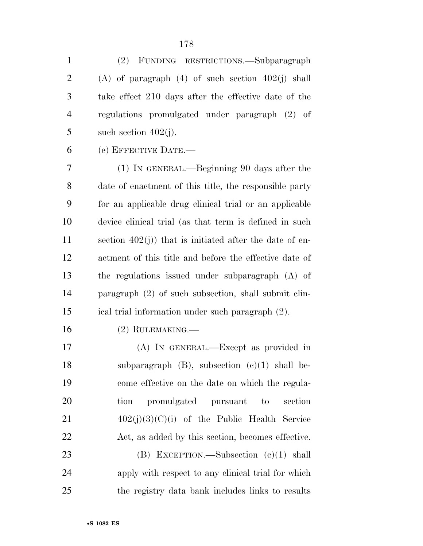(2) FUNDING RESTRICTIONS.—Subparagraph (A) of paragraph (4) of such section 402(j) shall take effect 210 days after the effective date of the regulations promulgated under paragraph (2) of 5 such section  $402(j)$ .

(e) EFFECTIVE DATE.—

 (1) IN GENERAL.—Beginning 90 days after the date of enactment of this title, the responsible party for an applicable drug clinical trial or an applicable device clinical trial (as that term is defined in such section 402(j)) that is initiated after the date of en- actment of this title and before the effective date of the regulations issued under subparagraph (A) of paragraph (2) of such subsection, shall submit clin-ical trial information under such paragraph (2).

(2) RULEMAKING.—

 (A) IN GENERAL.—Except as provided in subparagraph (B), subsection (c)(1) shall be- come effective on the date on which the regula- tion promulgated pursuant to section  $402(j)(3)(C)(i)$  of the Public Health Service Act, as added by this section, becomes effective. 23 (B) EXCEPTION.—Subsection (c)(1) shall

 apply with respect to any clinical trial for which the registry data bank includes links to results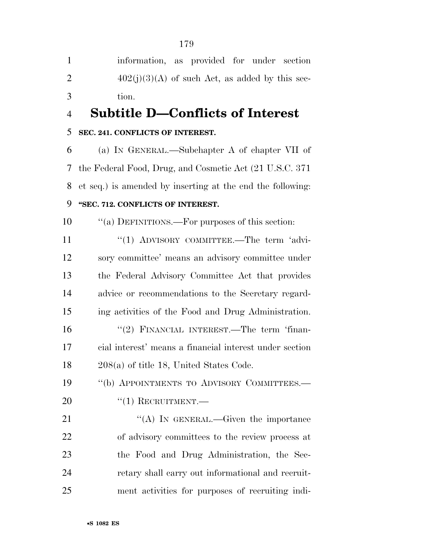information, as provided for under section 2  $402(j)(3)(A)$  of such Act, as added by this sec-tion.

# **Subtitle D—Conflicts of Interest**

### **SEC. 241. CONFLICTS OF INTEREST.**

 (a) IN GENERAL.—Subchapter A of chapter VII of the Federal Food, Drug, and Cosmetic Act (21 U.S.C. 371 et seq.) is amended by inserting at the end the following: **''SEC. 712. CONFLICTS OF INTEREST.** 

10  $\cdot$  "(a) DEFINITIONS.—For purposes of this section:

11 "(1) ADVISORY COMMITTEE.—The term 'advi- sory committee' means an advisory committee under the Federal Advisory Committee Act that provides advice or recommendations to the Secretary regard- ing activities of the Food and Drug Administration. 16 "(2) FINANCIAL INTEREST.—The term 'finan-

 cial interest' means a financial interest under section 208(a) of title 18, United States Code.

19 "(b) APPOINTMENTS TO ADVISORY COMMITTEES.— 20 "(1) RECRUITMENT.

 $((A)$  In GENERAL.—Given the importance of advisory committees to the review process at the Food and Drug Administration, the Sec- retary shall carry out informational and recruit-ment activities for purposes of recruiting indi-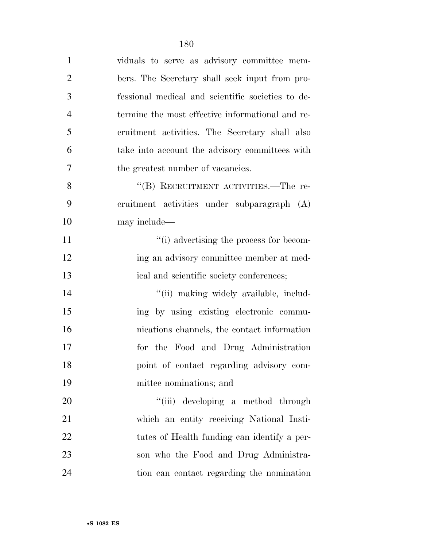| $\mathbf{1}$   | viduals to serve as advisory committee mem-       |
|----------------|---------------------------------------------------|
| $\overline{2}$ | bers. The Secretary shall seek input from pro-    |
| 3              | fessional medical and scientific societies to de- |
| $\overline{4}$ | termine the most effective informational and re-  |
| 5              | cruitment activities. The Secretary shall also    |
| 6              | take into account the advisory committees with    |
| 7              | the greatest number of vacancies.                 |
| 8              | "(B) RECRUITMENT ACTIVITIES.—The re-              |
| 9              | cruitment activities under subparagraph (A)       |
| 10             | may include—                                      |
| 11             | "(i) advertising the process for becom-           |
| 12             | ing an advisory committee member at med-          |
| 13             | ical and scientific society conferences;          |
| 14             | "(ii) making widely available, includ-            |
| 15             | ing by using existing electronic commu-           |
| 16             | nications channels, the contact information       |
| 17             | for the Food and Drug Administration              |
| 18             | point of contact regarding advisory com-          |
| 19             | mittee nominations; and                           |
| 20             | "(iii) developing a method through                |
| 21             | which an entity receiving National Insti-         |
| 22             | tutes of Health funding can identify a per-       |
| 23             | son who the Food and Drug Administra-             |

tion can contact regarding the nomination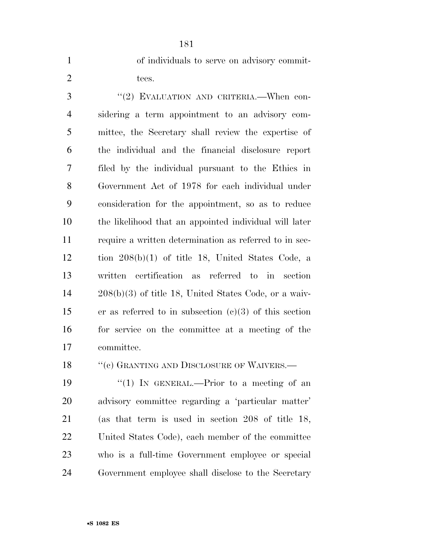| of individuals to serve on advisory commit- |  |  |  |
|---------------------------------------------|--|--|--|
| tees.                                       |  |  |  |

3 "(2) EVALUATION AND CRITERIA. When con- sidering a term appointment to an advisory com- mittee, the Secretary shall review the expertise of the individual and the financial disclosure report filed by the individual pursuant to the Ethics in Government Act of 1978 for each individual under consideration for the appointment, so as to reduce the likelihood that an appointed individual will later require a written determination as referred to in sec- tion 208(b)(1) of title 18, United States Code, a written certification as referred to in section 208(b)(3) of title 18, United States Code, or a waiv- er as referred to in subsection (c)(3) of this section for service on the committee at a meeting of the committee.

18 "(c) GRANTING AND DISCLOSURE OF WAIVERS.—

19 "(1) In GENERAL.—Prior to a meeting of an advisory committee regarding a 'particular matter' (as that term is used in section 208 of title 18, United States Code), each member of the committee who is a full-time Government employee or special Government employee shall disclose to the Secretary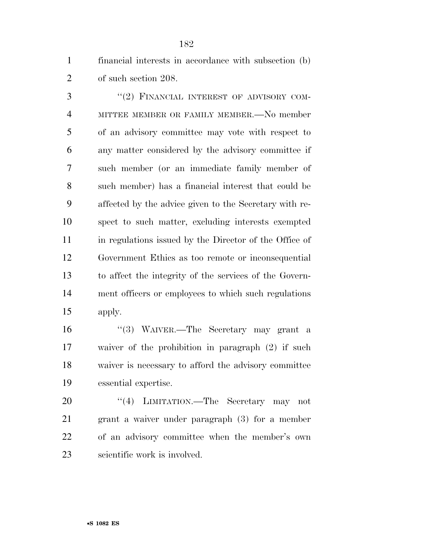financial interests in accordance with subsection (b) of such section 208.

3 "(2) FINANCIAL INTEREST OF ADVISORY COM- MITTEE MEMBER OR FAMILY MEMBER.—No member of an advisory committee may vote with respect to any matter considered by the advisory committee if such member (or an immediate family member of such member) has a financial interest that could be affected by the advice given to the Secretary with re- spect to such matter, excluding interests exempted in regulations issued by the Director of the Office of Government Ethics as too remote or inconsequential to affect the integrity of the services of the Govern- ment officers or employees to which such regulations apply.

 ''(3) WAIVER.—The Secretary may grant a waiver of the prohibition in paragraph (2) if such waiver is necessary to afford the advisory committee essential expertise.

20 "(4) LIMITATION.—The Secretary may not grant a waiver under paragraph (3) for a member of an advisory committee when the member's own scientific work is involved.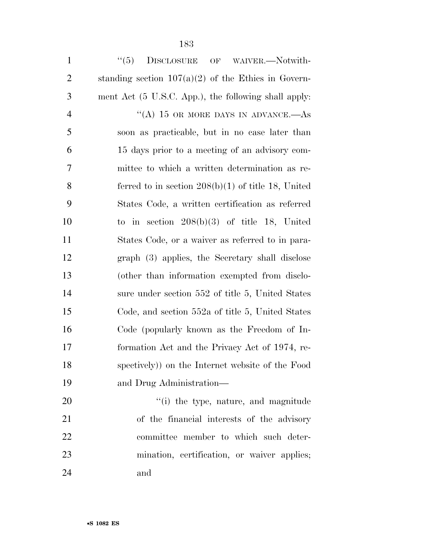1 "(5) DISCLOSURE OF WAIVER.—Notwith-2 standing section  $107(a)(2)$  of the Ethics in Govern- ment Act (5 U.S.C. App.), the following shall apply: 4 "(A) 15 OR MORE DAYS IN ADVANCE.—As soon as practicable, but in no case later than 15 days prior to a meeting of an advisory com- mittee to which a written determination as re- ferred to in section 208(b)(1) of title 18, United States Code, a written certification as referred to in section 208(b)(3) of title 18, United States Code, or a waiver as referred to in para- graph (3) applies, the Secretary shall disclose (other than information exempted from disclo-14 sure under section 552 of title 5, United States Code, and section 552a of title 5, United States Code (popularly known as the Freedom of In- formation Act and the Privacy Act of 1974, re- spectively)) on the Internet website of the Food and Drug Administration—

 $\frac{1}{20}$  the type, nature, and magnitude of the financial interests of the advisory committee member to which such deter- mination, certification, or waiver applies; and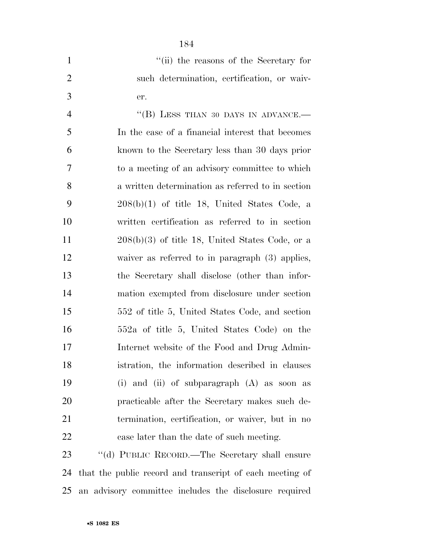| $\mathbf{1}$   | "(ii) the reasons of the Secretary for                   |
|----------------|----------------------------------------------------------|
| $\overline{2}$ | such determination, certification, or waiv-              |
| 3              | er.                                                      |
| $\overline{4}$ | "(B) LESS THAN 30 DAYS IN ADVANCE.-                      |
| 5              | In the case of a financial interest that becomes         |
| 6              | known to the Secretary less than 30 days prior           |
| 7              | to a meeting of an advisory committee to which           |
| 8              | a written determination as referred to in section        |
| 9              | $208(b)(1)$ of title 18, United States Code, a           |
| 10             | written certification as referred to in section          |
| 11             | $208(b)(3)$ of title 18, United States Code, or a        |
| 12             | waiver as referred to in paragraph $(3)$ applies,        |
| 13             | the Secretary shall disclose (other than infor-          |
| 14             | mation exempted from disclosure under section            |
| 15             | 552 of title 5, United States Code, and section          |
| 16             | 552a of title 5, United States Code) on the              |
| 17             | Internet website of the Food and Drug Admin-             |
| 18             | istration, the information described in clauses          |
| 19             | (i) and (ii) of subparagraph $(A)$ as soon as            |
| 20             | practicable after the Secretary makes such de-           |
| 21             | termination, certification, or waiver, but in no         |
| 22             | case later than the date of such meeting.                |
| 23             | "(d) PUBLIC RECORD.—The Secretary shall ensure           |
| 24             | that the public record and transcript of each meeting of |

an advisory committee includes the disclosure required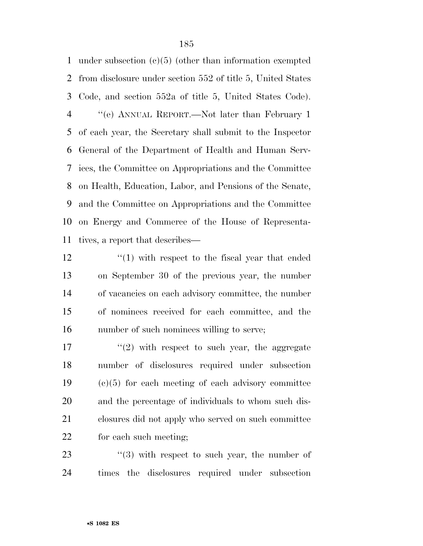under subsection (c)(5) (other than information exempted from disclosure under section 552 of title 5, United States Code, and section 552a of title 5, United States Code). ''(e) ANNUAL REPORT.—Not later than February 1 of each year, the Secretary shall submit to the Inspector General of the Department of Health and Human Serv- ices, the Committee on Appropriations and the Committee on Health, Education, Labor, and Pensions of the Senate, and the Committee on Appropriations and the Committee on Energy and Commerce of the House of Representa-tives, a report that describes—

12 ''(1) with respect to the fiscal year that ended on September 30 of the previous year, the number of vacancies on each advisory committee, the number of nominees received for each committee, and the number of such nominees willing to serve;

17 ''(2) with respect to such year, the aggregate number of disclosures required under subsection (c)(5) for each meeting of each advisory committee and the percentage of individuals to whom such dis- closures did not apply who served on such committee for each such meeting;

23  $\frac{1}{2}$   $\frac{1}{2}$  with respect to such year, the number of times the disclosures required under subsection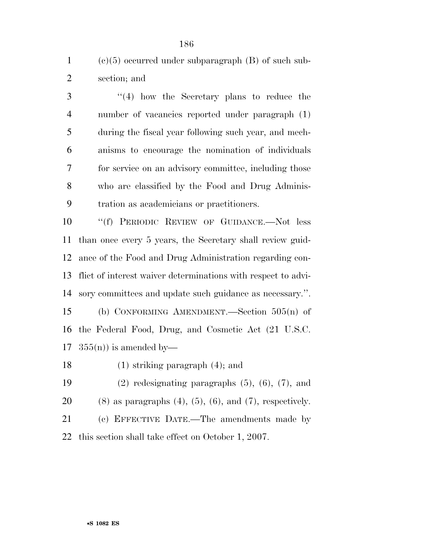1 (c)(5) occurred under subparagraph  $(B)$  of such sub-section; and

3 ''(4) how the Secretary plans to reduce the number of vacancies reported under paragraph (1) during the fiscal year following such year, and mech- anisms to encourage the nomination of individuals for service on an advisory committee, including those who are classified by the Food and Drug Adminis-tration as academicians or practitioners.

 ''(f) PERIODIC REVIEW OF GUIDANCE.—Not less than once every 5 years, the Secretary shall review guid- ance of the Food and Drug Administration regarding con- flict of interest waiver determinations with respect to advi- sory committees and update such guidance as necessary.''. (b) CONFORMING AMENDMENT.—Section 505(n) of the Federal Food, Drug, and Cosmetic Act (21 U.S.C.  $355(n)$  is amended by—

(1) striking paragraph (4); and

 (2) redesignating paragraphs (5), (6), (7), and 20 (8) as paragraphs  $(4)$ ,  $(5)$ ,  $(6)$ , and  $(7)$ , respectively. (c) EFFECTIVE DATE.—The amendments made by this section shall take effect on October 1, 2007.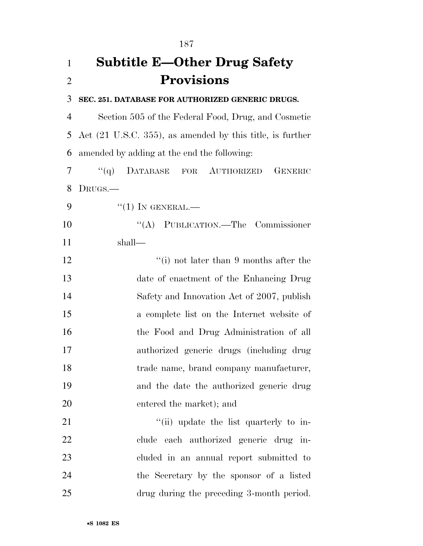| 1              | <b>Subtitle E—Other Drug Safety</b>                                   |
|----------------|-----------------------------------------------------------------------|
| $\overline{2}$ | <b>Provisions</b>                                                     |
| 3              | SEC. 251. DATABASE FOR AUTHORIZED GENERIC DRUGS.                      |
| $\overline{4}$ | Section 505 of the Federal Food, Drug, and Cosmetic                   |
| 5              | Act $(21 \text{ U.S.C. } 355)$ , as amended by this title, is further |
| 6              | amended by adding at the end the following:                           |
| 7              | DATABASE FOR AUTHORIZED<br>``(q)<br><b>GENERIC</b>                    |
| 8              | DRUGS.—                                                               |
| 9              | $``(1)$ IN GENERAL.—                                                  |
| 10             | "(A) PUBLICATION.—The Commissioner                                    |
| 11             | shall—                                                                |
| 12             | "(i) not later than $9$ months after the                              |
| 13             | date of enactment of the Enhancing Drug                               |
| 14             | Safety and Innovation Act of 2007, publish                            |
| 15             | a complete list on the Internet website of                            |
| 16             | the Food and Drug Administration of all                               |
| 17             | authorized generic drugs (including drug                              |
| 18             | trade name, brand company manufacturer,                               |
| 19             | and the date the authorized generic drug                              |
| 20             | entered the market); and                                              |
| 21             | "(ii) update the list quarterly to in-                                |
| 22             | clude each authorized generic drug in-                                |
| 23             | cluded in an annual report submitted to                               |
| 24             | the Secretary by the sponsor of a listed                              |
| 25             | drug during the preceding 3-month period.                             |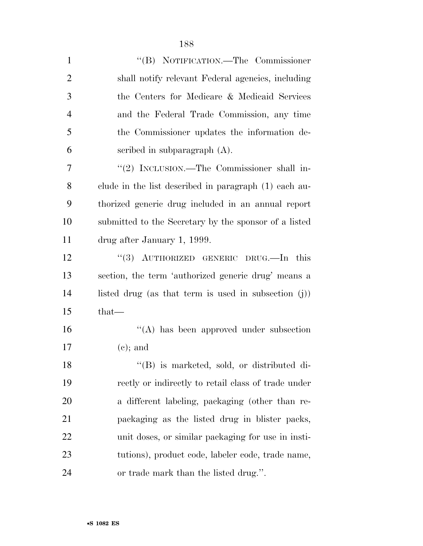| $\mathbf{1}$   | "(B) NOTIFICATION.—The Commissioner                     |
|----------------|---------------------------------------------------------|
| $\overline{2}$ | shall notify relevant Federal agencies, including       |
| 3              | the Centers for Medicare & Medicaid Services            |
| $\overline{4}$ | and the Federal Trade Commission, any time              |
| 5              | the Commissioner updates the information de-            |
| 6              | scribed in subparagraph $(A)$ .                         |
| 7              | "(2) INCLUSION.—The Commissioner shall in-              |
| 8              | clude in the list described in paragraph (1) each au-   |
| 9              | thorized generic drug included in an annual report      |
| 10             | submitted to the Secretary by the sponsor of a listed   |
| 11             | drug after January 1, 1999.                             |
| 12             | "(3) AUTHORIZED GENERIC DRUG.—In this                   |
| 13             | section, the term 'authorized generic drug' means a     |
| 14             | listed drug (as that term is used in subsection $(j)$ ) |
| 15             | that—                                                   |
| 16             | "(A) has been approved under subsection                 |
| 17             | $(e)$ ; and                                             |
| 18             | "(B) is marketed, sold, or distributed di-              |
| 19             | rectly or indirectly to retail class of trade under     |
| 20             | a different labeling, packaging (other than re-         |
| 21             | packaging as the listed drug in blister packs,          |
| 22             | unit doses, or similar packaging for use in insti-      |
| 23             | tutions), product code, labeler code, trade name,       |
| 24             | or trade mark than the listed drug.".                   |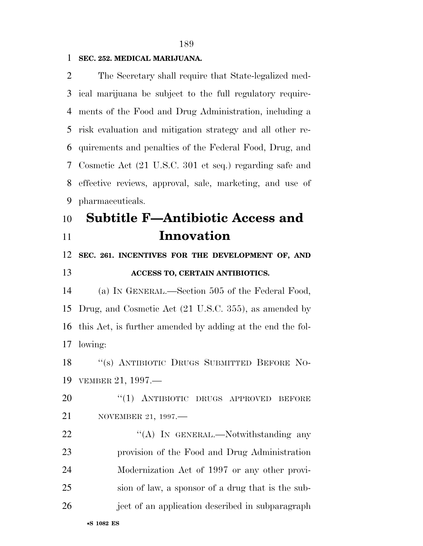#### **SEC. 252. MEDICAL MARIJUANA.**

 The Secretary shall require that State-legalized med- ical marijuana be subject to the full regulatory require- ments of the Food and Drug Administration, including a risk evaluation and mitigation strategy and all other re- quirements and penalties of the Federal Food, Drug, and Cosmetic Act (21 U.S.C. 301 et seq.) regarding safe and effective reviews, approval, sale, marketing, and use of pharmaceuticals.

# **Subtitle F—Antibiotic Access and Innovation**

# **SEC. 261. INCENTIVES FOR THE DEVELOPMENT OF, AND**

## **ACCESS TO, CERTAIN ANTIBIOTICS.**

 (a) IN GENERAL.—Section 505 of the Federal Food, Drug, and Cosmetic Act (21 U.S.C. 355), as amended by this Act, is further amended by adding at the end the fol-lowing:

 ''(s) ANTIBIOTIC DRUGS SUBMITTED BEFORE NO-VEMBER 21, 1997.—

20 "(1) ANTIBIOTIC DRUGS APPROVED BEFORE NOVEMBER 21, 1997.—

22 "'(A) In GENERAL.—Notwithstanding any provision of the Food and Drug Administration Modernization Act of 1997 or any other provi- sion of law, a sponsor of a drug that is the sub-ject of an application described in subparagraph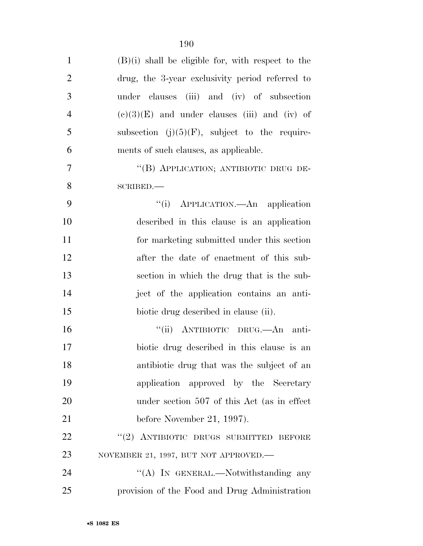| $\mathbf{1}$   | $(B)(i)$ shall be eligible for, with respect to the |
|----------------|-----------------------------------------------------|
| $\overline{2}$ | drug, the 3-year exclusivity period referred to     |
| 3              | under clauses (iii) and (iv) of subsection          |
| $\overline{4}$ | $(e)(3)(E)$ and under clauses (iii) and (iv) of     |
| 5              | subsection $(j)(5)(F)$ , subject to the require-    |
| 6              | ments of such clauses, as applicable.               |
| $\tau$         | "(B) APPLICATION; ANTIBIOTIC DRUG DE-               |
| 8              | SCRIBED.                                            |
| 9              | "(i) APPLICATION.—An application                    |
| 10             | described in this clause is an application          |
| 11             | for marketing submitted under this section          |
| 12             | after the date of enactment of this sub-            |
| 13             | section in which the drug that is the sub-          |
| 14             | ject of the application contains an anti-           |
| 15             | biotic drug described in clause (ii).               |
| 16             | "(ii) ANTIBIOTIC DRUG. An anti-                     |
| 17             | biotic drug described in this clause is an          |
| 18             | antibiotic drug that was the subject of an          |
| 19             | application approved by the Secretary               |
| 20             | under section 507 of this Act (as in effect)        |
| 21             | before November 21, 1997).                          |
| 22             | "(2) ANTIBIOTIC DRUGS SUBMITTED BEFORE              |
| 23             | NOVEMBER 21, 1997, BUT NOT APPROVED.                |
| 24             | "(A) IN GENERAL.—Notwithstanding any                |
| 25             | provision of the Food and Drug Administration       |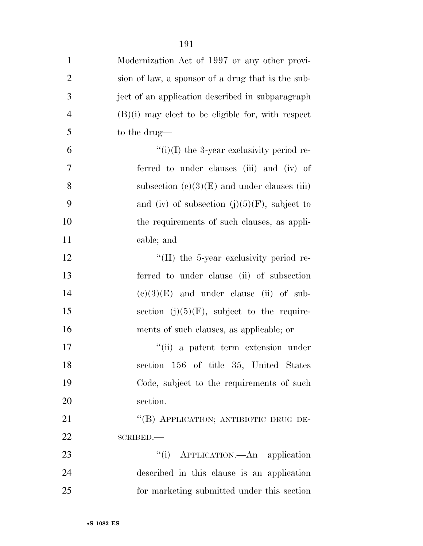| $\mathbf{1}$   | Modernization Act of 1997 or any other provi-       |
|----------------|-----------------------------------------------------|
| $\overline{2}$ | sion of law, a sponsor of a drug that is the sub-   |
| 3              | ject of an application described in subparagraph    |
| $\overline{4}$ | $(B)(i)$ may elect to be eligible for, with respect |
| 5              | to the drug—                                        |
| 6              | $``(i)(I)$ the 3-year exclusivity period re-        |
| 7              | ferred to under clauses (iii) and (iv) of           |
| 8              | subsection $(c)(3)(E)$ and under clauses (iii)      |
| 9              | and (iv) of subsection $(j)(5)(F)$ , subject to     |
| 10             | the requirements of such clauses, as appli-         |
| 11             | cable; and                                          |
| 12             | $\lq$ (II) the 5-year exclusivity period re-        |
| 13             | ferred to under clause (ii) of subsection           |
| 14             | $(e)(3)(E)$ and under clause (ii) of sub-           |
| 15             | section $(j)(5)(F)$ , subject to the require-       |
| 16             | ments of such clauses, as applicable; or            |
| 17             | "(ii) a patent term extension under                 |
| 18             | section 156 of title 35, United States              |
| 19             | Code, subject to the requirements of such           |
| 20             | section.                                            |
| 21             | "(B) APPLICATION; ANTIBIOTIC DRUG DE-               |
| 22             | SCRIBED.                                            |
| 23             | "(i) APPLICATION.—An application                    |
| 24             | described in this clause is an application          |
| 25             | for marketing submitted under this section          |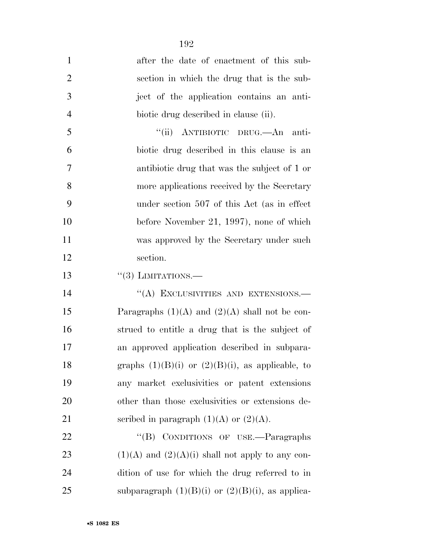| $\mathbf{1}$   | after the date of enactment of this sub-              |
|----------------|-------------------------------------------------------|
| $\overline{2}$ | section in which the drug that is the sub-            |
| 3              | ject of the application contains an anti-             |
| $\overline{4}$ | biotic drug described in clause (ii).                 |
| 5              | "(ii) ANTIBIOTIC DRUG.—An anti-                       |
| 6              | biotic drug described in this clause is an            |
| 7              | antibiotic drug that was the subject of 1 or          |
| 8              | more applications received by the Secretary           |
| 9              | under section 507 of this Act (as in effect           |
| 10             | before November 21, 1997), none of which              |
| 11             | was approved by the Secretary under such              |
| 12             | section.                                              |
| 13             | $\lq(3)$ LIMITATIONS.—                                |
| 14             | "(A) EXCLUSIVITIES AND EXTENSIONS.-                   |
| 15             | Paragraphs $(1)(A)$ and $(2)(A)$ shall not be con-    |
| 16             | strued to entitle a drug that is the subject of       |
| 17             | an approved application described in subpara-         |
| 18             | graphs $(1)(B)(i)$ or $(2)(B)(i)$ , as applicable, to |
| 19             | any market exclusivities or patent extensions         |
| 20             | other than those exclusivities or extensions de-      |
| 21             | scribed in paragraph $(1)(A)$ or $(2)(A)$ .           |
| 22             | CONDITIONS OF USE.—Paragraphs<br>$\lq\lq (B)$         |
| 23             | $(1)(A)$ and $(2)(A)(i)$ shall not apply to any con-  |
| 24             | dition of use for which the drug referred to in       |
| 25             | subparagraph $(1)(B)(i)$ or $(2)(B)(i)$ , as applica- |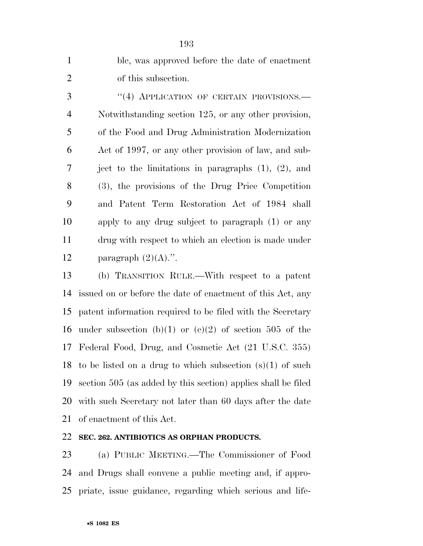| $\mathbf{1}$   | ble, was approved before the date of enactment            |
|----------------|-----------------------------------------------------------|
| $\overline{2}$ | of this subsection.                                       |
| 3              | "(4) APPLICATION OF CERTAIN PROVISIONS.-                  |
| $\overline{4}$ | Notwithstanding section 125, or any other provision,      |
| 5              | of the Food and Drug Administration Modernization         |
| 6              | Act of 1997, or any other provision of law, and sub-      |
| $\overline{7}$ | ject to the limitations in paragraphs $(1)$ , $(2)$ , and |
| 8              | (3), the provisions of the Drug Price Competition         |
| 9              | and Patent Term Restoration Act of 1984 shall             |
| 10             | apply to any drug subject to paragraph $(1)$ or any       |
| 11             | drug with respect to which an election is made under      |
| 12             | paragraph $(2)(A)$ .".                                    |

 (b) TRANSITION RULE.—With respect to a patent issued on or before the date of enactment of this Act, any patent information required to be filed with the Secretary 16 under subsection (b)(1) or (c)(2) of section 505 of the Federal Food, Drug, and Cosmetic Act (21 U.S.C. 355) 18 to be listed on a drug to which subsection  $(s)(1)$  of such section 505 (as added by this section) applies shall be filed with such Secretary not later than 60 days after the date of enactment of this Act.

## **SEC. 262. ANTIBIOTICS AS ORPHAN PRODUCTS.**

 (a) PUBLIC MEETING.—The Commissioner of Food and Drugs shall convene a public meeting and, if appro-priate, issue guidance, regarding which serious and life-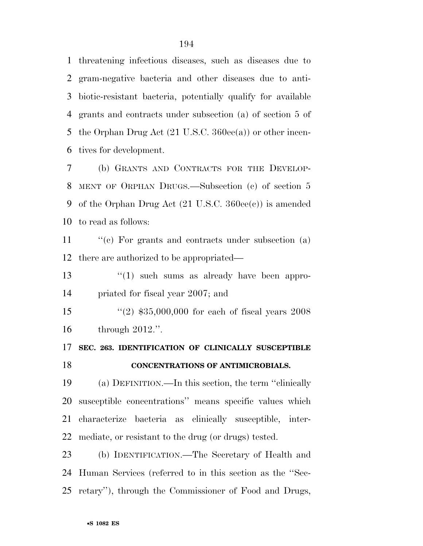threatening infectious diseases, such as diseases due to gram-negative bacteria and other diseases due to anti- biotic-resistant bacteria, potentially qualify for available grants and contracts under subsection (a) of section 5 of 5 the Orphan Drug Act (21 U.S.C. 360ee(a)) or other incen-tives for development.

 (b) GRANTS AND CONTRACTS FOR THE DEVELOP- MENT OF ORPHAN DRUGS.—Subsection (c) of section 5 of the Orphan Drug Act (21 U.S.C. 360ee(c)) is amended to read as follows:

11 ''(c) For grants and contracts under subsection (a) there are authorized to be appropriated—

13 ''(1) such sums as already have been appro-priated for fiscal year 2007; and

 ''(2) \$35,000,000 for each of fiscal years 2008 through 2012.''.

**SEC. 263. IDENTIFICATION OF CLINICALLY SUSCEPTIBLE** 

#### **CONCENTRATIONS OF ANTIMICROBIALS.**

 (a) DEFINITION.—In this section, the term ''clinically susceptible concentrations'' means specific values which characterize bacteria as clinically susceptible, inter-mediate, or resistant to the drug (or drugs) tested.

 (b) IDENTIFICATION.—The Secretary of Health and Human Services (referred to in this section as the ''Sec-retary''), through the Commissioner of Food and Drugs,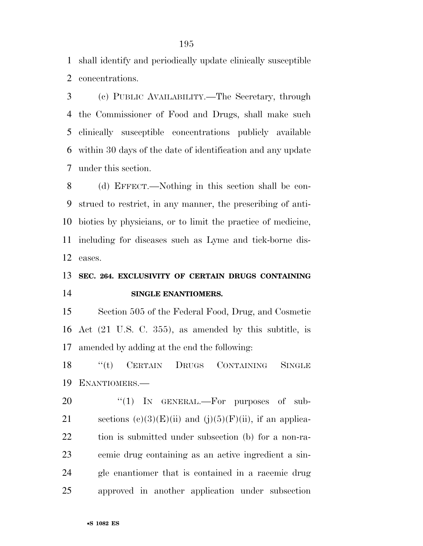shall identify and periodically update clinically susceptible concentrations.

 (c) PUBLIC AVAILABILITY.—The Secretary, through the Commissioner of Food and Drugs, shall make such clinically susceptible concentrations publicly available within 30 days of the date of identification and any update under this section.

 (d) EFFECT.—Nothing in this section shall be con- strued to restrict, in any manner, the prescribing of anti- biotics by physicians, or to limit the practice of medicine, including for diseases such as Lyme and tick-borne dis-eases.

# **SEC. 264. EXCLUSIVITY OF CERTAIN DRUGS CONTAINING SINGLE ENANTIOMERS.**

 Section 505 of the Federal Food, Drug, and Cosmetic Act (21 U.S. C. 355), as amended by this subtitle, is amended by adding at the end the following:

 ''(t) CERTAIN DRUGS CONTAINING SINGLE ENANTIOMERS.—

 $\text{``(1)}$  In GENERAL.—For purposes of sub-21 sections  $(c)(3)(E)(ii)$  and  $(j)(5)(F)(ii)$ , if an applica- tion is submitted under subsection (b) for a non-ra- cemic drug containing as an active ingredient a sin- gle enantiomer that is contained in a racemic drug approved in another application under subsection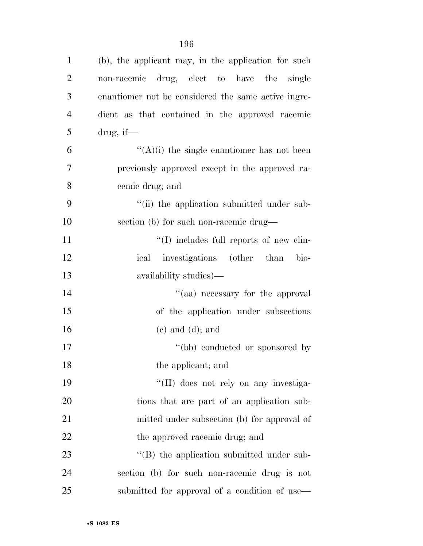| $\mathbf{1}$   | (b), the applicant may, in the application for such |
|----------------|-----------------------------------------------------|
| $\overline{2}$ | non-racemic drug, elect to have the single          |
| 3              | enantiomer not be considered the same active ingre- |
| $\overline{4}$ | dient as that contained in the approved racemic     |
| 5              | drug, if—                                           |
| 6              | $\lq\lq$ (A)(i) the single enantiomer has not been  |
| 7              | previously approved except in the approved ra-      |
| 8              | cemic drug; and                                     |
| 9              | "(ii) the application submitted under sub-          |
| 10             | section (b) for such non-racemic drug-              |
| 11             | "(I) includes full reports of new clin-             |
| 12             | investigations (other than<br>ical<br>bio-          |
| 13             | availability studies)—                              |
| 14             | "(aa) necessary for the approval                    |
| 15             | of the application under subsections                |
| 16             | $(e)$ and $(d)$ ; and                               |
| 17             | "(bb) conducted or sponsored by                     |
| 18             | the applicant; and                                  |
| 19             | "(II) does not rely on any investiga-               |
| 20             | tions that are part of an application sub-          |
| 21             | mitted under subsection (b) for approval of         |
| 22             | the approved racemic drug; and                      |
| 23             | "(B) the application submitted under sub-           |
| 24             | section (b) for such non-racemic drug is not        |
| 25             | submitted for approval of a condition of use—       |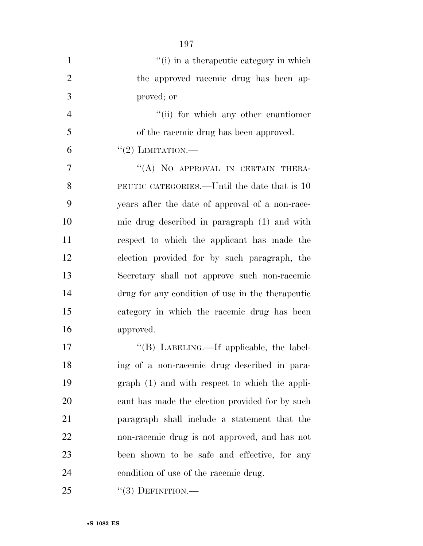| $\mathbf{1}$   | "(i) in a therapeutic category in which          |
|----------------|--------------------------------------------------|
| $\overline{2}$ | the approved racemic drug has been ap-           |
| 3              | proved; or                                       |
| $\overline{4}$ | "(ii) for which any other enantiomer             |
| 5              | of the racemic drug has been approved.           |
| 6              | $``(2)$ LIMITATION.—                             |
| 7              | "(A) NO APPROVAL IN CERTAIN THERA-               |
| 8              | PEUTIC CATEGORIES.—Until the date that is 10     |
| 9              | years after the date of approval of a non-race-  |
| 10             | mic drug described in paragraph (1) and with     |
| 11             | respect to which the applicant has made the      |
| 12             | election provided for by such paragraph, the     |
| 13             | Secretary shall not approve such non-racemic     |
| 14             | drug for any condition of use in the therapeutic |
| 15             | category in which the racemic drug has been      |
| 16             | approved.                                        |
| 17             | "(B) LABELING.—If applicable, the label-         |
| 18             | ing of a non-racemic drug described in para-     |
| 19             | graph (1) and with respect to which the appli-   |
| 20             | cant has made the election provided for by such  |
| 21             | paragraph shall include a statement that the     |
| <u>22</u>      | non-racemic drug is not approved, and has not    |
| 23             | been shown to be safe and effective, for any     |
| 24             | condition of use of the racemic drug.            |
| 25             | $``(3)$ DEFINITION.—                             |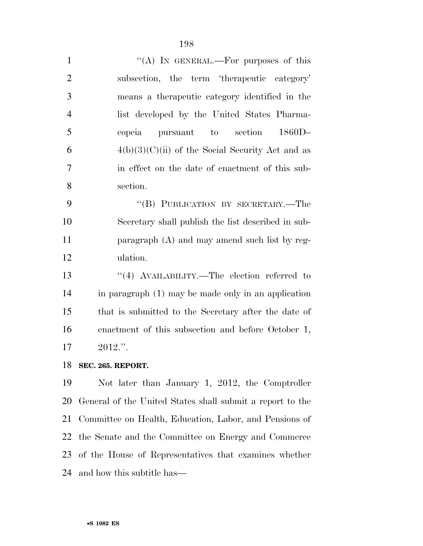| $\mathbf{1}$   | "(A) IN GENERAL.—For purposes of this                |
|----------------|------------------------------------------------------|
| $\overline{2}$ | subsection, the term 'therapeutic category'          |
| 3              | means a therapeutic category identified in the       |
| $\overline{4}$ | list developed by the United States Pharma-          |
| 5              | section<br>$1860D-$<br>copeia<br>to<br>pursuant      |
| 6              | $4(b)(3)(C)(ii)$ of the Social Security Act and as   |
| $\overline{7}$ | in effect on the date of enactment of this sub-      |
| 8              | section.                                             |
| 9              | "(B) PUBLICATION BY SECRETARY.—The                   |
| 10             | Secretary shall publish the list described in sub-   |
| 11             | paragraph $(A)$ and may amend such list by reg-      |
| 12             | ulation.                                             |
| 13             | "(4) AVAILABILITY.—The election referred to          |
| 14             | in paragraph (1) may be made only in an application  |
| 15             | that is submitted to the Secretary after the date of |
| 16             | enactment of this subsection and before October 1,   |
| 17             | $2012."$ .                                           |
|                |                                                      |

**SEC. 265. REPORT.** 

 Not later than January 1, 2012, the Comptroller General of the United States shall submit a report to the Committee on Health, Education, Labor, and Pensions of the Senate and the Committee on Energy and Commerce of the House of Representatives that examines whether and how this subtitle has—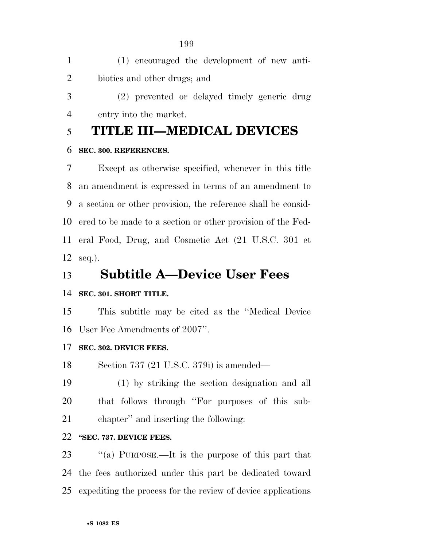(1) encouraged the development of new anti-biotics and other drugs; and

 (2) prevented or delayed timely generic drug entry into the market.

# **TITLE III—MEDICAL DEVICES**

#### **SEC. 300. REFERENCES.**

 Except as otherwise specified, whenever in this title an amendment is expressed in terms of an amendment to a section or other provision, the reference shall be consid- ered to be made to a section or other provision of the Fed- eral Food, Drug, and Cosmetic Act (21 U.S.C. 301 et seq.).

## **Subtitle A—Device User Fees**

## **SEC. 301. SHORT TITLE.**

 This subtitle may be cited as the ''Medical Device User Fee Amendments of 2007''.

## **SEC. 302. DEVICE FEES.**

Section 737 (21 U.S.C. 379i) is amended—

 (1) by striking the section designation and all that follows through ''For purposes of this sub-chapter'' and inserting the following:

## **''SEC. 737. DEVICE FEES.**

 ''(a) PURPOSE.—It is the purpose of this part that the fees authorized under this part be dedicated toward expediting the process for the review of device applications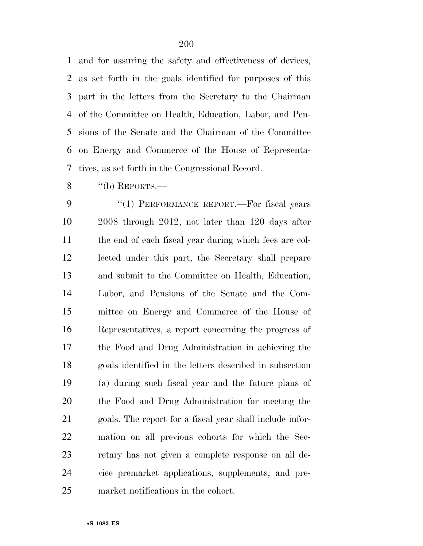and for assuring the safety and effectiveness of devices, as set forth in the goals identified for purposes of this part in the letters from the Secretary to the Chairman of the Committee on Health, Education, Labor, and Pen- sions of the Senate and the Chairman of the Committee on Energy and Commerce of the House of Representa-tives, as set forth in the Congressional Record.

''(b) REPORTS.—

9 "(1) PERFORMANCE REPORT.—For fiscal years 2008 through 2012, not later than 120 days after the end of each fiscal year during which fees are col- lected under this part, the Secretary shall prepare and submit to the Committee on Health, Education, Labor, and Pensions of the Senate and the Com- mittee on Energy and Commerce of the House of Representatives, a report concerning the progress of the Food and Drug Administration in achieving the goals identified in the letters described in subsection (a) during such fiscal year and the future plans of the Food and Drug Administration for meeting the goals. The report for a fiscal year shall include infor- mation on all previous cohorts for which the Sec- retary has not given a complete response on all de- vice premarket applications, supplements, and pre-market notifications in the cohort.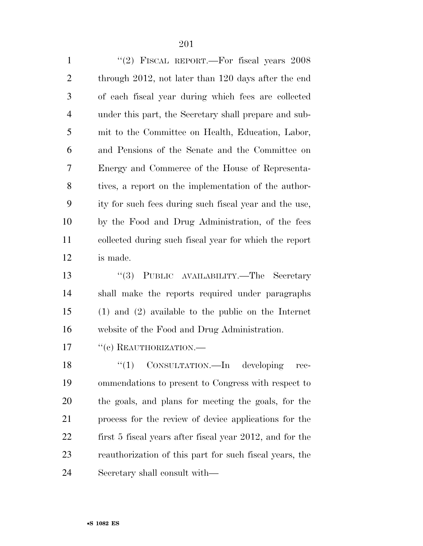| $\mathbf{1}$   | "(2) FISCAL REPORT.—For fiscal years $2008$            |
|----------------|--------------------------------------------------------|
| $\overline{2}$ | through 2012, not later than 120 days after the end    |
| 3              | of each fiscal year during which fees are collected    |
| $\overline{4}$ | under this part, the Secretary shall prepare and sub-  |
| 5              | mit to the Committee on Health, Education, Labor,      |
| 6              | and Pensions of the Senate and the Committee on        |
| 7              | Energy and Commerce of the House of Representa-        |
| 8              | tives, a report on the implementation of the author-   |
| 9              | ity for such fees during such fiscal year and the use, |
| 10             | by the Food and Drug Administration, of the fees       |
| 11             | collected during such fiscal year for which the report |
| 12             | is made.                                               |
|                |                                                        |

13 ''(3) PUBLIC AVAILABILITY.—The Secretary shall make the reports required under paragraphs (1) and (2) available to the public on the Internet website of the Food and Drug Administration.

17  $"$ (c) REAUTHORIZATION.—

18 "(1) CONSULTATION.—In developing rec- ommendations to present to Congress with respect to the goals, and plans for meeting the goals, for the process for the review of device applications for the first 5 fiscal years after fiscal year 2012, and for the reauthorization of this part for such fiscal years, the Secretary shall consult with—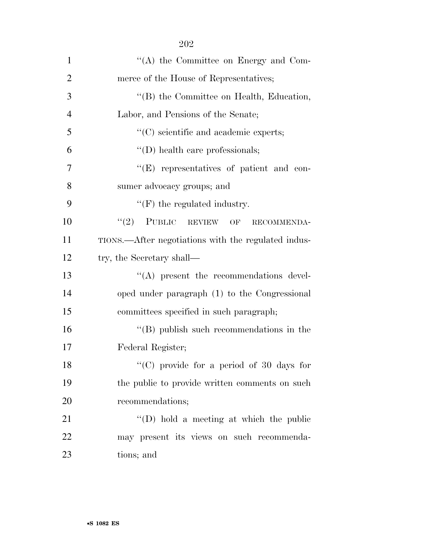| $\mathbf{1}$   | $\lq\lq$ the Committee on Energy and Com-           |
|----------------|-----------------------------------------------------|
| $\overline{2}$ | merce of the House of Representatives;              |
| 3              | "(B) the Committee on Health, Education,            |
| $\overline{4}$ | Labor, and Pensions of the Senate;                  |
| 5              | "(C) scientific and academic experts;               |
| 6              | "(D) health care professionals;                     |
| 7              | $\lq\lq(E)$ representatives of patient and con-     |
| 8              | sumer advocacy groups; and                          |
| 9              | $\lq\lq(F)$ the regulated industry.                 |
| 10             | $``(2)$ PUBLIC REVIEW OF<br>RECOMMENDA-             |
| 11             | TIONS.—After negotiations with the regulated indus- |
| 12             | try, the Secretary shall—                           |
| 13             | $\lq\lq$ present the recommendations devel-         |
| 14             | oped under paragraph (1) to the Congressional       |
| 15             | committees specified in such paragraph;             |
| 16             | $\lq\lq$ (B) publish such recommendations in the    |
| 17             | Federal Register;                                   |
| 18             | "(C) provide for a period of 30 days for            |
| 19             | the public to provide written comments on such      |
| 20             | recommendations;                                    |
| 21             | $\lq\lq$ (D) hold a meeting at which the public     |
| 22             | may present its views on such recommenda-           |
| 23             | tions; and                                          |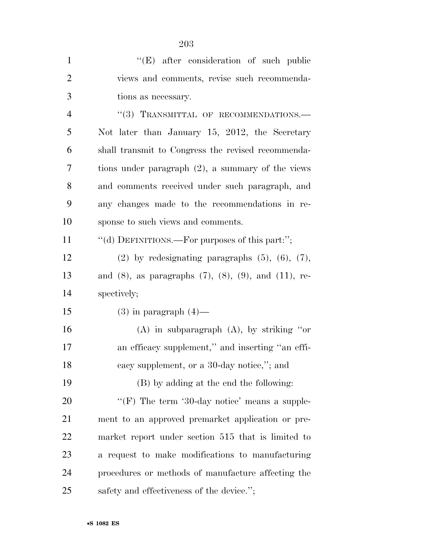| $\mathbf{1}$   | "(E) after consideration of such public                            |
|----------------|--------------------------------------------------------------------|
| $\overline{2}$ | views and comments, revise such recommenda-                        |
| 3              | tions as necessary.                                                |
| $\overline{4}$ | "(3) TRANSMITTAL OF RECOMMENDATIONS.-                              |
| 5              | Not later than January 15, 2012, the Secretary                     |
| 6              | shall transmit to Congress the revised recommenda-                 |
| 7              | tions under paragraph $(2)$ , a summary of the views               |
| 8              | and comments received under such paragraph, and                    |
| 9              | any changes made to the recommendations in re-                     |
| 10             | sponse to such views and comments.                                 |
| 11             | "(d) DEFINITIONS.—For purposes of this part:";                     |
| 12             | $(2)$ by redesignating paragraphs $(5)$ , $(6)$ , $(7)$ ,          |
| 13             | and $(8)$ , as paragraphs $(7)$ , $(8)$ , $(9)$ , and $(11)$ , re- |
| 14             | spectively;                                                        |
| 15             | $(3)$ in paragraph $(4)$ —                                         |
| 16             | $(A)$ in subparagraph $(A)$ , by striking "or                      |
| 17             | an efficacy supplement," and inserting "an effi-                   |
| 18             | cacy supplement, or a 30-day notice,"; and                         |
| 19             | (B) by adding at the end the following:                            |
| 20             | "(F) The term '30-day notice' means a supple-                      |
| 21             | ment to an approved premarket application or pre-                  |
| 22             | market report under section 515 that is limited to                 |
| 23             | a request to make modifications to manufacturing                   |
| 24             | procedures or methods of manufacture affecting the                 |
| 25             | safety and effectiveness of the device.";                          |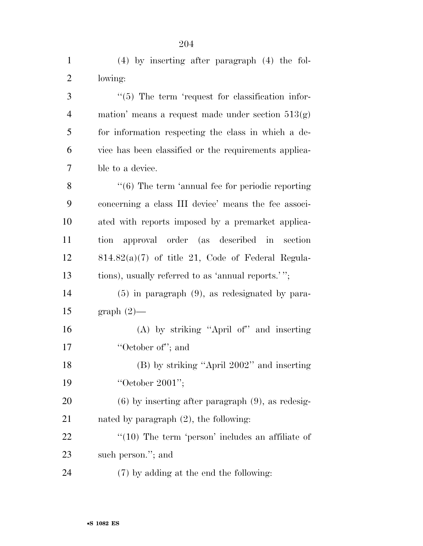| $\mathbf{1}$   | $(4)$ by inserting after paragraph $(4)$ the fol-            |
|----------------|--------------------------------------------------------------|
| $\overline{2}$ | lowing:                                                      |
| 3              | $\lq(5)$ The term 'request for classification infor-         |
| 4              | mation' means a request made under section $513(g)$          |
| 5              | for information respecting the class in which a de-          |
| 6              | vice has been classified or the requirements applica-        |
| 7              | ble to a device.                                             |
| 8              | $\cdot\cdot$ (6) The term 'annual fee for periodic reporting |
| 9              | concerning a class III device' means the fee associ-         |
| 10             | ated with reports imposed by a premarket applica-            |
| 11             | approval order (as described in<br>tion<br>section           |
| 12             | $814.82(a)(7)$ of title 21, Code of Federal Regula-          |
| 13             | tions), usually referred to as 'annual reports.'";           |
| 14             | $(5)$ in paragraph $(9)$ , as redesignated by para-          |
| 15             | $graph(2)$ —                                                 |
| 16             | (A) by striking "April of" and inserting                     |
| 17             | "October of"; and                                            |
| 18             | $(B)$ by striking "April 2002" and inserting                 |
| 19             | "October 2001";                                              |
| 20             | $(6)$ by inserting after paragraph $(9)$ , as redesig-       |
| 21             | nated by paragraph $(2)$ , the following:                    |
| 22             | $\lq(10)$ The term 'person' includes an affiliate of         |
| 23             | such person."; and                                           |
| 24             | (7) by adding at the end the following:                      |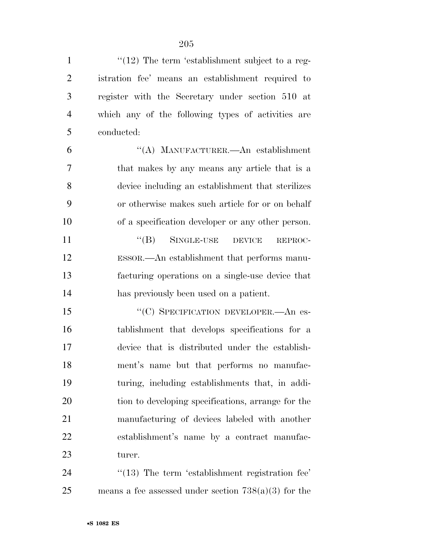$\frac{1}{2}$  The term 'establishment subject to a reg- istration fee' means an establishment required to register with the Secretary under section 510 at which any of the following types of activities are conducted:

 ''(A) MANUFACTURER.—An establishment that makes by any means any article that is a device including an establishment that sterilizes or otherwise makes such article for or on behalf of a specification developer or any other person. 11 "(B) SINGLE-USE DEVICE REPROC- ESSOR.—An establishment that performs manu-facturing operations on a single-use device that

has previously been used on a patient.

15 "'(C) SPECIFICATION DEVELOPER.—An es- tablishment that develops specifications for a device that is distributed under the establish- ment's name but that performs no manufac- turing, including establishments that, in addi-20 tion to developing specifications, arrange for the manufacturing of devices labeled with another establishment's name by a contract manufac-turer.

24  $\frac{1}{2}$  (13) The term 'establishment registration fee' 25 means a fee assessed under section  $738(a)(3)$  for the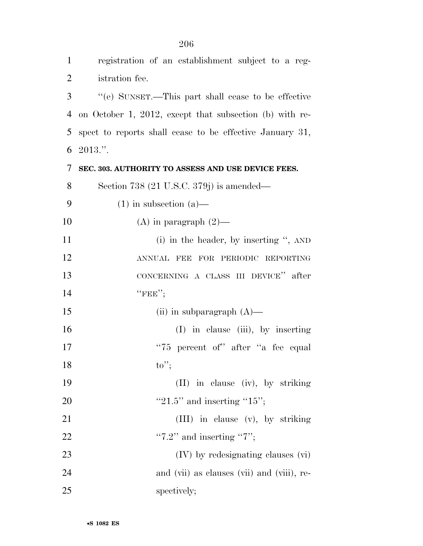| $\mathbf{1}$   | registration of an establishment subject to a reg-       |
|----------------|----------------------------------------------------------|
| $\overline{2}$ | istration fee.                                           |
| 3              | "(e) SUNSET.—This part shall cease to be effective       |
| $\overline{4}$ | on October 1, 2012, except that subsection (b) with re-  |
| 5              | spect to reports shall cease to be effective January 31, |
| 6              | $2013."$ .                                               |
| 7              | SEC. 303. AUTHORITY TO ASSESS AND USE DEVICE FEES.       |
| 8              | Section 738 (21 U.S.C. 379j) is amended—                 |
| 9              | $(1)$ in subsection $(a)$ —                              |
| 10             | (A) in paragraph $(2)$ —                                 |
| 11             | (i) in the header, by inserting ", $AND$                 |
| 12             | ANNUAL FEE FOR PERIODIC REPORTING                        |
| 13             | CONCERNING A CLASS III DEVICE" after                     |
| 14             | $``$ FEE";                                               |
| 15             | (ii) in subparagraph $(A)$ —                             |
| 16             | $(I)$ in clause (iii), by inserting                      |
| 17             | "75 percent of" after "a fee equal                       |
| 18             | $\mathrm{to}$ ";                                         |
| 19             | (II) in clause (iv), by striking                         |
| 20             | "21.5" and inserting "15";                               |
| 21             | (III) in clause (v), by striking                         |
| 22             | " $7.2$ " and inserting " $7$ ";                         |
| 23             | $(IV)$ by redesignating clauses $(vi)$                   |
| 24             | and (vii) as clauses (vii) and (viii), re-               |
| 25             | spectively;                                              |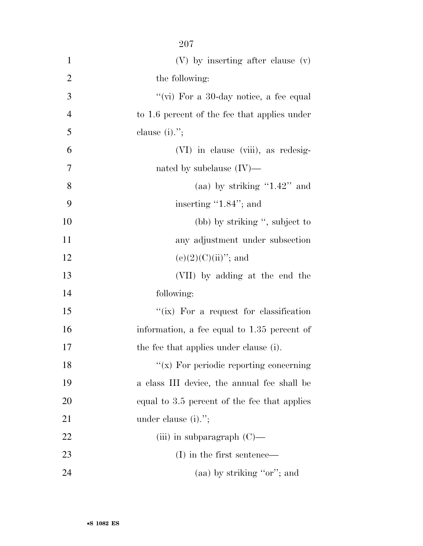|                | $207\,$                                         |
|----------------|-------------------------------------------------|
| $\mathbf 1$    | $(V)$ by inserting after clause $(V)$           |
| $\overline{2}$ | the following:                                  |
| 3              | "(vi) For a 30-day notice, a fee equal          |
| $\overline{4}$ | to 1.6 percent of the fee that applies under    |
| 5              | clause $(i)$ .";                                |
| 6              | (VI) in clause (viii), as redesig-              |
| 7              | nated by subclause $(IV)$ —                     |
| 8              | (aa) by striking " $1.42$ " and                 |
| 9              | inserting $\cdot 1.84$ "; and                   |
| 10             | (bb) by striking ", subject to                  |
| 11             | any adjustment under subsection                 |
| 12             | $(e)(2)(C)(ii)$ "; and                          |
| 13             | (VII) by adding at the end the                  |
| 14             | following:                                      |
| 15             | "( $\dot{x}$ ) For a request for classification |
| 16             | information, a fee equal to 1.35 percent of     |
| 17             | the fee that applies under clause (i).          |
| 18             | $\lq\lq$ (x) For periodic reporting concerning  |
| 19             | a class III device, the annual fee shall be     |
| 20             | equal to 3.5 percent of the fee that applies    |
| 21             | under clause $(i)$ .";                          |
| 22             | (iii) in subparagraph $(C)$ —                   |
| 23             | $(I)$ in the first sentence—                    |
| 24             | (aa) by striking "or"; and                      |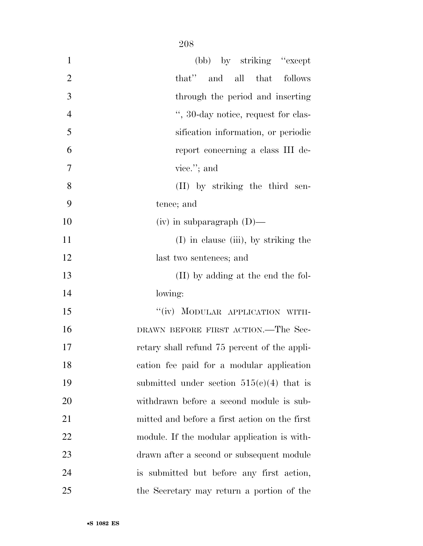| $\mathbf{1}$   | (bb) by striking "except"                     |
|----------------|-----------------------------------------------|
| $\overline{2}$ | and all that follows<br>that"                 |
| 3              | through the period and inserting              |
| $\overline{4}$ | ", 30-day notice, request for clas-           |
| 5              | sification information, or periodic           |
| 6              | report concerning a class III de-             |
| 7              | vice."; and                                   |
| 8              | (II) by striking the third sen-               |
| 9              | tence; and                                    |
| 10             | $(iv)$ in subparagraph $(D)$ —                |
| 11             | $(I)$ in clause (iii), by striking the        |
| 12             | last two sentences; and                       |
| 13             | (II) by adding at the end the fol-            |
| 14             | lowing:                                       |
| 15             | "(iv) MODULAR APPLICATION WITH-               |
| 16             | DRAWN BEFORE FIRST ACTION.—The Sec-           |
| 17             | retary shall refund 75 percent of the appli-  |
| 18             | cation fee paid for a modular application     |
| 19             | submitted under section $515(e)(4)$ that is   |
| 20             | withdrawn before a second module is sub-      |
| 21             | mitted and before a first action on the first |
| 22             | module. If the modular application is with-   |
| 23             | drawn after a second or subsequent module     |
| 24             | is submitted but before any first action,     |
| 25             | the Secretary may return a portion of the     |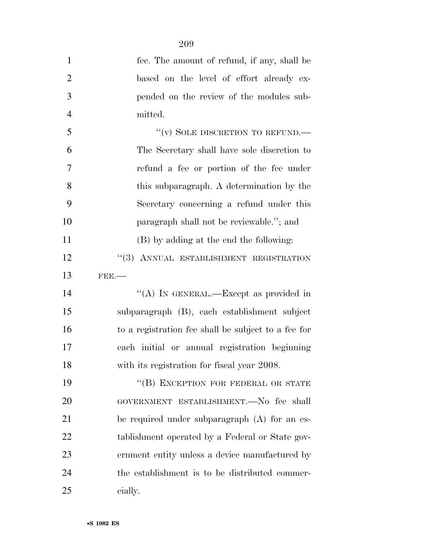| $\mathbf{1}$   | fee. The amount of refund, if any, shall be         |
|----------------|-----------------------------------------------------|
| $\overline{2}$ | based on the level of effort already ex-            |
| 3              | pended on the review of the modules sub-            |
| $\overline{4}$ | mitted.                                             |
| 5              | "(v) SOLE DISCRETION TO REFUND.—                    |
| 6              | The Secretary shall have sole discretion to         |
| 7              | refund a fee or portion of the fee under            |
| 8              | this subparagraph. A determination by the           |
| 9              | Secretary concerning a refund under this            |
| 10             | paragraph shall not be reviewable."; and            |
| 11             | (B) by adding at the end the following:             |
| 12             | "(3) ANNUAL ESTABLISHMENT REGISTRATION              |
| 13             | $FBB$ .                                             |
| 14             | "(A) IN GENERAL.—Except as provided in              |
| 15             | subparagraph (B), each establishment subject        |
| 16             | to a registration fee shall be subject to a fee for |
| 17             | each initial or annual registration beginning       |
| 18             | with its registration for fiscal year 2008.         |
| 19             | "(B) EXCEPTION FOR FEDERAL OR STATE                 |
| 20             | GOVERNMENT ESTABLISHMENT.—No fee shall              |
| 21             | be required under subparagraph $(A)$ for an es-     |
| 22             | tablishment operated by a Federal or State gov-     |
| 23             | ernment entity unless a device manufactured by      |
| 24             | the establishment is to be distributed commer-      |
| 25             | cially.                                             |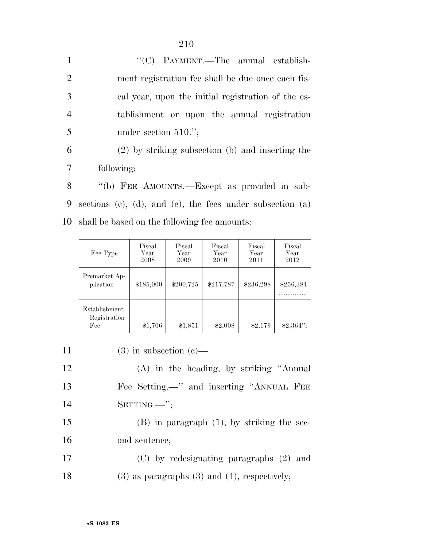| $\mathbf{1}$   | "(C) PAYMENT.—The annual establish-                |
|----------------|----------------------------------------------------|
| 2              | ment registration fee shall be due once each fis-  |
| 3              | cal year, upon the initial registration of the es- |
| $\overline{4}$ | tablishment or upon the annual registration        |
| 5              | under section $510."$ ;                            |
| 6              | $(2)$ by striking subsection (b) and inserting the |
| 7              | following:                                         |
|                |                                                    |

8 "(b) FEE AMOUNTS.—Except as provided in sub-9 sections (c), (d), and (e), the fees under subsection (a) 10 shall be based on the following fee amounts:

| Fee Type                             | Fiscal<br>Year<br>2008 | Fiscal<br>Year<br>2009 | Fiscal<br>Year<br>2010 | Fiscal<br>Year<br>2011 | Fiscal<br>Year<br>2012 |
|--------------------------------------|------------------------|------------------------|------------------------|------------------------|------------------------|
| Premarket Ap-<br>plication           | \$185,000              | \$200,725              | \$217,787              | \$236,298              | \$256,384              |
| Establishment<br>Registration<br>Fee | \$1,706                | \$1,851                | \$2,008                | \$2,179                | $$2,364$ ";            |

11 (3) in subsection (c)—

12 (A) in the heading, by striking ''Annual 13 Fee Setting.—'' and inserting ''ANNUAL FEE 14 SETTING.—'';

15 (B) in paragraph (1), by striking the sec-16 ond sentence;

17 (C) by redesignating paragraphs (2) and 18 (3) as paragraphs (3) and (4), respectively;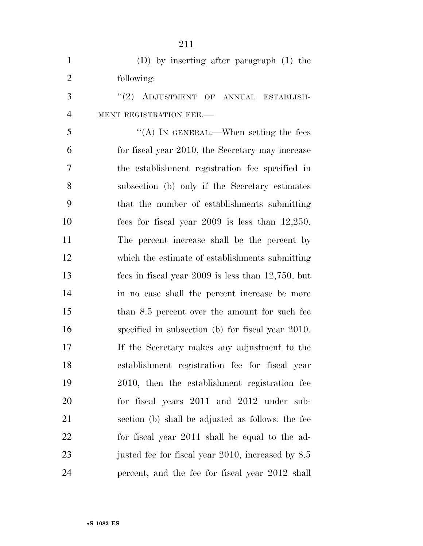| $\mathbf{1}$   | $(D)$ by inserting after paragraph $(1)$ the           |
|----------------|--------------------------------------------------------|
| $\overline{2}$ | following:                                             |
| 3              | "(2) ADJUSTMENT OF ANNUAL ESTABLISH-                   |
| $\overline{4}$ | MENT REGISTRATION FEE.-                                |
| 5              | "(A) IN GENERAL.—When setting the fees                 |
| 6              | for fiscal year 2010, the Secretary may increase       |
| 7              | the establishment registration fee specified in        |
| 8              | subsection (b) only if the Secretary estimates         |
| 9              | that the number of establishments submitting           |
| 10             | fees for fiscal year $2009$ is less than $12,250$ .    |
| 11             | The percent increase shall be the percent by           |
| 12             | which the estimate of establishments submitting        |
| 13             | fees in fiscal year $2009$ is less than $12,750$ , but |
| 14             | in no case shall the percent increase be more          |
| 15             | than 8.5 percent over the amount for such fee          |
| 16             | specified in subsection (b) for fiscal year 2010.      |
| 17             | If the Secretary makes any adjustment to the           |
| 18             | establishment registration fee for fiscal year         |
| 19             | 2010, then the establishment registration fee          |
| 20             | for fiscal years 2011 and 2012 under sub-              |
| 21             | section (b) shall be adjusted as follows: the fee      |
| 22             | for fiscal year 2011 shall be equal to the ad-         |
| 23             | justed fee for fiscal year 2010, increased by 8.5      |
| 24             | percent, and the fee for fiscal year 2012 shall        |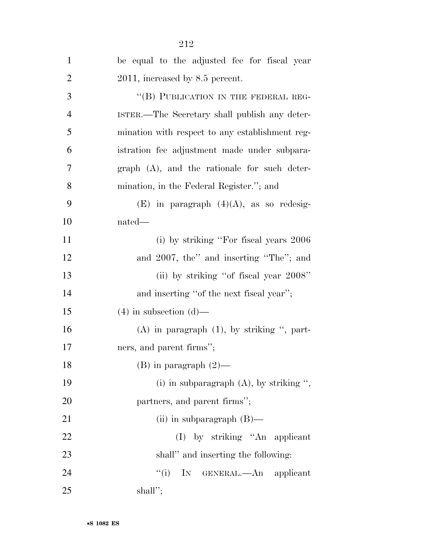| $\mathbf{1}$   | be equal to the adjusted fee for fiscal year      |
|----------------|---------------------------------------------------|
| $\overline{2}$ | 2011, increased by 8.5 percent.                   |
| 3              | "(B) PUBLICATION IN THE FEDERAL REG-              |
| $\overline{4}$ | ISTER.—The Secretary shall publish any deter-     |
| 5              | mination with respect to any establishment reg-   |
| 6              | istration fee adjustment made under subpara-      |
| 7              | $graph$ $(A)$ , and the rationale for such deter- |
| 8              | mination, in the Federal Register."; and          |
| 9              | $(E)$ in paragraph $(4)(A)$ , as so redesig-      |
| 10             | nated—                                            |
| 11             | (i) by striking "For fiscal years 2006            |
| 12             | and 2007, the" and inserting "The"; and           |
| 13             | (ii) by striking "of fiscal year 2008"            |
| 14             | and inserting "of the next fiscal year";          |
| 15             | $(4)$ in subsection $(d)$ —                       |
| 16             | $(A)$ in paragraph $(1)$ , by striking ", part-   |
| 17             | ners, and parent firms";                          |
| 18             | $(B)$ in paragraph $(2)$ —                        |
| 19             | (i) in subparagraph $(A)$ , by striking ",        |
| 20             | partners, and parent firms";                      |
| 21             | (ii) in subparagraph $(B)$ —                      |
| 22             | $(I)$ by striking "An applicant                   |
| 23             | shall" and inserting the following:               |
| 24             | ``(i)<br>IN GENERAL.—An applicant                 |
| 25             | shall";                                           |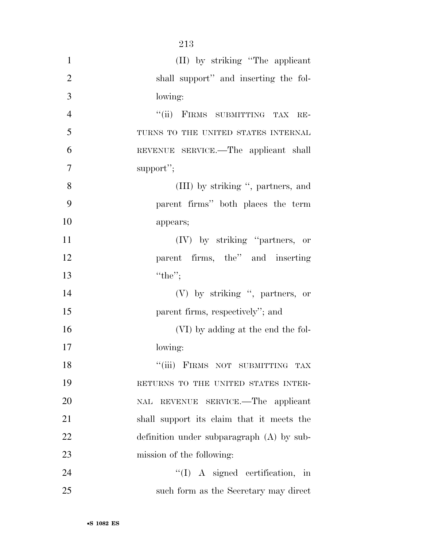| $\mathbf{1}$   | (II) by striking "The applicant              |
|----------------|----------------------------------------------|
| $\overline{2}$ | shall support" and inserting the fol-        |
| 3              | lowing:                                      |
| $\overline{4}$ | "(ii) FIRMS SUBMITTING TAX<br>$RE-$          |
| 5              | TURNS TO THE UNITED STATES INTERNAL          |
| 6              | REVENUE SERVICE.—The applicant shall         |
| $\overline{7}$ | support";                                    |
| 8              | (III) by striking ", partners, and           |
| 9              | parent firms" both places the term           |
| 10             | appears;                                     |
| 11             | (IV) by striking "partners, or               |
| 12             | parent firms, the" and inserting             |
| 13             | "the";                                       |
| 14             | $(V)$ by striking ", partners, or            |
| 15             | parent firms, respectively"; and             |
| 16             | (VI) by adding at the end the fol-           |
| 17             | lowing:                                      |
| 18             | "(iii) FIRMS NOT SUBMITTING TAX              |
| 19             | RETURNS TO THE UNITED STATES INTER-          |
| 20             | REVENUE SERVICE.—The applicant<br><b>NAL</b> |
| 21             | shall support its claim that it meets the    |
| 22             | definition under subparagraph $(A)$ by sub-  |
| 23             | mission of the following:                    |
| 24             | $\lq (I)$ A signed certification, in         |
| 25             | such form as the Secretary may direct        |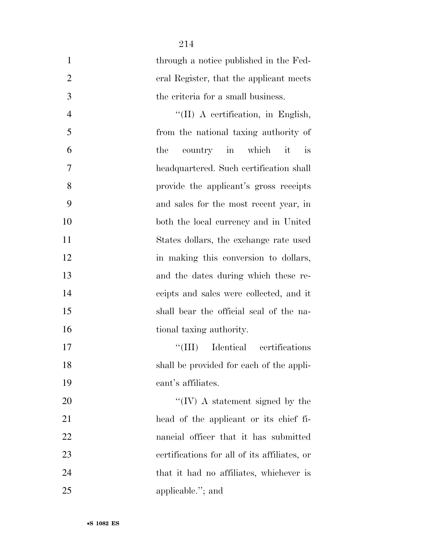| $\mathbf{1}$   | through a notice published in the Fed-       |
|----------------|----------------------------------------------|
| $\overline{2}$ | eral Register, that the applicant meets      |
| 3              | the criteria for a small business.           |
| $\overline{4}$ | "(II) A certification, in English,           |
| 5              | from the national taxing authority of        |
| 6              | country in which<br>it<br>the<br><i>is</i>   |
| 7              | headquartered. Such certification shall      |
| 8              | provide the applicant's gross receipts       |
| 9              | and sales for the most recent year, in       |
| 10             | both the local currency and in United        |
| 11             | States dollars, the exchange rate used       |
| 12             | in making this conversion to dollars,        |
| 13             | and the dates during which these re-         |
| 14             | ceipts and sales were collected, and it      |
| 15             | shall bear the official seal of the na-      |
| 16             | tional taxing authority.                     |
| 17             | Identical certifications<br>``(III)          |
| 18             | shall be provided for each of the appli-     |
| 19             | cant's affiliates.                           |
| 20             | $\lq\lq (IV)$ A statement signed by the      |
| 21             | head of the applicant or its chief fi-       |
| 22             | nancial officer that it has submitted        |
| 23             | certifications for all of its affiliates, or |
| 24             | that it had no affiliates, whichever is      |
| 25             | applicable."; and                            |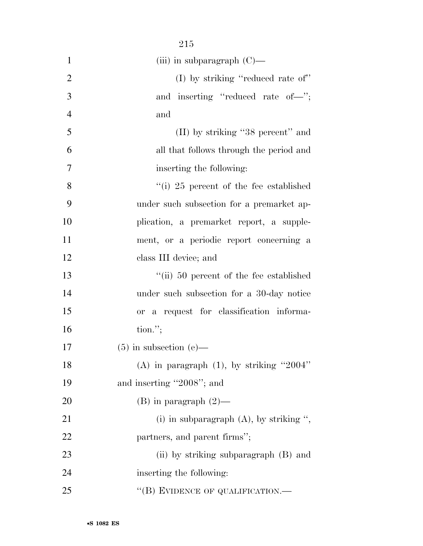| $\mathbf{1}$   | (iii) in subparagraph $(C)$ —                   |
|----------------|-------------------------------------------------|
| $\overline{2}$ | (I) by striking "reduced rate of"               |
| 3              | and inserting "reduced rate of-";               |
| $\overline{4}$ | and                                             |
| 5              | (II) by striking "38 percent" and               |
| 6              | all that follows through the period and         |
| 7              | inserting the following:                        |
| 8              | $\degree$ (i) 25 percent of the fee established |
| 9              | under such subsection for a premarket ap-       |
| 10             | plication, a premarket report, a supple-        |
| 11             | ment, or a periodic report concerning a         |
| 12             | class III device; and                           |
| 13             | "(ii) 50 percent of the fee established         |
| 14             | under such subsection for a 30-day notice       |
| 15             | or a request for classification informa-        |
| 16             | $\text{tion."};$                                |
| 17             | $(5)$ in subsection (e)—                        |
| 18             | (A) in paragraph $(1)$ , by striking "2004"     |
| 19             | and inserting "2008"; and                       |
| 20             | $(B)$ in paragraph $(2)$ —                      |
| 21             | (i) in subparagraph $(A)$ , by striking ",      |
| <u>22</u>      | partners, and parent firms";                    |
| 23             | (ii) by striking subparagraph (B) and           |
| 24             | inserting the following:                        |
| 25             | "(B) EVIDENCE OF QUALIFICATION.—                |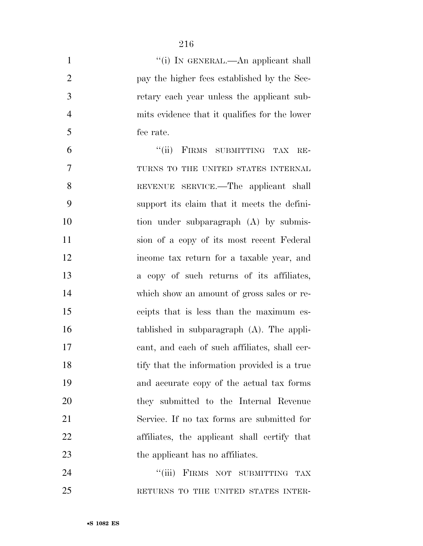| $\mathbf{1}$   | "(i) IN GENERAL.—An applicant shall           |
|----------------|-----------------------------------------------|
| $\overline{2}$ | pay the higher fees established by the Sec-   |
| 3              | retary each year unless the applicant sub-    |
| $\overline{4}$ | mits evidence that it qualifies for the lower |
| 5              | fee rate.                                     |
| 6              | "(ii) FIRMS SUBMITTING<br>TAX<br>$RE-$        |
| 7              | TURNS TO THE UNITED STATES INTERNAL           |
| 8              | REVENUE SERVICE.—The applicant shall          |
| 9              | support its claim that it meets the defini-   |
| 10             | tion under subparagraph (A) by submis-        |
| 11             | sion of a copy of its most recent Federal     |
| 12             | income tax return for a taxable year, and     |
| 13             | a copy of such returns of its affiliates,     |
| 14             | which show an amount of gross sales or re-    |
| 15             | ceipts that is less than the maximum es-      |
| 16             | tablished in subparagraph $(A)$ . The appli-  |
| 17             | cant, and each of such affiliates, shall cer- |
| 18             | tify that the information provided is a true  |
| 19             | and accurate copy of the actual tax forms     |
| 20             | they submitted to the Internal Revenue        |
| 21             | Service. If no tax forms are submitted for    |
| 22             | affiliates, the applicant shall certify that  |
| 23             | the applicant has no affiliates.              |
| 24             | ``(iii)<br>FIRMS NOT SUBMITTING<br>TAX        |
| 25             | RETURNS TO THE UNITED STATES INTER-           |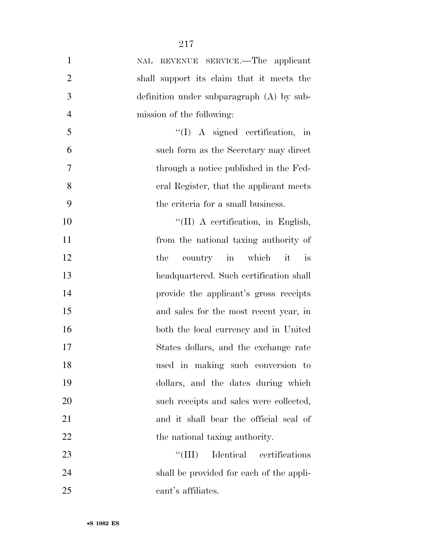| $\mathbf{1}$   | REVENUE SERVICE.—The applicant<br>NAL       |
|----------------|---------------------------------------------|
| $\overline{2}$ | shall support its claim that it meets the   |
| 3              | definition under subparagraph $(A)$ by sub- |
| $\overline{4}$ | mission of the following:                   |
| 5              | $\lq (I)$ A signed certification, in        |
| 6              | such form as the Secretary may direct       |
| $\tau$         | through a notice published in the Fed-      |
| 8              | eral Register, that the applicant meets     |
| 9              | the criteria for a small business.          |
| 10             | "(II) A certification, in English,          |
| 11             | from the national taxing authority of       |
| 12             | country in which<br>the<br>it<br>is         |
| 13             | headquartered. Such certification shall     |
| 14             | provide the applicant's gross receipts      |
| 15             | and sales for the most recent year, in      |
| 16             | both the local currency and in United       |
| 17             | States dollars, and the exchange rate       |
| 18             | used in making such conversion to           |
| 19             | dollars, and the dates during which         |
| 20             | such receipts and sales were collected,     |
| 21             | and it shall bear the official seal of      |
| 22             | the national taxing authority.              |
| 23             | Identical certifications<br>``(III)         |
| 24             | shall be provided for each of the appli-    |
| 25             | cant's affiliates.                          |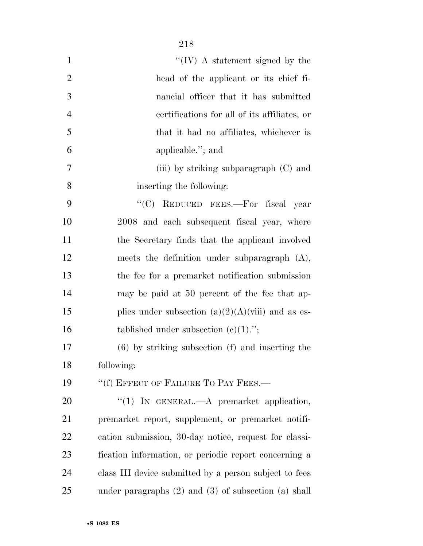| $\mathbf{1}$   | $\lq\lq (IV)$ A statement signed by the                |
|----------------|--------------------------------------------------------|
| $\overline{2}$ | head of the applicant or its chief fi-                 |
| 3              | nancial officer that it has submitted                  |
| $\overline{4}$ | certifications for all of its affiliates, or           |
| 5              | that it had no affiliates, whichever is                |
| 6              | applicable."; and                                      |
| 7              | (iii) by striking subparagraph (C) and                 |
| 8              | inserting the following:                               |
| 9              | "(C) REDUCED FEES.—For fiscal year                     |
| 10             | 2008 and each subsequent fiscal year, where            |
| 11             | the Secretary finds that the applicant involved        |
| 12             | meets the definition under subparagraph $(A)$ ,        |
| 13             | the fee for a premarket notification submission        |
| 14             | may be paid at 50 percent of the fee that ap-          |
| 15             | plies under subsection $(a)(2)(A)(viii)$ and as es-    |
| 16             | tablished under subsection $(c)(1)$ .";                |
| 17             | $(6)$ by striking subsection $(f)$ and inserting the   |
| 18             | following:                                             |
| 19             | "(f) EFFECT OF FAILURE TO PAY FEES.—                   |
| 20             | "(1) IN GENERAL.—A premarket application,              |
| 21             | premarket report, supplement, or premarket notifi-     |
| 22             | cation submission, 30-day notice, request for classi-  |
| 23             | fication information, or periodic report concerning a  |
| 24             | class III device submitted by a person subject to fees |

under paragraphs (2) and (3) of subsection (a) shall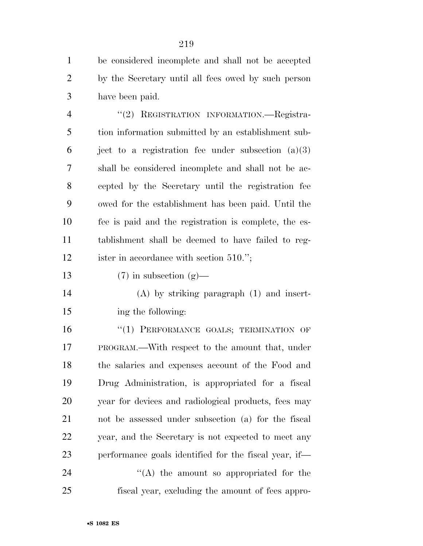be considered incomplete and shall not be accepted by the Secretary until all fees owed by such person have been paid.

4 "(2) REGISTRATION INFORMATION.—Registra- tion information submitted by an establishment sub-6 ject to a registration fee under subsection  $(a)(3)$  shall be considered incomplete and shall not be ac- cepted by the Secretary until the registration fee owed for the establishment has been paid. Until the fee is paid and the registration is complete, the es- tablishment shall be deemed to have failed to reg-ister in accordance with section 510.'';

13 (7) in subsection  $(g)$ —

 (A) by striking paragraph (1) and insert-ing the following:

16 "(1) PERFORMANCE GOALS; TERMINATION OF PROGRAM.—With respect to the amount that, under the salaries and expenses account of the Food and Drug Administration, is appropriated for a fiscal year for devices and radiological products, fees may not be assessed under subsection (a) for the fiscal year, and the Secretary is not expected to meet any performance goals identified for the fiscal year, if—  $\langle A \rangle$  the amount so appropriated for the

fiscal year, excluding the amount of fees appro-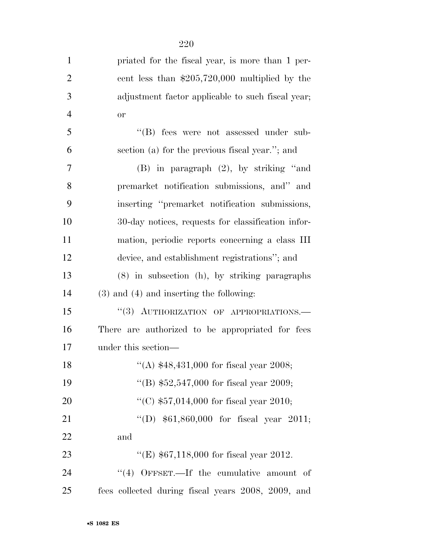| $\mathbf{1}$   | priated for the fiscal year, is more than 1 per-   |
|----------------|----------------------------------------------------|
| $\overline{2}$ | cent less than $$205,720,000$ multiplied by the    |
| 3              | adjustment factor applicable to such fiscal year;  |
| $\overline{4}$ | <b>or</b>                                          |
| 5              | "(B) fees were not assessed under sub-             |
| 6              | section (a) for the previous fiscal year."; and    |
| 7              | (B) in paragraph (2), by striking "and             |
| 8              | premarket notification submissions, and" and       |
| 9              | inserting "premarket notification submissions,     |
| 10             | 30-day notices, requests for classification infor- |
| 11             | mation, periodic reports concerning a class III    |
| 12             | device, and establishment registrations"; and      |
| 13             | (8) in subsection (h), by striking paragraphs      |
| 14             | $(3)$ and $(4)$ and inserting the following:       |
| 15             | "(3) AUTHORIZATION OF APPROPRIATIONS.-             |
| 16             | There are authorized to be appropriated for fees   |
| 17             | under this section—                                |
| 18             | "(A) $$48,431,000$ for fiscal year 2008;           |
| 19             | "(B) $$52,547,000$ for fiscal year 2009;           |
| 20             | "(C) $$57,014,000$ for fiscal year 2010;           |
| 21             | "(D) $$61,860,000$ for fiscal year 2011;           |
| 22             | and                                                |
| 23             | "(E) $$67,118,000$ for fiscal year 2012.           |
| 24             | "(4) OFFSET.—If the cumulative amount of           |
| 25             | fees collected during fiscal years 2008, 2009, and |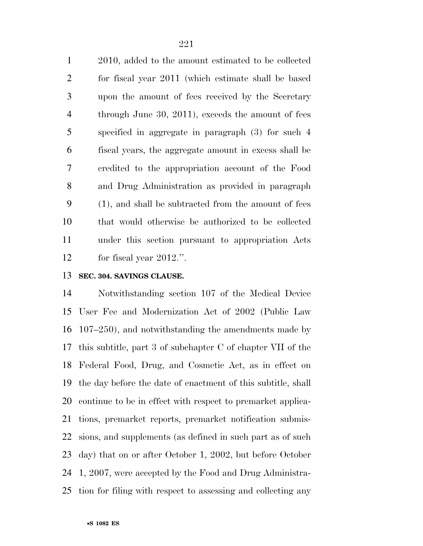2010, added to the amount estimated to be collected for fiscal year 2011 (which estimate shall be based upon the amount of fees received by the Secretary through June 30, 2011), exceeds the amount of fees specified in aggregate in paragraph (3) for such 4 fiscal years, the aggregate amount in excess shall be credited to the appropriation account of the Food and Drug Administration as provided in paragraph (1), and shall be subtracted from the amount of fees that would otherwise be authorized to be collected under this section pursuant to appropriation Acts for fiscal year 2012.''.

#### **SEC. 304. SAVINGS CLAUSE.**

 Notwithstanding section 107 of the Medical Device User Fee and Modernization Act of 2002 (Public Law 107–250), and notwithstanding the amendments made by this subtitle, part 3 of subchapter C of chapter VII of the Federal Food, Drug, and Cosmetic Act, as in effect on the day before the date of enactment of this subtitle, shall continue to be in effect with respect to premarket applica- tions, premarket reports, premarket notification submis- sions, and supplements (as defined in such part as of such day) that on or after October 1, 2002, but before October 1, 2007, were accepted by the Food and Drug Administra-tion for filing with respect to assessing and collecting any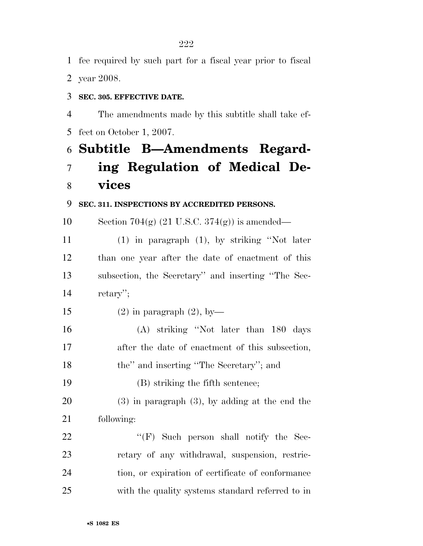fee required by such part for a fiscal year prior to fiscal

year 2008.

#### **SEC. 305. EFFECTIVE DATE.**

 The amendments made by this subtitle shall take ef-fect on October 1, 2007.

### **Subtitle B—Amendments Regard-**

# **ing Regulation of Medical De-vices**

#### **SEC. 311. INSPECTIONS BY ACCREDITED PERSONS.**

10 Section 704(g)  $(21 \text{ U.S.C. } 374(\text{g}))$  is amended—

 (1) in paragraph (1), by striking ''Not later than one year after the date of enactment of this subsection, the Secretary'' and inserting ''The Sec-retary'';

15 (2) in paragraph  $(2)$ , by

 (A) striking ''Not later than 180 days after the date of enactment of this subsection, the'' and inserting ''The Secretary''; and

(B) striking the fifth sentence;

 (3) in paragraph (3), by adding at the end the following:

 "(F) Such person shall notify the Sec- retary of any withdrawal, suspension, restric- tion, or expiration of certificate of conformance with the quality systems standard referred to in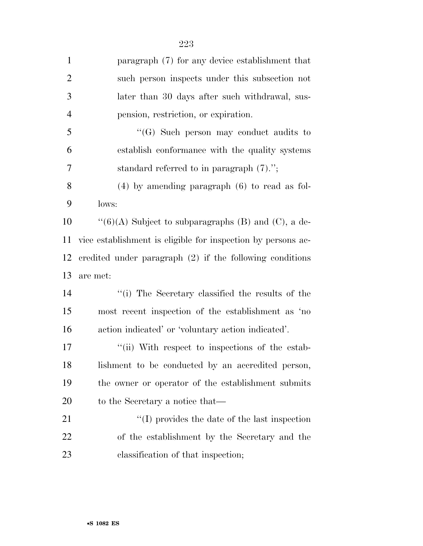| $\mathbf{1}$   | paragraph (7) for any device establishment that              |
|----------------|--------------------------------------------------------------|
| $\overline{2}$ | such person inspects under this subsection not               |
| 3              | later than 30 days after such withdrawal, sus-               |
| $\overline{4}$ | pension, restriction, or expiration.                         |
| 5              | $\lq\lq(G)$ Such person may conduct audits to                |
| 6              | establish conformance with the quality systems               |
| 7              | standard referred to in paragraph $(7)$ .";                  |
| 8              | $(4)$ by amending paragraph $(6)$ to read as fol-            |
| 9              | lows:                                                        |
| 10             | " $(6)(A)$ Subject to subparagraphs (B) and (C), a de-       |
| 11             | vice establishment is eligible for inspection by persons ac- |
| 12             | credited under paragraph $(2)$ if the following conditions   |
| 13             | are met:                                                     |
| 14             | "(i) The Secretary classified the results of the             |
| 15             | most recent inspection of the establishment as 'no           |
| 16             | action indicated' or 'voluntary action indicated'.           |
| 17             | "(ii) With respect to inspections of the estab-              |
| 18             | lishment to be conducted by an accredited person,            |
| 19             | the owner or operator of the establishment submits           |
| <b>20</b>      | to the Secretary a notice that—                              |
| 21             | $\lq\lq$ (I) provides the date of the last inspection        |
| 22             | of the establishment by the Secretary and the                |
| 23             | classification of that inspection;                           |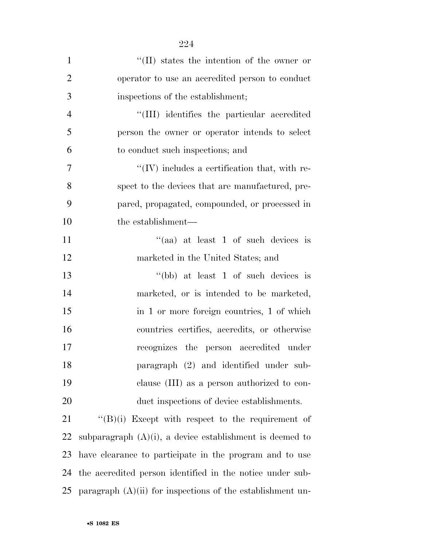| $\mathbf{1}$   | $\lq\lq$ (II) states the intention of the owner or           |
|----------------|--------------------------------------------------------------|
| $\overline{2}$ | operator to use an accredited person to conduct              |
| 3              | inspections of the establishment;                            |
| $\overline{4}$ | "(III) identifies the particular accredited                  |
| 5              | person the owner or operator intends to select               |
| 6              | to conduct such inspections; and                             |
| 7              | $\lq\lq$ (IV) includes a certification that, with re-        |
| 8              | spect to the devices that are manufactured, pre-             |
| 9              | pared, propagated, compounded, or processed in               |
| 10             | the establishment—                                           |
| 11             | "(aa) at least $1$ of such devices is                        |
| 12             | marketed in the United States; and                           |
| 13             | "(bb) at least 1 of such devices is                          |
| 14             | marketed, or is intended to be marketed,                     |
| 15             | in 1 or more foreign countries, 1 of which                   |
| 16             | countries certifies, accredits, or otherwise                 |
| 17             | recognizes the person accredited under                       |
| 18             | paragraph (2) and identified under sub-                      |
| 19             | clause (III) as a person authorized to con-                  |
| 20             | duct inspections of device establishments.                   |
| 21             | $\lq\lq(B)(i)$ Except with respect to the requirement of     |
| 22             | subparagraph $(A)(i)$ , a device establishment is deemed to  |
| 23             | have clearance to participate in the program and to use      |
| 24             | the accredited person identified in the notice under sub-    |
| 25             | paragraph $(A)(ii)$ for inspections of the establishment un- |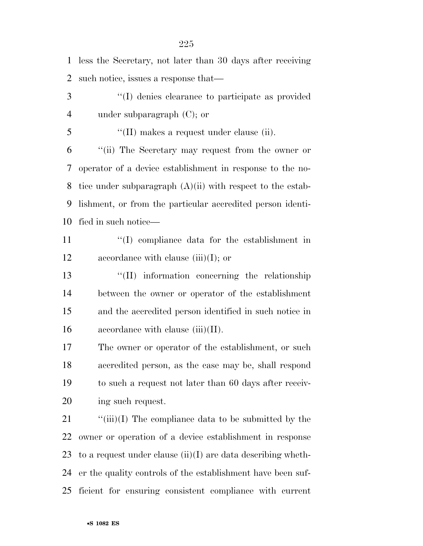| $\mathbf{1}$   | less the Secretary, not later than 30 days after receiving     |
|----------------|----------------------------------------------------------------|
| $\overline{2}$ | such notice, issues a response that—                           |
| 3              | "(I) denies clearance to participate as provided               |
| $\overline{4}$ | under subparagraph $(C)$ ; or                                  |
| 5              | $\lq\lq$ (II) makes a request under clause (ii).               |
| 6              | "(ii) The Secretary may request from the owner or              |
| 7              | operator of a device establishment in response to the no-      |
| 8              | tice under subparagraph $(A)(ii)$ with respect to the estab-   |
| 9              | lishment, or from the particular accredited person identi-     |
| 10             | fied in such notice—                                           |
| 11             | "(I) compliance data for the establishment in                  |
| 12             | accordance with clause $(iii)(I)$ ; or                         |
| 13             | $\lq\lq$ (II) information concerning the relationship          |
| 14             | between the owner or operator of the establishment             |
| 15             | and the accredited person identified in such notice in         |
| 16             | accordance with clause $(iii)(II)$ .                           |
| 17             | The owner or operator of the establishment, or such            |
| 18             | accredited person, as the case may be, shall respond           |
| 19             | to such a request not later than 60 days after receiv-         |
| 20             | ing such request.                                              |
| 21             | " $(iii)(I)$ The compliance data to be submitted by the        |
| 22             | owner or operation of a device establishment in response       |
| 23             | to a request under clause $(ii)(I)$ are data describing wheth- |
| 24             | er the quality controls of the establishment have been suf-    |
| 25             | ficient for ensuring consistent compliance with current        |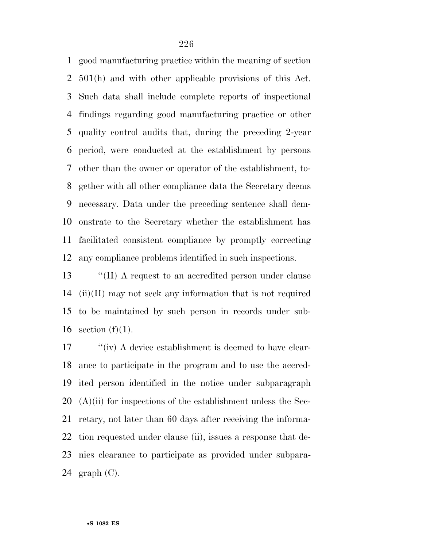good manufacturing practice within the meaning of section 501(h) and with other applicable provisions of this Act. Such data shall include complete reports of inspectional findings regarding good manufacturing practice or other quality control audits that, during the preceding 2-year period, were conducted at the establishment by persons other than the owner or operator of the establishment, to- gether with all other compliance data the Secretary deems necessary. Data under the preceding sentence shall dem- onstrate to the Secretary whether the establishment has facilitated consistent compliance by promptly correcting any compliance problems identified in such inspections.

 ''(II) A request to an accredited person under clause (ii)(II) may not seek any information that is not required to be maintained by such person in records under sub-16 section  $(f)(1)$ .

17 ''(iv) A device establishment is deemed to have clear- ance to participate in the program and to use the accred- ited person identified in the notice under subparagraph  $(A)$ (ii) for inspections of the establishment unless the Sec- retary, not later than 60 days after receiving the informa- tion requested under clause (ii), issues a response that de- nies clearance to participate as provided under subpara-24 graph  $(C)$ .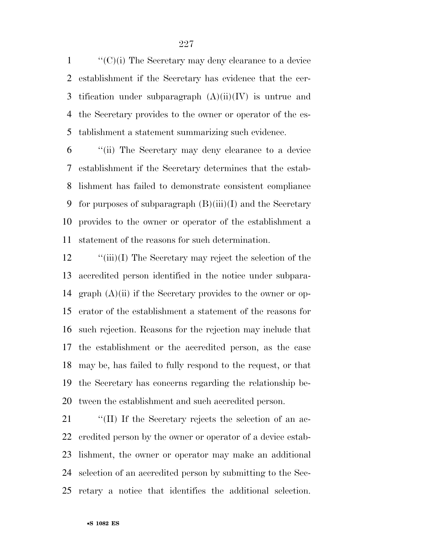$\langle (C)(i)$  The Secretary may deny clearance to a device establishment if the Secretary has evidence that the cer-3 tification under subparagraph  $(A)(ii)(IV)$  is untrue and the Secretary provides to the owner or operator of the es-tablishment a statement summarizing such evidence.

 ''(ii) The Secretary may deny clearance to a device establishment if the Secretary determines that the estab- lishment has failed to demonstrate consistent compliance 9 for purposes of subparagraph  $(B)(iii)(I)$  and the Secretary provides to the owner or operator of the establishment a statement of the reasons for such determination.

12 "(iii)(I) The Secretary may reject the selection of the accredited person identified in the notice under subpara- graph (A)(ii) if the Secretary provides to the owner or op- erator of the establishment a statement of the reasons for such rejection. Reasons for the rejection may include that the establishment or the accredited person, as the case may be, has failed to fully respond to the request, or that the Secretary has concerns regarding the relationship be-tween the establishment and such accredited person.

21 <sup>"</sup>(II) If the Secretary rejects the selection of an ac- credited person by the owner or operator of a device estab- lishment, the owner or operator may make an additional selection of an accredited person by submitting to the Sec-retary a notice that identifies the additional selection.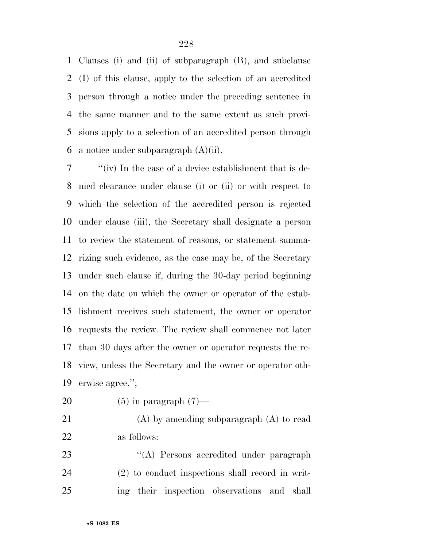Clauses (i) and (ii) of subparagraph (B), and subclause (I) of this clause, apply to the selection of an accredited person through a notice under the preceding sentence in the same manner and to the same extent as such provi- sions apply to a selection of an accredited person through 6 a notice under subparagraph  $(A)(ii)$ .

 ''(iv) In the case of a device establishment that is de- nied clearance under clause (i) or (ii) or with respect to which the selection of the accredited person is rejected under clause (iii), the Secretary shall designate a person to review the statement of reasons, or statement summa- rizing such evidence, as the case may be, of the Secretary under such clause if, during the 30-day period beginning on the date on which the owner or operator of the estab- lishment receives such statement, the owner or operator requests the review. The review shall commence not later than 30 days after the owner or operator requests the re- view, unless the Secretary and the owner or operator oth-erwise agree.'';

20  $(5)$  in paragraph  $(7)$ —

 (A) by amending subparagraph (A) to read as follows:

23 ''(A) Persons accredited under paragraph (2) to conduct inspections shall record in writ-ing their inspection observations and shall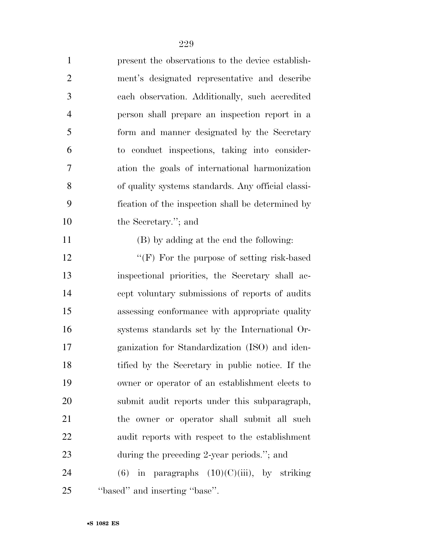| $\mathbf{1}$   | present the observations to the device establish-  |
|----------------|----------------------------------------------------|
| $\overline{2}$ | ment's designated representative and describe      |
| 3              | each observation. Additionally, such accredited    |
| $\overline{4}$ | person shall prepare an inspection report in a     |
| 5              | form and manner designated by the Secretary        |
| 6              | to conduct inspections, taking into consider-      |
| 7              | ation the goals of international harmonization     |
| 8              | of quality systems standards. Any official classi- |
| 9              | fication of the inspection shall be determined by  |
| 10             | the Secretary."; and                               |
| 11             | (B) by adding at the end the following:            |
| 12             | "(F) For the purpose of setting risk-based         |
| 13             | inspectional priorities, the Secretary shall ac-   |
| 14             | cept voluntary submissions of reports of audits    |
| 15             | assessing conformance with appropriate quality     |
| 16             | systems standards set by the International Or-     |
| 17             | ganization for Standardization (ISO) and iden-     |
| 18             | tified by the Secretary in public notice. If the   |
| 19             | owner or operator of an establishment elects to    |
| 20             | submit audit reports under this subparagraph,      |
| 21             | the owner or operator shall submit all such        |
| 22             | audit reports with respect to the establishment    |
| 23             | during the preceding 2-year periods."; and         |
| 24             | $(6)$ in paragraphs $(10)(C)(iii)$ , by striking   |
| 25             | "based" and inserting "base".                      |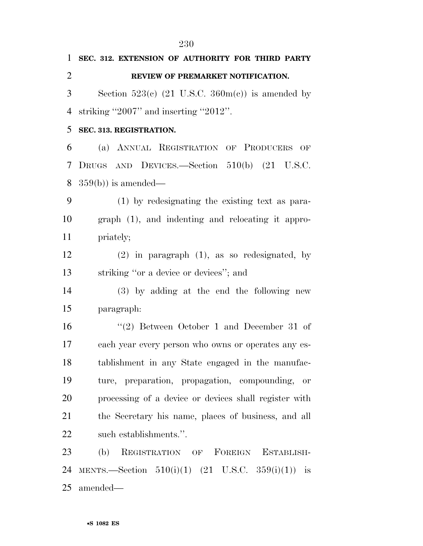**SEC. 312. EXTENSION OF AUTHORITY FOR THIRD PARTY REVIEW OF PREMARKET NOTIFICATION.**  3 Section  $523(e)$  (21 U.S.C.  $360m(e)$ ) is amended by striking ''2007'' and inserting ''2012''. **SEC. 313. REGISTRATION.**  (a) ANNUAL REGISTRATION OF PRODUCERS OF DRUGS AND DEVICES.—Section 510(b) (21 U.S.C. 359(b)) is amended— (1) by redesignating the existing text as para- graph (1), and indenting and relocating it appro- priately; (2) in paragraph (1), as so redesignated, by striking ''or a device or devices''; and (3) by adding at the end the following new paragraph: ''(2) Between October 1 and December 31 of each year every person who owns or operates any es- tablishment in any State engaged in the manufac- ture, preparation, propagation, compounding, or processing of a device or devices shall register with the Secretary his name, places of business, and all such establishments.''. (b) REGISTRATION OF FOREIGN ESTABLISH-24 MENTS.—Section  $510(i)(1)$   $(21 \text{ U.S.C. } 359(i)(1))$  is amended—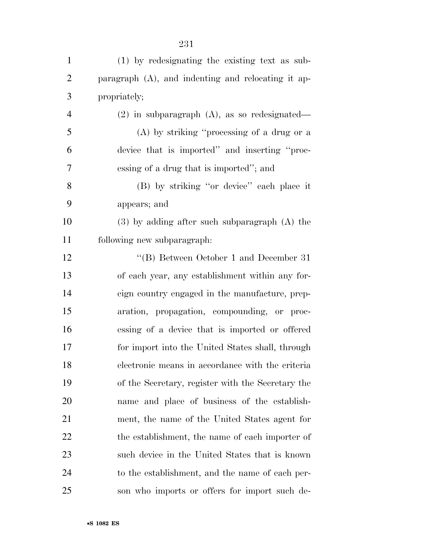| $\mathbf{1}$   | (1) by redesignating the existing text as sub-        |
|----------------|-------------------------------------------------------|
| $\overline{2}$ | paragraph $(A)$ , and indenting and relocating it ap- |
| 3              | propriately;                                          |
| 4              | $(2)$ in subparagraph $(A)$ , as so redesignated—     |
| 5              | $(A)$ by striking "processing of a drug or a          |
| 6              | device that is imported" and inserting "proc-         |
| 7              | essing of a drug that is imported"; and               |
| 8              | (B) by striking "or device" each place it             |
| 9              | appears; and                                          |
| 10             | $(3)$ by adding after such subparagraph $(A)$ the     |
| 11             | following new subparagraph:                           |
| 12             | "(B) Between October 1 and December 31                |
| 13             | of each year, any establishment within any for-       |
| 14             | eign country engaged in the manufacture, prep-        |
| 15             | aration, propagation, compounding, or proc-           |
| 16             | essing of a device that is imported or offered        |
| 17             | for import into the United States shall, through      |
| 18             | electronic means in accordance with the criteria      |
| 19             | of the Secretary, register with the Secretary the     |
| 20             | name and place of business of the establish-          |
| 21             | ment, the name of the United States agent for         |
| 22             | the establishment, the name of each importer of       |
| 23             | such device in the United States that is known        |
| 24             | to the establishment, and the name of each per-       |
| 25             | son who imports or offers for import such de-         |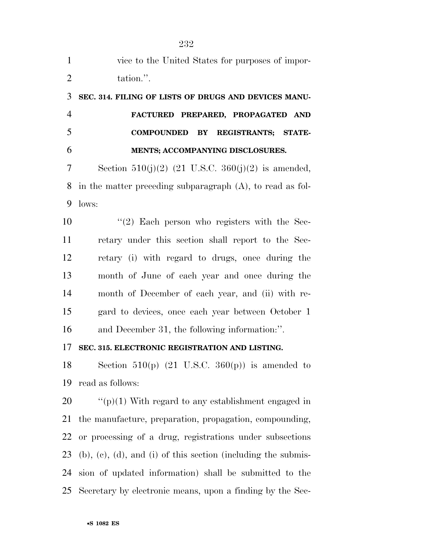| $\mathbf{1}$   | vice to the United States for purposes of impor-                         |  |
|----------------|--------------------------------------------------------------------------|--|
| $\overline{2}$ | tation.".                                                                |  |
| 3              | SEC. 314. FILING OF LISTS OF DRUGS AND DEVICES MANU-                     |  |
| $\overline{4}$ | FACTURED PREPARED, PROPAGATED AND                                        |  |
| 5              | <b>COMPOUNDED</b><br>BY REGISTRANTS; STATE-                              |  |
| 6              | MENTS; ACCOMPANYING DISCLOSURES.                                         |  |
| 7              | Section 510(j)(2) (21 U.S.C. 360(j)(2) is amended,                       |  |
| 8              | in the matter preceding subparagraph $(A)$ , to read as fol-             |  |
| 9              | lows:                                                                    |  |
| 10             | $\lq(2)$ Each person who registers with the Sec-                         |  |
| 11             | retary under this section shall report to the Sec-                       |  |
| 12             | retary (i) with regard to drugs, once during the                         |  |
| 13             | month of June of each year and once during the                           |  |
| 14             | month of December of each year, and (ii) with re-                        |  |
| 15             | gard to devices, once each year between October 1                        |  |
| 16             | and December 31, the following information:".                            |  |
| 17             | SEC. 315. ELECTRONIC REGISTRATION AND LISTING.                           |  |
| 18             | Section 510(p) $(21 \text{ U.S.C. } 360(p))$ is amended to               |  |
| 19             | read as follows:                                                         |  |
| 20             | "( $p$ )(1) With regard to any establishment engaged in                  |  |
| 21             | the manufacture, preparation, propagation, compounding,                  |  |
| 22             | or processing of a drug, registrations under subsections                 |  |
| 23             | $(b)$ , $(c)$ , $(d)$ , and $(i)$ of this section (including the submis- |  |
| 24             | sion of updated information) shall be submitted to the                   |  |
| 25             | Secretary by electronic means, upon a finding by the Sec-                |  |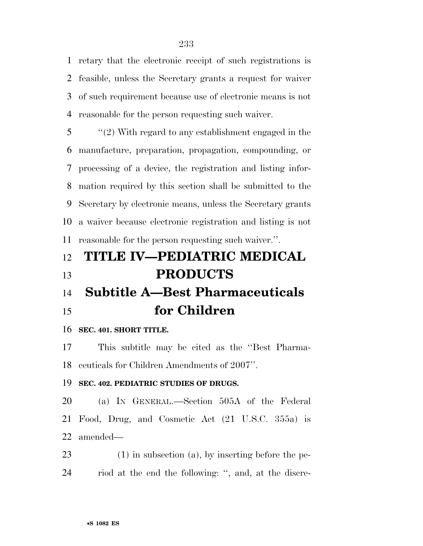retary that the electronic receipt of such registrations is feasible, unless the Secretary grants a request for waiver of such requirement because use of electronic means is not reasonable for the person requesting such waiver.

 ''(2) With regard to any establishment engaged in the manufacture, preparation, propagation, compounding, or processing of a device, the registration and listing infor- mation required by this section shall be submitted to the Secretary by electronic means, unless the Secretary grants a waiver because electronic registration and listing is not reasonable for the person requesting such waiver.''.

### **TITLE IV—PEDIATRIC MEDICAL PRODUCTS**

## **Subtitle A—Best Pharmaceuticals for Children**

#### **SEC. 401. SHORT TITLE.**

 This subtitle may be cited as the ''Best Pharma-ceuticals for Children Amendments of 2007''.

#### **SEC. 402. PEDIATRIC STUDIES OF DRUGS.**

 (a) IN GENERAL.—Section 505A of the Federal Food, Drug, and Cosmetic Act (21 U.S.C. 355a) is amended—

 (1) in subsection (a), by inserting before the pe-riod at the end the following: '', and, at the discre-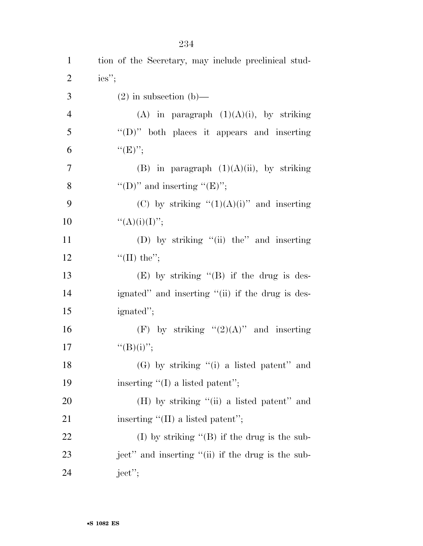| $\mathbf{1}$   | tion of the Secretary, may include preclinical stud- |
|----------------|------------------------------------------------------|
| $\overline{2}$ | $ies''$ ;                                            |
| 3              | $(2)$ in subsection $(b)$ —                          |
| $\overline{4}$ | (A) in paragraph $(1)(A)(i)$ , by striking           |
| 5              | " $(D)$ " both places it appears and inserting       |
| 6              | ``(E)''                                              |
| $\tau$         | (B) in paragraph $(1)(A)(ii)$ , by striking          |
| 8              | "(D)" and inserting " $(E)$ ";                       |
| 9              | (C) by striking " $(1)(A)(i)$ " and inserting        |
| 10             | " $(A)(i)(I)$ ";                                     |
| 11             | (D) by striking "(ii) the" and inserting             |
| 12             | "(II) the";                                          |
| 13             | $(E)$ by striking " $(B)$ if the drug is des-        |
| 14             | ignated" and inserting "(ii) if the drug is des-     |
| 15             | ignated";                                            |
| 16             | (F) by striking " $(2)(A)$ " and inserting           |
| 17             | $``(B)(i)''$ ;                                       |
| 18             | $(G)$ by striking "(i) a listed patent" and          |
| 19             | inserting $\lq (I)$ a listed patent";                |
| 20             | $(H)$ by striking "(ii) a listed patent" and         |
| 21             | inserting $\lq (II)$ a listed patent";               |
| 22             | (I) by striking $\lq (B)$ if the drug is the sub-    |
| 23             | ject" and inserting "(ii) if the drug is the sub-    |
| 24             | $ject$ <sup>"</sup> ;                                |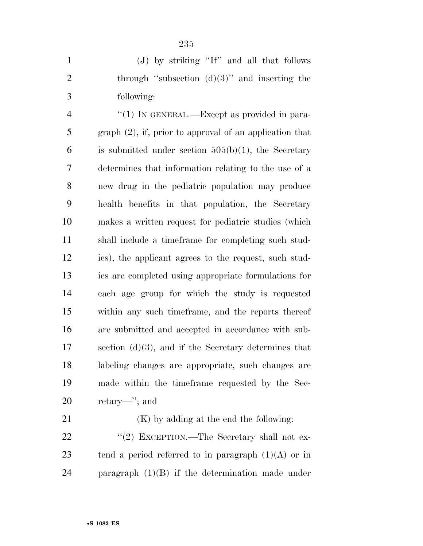|               | (J) by striking "If" and all that follows        |
|---------------|--------------------------------------------------|
|               | through "subsection $(d)(3)$ " and inserting the |
| $\mathcal{R}$ | following:                                       |

 $\frac{4}{1}$  In GENERAL.—Except as provided in para- graph (2), if, prior to approval of an application that 6 is submitted under section  $505(b)(1)$ , the Secretary determines that information relating to the use of a new drug in the pediatric population may produce health benefits in that population, the Secretary makes a written request for pediatric studies (which shall include a timeframe for completing such stud- ies), the applicant agrees to the request, such stud- ies are completed using appropriate formulations for each age group for which the study is requested within any such timeframe, and the reports thereof are submitted and accepted in accordance with sub- section (d)(3), and if the Secretary determines that labeling changes are appropriate, such changes are made within the timeframe requested by the Sec-retary—''; and

21 (K) by adding at the end the following: 22 "(2) EXCEPTION.—The Secretary shall not ex-23 tend a period referred to in paragraph  $(1)(A)$  or in paragraph (1)(B) if the determination made under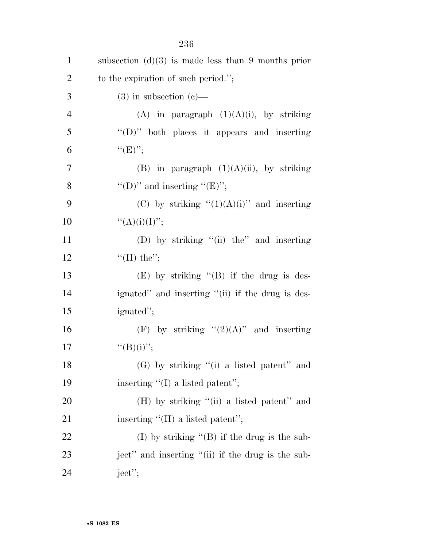| $\mathbf{1}$   | subsection $(d)(3)$ is made less than 9 months prior |
|----------------|------------------------------------------------------|
| $\overline{2}$ | to the expiration of such period.";                  |
| 3              | $(3)$ in subsection $(e)$ —                          |
| $\overline{4}$ | (A) in paragraph $(1)(A)(i)$ , by striking           |
| 5              | " $(D)$ " both places it appears and inserting       |
| 6              | ``(E)'';                                             |
| $\tau$         | (B) in paragraph $(1)(A)(ii)$ , by striking          |
| 8              | "(D)" and inserting " $(E)$ ";                       |
| 9              | (C) by striking " $(1)(A)(i)$ " and inserting        |
| 10             | ``(A)(i)(I)'';                                       |
| 11             | (D) by striking "(ii) the" and inserting             |
| 12             | "(II) the";                                          |
| 13             | $(E)$ by striking " $(B)$ if the drug is des-        |
| 14             | ignated" and inserting "(ii) if the drug is des-     |
| 15             | ignated";                                            |
| 16             | (F) by striking " $(2)(A)$ " and inserting           |
| 17             | ``(B)(i)'';                                          |
| 18             | $(G)$ by striking "(i) a listed patent" and          |
| 19             | inserting $\lq (I)$ a listed patent";                |
| 20             | $(H)$ by striking "(ii) a listed patent" and         |
| 21             | inserting "(II) a listed patent";                    |
| 22             | (I) by striking $\lq (B)$ if the drug is the sub-    |
| 23             | ject" and inserting "(ii) if the drug is the sub-    |
| 24             | ject";                                               |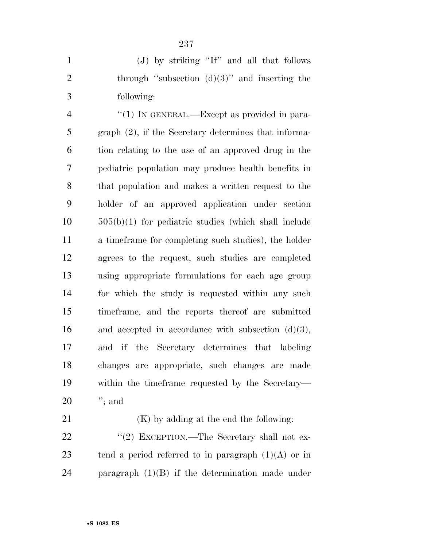(J) by striking ''If'' and all that follows 2 through "subsection  $(d)(3)$ " and inserting the following:

 $\frac{4}{1}$  In GENERAL.—Except as provided in para- graph (2), if the Secretary determines that informa- tion relating to the use of an approved drug in the pediatric population may produce health benefits in that population and makes a written request to the holder of an approved application under section 505(b)(1) for pediatric studies (which shall include a timeframe for completing such studies), the holder agrees to the request, such studies are completed using appropriate formulations for each age group for which the study is requested within any such timeframe, and the reports thereof are submitted 16 and accepted in accordance with subsection  $(d)(3)$ , and if the Secretary determines that labeling changes are appropriate, such changes are made within the timeframe requested by the Secretary— ''; and

21 (K) by adding at the end the following: 22 "(2) EXCEPTION.—The Secretary shall not ex-23 tend a period referred to in paragraph  $(1)(A)$  or in paragraph (1)(B) if the determination made under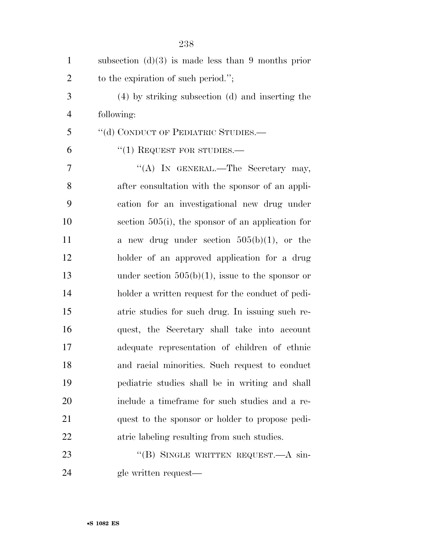| $\mathbf{1}$   | subsection $(d)(3)$ is made less than 9 months prior |
|----------------|------------------------------------------------------|
| $\overline{2}$ | to the expiration of such period.";                  |
| 3              | (4) by striking subsection (d) and inserting the     |
| $\overline{4}$ | following:                                           |
| 5              | "(d) CONDUCT OF PEDIATRIC STUDIES.—                  |
| 6              | $"(1)$ REQUEST FOR STUDIES.—                         |
| 7              | "(A) IN GENERAL.—The Secretary may,                  |
| 8              | after consultation with the sponsor of an appli-     |
| 9              | cation for an investigational new drug under         |
| 10             | section $505(i)$ , the sponsor of an application for |
| 11             | a new drug under section $505(b)(1)$ , or the        |
| 12             | holder of an approved application for a drug         |
| 13             | under section $505(b)(1)$ , issue to the sponsor or  |
| 14             | holder a written request for the conduct of pedi-    |
| 15             | atric studies for such drug. In issuing such re-     |
| 16             | quest, the Secretary shall take into account         |
| 17             | adequate representation of children of ethnic        |
| 18             | and racial minorities. Such request to conduct       |
| 19             | pediatric studies shall be in writing and shall      |
| 20             | include a timeframe for such studies and a re-       |
| 21             | quest to the sponsor or holder to propose pedi-      |
| 22             | atric labeling resulting from such studies.          |
| 23             | "(B) SINGLE WRITTEN REQUEST.—A sin-                  |
| 24             | gle written request—                                 |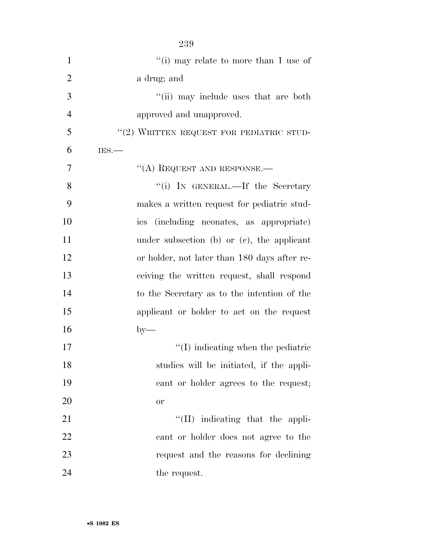| $\mathbf{1}$   | "(i) may relate to more than $1$ use of $\,$  |
|----------------|-----------------------------------------------|
| $\overline{2}$ | a drug; and                                   |
| 3              | "(ii) may include uses that are both          |
| $\overline{4}$ | approved and unapproved.                      |
| 5              | "(2) WRITTEN REQUEST FOR PEDIATRIC STUD-      |
| 6              | IES.                                          |
| 7              | $\lq\lq$ (A) REQUEST AND RESPONSE.—           |
| 8              | "(i) IN GENERAL.—If the Secretary             |
| 9              | makes a written request for pediatric stud-   |
| 10             | ies (including neonates, as appropriate)      |
| 11             | under subsection (b) or $(e)$ , the applicant |
| 12             | or holder, not later than 180 days after re-  |
| 13             | ceiving the written request, shall respond    |
| 14             | to the Secretary as to the intention of the   |
| 15             | applicant or holder to act on the request     |
| 16             | $by-$                                         |
| 17             | $\lq\lq$ (I) indicating when the pediatric    |
| 18             | studies will be initiated, if the appli-      |
| 19             | cant or holder agrees to the request;         |
| 20             | <b>or</b>                                     |
| 21             | $\lq\lq$ (II) indicating that the appli-      |
| 22             | cant or holder does not agree to the          |
| 23             | request and the reasons for declining         |
| 24             | the request.                                  |

•**S 1082 ES**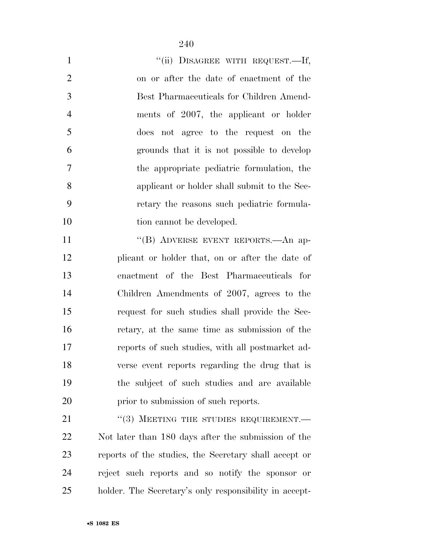| $\mathbf{1}$   | "(ii) DISAGREE WITH REQUEST.-If,                       |
|----------------|--------------------------------------------------------|
| $\overline{2}$ | on or after the date of enactment of the               |
| 3              | Best Pharmaceuticals for Children Amend-               |
| $\overline{4}$ | ments of 2007, the applicant or holder                 |
| 5              | does not agree to the request on the                   |
| 6              | grounds that it is not possible to develop             |
| 7              | the appropriate pediatric formulation, the             |
| 8              | applicant or holder shall submit to the Sec-           |
| 9              | retary the reasons such pediatric formula-             |
| 10             | tion cannot be developed.                              |
| 11             | "(B) ADVERSE EVENT REPORTS.—An ap-                     |
| 12             | plicant or holder that, on or after the date of        |
| 13             | enactment of the Best Pharmaceuticals for              |
| 14             | Children Amendments of 2007, agrees to the             |
| 15             | request for such studies shall provide the Sec-        |
| 16             | retary, at the same time as submission of the          |
| 17             | reports of such studies, with all postmarket ad-       |
| 18             | verse event reports regarding the drug that is         |
| 19             | the subject of such studies and are available          |
| 20             | prior to submission of such reports.                   |
| 21             | "(3) MEETING THE STUDIES REQUIREMENT.-                 |
| 22             | Not later than 180 days after the submission of the    |
| 23             | reports of the studies, the Secretary shall accept or  |
| 24             | reject such reports and so notify the sponsor or       |
| 25             | holder. The Secretary's only responsibility in accept- |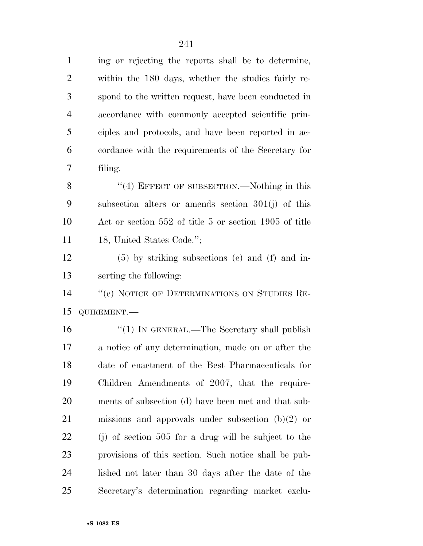ing or rejecting the reports shall be to determine, within the 180 days, whether the studies fairly re- spond to the written request, have been conducted in accordance with commonly accepted scientific prin- ciples and protocols, and have been reported in ac- cordance with the requirements of the Secretary for filing.

8 "(4) EFFECT OF SUBSECTION.—Nothing in this subsection alters or amends section 301(j) of this Act or section 552 of title 5 or section 1905 of title 11 18, United States Code.";

 (5) by striking subsections (e) and (f) and in-serting the following:

 ''(e) NOTICE OF DETERMINATIONS ON STUDIES RE-QUIREMENT.—

16 "(1) IN GENERAL.—The Secretary shall publish a notice of any determination, made on or after the date of enactment of the Best Pharmaceuticals for Children Amendments of 2007, that the require- ments of subsection (d) have been met and that sub- missions and approvals under subsection (b)(2) or (j) of section 505 for a drug will be subject to the provisions of this section. Such notice shall be pub- lished not later than 30 days after the date of the Secretary's determination regarding market exclu-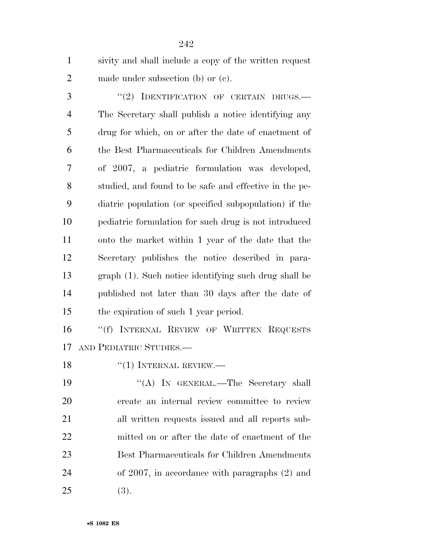| $\mathbf{1}$   | sivity and shall include a copy of the written request |
|----------------|--------------------------------------------------------|
| $\overline{2}$ | made under subsection (b) or $(e)$ .                   |
| 3              | "(2) IDENTIFICATION OF CERTAIN DRUGS.-                 |
| $\overline{4}$ | The Secretary shall publish a notice identifying any   |
| 5              | drug for which, on or after the date of enactment of   |
| 6              | the Best Pharmaceuticals for Children Amendments       |
| 7              | of 2007, a pediatric formulation was developed,        |
| 8              | studied, and found to be safe and effective in the pe- |
| 9              | diatric population (or specified subpopulation) if the |
| 10             | pediatric formulation for such drug is not introduced  |
| 11             | onto the market within 1 year of the date that the     |
| 12             | Secretary publishes the notice described in para-      |
| 13             | graph (1). Such notice identifying such drug shall be  |
| 14             | published not later than 30 days after the date of     |
| 15             | the expiration of such 1 year period.                  |
| 16             | "(f) INTERNAL REVIEW OF WRITTEN REQUESTS               |
| 17             | AND PEDIATRIC STUDIES.                                 |
| 18             | $``(1)$ INTERNAL REVIEW.                               |
| 19             | "(A) IN GENERAL.—The Secretary shall                   |
| 20             | create an internal review committee to review          |
| 21             | all written requests issued and all reports sub-       |
| 22             | mitted on or after the date of enactment of the        |
| 23             | Best Pharmaceuticals for Children Amendments           |
| 24             | of $2007$ , in accordance with paragraphs $(2)$ and    |
| 25             | (3).                                                   |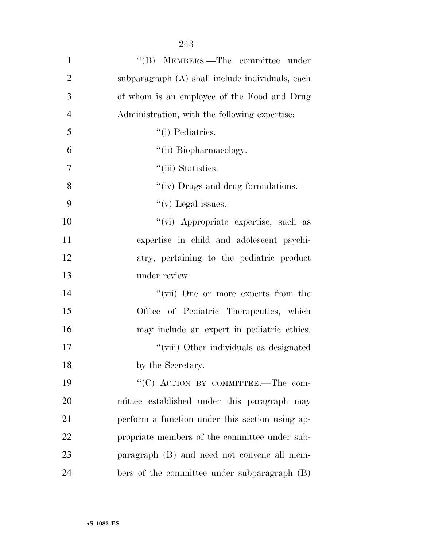| $\mathbf{1}$   | "(B) MEMBERS.—The committee under                |
|----------------|--------------------------------------------------|
| $\overline{2}$ | subparagraph (A) shall include individuals, each |
| 3              | of whom is an employee of the Food and Drug      |
| $\overline{4}$ | Administration, with the following expertise:    |
| 5              | "(i) Pediatrics.                                 |
| 6              | "(ii) Biopharmacology.                           |
| $\tau$         | "(iii) Statistics.                               |
| 8              | "(iv) Drugs and drug formulations.               |
| 9              | "(v) Legal issues.                               |
| 10             | "(vi) Appropriate expertise, such as             |
| 11             | expertise in child and adolescent psychi-        |
| 12             | atry, pertaining to the pediatric product        |
| 13             | under review.                                    |
| 14             | "(vii) One or more experts from the              |
| 15             | Office of Pediatric Therapeutics, which          |
| 16             | may include an expert in pediatric ethics.       |
| 17             | "(viii) Other individuals as designated          |
| 18             | by the Secretary.                                |
| 19             | "(C) ACTION BY COMMITTEE.—The com-               |
| 20             | mittee established under this paragraph may      |
| 21             | perform a function under this section using ap-  |
| 22             | propriate members of the committee under sub-    |
| 23             | paragraph (B) and need not convene all mem-      |
| 24             | bers of the committee under subparagraph (B)     |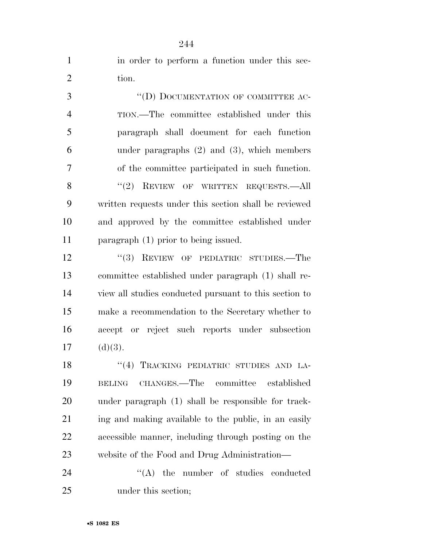| $\mathbf{1}$   | in order to perform a function under this sec-         |
|----------------|--------------------------------------------------------|
| $\overline{2}$ | tion.                                                  |
| 3              | "(D) DOCUMENTATION OF COMMITTEE AC-                    |
| $\overline{4}$ | TION.—The committee established under this             |
| 5              | paragraph shall document for each function             |
| 6              | under paragraphs $(2)$ and $(3)$ , which members       |
| 7              | of the committee participated in such function.        |
| 8              | $``(2)$ REVIEW OF WRITTEN REQUESTS.—All                |
| 9              | written requests under this section shall be reviewed  |
| 10             | and approved by the committee established under        |
| 11             | paragraph $(1)$ prior to being issued.                 |
| 12             | "(3) REVIEW OF PEDIATRIC STUDIES.—The                  |
| 13             | committee established under paragraph (1) shall re-    |
| 14             | view all studies conducted pursuant to this section to |
| 15             | make a recommendation to the Secretary whether to      |
| 16             | accept or reject such reports under subsection         |
| 17             | (d)(3).                                                |
| 18             | "(4) TRACKING PEDIATRIC STUDIES AND LA-                |
| 19             | CHANGES.—The committee<br>established<br><b>BELING</b> |
| 20             | under paragraph (1) shall be responsible for track-    |
| 21             | ing and making available to the public, in an easily   |
| 22             | accessible manner, including through posting on the    |
| 23             | website of the Food and Drug Administration—           |
| 24             | $\lq\lq$ the number of studies conducted               |
| 25             | under this section;                                    |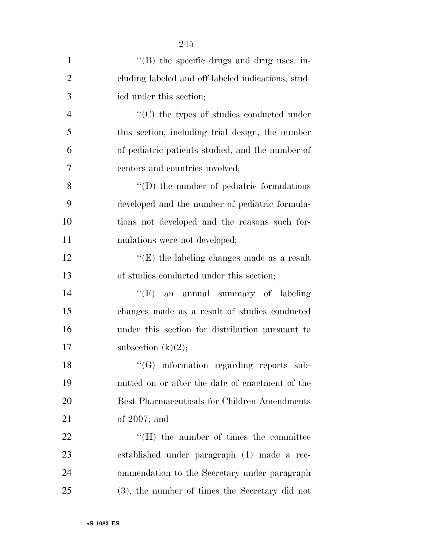| $\mathbf{1}$   | $\lq\lq$ (B) the specific drugs and drug uses, in- |
|----------------|----------------------------------------------------|
| $\overline{2}$ | cluding labeled and off-labeled indications, stud- |
| 3              | ied under this section;                            |
| $\overline{4}$ | $\cdot$ (C) the types of studies conducted under   |
| 5              | this section, including trial design, the number   |
| 6              | of pediatric patients studied, and the number of   |
| 7              | centers and countries involved;                    |
| 8              | $\lq\lq$ the number of pediatric formulations      |
| 9              | developed and the number of pediatric formula-     |
| 10             | tions not developed and the reasons such for-      |
| 11             | mulations were not developed;                      |
| 12             | " $(E)$ the labeling changes made as a result      |
| 13             | of studies conducted under this section;           |
| 14             | ``(F)<br>an annual summary of labeling             |
| 15             | changes made as a result of studies conducted      |
| 16             | under this section for distribution pursuant to    |
| 17             | subsection $(k)(2)$ ;                              |
| 18             | "(G) information regarding reports sub-            |
| 19             | mitted on or after the date of enactment of the    |
| 20             | Best Pharmaceuticals for Children Amendments       |
| 21             | of $2007$ ; and                                    |
| 22             | $\lq\lq(H)$ the number of times the committee      |
| 23             | established under paragraph (1) made a rec-        |
| 24             | ommendation to the Secretary under paragraph       |
| 25             | $(3)$ , the number of times the Secretary did not  |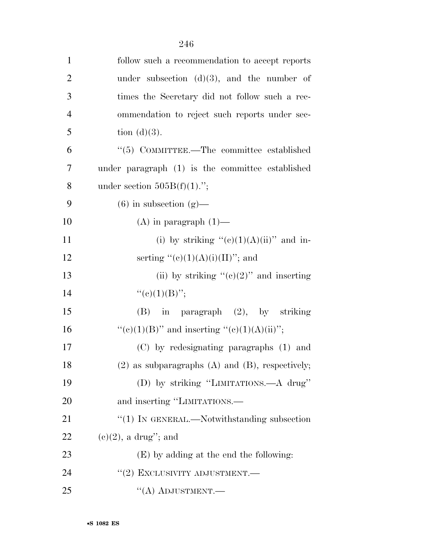| $\mathbf{1}$   | follow such a recommendation to accept reports         |
|----------------|--------------------------------------------------------|
| $\overline{2}$ | under subsection $(d)(3)$ , and the number of          |
| 3              | times the Secretary did not follow such a rec-         |
| $\overline{4}$ | ommendation to reject such reports under sec-          |
| 5              | tion $(d)(3)$ .                                        |
| 6              | $\cdot\cdot$ (5) COMMITTEE.—The committee established  |
| 7              | under paragraph (1) is the committee established       |
| 8              | under section $505B(f)(1)$ .";                         |
| 9              | $(6)$ in subsection $(g)$ —                            |
| 10             | $(A)$ in paragraph $(1)$ —                             |
| 11             | (i) by striking " $(e)(1)(A)(ii)$ " and in-            |
| 12             | serting " $(e)(1)(A)(i)(II)$ "; and                    |
| 13             | (ii) by striking " $(e)(2)$ " and inserting            |
| 14             | " $(e)(1)(B)$ ";                                       |
| 15             | in paragraph (2), by striking<br>(B)                   |
| 16             | "(c)(1)(B)" and inserting "(c)(1)(A)(ii)";             |
| 17             | (C) by redesignating paragraphs (1) and                |
| 18             | $(2)$ as subparagraphs $(A)$ and $(B)$ , respectively; |
| 19             | (D) by striking "LIMITATIONS.—A drug"                  |
| 20             | and inserting "LIMITATIONS.—                           |
| 21             | $\lq(1)$ In GENERAL.—Notwithstanding subsection        |
| 22             | $(e)(2)$ , a drug"; and                                |
| 23             | $(E)$ by adding at the end the following:              |
| 24             | "(2) EXCLUSIVITY ADJUSTMENT.—                          |
| 25             | $\lq\lq (A)$ ADJUSTMENT.—                              |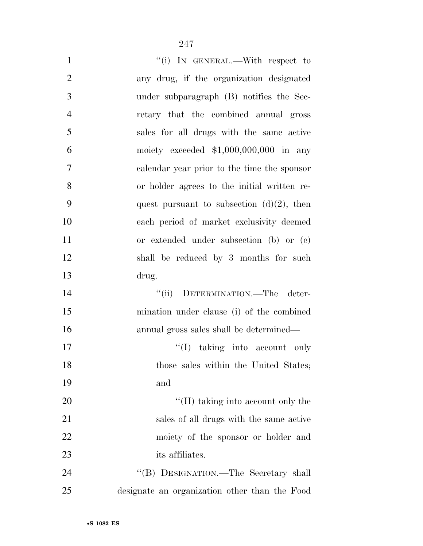| $\mathbf{1}$   | "(i) IN GENERAL.—With respect to              |
|----------------|-----------------------------------------------|
| $\overline{2}$ | any drug, if the organization designated      |
| 3              | under subparagraph (B) notifies the Sec-      |
| $\overline{4}$ | retary that the combined annual gross         |
| 5              | sales for all drugs with the same active      |
| 6              | moiety exceeded $$1,000,000,000$ in any       |
| 7              | calendar year prior to the time the sponsor   |
| 8              | or holder agrees to the initial written re-   |
| 9              | quest pursuant to subsection $(d)(2)$ , then  |
| 10             | each period of market exclusivity deemed      |
| 11             | or extended under subsection (b) or (c)       |
| 12             | shall be reduced by 3 months for such         |
| 13             | drug.                                         |
| 14             | "(ii) DETERMINATION.—The deter-               |
| 15             | mination under clause (i) of the combined     |
| 16             | annual gross sales shall be determined—       |
| 17             | "(I) taking into account only                 |
| 18             | those sales within the United States;         |
| 19             | and                                           |
| 20             | $\lq\lq$ (II) taking into account only the    |
| 21             | sales of all drugs with the same active       |
| 22             | moiety of the sponsor or holder and           |
| 23             | its affiliates.                               |
| 24             | "(B) DESIGNATION.—The Secretary shall         |
| 25             | designate an organization other than the Food |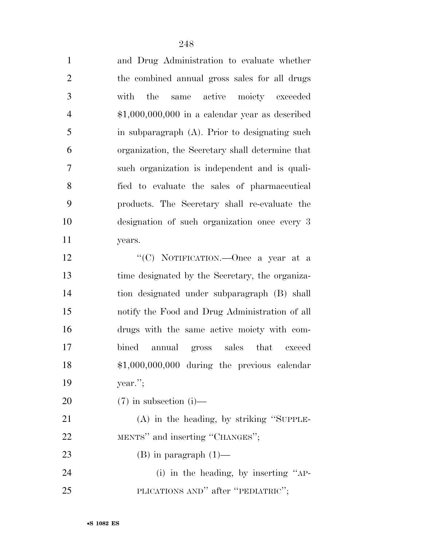| $\mathbf{1}$   | and Drug Administration to evaluate whether      |
|----------------|--------------------------------------------------|
| $\mathbf{2}$   | the combined annual gross sales for all drugs    |
| 3              | the<br>same active moiety exceeded<br>with       |
| $\overline{4}$ | $$1,000,000,000$ in a calendar year as described |
| 5              | in subparagraph (A). Prior to designating such   |
| 6              | organization, the Secretary shall determine that |
| 7              | such organization is independent and is quali-   |
| 8              | fied to evaluate the sales of pharmaceutical     |
| 9              | products. The Secretary shall re-evaluate the    |
| 10             | designation of such organization once every 3    |
| 11             | years.                                           |
| 12             | "(C) NOTIFICATION.—Once a year at a              |
| 13             | time designated by the Secretary, the organiza-  |
| 14             | tion designated under subparagraph (B) shall     |
| 15             | notify the Food and Drug Administration of all   |
| 16             | drugs with the same active moiety with com-      |
| 17             | bined<br>annual gross sales that exceed          |
| 18             | $$1,000,000,000$ during the previous calendar    |
| 19             | year.";                                          |
| 20             | $(7)$ in subsection (i)—                         |
| 21             | $(A)$ in the heading, by striking "SUPPLE-       |
| 22             | MENTS" and inserting "CHANGES";                  |
| 23             | $(B)$ in paragraph $(1)$ —                       |
| 24             | (i) in the heading, by inserting $"AP$ -         |
| 25             | PLICATIONS AND" after "PEDIATRIC";               |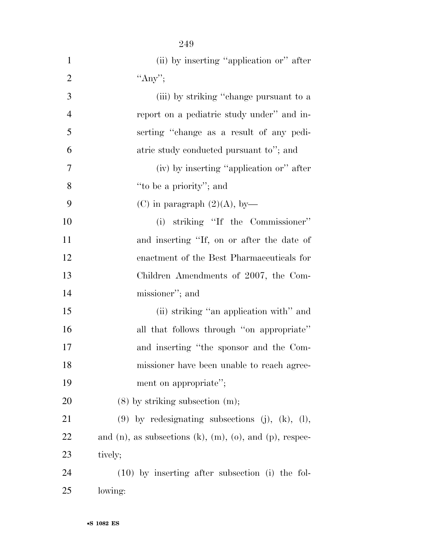| $\mathbf{1}$   | (ii) by inserting "application or" after                               |
|----------------|------------------------------------------------------------------------|
| $\overline{2}$ | "Any";                                                                 |
| 3              | (iii) by striking "change pursuant to a                                |
| $\overline{4}$ | report on a pediatric study under" and in-                             |
| 5              | serting "change as a result of any pedi-                               |
| 6              | atric study conducted pursuant to"; and                                |
| $\tau$         | (iv) by inserting "application or" after                               |
| 8              | "to be a priority"; and                                                |
| 9              | (C) in paragraph $(2)(A)$ , by-                                        |
| 10             | (i) striking "If the Commissioner"                                     |
| 11             | and inserting "If, on or after the date of                             |
| 12             | enactment of the Best Pharmaceuticals for                              |
| 13             | Children Amendments of 2007, the Com-                                  |
| 14             | missioner"; and                                                        |
| 15             | (ii) striking "an application with" and                                |
| 16             | all that follows through "on appropriate"                              |
| 17             | and inserting "the sponsor and the Com-                                |
| 18             | missioner have been unable to reach agree-                             |
| 19             | ment on appropriate";                                                  |
| 20             | $(8)$ by striking subsection $(m)$ ;                                   |
| 21             | $(9)$ by redesignating subsections $(j)$ , $(k)$ , $(l)$ ,             |
| 22             | and $(n)$ , as subsections $(k)$ , $(m)$ , $(o)$ , and $(p)$ , respec- |
| 23             | tively;                                                                |
| 24             | $(10)$ by inserting after subsection (i) the fol-                      |
| 25             | lowing:                                                                |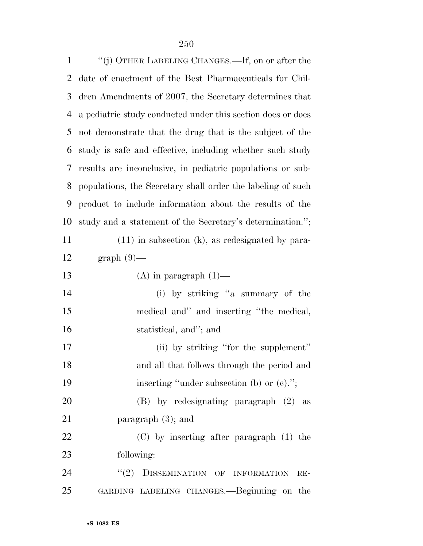| $\mathbf{1}$ | "(j) OTHER LABELING CHANGES.—If, on or after the            |
|--------------|-------------------------------------------------------------|
| 2            | date of enactment of the Best Pharmaceuticals for Chil-     |
| 3            | dren Amendments of 2007, the Secretary determines that      |
| 4            | a pediatric study conducted under this section does or does |
| 5            | not demonstrate that the drug that is the subject of the    |
| 6            | study is safe and effective, including whether such study   |
| 7            | results are inconclusive, in pediatric populations or sub-  |
| 8            | populations, the Secretary shall order the labeling of such |
| 9            | product to include information about the results of the     |
| 10           | study and a statement of the Secretary's determination.";   |
| 11           | $(11)$ in subsection (k), as redesignated by para-          |
| 12           | $graph(9)$ —                                                |
| 13           | $(A)$ in paragraph $(1)$ —                                  |
| 14           | (i) by striking "a summary of the                           |
| 15           | medical and" and inserting "the medical,                    |
| 16           | statistical, and"; and                                      |
| 17           | (ii) by striking "for the supplement"                       |
| 18           | and all that follows through the period and                 |
| 19           | inserting "under subsection (b) or $(e)$ .";                |
| <b>20</b>    | (B) by redesignating paragraph (2) as                       |
| 21           | paragraph $(3)$ ; and                                       |
| 22           | $(C)$ by inserting after paragraph $(1)$ the                |
| 23           | following:                                                  |
| 24           | (2)<br>DISSEMINATION OF INFORMATION<br>$RE-$                |
| 25           | GARDING LABELING CHANGES.—Beginning on the                  |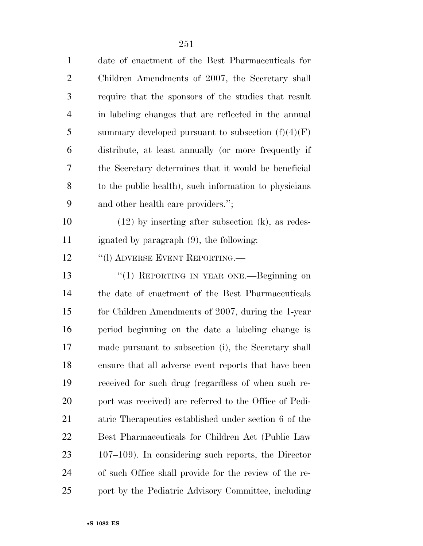| $\mathbf{1}$   | date of enactment of the Best Pharmaceuticals for      |
|----------------|--------------------------------------------------------|
| $\overline{2}$ | Children Amendments of 2007, the Secretary shall       |
| 3              | require that the sponsors of the studies that result   |
| $\overline{4}$ | in labeling changes that are reflected in the annual   |
| 5              | summary developed pursuant to subsection $(f)(4)(F)$   |
| 6              | distribute, at least annually (or more frequently if   |
| 7              | the Secretary determines that it would be beneficial   |
| 8              | to the public health), such information to physicians  |
| 9              | and other health care providers.";                     |
| 10             | $(12)$ by inserting after subsection $(k)$ , as redes- |
| 11             | ignated by paragraph (9), the following:               |
| 12             | "(I) ADVERSE EVENT REPORTING.—                         |
| 13             | "(1) REPORTING IN YEAR ONE.—Beginning on               |
| 14             | the date of enactment of the Best Pharmaceuticals      |
| 15             | for Children Amendments of 2007, during the 1-year     |
| 16             | period beginning on the date a labeling change is      |
| 17             | made pursuant to subsection (i), the Secretary shall   |
| 18             | ensure that all adverse event reports that have been   |
| 19             | received for such drug (regardless of when such re-    |
| <b>20</b>      | port was received) are referred to the Office of Pedi- |
| 21             | atric Therapeutics established under section 6 of the  |
| 22             | Best Pharmaceuticals for Children Act (Public Law      |
| 23             | $107-109$ ). In considering such reports, the Director |
| 24             | of such Office shall provide for the review of the re- |
| 25             | port by the Pediatric Advisory Committee, including    |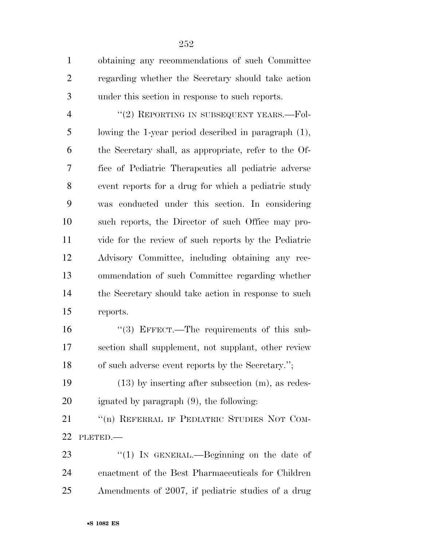obtaining any recommendations of such Committee regarding whether the Secretary should take action under this section in response to such reports.

4 "(2) REPORTING IN SUBSEQUENT YEARS.—Fol- lowing the 1-year period described in paragraph (1), the Secretary shall, as appropriate, refer to the Of- fice of Pediatric Therapeutics all pediatric adverse event reports for a drug for which a pediatric study was conducted under this section. In considering such reports, the Director of such Office may pro- vide for the review of such reports by the Pediatric Advisory Committee, including obtaining any rec- ommendation of such Committee regarding whether the Secretary should take action in response to such reports.

 ''(3) EFFECT.—The requirements of this sub- section shall supplement, not supplant, other review of such adverse event reports by the Secretary.'';

 (13) by inserting after subsection (m), as redes-ignated by paragraph (9), the following:

21 "(n) REFERRAL IF PEDIATRIC STUDIES NOT COM-PLETED.—

23 "(1) In GENERAL.—Beginning on the date of enactment of the Best Pharmaceuticals for Children Amendments of 2007, if pediatric studies of a drug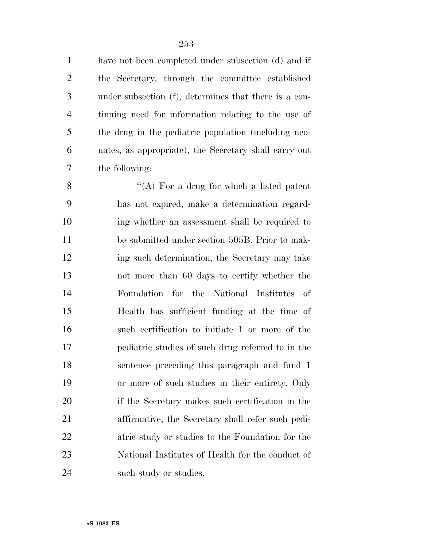have not been completed under subsection (d) and if the Secretary, through the committee established under subsection (f), determines that there is a con- tinuing need for information relating to the use of the drug in the pediatric population (including neo- nates, as appropriate), the Secretary shall carry out the following:

 $\langle (A)$  For a drug for which a listed patent has not expired, make a determination regard- ing whether an assessment shall be required to be submitted under section 505B. Prior to mak- ing such determination, the Secretary may take not more than 60 days to certify whether the Foundation for the National Institutes of Health has sufficient funding at the time of such certification to initiate 1 or more of the pediatric studies of such drug referred to in the sentence preceding this paragraph and fund 1 or more of such studies in their entirety. Only if the Secretary makes such certification in the affirmative, the Secretary shall refer such pedi- atric study or studies to the Foundation for the National Institutes of Health for the conduct of 24 such study or studies.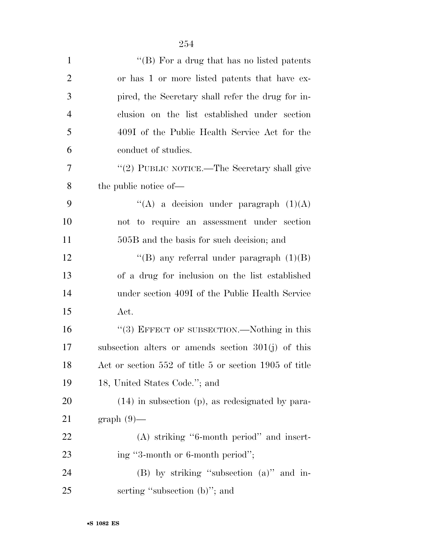| $\mathbf{1}$   | "(B) For a drug that has no listed patents             |
|----------------|--------------------------------------------------------|
| $\overline{2}$ | or has 1 or more listed patents that have ex-          |
| 3              | pired, the Secretary shall refer the drug for in-      |
| $\overline{4}$ | clusion on the list established under section          |
| 5              | 409I of the Public Health Service Act for the          |
| 6              | conduct of studies.                                    |
| 7              | "(2) PUBLIC NOTICE.—The Secretary shall give           |
| 8              | the public notice of—                                  |
| 9              | "(A) a decision under paragraph $(1)(A)$               |
| 10             | not to require an assessment under section             |
| 11             | 505B and the basis for such decision; and              |
| 12             | "(B) any referral under paragraph $(1)(B)$             |
| 13             | of a drug for inclusion on the list established        |
| 14             | under section 409I of the Public Health Service        |
| 15             | Act.                                                   |
| 16             | "(3) EFFECT OF SUBSECTION.—Nothing in this             |
| 17             | subsection alters or amends section $301(j)$ of this   |
| 18             | Act or section 552 of title 5 or section 1905 of title |
| 19             | 18, United States Code."; and                          |
| 20             | $(14)$ in subsection (p), as redesignated by para-     |
| 21             | $graph(9)$ —                                           |
| 22             | $(A)$ striking "6-month period" and insert-            |
| 23             | ing "3-month or 6-month period";                       |
| 24             | (B) by striking "subsection (a)" and in-               |
| 25             | serting "subsection (b)"; and                          |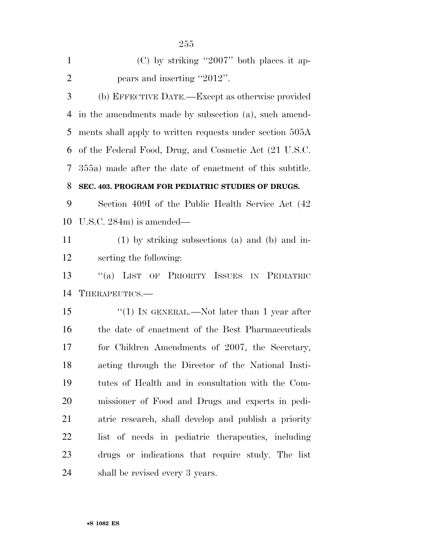| $\mathbf{1}$   | $(C)$ by striking "2007" both places it ap-              |
|----------------|----------------------------------------------------------|
| $\overline{2}$ | pears and inserting "2012".                              |
| 3              | (b) EFFECTIVE DATE.—Except as otherwise provided         |
| $\overline{4}$ | in the amendments made by subsection (a), such amend-    |
| 5              | ments shall apply to written requests under section 505A |
| 6              | of the Federal Food, Drug, and Cosmetic Act (21 U.S.C.   |
| 7              | 355a) made after the date of enactment of this subtitle. |
| 8              | SEC. 403. PROGRAM FOR PEDIATRIC STUDIES OF DRUGS.        |
| 9              | Section 409I of the Public Health Service Act (42)       |
| 10             | U.S.C. $284m$ ) is amended—                              |
| 11             | $(1)$ by striking subsections (a) and (b) and in-        |
| 12             | serting the following:                                   |
| 13             | LIST OF PRIORITY ISSUES IN PEDIATRIC<br>$\lq(a)$         |
| 14             | THERAPEUTICS.—                                           |
| 15             | "(1) IN GENERAL.—Not later than 1 year after             |
| 16             | the date of enactment of the Best Pharmaceuticals        |
| 17             | for Children Amendments of 2007, the Secretary,          |
| 18             | acting through the Director of the National Insti-       |
| 19             | tutes of Health and in consultation with the Com-        |
| 20             | missioner of Food and Drugs and experts in pedi-         |
| 21             | atric research, shall develop and publish a priority     |
| 22             | list of needs in pediatric therapeutics, including       |
| 23             | drugs or indications that require study. The list        |
| 24             | shall be revised every 3 years.                          |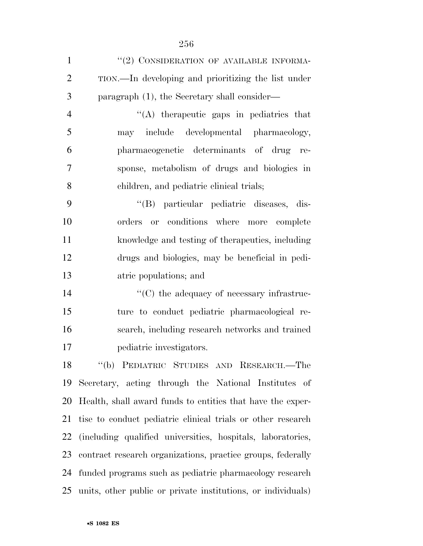| $\mathbf{1}$   | "(2) CONSIDERATION OF AVAILABLE INFORMA-                        |
|----------------|-----------------------------------------------------------------|
| $\overline{2}$ | TION.—In developing and prioritizing the list under             |
| 3              | paragraph (1), the Secretary shall consider—                    |
| $\overline{4}$ | "(A) therapeutic gaps in pediatrics that                        |
| 5              | may include developmental pharmacology,                         |
| 6              | pharmacogenetic determinants of drug re-                        |
| 7              | sponse, metabolism of drugs and biologies in                    |
| 8              | children, and pediatric clinical trials;                        |
| 9              | "(B) particular pediatric diseases, dis-                        |
| 10             | orders or conditions where more complete                        |
| 11             | knowledge and testing of the rapeutics, including               |
| 12             | drugs and biologies, may be beneficial in pedi-                 |
| 13             | atric populations; and                                          |
| 14             | $\cdot$ (C) the adequacy of necessary infrastruc-               |
| 15             | ture to conduct pediatric pharmacological re-                   |
| 16             | search, including research networks and trained                 |
| 17             | pediatric investigators.                                        |
|                | 18 "(b) PEDIATRIC STUDIES AND RESEARCH.—The                     |
| 19             | Secretary, acting through the National Institutes of            |
| 20             | Health, shall award funds to entities that have the exper-      |
| 21             | tise to conduct pediatric clinical trials or other research     |
| 22             | (including qualified universities, hospitals, laboratories,     |
| 23             | contract research organizations, practice groups, federally     |
| 24             | funded programs such as pediatric pharmacology research         |
|                | 25 units, other public or private institutions, or individuals) |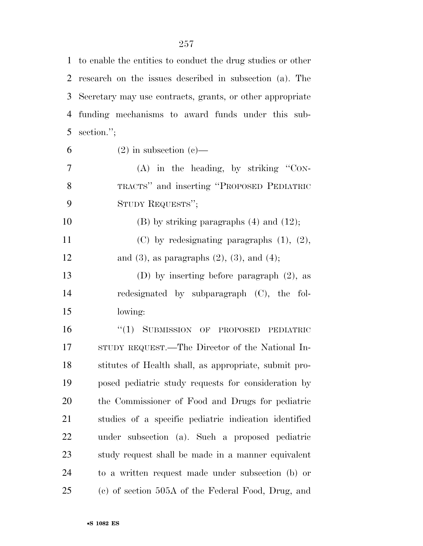| $\mathbf{1}$   | to enable the entities to conduct the drug studies or other |
|----------------|-------------------------------------------------------------|
| $\overline{2}$ | research on the issues described in subsection (a). The     |
| 3              | Secretary may use contracts, grants, or other appropriate   |
| 4              | funding mechanisms to award funds under this sub-           |
| 5              | section.";                                                  |
| 6              | $(2)$ in subsection $(e)$ —                                 |
| 7              | $(A)$ in the heading, by striking "CON-                     |
| 8              | TRACTS" and inserting "PROPOSED PEDIATRIC                   |
| 9              | STUDY REQUESTS";                                            |
| 10             | $(B)$ by striking paragraphs $(4)$ and $(12)$ ;             |
| 11             | $(C)$ by redesignating paragraphs $(1)$ , $(2)$ ,           |
| 12             | and $(3)$ , as paragraphs $(2)$ , $(3)$ , and $(4)$ ;       |
| 13             | (D) by inserting before paragraph $(2)$ , as                |
| 14             | redesignated by subparagraph (C), the fol-                  |
| 15             | lowing:                                                     |
| 16             | "(1) SUBMISSION OF PROPOSED PEDIATRIC                       |
| 17             | STUDY REQUEST.—The Director of the National In-             |
| 18             | stitutes of Health shall, as appropriate, submit pro-       |
| 19             | posed pediatric study requests for consideration by         |
| 20             | the Commissioner of Food and Drugs for pediatric            |
| 21             | studies of a specific pediatric indication identified       |
| <u>22</u>      | under subsection (a). Such a proposed pediatric             |
| 23             | study request shall be made in a manner equivalent          |
| 24             | to a written request made under subsection (b) or           |
| 25             | (c) of section 505A of the Federal Food, Drug, and          |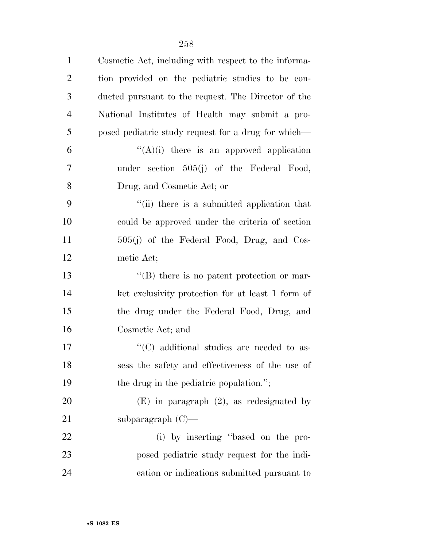| $\mathbf{1}$   | Cosmetic Act, including with respect to the informa- |
|----------------|------------------------------------------------------|
| $\overline{2}$ | tion provided on the pediatric studies to be con-    |
| 3              | ducted pursuant to the request. The Director of the  |
| $\overline{4}$ | National Institutes of Health may submit a pro-      |
| 5              | posed pediatric study request for a drug for which—  |
| 6              | " $(A)(i)$ there is an approved application          |
| $\overline{7}$ | under section $505(j)$ of the Federal Food,          |
| 8              | Drug, and Cosmetic Act; or                           |
| 9              | "(ii) there is a submitted application that          |
| 10             | could be approved under the criteria of section      |
| 11             | 505(j) of the Federal Food, Drug, and Cos-           |
| 12             | metic Act;                                           |
| 13             | "(B) there is no patent protection or mar-           |
| 14             | ket exclusivity protection for at least 1 form of    |
| 15             | the drug under the Federal Food, Drug, and           |
| 16             | Cosmetic Act; and                                    |
| 17             | $\cdot$ (C) additional studies are needed to as-     |
| 18             | sess the safety and effectiveness of the use of      |
| 19             | the drug in the pediatric population.";              |
| 20             | $(E)$ in paragraph $(2)$ , as redesignated by        |
| 21             | subparagraph $(C)$ —                                 |
| 22             | (i) by inserting "based on the pro-                  |
| 23             | posed pediatric study request for the indi-          |

cation or indications submitted pursuant to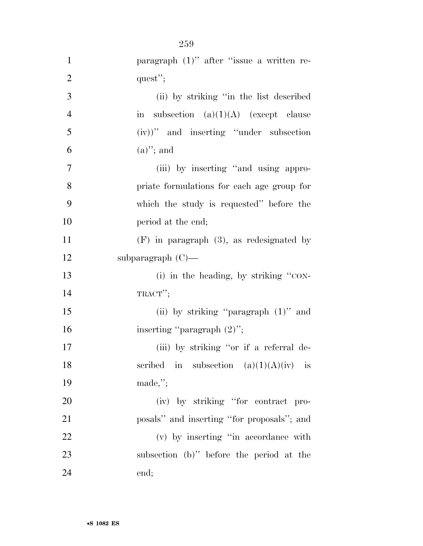| $\mathbf{1}$   | paragraph $(1)$ " after "issue a written re-                 |
|----------------|--------------------------------------------------------------|
| $\overline{2}$ | quest";                                                      |
| 3              | (ii) by striking "in the list described                      |
| $\overline{4}$ | subsection $(a)(1)(A)$ (except clause<br>$\operatorname{in}$ |
| 5              | $(iv)$ " and inserting "under subsection"                    |
| 6              | $(a)$ "; and                                                 |
| 7              | (iii) by inserting "and using appro-                         |
| 8              | priate formulations for each age group for                   |
| 9              | which the study is requested" before the                     |
| 10             | period at the end;                                           |
| 11             | $(F)$ in paragraph $(3)$ , as redesignated by                |
| 12             | subparagraph $(C)$ —                                         |
| 13             | (i) in the heading, by striking "CON-                        |
| 14             | $TRACT$ <sup>"</sup> ;                                       |
| 15             | (ii) by striking "paragraph $(1)$ " and                      |
| 16             | inserting "paragraph $(2)$ ";                                |
| 17             | (iii) by striking "or if a referral de-                      |
| 18             | scribed in subsection $(a)(1)(A)(iv)$ is                     |
| 19             | $made,$ ";                                                   |
| 20             | (iv) by striking "for contract pro-                          |
| 21             | posals" and inserting "for proposals"; and                   |
| <u>22</u>      | (v) by inserting "in accordance with                         |
| 23             | subsection (b)" before the period at the                     |
| 24             | end;                                                         |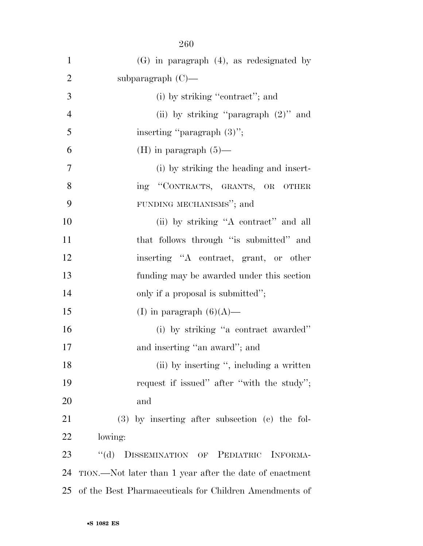| $\mathbf{1}$   | $(G)$ in paragraph $(4)$ , as redesignated by           |
|----------------|---------------------------------------------------------|
| $\overline{2}$ | subparagraph $(C)$ —                                    |
| 3              | (i) by striking "contract"; and                         |
| $\overline{4}$ | (ii) by striking "paragraph $(2)$ " and                 |
| 5              | inserting "paragraph $(3)$ ";                           |
| 6              | (H) in paragraph $(5)$ —                                |
| $\tau$         | (i) by striking the heading and insert-                 |
| 8              | ing "CONTRACTS, GRANTS, OR OTHER                        |
| 9              | FUNDING MECHANISMS"; and                                |
| 10             | (ii) by striking "A contract" and all                   |
| 11             | that follows through "is submitted" and                 |
| 12             | inserting "A contract, grant, or other                  |
| 13             | funding may be awarded under this section               |
| 14             | only if a proposal is submitted";                       |
| 15             | (I) in paragraph $(6)(A)$ —                             |
| 16             | (i) by striking "a contract awarded"                    |
| 17             | and inserting "an award"; and                           |
| 18             | (ii) by inserting ", including a written                |
| 19             | request if issued" after "with the study";              |
| 20             | and                                                     |
| 21             | $(3)$ by inserting after subsection $(e)$ the fol-      |
| 22             | lowing:                                                 |
| 23             | $\lq\lq (d)$<br>DISSEMINATION OF PEDIATRIC<br>INFORMA-  |
| 24             | TION.—Not later than 1 year after the date of enactment |
| 25             | of the Best Pharmaceuticals for Children Amendments of  |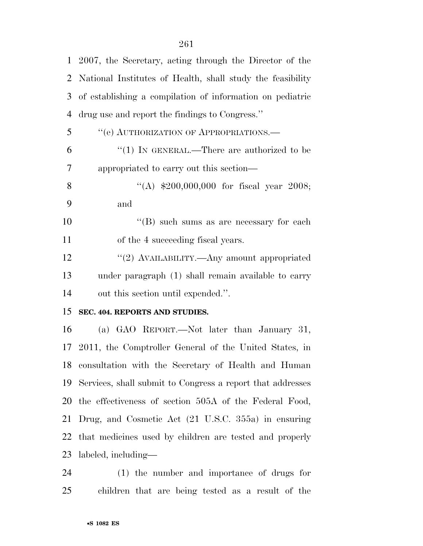| $\mathbf{1}$   | 2007, the Secretary, acting through the Director of the    |
|----------------|------------------------------------------------------------|
| 2              | National Institutes of Health, shall study the feasibility |
| 3              | of establishing a compilation of information on pediatric  |
| $\overline{4}$ | drug use and report the findings to Congress."             |
| 5              | "(e) AUTHORIZATION OF APPROPRIATIONS.-                     |
| 6              | "(1) IN GENERAL.—There are authorized to be                |
| 7              | appropriated to carry out this section—                    |
| 8              | "(A) $$200,000,000$ for fiscal year 2008;                  |
| 9              | and                                                        |
| 10             | "(B) such sums as are necessary for each                   |
| 11             | of the 4 succeeding fiscal years.                          |
| 12             | "(2) AVAILABILITY.—Any amount appropriated                 |
| 13             | under paragraph (1) shall remain available to carry        |
| 14             | out this section until expended.".                         |
| 15             | SEC. 404. REPORTS AND STUDIES.                             |
| 16             | (a) GAO REPORT.—Not later than January 31,                 |
| 17             | 2011, the Comptroller General of the United States, in     |
| 18             | consultation with the Secretary of Health and Human        |
| 19             | Services, shall submit to Congress a report that addresses |
| 20             | the effectiveness of section 505A of the Federal Food,     |
| 21             | Drug, and Cosmetic Act (21 U.S.C. 355a) in ensuring        |
| 22             | that medicines used by children are tested and properly    |
| 23             | labeled, including—                                        |

 (1) the number and importance of drugs for children that are being tested as a result of the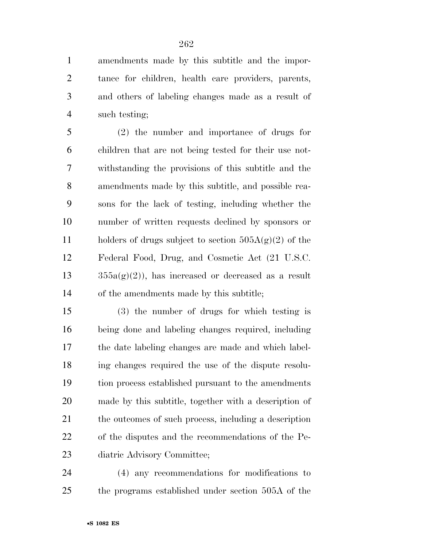amendments made by this subtitle and the impor- tance for children, health care providers, parents, and others of labeling changes made as a result of such testing;

 (2) the number and importance of drugs for children that are not being tested for their use not- withstanding the provisions of this subtitle and the amendments made by this subtitle, and possible rea- sons for the lack of testing, including whether the number of written requests declined by sponsors or 11 holders of drugs subject to section  $505A(g)(2)$  of the Federal Food, Drug, and Cosmetic Act (21 U.S.C.  $13 \qquad \qquad 355a(g)(2)$ , has increased or decreased as a result of the amendments made by this subtitle;

 (3) the number of drugs for which testing is being done and labeling changes required, including the date labeling changes are made and which label- ing changes required the use of the dispute resolu- tion process established pursuant to the amendments made by this subtitle, together with a description of the outcomes of such process, including a description of the disputes and the recommendations of the Pe-diatric Advisory Committee;

 (4) any recommendations for modifications to the programs established under section 505A of the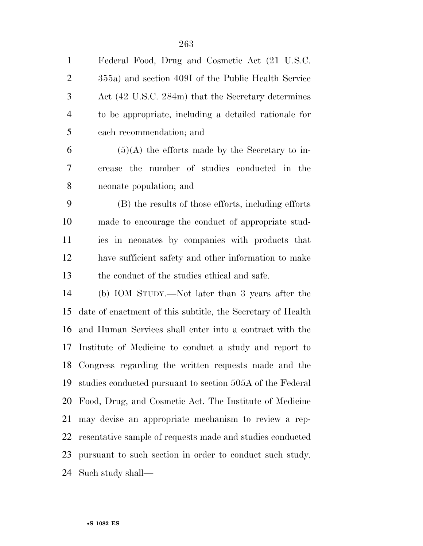Federal Food, Drug and Cosmetic Act (21 U.S.C. 355a) and section 409I of the Public Health Service Act (42 U.S.C. 284m) that the Secretary determines to be appropriate, including a detailed rationale for

each recommendation; and

 $6 \qquad (5)(A)$  the efforts made by the Secretary to in- crease the number of studies conducted in the neonate population; and

 (B) the results of those efforts, including efforts made to encourage the conduct of appropriate stud- ies in neonates by companies with products that have sufficient safety and other information to make the conduct of the studies ethical and safe.

 (b) IOM STUDY.—Not later than 3 years after the date of enactment of this subtitle, the Secretary of Health and Human Services shall enter into a contract with the Institute of Medicine to conduct a study and report to Congress regarding the written requests made and the studies conducted pursuant to section 505A of the Federal Food, Drug, and Cosmetic Act. The Institute of Medicine may devise an appropriate mechanism to review a rep- resentative sample of requests made and studies conducted pursuant to such section in order to conduct such study. Such study shall—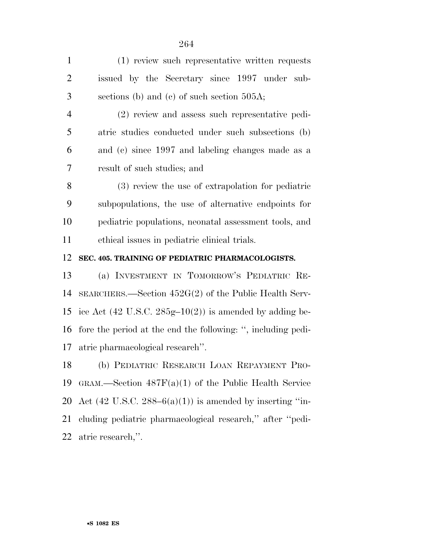| $\mathbf{1}$   | (1) review such representative written requests |
|----------------|-------------------------------------------------|
| 2              | issued by the Secretary since 1997 under sub-   |
| 3 <sup>1</sup> | sections (b) and (c) of such section $505A$ ;   |

 (2) review and assess such representative pedi- atric studies conducted under such subsections (b) and (c) since 1997 and labeling changes made as a result of such studies; and

 (3) review the use of extrapolation for pediatric subpopulations, the use of alternative endpoints for pediatric populations, neonatal assessment tools, and ethical issues in pediatric clinical trials.

**SEC. 405. TRAINING OF PEDIATRIC PHARMACOLOGISTS.** 

 (a) INVESTMENT IN TOMORROW'S PEDIATRIC RE- SEARCHERS.—Section 452G(2) of the Public Health Serv-15 ice Act (42 U.S.C.  $285g-10(2)$ ) is amended by adding be- fore the period at the end the following: '', including pedi-atric pharmacological research''.

 (b) PEDIATRIC RESEARCH LOAN REPAYMENT PRO- GRAM.—Section 487F(a)(1) of the Public Health Service 20 Act  $(42 \text{ U.S.C. } 288-6(a)(1))$  is amended by inserting "in- cluding pediatric pharmacological research,'' after ''pedi-atric research,''.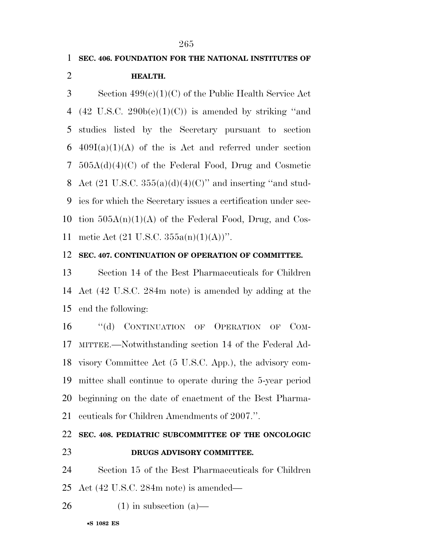# **SEC. 406. FOUNDATION FOR THE NATIONAL INSTITUTES OF HEALTH.**  Section 499(c)(1)(C) of the Public Health Service Act 4 (42 U.S.C.  $290b(c)(1)(C)$ ) is amended by striking "and studies listed by the Secretary pursuant to section 6 409I(a)(1)(A) of the is Act and referred under section

 505A(d)(4)(C) of the Federal Food, Drug and Cosmetic 8 Act  $(21 \text{ U.S.C. } 355(a)(d)(4)(C)$ " and inserting "and stud- ies for which the Secretary issues a certification under sec-10 tion  $505A(n)(1)(A)$  of the Federal Food, Drug, and Cos-metic Act (21 U.S.C. 355a(n)(1)(A))''.

#### **SEC. 407. CONTINUATION OF OPERATION OF COMMITTEE.**

 Section 14 of the Best Pharmaceuticals for Children Act (42 U.S.C. 284m note) is amended by adding at the end the following:

 ''(d) CONTINUATION OF OPERATION OF COM- MITTEE.—Notwithstanding section 14 of the Federal Ad- visory Committee Act (5 U.S.C. App.), the advisory com- mittee shall continue to operate during the 5-year period beginning on the date of enactment of the Best Pharma-ceuticals for Children Amendments of 2007.''.

### **SEC. 408. PEDIATRIC SUBCOMMITTEE OF THE ONCOLOGIC DRUGS ADVISORY COMMITTEE.**

 Section 15 of the Best Pharmaceuticals for Children Act (42 U.S.C. 284m note) is amended—

 $26 \t(1)$  in subsection (a)—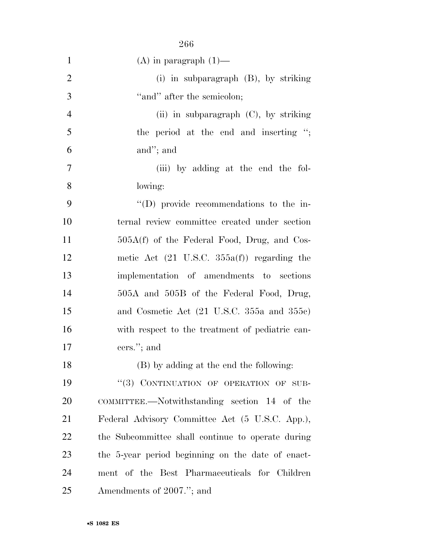|                | 266                                                    |
|----------------|--------------------------------------------------------|
| $\mathbf{1}$   | $(A)$ in paragraph $(1)$ —                             |
| $\overline{2}$ | (i) in subparagraph $(B)$ , by striking                |
| 3              | "and" after the semicolon;                             |
| $\overline{4}$ | (ii) in subparagraph $(C)$ , by striking               |
| 5              | the period at the end and inserting ";                 |
| 6              | and"; and                                              |
| 7              | (iii) by adding at the end the fol-                    |
| 8              | lowing:                                                |
| 9              | $\lq\lq$ (D) provide recommendations to the in-        |
| 10             | ternal review committee created under section          |
| 11             | $505A(f)$ of the Federal Food, Drug, and Cos-          |
| 12             | metic Act $(21 \text{ U.S.C. } 355a(f))$ regarding the |
| 13             | implementation of amendments to sections               |
| 14             | 505A and 505B of the Federal Food, Drug,               |
| 15             | and Cosmetic Act (21 U.S.C. 355a and 355c)             |
| 16             | with respect to the treatment of pediatric can-        |
| 17             | cers."; and                                            |
| 18             | (B) by adding at the end the following:                |
| 19             | "(3) CONTINUATION OF OPERATION OF SUB-                 |
| 20             | COMMITTEE.—Notwithstanding section 14 of the           |
| 21             | Federal Advisory Committee Act (5 U.S.C. App.),        |
| 22             | the Subcommittee shall continue to operate during      |
| 23             | the 5-year period beginning on the date of enact-      |
| 24             | ment of the Best Pharmaceuticals for Children          |
| 25             | Amendments of 2007."; and                              |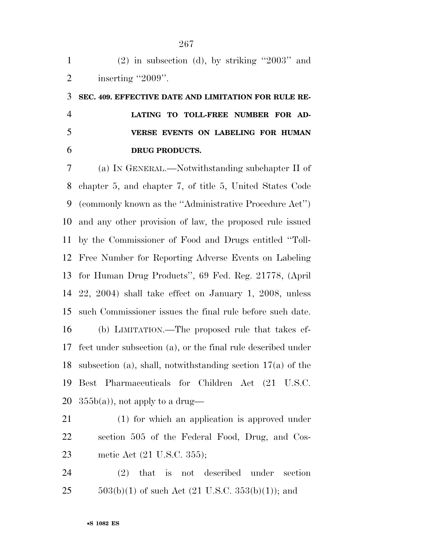| $\mathbf{1}$   | $(2)$ in subsection (d), by striking "2003" and               |
|----------------|---------------------------------------------------------------|
| $\overline{2}$ | inserting "2009".                                             |
| 3              | SEC. 409. EFFECTIVE DATE AND LIMITATION FOR RULE RE-          |
| $\overline{4}$ | LATING TO TOLL-FREE NUMBER FOR AD-                            |
| 5              | VERSE EVENTS ON LABELING FOR HUMAN                            |
| 6              | DRUG PRODUCTS.                                                |
| 7              | (a) IN GENERAL.—Notwithstanding subchapter II of              |
| 8              | chapter 5, and chapter 7, of title 5, United States Code      |
| 9              | (commonly known as the "Administrative Procedure Act")        |
| 10             | and any other provision of law, the proposed rule issued      |
| 11             | by the Commissioner of Food and Drugs entitled "Toll-         |
| 12             | Free Number for Reporting Adverse Events on Labeling          |
| 13             | for Human Drug Products", 69 Fed. Reg. 21778, (April          |
| 14             | $22, 2004$ ) shall take effect on January 1, 2008, unless     |
| 15             | such Commissioner issues the final rule before such date.     |
| 16             | (b) LIMITATION.—The proposed rule that takes ef-              |
| 17             | fect under subsection (a), or the final rule described under  |
| 18             | subsection (a), shall, notwithstanding section $17(a)$ of the |
| 19             | Pharmaceuticals for Children Act (21 U.S.C.<br><b>Best</b>    |
| 20             | $355b(a)$ , not apply to a drug—                              |
| 21             | (1) for which an application is approved under                |
| 22             | section 505 of the Federal Food, Drug, and Cos-               |

metic Act (21 U.S.C. 355);

 (2) that is not described under section 25  $503(b)(1)$  of such Act (21 U.S.C. 353(b)(1)); and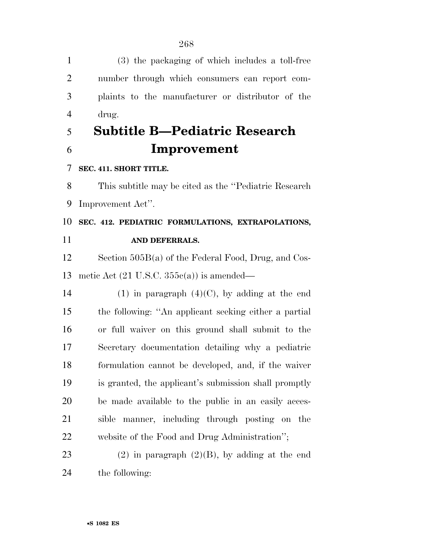(3) the packaging of which includes a toll-free number through which consumers can report com- plaints to the manufacturer or distributor of the drug. **Subtitle B—Pediatric Research Improvement SEC. 411. SHORT TITLE.**  This subtitle may be cited as the ''Pediatric Research Improvement Act''. **SEC. 412. PEDIATRIC FORMULATIONS, EXTRAPOLATIONS, AND DEFERRALS.**  Section 505B(a) of the Federal Food, Drug, and Cos- metic Act (21 U.S.C. 355c(a)) is amended— 14 (1) in paragraph  $(4)(C)$ , by adding at the end the following: ''An applicant seeking either a partial or full waiver on this ground shall submit to the Secretary documentation detailing why a pediatric formulation cannot be developed, and, if the waiver is granted, the applicant's submission shall promptly be made available to the public in an easily acces- sible manner, including through posting on the website of the Food and Drug Administration''; 23 (2) in paragraph  $(2)(B)$ , by adding at the end the following: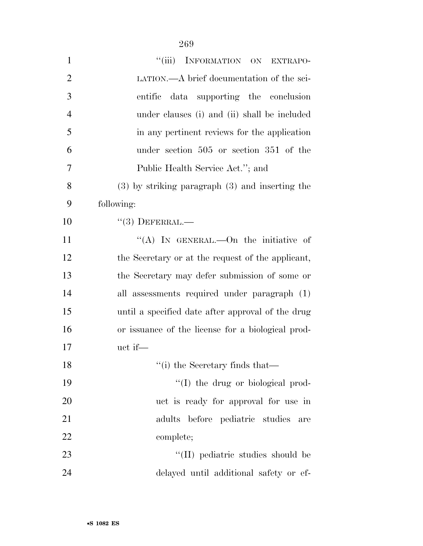| $\mathbf{1}$   | ``(iii)<br>INFORMATION ON EXTRAPO-                  |
|----------------|-----------------------------------------------------|
| $\overline{2}$ | LATION.—A brief documentation of the sci-           |
| 3              | entific data supporting the conclusion              |
| $\overline{4}$ | under clauses (i) and (ii) shall be included        |
| 5              | in any pertinent reviews for the application        |
| 6              | under section 505 or section 351 of the             |
| 7              | Public Health Service Act."; and                    |
| 8              | $(3)$ by striking paragraph $(3)$ and inserting the |
| 9              | following:                                          |
| 10             | $(3)$ DEFERRAL.—                                    |
| 11             | "(A) In GENERAL.—On the initiative of               |
| 12             | the Secretary or at the request of the applicant,   |
| 13             | the Secretary may defer submission of some or       |
| 14             | all assessments required under paragraph (1)        |
| 15             | until a specified date after approval of the drug   |
| 16             | or issuance of the license for a biological prod-   |
| 17             | uct if—                                             |
| 18             | "(i) the Secretary finds that—                      |
| 19             | "(I) the drug or biological prod-                   |
| 20             | uct is ready for approval for use in                |
| 21             | adults before pediatric studies are                 |
| 22             | complete;                                           |
| 23             | "(II) pediatric studies should be                   |
| 24             | delayed until additional safety or ef-              |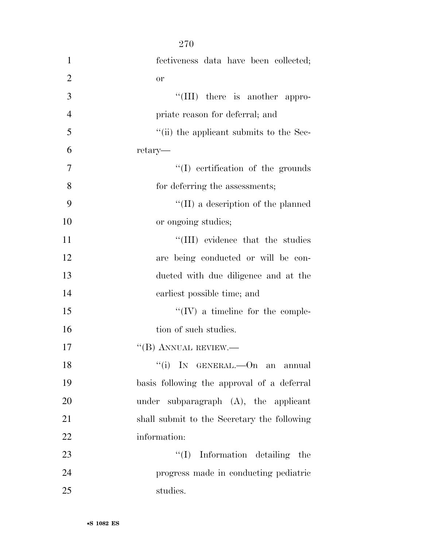| $\mathbf{1}$   | fectiveness data have been collected;       |
|----------------|---------------------------------------------|
| $\overline{2}$ | or                                          |
| 3              | $\lq\lq$ (III) there is another appro-      |
| $\overline{4}$ | priate reason for deferral; and             |
| 5              | "(ii) the applicant submits to the Sec-     |
| 6              | retary—                                     |
| $\tau$         | $\lq\lq$ (I) certification of the grounds   |
| 8              | for deferring the assessments;              |
| 9              | $\lq\lq$ (II) a description of the planned  |
| 10             | or ongoing studies;                         |
| 11             | "(III) evidence that the studies            |
| 12             | are being conducted or will be con-         |
| 13             | ducted with due diligence and at the        |
| 14             | earliest possible time; and                 |
| 15             | $\lq\lq (IV)$ a timeline for the comple-    |
| 16             | tion of such studies.                       |
| 17             | $\lq\lq (B)$ ANNUAL REVIEW.—                |
| 18             | "(i) IN GENERAL.—On an annual               |
| 19             | basis following the approval of a deferral  |
| 20             | under subparagraph $(A)$ , the applicant    |
| 21             | shall submit to the Secretary the following |
| 22             | information:                                |
| 23             | $\lq\lq$ (I) Information detailing the      |
| 24             | progress made in conducting pediatric       |
| 25             | studies.                                    |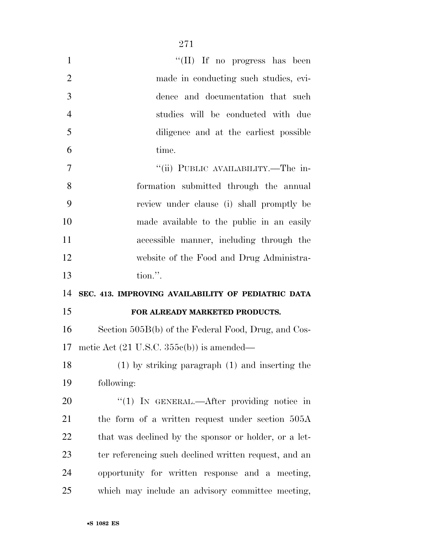| $\mathbf{1}$   | "(II) If no progress has been                         |
|----------------|-------------------------------------------------------|
| $\overline{2}$ | made in conducting such studies, evi-                 |
| 3              | dence and documentation that such                     |
| $\overline{4}$ | studies will be conducted with due                    |
| 5              | diligence and at the earliest possible                |
| 6              | time.                                                 |
| 7              | "(ii) PUBLIC AVAILABILITY.—The in-                    |
| 8              | formation submitted through the annual                |
| 9              | review under clause (i) shall promptly be             |
| 10             | made available to the public in an easily             |
| 11             | accessible manner, including through the              |
| 12             | website of the Food and Drug Administra-              |
|                |                                                       |
| 13             | tion.".                                               |
| 14             | SEC. 413. IMPROVING AVAILABILITY OF PEDIATRIC DATA    |
| 15             | FOR ALREADY MARKETED PRODUCTS.                        |
| 16             | Section 505B(b) of the Federal Food, Drug, and Cos-   |
| 17             | metic Act $(21 \text{ U.S.C. } 355c(b))$ is amended—  |
|                | $(1)$ by striking paragraph $(1)$ and inserting the   |
| 18<br>19       | following:                                            |
| 20             | "(1) IN GENERAL.—After providing notice in            |
| 21             | the form of a written request under section 505A      |
| <u>22</u>      | that was declined by the sponsor or holder, or a let- |
| 23             | ter referencing such declined written request, and an |
| 24             | opportunity for written response and a meeting,       |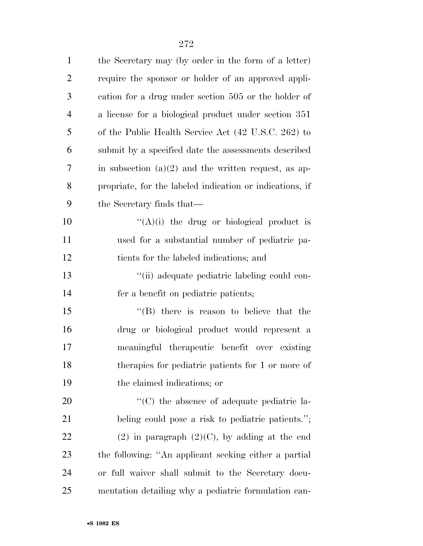| $\mathbf{1}$   | the Secretary may (by order in the form of a letter)     |
|----------------|----------------------------------------------------------|
| $\overline{2}$ | require the sponsor or holder of an approved appli-      |
| 3              | cation for a drug under section 505 or the holder of     |
| $\overline{4}$ | a license for a biological product under section 351     |
| 5              | of the Public Health Service Act (42 U.S.C. 262) to      |
| 6              | submit by a specified date the assessments described     |
| 7              | in subsection $(a)(2)$ and the written request, as ap-   |
| 8              | propriate, for the labeled indication or indications, if |
| 9              | the Secretary finds that—                                |
| 10             | " $(A)(i)$ the drug or biological product is             |
| 11             | used for a substantial number of pediatric pa-           |
| 12             | tients for the labeled indications; and                  |
| 13             | "(ii) adequate pediatric labeling could con-             |
| 14             | fer a benefit on pediatric patients;                     |
| 15             | $\lq\lq$ there is reason to believe that the             |
| 16             | drug or biological product would represent a             |
| 17             | meaningful therapeutic benefit over existing             |
| 18             | therapies for pediatric patients for 1 or more of        |
| 19             | the claimed indications; or                              |
| 20             | "(C) the absence of adequate pediatric la-               |
| 21             | beling could pose a risk to pediatric patients.";        |
| 22             | $(2)$ in paragraph $(2)(C)$ , by adding at the end       |
| 23             | the following: "An applicant seeking either a partial    |
| 24             | or full waiver shall submit to the Secretary docu-       |
| 25             | mentation detailing why a pediatric formulation can-     |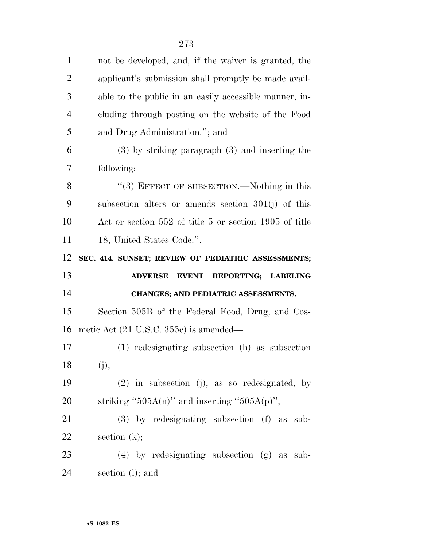| $\mathbf{1}$   | not be developed, and, if the waiver is granted, the   |
|----------------|--------------------------------------------------------|
| $\overline{2}$ | applicant's submission shall promptly be made avail-   |
| 3              | able to the public in an easily accessible manner, in- |
| $\overline{4}$ | cluding through posting on the website of the Food     |
| 5              | and Drug Administration."; and                         |
| 6              | $(3)$ by striking paragraph $(3)$ and inserting the    |
| 7              | following:                                             |
| 8              | "(3) EFFECT OF SUBSECTION.—Nothing in this             |
| 9              | subsection alters or amends section $301(j)$ of this   |
| 10             | Act or section 552 of title 5 or section 1905 of title |
| 11             | 18, United States Code.".                              |
| 12             | SEC. 414. SUNSET; REVIEW OF PEDIATRIC ASSESSMENTS;     |
|                |                                                        |
| 13             | <b>ADVERSE</b><br>EVENT REPORTING; LABELING            |
| 14             | CHANGES; AND PEDIATRIC ASSESSMENTS.                    |
| 15             | Section 505B of the Federal Food, Drug, and Cos-       |
| 16             | metic Act $(21 \text{ U.S.C. } 355c)$ is amended—      |
| 17             | (1) redesignating subsection (h) as subsection         |
| 18             | (j);                                                   |
| 19             | $(2)$ in subsection (j), as so redesignated, by        |
| 20             | striking "505A(n)" and inserting "505A(p)";            |
| 21             | $(3)$ by redesignating subsection $(f)$ as sub-        |
| 22             | section $(k)$ ;                                        |
| 23             | $(4)$ by redesignating subsection $(g)$ as sub-        |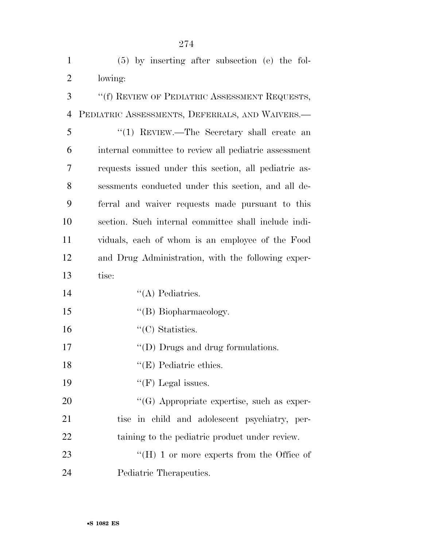| $\mathbf{1}$   | (5) by inserting after subsection (e) the fol-        |
|----------------|-------------------------------------------------------|
| $\overline{2}$ | lowing:                                               |
| 3              | "(f) REVIEW OF PEDIATRIC ASSESSMENT REQUESTS,         |
| $\overline{4}$ | PEDIATRIC ASSESSMENTS, DEFERRALS, AND WAIVERS.-       |
| 5              | "(1) REVIEW.—The Secretary shall create an            |
| 6              | internal committee to review all pediatric assessment |
| 7              | requests issued under this section, all pediatric as- |
| 8              | sessments conducted under this section, and all de-   |
| 9              | ferral and waiver requests made pursuant to this      |
| 10             | section. Such internal committee shall include indi-  |
| 11             | viduals, each of whom is an employee of the Food      |
| 12             | and Drug Administration, with the following exper-    |
| 13             | tise:                                                 |
| 14             | $\lq\lq$ Pediatrics.                                  |
| 15             | "(B) Biopharmacology.                                 |
| 16             | $\lq\lq$ <sup>"</sup> (C) Statistics.                 |
| 17             | $\lq\lq$ (D) Drugs and drug formulations.             |
| 18             | $\lq\lq$ (E) Pediatric ethics.                        |
| 19             | "(F) Legal issues.                                    |
| 20             | $\lq\lq(G)$ Appropriate expertise, such as exper-     |
| 21             | tise in child and adolescent psychiatry, per-         |
| 22             | taining to the pediatric product under review.        |
| 23             | "(H) 1 or more experts from the Office of             |
| 24             | Pediatric Therapeutics.                               |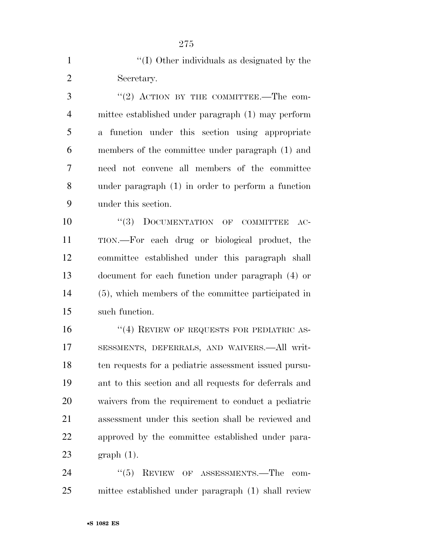| $\mathbf{1}$   | "(I) Other individuals as designated by the            |
|----------------|--------------------------------------------------------|
| $\overline{2}$ | Secretary.                                             |
| 3              | "(2) ACTION BY THE COMMITTEE.—The com-                 |
| $\overline{4}$ | mittee established under paragraph (1) may perform     |
| 5              | a function under this section using appropriate        |
| 6              | members of the committee under paragraph (1) and       |
| 7              | need not convene all members of the committee          |
| 8              | under paragraph (1) in order to perform a function     |
| 9              | under this section.                                    |
| 10             | "(3) DOCUMENTATION OF COMMITTEE<br>$AC-$               |
| 11             | TION.—For each drug or biological product, the         |
| 12             | committee established under this paragraph shall       |
| 13             | document for each function under paragraph (4) or      |
| 14             | (5), which members of the committee participated in    |
| 15             | such function.                                         |
| 16             | $``(4)$ REVIEW OF REQUESTS FOR PEDIATRIC AS-           |
| 17             | SESSMENTS, DEFERRALS, AND WAIVERS.—All writ-           |
| 18             | ten requests for a pediatric assessment issued pursu-  |
| 19             | ant to this section and all requests for deferrals and |
| 20             | waivers from the requirement to conduct a pediatric    |
| 21             | assessment under this section shall be reviewed and    |
| 22             | approved by the committee established under para-      |
| 23             | $graph(1)$ .                                           |
| 24             | $(6)$ REVIEW OF ASSESSMENTS — The com-                 |

24 ''(5) REVIEW OF ASSESSMENTS.—The com-mittee established under paragraph (1) shall review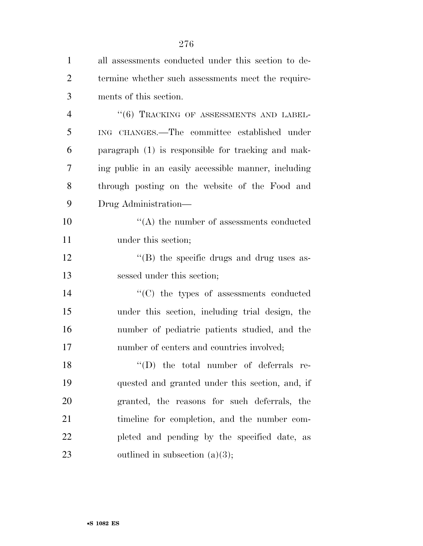| $\mathbf{1}$   | all assessments conducted under this section to de-  |
|----------------|------------------------------------------------------|
| $\overline{2}$ | termine whether such assessments meet the require-   |
| 3              | ments of this section.                               |
| $\overline{4}$ | "(6) TRACKING OF ASSESSMENTS AND LABEL-              |
| 5              | ING CHANGES.—The committee established under         |
| 6              | paragraph (1) is responsible for tracking and mak-   |
| 7              | ing public in an easily accessible manner, including |
| 8              | through posting on the website of the Food and       |
| 9              | Drug Administration—                                 |
| 10             | $\lq\lq$ the number of assessments conducted         |
| 11             | under this section;                                  |
| 12             | $\rm{``(B)}$ the specific drugs and drug uses as-    |
| 13             | sessed under this section;                           |
| 14             | $\cdot$ (C) the types of assessments conducted       |
| 15             | under this section, including trial design, the      |
| 16             | number of pediatric patients studied, and the        |
| 17             | number of centers and countries involved;            |
| 18             | $\lq\lq$ (D) the total number of deferrals re-       |
| 19             | quested and granted under this section, and, if      |
| 20             | granted, the reasons for such deferrals, the         |
| 21             | timeline for completion, and the number com-         |
| 22             | pleted and pending by the specified date, as         |
| 23             | outlined in subsection $(a)(3)$ ;                    |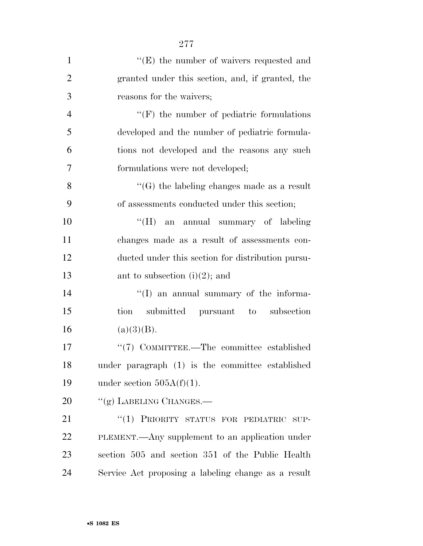| $\mathbf{1}$   | "(E) the number of waivers requested and            |
|----------------|-----------------------------------------------------|
| $\overline{2}$ | granted under this section, and, if granted, the    |
| 3              | reasons for the waivers;                            |
| $\overline{4}$ | $\lq\lq(F)$ the number of pediatric formulations    |
| 5              | developed and the number of pediatric formula-      |
| 6              | tions not developed and the reasons any such        |
| 7              | formulations were not developed;                    |
| 8              | $\lq\lq(G)$ the labeling changes made as a result   |
| 9              | of assessments conducted under this section;        |
| 10             | "(H) an annual summary of labeling                  |
| 11             | changes made as a result of assessments con-        |
| 12             | ducted under this section for distribution pursu-   |
| 13             | ant to subsection $(i)(2)$ ; and                    |
| 14             | $\lq\lq$ (I) an annual summary of the informa-      |
| 15             | submitted pursuant to subsection<br>tion            |
| 16             | (a)(3)(B).                                          |
| 17             | "(7) COMMITTEE.—The committee established           |
| 18             | under paragraph (1) is the committee established    |
| 19             | under section $505A(f)(1)$ .                        |
| 20             | "(g) LABELING CHANGES.—                             |
| 21             | "(1) PRIORITY STATUS FOR PEDIATRIC SUP-             |
| 22             | PLEMENT.—Any supplement to an application under     |
| 23             | section 505 and section 351 of the Public Health    |
| 24             | Service Act proposing a labeling change as a result |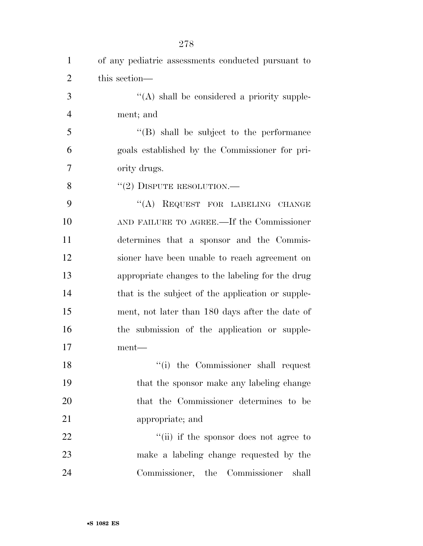| $\mathbf{1}$   | of any pediatric assessments conducted pursuant to |
|----------------|----------------------------------------------------|
| $\overline{2}$ | this section—                                      |
| 3              | $\lq\lq$ shall be considered a priority supple-    |
| $\overline{4}$ | ment; and                                          |
| 5              | "(B) shall be subject to the performance           |
| 6              | goals established by the Commissioner for pri-     |
| 7              | ority drugs.                                       |
| 8              | $``(2)$ DISPUTE RESOLUTION.—                       |
| 9              | "(A) REQUEST FOR LABELING CHANGE                   |
| 10             | AND FAILURE TO AGREE.—If the Commissioner          |
| 11             | determines that a sponsor and the Commis-          |
| 12             | sioner have been unable to reach agreement on      |
| 13             | appropriate changes to the labeling for the drug   |
| 14             | that is the subject of the application or supple-  |
| 15             | ment, not later than 180 days after the date of    |
| 16             | the submission of the application or supple-       |
| 17             | ment—                                              |
| 18             | "(i) the Commissioner shall request                |
| 19             | that the sponsor make any labeling change          |
| 20             | that the Commissioner determines to be             |
| 21             | appropriate; and                                   |
| 22             | "(ii) if the sponsor does not agree to             |
| 23             | make a labeling change requested by the            |
| 24             | Commissioner, the Commissioner<br>shall            |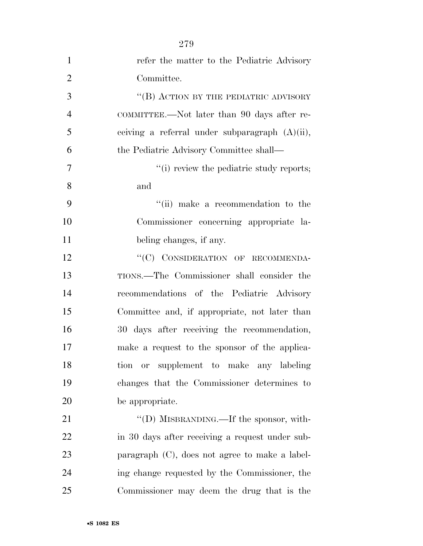| $\mathbf{1}$   | refer the matter to the Pediatric Advisory        |
|----------------|---------------------------------------------------|
| $\overline{2}$ | Committee.                                        |
| 3              | "(B) ACTION BY THE PEDIATRIC ADVISORY             |
| $\overline{4}$ | COMMITTEE.—Not later than 90 days after re-       |
| 5              | ceiving a referral under subparagraph $(A)(ii)$ , |
| 6              | the Pediatric Advisory Committee shall—           |
| 7              | "(i) review the pediatric study reports;          |
| 8              | and                                               |
| 9              | "(ii) make a recommendation to the                |
| 10             | Commissioner concerning appropriate la-           |
| 11             | beling changes, if any.                           |
| 12             | "(C) CONSIDERATION OF RECOMMENDA-                 |
| 13             | TIONS.—The Commissioner shall consider the        |
| 14             | recommendations of the Pediatric Advisory         |
| 15             | Committee and, if appropriate, not later than     |
| 16             | 30 days after receiving the recommendation,       |
| 17             | make a request to the sponsor of the applica-     |
| 18             | or supplement to make any labeling<br>tion        |
| 19             | changes that the Commissioner determines to       |
| 20             | be appropriate.                                   |
| 21             | "(D) MISBRANDING.—If the sponsor, with-           |
| 22             | in 30 days after receiving a request under sub-   |
| 23             | paragraph $(C)$ , does not agree to make a label- |
| 24             | ing change requested by the Commissioner, the     |
| 25             | Commissioner may deem the drug that is the        |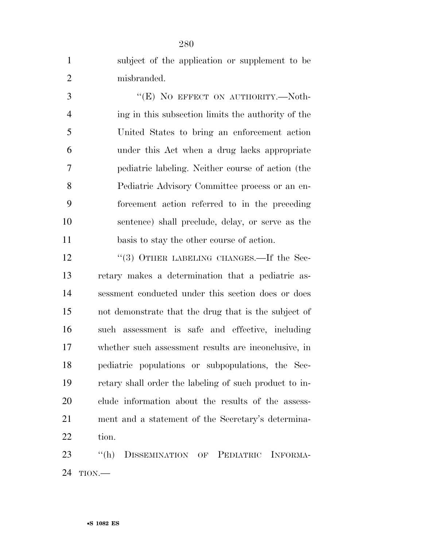| $\mathbf{1}$   | subject of the application or supplement to be                  |
|----------------|-----------------------------------------------------------------|
| $\overline{2}$ | misbranded.                                                     |
| 3              | "(E) NO EFFECT ON AUTHORITY.-Noth-                              |
| $\overline{4}$ | ing in this subsection limits the authority of the              |
| 5              | United States to bring an enforcement action                    |
| 6              | under this Act when a drug lacks appropriate                    |
| 7              | pediatric labeling. Neither course of action (the               |
| 8              | Pediatric Advisory Committee process or an en-                  |
| 9              | forcement action referred to in the preceding                   |
| 10             | sentence) shall preclude, delay, or serve as the                |
| 11             | basis to stay the other course of action.                       |
| 12             | "(3) OTHER LABELING CHANGES.—If the Sec-                        |
| 13             | retary makes a determination that a pediatric as-               |
| 14             | sessment conducted under this section does or does              |
| 15             | not demonstrate that the drug that is the subject of            |
| 16             | such assessment is safe and effective, including                |
| 17             | whether such assessment results are inconclusive, in            |
| 18             | pediatric populations or subpopulations, the Sec-               |
| 19             | retary shall order the labeling of such product to in-          |
| 20             | clude information about the results of the assess-              |
| 21             | ment and a statement of the Secretary's determina-              |
| 22             | tion.                                                           |
| 23             | $``$ (h)<br><b>DISSEMINATION</b><br>INFORMA-<br>PEDIATRIC<br>OF |
|                |                                                                 |

TION.—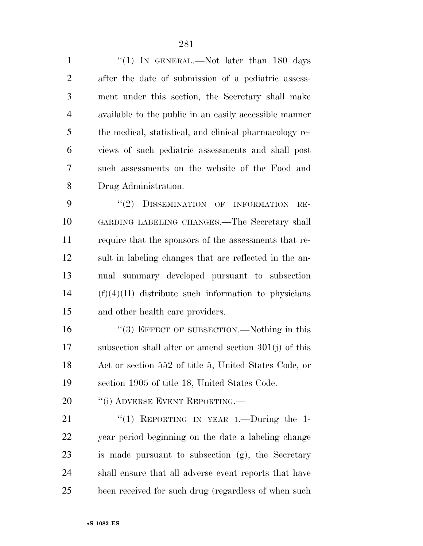1 "(1) In GENERAL.—Not later than 180 days after the date of submission of a pediatric assess- ment under this section, the Secretary shall make available to the public in an easily accessible manner the medical, statistical, and clinical pharmacology re- views of such pediatric assessments and shall post such assessments on the website of the Food and Drug Administration.

9 "(2) DISSEMINATION OF INFORMATION RE- GARDING LABELING CHANGES.—The Secretary shall require that the sponsors of the assessments that re- sult in labeling changes that are reflected in the an- nual summary developed pursuant to subsection (f)(4)(H) distribute such information to physicians and other health care providers.

16 "(3) EFFECT OF SUBSECTION.—Nothing in this subsection shall alter or amend section 301(j) of this Act or section 552 of title 5, United States Code, or section 1905 of title 18, United States Code.

20 "(i) ADVERSE EVENT REPORTING.—

 $(1)$  REPORTING IN YEAR 1.—During the 1- year period beginning on the date a labeling change is made pursuant to subsection (g), the Secretary shall ensure that all adverse event reports that have been received for such drug (regardless of when such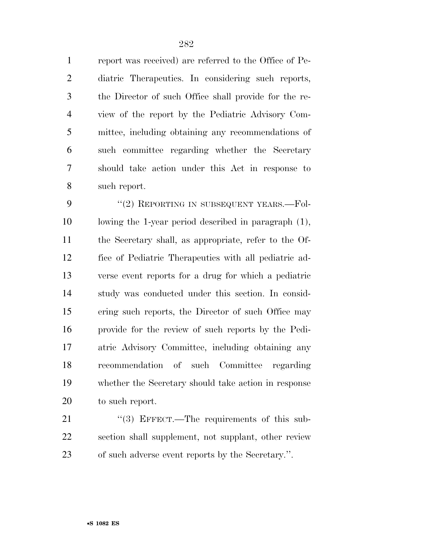report was received) are referred to the Office of Pe- diatric Therapeutics. In considering such reports, the Director of such Office shall provide for the re- view of the report by the Pediatric Advisory Com- mittee, including obtaining any recommendations of such committee regarding whether the Secretary should take action under this Act in response to such report.

9 "(2) REPORTING IN SUBSEQUENT YEARS.—Fol- lowing the 1-year period described in paragraph (1), the Secretary shall, as appropriate, refer to the Of- fice of Pediatric Therapeutics with all pediatric ad- verse event reports for a drug for which a pediatric study was conducted under this section. In consid- ering such reports, the Director of such Office may provide for the review of such reports by the Pedi- atric Advisory Committee, including obtaining any recommendation of such Committee regarding whether the Secretary should take action in response to such report.

21 "(3) EFFECT.—The requirements of this sub- section shall supplement, not supplant, other review of such adverse event reports by the Secretary.''.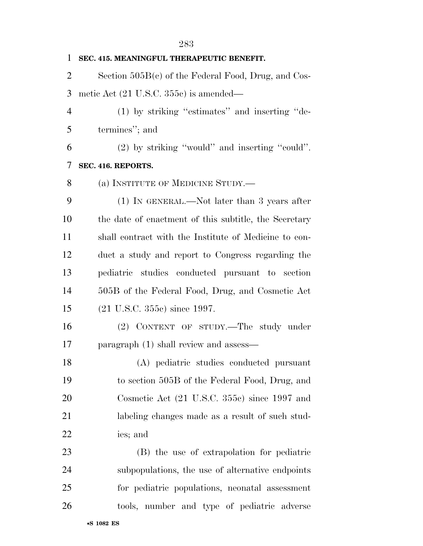| $\mathbf{1}$   | SEC. 415. MEANINGFUL THERAPEUTIC BENEFIT.             |
|----------------|-------------------------------------------------------|
| $\overline{2}$ | Section $505B(c)$ of the Federal Food, Drug, and Cos- |
| 3              | metic Act $(21 \text{ U.S.C. } 355c)$ is amended—     |
| $\overline{4}$ | (1) by striking "estimates" and inserting "de-        |
| 5              | termines"; and                                        |
| 6              | (2) by striking "would" and inserting "could".        |
| 7              | SEC. 416. REPORTS.                                    |
| 8              | (a) INSTITUTE OF MEDICINE STUDY.—                     |
| 9              | $(1)$ IN GENERAL.—Not later than 3 years after        |
| 10             | the date of enactment of this subtitle, the Secretary |
| 11             | shall contract with the Institute of Medicine to con- |
| 12             | duct a study and report to Congress regarding the     |
| 13             | pediatric studies conducted pursuant to section       |
| 14             | 505B of the Federal Food, Drug, and Cosmetic Act      |
| 15             | $(21 \text{ U.S.C. } 355c)$ since 1997.               |
| 16             | (2) CONTENT OF STUDY.—The study under                 |
| 17             | paragraph (1) shall review and assess—                |
| 18             | (A) pediatric studies conducted pursuant              |
| 19             | to section 505B of the Federal Food, Drug, and        |
| 20             | Cosmetic Act (21 U.S.C. 355c) since 1997 and          |
| 21             | labeling changes made as a result of such stud-       |
| 22             | ies; and                                              |
| 23             | (B) the use of extrapolation for pediatric            |
| 24             | subpopulations, the use of alternative endpoints      |
| 25             | for pediatric populations, neonatal assessment        |
| 26             | tools, number and type of pediatric adverse           |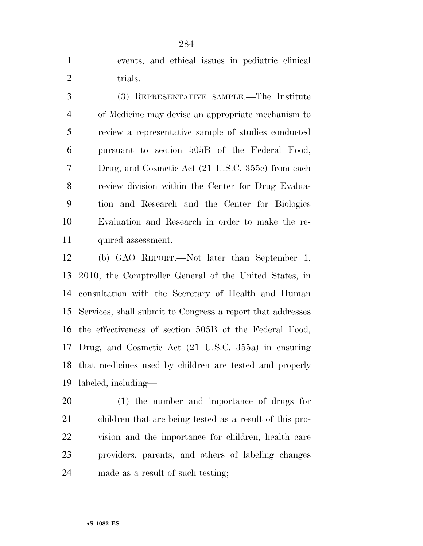events, and ethical issues in pediatric clinical 2 trials.

 (3) REPRESENTATIVE SAMPLE.—The Institute of Medicine may devise an appropriate mechanism to review a representative sample of studies conducted pursuant to section 505B of the Federal Food, Drug, and Cosmetic Act (21 U.S.C. 355c) from each review division within the Center for Drug Evalua- tion and Research and the Center for Biologics Evaluation and Research in order to make the re-11 quired assessment.

 (b) GAO REPORT.—Not later than September 1, 2010, the Comptroller General of the United States, in consultation with the Secretary of Health and Human Services, shall submit to Congress a report that addresses the effectiveness of section 505B of the Federal Food, Drug, and Cosmetic Act (21 U.S.C. 355a) in ensuring that medicines used by children are tested and properly labeled, including—

 (1) the number and importance of drugs for children that are being tested as a result of this pro- vision and the importance for children, health care providers, parents, and others of labeling changes made as a result of such testing;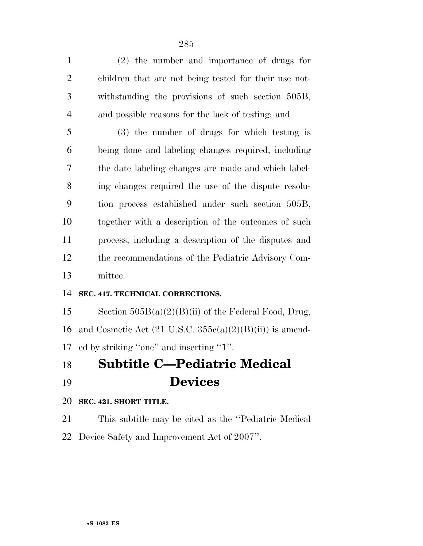(2) the number and importance of drugs for children that are not being tested for their use not- withstanding the provisions of such section 505B, and possible reasons for the lack of testing; and

 (3) the number of drugs for which testing is being done and labeling changes required, including the date labeling changes are made and which label- ing changes required the use of the dispute resolu- tion process established under such section 505B, together with a description of the outcomes of such process, including a description of the disputes and the recommendations of the Pediatric Advisory Com-mittee.

#### **SEC. 417. TECHNICAL CORRECTIONS.**

15 Section  $505B(a)(2)(B)(ii)$  of the Federal Food, Drug, 16 and Cosmetic Act  $(21 \text{ U.S.C. } 355c(a)(2)(B)(ii))$  is amend-ed by striking ''one'' and inserting ''1''.

## **Subtitle C—Pediatric Medical Devices**

#### **SEC. 421. SHORT TITLE.**

 This subtitle may be cited as the ''Pediatric Medical Device Safety and Improvement Act of 2007''.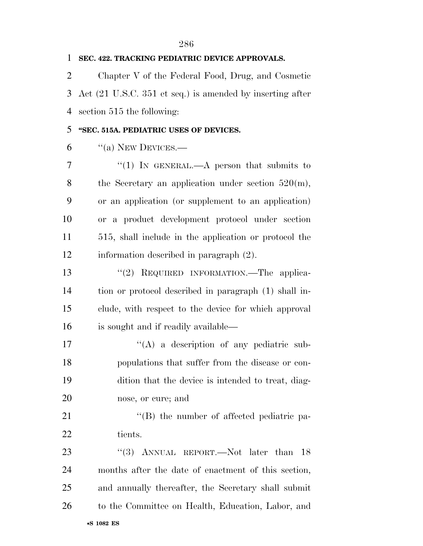| 1              | SEC. 422. TRACKING PEDIATRIC DEVICE APPROVALS.            |
|----------------|-----------------------------------------------------------|
| $\overline{2}$ | Chapter V of the Federal Food, Drug, and Cosmetic         |
| 3              | Act (21 U.S.C. 351 et seq.) is amended by inserting after |
| $\overline{4}$ | section 515 the following:                                |
| 5              | "SEC. 515A. PEDIATRIC USES OF DEVICES.                    |
| 6              | $\lq (a)$ NEW DEVICES.—                                   |
| 7              | "(1) IN GENERAL.—A person that submits to                 |
| 8              | the Secretary an application under section $520(m)$ ,     |
| 9              | or an application (or supplement to an application)       |
| 10             | or a product development protocol under section           |
| 11             | 515, shall include in the application or protocol the     |
| 12             | information described in paragraph (2).                   |
| 13             | REQUIRED INFORMATION. The applica-<br>(2)                 |
| 14             | tion or protocol described in paragraph (1) shall in-     |
| 15             | clude, with respect to the device for which approval      |
| 16             | is sought and if readily available—                       |
| 17             | $\lq\lq$ a description of any pediatric sub-              |
| 18             | populations that suffer from the disease or con-          |
| 19             | dition that the device is intended to treat, diag-        |
| 20             | nose, or cure; and                                        |
| 21             | "(B) the number of affected pediatric pa-                 |
| 22             | tients.                                                   |
| 23             | "(3) ANNUAL REPORT.—Not later than 18                     |
| 24             | months after the date of enactment of this section,       |
| 25             | and annually thereafter, the Secretary shall submit       |
| 26             | to the Committee on Health, Education, Labor, and         |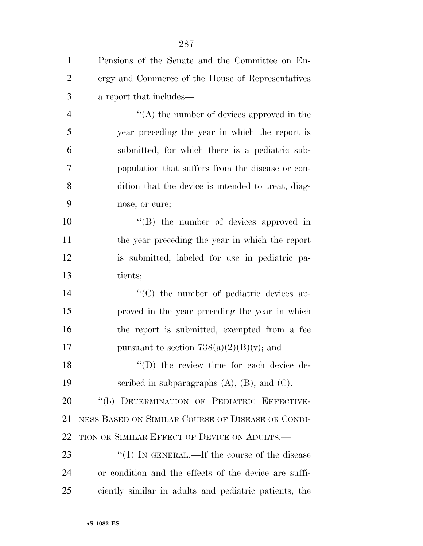| $\mathbf{1}$   | Pensions of the Senate and the Committee on En-       |
|----------------|-------------------------------------------------------|
| $\overline{2}$ | ergy and Commerce of the House of Representatives     |
| 3              | a report that includes—                               |
| $\overline{4}$ | $\lq\lq$ the number of devices approved in the        |
| 5              | year preceding the year in which the report is        |
| 6              | submitted, for which there is a pediatric sub-        |
| 7              | population that suffers from the disease or con-      |
| 8              | dition that the device is intended to treat, diag-    |
| 9              | nose, or cure;                                        |
| 10             | $\lq\lq$ the number of devices approved in            |
| 11             | the year preceding the year in which the report       |
| 12             | is submitted, labeled for use in pediatric pa-        |
| 13             | tients;                                               |
| 14             | $\cdot$ (C) the number of pediatric devices ap-       |
| 15             | proved in the year preceding the year in which        |
| 16             | the report is submitted, exempted from a fee          |
| 17             | pursuant to section $738(a)(2)(B)(v)$ ; and           |
| 18             | "(D) the review time for each device de-              |
| 19             | scribed in subparagraphs $(A)$ , $(B)$ , and $(C)$ .  |
| 20             | "(b) DETERMINATION OF PEDIATRIC EFFECTIVE-            |
| 21             | NESS BASED ON SIMILAR COURSE OF DISEASE OR CONDI-     |
| 22             | TION OR SIMILAR EFFECT OF DEVICE ON ADULTS.           |
| 23             | "(1) IN GENERAL.—If the course of the disease         |
| 24             | or condition and the effects of the device are suffi- |
| 25             | ciently similar in adults and pediatric patients, the |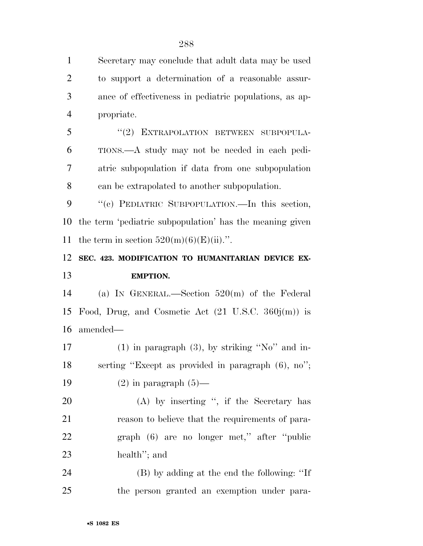Secretary may conclude that adult data may be used to support a determination of a reasonable assur- ance of effectiveness in pediatric populations, as ap- propriate. 5 "(2) EXTRAPOLATION BETWEEN SUBPOPULA- TIONS.—A study may not be needed in each pedi- atric subpopulation if data from one subpopulation can be extrapolated to another subpopulation. ''(c) PEDIATRIC SUBPOPULATION.—In this section, the term 'pediatric subpopulation' has the meaning given 11 the term in section  $520(m)(6)(E)(ii)$ . **SEC. 423. MODIFICATION TO HUMANITARIAN DEVICE EX- EMPTION.**  (a) IN GENERAL.—Section 520(m) of the Federal Food, Drug, and Cosmetic Act (21 U.S.C. 360j(m)) is amended— 17 (1) in paragraph  $(3)$ , by striking "No" and in- serting ''Except as provided in paragraph (6), no'';  $(2)$  in paragraph  $(5)$ — 20 (A) by inserting ", if the Secretary has reason to believe that the requirements of para- graph (6) are no longer met,'' after ''public health''; and (B) by adding at the end the following: ''If the person granted an exemption under para-

•**S 1082 ES**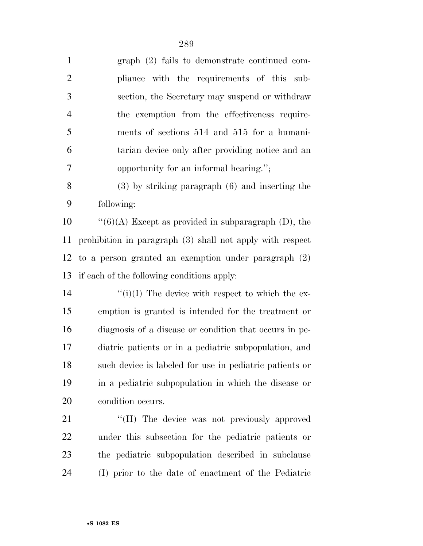| $\mathbf{1}$   | $graph (2) fails to demonstrate continued com-$           |
|----------------|-----------------------------------------------------------|
| $\overline{2}$ | pliance with the requirements of this sub-                |
| 3              | section, the Secretary may suspend or withdraw            |
| $\overline{4}$ | the exemption from the effectiveness require-             |
| 5              | ments of sections 514 and 515 for a humani-               |
| 6              | tarian device only after providing notice and an          |
| 7              | opportunity for an informal hearing.";                    |
| 8              | $(3)$ by striking paragraph $(6)$ and inserting the       |
| 9              | following:                                                |
| 10             | $``(6)(A)$ Except as provided in subparagraph (D), the    |
| 11             | prohibition in paragraph (3) shall not apply with respect |
| 12             | to a person granted an exemption under paragraph $(2)$    |
|                |                                                           |
| 13             | if each of the following conditions apply:                |
| 14             | $\lq\lq(i)(I)$ The device with respect to which the ex-   |
| 15             | emption is granted is intended for the treatment or       |
| 16             | diagnosis of a disease or condition that occurs in pe-    |
| $17\,$         | diatric patients or in a pediatric subpopulation, and     |
| 18             | such device is labeled for use in pediatric patients or   |
| 19             | in a pediatric subpopulation in which the disease or      |
| 20             | condition occurs.                                         |
| 21             | "(II) The device was not previously approved              |
| 22             | under this subsection for the pediatric patients or       |
| 23             | the pediatric subpopulation described in subclause        |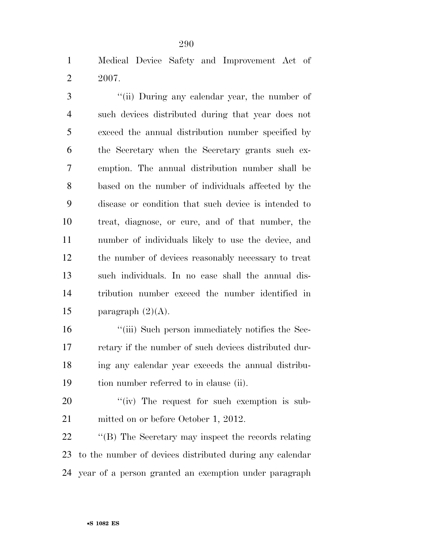Medical Device Safety and Improvement Act of 2007.

 ''(ii) During any calendar year, the number of such devices distributed during that year does not exceed the annual distribution number specified by the Secretary when the Secretary grants such ex- emption. The annual distribution number shall be based on the number of individuals affected by the disease or condition that such device is intended to treat, diagnose, or cure, and of that number, the number of individuals likely to use the device, and the number of devices reasonably necessary to treat such individuals. In no case shall the annual dis- tribution number exceed the number identified in 15 paragraph  $(2)(A)$ .

16 ''(iii) Such person immediately notifies the Sec- retary if the number of such devices distributed dur- ing any calendar year exceeds the annual distribu-tion number referred to in clause (ii).

20  $\frac{1}{20}$  The request for such exemption is sub-mitted on or before October 1, 2012.

22 "'(B) The Secretary may inspect the records relating to the number of devices distributed during any calendar year of a person granted an exemption under paragraph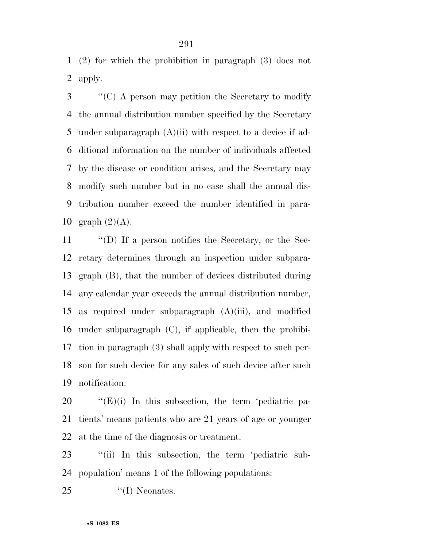(2) for which the prohibition in paragraph (3) does not apply.

 ''(C) A person may petition the Secretary to modify the annual distribution number specified by the Secretary 5 under subparagraph  $(A)(ii)$  with respect to a device if ad- ditional information on the number of individuals affected by the disease or condition arises, and the Secretary may modify such number but in no case shall the annual dis- tribution number exceed the number identified in para-10 graph  $(2)(A)$ .

 ''(D) If a person notifies the Secretary, or the Sec- retary determines through an inspection under subpara- graph (B), that the number of devices distributed during any calendar year exceeds the annual distribution number, as required under subparagraph (A)(iii), and modified under subparagraph (C), if applicable, then the prohibi- tion in paragraph (3) shall apply with respect to such per- son for such device for any sales of such device after such notification.

20  $\bullet$  "(E)(i) In this subsection, the term 'pediatric pa- tients' means patients who are 21 years of age or younger at the time of the diagnosis or treatment.

 ''(ii) In this subsection, the term 'pediatric sub-population' means 1 of the following populations:

25 "(I) Neonates.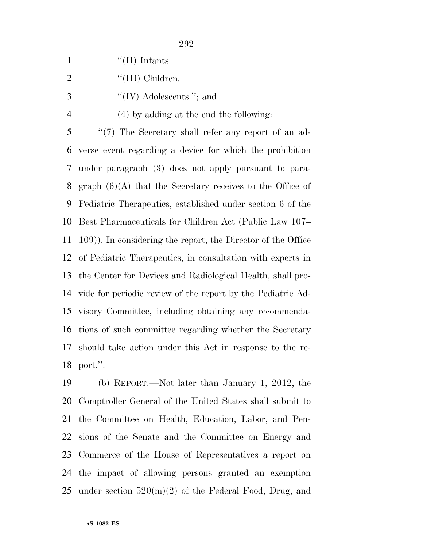|  | $\lq\lq$ (II) Infants. |
|--|------------------------|
|  |                        |

3  $\cdot$  ''(IV) Adolescents.''; and

(4) by adding at the end the following:

 ''(7) The Secretary shall refer any report of an ad- verse event regarding a device for which the prohibition under paragraph (3) does not apply pursuant to para-8 graph  $(6)(A)$  that the Secretary receives to the Office of Pediatric Therapeutics, established under section 6 of the Best Pharmaceuticals for Children Act (Public Law 107– 109)). In considering the report, the Director of the Office of Pediatric Therapeutics, in consultation with experts in the Center for Devices and Radiological Health, shall pro- vide for periodic review of the report by the Pediatric Ad- visory Committee, including obtaining any recommenda- tions of such committee regarding whether the Secretary should take action under this Act in response to the re-port.''.

 (b) REPORT.—Not later than January 1, 2012, the Comptroller General of the United States shall submit to the Committee on Health, Education, Labor, and Pen- sions of the Senate and the Committee on Energy and Commerce of the House of Representatives a report on the impact of allowing persons granted an exemption 25 under section  $520(m)(2)$  of the Federal Food, Drug, and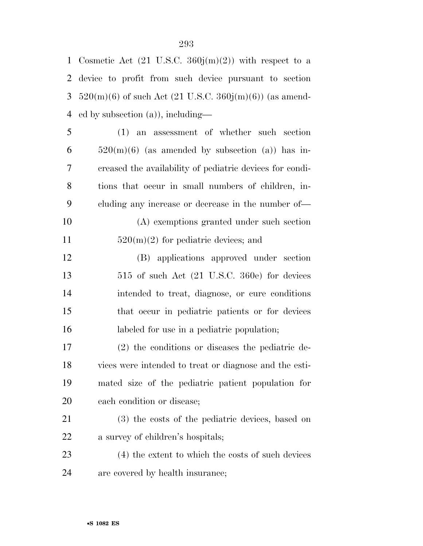| 1         | Cosmetic Act $(21 \text{ U.S.C. } 360j(m)(2))$ with respect to a |
|-----------|------------------------------------------------------------------|
| 2         | device to profit from such device pursuant to section            |
| 3         | $520(m)(6)$ of such Act (21 U.S.C. 360j(m)(6)) (as amend-        |
| 4         | ed by subsection $(a)$ ), including—                             |
| 5         | $(1)$ an assessment of whether such section                      |
| 6         | $520(m)(6)$ (as amended by subsection (a)) has in-               |
| 7         | creased the availability of pediatric devices for condi-         |
| 8         | tions that occur in small numbers of children, in-               |
| 9         | cluding any increase or decrease in the number of—               |
| 10        | (A) exemptions granted under such section                        |
| 11        | $520(m)(2)$ for pediatric devices; and                           |
| 12        | (B) applications approved under section                          |
| 13        | $515$ of such Act $(21 \text{ U.S.C. } 360\text{e})$ for devices |
| 14        | intended to treat, diagnose, or cure conditions                  |
| 15        | that occur in pediatric patients or for devices                  |
| 16        | labeled for use in a pediatric population;                       |
| $17\,$    | $(2)$ the conditions or diseases the pediatric de-               |
| 18        | vices were intended to treat or diagnose and the esti-           |
| 19        | mated size of the pediatric patient population for               |
| <b>20</b> | each condition or disease;                                       |
| 21        | (3) the costs of the pediatric devices, based on                 |
| <u>22</u> | a survey of children's hospitals;                                |
| 23        | (4) the extent to which the costs of such devices                |
|           |                                                                  |

are covered by health insurance;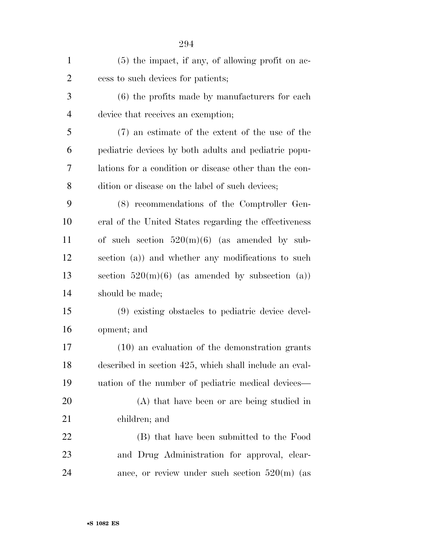| $\mathbf{1}$   | $(5)$ the impact, if any, of allowing profit on ac-    |
|----------------|--------------------------------------------------------|
| $\overline{2}$ | cess to such devices for patients;                     |
| 3              | $(6)$ the profits made by manufacturers for each       |
| $\overline{4}$ | device that receives an exemption;                     |
| 5              | (7) an estimate of the extent of the use of the        |
| 6              | pediatric devices by both adults and pediatric popu-   |
| 7              | lations for a condition or disease other than the con- |
| 8              | dition or disease on the label of such devices;        |
| 9              | (8) recommendations of the Comptroller Gen-            |
| 10             | eral of the United States regarding the effectiveness  |
| 11             | of such section $520(m)(6)$ (as amended by sub-        |
| 12             | section (a)) and whether any modifications to such     |
| 13             | section $520(m)(6)$ (as amended by subsection (a))     |
| 14             | should be made;                                        |
| 15             | (9) existing obstacles to pediatric device devel-      |
| 16             | opment; and                                            |
| 17             | $(10)$ an evaluation of the demonstration grants       |
| 18             | described in section 425, which shall include an eval- |
| 19             | uation of the number of pediatric medical devices—     |
| 20             | (A) that have been or are being studied in             |
| 21             | children; and                                          |
| 22             | (B) that have been submitted to the Food               |
| 23             | and Drug Administration for approval, clear-           |
| 24             | ance, or review under such section $520(m)$ (as        |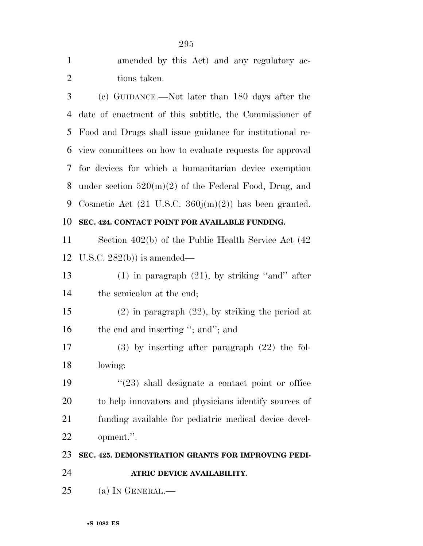| $\mathbf{1}$   | amended by this Act) and any regulatory ac-                      |
|----------------|------------------------------------------------------------------|
| $\overline{2}$ | tions taken.                                                     |
| 3              | (c) GUIDANCE.—Not later than 180 days after the                  |
| $\overline{4}$ | date of enactment of this subtitle, the Commissioner of          |
| 5              | Food and Drugs shall issue guidance for institutional re-        |
| 6              | view committees on how to evaluate requests for approval         |
| 7              | for devices for which a humanitarian device exemption            |
| 8              | under section $520(m)(2)$ of the Federal Food, Drug, and         |
| 9              | Cosmetic Act $(21 \text{ U.S.C. } 360j(m)(2))$ has been granted. |
| 10             | SEC. 424. CONTACT POINT FOR AVAILABLE FUNDING.                   |
| 11             | Section 402(b) of the Public Health Service Act (42)             |
| 12             | U.S.C. $282(b)$ is amended—                                      |
| 13             | $(1)$ in paragraph $(21)$ , by striking "and" after              |
| 14             | the semicolon at the end;                                        |
| 15             | $(2)$ in paragraph $(22)$ , by striking the period at            |
| 16             | the end and inserting "; and"; and                               |
| 17             | $(3)$ by inserting after paragraph $(22)$ the fol-               |
| 18             | lowing:                                                          |
| 19             | $\cdot\cdot(23)$ shall designate a contact point or office       |
| 20             | to help innovators and physicians identify sources of            |
| 21             | funding available for pediatric medical device devel-            |
| 22             | opment.".                                                        |
| 23             | SEC. 425. DEMONSTRATION GRANTS FOR IMPROVING PEDI-               |
| 24             | ATRIC DEVICE AVAILABILITY.                                       |
| 25             | (a) IN GENERAL.—                                                 |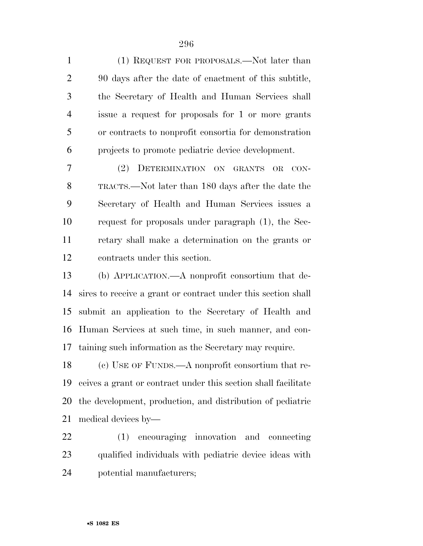(1) REQUEST FOR PROPOSALS.—Not later than 90 days after the date of enactment of this subtitle, the Secretary of Health and Human Services shall issue a request for proposals for 1 or more grants or contracts to nonprofit consortia for demonstration projects to promote pediatric device development. (2) DETERMINATION ON GRANTS OR CON- TRACTS.—Not later than 180 days after the date the Secretary of Health and Human Services issues a request for proposals under paragraph (1), the Sec- retary shall make a determination on the grants or contracts under this section. (b) APPLICATION.—A nonprofit consortium that de- sires to receive a grant or contract under this section shall submit an application to the Secretary of Health and Human Services at such time, in such manner, and con- taining such information as the Secretary may require. (c) USE OF FUNDS.—A nonprofit consortium that re- ceives a grant or contract under this section shall facilitate the development, production, and distribution of pediatric

medical devices by—

 (1) encouraging innovation and connecting qualified individuals with pediatric device ideas with potential manufacturers;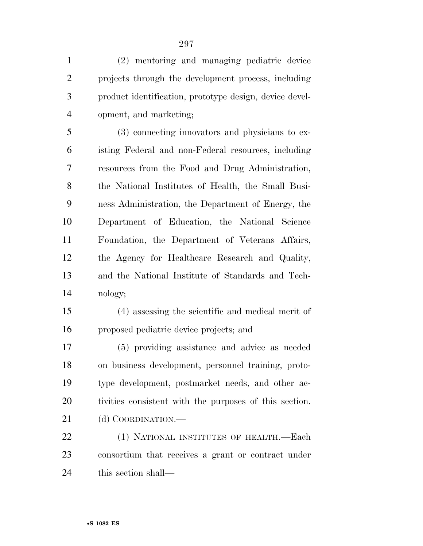(2) mentoring and managing pediatric device projects through the development process, including product identification, prototype design, device devel-opment, and marketing;

 (3) connecting innovators and physicians to ex- isting Federal and non-Federal resources, including resources from the Food and Drug Administration, the National Institutes of Health, the Small Busi- ness Administration, the Department of Energy, the Department of Education, the National Science Foundation, the Department of Veterans Affairs, the Agency for Healthcare Research and Quality, and the National Institute of Standards and Tech-nology;

 (4) assessing the scientific and medical merit of proposed pediatric device projects; and

 (5) providing assistance and advice as needed on business development, personnel training, proto- type development, postmarket needs, and other ac- tivities consistent with the purposes of this section. 21 (d) COORDINATION.—

 (1) NATIONAL INSTITUTES OF HEALTH.—Each consortium that receives a grant or contract under this section shall—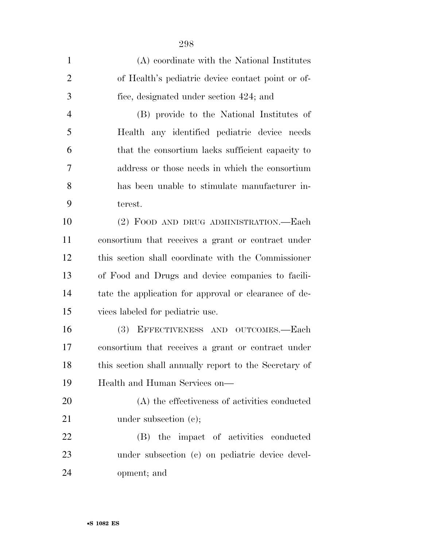| $\mathbf{1}$   | (A) coordinate with the National Institutes            |
|----------------|--------------------------------------------------------|
| $\overline{2}$ | of Health's pediatric device contact point or of-      |
| 3              | fice, designated under section 424; and                |
| $\overline{4}$ | (B) provide to the National Institutes of              |
| 5              | Health any identified pediatric device needs           |
| 6              | that the consortium lacks sufficient capacity to       |
| 7              | address or those needs in which the consortium         |
| 8              | has been unable to stimulate manufacturer in-          |
| 9              | terest.                                                |
| 10             | (2) FOOD AND DRUG ADMINISTRATION.—Each                 |
| 11             | consortium that receives a grant or contract under     |
| 12             | this section shall coordinate with the Commissioner    |
| 13             | of Food and Drugs and device companies to facili-      |
| 14             | tate the application for approval or clearance of de-  |
| 15             | vices labeled for pediatric use.                       |
| 16             | EFFECTIVENESS AND OUTCOMES.-Each<br><b>(3)</b>         |
| 17             | consortium that receives a grant or contract under     |
| 18             | this section shall annually report to the Secretary of |
| 19             | Health and Human Services on-                          |
| 20             | (A) the effectiveness of activities conducted          |
| 21             | under subsection $(e)$ ;                               |
| 22             | the impact of activities conducted<br>(B)              |
| 23             | under subsection (c) on pediatric device devel-        |
| 24             | opment; and                                            |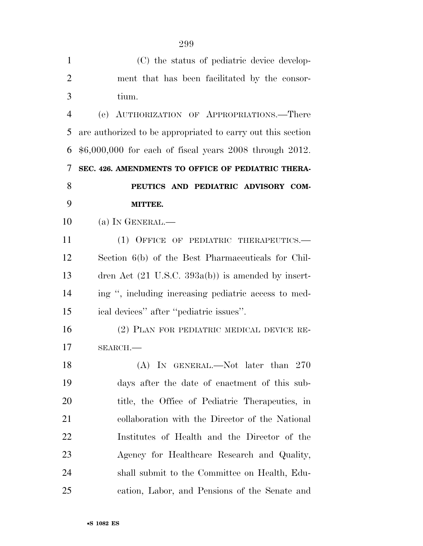| $\mathbf{1}$   | (C) the status of pediatric device develop-                   |
|----------------|---------------------------------------------------------------|
| $\overline{2}$ | ment that has been facilitated by the consor-                 |
| 3              | tium.                                                         |
| $\overline{4}$ | AUTHORIZATION OF APPROPRIATIONS.—There<br>(e)                 |
| 5              | are authorized to be appropriated to carry out this section   |
| 6              | $$6,000,000$ for each of fiscal years 2008 through 2012.      |
| 7              | SEC. 426. AMENDMENTS TO OFFICE OF PEDIATRIC THERA-            |
| 8              | PEUTICS AND PEDIATRIC ADVISORY COM-                           |
| 9              | MITTEE.                                                       |
| 10             | $(a)$ In GENERAL.—                                            |
| 11             | (1) OFFICE OF PEDIATRIC THERAPEUTICS.—                        |
| 12             | Section 6(b) of the Best Pharmaceuticals for Chil-            |
| 13             | dren Act $(21 \text{ U.S.C. } 393a(b))$ is amended by insert- |
| 14             | ing ", including increasing pediatric access to med-          |
| 15             | ical devices" after "pediatric issues".                       |
| 16             | (2) PLAN FOR PEDIATRIC MEDICAL DEVICE RE-                     |
| 17             | $SEARCH$ .                                                    |
| 18             | (A) IN GENERAL.—Not later than $270$                          |
| 19             | days after the date of enactment of this sub-                 |
| 20             | title, the Office of Pediatric Therapeutics, in               |
| 21             | collaboration with the Director of the National               |
| 22             | Institutes of Health and the Director of the                  |
| 23             | Agency for Healthcare Research and Quality,                   |
| 24             | shall submit to the Committee on Health, Edu-                 |
| 25             | cation, Labor, and Pensions of the Senate and                 |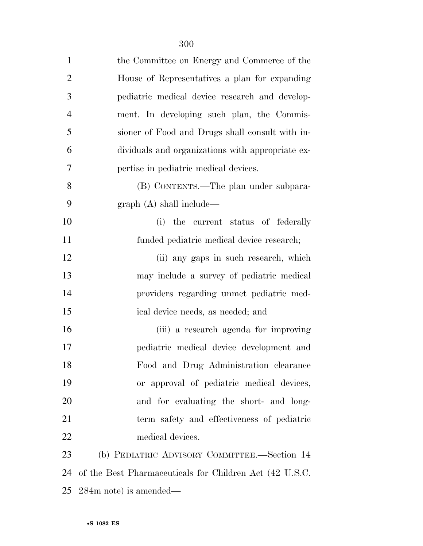| $\mathbf{1}$   | the Committee on Energy and Commerce of the             |
|----------------|---------------------------------------------------------|
| $\overline{2}$ | House of Representatives a plan for expanding           |
| 3              | pediatric medical device research and develop-          |
| $\overline{4}$ | ment. In developing such plan, the Commis-              |
| 5              | sioner of Food and Drugs shall consult with in-         |
| 6              | dividuals and organizations with appropriate ex-        |
| 7              | pertise in pediatric medical devices.                   |
| 8              | (B) CONTENTS.—The plan under subpara-                   |
| 9              | graph(A) shall include—                                 |
| 10             | (i) the current status of federally                     |
| 11             | funded pediatric medical device research;               |
| 12             | (ii) any gaps in such research, which                   |
| 13             | may include a survey of pediatric medical               |
| 14             | providers regarding unmet pediatric med-                |
| 15             | ical device needs, as needed; and                       |
| 16             | (iii) a research agenda for improving                   |
| 17             | pediatric medical device development and                |
| 18             | Food and Drug Administration clearance                  |
| 19             | or approval of pediatric medical devices,               |
| 20             | and for evaluating the short- and long-                 |
| 21             | term safety and effectiveness of pediatric              |
| 22             | medical devices.                                        |
| 23             | (b) PEDIATRIC ADVISORY COMMITTEE.-Section 14            |
| 24             | of the Best Pharmaceuticals for Children Act (42 U.S.C. |
| 25             | $284m$ note) is amended—                                |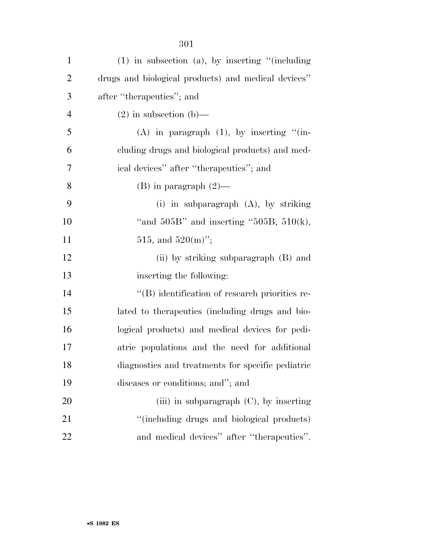| $\mathbf{1}$   | $(1)$ in subsection $(a)$ , by inserting "(including |
|----------------|------------------------------------------------------|
| $\overline{c}$ | drugs and biological products) and medical devices"  |
| 3              | after "therapeutics"; and                            |
| $\overline{4}$ | $(2)$ in subsection $(b)$ —                          |
| 5              | $(A)$ in paragraph $(1)$ , by inserting " $(in-)$    |
| 6              | cluding drugs and biological products) and med-      |
| 7              | ical devices" after "therapeutics"; and              |
| 8              | $(B)$ in paragraph $(2)$ —                           |
| 9              | (i) in subparagraph $(A)$ , by striking              |
| 10             | "and $505B$ " and inserting " $505B$ , $510(k)$ ,    |
| 11             | 515, and $520(m)$ ";                                 |
| 12             | (ii) by striking subparagraph (B) and                |
| 13             | inserting the following:                             |
| 14             | "(B) identification of research priorities re-       |
| 15             | lated to the rapeutics (including drugs and bio-     |
| 16             | logical products) and medical devices for pedi-      |
| 17             | atric populations and the need for additional        |
| 18             | diagnostics and treatments for specific pediatric    |
| 19             | diseases or conditions; and"; and                    |
| 20             | (iii) in subparagraph $(C)$ , by inserting           |
| 21             | "(including drugs and biological products)           |
| 22             | and medical devices" after "therapeutics".           |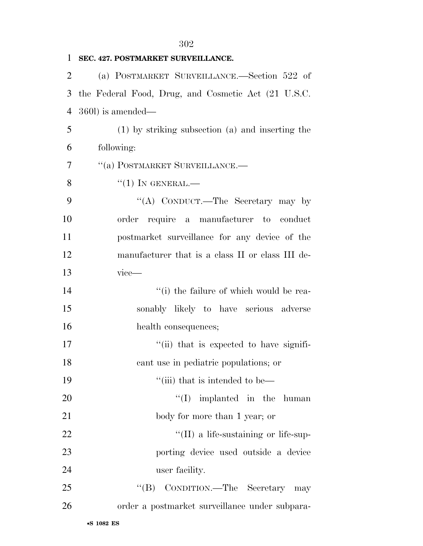| 1              | SEC. 427. POSTMARKET SURVEILLANCE.                   |
|----------------|------------------------------------------------------|
| $\overline{2}$ | (a) POSTMARKET SURVEILLANCE.—Section 522 of          |
| 3              | the Federal Food, Drug, and Cosmetic Act (21 U.S.C.  |
| $\overline{4}$ | 360l) is amended—                                    |
| 5              | $(1)$ by striking subsection $(a)$ and inserting the |
| 6              | following:                                           |
| 7              | "(a) POSTMARKET SURVEILLANCE.—                       |
| 8              | $``(1)$ In GENERAL.—                                 |
| 9              | "(A) CONDUCT.—The Secretary may by                   |
| 10             | order require a manufacturer to conduct              |
| 11             | postmarket surveillance for any device of the        |
| 12             | manufacturer that is a class II or class III de-     |
| 13             | $vice$ —                                             |
| 14             | "(i) the failure of which would be rea-              |
| 15             | sonably likely to have serious adverse               |
| 16             | health consequences;                                 |
| 17             | "(ii) that is expected to have signifi-              |
| 18             | cant use in pediatric populations; or                |
| 19             | "(iii) that is intended to be—                       |
| 20             | $\lq\lq$ implanted in the human                      |
| 21             | body for more than 1 year; or                        |
| 22             | $\lq\lq$ (II) a life-sustaining or life-sup-         |
| 23             | porting device used outside a device                 |
| 24             | user facility.                                       |
| 25             | "(B) CONDITION.—The Secretary may                    |
| 26             | order a postmarket surveillance under subpara-       |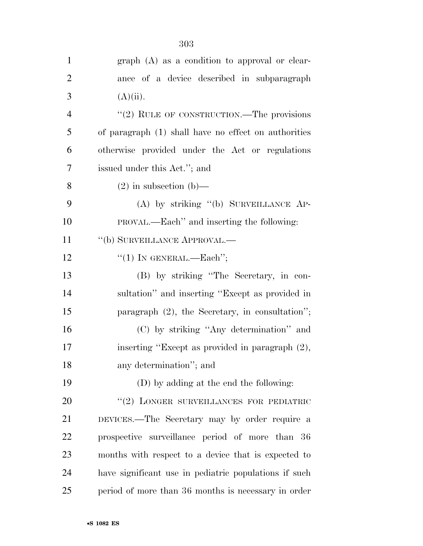| $\mathbf{1}$   | $graph(A)$ as a condition to approval or clear-       |
|----------------|-------------------------------------------------------|
| $\overline{2}$ | ance of a device described in subparagraph            |
| 3              | $(A)(ii)$ .                                           |
| $\overline{4}$ | "(2) RULE OF CONSTRUCTION.—The provisions             |
| 5              | of paragraph (1) shall have no effect on authorities  |
| 6              | otherwise provided under the Act or regulations       |
| $\overline{7}$ | issued under this Act."; and                          |
| 8              | $(2)$ in subsection $(b)$ —                           |
| 9              | (A) by striking "(b) SURVEILLANCE AP-                 |
| 10             | PROVAL.—Each" and inserting the following:            |
| 11             | "(b) SURVEILLANCE APPROVAL.—                          |
| 12             | "(1) IN GENERAL.—Each";                               |
| 13             | (B) by striking "The Secretary, in con-               |
| 14             | sultation" and inserting "Except as provided in       |
| 15             | paragraph $(2)$ , the Secretary, in consultation";    |
| 16             | (C) by striking "Any determination" and               |
| 17             | inserting "Except as provided in paragraph (2),       |
| 18             | any determination"; and                               |
| 19             | (D) by adding at the end the following:               |
| 20             | "(2) LONGER SURVEILLANCES FOR PEDIATRIC               |
| 21             | DEVICES.—The Secretary may by order require a         |
| 22             | prospective surveillance period of more than 36       |
| 23             | months with respect to a device that is expected to   |
| 24             | have significant use in pediatric populations if such |
| 25             | period of more than 36 months is necessary in order   |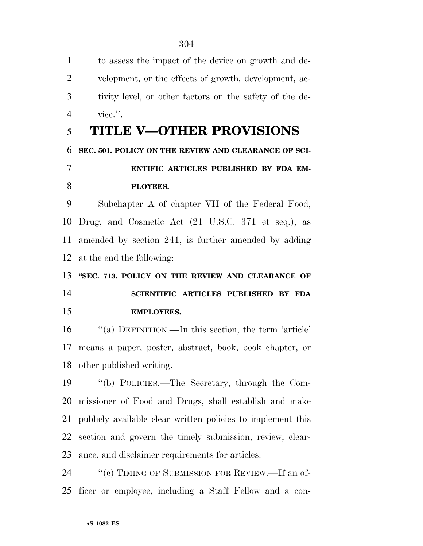tivity level, or other factors on the safety of the de- vice.''. **TITLE V—OTHER PROVISIONS SEC. 501. POLICY ON THE REVIEW AND CLEARANCE OF SCI- ENTIFIC ARTICLES PUBLISHED BY FDA EM- PLOYEES.**  Subchapter A of chapter VII of the Federal Food, Drug, and Cosmetic Act (21 U.S.C. 371 et seq.), as amended by section 241, is further amended by adding at the end the following: **''SEC. 713. POLICY ON THE REVIEW AND CLEARANCE OF SCIENTIFIC ARTICLES PUBLISHED BY FDA EMPLOYEES.**  16 "(a) DEFINITION.—In this section, the term 'article' means a paper, poster, abstract, book, book chapter, or other published writing. ''(b) POLICIES.—The Secretary, through the Com- missioner of Food and Drugs, shall establish and make publicly available clear written policies to implement this section and govern the timely submission, review, clear- ance, and disclaimer requirements for articles. 24 "'(c) TIMING OF SUBMISSION FOR REVIEW.—If an of-ficer or employee, including a Staff Fellow and a con-

to assess the impact of the device on growth and de-

velopment, or the effects of growth, development, ac-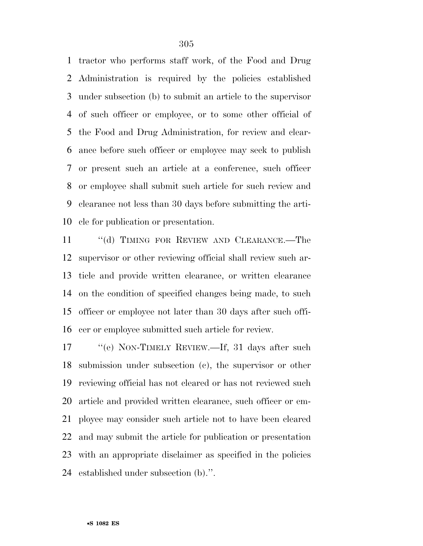tractor who performs staff work, of the Food and Drug Administration is required by the policies established under subsection (b) to submit an article to the supervisor of such officer or employee, or to some other official of the Food and Drug Administration, for review and clear- ance before such officer or employee may seek to publish or present such an article at a conference, such officer or employee shall submit such article for such review and clearance not less than 30 days before submitting the arti-cle for publication or presentation.

11 "(d) TIMING FOR REVIEW AND CLEARANCE.—The supervisor or other reviewing official shall review such ar- ticle and provide written clearance, or written clearance on the condition of specified changes being made, to such officer or employee not later than 30 days after such offi-cer or employee submitted such article for review.

17 "'(e) NON-TIMELY REVIEW.—If, 31 days after such submission under subsection (c), the supervisor or other reviewing official has not cleared or has not reviewed such article and provided written clearance, such officer or em- ployee may consider such article not to have been cleared and may submit the article for publication or presentation with an appropriate disclaimer as specified in the policies established under subsection (b).''.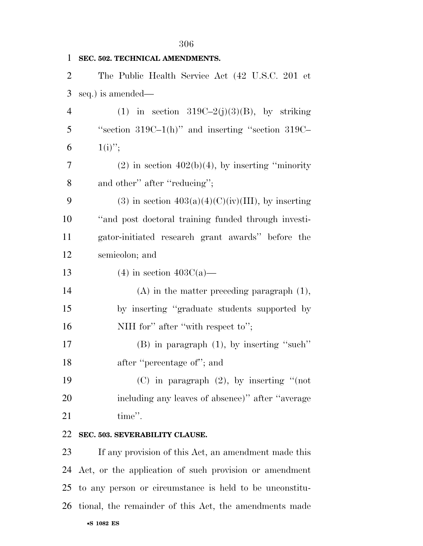| $\mathbf{1}$   | SEC. 502. TECHNICAL AMENDMENTS.                        |
|----------------|--------------------------------------------------------|
| $\overline{2}$ | The Public Health Service Act (42 U.S.C. 201 et        |
| 3              | seq.) is amended—                                      |
| $\overline{4}$ | (1) in section $319C-2(j)(3)(B)$ , by striking         |
| 5              | "section $319C-1(h)$ " and inserting "section $319C-$  |
| 6              | $1(i)$ ";                                              |
| $\overline{7}$ | $(2)$ in section $402(b)(4)$ , by inserting "minority" |
| 8              | and other" after "reducing";                           |
| 9              | (3) in section $403(a)(4)(C)(iv)(III)$ , by inserting  |
| 10             | "and post doctoral training funded through investi-    |
| 11             | gator-initiated research grant awards" before the      |
| 12             | semicolon; and                                         |
| 13             | $(4)$ in section $403C(a)$ —                           |
| 14             | $(A)$ in the matter preceding paragraph $(1)$ ,        |
| 15             | by inserting "graduate students supported by           |
| 16             | NIH for" after "with respect to";                      |
| 17             | $(B)$ in paragraph $(1)$ , by inserting "such"         |
| 18             | after "percentage of"; and                             |
| 19             | (C) in paragraph $(2)$ , by inserting "(not            |
| 20             | including any leaves of absence)" after "average       |
| 21             | time".                                                 |
| 22             | SEC. 503. SEVERABILITY CLAUSE.                         |
|                |                                                        |

•**S 1082 ES** If any provision of this Act, an amendment made this Act, or the application of such provision or amendment to any person or circumstance is held to be unconstitu-tional, the remainder of this Act, the amendments made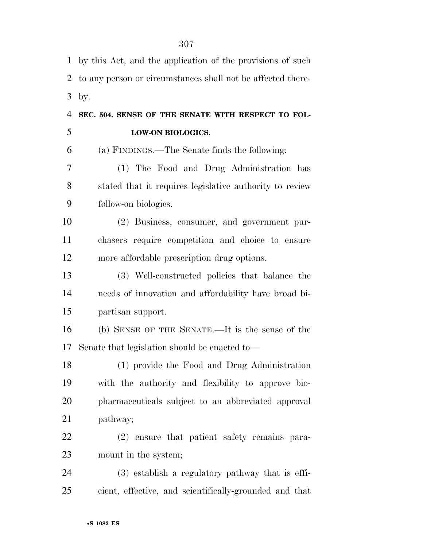by this Act, and the application of the provisions of such to any person or circumstances shall not be affected there- by. **SEC. 504. SENSE OF THE SENATE WITH RESPECT TO FOL- LOW-ON BIOLOGICS.**  (a) FINDINGS.—The Senate finds the following: (1) The Food and Drug Administration has stated that it requires legislative authority to review follow-on biologics. (2) Business, consumer, and government pur- chasers require competition and choice to ensure more affordable prescription drug options. (3) Well-constructed policies that balance the needs of innovation and affordability have broad bi- partisan support. (b) SENSE OF THE SENATE.—It is the sense of the Senate that legislation should be enacted to— (1) provide the Food and Drug Administration with the authority and flexibility to approve bio- pharmaceuticals subject to an abbreviated approval pathway; (2) ensure that patient safety remains para- mount in the system; (3) establish a regulatory pathway that is effi-cient, effective, and scientifically-grounded and that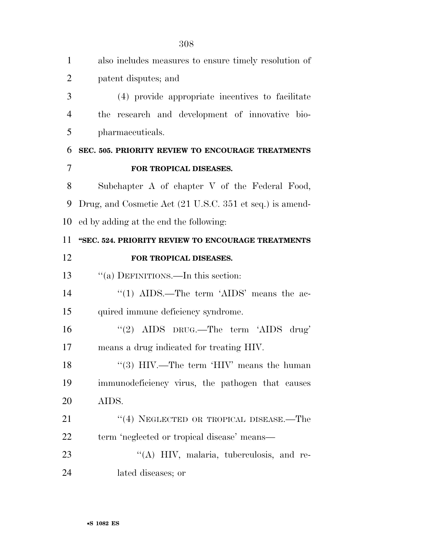| $\mathbf{1}$   | also includes measures to ensure timely resolution of    |
|----------------|----------------------------------------------------------|
| $\overline{2}$ | patent disputes; and                                     |
| 3              | (4) provide appropriate incentives to facilitate         |
| $\overline{4}$ | research and development of innovative bio-<br>the       |
| 5              | pharmaceuticals.                                         |
| 6              | SEC. 505. PRIORITY REVIEW TO ENCOURAGE TREATMENTS        |
| 7              | FOR TROPICAL DISEASES.                                   |
| 8              | Subchapter A of chapter V of the Federal Food,           |
| 9              | Drug, and Cosmetic Act (21 U.S.C. 351 et seq.) is amend- |
| 10             | ed by adding at the end the following:                   |
| 11             | "SEC. 524. PRIORITY REVIEW TO ENCOURAGE TREATMENTS       |
| 12             | FOR TROPICAL DISEASES.                                   |
| 13             | "(a) DEFINITIONS.—In this section:                       |
| 14             | "(1) AIDS.—The term 'AIDS' means the ac-                 |
| 15             | quired immune deficiency syndrome.                       |
| 16             | "(2) AIDS DRUG.—The term 'AIDS drug'                     |
| 17             | means a drug indicated for treating HIV.                 |
| 18             | "(3) HIV.—The term 'HIV' means the human                 |
| 19             | immunodeficiency virus, the pathogen that causes         |
| 20             | AIDS.                                                    |
| 21             | "(4) NEGLECTED OR TROPICAL DISEASE.—The                  |
| 22             | term 'neglected or tropical disease' means—              |
| 23             | "(A) HIV, malaria, tuberculosis, and re-                 |
| 24             | lated diseases; or                                       |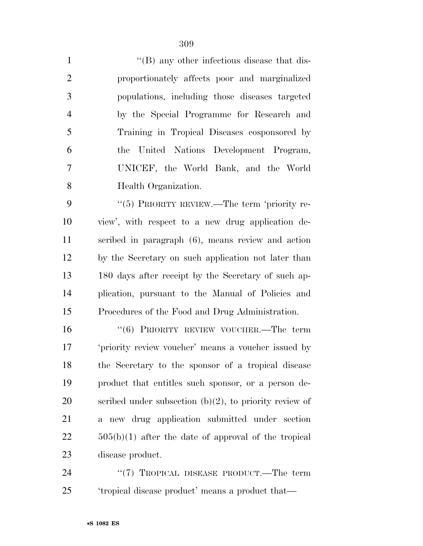| $\mathbf{1}$   | $\lq$ (B) any other infectious disease that dis- |
|----------------|--------------------------------------------------|
| 2              | proportionately affects poor and marginalized    |
| 3              | populations, including those diseases targeted   |
| $\overline{4}$ | by the Special Programme for Research and        |
| 5              | Training in Tropical Diseases cosponsored by     |
| 6              | the United Nations Development Program,          |
| $\overline{7}$ | UNICEF, the World Bank, and the World            |
| 8              | Health Organization.                             |

9 "(5) PRIORITY REVIEW.—The term 'priority re- view', with respect to a new drug application de- scribed in paragraph (6), means review and action by the Secretary on such application not later than 180 days after receipt by the Secretary of such ap- plication, pursuant to the Manual of Policies and Procedures of the Food and Drug Administration.

16 "(6) PRIORITY REVIEW VOUCHER.—The term 'priority review voucher' means a voucher issued by the Secretary to the sponsor of a tropical disease product that entitles such sponsor, or a person de-20 scribed under subsection  $(b)(2)$ , to priority review of a new drug application submitted under section  $22 \t\t 505(b)(1)$  after the date of approval of the tropical disease product.

24 "(7) TROPICAL DISEASE PRODUCT.—The term 'tropical disease product' means a product that—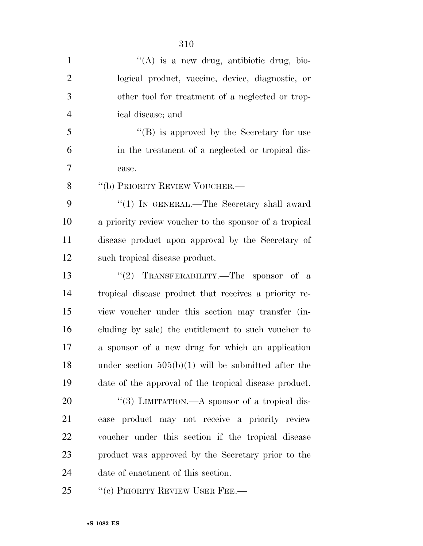| $\mathbf{1}$   | $\lq($ A) is a new drug, antibiotic drug, bio-         |
|----------------|--------------------------------------------------------|
| $\overline{2}$ | logical product, vaccine, device, diagnostic, or       |
| 3              | other tool for treatment of a neglected or trop-       |
| $\overline{4}$ | ical disease; and                                      |
| 5              | "(B) is approved by the Secretary for use              |
| 6              | in the treatment of a neglected or tropical dis-       |
| $\tau$         | ease.                                                  |
| 8              | "(b) PRIORITY REVIEW VOUCHER.—                         |
| 9              | " $(1)$ IN GENERAL.—The Secretary shall award          |
| 10             | a priority review voucher to the sponsor of a tropical |
| 11             | disease product upon approval by the Secretary of      |
| 12             | such tropical disease product.                         |
| 13             | "(2) TRANSFERABILITY.—The sponsor of a                 |
| 14             | tropical disease product that receives a priority re-  |
| 15             | view voucher under this section may transfer (in-      |
| 16             | cluding by sale) the entitlement to such voucher to    |
| 17             | a sponsor of a new drug for which an application       |
| 18             | under section $505(b)(1)$ will be submitted after the  |
| 19             | date of the approval of the tropical disease product.  |
| 20             | "(3) LIMITATION.—A sponsor of a tropical dis-          |
| 21             | ease product may not receive a priority review         |
| 22             | voucher under this section if the tropical disease     |
| 23             | product was approved by the Secretary prior to the     |
| 24             | date of enactment of this section.                     |
| 25             | "(c) PRIORITY REVIEW USER FEE.—                        |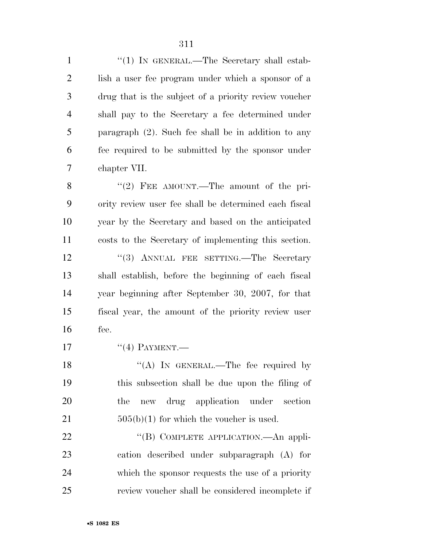| $\mathbf{1}$   | "(1) IN GENERAL.—The Secretary shall estab-            |
|----------------|--------------------------------------------------------|
| $\overline{2}$ | lish a user fee program under which a sponsor of a     |
| 3              | drug that is the subject of a priority review voucher  |
| $\overline{4}$ | shall pay to the Secretary a fee determined under      |
| 5              | paragraph $(2)$ . Such fee shall be in addition to any |
| 6              | fee required to be submitted by the sponsor under      |
| 7              | chapter VII.                                           |
| 8              | "(2) FEE AMOUNT.—The amount of the pri-                |
| 9              | ority review user fee shall be determined each fiscal  |
| 10             | year by the Secretary and based on the anticipated     |
| 11             | costs to the Secretary of implementing this section.   |
| 12             | "(3) ANNUAL FEE SETTING.—The Secretary                 |
| 13             | shall establish, before the beginning of each fiscal   |
| 14             | year beginning after September 30, 2007, for that      |
| 15             | fiscal year, the amount of the priority review user    |
| 16             | fee.                                                   |
| 17             | $``(4)$ PAYMENT.—                                      |
| 18             | "(A) IN GENERAL.—The fee required by                   |
| 19             | this subsection shall be due upon the filing of        |
| 20             | new drug application under<br>the<br>section           |
| 21             | $505(b)(1)$ for which the voucher is used.             |
| 22             | "(B) COMPLETE APPLICATION.—An appli-                   |
| 23             | cation described under subparagraph (A) for            |
| 24             | which the sponsor requests the use of a priority       |
| 25             | review voucher shall be considered incomplete if       |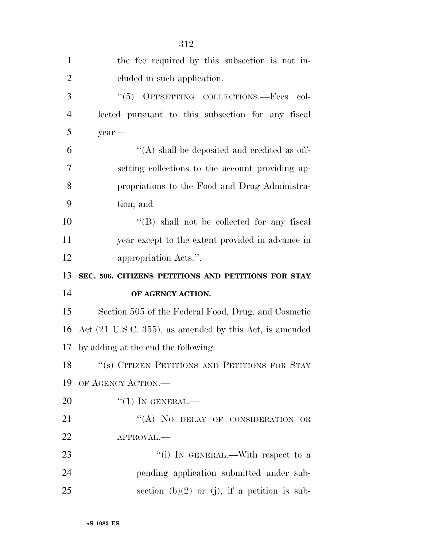| $\mathbf{1}$   | the fee required by this subsection is not in-          |
|----------------|---------------------------------------------------------|
| $\overline{2}$ | cluded in such application.                             |
| 3              | "(5) OFFSETTING COLLECTIONS.—Fees col-                  |
| $\overline{4}$ | lected pursuant to this subsection for any fiscal       |
| 5              | year-                                                   |
| 6              | $\lq\lq$ shall be deposited and credited as off-        |
| 7              | setting collections to the account providing ap-        |
| 8              | propriations to the Food and Drug Administra-           |
| 9              | tion; and                                               |
| 10             | "(B) shall not be collected for any fiscal              |
| 11             | year except to the extent provided in advance in        |
| 12             | appropriation Acts.".                                   |
|                | SEC. 506. CITIZENS PETITIONS AND PETITIONS FOR STAY     |
| 13             |                                                         |
| 14             | OF AGENCY ACTION.                                       |
| 15             | Section 505 of the Federal Food, Drug, and Cosmetic     |
| 16             | Act (21 U.S.C. 355), as amended by this Act, is amended |
| 17             | by adding at the end the following:                     |
| 18             | "(s) CITIZEN PETITIONS AND PETITIONS FOR STAY           |
| 19             | OF AGENCY ACTION.                                       |
| 20             | $``(1)$ In GENERAL.—                                    |
| 21             | "(A) NO DELAY OF CONSIDERATION OR                       |
| 22             | APPROVAL.-                                              |
| 23             | "(i) IN GENERAL.—With respect to a                      |
| 24             | pending application submitted under sub-                |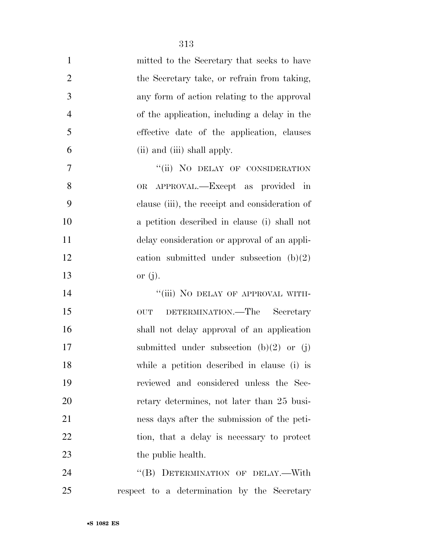| $\mathbf{1}$   | mitted to the Secretary that seeks to have     |
|----------------|------------------------------------------------|
| $\overline{2}$ | the Secretary take, or refrain from taking,    |
| 3              | any form of action relating to the approval    |
| $\overline{4}$ | of the application, including a delay in the   |
| 5              | effective date of the application, clauses     |
| 6              | (ii) and (iii) shall apply.                    |
| 7              | "(ii) NO DELAY OF CONSIDERATION                |
| 8              | OR APPROVAL.—Except as provided in             |
| 9              | clause (iii), the receipt and consideration of |
| 10             | a petition described in clause (i) shall not   |
| 11             | delay consideration or approval of an appli-   |
| 12             | cation submitted under subsection $(b)(2)$     |
| 13             | or $(j)$ .                                     |
| 14             | "(iii) NO DELAY OF APPROVAL WITH-              |
| 15             | DETERMINATION.—The Secretary<br><b>OUT</b>     |
| 16             | shall not delay approval of an application     |
| 17             | submitted under subsection $(b)(2)$ or $(j)$ . |
| 18             | while a petition described in clause (i) is    |
| 19             | reviewed and considered unless the Sec-        |
| 20             | retary determines, not later than 25 busi-     |
| 21             | ness days after the submission of the peti-    |
| 22             | tion, that a delay is necessary to protect     |
| 23             | the public health.                             |
| 24             | "(B) DETERMINATION OF DELAY.—With              |

respect to a determination by the Secretary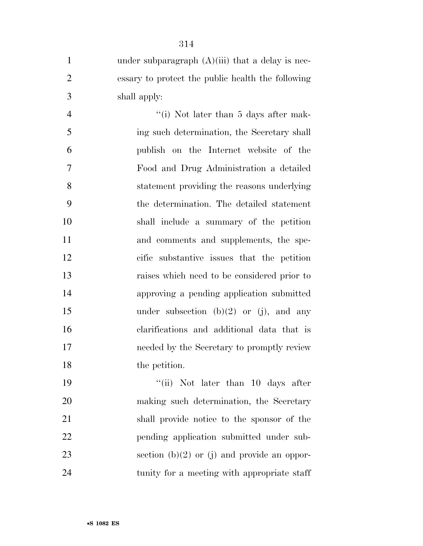| $\mathbf{1}$   | under subparagraph $(A)(iii)$ that a delay is nec- |
|----------------|----------------------------------------------------|
| $\overline{2}$ | essary to protect the public health the following  |
| 3              | shall apply:                                       |
| $\overline{4}$ | "(i) Not later than 5 days after mak-              |
| 5              | ing such determination, the Secretary shall        |
| 6              | publish on the Internet website of the             |
| $\overline{7}$ | Food and Drug Administration a detailed            |
| 8              | statement providing the reasons underlying         |
| 9              | the determination. The detailed statement          |
| 10             | shall include a summary of the petition            |
| 11             | and comments and supplements, the spe-             |
| 12             | cific substantive issues that the petition         |
| 13             | raises which need to be considered prior to        |
| 14             | approving a pending application submitted          |
| 15             | under subsection $(b)(2)$ or $(j)$ , and any       |
| 16             | clarifications and additional data that is         |
| 17             | needed by the Secretary to promptly review         |
| 18             | the petition.                                      |
| 19             | "(ii) Not later than $10$ days after               |
| 20             | making such determination, the Secretary           |
| 21             | shall provide notice to the sponsor of the         |
| 22             | pending application submitted under sub-           |
|                |                                                    |

23 section (b)(2) or (j) and provide an oppor-

tunity for a meeting with appropriate staff

•**S 1082 ES**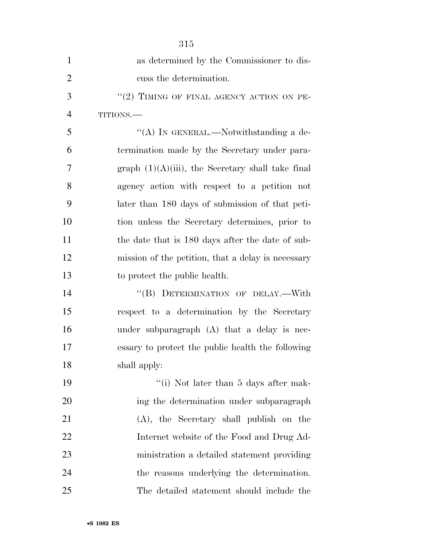|                | 315                                                  |
|----------------|------------------------------------------------------|
| 1              | as determined by the Commissioner to dis-            |
| $\overline{2}$ | cuss the determination.                              |
| 3              | "(2) TIMING OF FINAL AGENCY ACTION ON PE-            |
| $\overline{4}$ | TITIONS.                                             |
| 5              | "(A) IN GENERAL.—Notwithstanding a de-               |
| 6              | termination made by the Secretary under para-        |
| 7              | graph $(1)(A)(iii)$ , the Secretary shall take final |
| 8              | agency action with respect to a petition not         |
| 9              | later than 180 days of submission of that peti-      |
| 10             | tion unless the Secretary determines, prior to       |
| 11             | the date that is 180 days after the date of sub-     |
| 12             | mission of the petition, that a delay is necessary   |
| 13             | to protect the public health.                        |
| 14             | "(B) DETERMINATION OF DELAY.—With                    |
| 15             | respect to a determination by the Secretary          |
| 16             | under subparagraph $(A)$ that a delay is nec-        |
| 17             | essary to protect the public health the following    |
| 18             | shall apply:                                         |
| 19             | "(i) Not later than $5$ days after mak-              |
| 20             | ing the determination under subparagraph             |
| 21             | (A), the Secretary shall publish on the              |
| 22             | Internet website of the Food and Drug Ad-            |
| 23             | ministration a detailed statement providing          |
| 24             | the reasons underlying the determination.            |
| 25             | The detailed statement should include the            |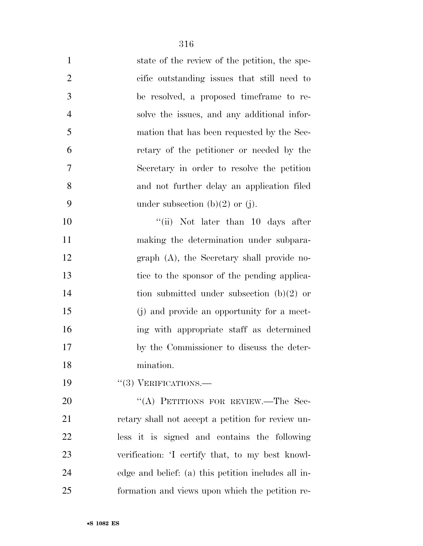| $\mathbf{1}$   | state of the review of the petition, the spe-     |
|----------------|---------------------------------------------------|
| $\overline{2}$ | cific outstanding issues that still need to       |
| 3              | be resolved, a proposed time frame to re-         |
| $\overline{4}$ | solve the issues, and any additional infor-       |
| 5              | mation that has been requested by the Sec-        |
| 6              | retary of the petitioner or needed by the         |
| $\overline{7}$ | Secretary in order to resolve the petition        |
| 8              | and not further delay an application filed        |
| 9              | under subsection (b) $(2)$ or (j).                |
| 10             | "(ii) Not later than $10$ days after              |
| 11             | making the determination under subpara-           |
| 12             | graph (A), the Secretary shall provide no-        |
| 13             | tice to the sponsor of the pending applica-       |
| 14             | tion submitted under subsection $(b)(2)$ or       |
| 15             | (j) and provide an opportunity for a meet-        |
| 16             | ing with appropriate staff as determined          |
| 17             | by the Commissioner to discuss the deter-         |
| 18             | mination.                                         |
| 19             | $``(3)$ VERIFICATIONS.—                           |
| 20             | "(A) PETITIONS FOR REVIEW.—The Sec-               |
| 21             | retary shall not accept a petition for review un- |
| 22             | less it is signed and contains the following      |
| 23             | verification: 'I certify that, to my best knowl-  |

edge and belief: (a) this petition includes all in-

formation and views upon which the petition re-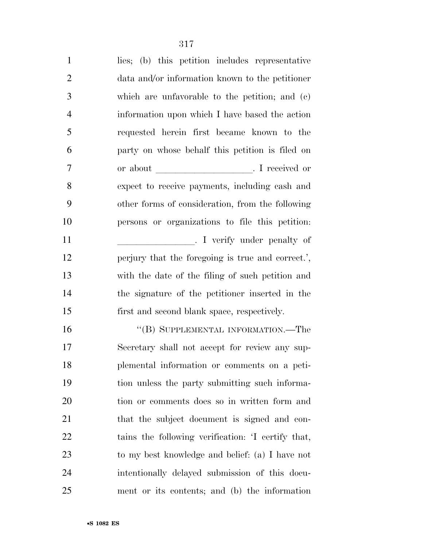| $\mathbf{1}$   | lies; (b) this petition includes representative   |
|----------------|---------------------------------------------------|
| $\overline{2}$ | data and/or information known to the petitioner   |
| 3              | which are unfavorable to the petition; and $(c)$  |
| $\overline{4}$ | information upon which I have based the action    |
| 5              | requested herein first became known to the        |
| 6              | party on whose behalf this petition is filed on   |
| 7              |                                                   |
| 8              | expect to receive payments, including cash and    |
| 9              | other forms of consideration, from the following  |
| 10             | persons or organizations to file this petition:   |
| 11             |                                                   |
| 12             | perjury that the foregoing is true and correct.', |
| 13             | with the date of the filing of such petition and  |
| 14             | the signature of the petitioner inserted in the   |
| 15             | first and second blank space, respectively.       |
| 16             | "(B) SUPPLEMENTAL INFORMATION.—The                |
| 17             | Secretary shall not accept for review any sup-    |
| 18             | plemental information or comments on a peti-      |
| 19             | tion unless the party submitting such informa-    |
| 20             | tion or comments does so in written form and      |
| 21             | that the subject document is signed and con-      |
| 22             | tains the following verification: T certify that, |
| 23             | to my best knowledge and belief: (a) I have not   |
| 24             | intentionally delayed submission of this docu-    |
| 25             | ment or its contents; and (b) the information     |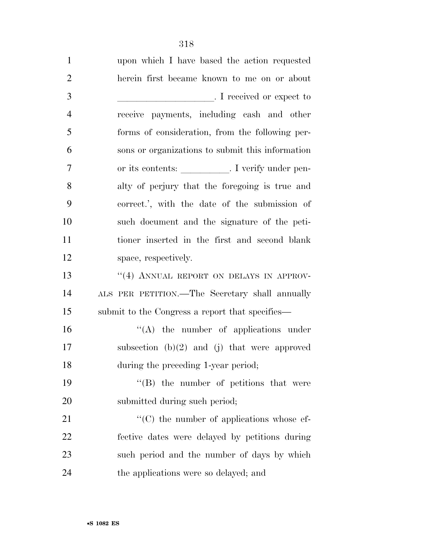| $\mathbf{1}$   | upon which I have based the action requested          |
|----------------|-------------------------------------------------------|
| $\overline{2}$ | herein first became known to me on or about           |
| 3              | I received or expect to                               |
| $\overline{4}$ | receive payments, including cash and other            |
| 5              | forms of consideration, from the following per-       |
| 6              | sons or organizations to submit this information      |
| 7              | or its contents: __________. I verify under pen-      |
| 8              | alty of perjury that the foregoing is true and        |
| 9              | correct.', with the date of the submission of         |
| 10             | such document and the signature of the peti-          |
| 11             | tioner inserted in the first and second blank         |
| 12             | space, respectively.                                  |
| 13             | "(4) ANNUAL REPORT ON DELAYS IN APPROV-               |
| 14             | ALS PER PETITION.—The Secretary shall annually        |
| 15             | submit to the Congress a report that specifies—       |
| 16             | $\lq\lq$ the number of applications under             |
| 17             | subsection $(b)(2)$ and $(j)$ that were approved      |
| 18             | during the preceding 1-year period;                   |
| 19             | "(B) the number of petitions that were                |
| 20             | submitted during such period;                         |
| 21             | $\cdot\cdot$ (C) the number of applications whose ef- |
| 22             | fective dates were delayed by petitions during        |
| 23             | such period and the number of days by which           |
| 24             | the applications were so delayed; and                 |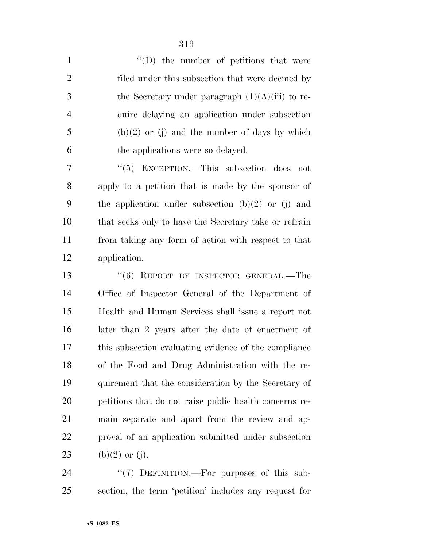| $\mathbf{1}$   | $\lq\lq$ the number of petitions that were             |
|----------------|--------------------------------------------------------|
| $\overline{2}$ | filed under this subsection that were deemed by        |
| 3              | the Secretary under paragraph $(1)(A)(iii)$ to re-     |
| $\overline{4}$ | quire delaying an application under subsection         |
| 5              | $(b)(2)$ or (j) and the number of days by which        |
| 6              | the applications were so delayed.                      |
| 7              | " $(5)$ EXCEPTION.—This subsection does not            |
| 8              | apply to a petition that is made by the sponsor of     |
| 9              | the application under subsection $(b)(2)$ or $(j)$ and |
| 10             | that seeks only to have the Secretary take or refrain  |
| 11             | from taking any form of action with respect to that    |
| 12             | application.                                           |
| 13             | "(6) REPORT BY INSPECTOR GENERAL.—The                  |
| 14             | Office of Inspector General of the Department of       |
| 15             | Health and Human Services shall issue a report not     |
| 16             | later than 2 years after the date of enactment of      |
| 17             | this subsection evaluating evidence of the compliance  |
| 18             | of the Food and Drug Administration with the re-       |
| 19             | quirement that the consideration by the Secretary of   |
| 20             | petitions that do not raise public health concerns re- |
| 21             | main separate and apart from the review and ap-        |
| 22             | proval of an application submitted under subsection    |
| 23             | (b)(2) or (j).                                         |
|                |                                                        |

24 "(7) DEFINITION.—For purposes of this sub-section, the term 'petition' includes any request for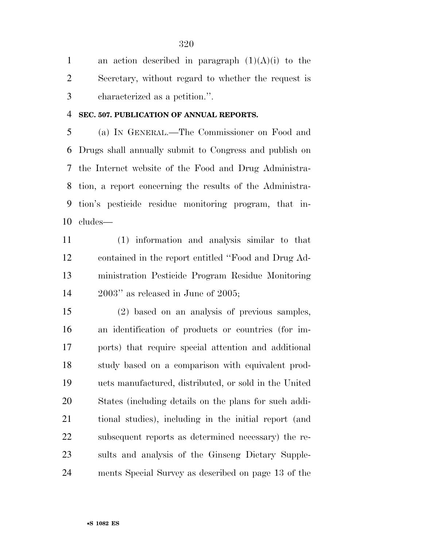1 an action described in paragraph  $(1)(A)(i)$  to the Secretary, without regard to whether the request is characterized as a petition.''.

**SEC. 507. PUBLICATION OF ANNUAL REPORTS.** 

 (a) IN GENERAL.—The Commissioner on Food and Drugs shall annually submit to Congress and publish on the Internet website of the Food and Drug Administra- tion, a report concerning the results of the Administra- tion's pesticide residue monitoring program, that in-cludes—

 (1) information and analysis similar to that contained in the report entitled ''Food and Drug Ad- ministration Pesticide Program Residue Monitoring 2003'' as released in June of 2005;

 (2) based on an analysis of previous samples, an identification of products or countries (for im- ports) that require special attention and additional study based on a comparison with equivalent prod- ucts manufactured, distributed, or sold in the United States (including details on the plans for such addi- tional studies), including in the initial report (and subsequent reports as determined necessary) the re- sults and analysis of the Ginseng Dietary Supple-ments Special Survey as described on page 13 of the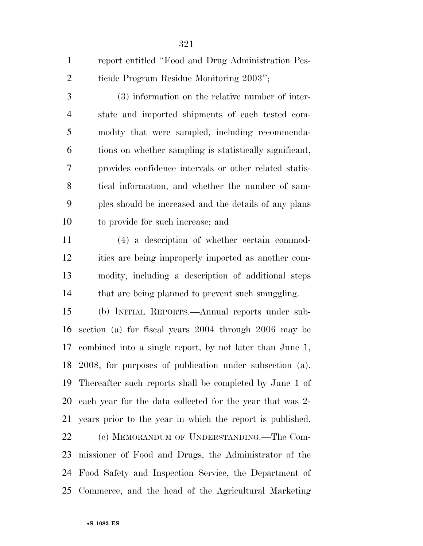|   | report entitled "Food and Drug Administration Pes- |
|---|----------------------------------------------------|
| 2 | ticide Program Residue Monitoring 2003";           |

 (3) information on the relative number of inter- state and imported shipments of each tested com- modity that were sampled, including recommenda- tions on whether sampling is statistically significant, provides confidence intervals or other related statis- tical information, and whether the number of sam- ples should be increased and the details of any plans to provide for such increase; and

 (4) a description of whether certain commod- ities are being improperly imported as another com- modity, including a description of additional steps 14 that are being planned to prevent such smuggling.

 (b) INITIAL REPORTS.—Annual reports under sub- section (a) for fiscal years 2004 through 2006 may be combined into a single report, by not later than June 1, 2008, for purposes of publication under subsection (a). Thereafter such reports shall be completed by June 1 of each year for the data collected for the year that was 2- years prior to the year in which the report is published. (c) MEMORANDUM OF UNDERSTANDING.—The Com- missioner of Food and Drugs, the Administrator of the Food Safety and Inspection Service, the Department of Commerce, and the head of the Agricultural Marketing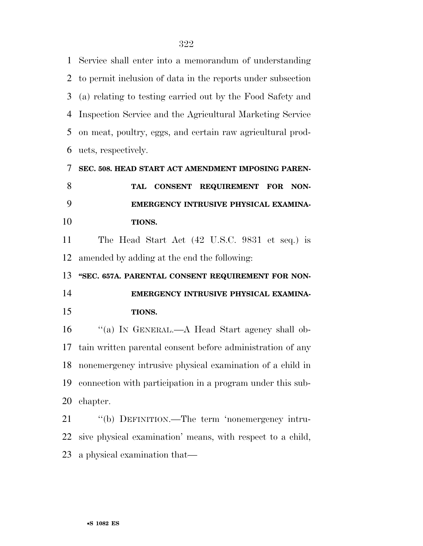Service shall enter into a memorandum of understanding to permit inclusion of data in the reports under subsection (a) relating to testing carried out by the Food Safety and Inspection Service and the Agricultural Marketing Service on meat, poultry, eggs, and certain raw agricultural prod-ucts, respectively.

 **SEC. 508. HEAD START ACT AMENDMENT IMPOSING PAREN- TAL CONSENT REQUIREMENT FOR NON- EMERGENCY INTRUSIVE PHYSICAL EXAMINA- TIONS.**  The Head Start Act (42 U.S.C. 9831 et seq.) is amended by adding at the end the following: **''SEC. 657A. PARENTAL CONSENT REQUIREMENT FOR NON- EMERGENCY INTRUSIVE PHYSICAL EXAMINA- TIONS.**  16 "(a) In GENERAL.—A Head Start agency shall ob- tain written parental consent before administration of any nonemergency intrusive physical examination of a child in connection with participation in a program under this sub- chapter. ''(b) DEFINITION.—The term 'nonemergency intru-

 sive physical examination' means, with respect to a child, a physical examination that—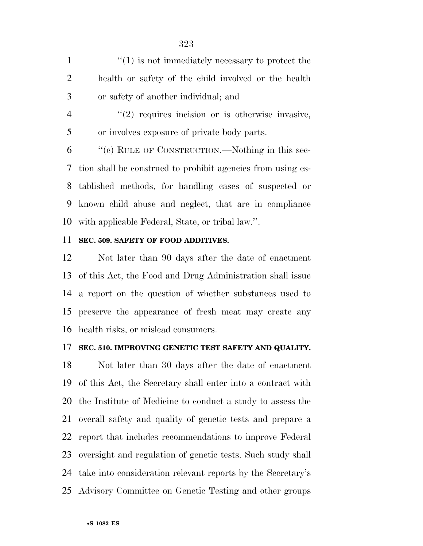| $\mathbf{1}$   | $\lq(1)$ is not immediately necessary to protect the          |
|----------------|---------------------------------------------------------------|
| $\overline{2}$ | health or safety of the child involved or the health          |
| 3              | or safety of another individual; and                          |
| $\overline{4}$ | $\lq(2)$ requires incision or is otherwise invasive,          |
| 5              | or involves exposure of private body parts.                   |
| 6              | "(c) RULE OF CONSTRUCTION.—Nothing in this sec-               |
|                | 7 tion shall be construed to prohibit agencies from using es- |
|                | 8 tablished methods, for handling cases of suspected or       |
|                | 9 known child abuse and neglect, that are in compliance       |
|                | 10 with applicable Federal, State, or tribal law.".           |

## **SEC. 509. SAFETY OF FOOD ADDITIVES.**

 Not later than 90 days after the date of enactment of this Act, the Food and Drug Administration shall issue a report on the question of whether substances used to preserve the appearance of fresh meat may create any health risks, or mislead consumers.

## **SEC. 510. IMPROVING GENETIC TEST SAFETY AND QUALITY.**

 Not later than 30 days after the date of enactment of this Act, the Secretary shall enter into a contract with the Institute of Medicine to conduct a study to assess the overall safety and quality of genetic tests and prepare a report that includes recommendations to improve Federal oversight and regulation of genetic tests. Such study shall take into consideration relevant reports by the Secretary's Advisory Committee on Genetic Testing and other groups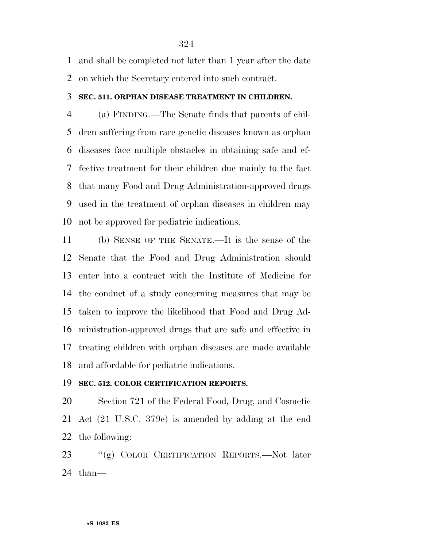and shall be completed not later than 1 year after the date on which the Secretary entered into such contract.

## **SEC. 511. ORPHAN DISEASE TREATMENT IN CHILDREN.**

 (a) FINDING.—The Senate finds that parents of chil- dren suffering from rare genetic diseases known as orphan diseases face multiple obstacles in obtaining safe and ef- fective treatment for their children due mainly to the fact that many Food and Drug Administration-approved drugs used in the treatment of orphan diseases in children may not be approved for pediatric indications.

 (b) SENSE OF THE SENATE.—It is the sense of the Senate that the Food and Drug Administration should enter into a contract with the Institute of Medicine for the conduct of a study concerning measures that may be taken to improve the likelihood that Food and Drug Ad- ministration-approved drugs that are safe and effective in treating children with orphan diseases are made available and affordable for pediatric indications.

## **SEC. 512. COLOR CERTIFICATION REPORTS.**

 Section 721 of the Federal Food, Drug, and Cosmetic Act (21 U.S.C. 379e) is amended by adding at the end the following:

 ''(g) COLOR CERTIFICATION REPORTS.—Not later than—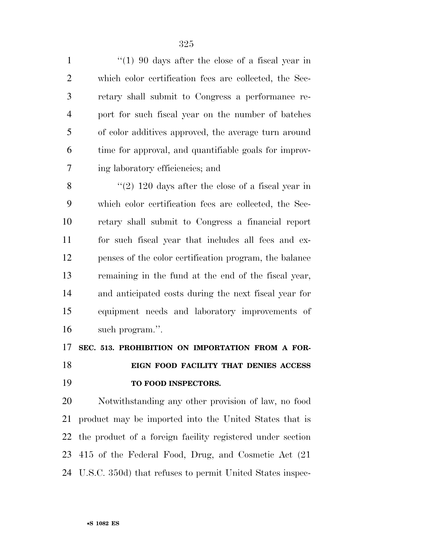1 ''(1) 90 days after the close of a fiscal year in which color certification fees are collected, the Sec- retary shall submit to Congress a performance re- port for such fiscal year on the number of batches of color additives approved, the average turn around time for approval, and quantifiable goals for improv-ing laboratory efficiencies; and

 $\frac{1}{2}$  (2) 120 days after the close of a fiscal year in which color certification fees are collected, the Sec- retary shall submit to Congress a financial report for such fiscal year that includes all fees and ex- penses of the color certification program, the balance remaining in the fund at the end of the fiscal year, and anticipated costs during the next fiscal year for equipment needs and laboratory improvements of such program.''.

 **SEC. 513. PROHIBITION ON IMPORTATION FROM A FOR- EIGN FOOD FACILITY THAT DENIES ACCESS TO FOOD INSPECTORS.** 

 Notwithstanding any other provision of law, no food product may be imported into the United States that is the product of a foreign facility registered under section 415 of the Federal Food, Drug, and Cosmetic Act (21 U.S.C. 350d) that refuses to permit United States inspec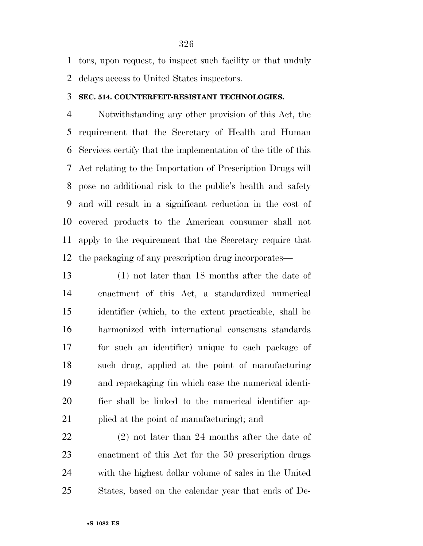tors, upon request, to inspect such facility or that unduly

delays access to United States inspectors.

## **SEC. 514. COUNTERFEIT-RESISTANT TECHNOLOGIES.**

 Notwithstanding any other provision of this Act, the requirement that the Secretary of Health and Human Services certify that the implementation of the title of this Act relating to the Importation of Prescription Drugs will pose no additional risk to the public's health and safety and will result in a significant reduction in the cost of covered products to the American consumer shall not apply to the requirement that the Secretary require that the packaging of any prescription drug incorporates—

 (1) not later than 18 months after the date of enactment of this Act, a standardized numerical identifier (which, to the extent practicable, shall be harmonized with international consensus standards for such an identifier) unique to each package of such drug, applied at the point of manufacturing and repackaging (in which case the numerical identi- fier shall be linked to the numerical identifier ap-plied at the point of manufacturing); and

 (2) not later than 24 months after the date of enactment of this Act for the 50 prescription drugs with the highest dollar volume of sales in the United States, based on the calendar year that ends of De-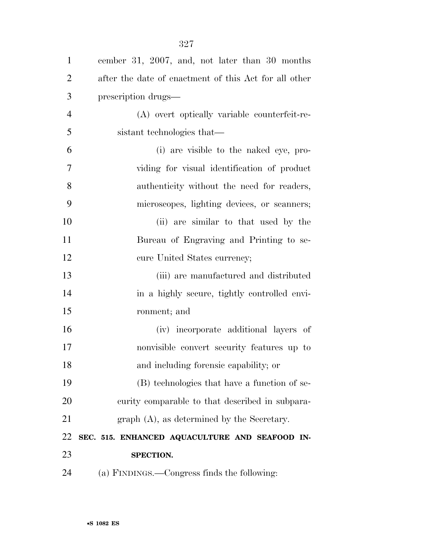| $\mathbf{1}$   | cember 31, 2007, and, not later than 30 months        |
|----------------|-------------------------------------------------------|
| $\overline{2}$ | after the date of enactment of this Act for all other |
| 3              | prescription drugs—                                   |
| $\overline{4}$ | (A) overt optically variable counterfeit-re-          |
| 5              | sistant technologies that—                            |
| 6              | (i) are visible to the naked eye, pro-                |
| $\overline{7}$ | viding for visual identification of product           |
| 8              | authenticity without the need for readers,            |
| 9              | microscopes, lighting devices, or scanners;           |
| 10             | (ii) are similar to that used by the                  |
| 11             | Bureau of Engraving and Printing to se-               |
| 12             | cure United States currency;                          |
| 13             | (iii) are manufactured and distributed                |
| 14             | in a highly secure, tightly controlled envi-          |
| 15             | ronment; and                                          |
| 16             | (iv) incorporate additional layers of                 |
| 17             | nonvisible convert security features up to            |
| 18             | and including forensic capability; or                 |
| 19             | (B) technologies that have a function of se-          |
| 20             | curity comparable to that described in subpara-       |
| 21             | $graph(A)$ , as determined by the Secretary.          |
| 22             | SEC. 515. ENHANCED AQUACULTURE AND SEAFOOD IN-        |
| 23             | SPECTION.                                             |
| 24             | (a) FINDINGS.—Congress finds the following:           |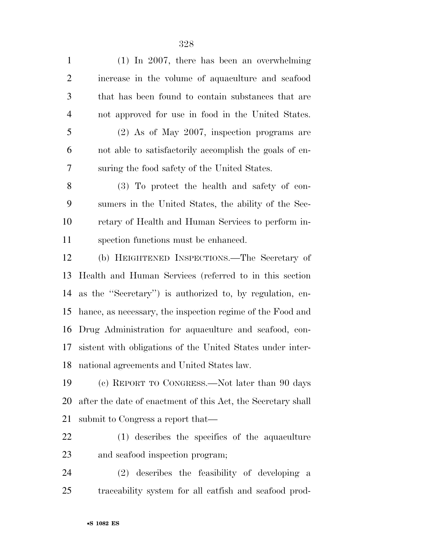(1) In 2007, there has been an overwhelming increase in the volume of aquaculture and seafood that has been found to contain substances that are not approved for use in food in the United States. (2) As of May 2007, inspection programs are not able to satisfactorily accomplish the goals of en- suring the food safety of the United States. (3) To protect the health and safety of con- sumers in the United States, the ability of the Sec- retary of Health and Human Services to perform in- spection functions must be enhanced. (b) HEIGHTENED INSPECTIONS.—The Secretary of Health and Human Services (referred to in this section as the ''Secretary'') is authorized to, by regulation, en- hance, as necessary, the inspection regime of the Food and Drug Administration for aquaculture and seafood, con- sistent with obligations of the United States under inter-national agreements and United States law.

 (c) REPORT TO CONGRESS.—Not later than 90 days after the date of enactment of this Act, the Secretary shall submit to Congress a report that—

 (1) describes the specifics of the aquaculture and seafood inspection program;

 (2) describes the feasibility of developing a traceability system for all catfish and seafood prod-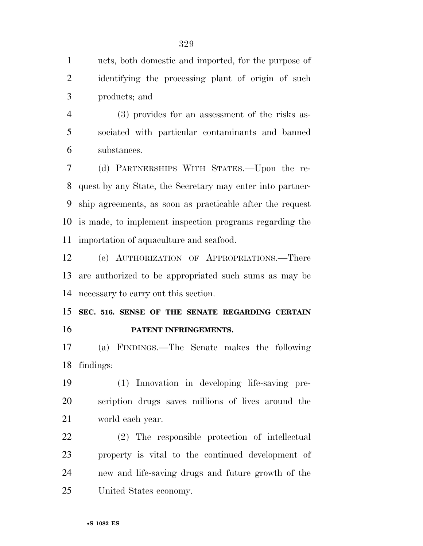ucts, both domestic and imported, for the purpose of identifying the processing plant of origin of such products; and

 (3) provides for an assessment of the risks as- sociated with particular contaminants and banned substances.

 (d) PARTNERSHIPS WITH STATES.—Upon the re- quest by any State, the Secretary may enter into partner- ship agreements, as soon as practicable after the request is made, to implement inspection programs regarding the importation of aquaculture and seafood.

 (e) AUTHORIZATION OF APPROPRIATIONS.—There are authorized to be appropriated such sums as may be necessary to carry out this section.

 **SEC. 516. SENSE OF THE SENATE REGARDING CERTAIN PATENT INFRINGEMENTS.** 

 (a) FINDINGS.—The Senate makes the following findings:

 (1) Innovation in developing life-saving pre- scription drugs saves millions of lives around the world each year.

 (2) The responsible protection of intellectual property is vital to the continued development of new and life-saving drugs and future growth of the United States economy.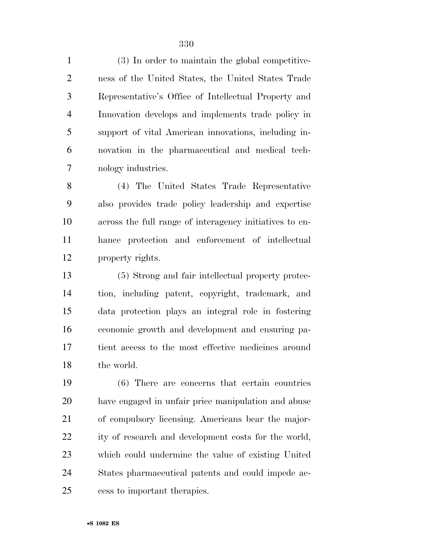(3) In order to maintain the global competitive- ness of the United States, the United States Trade Representative's Office of Intellectual Property and Innovation develops and implements trade policy in support of vital American innovations, including in- novation in the pharmaceutical and medical tech-nology industries.

 (4) The United States Trade Representative also provides trade policy leadership and expertise across the full range of interagency initiatives to en- hance protection and enforcement of intellectual property rights.

 (5) Strong and fair intellectual property protec- tion, including patent, copyright, trademark, and data protection plays an integral role in fostering economic growth and development and ensuring pa- tient access to the most effective medicines around the world.

 (6) There are concerns that certain countries have engaged in unfair price manipulation and abuse of compulsory licensing. Americans bear the major-22 ity of research and development costs for the world, which could undermine the value of existing United States pharmaceutical patents and could impede ac-cess to important therapies.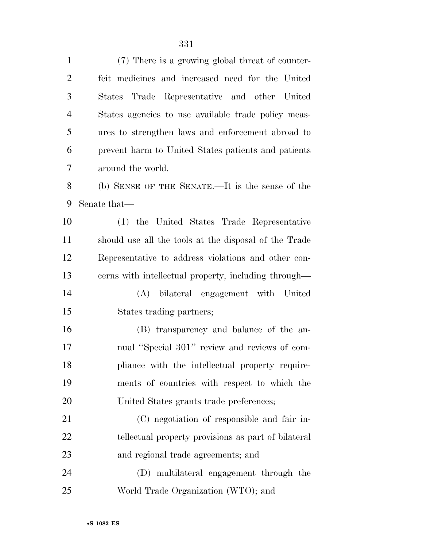| $\mathbf{1}$   | (7) There is a growing global threat of counter-      |
|----------------|-------------------------------------------------------|
| $\overline{2}$ | feit medicines and increased need for the United      |
| 3              | Trade Representative and other United<br>States       |
| $\overline{4}$ | States agencies to use available trade policy meas-   |
| 5              | ures to strengthen laws and enforcement abroad to     |
| 6              | prevent harm to United States patients and patients   |
| 7              | around the world.                                     |
| 8              | (b) SENSE OF THE SENATE.—It is the sense of the       |
| 9              | Senate that—                                          |
| 10             | (1) the United States Trade Representative            |
| 11             | should use all the tools at the disposal of the Trade |
| 12             | Representative to address violations and other con-   |
| 13             | cerns with intellectual property, including through—  |
| 14             | (A) bilateral engagement with United                  |
| 15             | States trading partners;                              |
| 16             | (B) transparency and balance of the an-               |
| 17             | nual "Special 301" review and reviews of com-         |
| 18             | pliance with the intellectual property require-       |
| 19             | ments of countries with respect to which the          |
| 20             | United States grants trade preferences;               |
| 21             | (C) negotiation of responsible and fair in-           |
| 22             | tellectual property provisions as part of bilateral   |
| 23             | and regional trade agreements; and                    |
| 24             | (D) multilateral engagement through the               |
| 25             | World Trade Organization (WTO); and                   |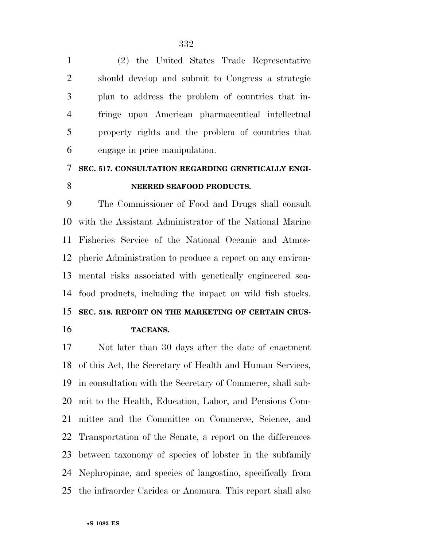(2) the United States Trade Representative should develop and submit to Congress a strategic plan to address the problem of countries that in- fringe upon American pharmaceutical intellectual property rights and the problem of countries that engage in price manipulation.

# **SEC. 517. CONSULTATION REGARDING GENETICALLY ENGI-NEERED SEAFOOD PRODUCTS.**

 The Commissioner of Food and Drugs shall consult with the Assistant Administrator of the National Marine Fisheries Service of the National Oceanic and Atmos- pheric Administration to produce a report on any environ- mental risks associated with genetically engineered sea- food products, including the impact on wild fish stocks. **SEC. 518. REPORT ON THE MARKETING OF CERTAIN CRUS-TACEANS.** 

 Not later than 30 days after the date of enactment of this Act, the Secretary of Health and Human Services, in consultation with the Secretary of Commerce, shall sub- mit to the Health, Education, Labor, and Pensions Com- mittee and the Committee on Commerce, Science, and Transportation of the Senate, a report on the differences between taxonomy of species of lobster in the subfamily Nephropinae, and species of langostino, specifically from the infraorder Caridea or Anomura. This report shall also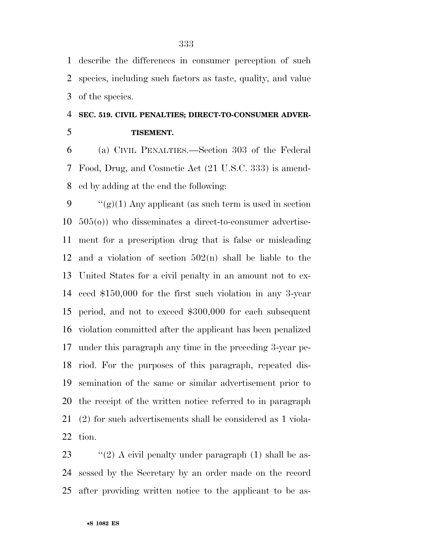describe the differences in consumer perception of such species, including such factors as taste, quality, and value of the species.

# **SEC. 519. CIVIL PENALTIES; DIRECT-TO-CONSUMER ADVER-TISEMENT.**

 (a) CIVIL PENALTIES.—Section 303 of the Federal Food, Drug, and Cosmetic Act (21 U.S.C. 333) is amend-ed by adding at the end the following:

 $\frac{u'(g)}{1}$  Any applicant (as such term is used in section 505(o)) who disseminates a direct-to-consumer advertise- ment for a prescription drug that is false or misleading and a violation of section 502(n) shall be liable to the United States for a civil penalty in an amount not to ex- ceed \$150,000 for the first such violation in any 3-year period, and not to exceed \$300,000 for each subsequent violation committed after the applicant has been penalized under this paragraph any time in the preceding 3-year pe- riod. For the purposes of this paragraph, repeated dis- semination of the same or similar advertisement prior to the receipt of the written notice referred to in paragraph (2) for such advertisements shall be considered as 1 viola-tion.

23  $\frac{1}{2}$  (2) A civil penalty under paragraph (1) shall be as- sessed by the Secretary by an order made on the record after providing written notice to the applicant to be as-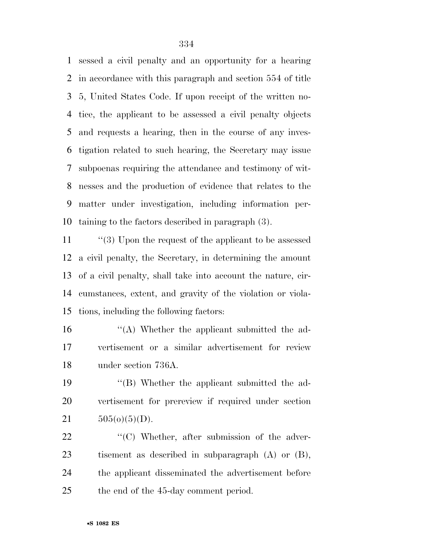sessed a civil penalty and an opportunity for a hearing in accordance with this paragraph and section 554 of title 5, United States Code. If upon receipt of the written no- tice, the applicant to be assessed a civil penalty objects and requests a hearing, then in the course of any inves- tigation related to such hearing, the Secretary may issue subpoenas requiring the attendance and testimony of wit- nesses and the production of evidence that relates to the matter under investigation, including information per-taining to the factors described in paragraph (3).

 ''(3) Upon the request of the applicant to be assessed a civil penalty, the Secretary, in determining the amount of a civil penalty, shall take into account the nature, cir- cumstances, extent, and gravity of the violation or viola-tions, including the following factors:

 ''(A) Whether the applicant submitted the ad- vertisement or a similar advertisement for review under section 736A.

 ''(B) Whether the applicant submitted the ad- vertisement for prereview if required under section 21  $505(0)(5)(D)$ .

 $\frac{1}{2}$  (C) Whether, after submission of the adver- tisement as described in subparagraph (A) or (B), the applicant disseminated the advertisement before the end of the 45-day comment period.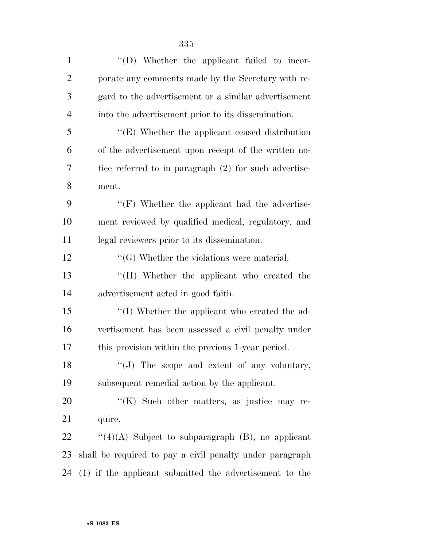| $\mathbf{1}$   | "(D) Whether the applicant failed to incor-              |
|----------------|----------------------------------------------------------|
| $\overline{2}$ | porate any comments made by the Secretary with re-       |
| 3              | gard to the advertisement or a similar advertisement     |
| $\overline{4}$ | into the advertisement prior to its dissemination.       |
| 5              | "(E) Whether the applicant ceased distribution           |
| 6              | of the advertisement upon receipt of the written no-     |
| 7              | tice referred to in paragraph (2) for such advertise-    |
| 8              | ment.                                                    |
| 9              | "(F) Whether the applicant had the advertise-            |
| 10             | ment reviewed by qualified medical, regulatory, and      |
| 11             | legal reviewers prior to its dissemination.              |
| 12             | $\lq\lq(G)$ Whether the violations were material.        |
| 13             | "(H) Whether the applicant who created the               |
| 14             | advertisement acted in good faith.                       |
| 15             | "(I) Whether the applicant who created the ad-           |
| 16             | vertisement has been assessed a civil penalty under      |
| 17             | this provision within the previous 1-year period.        |
| 18             |                                                          |
| 19             | subsequent remedial action by the applicant.             |
| 20             | "(K) Such other matters, as justice may re-              |
| 21             | quire.                                                   |
| 22             | " $(4)(A)$ Subject to subparagraph $(B)$ , no applicant  |
| 23             | shall be required to pay a civil penalty under paragraph |
| 24             | (1) if the applicant submitted the advertisement to the  |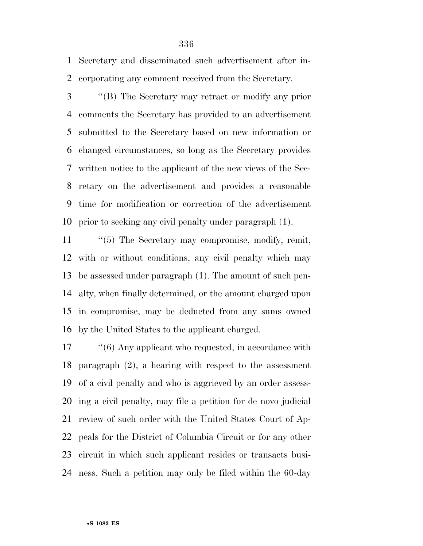Secretary and disseminated such advertisement after in-corporating any comment received from the Secretary.

 ''(B) The Secretary may retract or modify any prior comments the Secretary has provided to an advertisement submitted to the Secretary based on new information or changed circumstances, so long as the Secretary provides written notice to the applicant of the new views of the Sec- retary on the advertisement and provides a reasonable time for modification or correction of the advertisement prior to seeking any civil penalty under paragraph (1).

 ''(5) The Secretary may compromise, modify, remit, with or without conditions, any civil penalty which may be assessed under paragraph (1). The amount of such pen- alty, when finally determined, or the amount charged upon in compromise, may be deducted from any sums owned by the United States to the applicant charged.

17 "(6) Any applicant who requested, in accordance with paragraph (2), a hearing with respect to the assessment of a civil penalty and who is aggrieved by an order assess- ing a civil penalty, may file a petition for de novo judicial review of such order with the United States Court of Ap- peals for the District of Columbia Circuit or for any other circuit in which such applicant resides or transacts busi-ness. Such a petition may only be filed within the 60-day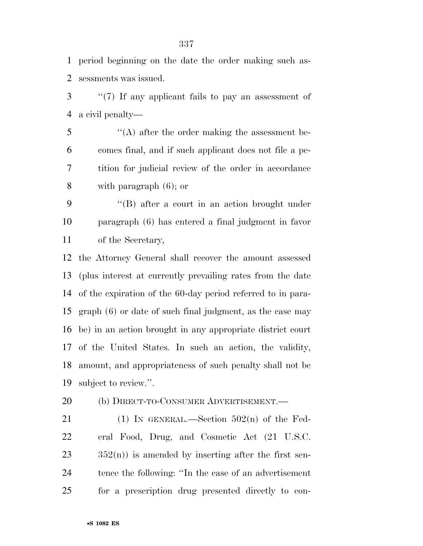period beginning on the date the order making such as-sessments was issued.

 ''(7) If any applicant fails to pay an assessment of a civil penalty—

 ''(A) after the order making the assessment be- comes final, and if such applicant does not file a pe- tition for judicial review of the order in accordance with paragraph (6); or

 ''(B) after a court in an action brought under paragraph (6) has entered a final judgment in favor of the Secretary,

 the Attorney General shall recover the amount assessed (plus interest at currently prevailing rates from the date of the expiration of the 60-day period referred to in para- graph (6) or date of such final judgment, as the case may be) in an action brought in any appropriate district court of the United States. In such an action, the validity, amount, and appropriateness of such penalty shall not be subject to review.''.

20 (b) DIRECT-TO-CONSUMER ADVERTISEMENT.—

21 (1) IN GENERAL.—Section  $502(n)$  of the Fed- eral Food, Drug, and Cosmetic Act (21 U.S.C.  $23 \qquad \qquad 352(n)$  is amended by inserting after the first sen- tence the following: ''In the case of an advertisement for a prescription drug presented directly to con-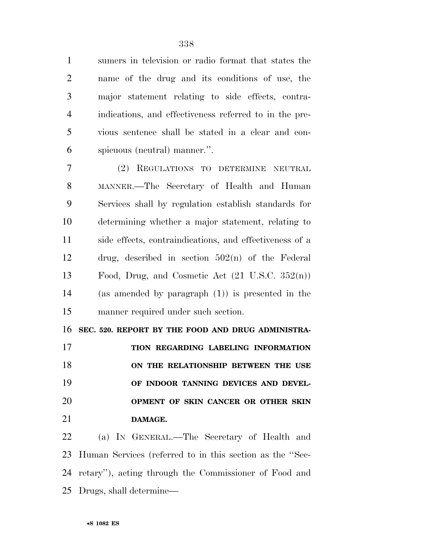sumers in television or radio format that states the name of the drug and its conditions of use, the major statement relating to side effects, contra- indications, and effectiveness referred to in the pre- vious sentence shall be stated in a clear and con-spicuous (neutral) manner.''.

 (2) REGULATIONS TO DETERMINE NEUTRAL MANNER.—The Secretary of Health and Human Services shall by regulation establish standards for determining whether a major statement, relating to side effects, contraindications, and effectiveness of a drug, described in section 502(n) of the Federal Food, Drug, and Cosmetic Act (21 U.S.C. 352(n)) (as amended by paragraph (1)) is presented in the manner required under such section.

 **SEC. 520. REPORT BY THE FOOD AND DRUG ADMINISTRA- TION REGARDING LABELING INFORMATION ON THE RELATIONSHIP BETWEEN THE USE OF INDOOR TANNING DEVICES AND DEVEL- OPMENT OF SKIN CANCER OR OTHER SKIN DAMAGE.** 

 (a) IN GENERAL.—The Secretary of Health and Human Services (referred to in this section as the ''Sec- retary''), acting through the Commissioner of Food and Drugs, shall determine—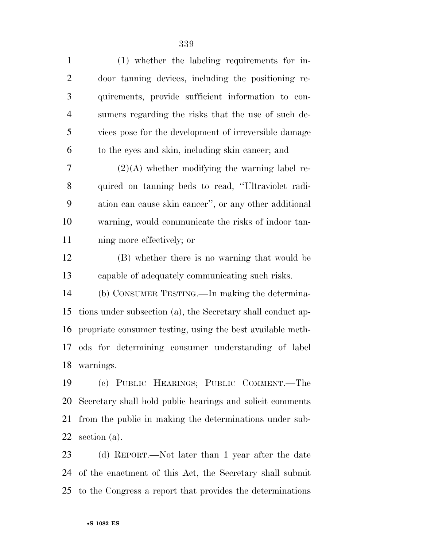| $\mathbf{1}$   | $(1)$ whether the labeling requirements for in-             |
|----------------|-------------------------------------------------------------|
| $\overline{2}$ | door tanning devices, including the positioning re-         |
| 3              | quirements, provide sufficient information to con-          |
| $\overline{4}$ | sumers regarding the risks that the use of such de-         |
| 5              | vices pose for the development of irreversible damage       |
| 6              | to the eyes and skin, including skin cancer; and            |
| 7              | $(2)(A)$ whether modifying the warning label re-            |
| $8\,$          | quired on tanning beds to read, "Ultraviolet radi-          |
| 9              | ation can cause skin cancer", or any other additional       |
| 10             | warning, would communicate the risks of indoor tan-         |
| 11             | ning more effectively; or                                   |
| 12             | (B) whether there is no warning that would be               |
| 13             | capable of adequately communicating such risks.             |
| 14             | (b) CONSUMER TESTING.—In making the determina-              |
| 15             | tions under subsection (a), the Secretary shall conduct ap- |
| 16             | propriate consumer testing, using the best available meth-  |
| 17             | ods for determining consumer understanding of label         |
|                | 18 warnings.                                                |
| 19             | (c) PUBLIC HEARINGS; PUBLIC COMMENT.-The                    |
| 20             | Secretary shall hold public hearings and solicit comments   |
| 21             | from the public in making the determinations under sub-     |

 (d) REPORT.—Not later than 1 year after the date of the enactment of this Act, the Secretary shall submit to the Congress a report that provides the determinations

section (a).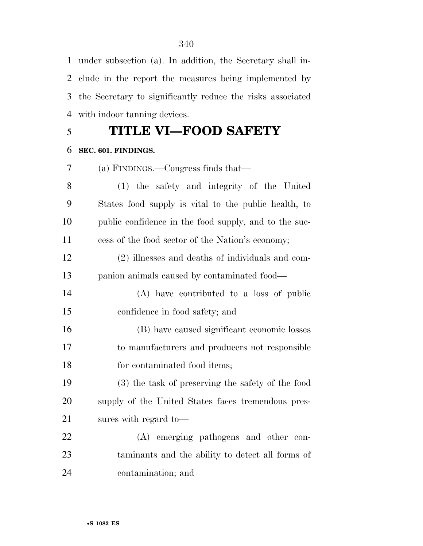under subsection (a). In addition, the Secretary shall in- clude in the report the measures being implemented by the Secretary to significantly reduce the risks associated with indoor tanning devices.

# **TITLE VI—FOOD SAFETY**

# **SEC. 601. FINDINGS.**

(a) FINDINGS.—Congress finds that—

 (1) the safety and integrity of the United States food supply is vital to the public health, to public confidence in the food supply, and to the suc-cess of the food sector of the Nation's economy;

 (2) illnesses and deaths of individuals and com-panion animals caused by contaminated food—

 (A) have contributed to a loss of public confidence in food safety; and

 (B) have caused significant economic losses to manufacturers and producers not responsible 18 for contaminated food items;

 (3) the task of preserving the safety of the food supply of the United States faces tremendous pres-sures with regard to—

 (A) emerging pathogens and other con- taminants and the ability to detect all forms of contamination; and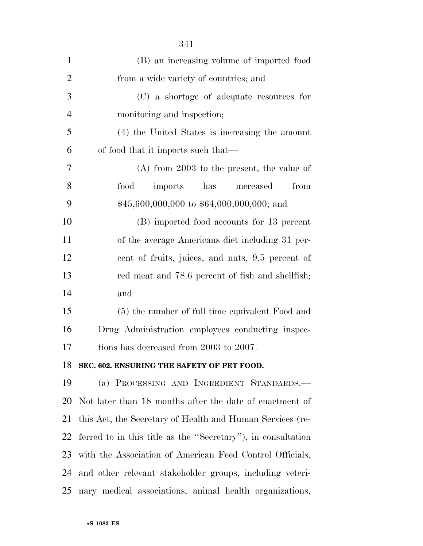| $\mathbf{1}$   | (B) an increasing volume of imported food                    |
|----------------|--------------------------------------------------------------|
| $\overline{2}$ | from a wide variety of countries; and                        |
| 3              | (C) a shortage of adequate resources for                     |
| $\overline{4}$ | monitoring and inspection;                                   |
| 5              | (4) the United States is increasing the amount               |
| 6              | of food that it imports such that—                           |
| 7              | $(A)$ from 2003 to the present, the value of                 |
| 8              | has increased<br>food<br>imports<br>from                     |
| 9              | $$45,600,000,000$ to $$64,000,000,000$ ; and                 |
| 10             | (B) imported food accounts for 13 percent                    |
| 11             | of the average Americans diet including 31 per-              |
| 12             | cent of fruits, juices, and nuts, 9.5 percent of             |
| 13             | red meat and 78.6 percent of fish and shellfish;             |
| 14             | and                                                          |
| 15             | (5) the number of full time equivalent Food and              |
| 16             | Drug Administration employees conducting inspec-             |
| 17             | tions has decreased from 2003 to 2007.                       |
|                | 18 SEC. 602. ENSURING THE SAFETY OF PET FOOD.                |
| 19             | (a) PROCESSING AND INGREDIENT STANDARDS.—                    |
| 20             | Not later than 18 months after the date of enactment of      |
| 21             | this Act, the Secretary of Health and Human Services (re-    |
| 22             | ferred to in this title as the "Secretary"), in consultation |
| 23             | with the Association of American Feed Control Officials,     |
| 24             | and other relevant stakeholder groups, including veteri-     |
| 25             | nary medical associations, animal health organizations,      |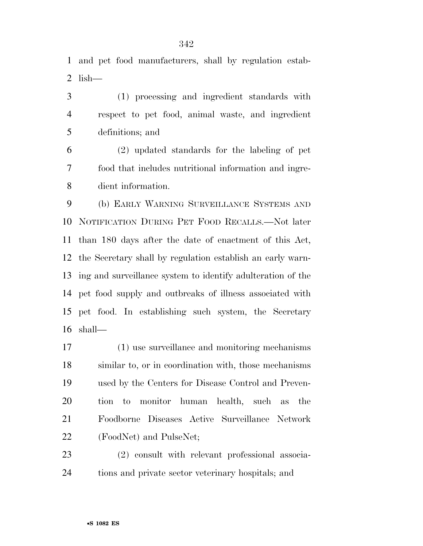and pet food manufacturers, shall by regulation estab-2 lish— $-$ 

 (1) processing and ingredient standards with respect to pet food, animal waste, and ingredient definitions; and

 (2) updated standards for the labeling of pet food that includes nutritional information and ingre-dient information.

 (b) EARLY WARNING SURVEILLANCE SYSTEMS AND NOTIFICATION DURING PET FOOD RECALLS.—Not later than 180 days after the date of enactment of this Act, the Secretary shall by regulation establish an early warn- ing and surveillance system to identify adulteration of the pet food supply and outbreaks of illness associated with pet food. In establishing such system, the Secretary shall—

 (1) use surveillance and monitoring mechanisms similar to, or in coordination with, those mechanisms used by the Centers for Disease Control and Preven- tion to monitor human health, such as the Foodborne Diseases Active Surveillance Network (FoodNet) and PulseNet;

 (2) consult with relevant professional associa-tions and private sector veterinary hospitals; and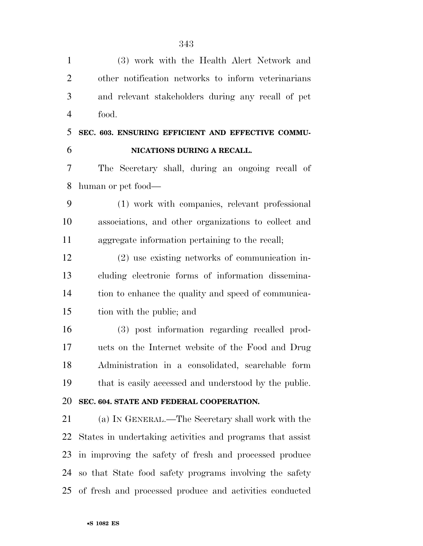(3) work with the Health Alert Network and other notification networks to inform veterinarians and relevant stakeholders during any recall of pet food. **SEC. 603. ENSURING EFFICIENT AND EFFECTIVE COMMU- NICATIONS DURING A RECALL.**  The Secretary shall, during an ongoing recall of human or pet food— (1) work with companies, relevant professional associations, and other organizations to collect and aggregate information pertaining to the recall; (2) use existing networks of communication in- cluding electronic forms of information dissemina- tion to enhance the quality and speed of communica- tion with the public; and (3) post information regarding recalled prod- ucts on the Internet website of the Food and Drug Administration in a consolidated, searchable form that is easily accessed and understood by the public. **SEC. 604. STATE AND FEDERAL COOPERATION.**  (a) IN GENERAL.—The Secretary shall work with the States in undertaking activities and programs that assist in improving the safety of fresh and processed produce so that State food safety programs involving the safety of fresh and processed produce and activities conducted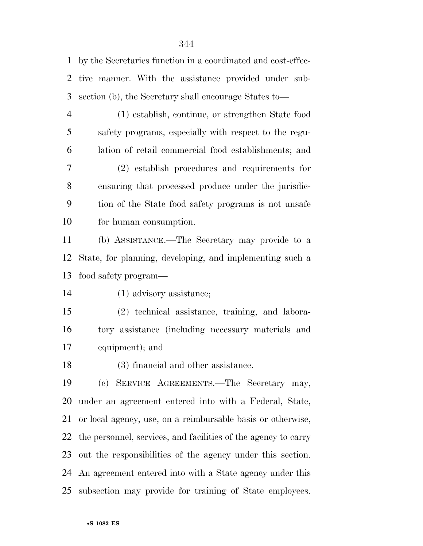by the Secretaries function in a coordinated and cost-effec- tive manner. With the assistance provided under sub-section (b), the Secretary shall encourage States to—

(1) establish, continue, or strengthen State food

 safety programs, especially with respect to the regu- lation of retail commercial food establishments; and (2) establish procedures and requirements for ensuring that processed produce under the jurisdic- tion of the State food safety programs is not unsafe for human consumption.

 (b) ASSISTANCE.—The Secretary may provide to a State, for planning, developing, and implementing such a food safety program—

(1) advisory assistance;

 (2) technical assistance, training, and labora- tory assistance (including necessary materials and equipment); and

(3) financial and other assistance.

 (c) SERVICE AGREEMENTS.—The Secretary may, under an agreement entered into with a Federal, State, or local agency, use, on a reimbursable basis or otherwise, the personnel, services, and facilities of the agency to carry out the responsibilities of the agency under this section. An agreement entered into with a State agency under this subsection may provide for training of State employees.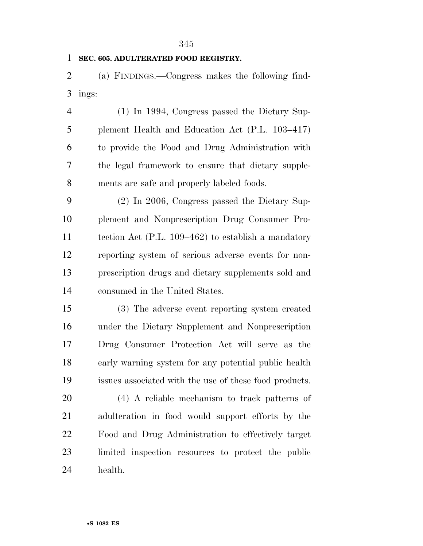### **SEC. 605. ADULTERATED FOOD REGISTRY.**

 (a) FINDINGS.—Congress makes the following find-ings:

 (1) In 1994, Congress passed the Dietary Sup- plement Health and Education Act (P.L. 103–417) to provide the Food and Drug Administration with the legal framework to ensure that dietary supple-ments are safe and properly labeled foods.

 (2) In 2006, Congress passed the Dietary Sup- plement and Nonprescription Drug Consumer Pro- tection Act (P.L. 109–462) to establish a mandatory reporting system of serious adverse events for non- prescription drugs and dietary supplements sold and consumed in the United States.

 (3) The adverse event reporting system created under the Dietary Supplement and Nonprescription Drug Consumer Protection Act will serve as the early warning system for any potential public health issues associated with the use of these food products.

 (4) A reliable mechanism to track patterns of adulteration in food would support efforts by the Food and Drug Administration to effectively target limited inspection resources to protect the public health.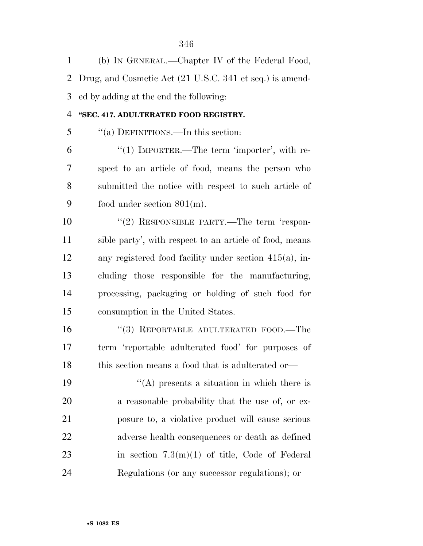| $\mathbf{1}$   | (b) IN GENERAL.—Chapter IV of the Federal Food,           |
|----------------|-----------------------------------------------------------|
| $\overline{2}$ | Drug, and Cosmetic Act (21 U.S.C. 341 et seq.) is amend-  |
| 3              | ed by adding at the end the following:                    |
| $\overline{4}$ | "SEC. 417. ADULTERATED FOOD REGISTRY.                     |
| 5              | "(a) DEFINITIONS.—In this section:                        |
| 6              | "(1) IMPORTER.—The term 'importer', with re-              |
| 7              | spect to an article of food, means the person who         |
| 8              | submitted the notice with respect to such article of      |
| 9              | food under section $801(m)$ .                             |
| 10             | "(2) RESPONSIBLE PARTY.—The term 'respon-                 |
| 11             | sible party', with respect to an article of food, means   |
| 12             | any registered food facility under section $415(a)$ , in- |
| 13             | cluding those responsible for the manufacturing,          |
| 14             | processing, packaging or holding of such food for         |
| 15             | consumption in the United States.                         |
| 16             | "(3) REPORTABLE ADULTERATED FOOD.—The                     |
| 17             | term 'reportable adulterated food' for purposes of        |
| 18             | this section means a food that is adulterated or-         |
| 19             | $\lq\lq$ presents a situation in which there is           |
| 20             | a reasonable probability that the use of, or ex-          |
| 21             | posure to, a violative product will cause serious         |
| 22             | adverse health consequences or death as defined           |
| 23             | in section $7.3(m)(1)$ of title, Code of Federal          |
| 24             | Regulations (or any successor regulations); or            |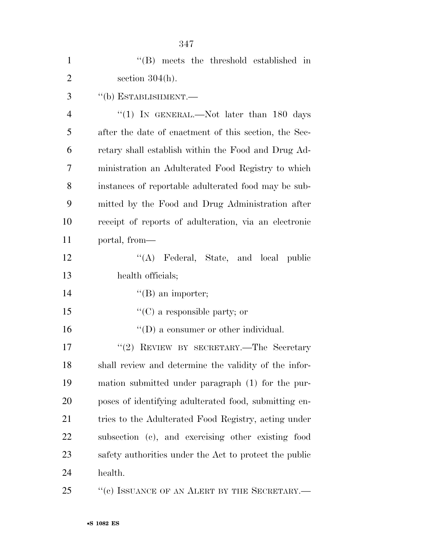| $\mathbf{1}$   | "(B) meets the threshold established in                |
|----------------|--------------------------------------------------------|
| $\overline{2}$ | section $304(h)$ .                                     |
| 3              | $``$ (b) ESTABLISHMENT.—                               |
| $\overline{4}$ | "(1) IN GENERAL.—Not later than 180 days               |
| 5              | after the date of enactment of this section, the Sec-  |
| 6              | retary shall establish within the Food and Drug Ad-    |
| 7              | ministration an Adulterated Food Registry to which     |
| 8              | instances of reportable adulterated food may be sub-   |
| 9              | mitted by the Food and Drug Administration after       |
| 10             | receipt of reports of adulteration, via an electronic  |
| 11             | portal, from—                                          |
| 12             | "(A) Federal, State, and local public                  |
| 13             | health officials;                                      |
| 14             | $\lq\lq(B)$ an importer;                               |
| 15             | $\lq\lq$ (C) a responsible party; or                   |
| 16             | $\lq\lq$ (D) a consumer or other individual.           |
| 17             | "(2) REVIEW BY SECRETARY.—The Secretary                |
| 18             | shall review and determine the validity of the infor-  |
| 19             | mation submitted under paragraph (1) for the pur-      |
| 20             | poses of identifying adulterated food, submitting en-  |
| 21             | tries to the Adulterated Food Registry, acting under   |
| 22             | subsection (c), and exercising other existing food     |
| 23             | safety authorities under the Act to protect the public |
| 24             | health.                                                |
|                |                                                        |

25 "(c) ISSUANCE OF AN ALERT BY THE SECRETARY.—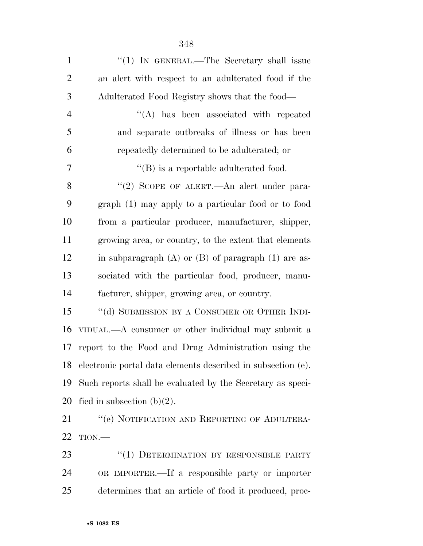| $\mathbf{1}$   | " $(1)$ IN GENERAL.—The Secretary shall issue                   |
|----------------|-----------------------------------------------------------------|
| $\overline{2}$ | an alert with respect to an adulterated food if the             |
| 3              | Adulterated Food Registry shows that the food—                  |
| $\overline{4}$ | $\lq\lq$ has been associated with repeated                      |
| 5              | and separate outbreaks of illness or has been                   |
| 6              | repeatedly determined to be adulterated; or                     |
| $\tau$         | $\lq\lq$ is a reportable adulterated food.                      |
| 8              | "(2) SCOPE OF ALERT.—An alert under para-                       |
| 9              | graph (1) may apply to a particular food or to food             |
| 10             | from a particular producer, manufacturer, shipper,              |
| 11             | growing area, or country, to the extent that elements           |
| 12             | in subparagraph $(A)$ or $(B)$ of paragraph $(1)$ are as-       |
| 13             | sociated with the particular food, producer, manu-              |
| 14             | facturer, shipper, growing area, or country.                    |
| 15             | "(d) SUBMISSION BY A CONSUMER OR OTHER INDI-                    |
| 16             | VIDUAL.—A consumer or other individual may submit a             |
| 17             | report to the Food and Drug Administration using the            |
|                | 18 electronic portal data elements described in subsection (e). |
| 19             | Such reports shall be evaluated by the Secretary as speci-      |
| 20             | fied in subsection $(b)(2)$ .                                   |
| 21             | "(e) NOTIFICATION AND REPORTING OF ADULTERA-                    |
| 22             | TION.                                                           |
| 23             | "(1) DETERMINATION BY RESPONSIBLE PARTY                         |
| 24             | OR IMPORTER.—If a responsible party or importer                 |
| 25             | determines that an article of food it produced, proc-           |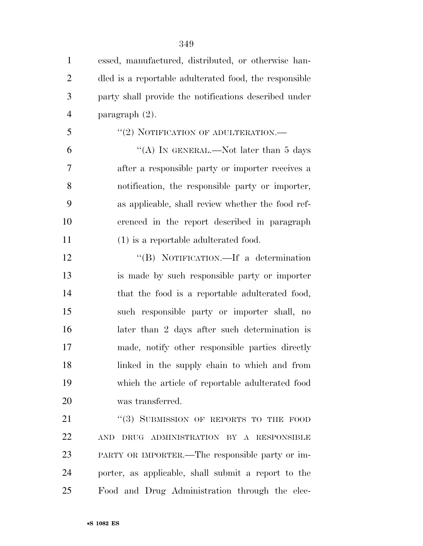| $\mathbf{1}$   | essed, manufactured, distributed, or otherwise han-    |
|----------------|--------------------------------------------------------|
| $\overline{2}$ | dled is a reportable adulterated food, the responsible |
| 3              | party shall provide the notifications described under  |
| $\overline{4}$ | paragraph $(2)$ .                                      |
| 5              | "(2) NOTIFICATION OF ADULTERATION.—                    |
| 6              | "(A) IN GENERAL.—Not later than $5$ days               |
| 7              | after a responsible party or importer receives a       |
| 8              | notification, the responsible party or importer,       |
| 9              | as applicable, shall review whether the food ref-      |
| 10             | erenced in the report described in paragraph           |
| 11             | $(1)$ is a reportable adulterated food.                |
| 12             | "(B) NOTIFICATION.—If a determination                  |
| 13             | is made by such responsible party or importer          |
| 14             | that the food is a reportable adulterated food,        |
| 15             | such responsible party or importer shall, no           |
| 16             | later than 2 days after such determination is          |
| 17             | made, notify other responsible parties directly        |
| 18             | linked in the supply chain to which and from           |
| 19             | which the article of reportable adulterated food       |
| 20             | was transferred.                                       |
| 21             | "(3) SUBMISSION OF REPORTS TO THE FOOD                 |
| 22             | DRUG ADMINISTRATION BY A RESPONSIBLE<br><b>AND</b>     |
| 23             | PARTY OR IMPORTER.—The responsible party or im-        |
| 24             | porter, as applicable, shall submit a report to the    |
| 25             | Food and Drug Administration through the elec-         |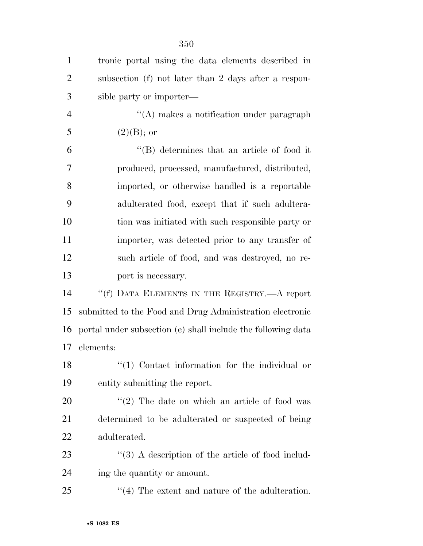| $\mathbf{1}$   | tronic portal using the data elements described in           |
|----------------|--------------------------------------------------------------|
| $\overline{2}$ | subsection (f) not later than 2 days after a respon-         |
| 3              | sible party or importer—                                     |
| $\overline{4}$ | "(A) makes a notification under paragraph                    |
| 5              | $(2)(B);$ or                                                 |
| 6              | $\lq\lq$ determines that an article of food it               |
| 7              | produced, processed, manufactured, distributed,              |
| 8              | imported, or otherwise handled is a reportable               |
| 9              | adulterated food, except that if such adultera-              |
| 10             | tion was initiated with such responsible party or            |
| 11             | importer, was detected prior to any transfer of              |
| 12             | such article of food, and was destroyed, no re-              |
| 13             | port is necessary.                                           |
| 14             | "(f) DATA ELEMENTS IN THE REGISTRY.—A report                 |
| 15             | submitted to the Food and Drug Administration electronic     |
| 16             | portal under subsection (e) shall include the following data |
| 17             | elements:                                                    |
| 18             | "(1) Contact information for the individual or               |
| 19             | entity submitting the report.                                |
| 20             | $\lq(2)$ The date on which an article of food was            |
| 21             | determined to be adulterated or suspected of being           |
| 22             | adulterated.                                                 |
| 23             | $\lq(3)$ A description of the article of food includ-        |
| 24             | ing the quantity or amount.                                  |
| 25             | $\cdot$ (4) The extent and nature of the adulteration.       |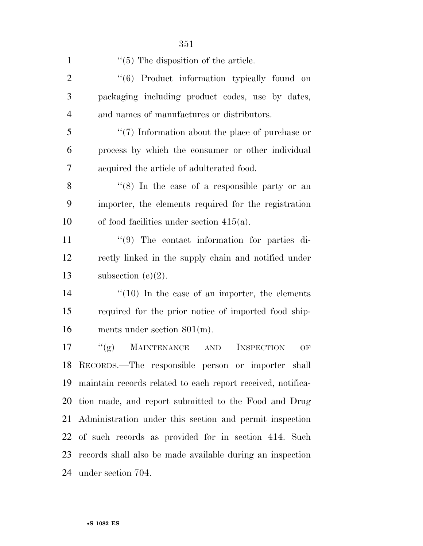| $\mathbf{1}$   | $\cdot$ (5) The disposition of the article.                 |
|----------------|-------------------------------------------------------------|
| $\overline{2}$ | "(6) Product information typically found on                 |
| 3              | packaging including product codes, use by dates,            |
| $\overline{4}$ | and names of manufactures or distributors.                  |
| 5              | $\lq(7)$ Information about the place of purchase or         |
| 6              | process by which the consumer or other individual           |
| $\overline{7}$ | acquired the article of adulterated food.                   |
| 8              | " $(8)$ In the case of a responsible party or an            |
| 9              | importer, the elements required for the registration        |
| 10             | of food facilities under section $415(a)$ .                 |
| 11             | $\lq(9)$ The contact information for parties di-            |
| 12             | rectly linked in the supply chain and notified under        |
| 13             | subsection $(e)(2)$ .                                       |
| 14             | $\cdot\cdot(10)$ In the case of an importer, the elements   |
| 15             | required for the prior notice of imported food ship-        |
| 16             | ments under section $801(m)$ .                              |
| 17             | <b>MAINTENANCE</b><br>``(g)<br>INSPECTION<br>AND<br>OF      |
|                | 18 RECORDS.—The responsible person or importer shall        |
| 19             | maintain records related to each report received, notifica- |
| 20             | tion made, and report submitted to the Food and Drug        |
|                | 21 Administration under this section and permit inspection  |
| 22             | of such records as provided for in section 414. Such        |
| 23             | records shall also be made available during an inspection   |
|                | 24 under section 704.                                       |
|                |                                                             |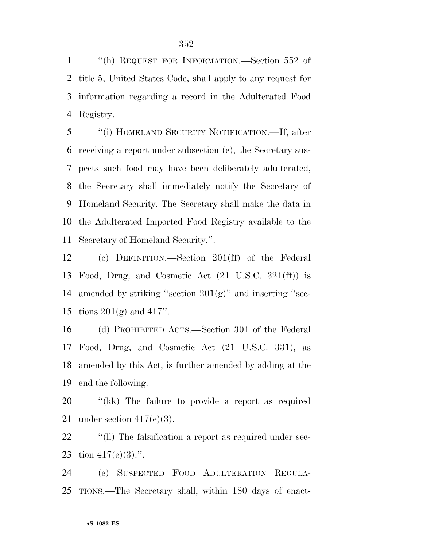''(h) REQUEST FOR INFORMATION.—Section 552 of title 5, United States Code, shall apply to any request for information regarding a record in the Adulterated Food Registry.

 ''(i) HOMELAND SECURITY NOTIFICATION.—If, after receiving a report under subsection (e), the Secretary sus- pects such food may have been deliberately adulterated, the Secretary shall immediately notify the Secretary of Homeland Security. The Secretary shall make the data in the Adulterated Imported Food Registry available to the Secretary of Homeland Security.''.

 (c) DEFINITION.—Section 201(ff) of the Federal Food, Drug, and Cosmetic Act (21 U.S.C. 321(ff)) is 14 amended by striking "section  $201(g)$ " and inserting "sec-tions 201(g) and 417''.

 (d) PROHIBITED ACTS.—Section 301 of the Federal Food, Drug, and Cosmetic Act (21 U.S.C. 331), as amended by this Act, is further amended by adding at the end the following:

 ''(kk) The failure to provide a report as required 21 under section  $417(e)(3)$ .

22 <sup>''</sup>(ll) The falsification a report as required under sec-23 tion  $417(e)(3)$ .".

 (e) SUSPECTED FOOD ADULTERATION REGULA-TIONS.—The Secretary shall, within 180 days of enact-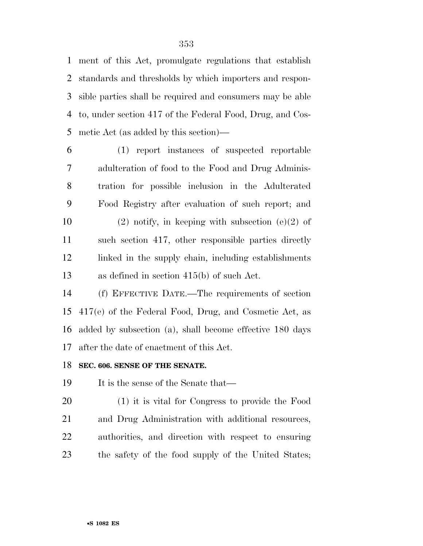ment of this Act, promulgate regulations that establish standards and thresholds by which importers and respon- sible parties shall be required and consumers may be able to, under section 417 of the Federal Food, Drug, and Cos-metic Act (as added by this section)—

 (1) report instances of suspected reportable adulteration of food to the Food and Drug Adminis- tration for possible inclusion in the Adulterated Food Registry after evaluation of such report; and 10 (2) notify, in keeping with subsection (e)(2) of such section 417, other responsible parties directly linked in the supply chain, including establishments as defined in section 415(b) of such Act.

 (f) EFFECTIVE DATE.—The requirements of section 417(e) of the Federal Food, Drug, and Cosmetic Act, as added by subsection (a), shall become effective 180 days after the date of enactment of this Act.

### **SEC. 606. SENSE OF THE SENATE.**

19 It is the sense of the Senate that—

 (1) it is vital for Congress to provide the Food and Drug Administration with additional resources, authorities, and direction with respect to ensuring the safety of the food supply of the United States;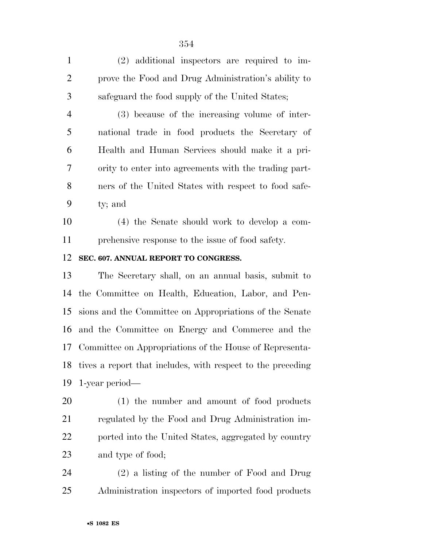(2) additional inspectors are required to im- prove the Food and Drug Administration's ability to safeguard the food supply of the United States;

 (3) because of the increasing volume of inter- national trade in food products the Secretary of Health and Human Services should make it a pri- ority to enter into agreements with the trading part- ners of the United States with respect to food safe-ty; and

 (4) the Senate should work to develop a com-prehensive response to the issue of food safety.

### **SEC. 607. ANNUAL REPORT TO CONGRESS.**

 The Secretary shall, on an annual basis, submit to the Committee on Health, Education, Labor, and Pen- sions and the Committee on Appropriations of the Senate and the Committee on Energy and Commerce and the Committee on Appropriations of the House of Representa- tives a report that includes, with respect to the preceding 1-year period—

 (1) the number and amount of food products regulated by the Food and Drug Administration im- ported into the United States, aggregated by country and type of food;

 (2) a listing of the number of Food and Drug Administration inspectors of imported food products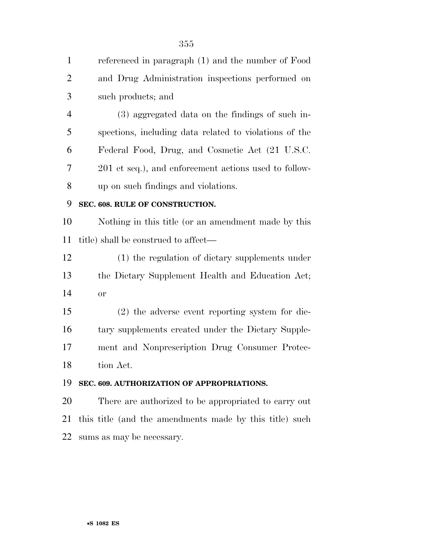| $\mathbf{1}$   | referenced in paragraph (1) and the number of Food      |
|----------------|---------------------------------------------------------|
| $\overline{2}$ | and Drug Administration inspections performed on        |
| 3              | such products; and                                      |
| $\overline{4}$ | (3) aggregated data on the findings of such in-         |
| 5              | spections, including data related to violations of the  |
| 6              | Federal Food, Drug, and Cosmetic Act (21 U.S.C.         |
| 7              | 201 et seq.), and enforcement actions used to follow-   |
| 8              | up on such findings and violations.                     |
| 9              | SEC. 608. RULE OF CONSTRUCTION.                         |
| 10             | Nothing in this title (or an amendment made by this     |
| 11             | title) shall be construed to affect—                    |
| 12             | (1) the regulation of dietary supplements under         |
| 13             | the Dietary Supplement Health and Education Act;        |
| 14             | <b>or</b>                                               |
| 15             | $(2)$ the adverse event reporting system for die-       |
| 16             | tary supplements created under the Dietary Supple-      |
| 17             | ment and Nonprescription Drug Consumer Protec-          |
| 18             | tion Act.                                               |
| 19             | SEC. 609. AUTHORIZATION OF APPROPRIATIONS.              |
| 20             | There are authorized to be appropriated to carry out    |
|                |                                                         |
| 21             | this title (and the amendments made by this title) such |

#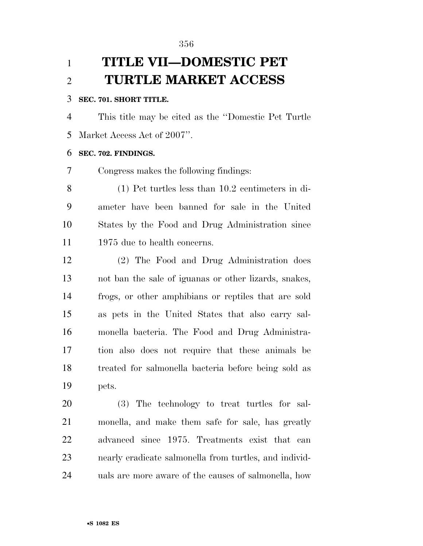# **TITLE VII—DOMESTIC PET TURTLE MARKET ACCESS**

### **SEC. 701. SHORT TITLE.**

 This title may be cited as the ''Domestic Pet Turtle Market Access Act of 2007''.

#### **SEC. 702. FINDINGS.**

Congress makes the following findings:

 (1) Pet turtles less than 10.2 centimeters in di- ameter have been banned for sale in the United States by the Food and Drug Administration since 11 1975 due to health concerns.

 (2) The Food and Drug Administration does not ban the sale of iguanas or other lizards, snakes, frogs, or other amphibians or reptiles that are sold as pets in the United States that also carry sal- monella bacteria. The Food and Drug Administra- tion also does not require that these animals be treated for salmonella bacteria before being sold as pets.

 (3) The technology to treat turtles for sal- monella, and make them safe for sale, has greatly advanced since 1975. Treatments exist that can nearly eradicate salmonella from turtles, and individ-uals are more aware of the causes of salmonella, how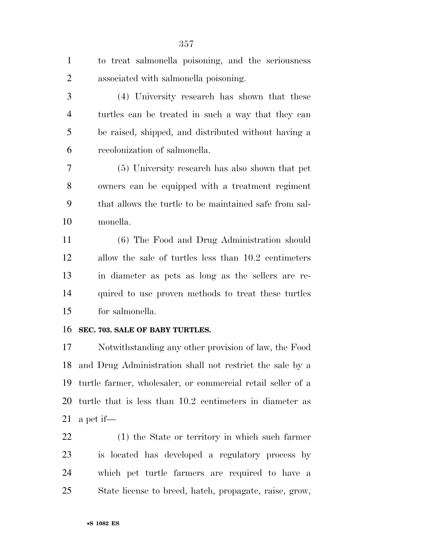to treat salmonella poisoning, and the seriousness associated with salmonella poisoning.

 (4) University research has shown that these turtles can be treated in such a way that they can be raised, shipped, and distributed without having a recolonization of salmonella.

 (5) University research has also shown that pet owners can be equipped with a treatment regiment that allows the turtle to be maintained safe from sal-monella.

 (6) The Food and Drug Administration should allow the sale of turtles less than 10.2 centimeters in diameter as pets as long as the sellers are re- quired to use proven methods to treat these turtles for salmonella.

### **SEC. 703. SALE OF BABY TURTLES.**

 Notwithstanding any other provision of law, the Food and Drug Administration shall not restrict the sale by a turtle farmer, wholesaler, or commercial retail seller of a turtle that is less than 10.2 centimeters in diameter as 21 a pet if—

 (1) the State or territory in which such farmer is located has developed a regulatory process by which pet turtle farmers are required to have a State license to breed, hatch, propagate, raise, grow,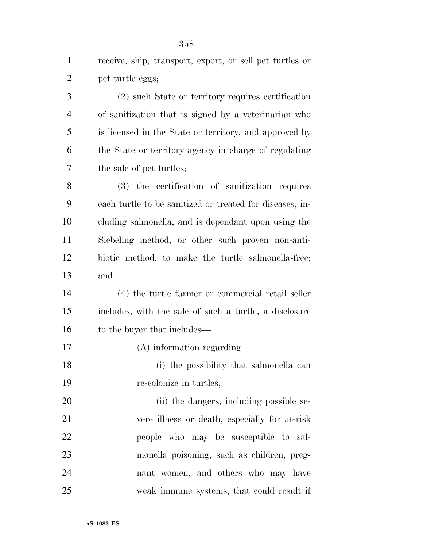receive, ship, transport, export, or sell pet turtles or pet turtle eggs;

 (2) such State or territory requires certification of sanitization that is signed by a veterinarian who is licensed in the State or territory, and approved by the State or territory agency in charge of regulating the sale of pet turtles;

 (3) the certification of sanitization requires each turtle to be sanitized or treated for diseases, in- cluding salmonella, and is dependant upon using the Siebeling method, or other such proven non-anti- biotic method, to make the turtle salmonella-free; and

 (4) the turtle farmer or commercial retail seller includes, with the sale of such a turtle, a disclosure 16 to the buyer that includes—

(A) information regarding—

 (i) the possibility that salmonella can re-colonize in turtles;

20 (ii) the dangers, including possible se- vere illness or death, especially for at-risk people who may be susceptible to sal- monella poisoning, such as children, preg- nant women, and others who may have weak immune systems, that could result if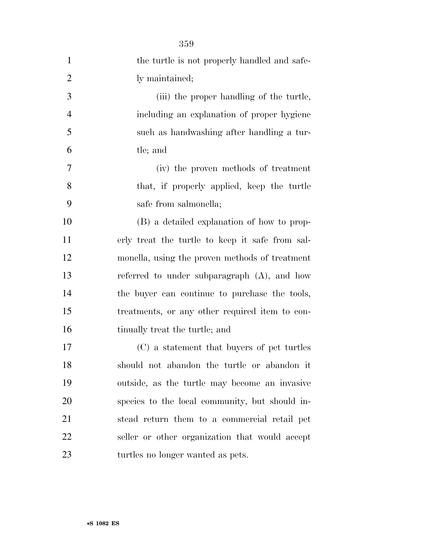| $\mathbf{1}$   | the turtle is not properly handled and safe-    |
|----------------|-------------------------------------------------|
| $\overline{2}$ | ly maintained;                                  |
| 3              | (iii) the proper handling of the turtle,        |
| $\overline{4}$ | including an explanation of proper hygiene      |
| 5              | such as handwashing after handling a tur-       |
| 6              | tle; and                                        |
| 7              | (iv) the proven methods of treatment            |
| 8              | that, if properly applied, keep the turtle      |
| 9              | safe from salmonella;                           |
| 10             | (B) a detailed explanation of how to prop-      |
| 11             | erly treat the turtle to keep it safe from sal- |
| 12             | monella, using the proven methods of treatment  |
| 13             | referred to under subparagraph $(A)$ , and how  |
| 14             | the buyer can continue to purchase the tools,   |
| 15             | treatments, or any other required item to con-  |
| 16             | tinually treat the turtle; and                  |
| 17             | (C) a statement that buyers of pet turtles      |
| 18             | should not abandon the turtle or abandon it     |
| 19             | outside, as the turtle may become an invasive   |
| 20             | species to the local community, but should in-  |
| 21             | stead return them to a commercial retail pet    |
| 22             | seller or other organization that would accept  |
| 23             | turtles no longer wanted as pets.               |

•**S 1082 ES**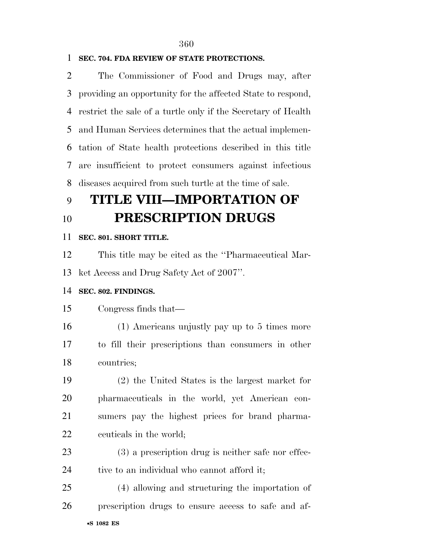### **SEC. 704. FDA REVIEW OF STATE PROTECTIONS.**

 The Commissioner of Food and Drugs may, after providing an opportunity for the affected State to respond, restrict the sale of a turtle only if the Secretary of Health and Human Services determines that the actual implemen- tation of State health protections described in this title are insufficient to protect consumers against infectious diseases acquired from such turtle at the time of sale.

# **TITLE VIII—IMPORTATION OF PRESCRIPTION DRUGS**

#### **SEC. 801. SHORT TITLE.**

 This title may be cited as the ''Pharmaceutical Mar-ket Access and Drug Safety Act of 2007''.

#### **SEC. 802. FINDINGS.**

#### Congress finds that—

 (1) Americans unjustly pay up to 5 times more to fill their prescriptions than consumers in other countries;

 (2) the United States is the largest market for pharmaceuticals in the world, yet American con- sumers pay the highest prices for brand pharma-ceuticals in the world;

 (3) a prescription drug is neither safe nor effec-tive to an individual who cannot afford it;

•**S 1082 ES** (4) allowing and structuring the importation of prescription drugs to ensure access to safe and af-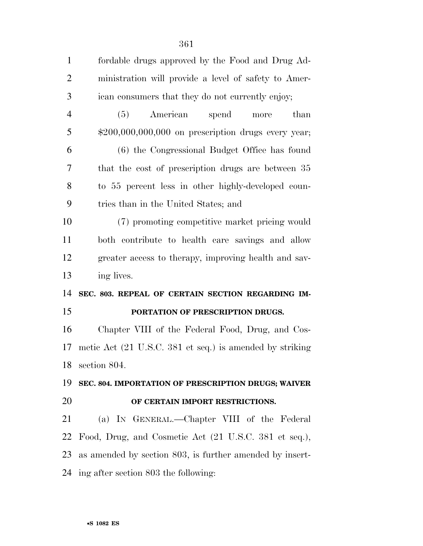| $\mathbf{1}$   | fordable drugs approved by the Food and Drug Ad-         |
|----------------|----------------------------------------------------------|
| $\overline{2}$ | ministration will provide a level of safety to Amer-     |
| 3              | ican consumers that they do not currently enjoy;         |
| $\overline{4}$ | American<br>spend<br>than<br>(5)<br>more                 |
| 5              | $$200,000,000,000$ on prescription drugs every year;     |
| 6              | (6) the Congressional Budget Office has found            |
| 7              | that the cost of prescription drugs are between 35       |
| 8              | to 55 percent less in other highly-developed coun-       |
| 9              | tries than in the United States; and                     |
| 10             | (7) promoting competitive market pricing would           |
| 11             | both contribute to health care savings and allow         |
| 12             | greater access to therapy, improving health and sav-     |
| 13             | ing lives.                                               |
| 14             | SEC. 803. REPEAL OF CERTAIN SECTION REGARDING IM-        |
| 15             | PORTATION OF PRESCRIPTION DRUGS.                         |
| 16             | Chapter VIII of the Federal Food, Drug, and Cos-         |
| 17             | metic Act (21 U.S.C. 381 et seq.) is amended by striking |
| 18             | section 804.                                             |
| 19             | SEC. 804. IMPORTATION OF PRESCRIPTION DRUGS; WAIVER      |
| 20             | OF CERTAIN IMPORT RESTRICTIONS.                          |
| 21             | (a) IN GENERAL.—Chapter VIII of the Federal              |
| 22             | Food, Drug, and Cosmetic Act (21 U.S.C. 381 et seq.),    |
|                |                                                          |
| 23             | as amended by section 803, is further amended by insert- |
|                | 24 ing after section 803 the following:                  |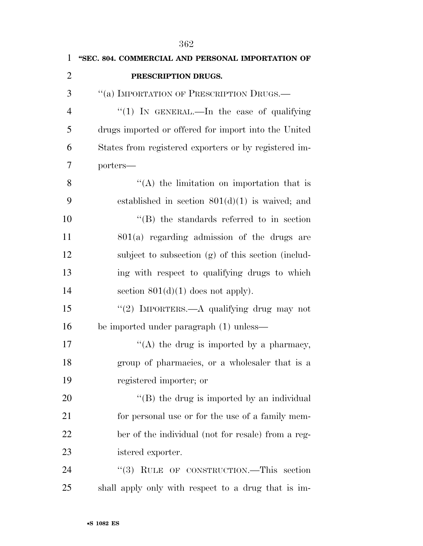| $\mathbf{1}$   | "SEC. 804. COMMERCIAL AND PERSONAL IMPORTATION OF     |
|----------------|-------------------------------------------------------|
| $\overline{2}$ | PRESCRIPTION DRUGS.                                   |
| 3              | "(a) IMPORTATION OF PRESCRIPTION DRUGS.-              |
| $\overline{4}$ | "(1) IN GENERAL.—In the case of qualifying            |
| 5              | drugs imported or offered for import into the United  |
| 6              | States from registered exporters or by registered im- |
| 7              | porters-                                              |
| 8              | $\lq\lq$ the limitation on importation that is        |
| 9              | established in section $801(d)(1)$ is waived; and     |
| 10             | $\lq\lq$ the standards referred to in section         |
| 11             | $801(a)$ regarding admission of the drugs are         |
| 12             | subject to subsection (g) of this section (includ-    |
| 13             | ing with respect to qualifying drugs to which         |
| 14             | section $801(d)(1)$ does not apply).                  |
| 15             | "(2) IMPORTERS.—A qualifying drug may not             |
| 16             | be imported under paragraph (1) unless—               |
| 17             | "(A) the drug is imported by a pharmacy,              |
| 18             | group of pharmacies, or a wholesaler that is a        |
| 19             | registered importer; or                               |
| 20             | $\lq\lq$ the drug is imported by an individual        |
| 21             | for personal use or for the use of a family mem-      |
| 22             | ber of the individual (not for resale) from a reg-    |
| 23             | istered exporter.                                     |
| 24             | "(3) RULE OF CONSTRUCTION.—This section               |
| 25             | shall apply only with respect to a drug that is im-   |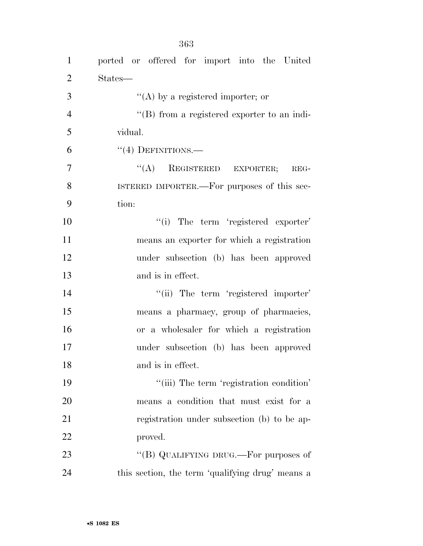| $\mathbf{1}$   | ported or offered for import into the United        |
|----------------|-----------------------------------------------------|
| $\overline{2}$ | States—                                             |
| 3              | "(A) by a registered importer; or                   |
| $\overline{4}$ | $\lq\lq (B)$ from a registered exporter to an indi- |
| 5              | vidual.                                             |
| 6              | $``(4)$ DEFINITIONS.—                               |
| $\overline{7}$ | $\lq\lq (A)$ REGISTERED EXPORTER;<br>$REG-$         |
| 8              | ISTERED IMPORTER.—For purposes of this sec-         |
| 9              | tion:                                               |
| 10             | "(i) The term 'registered exporter'                 |
| 11             | means an exporter for which a registration          |
| 12             | under subsection (b) has been approved              |
| 13             | and is in effect.                                   |
| 14             | "(ii) The term 'registered importer'                |
| 15             | means a pharmacy, group of pharmacies,              |
| 16             | or a wholesaler for which a registration            |
| 17             | under subsection (b) has been approved              |
| 18             | and is in effect.                                   |
| 19             | "(iii) The term 'registration condition'            |
| 20             | means a condition that must exist for a             |
| 21             | registration under subsection (b) to be ap-         |
| 22             | proved.                                             |
| 23             | "(B) QUALIFYING DRUG.—For purposes of               |
| 24             | this section, the term 'qualifying drug' means a    |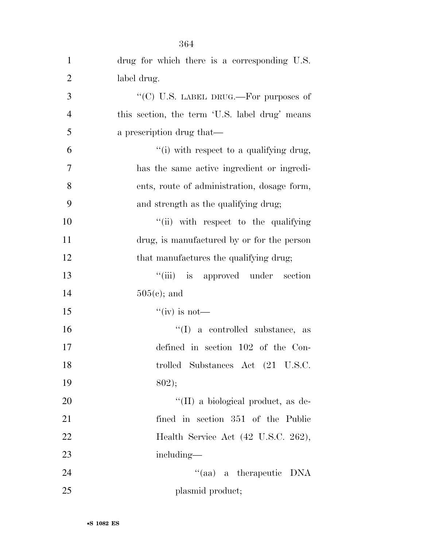| $\mathbf{1}$   | drug for which there is a corresponding U.S.   |
|----------------|------------------------------------------------|
| $\overline{2}$ | label drug.                                    |
| 3              | "(C) U.S. LABEL DRUG.—For purposes of          |
| $\overline{4}$ | this section, the term 'U.S. label drug' means |
| 5              | a prescription drug that—                      |
| 6              | "(i) with respect to a qualifying drug,        |
| 7              | has the same active ingredient or ingredi-     |
| 8              | ents, route of administration, dosage form,    |
| 9              | and strength as the qualifying drug;           |
| 10             | "(ii) with respect to the qualifying           |
| 11             | drug, is manufactured by or for the person     |
| 12             | that manufactures the qualifying drug;         |
| 13             | "(iii) is approved under section               |
| 14             | $505(c)$ ; and                                 |
| 15             | "(iv) is not—                                  |
| 16             | $\lq\lq$ (I) a controlled substance, as        |
| 17             | defined in section 102 of the Con-             |
| 18             | trolled Substances Act (21 U.S.C.              |
| 19             | 802);                                          |
| 20             | "(II) a biological product, as de-             |
| 21             | fined in section 351 of the Public             |
| 22             | Health Service Act (42 U.S.C. 262),            |
| 23             | including—                                     |
| 24             | "(aa) a therapeutic DNA                        |
| 25             | plasmid product;                               |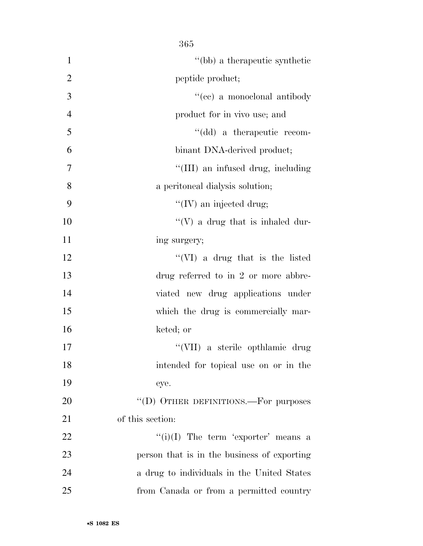|                | 365                                         |
|----------------|---------------------------------------------|
| $\mathbf{1}$   | "(bb) a therapeutic synthetic               |
| $\overline{2}$ | peptide product;                            |
| 3              | "(cc) a monoclonal antibody                 |
| $\overline{4}$ | product for in vivo use; and                |
| 5              | "(dd) a therapeutic recom-                  |
| 6              | binant DNA-derived product;                 |
| 7              | "(III) an infused drug, including           |
| 8              | a peritoneal dialysis solution;             |
| 9              | "(IV) an injected drug;                     |
| 10             | "(V) a drug that is inhaled dur-            |
| 11             | ing surgery;                                |
| 12             | "(VI) a drug that is the listed             |
| 13             | drug referred to in $2$ or more abbre-      |
| 14             | viated new drug applications under          |
| 15             | which the drug is commercially mar-         |
| 16             | keted; or                                   |
| 17             | "(VII) a sterile opthlamic drug             |
| 18             | intended for topical use on or in the       |
| 19             | eye.                                        |
| 20             | "(D) OTHER DEFINITIONS.—For purposes        |
| 21             | of this section:                            |
| 22             | $``(i)(I)$ The term 'exporter' means a      |
| 23             | person that is in the business of exporting |
| 24             | a drug to individuals in the United States  |
| 25             | from Canada or from a permitted country     |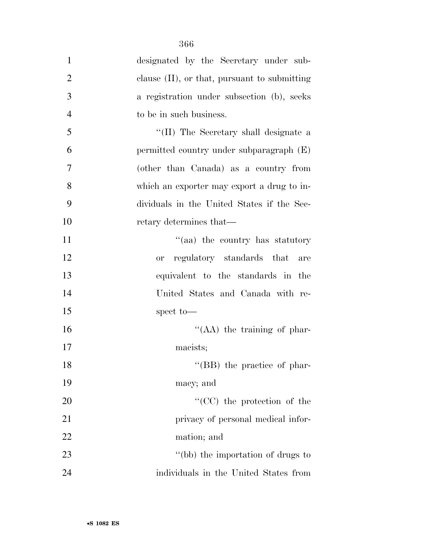| $\mathbf{1}$   | designated by the Secretary under sub-          |
|----------------|-------------------------------------------------|
| $\overline{2}$ | clause $(II)$ , or that, pursuant to submitting |
| 3              | a registration under subsection (b), seeks      |
| $\overline{4}$ | to be in such business.                         |
| 5              | "(II) The Secretary shall designate a           |
| 6              | permitted country under subparagraph (E)        |
| 7              | (other than Canada) as a country from           |
| 8              | which an exporter may export a drug to in-      |
| 9              | dividuals in the United States if the Sec-      |
| 10             | retary determines that—                         |
| 11             | "(aa) the country has statutory                 |
| 12             | regulatory standards that<br>or<br>are          |
| 13             | equivalent to the standards in the              |
| 14             | United States and Canada with re-               |
| 15             | spect to-                                       |
| 16             | $\lq\lq$ (AA) the training of phar-             |
| 17             | macists;                                        |
| 18             | "(BB) the practice of phar-                     |
| 19             | macy; and                                       |
| 20             | "(CC) the protection of the                     |
| 21             | privacy of personal medical infor-              |
| 22             | mation; and                                     |
| 23             | "(bb) the importation of drugs to               |
| 24             | individuals in the United States from           |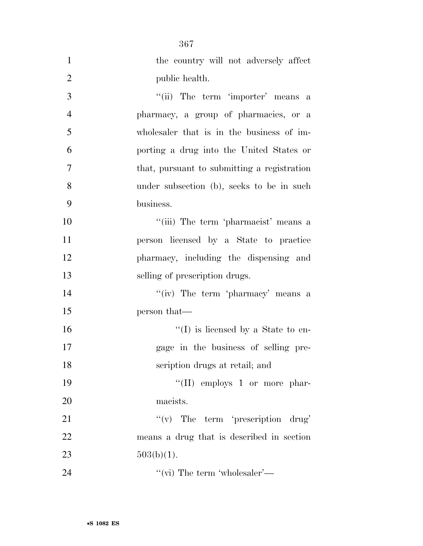|                | 367                                         |
|----------------|---------------------------------------------|
| 1              | the country will not adversely affect       |
| $\overline{2}$ | public health.                              |
| 3              | "(ii) The term 'importer' means a           |
| $\overline{4}$ | pharmacy, a group of pharmacies, or a       |
| 5              | wholesaler that is in the business of im-   |
| 6              | porting a drug into the United States or    |
| 7              | that, pursuant to submitting a registration |
| 8              | under subsection (b), seeks to be in such   |
| 9              | business.                                   |
| 10             | "(iii) The term 'pharmacist' means a        |
| 11             | person licensed by a State to practice      |
| 12             | pharmacy, including the dispensing and      |
| 13             | selling of prescription drugs.              |
| 14             | "(iv) The term 'pharmacy' means a           |
| 15             | person that—                                |
| 16             | $\lq\lq$ (I) is licensed by a State to en-  |
| 17             | gage in the business of selling pre-        |
| 18             | scription drugs at retail; and              |
| 19             | "(II) employs 1 or more phar-               |
| 20             | macists.                                    |
| 21             | $f'(v)$ The term 'prescription drug'        |
| 22             | means a drug that is described in section   |
| 23             | $503(b)(1)$ .                               |
| 24             | "(vi) The term 'wholesaler'—                |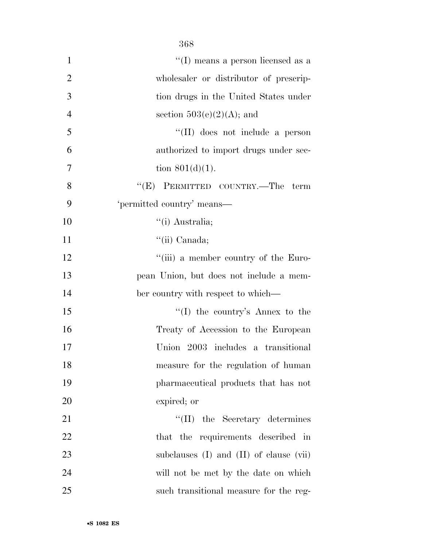|                | 368                                           |
|----------------|-----------------------------------------------|
| 1              | $\lq\lq$ (I) means a person licensed as a     |
| $\overline{2}$ | wholesaler or distributor of prescrip-        |
| 3              | tion drugs in the United States under         |
| $\overline{4}$ | section $503(e)(2)(A)$ ; and                  |
| $\mathfrak{S}$ | "(II) does not include a person               |
| 6              | authorized to import drugs under sec-         |
| $\overline{7}$ | tion $801(d)(1)$ .                            |
| 8              | "(E) PERMITTED COUNTRY.—The term              |
| 9              | 'permitted country' means-                    |
| 10             | $\lq($ i) Australia;                          |
| 11             | "(ii) Canada;                                 |
| 12             | "(iii) a member country of the Euro-          |
| 13             | pean Union, but does not include a mem-       |
| 14             | ber country with respect to which—            |
| 15             | "(I) the country's Annex to the               |
| 16             | Treaty of Accession to the European           |
| 17             | Union 2003 includes a transitional            |
| 18             | measure for the regulation of human           |
| 19             | pharmaceutical products that has not          |
| 20             | expired; or                                   |
| 21             | $\lq\lq$ (II) the Secretary determines        |
| 22             | that the requirements described<br>in         |
| 23             | subclauses $(I)$ and $(II)$ of clause $(vii)$ |
| 24             | will not be met by the date on which          |
| 25             | such transitional measure for the reg-        |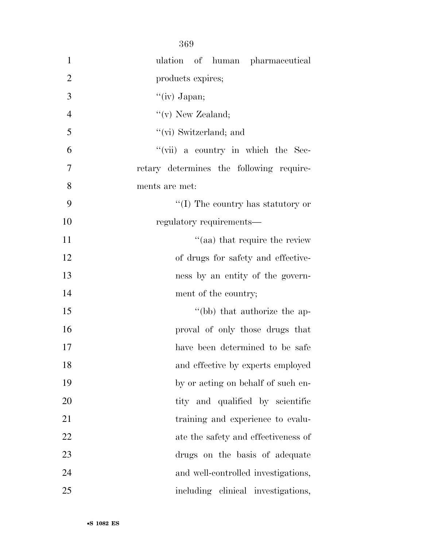|                | 369                                          |
|----------------|----------------------------------------------|
| 1              | ulation of human pharmaceutical              |
| $\overline{2}$ | products expires;                            |
| 3              | " $(iv)$ Japan;                              |
| $\overline{4}$ | "(v) New Zealand;                            |
| 5              | "(vi) Switzerland; and                       |
| 6              | $``(\text{vii})$ a country in which the Sec- |
| 7              | retary determines the following require-     |
| 8              | ments are met:                               |
| 9              | "(I) The country has statutory or            |
| 10             | regulatory requirements—                     |
| 11             | "(aa) that require the review                |
| 12             | of drugs for safety and effective-           |
| 13             | ness by an entity of the govern-             |
| 14             | ment of the country;                         |
| 15             | "(bb) that authorize the ap-                 |
| 16             | proval of only those drugs that              |
| 17             | have been determined to be safe              |
| 18             | and effective by experts employed            |
| 19             | by or acting on behalf of such en-           |
| 20             | tity and qualified by scientific             |
| 21             | training and experience to evalu-            |
| 22             | ate the safety and effectiveness of          |
| 23             | drugs on the basis of adequate               |
| 24             | and well-controlled investigations,          |
| 25             | including clinical investigations,           |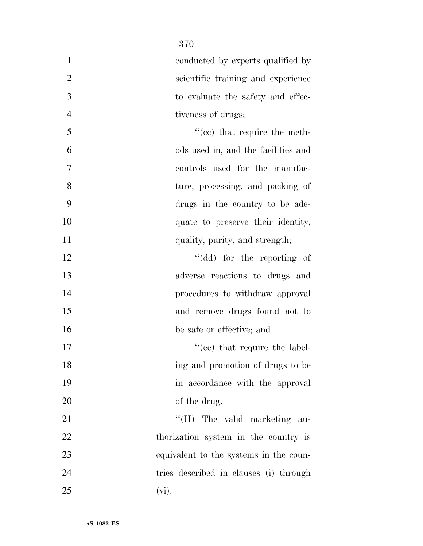| $\mathbf{1}$   | conducted by experts qualified by      |
|----------------|----------------------------------------|
| $\overline{2}$ | scientific training and experience     |
| 3              | to evaluate the safety and effec-      |
| $\overline{4}$ | tiveness of drugs;                     |
| 5              | $\cdot$ (ce) that require the meth-    |
| 6              | ods used in, and the facilities and    |
| 7              | controls used for the manufac-         |
| 8              | ture, processing, and packing of       |
| 9              | drugs in the country to be ade-        |
| 10             | quate to preserve their identity,      |
| 11             | quality, purity, and strength;         |
| 12             | "(dd) for the reporting of             |
| 13             | adverse reactions to drugs and         |
| 14             | procedures to withdraw approval        |
| 15             | and remove drugs found not to          |
| 16             | be safe or effective; and              |
| 17             | "(ee) that require the label-          |
| 18             | ing and promotion of drugs to be       |
| 19             | in accordance with the approval        |
| 20             | of the drug.                           |
| 21             | "(II) The valid marketing au-          |
| 22             | thorization system in the country is   |
| 23             | equivalent to the systems in the coun- |
| 24             | tries described in clauses (i) through |
| 25             | $(vi)$ .                               |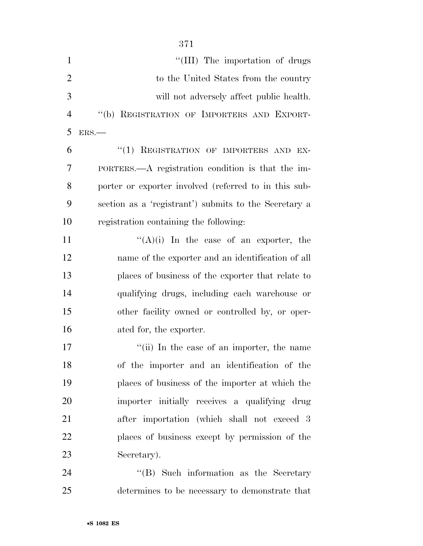| $\mathbf{1}$   | "(III) The importation of drugs                       |
|----------------|-------------------------------------------------------|
| $\overline{2}$ | to the United States from the country                 |
| 3              | will not adversely affect public health.              |
| $\overline{4}$ | "(b) REGISTRATION OF IMPORTERS AND EXPORT-            |
| 5              | ERS.                                                  |
| 6              | "(1) REGISTRATION OF IMPORTERS AND EX-                |
| 7              | PORTERS.—A registration condition is that the im-     |
| 8              | porter or exporter involved (referred to in this sub- |
| 9              | section as a 'registrant') submits to the Secretary a |
| 10             | registration containing the following:                |
| 11             | " $(A)(i)$ In the case of an exporter, the            |
| 12             | name of the exporter and an identification of all     |
| 13             | places of business of the exporter that relate to     |
| 14             | qualifying drugs, including each warehouse or         |
| 15             | other facility owned or controlled by, or oper-       |
| 16             | ated for, the exporter.                               |
| 17             | "(ii) In the case of an importer, the name            |
| 18             | of the importer and an identification of the          |
| 19             | places of business of the importer at which the       |
| 20             | importer initially receives a qualifying drug         |
| 21             | after importation (which shall not exceed 3           |
| 22             | places of business except by permission of the        |
| 23             | Secretary).                                           |
| 24             | "(B) Such information as the Secretary                |
| 25             | determines to be necessary to demonstrate that        |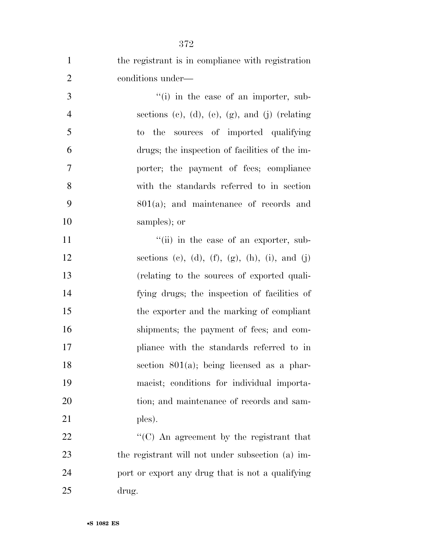| $\mathbf{1}$   | the registrant is in compliance with registration |
|----------------|---------------------------------------------------|
| $\overline{2}$ | conditions under—                                 |
| 3              | $f'(i)$ in the case of an importer, sub-          |
| $\overline{4}$ | sections (c), (d), (e), (g), and (j) (relating    |
| 5              | sources of imported qualifying<br>to the          |
| 6              | drugs; the inspection of facilities of the im-    |
| 7              | porter; the payment of fees; compliance           |
| 8              | with the standards referred to in section         |
| 9              | $801(a)$ ; and maintenance of records and         |
| 10             | samples); or                                      |
| 11             | "(ii) in the case of an exporter, sub-            |
| 12             | sections (c), (d), (f), (g), (h), (i), and (j)    |
| 13             | (relating to the sources of exported quali-       |
| 14             | fying drugs; the inspection of facilities of      |
| 15             | the exporter and the marking of compliant         |
| 16             | shipments; the payment of fees; and com-          |
| 17             | pliance with the standards referred to in         |
| 18             | section $801(a)$ ; being licensed as a phar-      |
| 19             | macist; conditions for individual importa-        |
| 20             | tion; and maintenance of records and sam-         |
| 21             | ples).                                            |
| 22             | "(C) An agreement by the registrant that          |
| 23             | the registrant will not under subsection (a) im-  |
| 24             | port or export any drug that is not a qualifying  |
| 25             | drug.                                             |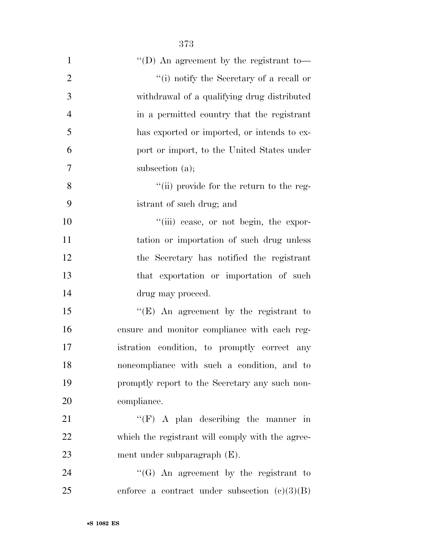| $\mathbf{1}$   | "(D) An agreement by the registrant to-          |
|----------------|--------------------------------------------------|
| $\overline{2}$ | "(i) notify the Secretary of a recall or         |
| 3              | withdrawal of a qualifying drug distributed      |
| $\overline{4}$ | in a permitted country that the registrant       |
| 5              | has exported or imported, or intends to ex-      |
| 6              | port or import, to the United States under       |
| 7              | subsection $(a)$ ;                               |
| 8              | "(ii) provide for the return to the reg-         |
| 9              | istrant of such drug; and                        |
| 10             | "(iii) cease, or not begin, the expor-           |
| 11             | tation or importation of such drug unless        |
| 12             | the Secretary has notified the registrant        |
| 13             | that exportation or importation of such          |
| 14             | drug may proceed.                                |
| 15             | "(E) An agreement by the registrant to           |
| 16             | ensure and monitor compliance with each reg-     |
| 17             | istration condition, to promptly correct any     |
| 18             | noncompliance with such a condition, and to      |
| 19             | promptly report to the Secretary any such non-   |
| 20             | compliance.                                      |
| 21             | " $(F)$ A plan describing the manner in          |
| 22             | which the registrant will comply with the agree- |
| 23             | ment under subparagraph $(E)$ .                  |
| 24             | "(G) An agreement by the registrant to           |
| 25             | enforce a contract under subsection $(c)(3)(B)$  |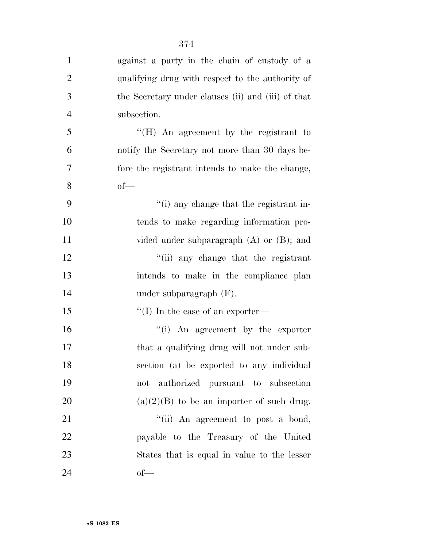| $\mathbf{1}$   | against a party in the chain of custody of a       |
|----------------|----------------------------------------------------|
| $\overline{2}$ | qualifying drug with respect to the authority of   |
| 3              | the Secretary under clauses (ii) and (iii) of that |
| $\overline{4}$ | subsection.                                        |
| 5              | "(H) An agreement by the registrant to             |
| 6              | notify the Secretary not more than 30 days be-     |
| $\overline{7}$ | fore the registrant intends to make the change,    |
| 8              | $of$ —                                             |
| 9              | "(i) any change that the registrant in-            |
| 10             | tends to make regarding information pro-           |
| 11             | vided under subparagraph $(A)$ or $(B)$ ; and      |
| 12             | "(ii) any change that the registrant               |
| 13             | intends to make in the compliance plan             |
| 14             | under subparagraph $(F)$ .                         |
| 15             | "(I) In the case of an exporter—                   |
| 16             | "(i) An agreement by the exporter                  |
| $17\,$         | that a qualifying drug will not under sub-         |
| 18             | section (a) be exported to any individual          |
| 19             | not authorized pursuant to subsection              |
| 20             | $(a)(2)(B)$ to be an importer of such drug.        |
| 21             | "(ii) An agreement to post a bond,                 |
| 22             | payable to the Treasury of the United              |
| 23             | States that is equal in value to the lesser        |
| 24             | $of$ —                                             |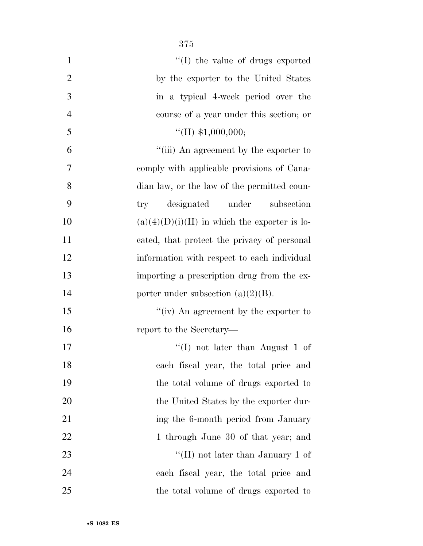| $\mathbf{1}$   | "(I) the value of drugs exported                |
|----------------|-------------------------------------------------|
| $\overline{2}$ | by the exporter to the United States            |
| 3              | in a typical 4-week period over the             |
| $\overline{4}$ | course of a year under this section; or         |
| 5              | "(II) $$1,000,000;$                             |
| 6              | "(iii) An agreement by the exporter to          |
| 7              | comply with applicable provisions of Cana-      |
| 8              | dian law, or the law of the permitted coun-     |
| 9              | designated under<br>subsection<br>try           |
| 10             | $(a)(4)(D)(i)(II)$ in which the exporter is lo- |
| 11             | cated, that protect the privacy of personal     |
| 12             | information with respect to each individual     |
| 13             | importing a prescription drug from the ex-      |
| 14             | porter under subsection $(a)(2)(B)$ .           |
| 15             | "(iv) An agreement by the exporter to           |
| 16             | report to the Secretary—                        |
| 17             | "(I) not later than August 1 of                 |
| 18             | each fiscal year, the total price and           |
| 19             | the total volume of drugs exported to           |
| 20             | the United States by the exporter dur-          |
| 21             | ing the 6-month period from January             |
| 22             | 1 through June 30 of that year; and             |
| 23             | "(II) not later than January 1 of               |
| 24             | each fiscal year, the total price and           |
| 25             | the total volume of drugs exported to           |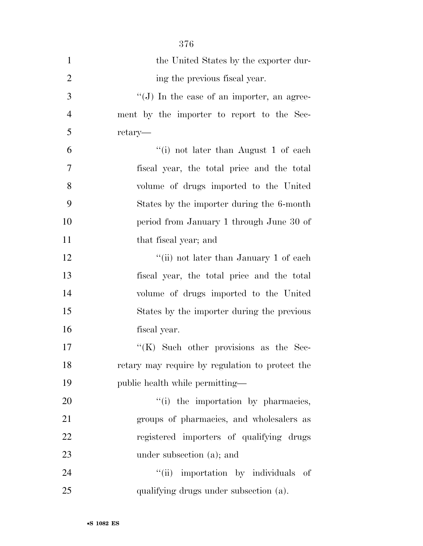| $\mathbf{1}$   | the United States by the exporter dur-          |
|----------------|-------------------------------------------------|
| $\overline{2}$ | ing the previous fiscal year.                   |
| 3              | " $(J)$ In the case of an importer, an agree-   |
| $\overline{4}$ | ment by the importer to report to the Sec-      |
| 5              | retary—                                         |
| 6              | "(i) not later than August 1 of each            |
| 7              | fiscal year, the total price and the total      |
| 8              | volume of drugs imported to the United          |
| 9              | States by the importer during the 6-month       |
| 10             | period from January 1 through June 30 of        |
| 11             | that fiscal year; and                           |
| 12             | "(ii) not later than January 1 of each          |
| 13             | fiscal year, the total price and the total      |
| 14             | volume of drugs imported to the United          |
| 15             | States by the importer during the previous      |
| 16             | fiscal year.                                    |
| 17             | " $(K)$ Such other provisions as the Sec-       |
| 18             | retary may require by regulation to protect the |
| 19             | public health while permitting—                 |
| 20             | "(i) the importation by pharmacies,             |
| 21             | groups of pharmacies, and wholesalers as        |
| 22             | registered importers of qualifying drugs        |
| 23             | under subsection (a); and                       |
| 24             | "(ii) importation by individuals of             |
| 25             | qualifying drugs under subsection (a).          |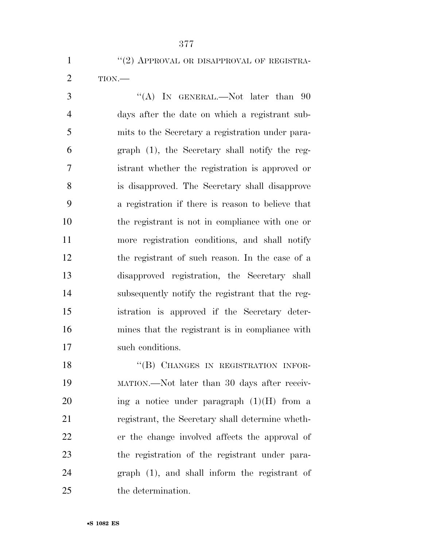## 1 "(2) APPROVAL OR DISAPPROVAL OF REGISTRA-

TION.—

3 "(A) IN GENERAL.—Not later than 90 days after the date on which a registrant sub- mits to the Secretary a registration under para- graph (1), the Secretary shall notify the reg- istrant whether the registration is approved or is disapproved. The Secretary shall disapprove a registration if there is reason to believe that the registrant is not in compliance with one or more registration conditions, and shall notify the registrant of such reason. In the case of a disapproved registration, the Secretary shall subsequently notify the registrant that the reg- istration is approved if the Secretary deter- mines that the registrant is in compliance with such conditions.

18 "(B) CHANGES IN REGISTRATION INFOR- MATION.—Not later than 30 days after receiv-20 ing a notice under paragraph  $(1)(H)$  from a registrant, the Secretary shall determine wheth- er the change involved affects the approval of the registration of the registrant under para- graph (1), and shall inform the registrant of the determination.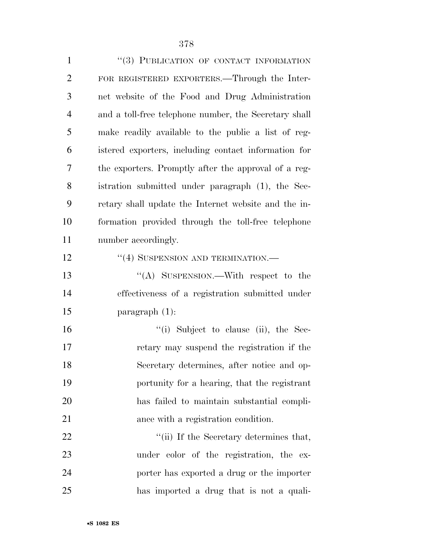| $\mathbf{1}$   | "(3) PUBLICATION OF CONTACT INFORMATION               |
|----------------|-------------------------------------------------------|
| $\overline{2}$ | FOR REGISTERED EXPORTERS.—Through the Inter-          |
| 3              | net website of the Food and Drug Administration       |
| $\overline{4}$ | and a toll-free telephone number, the Secretary shall |
| 5              | make readily available to the public a list of reg-   |
| 6              | istered exporters, including contact information for  |
| 7              | the exporters. Promptly after the approval of a reg-  |
| 8              | istration submitted under paragraph (1), the Sec-     |
| 9              | retary shall update the Internet website and the in-  |
| 10             | formation provided through the toll-free telephone    |
| 11             | number accordingly.                                   |
| 12             | "(4) SUSPENSION AND TERMINATION.-                     |
| 13             | "(A) SUSPENSION.—With respect to the                  |
| 14             | effectiveness of a registration submitted under       |
| 15             | paragraph $(1)$ :                                     |
| 16             | "(i) Subject to clause (ii), the Sec-                 |
| 17             | retary may suspend the registration if the            |
| 18             | Secretary determines, after notice and op-            |
| 19             | portunity for a hearing, that the registrant          |
| 20             | has failed to maintain substantial compli-            |
| 21             | ance with a registration condition.                   |
| 22             | "(ii) If the Secretary determines that,               |
| 23             | under color of the registration, the ex-              |
| 24             | porter has exported a drug or the importer            |
| 25             | has imported a drug that is not a quali-              |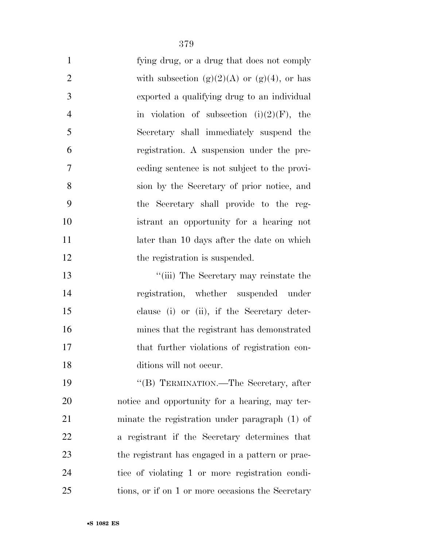| $\mathbf{1}$   | fying drug, or a drug that does not comply        |
|----------------|---------------------------------------------------|
| $\overline{2}$ | with subsection $(g)(2)(A)$ or $(g)(4)$ , or has  |
| 3              | exported a qualifying drug to an individual       |
| 4              | in violation of subsection $(i)(2)(F)$ , the      |
| 5              | Secretary shall immediately suspend the           |
| 6              | registration. A suspension under the pre-         |
| $\overline{7}$ | eeding sentence is not subject to the provi-      |
| 8              | sion by the Secretary of prior notice, and        |
| 9              | the Secretary shall provide to the reg-           |
| 10             | istrant an opportunity for a hearing not          |
| 11             | later than 10 days after the date on which        |
| 12             | the registration is suspended.                    |
| 13             | "(iii) The Secretary may reinstate the            |
| 14             | registration, whether suspended under             |
| 15             | clause (i) or (ii), if the Secretary deter-       |
| 16             | mines that the registrant has demonstrated        |
| 17             | that further violations of registration con-      |
| 18             | ditions will not occur.                           |
| 19             | "(B) TERMINATION.—The Secretary, after            |
| 20             | notice and opportunity for a hearing, may ter-    |
| 21             | minate the registration under paragraph $(1)$ of  |
| 22             | a registrant if the Secretary determines that     |
| 23             | the registrant has engaged in a pattern or prac-  |
| 24             | tice of violating 1 or more registration condi-   |
| 25             | tions, or if on 1 or more occasions the Secretary |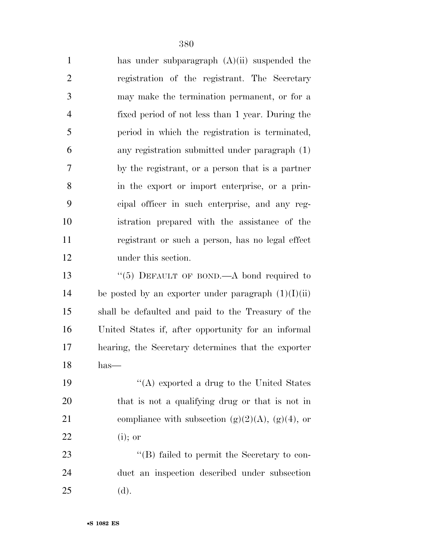| $\mathbf{1}$   | has under subparagraph $(A)(ii)$ suspended the        |
|----------------|-------------------------------------------------------|
| $\overline{c}$ | registration of the registrant. The Secretary         |
| 3              | may make the termination permanent, or for a          |
| $\overline{4}$ | fixed period of not less than 1 year. During the      |
| 5              | period in which the registration is terminated,       |
| 6              | any registration submitted under paragraph (1)        |
| 7              | by the registrant, or a person that is a partner      |
| 8              | in the export or import enterprise, or a prin-        |
| 9              | cipal officer in such enterprise, and any reg-        |
| 10             | istration prepared with the assistance of the         |
| 11             | registrant or such a person, has no legal effect      |
| 12             | under this section.                                   |
| 13             | "(5) DEFAULT OF BOND.—A bond required to              |
| 14             | be posted by an exporter under paragraph $(1)(I)(ii)$ |
| 15             | shall be defaulted and paid to the Treasury of the    |
| 16             | United States if, after opportunity for an informal   |
| 17             | hearing, the Secretary determines that the exporter   |
| 18             | has-                                                  |
| 19             | "(A) exported a drug to the United States             |
| 20             | that is not a qualifying drug or that is not in       |
| 21             | compliance with subsection (g)(2)(A), (g)(4), or      |
| 22             | $(i)$ ; or                                            |
| 23             | "(B) failed to permit the Secretary to con-           |
| 24             | duct an inspection described under subsection         |
| 25             | (d).                                                  |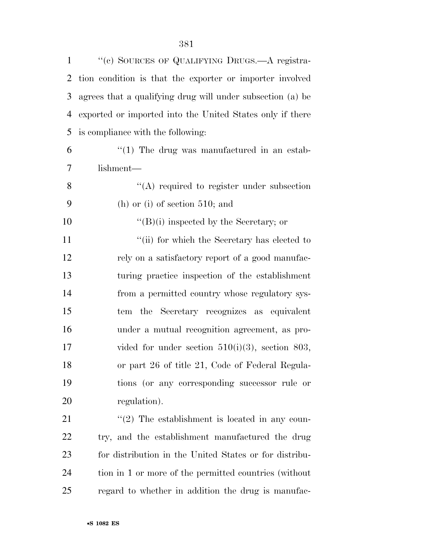| $\mathbf{1}$ | "(c) SOURCES OF QUALIFYING DRUGS.—A registra-              |
|--------------|------------------------------------------------------------|
| 2            | tion condition is that the exporter or importer involved   |
| 3            | agrees that a qualifying drug will under subsection (a) be |
| 4            | exported or imported into the United States only if there  |
| 5            | is compliance with the following:                          |
| 6            | $\lq(1)$ The drug was manufactured in an estab-            |
| 7            | lishment—                                                  |
| 8            | $\lq\lq$ required to register under subsection             |
| 9            | $(h)$ or $(i)$ of section 510; and                         |
| 10           | $\lq\lq (B)(i)$ inspected by the Secretary; or             |
| 11           | "(ii) for which the Secretary has elected to               |
| 12           | rely on a satisfactory report of a good manufac-           |
| 13           | turing practice inspection of the establishment            |
| 14           | from a permitted country whose regulatory sys-             |
| 15           | tem the Secretary recognizes as equivalent                 |
| 16           | under a mutual recognition agreement, as pro-              |
| 17           | vided for under section $510(i)(3)$ , section 803,         |
| 18           | or part 26 of title 21, Code of Federal Regula-            |
| 19           | tions (or any corresponding successor rule or              |
| 20           | regulation).                                               |
| 21           | $\lq(2)$ The establishment is located in any coun-         |
| <u>22</u>    | try, and the establishment manufactured the drug           |
| 23           | for distribution in the United States or for distribu-     |
| 24           | tion in 1 or more of the permitted countries (without      |
| 25           | regard to whether in addition the drug is manufac-         |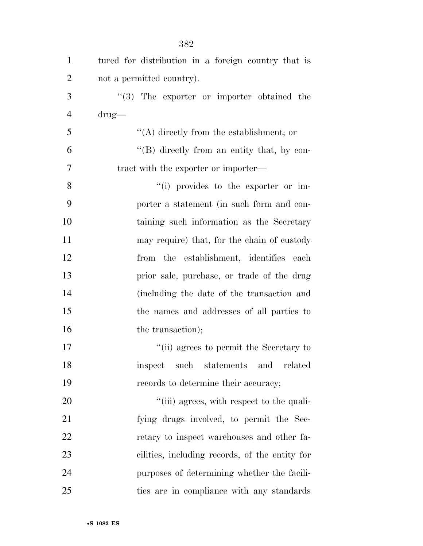| $\mathbf{1}$   | tured for distribution in a foreign country that is |
|----------------|-----------------------------------------------------|
| $\overline{2}$ | not a permitted country).                           |
| 3              | $(3)$ The exporter or importer obtained the         |
| $\overline{4}$ | $\text{drug}$                                       |
| 5              | $\lq\lq$ directly from the establishment; or        |
| 6              | $\lq\lq (B)$ directly from an entity that, by con-  |
| 7              | tract with the exporter or importer—                |
| 8              | "(i) provides to the exporter or im-                |
| 9              | porter a statement (in such form and con-           |
| 10             | taining such information as the Secretary           |
| 11             | may require) that, for the chain of custody         |
| 12             | from the establishment, identifies each             |
| 13             | prior sale, purchase, or trade of the drug          |
| 14             | (including the date of the transaction and          |
| 15             | the names and addresses of all parties to           |
| 16             | the transaction);                                   |
| 17             | "(ii) agrees to permit the Secretary to             |
| 18             | related<br>inspect<br>such<br>statements<br>and     |
| 19             | records to determine their accuracy;                |
| 20             | "(iii) agrees, with respect to the quali-           |
| 21             | fying drugs involved, to permit the Sec-            |
| 22             | retary to inspect warehouses and other fa-          |
| 23             | cilities, including records, of the entity for      |
| 24             | purposes of determining whether the facili-         |
| 25             | ties are in compliance with any standards           |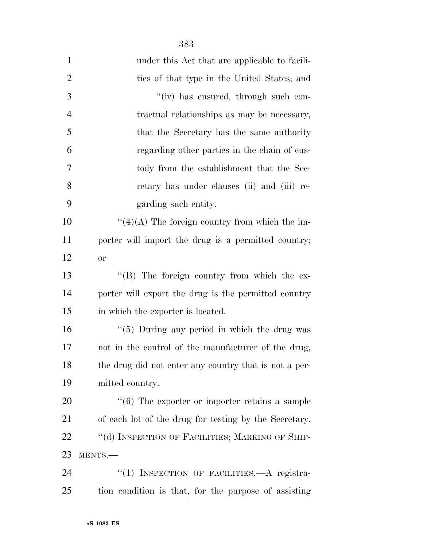| $\mathbf{1}$   | under this Act that are applicable to facili-                  |
|----------------|----------------------------------------------------------------|
| $\overline{2}$ | ties of that type in the United States; and                    |
| 3              | "(iv) has ensured, through such con-                           |
| $\overline{4}$ | tractual relationships as may be necessary,                    |
| 5              | that the Secretary has the same authority                      |
| 6              | regarding other parties in the chain of cus-                   |
| 7              | tody from the establishment that the Sec-                      |
| 8              | retary has under clauses (ii) and (iii) re-                    |
| 9              | garding such entity.                                           |
| 10             | $\lq(4)(A)$ The foreign country from which the im-             |
| 11             | porter will import the drug is a permitted country;            |
| 12             | <b>or</b>                                                      |
| 13             | $\lq\lq (B)$ The foreign country from which the ex-            |
| 14             | porter will export the drug is the permitted country           |
| 15             | in which the exporter is located.                              |
| 16             | " $(5)$ During any period in which the drug was                |
| 17             | not in the control of the manufacturer of the drug,            |
| 18             | the drug did not enter any country that is not a per-          |
| 19             | mitted country.                                                |
| 20             | $\cdot\cdot\cdot(6)$ The exporter or importer retains a sample |
| 21             | of each lot of the drug for testing by the Secretary.          |
| 22             | "(d) INSPECTION OF FACILITIES; MARKING OF SHIP-                |
| 23             | MENTS.-                                                        |
| 24             | "(1) INSPECTION OF FACILITIES.—A registra-                     |
| 25             | tion condition is that, for the purpose of assisting           |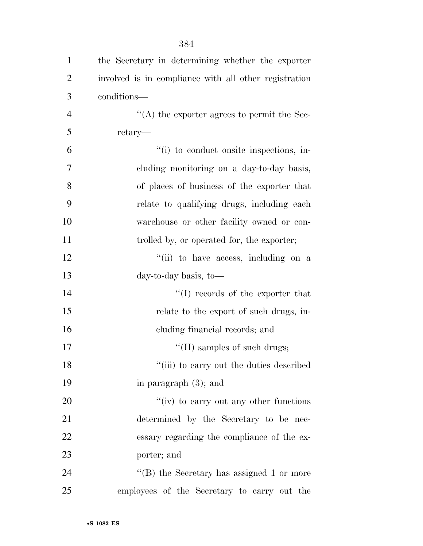| $\mathbf{1}$   | the Secretary in determining whether the exporter     |
|----------------|-------------------------------------------------------|
| $\overline{2}$ | involved is in compliance with all other registration |
| 3              | conditions—                                           |
| $\overline{4}$ | $\cdot$ (A) the exporter agrees to permit the Sec-    |
| 5              | retary—                                               |
| 6              | "(i) to conduct onsite inspections, in-               |
| 7              | cluding monitoring on a day-to-day basis,             |
| 8              | of places of business of the exporter that            |
| 9              | relate to qualifying drugs, including each            |
| 10             | warehouse or other facility owned or con-             |
| 11             | trolled by, or operated for, the exporter;            |
| 12             | "(ii) to have access, including on a                  |
| 13             | day-to-day basis, to-                                 |
| 14             | "(I) records of the exporter that                     |
| 15             | relate to the export of such drugs, in-               |
| 16             | cluding financial records; and                        |
| 17             | $\lq\lq$ (II) samples of such drugs;                  |
| 18             | "(iii) to carry out the duties described              |
| 19             | in paragraph $(3)$ ; and                              |
| 20             | "(iv) to carry out any other functions                |
| 21             | determined by the Secretary to be nec-                |
| 22             | essary regarding the compliance of the ex-            |
| 23             | porter; and                                           |
| 24             | "(B) the Secretary has assigned 1 or more             |
| 25             | employees of the Secretary to carry out the           |

•**S 1082 ES**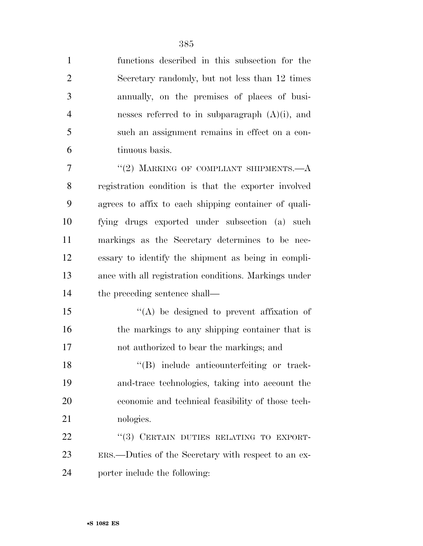functions described in this subsection for the Secretary randomly, but not less than 12 times annually, on the premises of places of busi- nesses referred to in subparagraph (A)(i), and such an assignment remains in effect on a con-tinuous basis.

7 "(2) MARKING OF COMPLIANT SHIPMENTS.—A registration condition is that the exporter involved agrees to affix to each shipping container of quali- fying drugs exported under subsection (a) such markings as the Secretary determines to be nec- essary to identify the shipment as being in compli- ance with all registration conditions. Markings under the preceding sentence shall—

 ''(A) be designed to prevent affixation of 16 the markings to any shipping container that is not authorized to bear the markings; and

 ''(B) include anticounterfeiting or track- and-trace technologies, taking into account the economic and technical feasibility of those tech-nologies.

22 "(3) CERTAIN DUTIES RELATING TO EXPORT- ERS.—Duties of the Secretary with respect to an ex-porter include the following: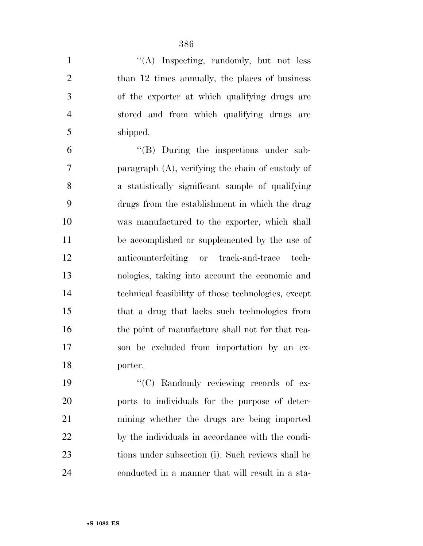1 ''(A) Inspecting, randomly, but not less 2 than 12 times annually, the places of business of the exporter at which qualifying drugs are stored and from which qualifying drugs are shipped.

 ''(B) During the inspections under sub- paragraph (A), verifying the chain of custody of a statistically significant sample of qualifying drugs from the establishment in which the drug was manufactured to the exporter, which shall be accomplished or supplemented by the use of anticounterfeiting or track-and-trace tech- nologies, taking into account the economic and technical feasibility of those technologies, except that a drug that lacks such technologies from 16 the point of manufacture shall not for that rea- son be excluded from importation by an ex-porter.

 $\cdot$  (C) Randomly reviewing records of ex- ports to individuals for the purpose of deter- mining whether the drugs are being imported by the individuals in accordance with the condi- tions under subsection (i). Such reviews shall be conducted in a manner that will result in a sta-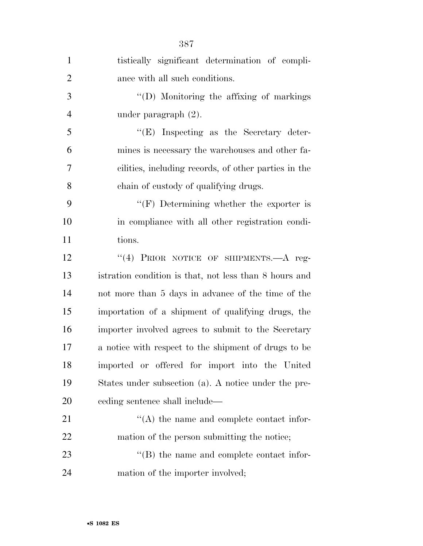| $\mathbf{1}$   | tistically significant determination of compli-        |
|----------------|--------------------------------------------------------|
| $\overline{2}$ | ance with all such conditions.                         |
| 3              | $\lq\lq$ (D) Monitoring the affixing of markings       |
| $\overline{4}$ | under paragraph $(2)$ .                                |
| 5              | $\lq\lq(E)$ Inspecting as the Secretary deter-         |
| 6              | mines is necessary the warehouses and other fa-        |
| 7              | cilities, including records, of other parties in the   |
| 8              | chain of custody of qualifying drugs.                  |
| 9              | "(F) Determining whether the exporter is               |
| 10             | in compliance with all other registration condi-       |
| 11             | tions.                                                 |
| 12             | "(4) PRIOR NOTICE OF SHIPMENTS.—A reg-                 |
| 13             | istration condition is that, not less than 8 hours and |
| 14             | not more than 5 days in advance of the time of the     |
| 15             | importation of a shipment of qualifying drugs, the     |
| 16             | importer involved agrees to submit to the Secretary    |
| 17             | a notice with respect to the shipment of drugs to be   |
| 18             | imported or offered for import into the United         |
| 19             | States under subsection (a). A notice under the pre-   |
| 20             | eeding sentence shall include—                         |
| 21             | $\lq\lq$ the name and complete contact infor-          |
| 22             | mation of the person submitting the notice;            |
| 23             | $\lq\lq$ (B) the name and complete contact infor-      |
| 24             | mation of the importer involved;                       |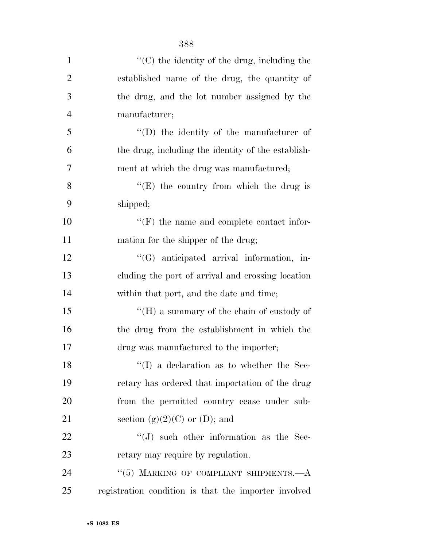| $\mathbf{1}$   | $\cdot$ (C) the identity of the drug, including the  |
|----------------|------------------------------------------------------|
| $\overline{2}$ | established name of the drug, the quantity of        |
| 3              | the drug, and the lot number assigned by the         |
| $\overline{4}$ | manufacturer;                                        |
| 5              | $\lq\lq$ the identity of the manufacturer of         |
| 6              | the drug, including the identity of the establish-   |
| 7              | ment at which the drug was manufactured;             |
| 8              | "(E) the country from which the drug is              |
| 9              | shipped;                                             |
| 10             | $\lq\lq(F)$ the name and complete contact infor-     |
| 11             | mation for the shipper of the drug;                  |
| 12             | $\lq\lq(G)$ anticipated arrival information, in-     |
| 13             | cluding the port of arrival and crossing location    |
| 14             | within that port, and the date and time;             |
| 15             | "( $H$ ) a summary of the chain of custody of        |
| 16             | the drug from the establishment in which the         |
| 17             | drug was manufactured to the importer;               |
| 18             | $\lq\lq$ (I) a declaration as to whether the Sec-    |
| 19             | retary has ordered that importation of the drug      |
| 20             | from the permitted country cease under sub-          |
| 21             | section $(g)(2)(C)$ or $(D)$ ; and                   |
| 22             | $\lq\lq(J)$ such other information as the Sec-       |
| 23             | retary may require by regulation.                    |
| 24             | "(5) MARKING OF COMPLIANT SHIPMENTS. $-A$            |
| 25             | registration condition is that the importer involved |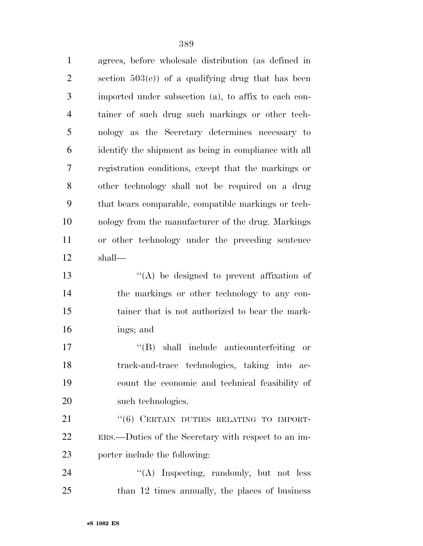agrees, before wholesale distribution (as defined in section 503(e)) of a qualifying drug that has been imported under subsection (a), to affix to each con- tainer of such drug such markings or other tech- nology as the Secretary determines necessary to identify the shipment as being in compliance with all registration conditions, except that the markings or other technology shall not be required on a drug that bears comparable, compatible markings or tech- nology from the manufacturer of the drug. Markings or other technology under the preceding sentence shall— ''(A) be designed to prevent affixation of the markings or other technology to any con-

 tainer that is not authorized to bear the mark-ings; and

 $\langle$  (B) shall include anticounterfeiting or track-and-trace technologies, taking into ac- count the economic and technical feasibility of 20 such technologies.

21 "(6) CERTAIN DUTIES RELATING TO IMPORT- ERS.—Duties of the Secretary with respect to an im-porter include the following:

24 "(A) Inspecting, randomly, but not less 25 than 12 times annually, the places of business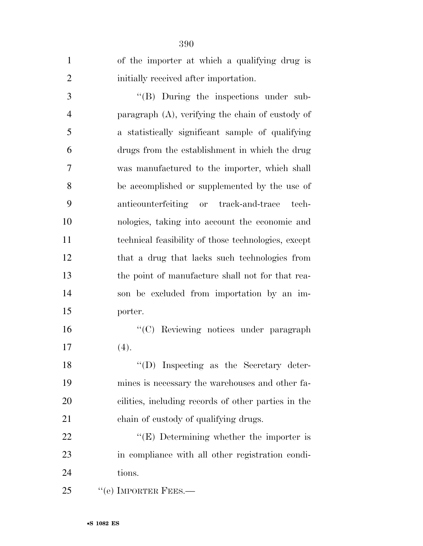| $\mathbf{1}$   | of the importer at which a qualifying drug is       |
|----------------|-----------------------------------------------------|
| $\overline{2}$ | initially received after importation.               |
| 3              | $\lq\lq$ (B) During the inspections under sub-      |
| 4              | paragraph (A), verifying the chain of custody of    |
| 5              | a statistically significant sample of qualifying    |
| 6              | drugs from the establishment in which the drug      |
| 7              | was manufactured to the importer, which shall       |
| 8              | be accomplished or supplemented by the use of       |
| 9              | anticounterfeiting or track-and-trace<br>tech-      |
| 10             | nologies, taking into account the economic and      |
| 11             | technical feasibility of those technologies, except |
| 12             | that a drug that lacks such technologies from       |
| 13             | the point of manufacture shall not for that rea-    |
| 14             | son be excluded from importation by an im-          |
| 15             | porter.                                             |
| 16             | "(C) Reviewing notices under paragraph              |
| 17             | (4).                                                |
| 18             | $\lq\lq$ . Inspecting as the Secretary deter-       |
| 19             | mines is necessary the warehouses and other fa-     |
| 20             | cilities, including records of other parties in the |
| 21             | chain of custody of qualifying drugs.               |
| 22             | "(E) Determining whether the importer is            |
| 23             | in compliance with all other registration condi-    |
| 24             | tions.                                              |
| 25             | $``$ (e) IMPORTER FEES.—                            |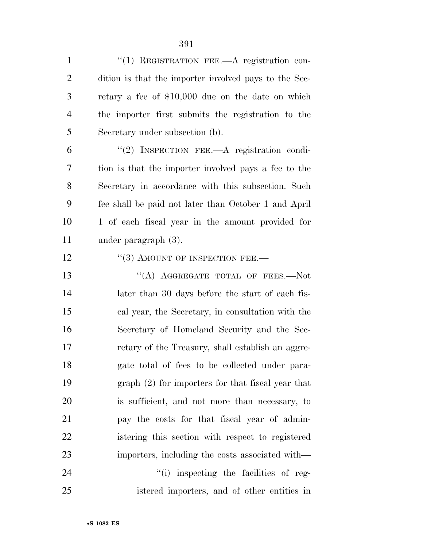1 "(1) REGISTRATION FEE.—A registration con- dition is that the importer involved pays to the Sec- retary a fee of \$10,000 due on the date on which the importer first submits the registration to the Secretary under subsection (b).

 ''(2) INSPECTION FEE.—A registration condi- tion is that the importer involved pays a fee to the Secretary in accordance with this subsection. Such fee shall be paid not later than October 1 and April 1 of each fiscal year in the amount provided for under paragraph (3).

12 "(3) AMOUNT OF INSPECTION FEE.—

13 "(A) AGGREGATE TOTAL OF FEES.—Not 14 later than 30 days before the start of each fis- cal year, the Secretary, in consultation with the Secretary of Homeland Security and the Sec- retary of the Treasury, shall establish an aggre- gate total of fees to be collected under para- graph (2) for importers for that fiscal year that is sufficient, and not more than necessary, to pay the costs for that fiscal year of admin- istering this section with respect to registered importers, including the costs associated with—

24  $\frac{1}{1}$  inspecting the facilities of reg-istered importers, and of other entities in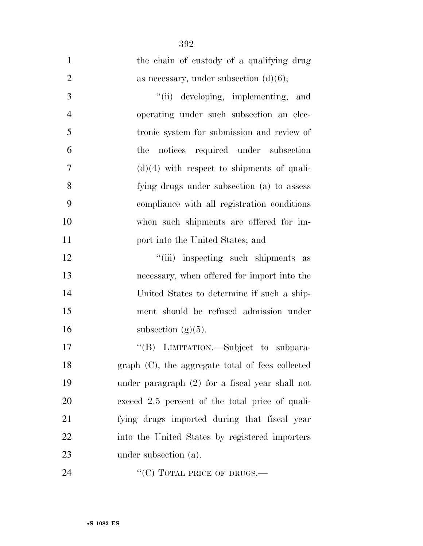| $\mathbf{1}$   | the chain of custody of a qualifying drug        |
|----------------|--------------------------------------------------|
| $\overline{2}$ | as necessary, under subsection $(d)(6)$ ;        |
| 3              | "(ii) developing, implementing,<br>and           |
| $\overline{4}$ | operating under such subsection an elec-         |
| 5              | tronic system for submission and review of       |
| 6              | the notices required under subsection            |
| 7              | $(d)(4)$ with respect to shipments of quali-     |
| 8              | fying drugs under subsection (a) to assess       |
| 9              | compliance with all registration conditions      |
| 10             | when such shipments are offered for im-          |
| 11             | port into the United States; and                 |
| 12             | "(iii) inspecting such shipments as              |
| 13             | necessary, when offered for import into the      |
| 14             | United States to determine if such a ship-       |
| 15             | ment should be refused admission under           |
| 16             | subsection $(g)(5)$ .                            |
| 17             | "(B) LIMITATION.—Subject to subpara-             |
| 18             | graph (C), the aggregate total of fees collected |
| 19             | under paragraph (2) for a fiscal year shall not  |
| 20             | exceed 2.5 percent of the total price of quali-  |
| 21             | fying drugs imported during that fiscal year     |
| 22             | into the United States by registered importers   |
| 23             | under subsection (a).                            |
| 24             | "(C) TOTAL PRICE OF DRUGS.—                      |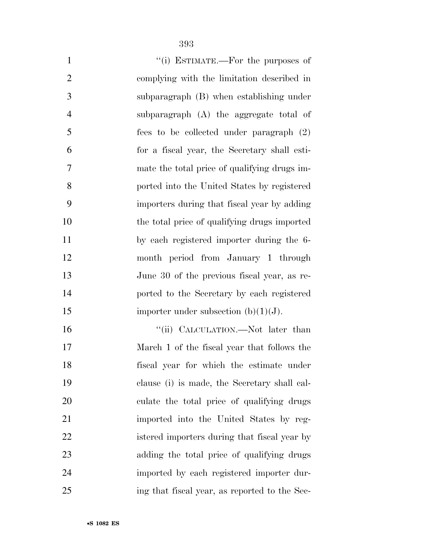|--|

| $\mathbf{1}$<br>"(i) ESTIMATE.—For the purposes of                                                                                                                                                                                                                                                                                         |
|--------------------------------------------------------------------------------------------------------------------------------------------------------------------------------------------------------------------------------------------------------------------------------------------------------------------------------------------|
| $\overline{2}$<br>complying with the limitation described in                                                                                                                                                                                                                                                                               |
| 3<br>subparagraph (B) when establishing under                                                                                                                                                                                                                                                                                              |
| $\overline{4}$<br>subparagraph (A) the aggregate total of                                                                                                                                                                                                                                                                                  |
| 5<br>fees to be collected under paragraph (2)                                                                                                                                                                                                                                                                                              |
| 6<br>for a fiscal year, the Secretary shall esti-                                                                                                                                                                                                                                                                                          |
| 7<br>mate the total price of qualifying drugs im-                                                                                                                                                                                                                                                                                          |
| 8<br>ported into the United States by registered                                                                                                                                                                                                                                                                                           |
| 9<br>importers during that fiscal year by adding                                                                                                                                                                                                                                                                                           |
| 10<br>the total price of qualifying drugs imported                                                                                                                                                                                                                                                                                         |
| 11<br>by each registered importer during the 6-                                                                                                                                                                                                                                                                                            |
| 12<br>month period from January 1 through                                                                                                                                                                                                                                                                                                  |
| 13<br>June 30 of the previous fiscal year, as re-                                                                                                                                                                                                                                                                                          |
| 14<br>ported to the Secretary by each registered                                                                                                                                                                                                                                                                                           |
| 15<br>importer under subsection $(b)(1)(J)$ .                                                                                                                                                                                                                                                                                              |
| 16<br>"(ii) CALCULATION.—Not later than                                                                                                                                                                                                                                                                                                    |
| 17<br>March 1 of the fiscal year that follows the                                                                                                                                                                                                                                                                                          |
| $\alpha$ and $\alpha$ are $\alpha$ and $\alpha$ and $\alpha$ are $\alpha$ and $\alpha$ are $\alpha$ and $\alpha$ are $\alpha$ and $\alpha$ are $\alpha$ and $\alpha$ are $\alpha$ and $\alpha$ are $\alpha$ and $\alpha$ are $\alpha$ and $\alpha$ are $\alpha$ are $\alpha$ and $\alpha$ are $\alpha$ are $\alpha$ are $\alpha$<br>$\sim$ |

 fiscal year for which the estimate under clause (i) is made, the Secretary shall cal- culate the total price of qualifying drugs imported into the United States by reg- istered importers during that fiscal year by adding the total price of qualifying drugs imported by each registered importer dur-ing that fiscal year, as reported to the Sec-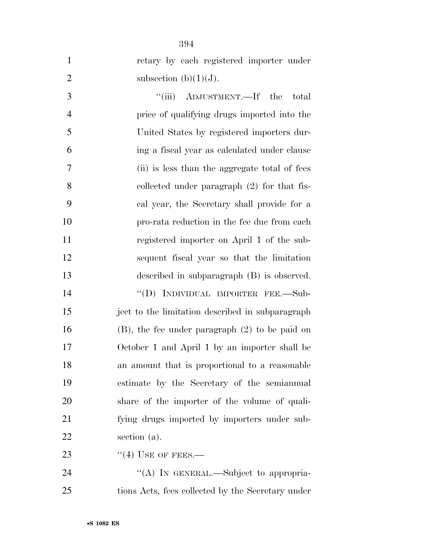| $\mathbf{1}$   | retary by each registered importer under            |
|----------------|-----------------------------------------------------|
| $\overline{2}$ | subsection (b) $(1)(J)$ .                           |
| 3              | "(iii) ADJUSTMENT.—If the<br>total                  |
| $\overline{4}$ | price of qualifying drugs imported into the         |
| 5              | United States by registered importers dur-          |
| 6              | ing a fiscal year as calculated under clause        |
| 7              | (ii) is less than the aggregate total of fees       |
| 8              | collected under paragraph $(2)$ for that fis-       |
| 9              | cal year, the Secretary shall provide for a         |
| 10             | pro-rata reduction in the fee due from each         |
| 11             | registered importer on April 1 of the sub-          |
| 12             | sequent fiscal year so that the limitation          |
| 13             | described in subparagraph (B) is observed.          |
| 14             | "(D) INDIVIDUAL IMPORTER FEE.-Sub-                  |
| 15             | ject to the limitation described in subparagraph    |
| 16             | $(B)$ , the fee under paragraph $(2)$ to be paid on |
| 17             | October 1 and April 1 by an importer shall be       |
| 18             | an amount that is proportional to a reasonable      |
| 19             | estimate by the Secretary of the semiannual         |
| 20             | share of the importer of the volume of quali-       |
| 21             | fying drugs imported by importers under sub-        |
| 22             | section (a).                                        |
| 23             | $\cdot$ (4) USE OF FEES.—                           |
| 24             | "(A) IN GENERAL.—Subject to appropria-              |
| 25             | tions Acts, fees collected by the Secretary under   |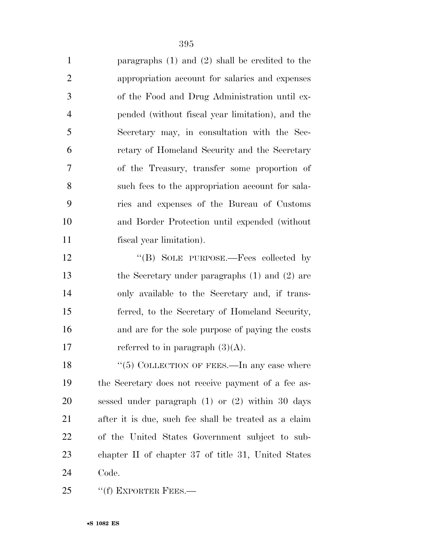| $\mathbf{1}$   | paragraphs $(1)$ and $(2)$ shall be credited to the   |
|----------------|-------------------------------------------------------|
| $\overline{2}$ | appropriation account for salaries and expenses       |
| 3              | of the Food and Drug Administration until ex-         |
| $\overline{4}$ | pended (without fiscal year limitation), and the      |
| 5              | Secretary may, in consultation with the Sec-          |
| 6              | retary of Homeland Security and the Secretary         |
| $\overline{7}$ | of the Treasury, transfer some proportion of          |
| 8              | such fees to the appropriation account for sala-      |
| 9              | ries and expenses of the Bureau of Customs            |
| 10             | and Border Protection until expended (without         |
| 11             | fiscal year limitation).                              |
| 12             | "(B) SOLE PURPOSE.—Fees collected by                  |
| 13             | the Secretary under paragraphs $(1)$ and $(2)$ are    |
| 14             | only available to the Secretary and, if trans-        |
| 15             | ferred, to the Secretary of Homeland Security,        |
| 16             | and are for the sole purpose of paying the costs      |
| 17             | referred to in paragraph $(3)(A)$ .                   |
| 18             | "(5) COLLECTION OF FEES.—In any case where            |
| 19             | the Secretary does not receive payment of a fee as-   |
| 20             | sessed under paragraph $(1)$ or $(2)$ within 30 days  |
| 21             | after it is due, such fee shall be treated as a claim |
| 22             | of the United States Government subject to sub-       |
| 23             | chapter II of chapter 37 of title 31, United States   |
| 24             | Code.                                                 |
| 25             | "(f) EXPORTER FEES.—                                  |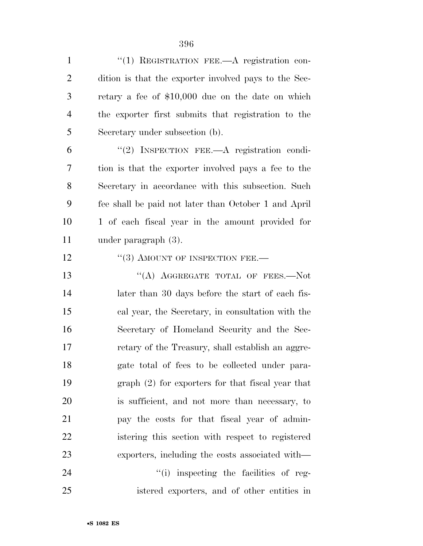1 "(1) REGISTRATION FEE.—A registration con- dition is that the exporter involved pays to the Sec- retary a fee of \$10,000 due on the date on which the exporter first submits that registration to the Secretary under subsection (b).

 ''(2) INSPECTION FEE.—A registration condi- tion is that the exporter involved pays a fee to the Secretary in accordance with this subsection. Such fee shall be paid not later than October 1 and April 1 of each fiscal year in the amount provided for under paragraph (3).

12 "(3) AMOUNT OF INSPECTION FEE.—

13 "(A) AGGREGATE TOTAL OF FEES.—Not 14 later than 30 days before the start of each fis- cal year, the Secretary, in consultation with the Secretary of Homeland Security and the Sec- retary of the Treasury, shall establish an aggre- gate total of fees to be collected under para- graph (2) for exporters for that fiscal year that is sufficient, and not more than necessary, to pay the costs for that fiscal year of admin- istering this section with respect to registered exporters, including the costs associated with—

24  $\frac{1}{1}$  inspecting the facilities of reg-istered exporters, and of other entities in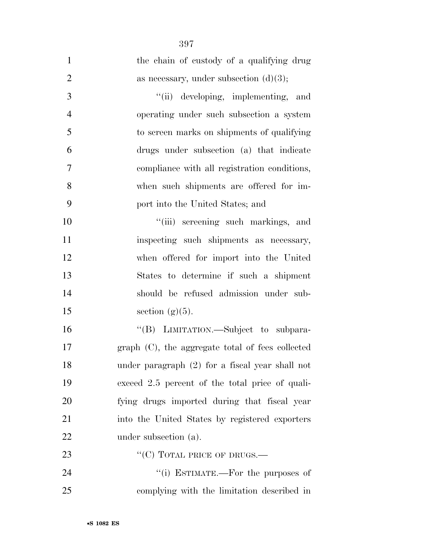| $\mathbf{1}$   | the chain of custody of a qualifying drug        |
|----------------|--------------------------------------------------|
| $\overline{2}$ | as necessary, under subsection $(d)(3)$ ;        |
| 3              | "(ii) developing, implementing, and              |
| $\overline{4}$ | operating under such subsection a system         |
| 5              | to screen marks on shipments of qualifying       |
| 6              | drugs under subsection (a) that indicate         |
| $\overline{7}$ | compliance with all registration conditions,     |
| 8              | when such shipments are offered for im-          |
| 9              | port into the United States; and                 |
| 10             | "(iii) screening such markings, and              |
| 11             | inspecting such shipments as necessary,          |
| 12             | when offered for import into the United          |
| 13             | States to determine if such a shipment           |
| 14             | should be refused admission under sub-           |
| 15             | section $(g)(5)$ .                               |
| 16             | "(B) LIMITATION.—Subject to subpara-             |
| 17             | graph (C), the aggregate total of fees collected |
| 18             | under paragraph (2) for a fiscal year shall not  |
| 19             | exceed 2.5 percent of the total price of quali-  |
| 20             | fying drugs imported during that fiscal year     |
| 21             | into the United States by registered exporters   |
| 22             | under subsection (a).                            |
| 23             | "(C) TOTAL PRICE OF DRUGS.—                      |
| 24             | "(i) ESTIMATE.—For the purposes of               |
| 25             | complying with the limitation described in       |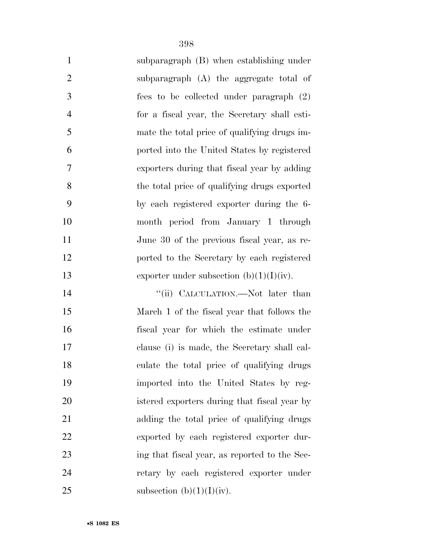| $\mathbf{1}$   | subparagraph (B) when establishing under     |
|----------------|----------------------------------------------|
| $\overline{2}$ | subparagraph (A) the aggregate total of      |
| 3              | fees to be collected under paragraph (2)     |
| $\overline{4}$ | for a fiscal year, the Secretary shall esti- |
| 5              | mate the total price of qualifying drugs im- |
| 6              | ported into the United States by registered  |
| $\overline{7}$ | exporters during that fiscal year by adding  |
| 8              | the total price of qualifying drugs exported |
| 9              | by each registered exporter during the 6-    |
| 10             | month period from January 1 through          |
| 11             | June 30 of the previous fiscal year, as re-  |
| 12             | ported to the Secretary by each registered   |
| 13             | exporter under subsection $(b)(1)(I)(iv)$ .  |
| 14             | "(ii) CALCULATION.—Not later than            |
| 15             | March 1 of the fiscal year that follows the  |
| 16             | fiscal year for which the estimate under     |
| 17             | clause (i) is made, the Secretary shall cal- |
| 18             | culate the total price of qualifying drugs   |
| 19             | imported into the United States by reg-      |
| 20             | istered exporters during that fiscal year by |
| 21             | adding the total price of qualifying drugs   |
| 22             | exported by each registered exporter dur-    |
|                |                                              |

 ing that fiscal year, as reported to the Sec- retary by each registered exporter under 25 subsection  $(b)(1)(I)(iv)$ .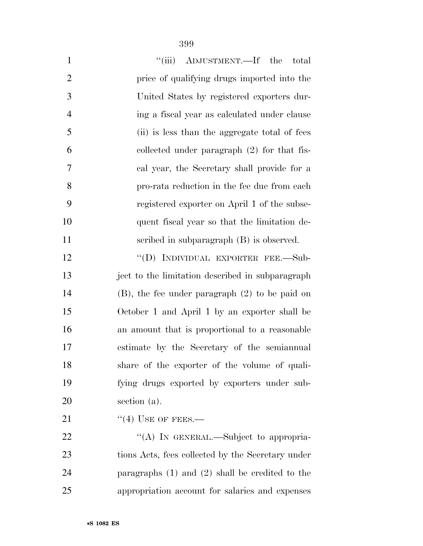| $\mathbf{1}$   | "(iii) ADJUSTMENT.—If the<br>total                  |
|----------------|-----------------------------------------------------|
| $\overline{2}$ | price of qualifying drugs imported into the         |
| 3              | United States by registered exporters dur-          |
| 4              | ing a fiscal year as calculated under clause        |
| 5              | (ii) is less than the aggregate total of fees       |
| 6              | collected under paragraph $(2)$ for that fis-       |
| 7              | cal year, the Secretary shall provide for a         |
| 8              | pro-rata reduction in the fee due from each         |
| 9              | registered exporter on April 1 of the subse-        |
| 10             | quent fiscal year so that the limitation de-        |
| 11             | scribed in subparagraph (B) is observed.            |
| 12             | "(D) INDIVIDUAL EXPORTER FEE.-Sub-                  |
| 13             | ject to the limitation described in subparagraph    |
| 14             | $(B)$ , the fee under paragraph $(2)$ to be paid on |
| 15             | October 1 and April 1 by an exporter shall be       |
| 16             | an amount that is proportional to a reasonable      |
| 17             | estimate by the Secretary of the semiannual         |
| 18             | share of the exporter of the volume of quali-       |
| 19             | fying drugs exported by exporters under sub-        |
| 20             | section (a).                                        |
| 21             | $\cdot$ (4) USE OF FEES.—                           |
| 22             | "(A) IN GENERAL.—Subject to appropria-              |
| 23             | tions Acts, fees collected by the Secretary under   |
| 24             | paragraphs $(1)$ and $(2)$ shall be credited to the |
| 25             | appropriation account for salaries and expenses     |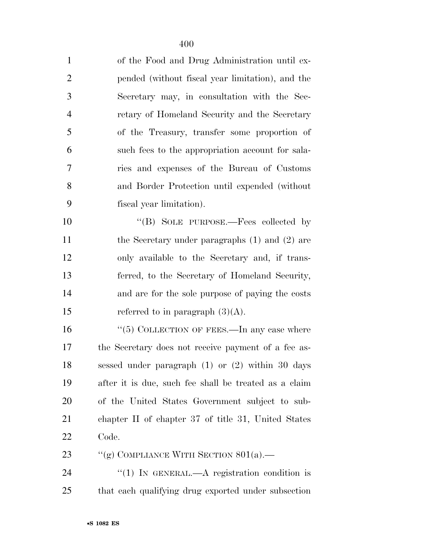| $\mathbf{1}$   | of the Food and Drug Administration until ex-         |
|----------------|-------------------------------------------------------|
| $\overline{2}$ | pended (without fiscal year limitation), and the      |
| 3              | Secretary may, in consultation with the Sec-          |
| $\overline{4}$ | retary of Homeland Security and the Secretary         |
| 5              | of the Treasury, transfer some proportion of          |
| 6              | such fees to the appropriation account for sala-      |
| $\tau$         | ries and expenses of the Bureau of Customs            |
| 8              | and Border Protection until expended (without         |
| 9              | fiscal year limitation).                              |
| 10             | "(B) SOLE PURPOSE.—Fees collected by                  |
| 11             | the Secretary under paragraphs $(1)$ and $(2)$ are    |
| 12             | only available to the Secretary and, if trans-        |
| 13             | ferred, to the Secretary of Homeland Security,        |
| 14             | and are for the sole purpose of paying the costs      |
| 15             | referred to in paragraph $(3)(A)$ .                   |
| 16             | " $(5)$ COLLECTION OF FEES.—In any case where         |
| 17             | the Secretary does not receive payment of a fee as-   |
| 18             | sessed under paragraph $(1)$ or $(2)$ within 30 days  |
| 19             | after it is due, such fee shall be treated as a claim |
| 20             | of the United States Government subject to sub-       |
| 21             | chapter II of chapter 37 of title 31, United States   |
| 22             | Code.                                                 |
| 23             | "(g) COMPLIANCE WITH SECTION $801(a)$ .               |
| 24             | "(1) IN GENERAL.—A registration condition is          |
| 25             | that each qualifying drug exported under subsection   |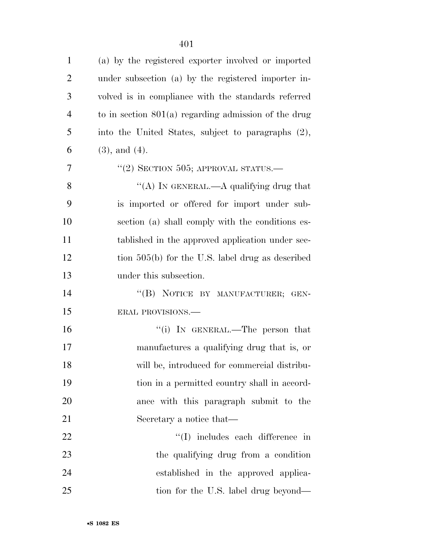| $\mathbf{1}$   | (a) by the registered exporter involved or imported    |
|----------------|--------------------------------------------------------|
| $\overline{2}$ | under subsection (a) by the registered importer in-    |
| 3              | volved is in compliance with the standards referred    |
| 4              | to in section $801(a)$ regarding admission of the drug |
| 5              | into the United States, subject to paragraphs (2),     |
| 6              | $(3)$ , and $(4)$ .                                    |
| 7              | "(2) SECTION 505; APPROVAL STATUS.—                    |
| 8              | "(A) IN GENERAL.—A qualifying drug that                |
| 9              | is imported or offered for import under sub-           |
| 10             | section (a) shall comply with the conditions es-       |
| 11             | tablished in the approved application under sec-       |
| 12             | tion $505(b)$ for the U.S. label drug as described     |
| 13             | under this subsection.                                 |
| 14             | "(B) NOTICE BY MANUFACTURER; GEN-                      |
| 15             | ERAL PROVISIONS.-                                      |
| 16             | "(i) IN GENERAL.—The person that                       |
| 17             | manufactures a qualifying drug that is, or             |
| 18             | will be, introduced for commercial distribu-           |
| 19             | tion in a permitted country shall in accord-           |
| 20             | ance with this paragraph submit to the                 |
| 21             | Secretary a notice that—                               |
| 22             | $\lq\lq$ (I) includes each difference in               |
| 23             | the qualifying drug from a condition                   |
| 24             | established in the approved applica-                   |
| 25             | tion for the U.S. label drug beyond—                   |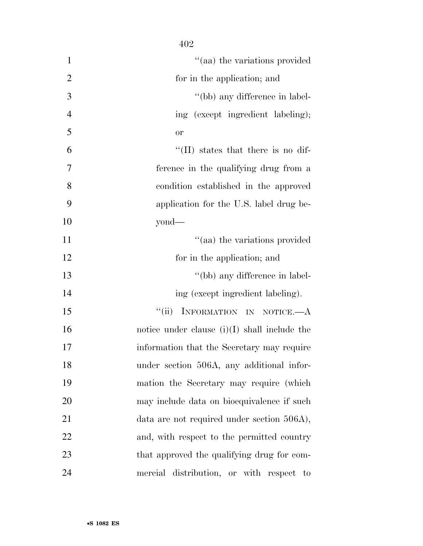| $\mathbf{1}$   | "(aa) the variations provided                  |
|----------------|------------------------------------------------|
| $\overline{2}$ | for in the application; and                    |
| 3              | "(bb) any difference in label-                 |
| $\overline{4}$ | ing (except ingredient labeling);              |
| 5              | or                                             |
| 6              | "(II) states that there is no dif-             |
| 7              | ference in the qualifying drug from a          |
| 8              | condition established in the approved          |
| 9              | application for the U.S. label drug be-        |
| 10             | $yond$ —                                       |
| 11             | "(aa) the variations provided                  |
| 12             | for in the application; and                    |
| 13             | "(bb) any difference in label-                 |
| 14             | ing (except ingredient labeling).              |
| 15             | INFORMATION IN NOTICE.- A<br>``(ii)            |
| 16             | notice under clause $(i)(I)$ shall include the |
| 17             | information that the Secretary may require     |
| 18             | under section 506A, any additional infor-      |
| 19             | mation the Secretary may require (which        |
| 20             | may include data on bioequivalence if such     |
| 21             | data are not required under section 506A),     |
| 22             | and, with respect to the permitted country     |
| 23             | that approved the qualifying drug for com-     |
| 24             | mercial distribution, or with respect to       |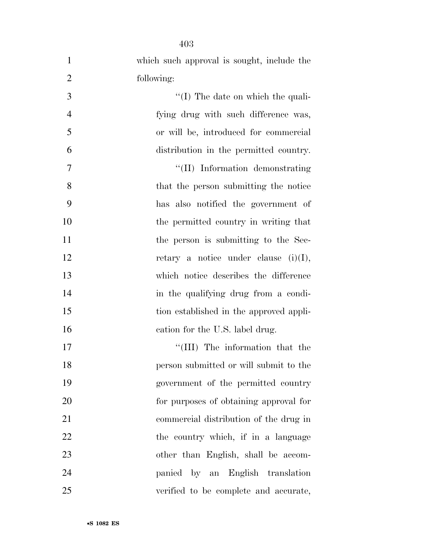| $\mathbf{1}$   | which such approval is sought, include the |
|----------------|--------------------------------------------|
| $\overline{2}$ | following:                                 |
| 3              | $\lq (I)$ The date on which the quali-     |
| $\overline{4}$ | fying drug with such difference was,       |
| 5              | or will be, introduced for commercial      |
| 6              | distribution in the permitted country.     |
| 7              | "(II) Information demonstrating            |
| 8              | that the person submitting the notice      |
| 9              | has also notified the government of        |
| 10             | the permitted country in writing that      |
| 11             | the person is submitting to the Sec-       |
| 12             | retary a notice under clause $(i)(I)$ ,    |
| 13             | which notice describes the difference      |
| 14             | in the qualifying drug from a condi-       |
| 15             | tion established in the approved appli-    |
| 16             | cation for the U.S. label drug.            |
| 17             | "(III) The information that the            |
| 18             | person submitted or will submit to the     |
| 19             | government of the permitted country        |
| 20             | for purposes of obtaining approval for     |
| 21             | commercial distribution of the drug in     |
| 22             | the country which, if in a language        |
| 23             | other than English, shall be accom-        |
| 24             | panied by an English translation           |
| 25             | verified to be complete and accurate,      |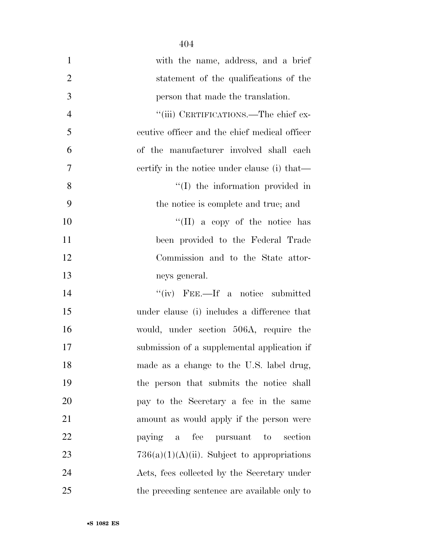| $\mathbf{1}$   | with the name, address, and a brief            |
|----------------|------------------------------------------------|
| $\overline{2}$ | statement of the qualifications of the         |
| 3              | person that made the translation.              |
| $\overline{4}$ | "(iii) CERTIFICATIONS.—The chief ex-           |
| 5              | ecutive officer and the chief medical officer  |
| 6              | of the manufacturer involved shall each        |
| 7              | eertify in the notice under clause (i) that—   |
| 8              | "(I) the information provided in               |
| 9              | the notice is complete and true; and           |
| 10             | "(II) a copy of the notice has                 |
| 11             | been provided to the Federal Trade             |
| 12             | Commission and to the State attor-             |
| 13             | neys general.                                  |
| 14             | $``(iv)$ FEE.—If a notice submitted            |
| 15             | under clause (i) includes a difference that    |
| 16             | would, under section 506A, require the         |
| 17             | submission of a supplemental application if    |
| 18             | made as a change to the U.S. label drug,       |
| 19             | the person that submits the notice shall       |
| 20             | pay to the Secretary a fee in the same         |
| 21             | amount as would apply if the person were       |
| 22             | paying a fee pursuant to<br>section            |
| 23             | $736(a)(1)(A)(ii)$ . Subject to appropriations |
| 24             | Acts, fees collected by the Secretary under    |
| 25             | the preceding sentence are available only to   |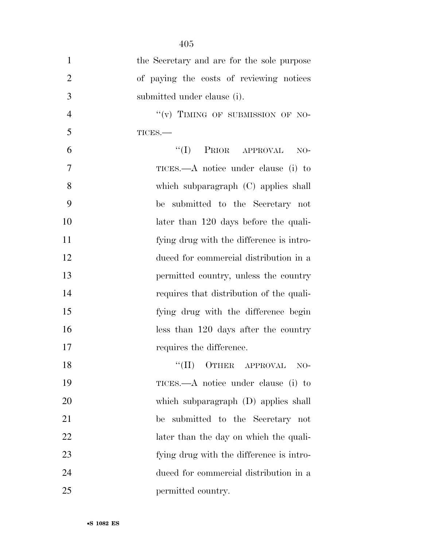| $\mathbf{1}$   | the Secretary and are for the sole purpose |
|----------------|--------------------------------------------|
| $\overline{2}$ | of paying the costs of reviewing notices   |
| 3              | submitted under clause (i).                |
| $\overline{4}$ | "(v) TIMING OF SUBMISSION OF NO-           |
| 5              | $TICES$ .                                  |
| 6              | PRIOR APPROVAL<br>``(I)<br>$NO-$           |
| $\tau$         | TICES.—A notice under clause (i) to        |
| 8              | which subparagraph (C) applies shall       |
| 9              | submitted to the Secretary not<br>be       |
| 10             | later than 120 days before the quali-      |
| 11             | fying drug with the difference is intro-   |
| 12             | duced for commercial distribution in a     |
| 13             | permitted country, unless the country      |
| 14             | requires that distribution of the quali-   |
| 15             | fying drug with the difference begin       |
| 16             | less than 120 days after the country       |
| 17             | requires the difference.                   |
| 18             | OTHER APPROVAL<br>``(II)<br>$NO-$          |
| 19             | TICES.—A notice under clause (i) to        |
| 20             | which subparagraph (D) applies shall       |
| 21             | submitted to the Secretary not<br>be       |
| 22             | later than the day on which the quali-     |
| 23             | fying drug with the difference is intro-   |
| 24             | duced for commercial distribution in a     |
| 25             | permitted country.                         |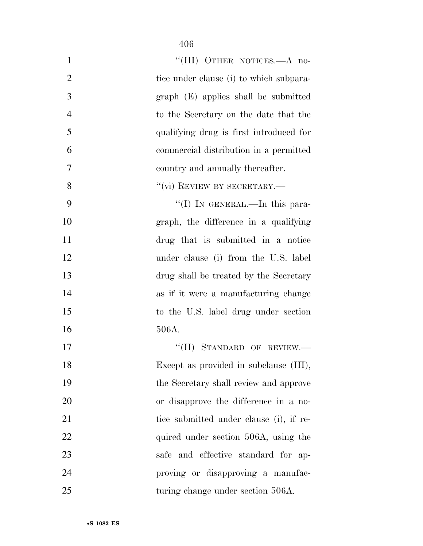| $\mathbf{1}$   | "(III) OTHER NOTICES.—A no-             |
|----------------|-----------------------------------------|
| $\overline{2}$ | tice under clause (i) to which subpara- |
| 3              | graph (E) applies shall be submitted    |
| $\overline{4}$ | to the Secretary on the date that the   |
| 5              | qualifying drug is first introduced for |
| 6              | commercial distribution in a permitted  |
| $\overline{7}$ | country and annually thereafter.        |
| 8              | $``$ (vi) REVIEW BY SECRETARY.—         |
| 9              | "(I) IN GENERAL.—In this para-          |
| 10             | graph, the difference in a qualifying   |
| 11             | drug that is submitted in a notice      |
| 12             | under clause (i) from the U.S. label    |
| 13             | drug shall be treated by the Secretary  |
| 14             | as if it were a manufacturing change    |
| 15             | to the U.S. label drug under section    |
| 16             | 506A.                                   |
| 17             | "(II) STANDARD OF REVIEW.-              |
| 18             | Except as provided in subclause (III),  |
| 19             | the Secretary shall review and approve  |
| 20             | or disapprove the difference in a no-   |
| 21             | tice submitted under clause (i), if re- |
| 22             | quired under section 506A, using the    |
| 23             | safe and effective standard for ap-     |
| 24             | proving or disapproving a manufac-      |
| 25             | turing change under section 506A.       |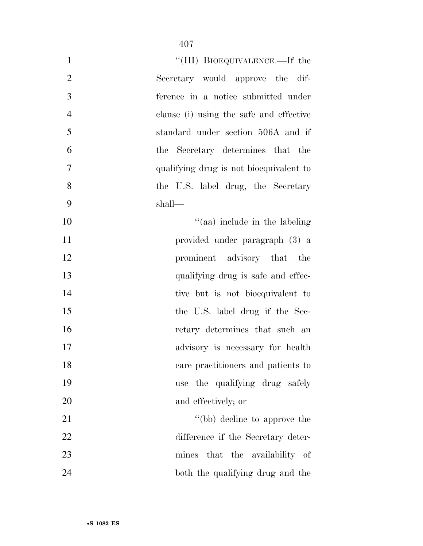| $\mathbf{1}$   | "(III) BIOEQUIVALENCE.—If the           |
|----------------|-----------------------------------------|
| $\overline{2}$ | Secretary would approve the dif-        |
| 3              | ference in a notice submitted under     |
| $\overline{4}$ | clause (i) using the safe and effective |
| 5              | standard under section 506A and if      |
| 6              | the Secretary determines that the       |
| $\overline{7}$ | qualifying drug is not bioequivalent to |
| 8              | the U.S. label drug, the Secretary      |
| 9              | shall—                                  |
| 10             | $\cdot$ (aa) include in the labeling    |
| 11             | provided under paragraph (3) a          |
| 12             | prominent advisory that the             |
| 13             | qualifying drug is safe and effec-      |
| 14             | tive but is not bioequivalent to        |
| 15             | the U.S. label drug if the Sec-         |
| 16             | retary determines that such an          |
| 17             | advisory is necessary for health        |
| 18             | care practitioners and patients to      |
| 19             | use the qualifying drug safely          |
| 20             | and effectively; or                     |
| 21             | "(bb) decline to approve the            |
| 22             | difference if the Secretary deter-      |
| 23             | that the availability of<br>mines       |
| 24             | both the qualifying drug and the        |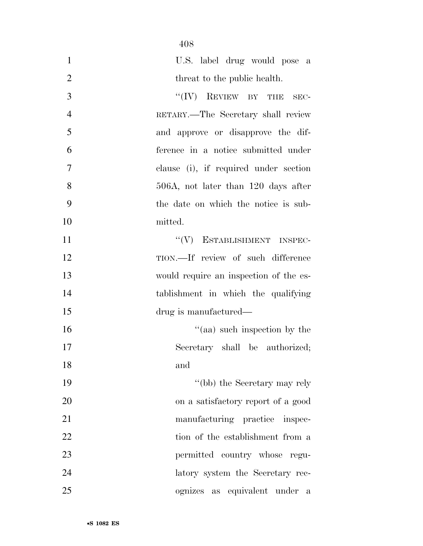| $\mathbf{1}$   | U.S. label drug would pose a           |
|----------------|----------------------------------------|
| $\overline{2}$ | threat to the public health.           |
| 3              | $``(IV)$ REVIEW BY THE<br>$SEC-$       |
| $\overline{4}$ | RETARY.—The Secretary shall review     |
| 5              | and approve or disapprove the dif-     |
| 6              | ference in a notice submitted under    |
| 7              | clause (i), if required under section  |
| 8              | 506A, not later than 120 days after    |
| 9              | the date on which the notice is sub-   |
| 10             | mitted.                                |
| 11             | "(V) ESTABLISHMENT INSPEC-             |
| 12             | TION.—If review of such difference     |
| 13             | would require an inspection of the es- |
| 14             | tablishment in which the qualifying    |
| 15             | drug is manufactured—                  |
| 16             | "(aa) such inspection by the           |
| 17             | Secretary shall be authorized;         |
| 18             | and                                    |
| 19             | "(bb) the Secretary may rely           |
| 20             | on a satisfactory report of a good     |
| 21             | manufacturing practice inspec-         |
| 22             | tion of the establishment from a       |
| 23             | permitted country whose regu-          |
| 24             | latory system the Secretary rec-       |
| 25             | ognizes as equivalent under<br>- a     |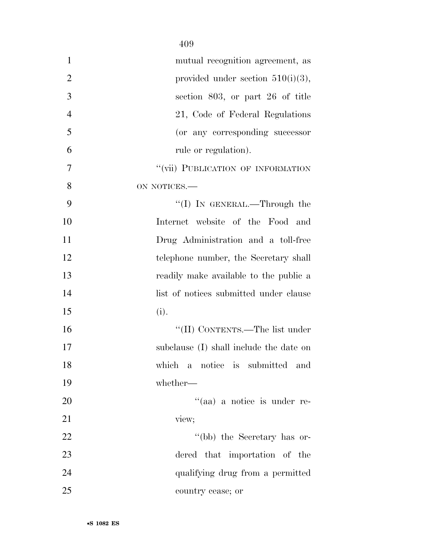| $\mathbf{1}$   | mutual recognition agreement, as        |
|----------------|-----------------------------------------|
| $\overline{2}$ | provided under section $510(i)(3)$ ,    |
| 3              | section 803, or part 26 of title        |
| $\overline{4}$ | 21, Code of Federal Regulations         |
| 5              | (or any corresponding successor         |
| 6              | rule or regulation).                    |
| $\overline{7}$ | "(vii) PUBLICATION OF INFORMATION       |
| 8              | ON NOTICES.-                            |
| 9              | "(I) IN GENERAL.—Through the            |
| 10             | Internet website of the Food and        |
| 11             | Drug Administration and a toll-free     |
| 12             | telephone number, the Secretary shall   |
| 13             | readily make available to the public a  |
| 14             | list of notices submitted under clause  |
| 15             | (i).                                    |
| 16             | "(II) CONTENTS.—The list under          |
| 17             | subclause (I) shall include the date on |
| 18             | which a notice is submitted and         |
| 19             | whether-                                |
| 20             | "(aa) a notice is under re-             |
| 21             | view;                                   |
| 22             | "(bb) the Secretary has or-             |
| 23             | dered that importation of the           |
| 24             | qualifying drug from a permitted        |
| 25             | country cease; or                       |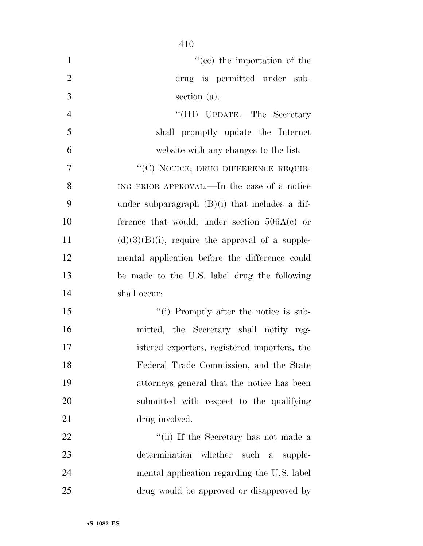| $\mathbf{1}$   | "(cc) the importation of the                       |
|----------------|----------------------------------------------------|
| $\overline{2}$ | drug is permitted under sub-                       |
| 3              | section (a).                                       |
| $\overline{4}$ | "(III) UPDATE.—The Secretary                       |
| 5              | shall promptly update the Internet                 |
| 6              | website with any changes to the list.              |
| $\overline{7}$ | "(C) NOTICE; DRUG DIFFERENCE REQUIR-               |
| 8              | ING PRIOR APPROVAL.—In the case of a notice        |
| 9              | under subparagraph $(B)(i)$ that includes a dif-   |
| 10             | ference that would, under section $506A(c)$ or     |
| 11             | $(d)(3)(B)(i)$ , require the approval of a supple- |
| 12             | mental application before the difference could     |
| 13             | be made to the U.S. label drug the following       |
| 14             | shall occur:                                       |
| 15             | "(i) Promptly after the notice is sub-             |
| 16             | mitted, the Secretary shall notify reg-            |
| 17             | istered exporters, registered importers, the       |
| 18             | Federal Trade Commission, and the State            |
| 19             | attorneys general that the notice has been         |
| 20             | submitted with respect to the qualifying           |
| 21             | drug involved.                                     |
| 22             | "(ii) If the Secretary has not made a              |
| 23             | determination whether such a supple-               |
| 24             | mental application regarding the U.S. label        |
| 25             | drug would be approved or disapproved by           |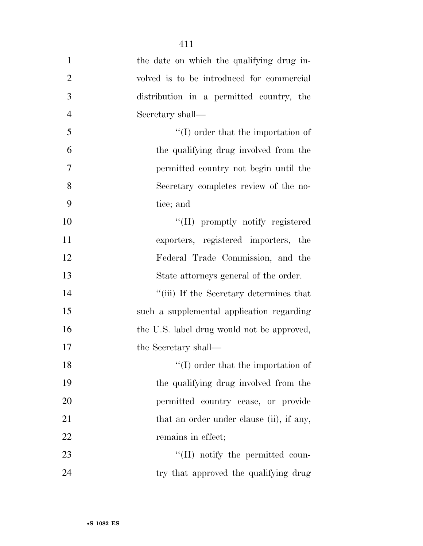| $\mathbf{1}$   | the date on which the qualifying drug in-  |
|----------------|--------------------------------------------|
| $\overline{2}$ | volved is to be introduced for commercial  |
| 3              | distribution in a permitted country, the   |
| $\overline{4}$ | Secretary shall—                           |
| 5              | $\lq\lq$ order that the importation of     |
| 6              | the qualifying drug involved from the      |
| 7              | permitted country not begin until the      |
| 8              | Secretary completes review of the no-      |
| 9              | tice; and                                  |
| 10             | "(II) promptly notify registered           |
| 11             | exporters, registered importers, the       |
| 12             | Federal Trade Commission, and the          |
| 13             | State attorneys general of the order.      |
| 14             | "(iii) If the Secretary determines that    |
| 15             | such a supplemental application regarding  |
| 16             | the U.S. label drug would not be approved, |
| 17             | the Secretary shall—                       |
| 18             | $\lq\lq$ order that the importation of     |
| 19             | the qualifying drug involved from the      |
| 20             | permitted country cease, or provide        |
| 21             | that an order under clause (ii), if any,   |
| 22             | remains in effect;                         |
| 23             | "(II) notify the permitted coun-           |
| 24             | try that approved the qualifying drug      |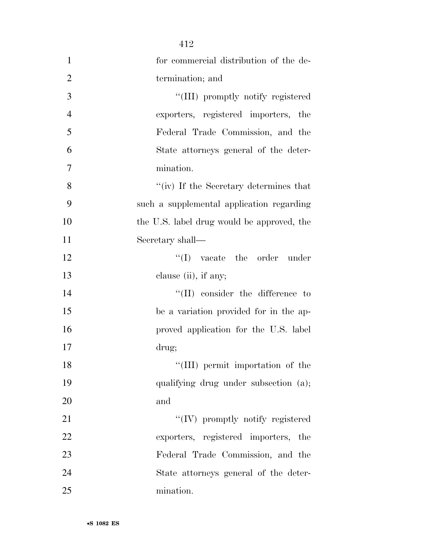|                | 412                                        |
|----------------|--------------------------------------------|
| $\mathbf{1}$   | for commercial distribution of the de-     |
| $\overline{2}$ | termination; and                           |
| 3              | "(III) promptly notify registered          |
| $\overline{4}$ | exporters, registered importers, the       |
| 5              | Federal Trade Commission, and the          |
| 6              | State attorneys general of the deter-      |
| 7              | mination.                                  |
| 8              | "(iv) If the Secretary determines that     |
| 9              | such a supplemental application regarding  |
| 10             | the U.S. label drug would be approved, the |
| 11             | Secretary shall—                           |
| 12             | $\lq\lq$ vacate the order under            |
| 13             | clause (ii), if any;                       |
| 14             | $\lq\lq$ (II) consider the difference to   |
| 15             | be a variation provided for in the ap-     |
| 16             | proved application for the U.S. label      |
| 17             | drug;                                      |
| 18             | "(III) permit importation of the           |
| 19             | qualifying drug under subsection (a);      |
| 20             | and                                        |
| 21             | $\lq\lq (IV)$ promptly notify registered   |
| 22             | exporters, registered importers, the       |
| 23             | Federal Trade Commission, and the          |
| 24             | State attorneys general of the deter-      |
| 25             | mination.                                  |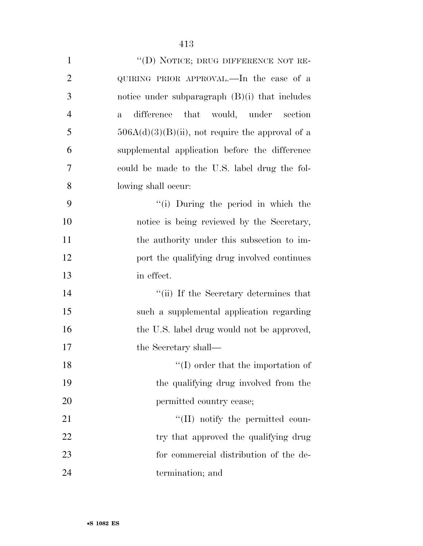| $\mathbf{1}$             | "(D) NOTICE; DRUG DIFFERENCE NOT RE-                 |
|--------------------------|------------------------------------------------------|
| $\overline{2}$           | QUIRING PRIOR APPROVAL.—In the case of a             |
| 3                        | notice under subparagraph $(B)(i)$ that includes     |
| $\overline{4}$           | difference that would, under section<br>$\mathbf{a}$ |
| 5                        | $506A(d)(3)(B)(ii)$ , not require the approval of a  |
| 6                        | supplemental application before the difference       |
| $\overline{\mathcal{L}}$ | could be made to the U.S. label drug the fol-        |
| 8                        | lowing shall occur:                                  |
| 9                        | "(i) During the period in which the                  |
| $\Omega$                 | notice is being reviewed by the Secretary            |

 ''(i) During the period in which the notice is being reviewed by the Secretary, 11 the authority under this subsection to im-12 port the qualifying drug involved continues in effect.

14 ''(ii) If the Secretary determines that such a supplemental application regarding 16 the U.S. label drug would not be approved, 17 the Secretary shall—

18 ''(I) order that the importation of the qualifying drug involved from the 20 permitted country cease; 21 ''(II) notify the permitted coun-

22 try that approved the qualifying drug for commercial distribution of the de-termination; and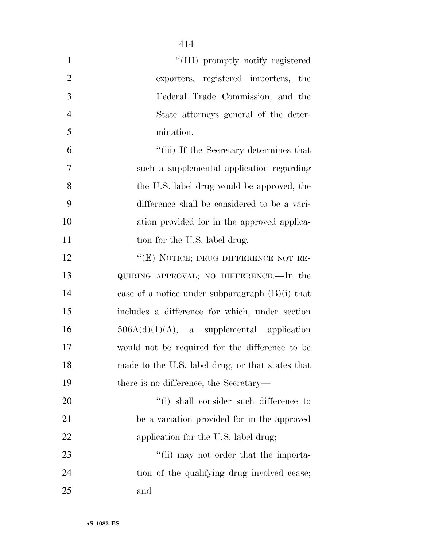| $\mathbf{1}$   | "(III) promptly notify registered                 |
|----------------|---------------------------------------------------|
| $\overline{2}$ | exporters, registered importers, the              |
| 3              | Federal Trade Commission, and the                 |
| $\overline{4}$ | State attorneys general of the deter-             |
| 5              | mination.                                         |
| 6              | "(iii) If the Secretary determines that           |
| 7              | such a supplemental application regarding         |
| 8              | the U.S. label drug would be approved, the        |
| 9              | difference shall be considered to be a vari-      |
| 10             | ation provided for in the approved applica-       |
| 11             | tion for the U.S. label drug.                     |
| 12             | "(E) NOTICE; DRUG DIFFERENCE NOT RE-              |
| 13             | QUIRING APPROVAL; NO DIFFERENCE.—In the           |
| 14             | case of a notice under subparagraph $(B)(i)$ that |
| 15             | includes a difference for which, under section    |
| 16             | $506A(d)(1)(A)$ , a supplemental application      |
| 17             | would not be required for the difference to be    |
| 18             | made to the U.S. label drug, or that states that  |
| 19             | there is no difference, the Secretary—            |
| 20             | "(i) shall consider such difference to            |
| 21             | be a variation provided for in the approved       |
| 22             | application for the U.S. label drug;              |
| 23             | "(ii) may not order that the importa-             |
| 24             | tion of the qualifying drug involved cease;       |
| 25             | and                                               |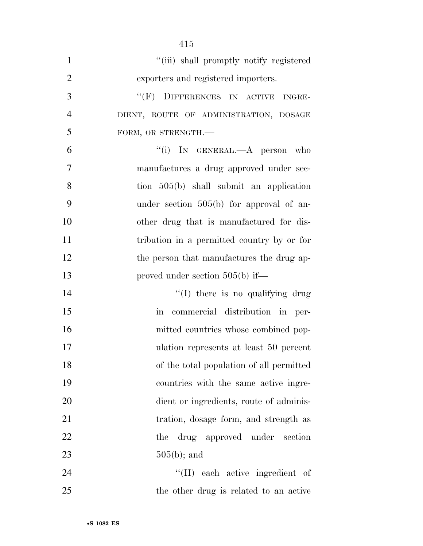| $\mathbf{1}$   | "(iii) shall promptly notify registered    |
|----------------|--------------------------------------------|
| $\overline{2}$ | exporters and registered importers.        |
| 3              | "(F) DIFFERENCES IN ACTIVE INGRE-          |
| $\overline{4}$ | DIENT, ROUTE OF ADMINISTRATION, DOSAGE     |
| 5              | FORM, OR STRENGTH.-                        |
| 6              | "(i) IN GENERAL.—A person who              |
| $\overline{7}$ | manufactures a drug approved under sec-    |
| 8              | tion $505(b)$ shall submit an application  |
| 9              | under section $505(b)$ for approval of an- |
| 10             | other drug that is manufactured for dis-   |
| 11             | tribution in a permitted country by or for |
| 12             | the person that manufactures the drug ap-  |
| 13             | proved under section $505(b)$ if—          |
| 14             | "(I) there is no qualifying drug           |
| 15             | in commercial distribution in per-         |
| 16             | mitted countries whose combined pop-       |
| 17             | ulation represents at least 50 percent     |
| 18             | of the total population of all permitted   |
| 19             | countries with the same active ingre-      |
| 20             | dient or ingredients, route of adminis-    |
| 21             | tration, dosage form, and strength as      |
| 22             | drug approved under section<br>the         |
| 23             | $505(b)$ ; and                             |
| 24             | "(II) each active ingredient of            |
| 25             | the other drug is related to an active     |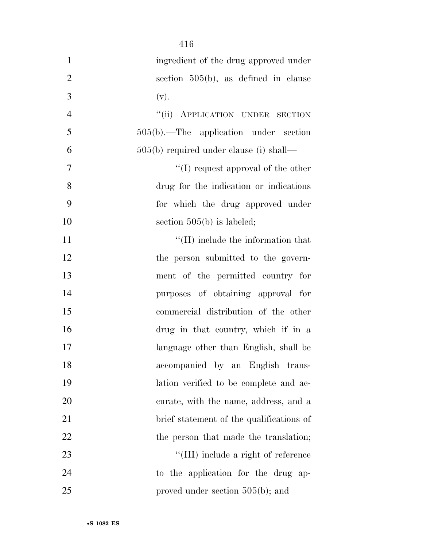| $\mathbf{1}$   | ingredient of the drug approved under      |
|----------------|--------------------------------------------|
| $\overline{2}$ | section $505(b)$ , as defined in clause    |
| 3              | (v).                                       |
| $\overline{4}$ | "(ii) APPLICATION UNDER SECTION            |
| 5              | 505(b).—The application under section      |
| 6              | $505(b)$ required under clause (i) shall—  |
| 7              | $\lq\lq$ request approval of the other     |
| 8              | drug for the indication or indications     |
| 9              | for which the drug approved under          |
| 10             | section $505(b)$ is labeled;               |
| 11             | $\lq\lq$ (II) include the information that |
| 12             | the person submitted to the govern-        |
| 13             | ment of the permitted country for          |
| 14             | purposes of obtaining approval for         |
| 15             | commercial distribution of the other       |
| 16             | drug in that country, which if in a        |
| 17             | language other than English, shall be      |
| 18             | accompanied by an English trans-           |
| 19             | lation verified to be complete and ac-     |
| 20             | curate, with the name, address, and a      |
| 21             | brief statement of the qualifications of   |
| 22             | the person that made the translation;      |
| 23             | "(III) include a right of reference        |
| 24             | to the application for the drug ap-        |
| 25             | proved under section $505(b)$ ; and        |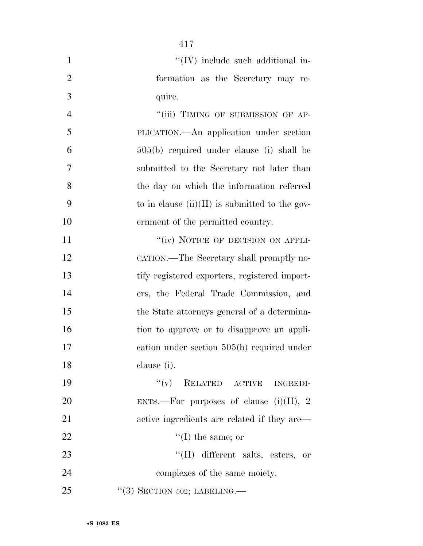| $\mathbf{1}$   | "(IV) include such additional in-                |
|----------------|--------------------------------------------------|
| $\overline{2}$ | formation as the Secretary may re-               |
| 3              | quire.                                           |
| $\overline{4}$ | "(iii) TIMING OF SUBMISSION OF AP-               |
| 5              | PLICATION.—An application under section          |
| 6              | $505(b)$ required under clause (i) shall be      |
| 7              | submitted to the Secretary not later than        |
| 8              | the day on which the information referred        |
| 9              | to in clause $(ii)(II)$ is submitted to the gov- |
| 10             | ernment of the permitted country.                |
| 11             | "(iv) NOTICE OF DECISION ON APPLI-               |
| 12             | CATION.—The Secretary shall promptly no-         |
| 13             | tify registered exporters, registered import-    |
| 14             | ers, the Federal Trade Commission, and           |
| 15             | the State attorneys general of a determina-      |
| 16             | tion to approve or to disapprove an appli-       |
| 17             | cation under section $505(b)$ required under     |
| 18             | clause (i).                                      |
| 19             | RELATED ACTIVE INGREDI-<br>``(v)                 |
| 20             | ENTS.—For purposes of clause $(i)(II)$ , 2       |
| 21             | active ingredients are related if they are—      |
| 22             | $\lq\lq$ (I) the same; or                        |
| 23             | "(II) different salts, esters, or                |
| 24             | complexes of the same moiety.                    |
| 25             | $\lq(3)$ SECTION 502; LABELING.—                 |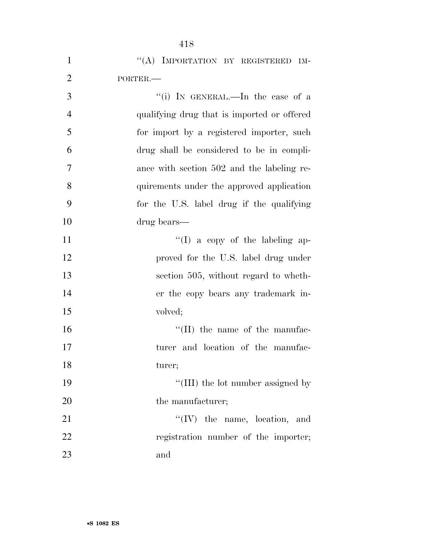| $\mathbf{1}$   | "(A) IMPORTATION BY REGISTERED IM-          |
|----------------|---------------------------------------------|
| $\overline{2}$ | PORTER.                                     |
| 3              | "(i) IN GENERAL.—In the case of a           |
| $\overline{4}$ | qualifying drug that is imported or offered |
| 5              | for import by a registered importer, such   |
| 6              | drug shall be considered to be in compli-   |
| $\overline{7}$ | ance with section 502 and the labeling re-  |
| 8              | quirements under the approved application   |
| 9              | for the U.S. label drug if the qualifying   |
| 10             | drug bears—                                 |
| 11             | "(I) a copy of the labeling ap-             |
| 12             | proved for the U.S. label drug under        |
| 13             | section 505, without regard to wheth-       |
| 14             | er the copy bears any trademark in-         |
| 15             | volved;                                     |
| 16             | $\lq\lq$ (II) the name of the manufac-      |
| 17             | turer and location of the manufac-          |
| 18             | turer;                                      |
| 19             | "(III) the lot number assigned by           |
| 20             | the manufacturer;                           |
| 21             | $\lq\lq$ (IV) the name, location, and       |
| 22             | registration number of the importer;        |
| 23             | and                                         |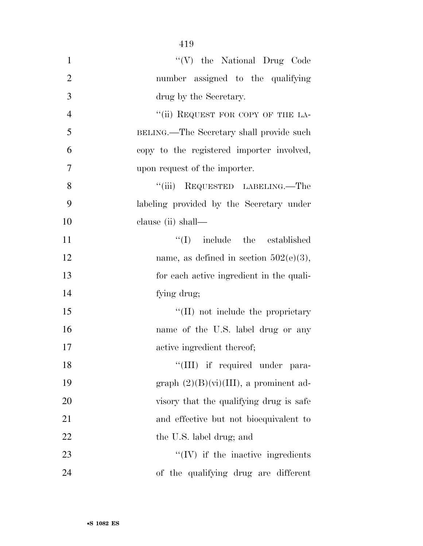| $\mathbf{1}$   | "(V) the National Drug Code               |
|----------------|-------------------------------------------|
| $\overline{2}$ | number assigned to the qualifying         |
| 3              | drug by the Secretary.                    |
| $\overline{4}$ | "(ii) REQUEST FOR COPY OF THE LA-         |
| 5              | BELING.—The Secretary shall provide such  |
| 6              | copy to the registered importer involved, |
| 7              | upon request of the importer.             |
| 8              | "(iii) REQUESTED LABELING.—The            |
| 9              | labeling provided by the Secretary under  |
| 10             | clause (ii) shall—                        |
| 11             | $\lq\lq$ include the established          |
| 12             | name, as defined in section $502(e)(3)$ , |
| 13             | for each active ingredient in the quali-  |
| 14             | fying drug;                               |
| 15             | $\lq\lq$ (II) not include the proprietary |
| 16             | name of the U.S. label drug or any        |
| 17             | active ingredient thereof;                |
| 18             | "(III) if required under para-            |
| 19             | graph $(2)(B)(vi)(III)$ , a prominent ad- |
| 20             | visory that the qualifying drug is safe   |
| 21             | and effective but not bioequivalent to    |
| 22             | the U.S. label drug; and                  |
| 23             | $\lq\lq$ (IV) if the inactive ingredients |
| 24             | of the qualifying drug are different      |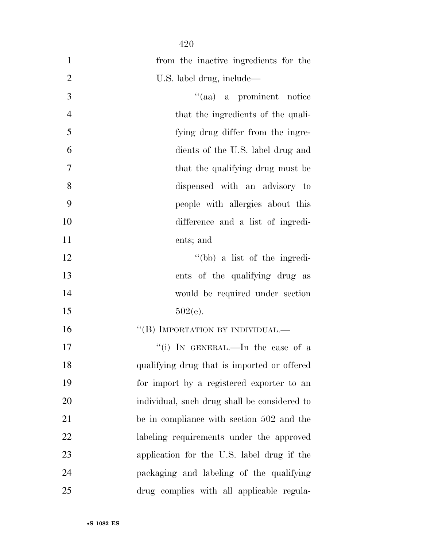| $\mathbf{1}$   | from the inactive ingredients for the        |
|----------------|----------------------------------------------|
| $\overline{2}$ | U.S. label drug, include—                    |
| 3              | "(aa) a prominent notice                     |
| $\overline{4}$ | that the ingredients of the quali-           |
| 5              | fying drug differ from the ingre-            |
| 6              | dients of the U.S. label drug and            |
| $\overline{7}$ | that the qualifying drug must be             |
| 8              | dispensed with an advisory to                |
| 9              | people with allergies about this             |
| 10             | difference and a list of ingredi-            |
| 11             | ents; and                                    |
| 12             | "(bb) a list of the ingredi-                 |
| 13             | ents of the qualifying drug as               |
| 14             | would be required under section              |
| 15             | $502(e)$ .                                   |
| 16             | "(B) IMPORTATION BY INDIVIDUAL.—             |
| 17             | "(i) IN GENERAL.—In the case of a            |
| 18             | qualifying drug that is imported or offered  |
| 19             | for import by a registered exporter to an    |
| 20             | individual, such drug shall be considered to |
| 21             | be in compliance with section 502 and the    |
| 22             | labeling requirements under the approved     |
| 23             | application for the U.S. label drug if the   |
| 24             | packaging and labeling of the qualifying     |
| 25             | drug complies with all applicable regula-    |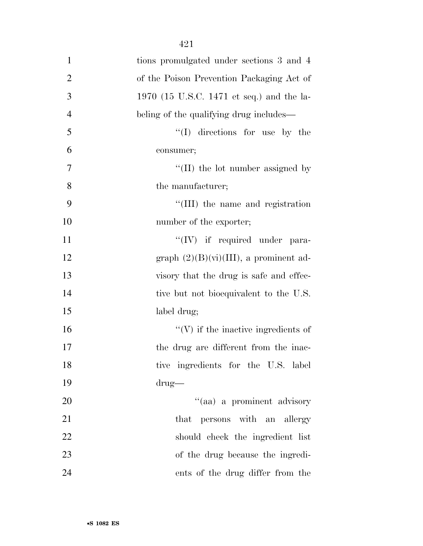| $\mathbf{1}$   | tions promulgated under sections 3 and 4    |
|----------------|---------------------------------------------|
| $\overline{2}$ | of the Poison Prevention Packaging Act of   |
| 3              | 1970 (15 U.S.C. 1471 et seq.) and the la-   |
| $\overline{4}$ | beling of the qualifying drug includes—     |
| 5              | $\lq\lq$ (I) directions for use by the      |
| 6              | consumer;                                   |
| 7              | $\lq\lq$ (II) the lot number assigned by    |
| 8              | the manufacturer;                           |
| 9              | "(III) the name and registration            |
| 10             | number of the exporter;                     |
| 11             | $\lq\lq (IV)$ if required under para-       |
| 12             | graph $(2)(B)(vi)(III)$ , a prominent ad-   |
| 13             | visory that the drug is safe and effec-     |
| 14             | tive but not bioequivalent to the U.S.      |
| 15             | label drug;                                 |
| 16             | $\lq\lq$ (V) if the inactive ingredients of |
| 17             | the drug are different from the inac-       |
| 18             | tive ingredients for the U.S. label         |
| 19             | $\text{drug}$                               |
| 20             | "(aa) a prominent advisory                  |
| 21             | that persons with an allergy                |
| 22             | should check the ingredient list            |
| 23             | of the drug because the ingredi-            |
| 24             | ents of the drug differ from the            |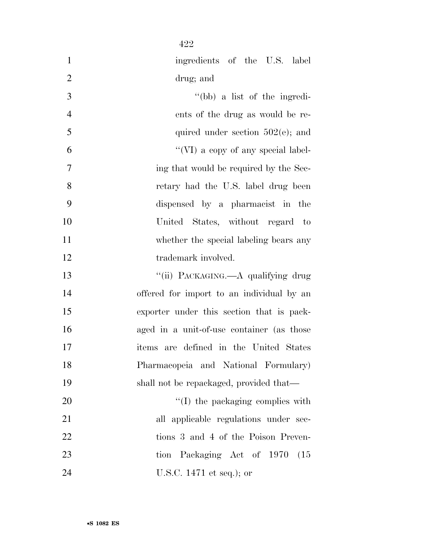| $\mathbf{1}$   | ingredients of the U.S. label             |
|----------------|-------------------------------------------|
| $\overline{2}$ | drug; and                                 |
| 3              | $\lq\lq(bb)$ a list of the ingredi-       |
| $\overline{4}$ | ents of the drug as would be re-          |
| 5              | quired under section $502(e)$ ; and       |
| 6              | "(VI) a copy of any special label-        |
| $\tau$         | ing that would be required by the Sec-    |
| 8              | retary had the U.S. label drug been       |
| 9              | dispensed by a pharmacist in the          |
| 10             | United States, without regard to          |
| 11             | whether the special labeling bears any    |
| 12             | trademark involved.                       |
| 13             | "(ii) PACKAGING.—A qualifying drug        |
| 14             | offered for import to an individual by an |
| 15             | exporter under this section that is pack- |
| 16             | aged in a unit-of-use container (as those |
| 17             | items are defined in the United States    |
| 18             | Pharmacopeia and National Formulary)      |
| 19             | shall not be repackaged, provided that—   |
| 20             | "(I) the packaging complies with          |
| 21             | all applicable regulations under sec-     |
| 22             | tions 3 and 4 of the Poison Preven-       |
| 23             | tion Packaging Act of 1970<br>(15)        |
| 24             | U.S.C. 1471 et seq.); or                  |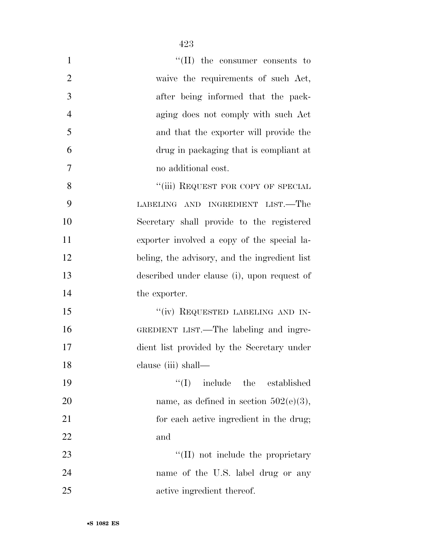| $\mathbf{1}$   | $\lq\lq$ (II) the consumer consents to        |
|----------------|-----------------------------------------------|
| $\overline{2}$ | waive the requirements of such Act,           |
| 3              | after being informed that the pack-           |
| $\overline{4}$ | aging does not comply with such Act           |
| 5              | and that the exporter will provide the        |
| 6              | drug in packaging that is compliant at        |
| $\tau$         | no additional cost.                           |
| 8              | "(iii) REQUEST FOR COPY OF SPECIAL            |
| 9              | LABELING AND INGREDIENT LIST.—The             |
| 10             | Secretary shall provide to the registered     |
| 11             | exporter involved a copy of the special la-   |
| 12             | beling, the advisory, and the ingredient list |
| 13             | described under clause (i), upon request of   |
| 14             | the exporter.                                 |
| 15             | "(iv) REQUESTED LABELING AND IN-              |
| 16             | GREDIENT LIST.—The labeling and ingre-        |
| 17             | dient list provided by the Secretary under    |
| 18             | clause (iii) shall—                           |
| 19             | ``(I)<br>include the established              |
| 20             | name, as defined in section $502(e)(3)$ ,     |
| 21             | for each active ingredient in the drug;       |
| 22             | and                                           |
|                |                                               |

23 ''(II) not include the proprietary name of the U.S. label drug or any active ingredient thereof.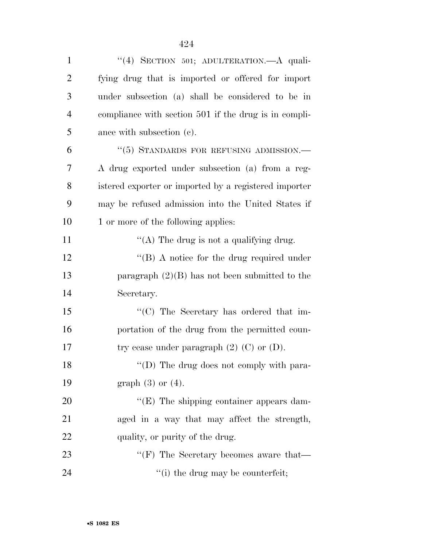| $\mathbf{1}$   | "(4) SECTION 501; ADULTERATION. A quali-              |
|----------------|-------------------------------------------------------|
| $\overline{c}$ | fying drug that is imported or offered for import     |
| 3              | under subsection (a) shall be considered to be in     |
| $\overline{4}$ | compliance with section 501 if the drug is in compli- |
| 5              | ance with subsection (c).                             |
| 6              | "(5) STANDARDS FOR REFUSING ADMISSION.—               |
| 7              | A drug exported under subsection (a) from a reg-      |
| 8              | istered exporter or imported by a registered importer |
| 9              | may be refused admission into the United States if    |
| 10             | 1 or more of the following applies:                   |
| 11             | "(A) The drug is not a qualifying drug.               |
| 12             | "(B) A notice for the drug required under             |
| 13             | paragraph $(2)(B)$ has not been submitted to the      |
| 14             | Secretary.                                            |
| 15             | "(C) The Secretary has ordered that im-               |
| 16             | portation of the drug from the permitted coun-        |
| 17             | try cease under paragraph $(2)$ $(C)$ or $(D)$ .      |
| 18             | "(D) The drug does not comply with para-              |
| 19             | graph $(3)$ or $(4)$ .                                |
| 20             | "(E) The shipping container appears dam-              |
| 21             | aged in a way that may affect the strength,           |
| 22             | quality, or purity of the drug.                       |
| 23             | "(F) The Secretary becomes aware that—                |
| 24             | "(i) the drug may be counterfeit;                     |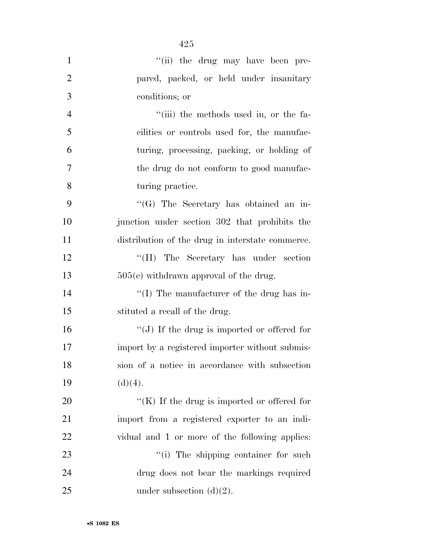| $\mathbf{1}$   | "(ii) the drug may have been pre-                |
|----------------|--------------------------------------------------|
| $\overline{2}$ | pared, packed, or held under insanitary          |
| 3              | conditions; or                                   |
| $\overline{4}$ | "(iii) the methods used in, or the fa-           |
| 5              | cilities or controls used for, the manufac-      |
| 6              | turing, processing, packing, or holding of       |
| $\tau$         | the drug do not conform to good manufac-         |
| 8              | turing practice.                                 |
| 9              | $\lq\lq(G)$ The Secretary has obtained an in-    |
| 10             | junction under section 302 that prohibits the    |
| 11             | distribution of the drug in interstate commerce. |
| 12             | "(H) The Secretary has under section             |
| 13             | $505(e)$ withdrawn approval of the drug.         |
| 14             | "(I) The manufacturer of the drug has in-        |
| 15             | stituted a recall of the drug.                   |
| 16             | "(J) If the drug is imported or offered for      |
| 17             | import by a registered importer without submis-  |
| 18             | sion of a notice in accordance with subsection   |
| 19             | (d)(4).                                          |
| 20             | " $(K)$ If the drug is imported or offered for   |
| 21             | import from a registered exporter to an indi-    |
| 22             | vidual and 1 or more of the following applies:   |
| 23             | "(i) The shipping container for such             |
| 24             | drug does not bear the markings required         |
| 25             | under subsection $(d)(2)$ .                      |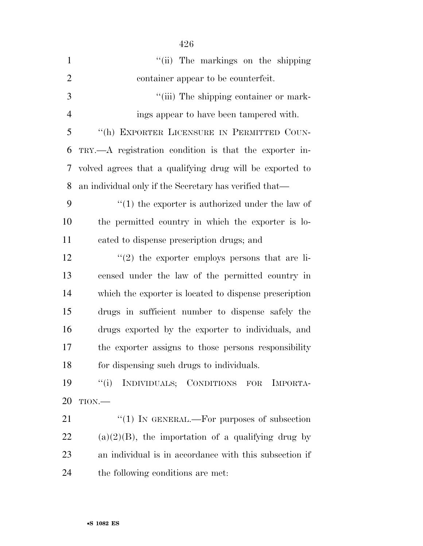| $\mathbf{1}$   | "(ii) The markings on the shipping                       |
|----------------|----------------------------------------------------------|
| $\overline{2}$ | container appear to be counterfeit.                      |
| 3              | "(iii) The shipping container or mark-                   |
| $\overline{4}$ | ings appear to have been tampered with.                  |
| 5              | "(h) EXPORTER LICENSURE IN PERMITTED COUN-               |
| 6              | TRY.—A registration condition is that the exporter in-   |
| 7              | volved agrees that a qualifying drug will be exported to |
| 8              | an individual only if the Secretary has verified that—   |
| 9              | $\lq(1)$ the exporter is authorized under the law of     |
| 10             | the permitted country in which the exporter is lo-       |
| 11             | cated to dispense prescription drugs; and                |
| 12             | $\lq(2)$ the exporter employs persons that are li-       |
| 13             | censed under the law of the permitted country in         |
| 14             | which the exporter is located to dispense prescription   |
| 15             | drugs in sufficient number to dispense safely the        |
| 16             | drugs exported by the exporter to individuals, and       |
| 17             | the exporter assigns to those persons responsibility     |
| 18             | for dispensing such drugs to individuals.                |
| 19             | ``(i)<br>INDIVIDUALS; CONDITIONS FOR<br>IMPORTA-         |
| 20             | TION.                                                    |
| 21             | "(1) IN GENERAL.—For purposes of subsection              |
| 22             | $(a)(2)(B)$ , the importation of a qualifying drug by    |
| 23             | an individual is in accordance with this subsection if   |
| 24             | the following conditions are met:                        |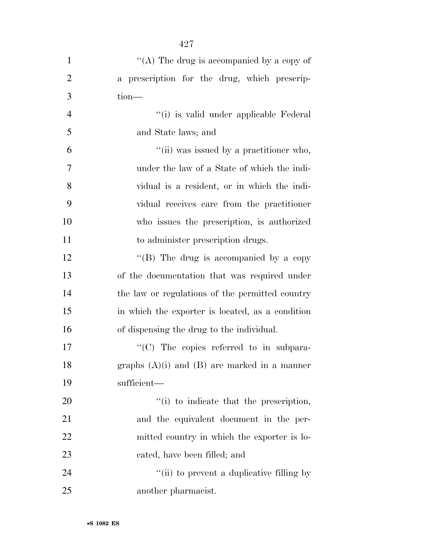| $\mathbf{1}$   | "(A) The drug is accompanied by a copy of        |
|----------------|--------------------------------------------------|
| $\overline{2}$ | a prescription for the drug, which prescrip-     |
| 3              | $tion$ —                                         |
| $\overline{4}$ | "(i) is valid under applicable Federal           |
| 5              | and State laws; and                              |
| 6              | "(ii) was issued by a practitioner who,          |
| $\overline{7}$ | under the law of a State of which the indi-      |
| 8              | vidual is a resident, or in which the indi-      |
| 9              | vidual receives care from the practitioner       |
| 10             | who issues the prescription, is authorized       |
| 11             | to administer prescription drugs.                |
| 12             | "(B) The drug is accompanied by a copy           |
| 13             | of the documentation that was required under     |
| 14             | the law or regulations of the permitted country  |
| 15             | in which the exporter is located, as a condition |
| 16             | of dispensing the drug to the individual.        |
| 17             | $\lq\lq$ The copies referred to in subpara-      |
| 18             | graphs $(A)(i)$ and $(B)$ are marked in a manner |
| 19             | sufficient—                                      |
| 20             | "(i) to indicate that the prescription,          |
| 21             | and the equivalent document in the per-          |
| 22             | mitted country in which the exporter is lo-      |
| 23             | cated, have been filled; and                     |
| 24             | "(ii) to prevent a duplicative filling by        |
| 25             | another pharmacist.                              |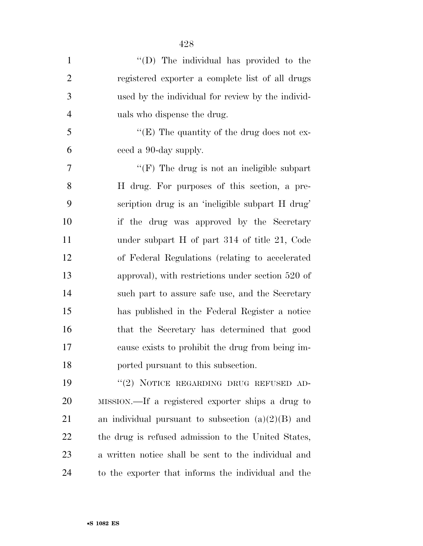| $\mathbf{1}$   | "(D) The individual has provided to the              |
|----------------|------------------------------------------------------|
| $\overline{2}$ | registered exporter a complete list of all drugs     |
| 3              | used by the individual for review by the individ-    |
| $\overline{4}$ | uals who dispense the drug.                          |
| 5              | "(E) The quantity of the drug does not ex-           |
| 6              | ceed a 90-day supply.                                |
| 7              | "(F) The drug is not an ineligible subpart           |
| 8              | H drug. For purposes of this section, a pre-         |
| 9              | scription drug is an 'ineligible subpart H drug'     |
| 10             | if the drug was approved by the Secretary            |
| 11             | under subpart H of part 314 of title 21, Code        |
| 12             | of Federal Regulations (relating to accelerated      |
| 13             | approval), with restrictions under section 520 of    |
| 14             | such part to assure safe use, and the Secretary      |
| 15             | has published in the Federal Register a notice       |
| 16             | that the Secretary has determined that good          |
| 17             | cause exists to prohibit the drug from being im-     |
| 18             | ported pursuant to this subsection.                  |
| 19             | "(2) NOTICE REGARDING DRUG REFUSED AD-               |
| 20             | MISSION.—If a registered exporter ships a drug to    |
| 21             | an individual pursuant to subsection $(a)(2)(B)$ and |
| 22             | the drug is refused admission to the United States,  |
| 23             | a written notice shall be sent to the individual and |
| 24             | to the exporter that informs the individual and the  |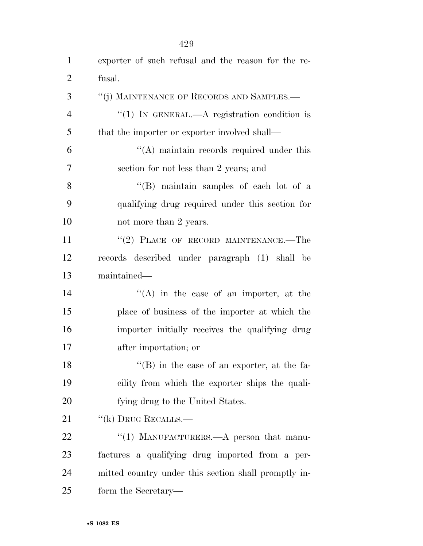| $\mathbf{1}$   | exporter of such refusal and the reason for the re-  |
|----------------|------------------------------------------------------|
| $\overline{2}$ | fusal.                                               |
| 3              | "(j) MAINTENANCE OF RECORDS AND SAMPLES.—            |
| $\overline{4}$ | "(1) IN GENERAL.—A registration condition is         |
| 5              | that the importer or exporter involved shall—        |
| 6              | $\cdot$ (A) maintain records required under this     |
| 7              | section for not less than 2 years; and               |
| 8              | "(B) maintain samples of each lot of a               |
| 9              | qualifying drug required under this section for      |
| 10             | not more than 2 years.                               |
| 11             | "(2) PLACE OF RECORD MAINTENANCE.—The                |
| 12             | records described under paragraph (1) shall be       |
| 13             | maintained—                                          |
| 14             | $\lq\lq$ in the case of an importer, at the          |
| 15             | place of business of the importer at which the       |
| 16             | importer initially receives the qualifying drug      |
| 17             | after importation; or                                |
| 18             | $\lq\lq (B)$ in the case of an exporter, at the fa-  |
| 19             | cility from which the exporter ships the quali-      |
| 20             | fying drug to the United States.                     |
| 21             | $``$ (k) DRUG RECALLS.—                              |
| 22             | "(1) MANUFACTURERS.—A person that manu-              |
| 23             | factures a qualifying drug imported from a per-      |
| 24             | mitted country under this section shall promptly in- |
| 25             | form the Secretary—                                  |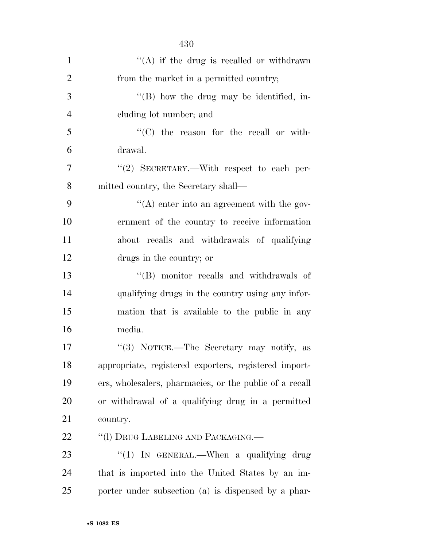| $\mathbf{1}$   | "(A) if the drug is recalled or withdrawn               |
|----------------|---------------------------------------------------------|
| $\overline{2}$ | from the market in a permitted country;                 |
| 3              | $\lq\lq (B)$ how the drug may be identified, in-        |
| $\overline{4}$ | cluding lot number; and                                 |
| 5              | "(C) the reason for the recall or with-                 |
| 6              | drawal.                                                 |
| $\overline{7}$ | "(2) SECRETARY.—With respect to each per-               |
| 8              | mitted country, the Secretary shall—                    |
| 9              | "(A) enter into an agreement with the gov-              |
| 10             | ernment of the country to receive information           |
| 11             | about recalls and withdrawals of qualifying             |
| 12             | drugs in the country; or                                |
| 13             | "(B) monitor recalls and withdrawals of                 |
| 14             | qualifying drugs in the country using any infor-        |
| 15             | mation that is available to the public in any           |
| 16             | media.                                                  |
| 17             | "(3) NOTICE.—The Secretary may notify, as               |
| 18             | appropriate, registered exporters, registered import-   |
| 19             | ers, wholesalers, pharmacies, or the public of a recall |
| 20             | or withdrawal of a qualifying drug in a permitted       |
| 21             | country.                                                |
| 22             | "(1) DRUG LABELING AND PACKAGING.—                      |
| 23             | "(1) IN GENERAL.—When a qualifying drug                 |
| 24             | that is imported into the United States by an im-       |
| 25             | porter under subsection (a) is dispensed by a phar-     |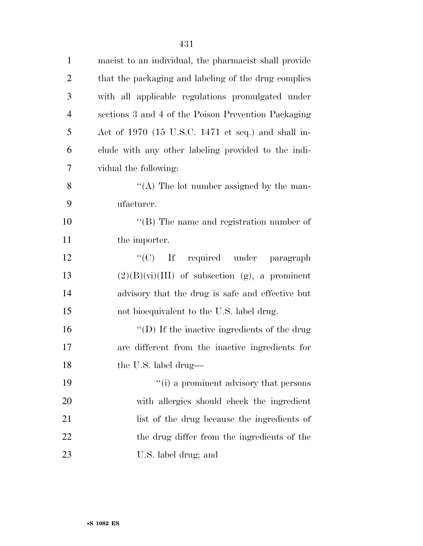| $\mathbf{1}$   | macist to an individual, the pharmacist shall provide |
|----------------|-------------------------------------------------------|
| $\overline{2}$ | that the packaging and labeling of the drug complies  |
| 3              | with all applicable regulations promulgated under     |
| $\overline{4}$ | sections 3 and 4 of the Poison Prevention Packaging   |
| 5              | Act of 1970 (15 U.S.C. 1471 et seq.) and shall in-    |
| 6              | clude with any other labeling provided to the indi-   |
| 7              | vidual the following:                                 |
| 8              | "(A) The lot number assigned by the man-              |
| 9              | ufacturer.                                            |
| 10             | $\lq\lq$ (B) The name and registration number of      |
| 11             | the importer.                                         |
| 12             | "(C) If required under paragraph                      |
| 13             | $(2)(B)(vi)(III)$ of subsection (g), a prominent      |
| 14             | advisory that the drug is safe and effective but      |
| 15             | not bioequivalent to the U.S. label drug.             |
| 16             | "(D) If the inactive ingredients of the drug          |
| 17             | are different from the inactive ingredients for       |
| 18             | the U.S. label drug-                                  |
| 19             | "(i) a prominent advisory that persons                |
| <b>20</b>      | with allergies should check the ingredient            |
| 21             | list of the drug because the ingredients of           |
| 22             | the drug differ from the ingredients of the           |
| 23             | U.S. label drug; and                                  |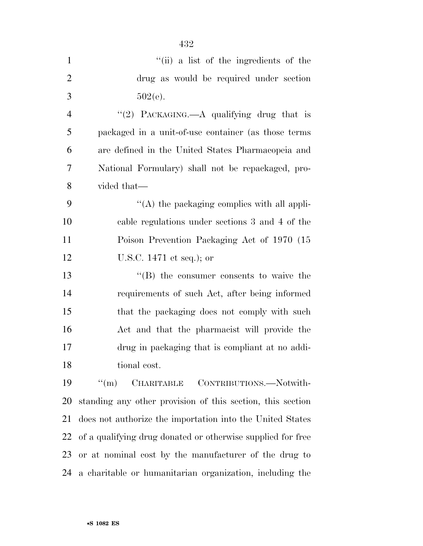|                | 432                                                         |
|----------------|-------------------------------------------------------------|
| $\mathbf{1}$   | "(ii) a list of the ingredients of the                      |
| $\overline{2}$ | drug as would be required under section                     |
| 3              | $502(e)$ .                                                  |
| $\overline{4}$ | "(2) PACKAGING.—A qualifying drug that is                   |
| 5              | packaged in a unit-of-use container (as those terms         |
| 6              | are defined in the United States Pharmacopeia and           |
| 7              | National Formulary) shall not be repackaged, pro-           |
| 8              | vided that—                                                 |
| 9              | $\lq\lq$ the packaging complies with all appli-             |
| 10             | cable regulations under sections 3 and 4 of the             |
| 11             | Poison Prevention Packaging Act of 1970 (15                 |
| 12             | U.S.C. $1471$ et seq.); or                                  |
| 13             | "(B) the consumer consents to waive the                     |
| 14             | requirements of such Act, after being informed              |
| 15             | that the packaging does not comply with such                |
| 16             | Act and that the pharmacist will provide the                |
| 17             | drug in packaging that is compliant at no addi-             |
| 18             | tional cost.                                                |
| 19             | $\lq($ m $)\lq$<br>CHARITABLE CONTRIBUTIONS.—Notwith-       |
| 20             | standing any other provision of this section, this section  |
| 21             | does not authorize the importation into the United States   |
| 22             | of a qualifying drug donated or otherwise supplied for free |
| 23             | or at nominal cost by the manufacturer of the drug to       |
| 24             | a charitable or humanitarian organization, including the    |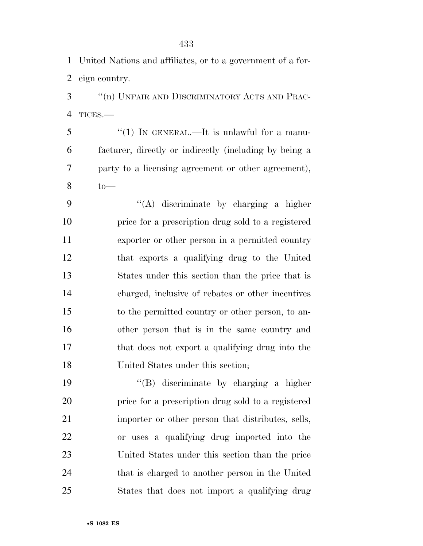United Nations and affiliates, or to a government of a for-eign country.

 ''(n) UNFAIR AND DISCRIMINATORY ACTS AND PRAC-TICES.—

5 "(1) IN GENERAL.—It is unlawful for a manu- facturer, directly or indirectly (including by being a party to a licensing agreement or other agreement), to—

 ''(A) discriminate by charging a higher price for a prescription drug sold to a registered exporter or other person in a permitted country that exports a qualifying drug to the United States under this section than the price that is charged, inclusive of rebates or other incentives to the permitted country or other person, to an- other person that is in the same country and that does not export a qualifying drug into the United States under this section;

 ''(B) discriminate by charging a higher price for a prescription drug sold to a registered importer or other person that distributes, sells, or uses a qualifying drug imported into the United States under this section than the price that is charged to another person in the United States that does not import a qualifying drug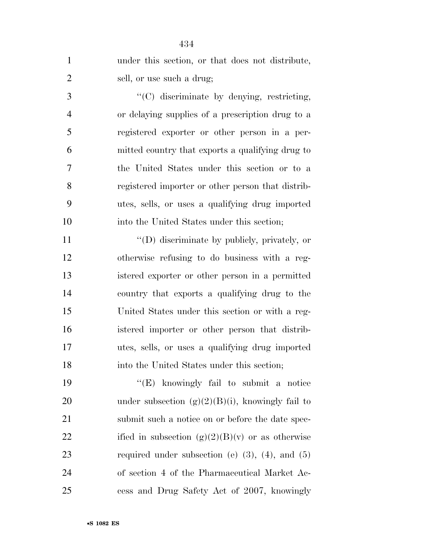|                | 434                                                     |
|----------------|---------------------------------------------------------|
| $\mathbf{1}$   | under this section, or that does not distribute,        |
| $\overline{2}$ | sell, or use such a drug;                               |
| 3              | "(C) discriminate by denying, restricting,              |
| $\overline{4}$ | or delaying supplies of a prescription drug to a        |
| 5              | registered exporter or other person in a per-           |
| 6              | mitted country that exports a qualifying drug to        |
| 7              | the United States under this section or to a            |
| 8              | registered importer or other person that distrib-       |
| 9              | utes, sells, or uses a qualifying drug imported         |
| 10             | into the United States under this section;              |
| 11             | "(D) discriminate by publicly, privately, or            |
| 12             | otherwise refusing to do business with a reg-           |
| 13             | istered exporter or other person in a permitted         |
| 14             | country that exports a qualifying drug to the           |
| 15             | United States under this section or with a reg-         |
| 16             | istered importer or other person that distrib-          |
| 17             | utes, sells, or uses a qualifying drug imported         |
| 18             | into the United States under this section;              |
| 19             | " $(E)$ knowingly fail to submit a notice               |
| 20             | under subsection $(g)(2)(B)(i)$ , knowingly fail to     |
| 21             | submit such a notice on or before the date spec-        |
| 22             | ified in subsection $(g)(2)(B)(v)$ or as otherwise      |
| 23             | required under subsection (e) $(3)$ , $(4)$ , and $(5)$ |
| 24             | of section 4 of the Pharmaceutical Market Ac-           |
| 25             | cess and Drug Safety Act of 2007, knowingly             |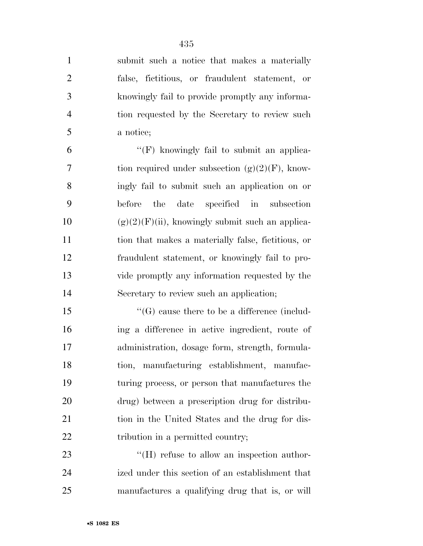submit such a notice that makes a materially false, fictitious, or fraudulent statement, or knowingly fail to provide promptly any informa- tion requested by the Secretary to review such a notice;

 $^{\prime\prime}$ (F) knowingly fail to submit an applica-7 tion required under subsection  $(g)(2)(F)$ , know- ingly fail to submit such an application on or before the date specified in subsection 10 (g)(2)(F)(ii), knowingly submit such an applica- tion that makes a materially false, fictitious, or fraudulent statement, or knowingly fail to pro- vide promptly any information requested by the Secretary to review such an application;

 ''(G) cause there to be a difference (includ- ing a difference in active ingredient, route of administration, dosage form, strength, formula- tion, manufacturing establishment, manufac- turing process, or person that manufactures the drug) between a prescription drug for distribu- tion in the United States and the drug for dis-22 tribution in a permitted country;

23 "'(H) refuse to allow an inspection author- ized under this section of an establishment that manufactures a qualifying drug that is, or will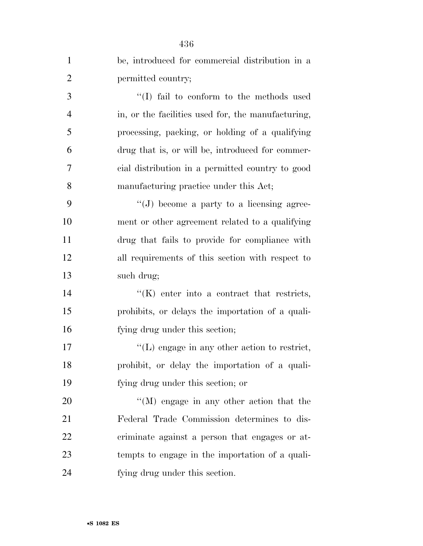|                | 436                                                    |
|----------------|--------------------------------------------------------|
| $\mathbf{1}$   | be, introduced for commercial distribution in a        |
| $\overline{2}$ | permitted country;                                     |
| 3              | "(I) fail to conform to the methods used               |
| $\overline{4}$ | in, or the facilities used for, the manufacturing,     |
| 5              | processing, packing, or holding of a qualifying        |
| 6              | drug that is, or will be, introduced for commer-       |
| 7              | cial distribution in a permitted country to good       |
| 8              | manufacturing practice under this Act;                 |
| 9              | "(J) become a party to a licensing agree-              |
| 10             | ment or other agreement related to a qualifying        |
| 11             | drug that fails to provide for compliance with         |
| 12             | all requirements of this section with respect to       |
| 13             | such drug;                                             |
| 14             | $\lq\lq$ (K) enter into a contract that restricts,     |
| 15             | prohibits, or delays the importation of a quali-       |
| 16             | fying drug under this section;                         |
| 17             | $\lq\lq$ . (L) engage in any other action to restrict, |
| 18             | prohibit, or delay the importation of a quali-         |
| 19             | fying drug under this section; or                      |
| 20             | $\lq\lq (M)$ engage in any other action that the       |
| 21             | Federal Trade Commission determines to dis-            |
| 22             | criminate against a person that engages or at-         |
| 23             | tempts to engage in the importation of a quali-        |
| 24             | fying drug under this section.                         |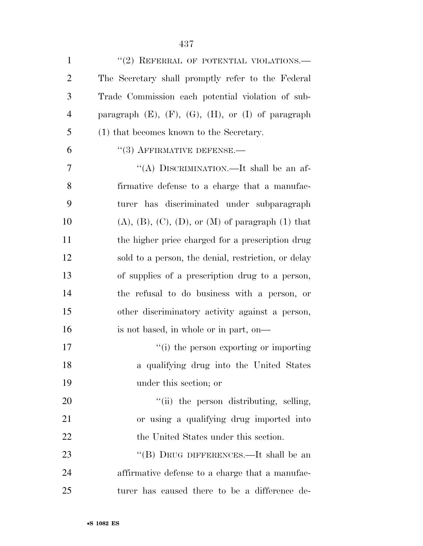| $\mathbf{1}$   | $``(2)$ REFERRAL OF POTENTIAL VIOLATIONS.—                      |
|----------------|-----------------------------------------------------------------|
| $\overline{2}$ | The Secretary shall promptly refer to the Federal               |
| 3              | Trade Commission each potential violation of sub-               |
| $\overline{4}$ | paragraph $(E)$ , $(F)$ , $(G)$ , $(H)$ , or $(I)$ of paragraph |
| 5              | (1) that becomes known to the Secretary.                        |
| 6              | $\cdot$ (3) AFFIRMATIVE DEFENSE.—                               |
| 7              | "(A) DISCRIMINATION.—It shall be an af-                         |
| 8              | firmative defense to a charge that a manufac-                   |
| 9              | turer has discriminated under subparagraph                      |
| 10             | $(A), (B), (C), (D),$ or $(M)$ of paragraph $(1)$ that          |
| 11             | the higher price charged for a prescription drug                |
| 12             | sold to a person, the denial, restriction, or delay             |
| 13             | of supplies of a prescription drug to a person,                 |
| 14             | the refusal to do business with a person, or                    |
| 15             | other discriminatory activity against a person,                 |
| 16             | is not based, in whole or in part, on—                          |
| 17             | "(i) the person exporting or importing                          |
| 18             | a qualifying drug into the United States                        |
| 19             | under this section; or                                          |
| 20             | "(ii) the person distributing, selling,                         |
| 21             | or using a qualifying drug imported into                        |
| 22             | the United States under this section.                           |
| 23             | "(B) DRUG DIFFERENCES.—It shall be an                           |
| 24             | affirmative defense to a charge that a manufac-                 |
| 25             | turer has caused there to be a difference de-                   |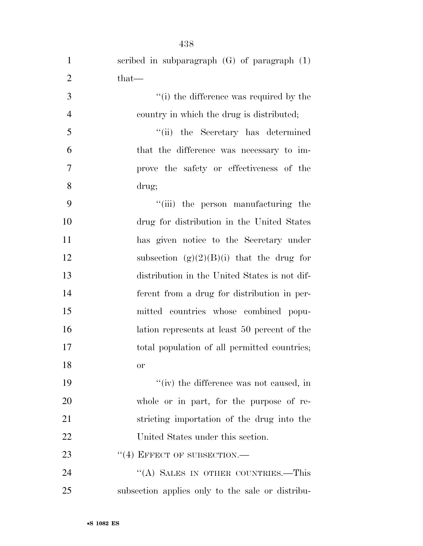| $\mathbf{1}$   | scribed in subparagraph $(G)$ of paragraph $(1)$ |
|----------------|--------------------------------------------------|
| $\overline{2}$ | that—                                            |
| 3              | "(i) the difference was required by the          |
| $\overline{4}$ | country in which the drug is distributed;        |
| 5              | "(ii) the Secretary has determined               |
| 6              | that the difference was necessary to im-         |
| 7              | prove the safety or effectiveness of the         |
| 8              | drug;                                            |
| 9              | "(iii) the person manufacturing the              |
| 10             | drug for distribution in the United States       |
| 11             | has given notice to the Secretary under          |
| 12             | subsection $(g)(2)(B)(i)$ that the drug for      |
| 13             | distribution in the United States is not dif-    |
| 14             | ferent from a drug for distribution in per-      |
| 15             | mitted countries whose combined popu-            |
| 16             | lation represents at least 50 percent of the     |
| 17             | total population of all permitted countries;     |
| 18             | or                                               |
| 19             | "(iv) the difference was not caused, in          |
| 20             | whole or in part, for the purpose of re-         |
| 21             | stricting importation of the drug into the       |
| 22             | United States under this section.                |
| 23             | $``(4)$ EFFECT OF SUBSECTION.—                   |
| 24             | "(A) SALES IN OTHER COUNTRIES.—This              |
| 25             | subsection applies only to the sale or distribu- |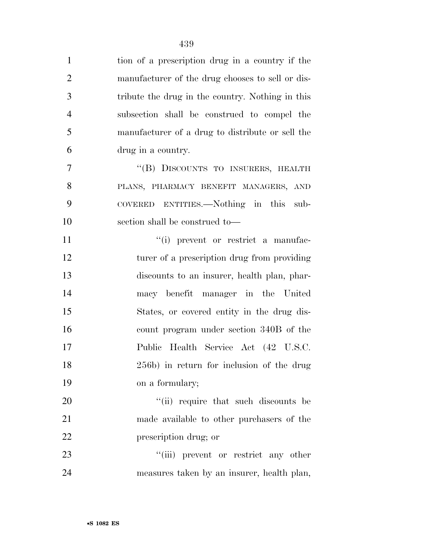| $\mathbf{1}$   | tion of a prescription drug in a country if the  |
|----------------|--------------------------------------------------|
| $\overline{2}$ | manufacturer of the drug chooses to sell or dis- |
| 3              | tribute the drug in the country. Nothing in this |
| $\overline{4}$ | subsection shall be construed to compel the      |
| 5              | manufacturer of a drug to distribute or sell the |
| 6              | drug in a country.                               |
| 7              | "(B) DISCOUNTS TO INSURERS, HEALTH               |
| 8              | PLANS, PHARMACY BENEFIT MANAGERS, AND            |
| 9              | COVERED ENTITIES.—Nothing in this sub-           |
| 10             | section shall be construed to—                   |
| 11             | "(i) prevent or restrict a manufac-              |
| 12             | turer of a prescription drug from providing      |
| 13             | discounts to an insurer, health plan, phar-      |
| 14             | macy benefit manager in the United               |
| 15             | States, or covered entity in the drug dis-       |
| 16             | count program under section 340B of the          |
| 17             | Public Health Service Act (42 U.S.C.             |
| 18             | 256b) in return for inclusion of the drug        |
| 19             | on a formulary;                                  |
| 20             | "(ii) require that such discounts be             |
| 21             | made available to other purchasers of the        |
| 22             | prescription drug; or                            |
| 23             | "(iii) prevent or restrict any other             |
| 24             | measures taken by an insurer, health plan,       |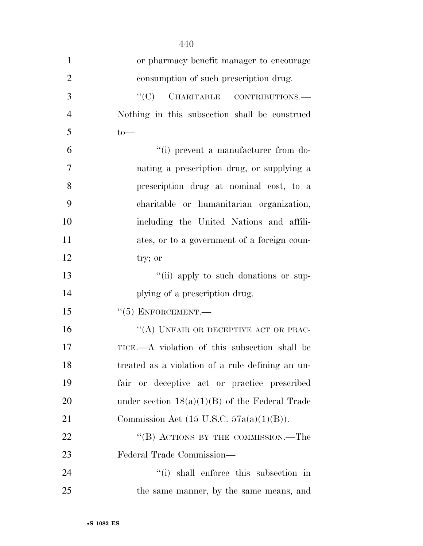| $\mathbf{1}$   | or pharmacy benefit manager to encourage            |
|----------------|-----------------------------------------------------|
| $\overline{2}$ | consumption of such prescription drug.              |
| 3              | $\cdot$ (C) CHARITABLE CONTRIBUTIONS.—              |
| $\overline{4}$ | Nothing in this subsection shall be construed       |
| 5              | $to$ —                                              |
| 6              | "(i) prevent a manufacturer from do-                |
| $\overline{7}$ | nating a prescription drug, or supplying a          |
| 8              | prescription drug at nominal cost, to a             |
| 9              | charitable or humanitarian organization,            |
| 10             | including the United Nations and affili-            |
| 11             | ates, or to a government of a foreign coun-         |
| 12             | try; or                                             |
| 13             | "(ii) apply to such donations or sup-               |
| 14             | plying of a prescription drug.                      |
| 15             | $``(5)$ ENFORCEMENT.—                               |
| 16             | "(A) UNFAIR OR DECEPTIVE ACT OR PRAC-               |
| 17             | TICE.—A violation of this subsection shall be       |
| 18             | treated as a violation of a rule defining an un-    |
| 19             | fair or deceptive act or practice prescribed        |
| 20             | under section $18(a)(1)(B)$ of the Federal Trade    |
| 21             | Commission Act $(15 \text{ U.S.C. } 57a(a)(1)(B)).$ |
| 22             | "(B) ACTIONS BY THE COMMISSION.—The                 |
| 23             | Federal Trade Commission—                           |
| 24             | "(i) shall enforce this subsection in               |
| 25             | the same manner, by the same means, and             |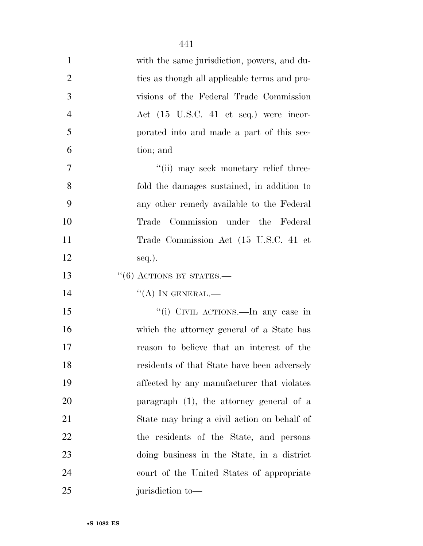| $\mathbf{1}$   | with the same jurisdiction, powers, and du-  |
|----------------|----------------------------------------------|
| $\overline{2}$ | ties as though all applicable terms and pro- |
| 3              | visions of the Federal Trade Commission      |
| $\overline{4}$ | Act (15 U.S.C. 41 et seq.) were incor-       |
| 5              | porated into and made a part of this sec-    |
| 6              | tion; and                                    |
| $\overline{7}$ | "(ii) may seek monetary relief three-        |
| 8              | fold the damages sustained, in addition to   |
| 9              | any other remedy available to the Federal    |
| 10             | Commission under the Federal<br>Trade        |
| 11             | Trade Commission Act (15 U.S.C. 41 et        |
| 12             | $seq.$ ).                                    |
| 13             | $``(6)$ ACTIONS BY STATES.—                  |
| 14             | $\lq\lq (A)$ In GENERAL.—                    |
| 15             | "(i) CIVIL ACTIONS.—In any case in           |
| 16             | which the attorney general of a State has    |
| 17             | reason to believe that an interest of the    |
| 18             | residents of that State have been adversely  |
| 19             | affected by any manufacturer that violates   |
| 20             | paragraph $(1)$ , the attorney general of a  |
| 21             | State may bring a civil action on behalf of  |
| 22             | the residents of the State, and persons      |
| 23             | doing business in the State, in a district   |
| 24             | court of the United States of appropriate    |
| 25             | jurisdiction to-                             |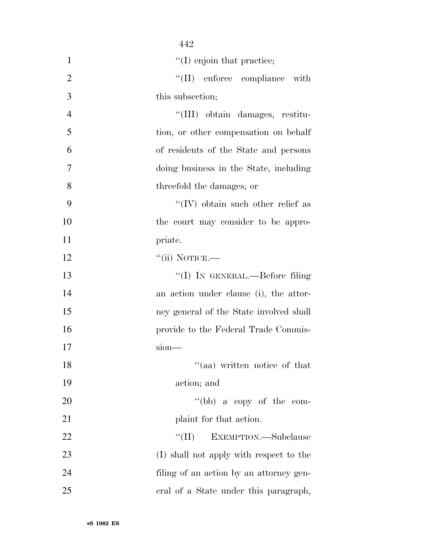| $\mathbf{1}$   | $\lq (I)$ enjoin that practice;           |
|----------------|-------------------------------------------|
| $\overline{2}$ | "(II) enforce compliance with             |
| 3              | this subsection;                          |
| $\overline{4}$ | "(III) obtain damages, restitu-           |
| 5              | tion, or other compensation on behalf     |
| 6              | of residents of the State and persons     |
| 7              | doing business in the State, including    |
| 8              | threefold the damages; or                 |
| 9              | $\lq\lq$ (IV) obtain such other relief as |
| 10             | the court may consider to be appro-       |
| 11             | priate.                                   |
| 12             | $``$ (ii) NOTICE.—                        |
| 13             | "(I) IN GENERAL.—Before filing            |
| 14             | an action under clause (i), the attor-    |
| 15             | ney general of the State involved shall   |
| 16             | provide to the Federal Trade Commis-      |
| 17             | sion                                      |
| 18             | "(aa) written notice of that              |
| 19             | action; and                               |
| 20             | "(bb) a copy of the com-                  |
| 21             | plaint for that action.                   |
| 22             | ``(II)<br>EXEMPTION. Subclause            |
| 23             | (I) shall not apply with respect to the   |
| 24             | filing of an action by an attorney gen-   |
| 25             | eral of a State under this paragraph,     |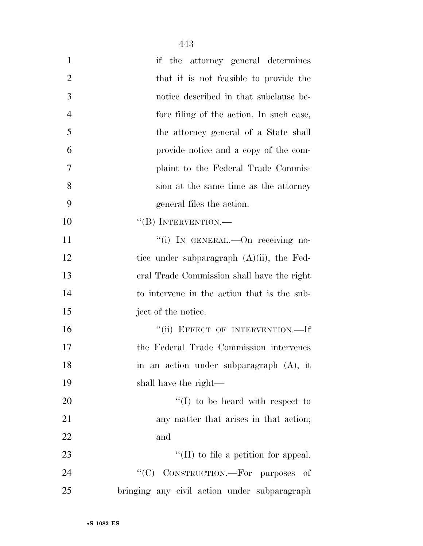| $\mathbf{1}$   | if the attorney general determines           |
|----------------|----------------------------------------------|
| $\overline{2}$ | that it is not feasible to provide the       |
| 3              | notice described in that subclause be-       |
| $\overline{4}$ | fore filing of the action. In such case,     |
| 5              | the attorney general of a State shall        |
| 6              | provide notice and a copy of the com-        |
| 7              | plaint to the Federal Trade Commis-          |
| 8              | sion at the same time as the attorney        |
| 9              | general files the action.                    |
| 10             | "(B) INTERVENTION.—                          |
| 11             | "(i) IN GENERAL.-- On receiving no-          |
| 12             | tice under subparagraph $(A)(ii)$ , the Fed- |
| 13             | eral Trade Commission shall have the right   |
| 14             | to intervene in the action that is the sub-  |
| 15             | ject of the notice.                          |
| 16             | "(ii) EFFECT OF INTERVENTION.-If             |
| 17             | the Federal Trade Commission intervenes      |
| 18             | in an action under subparagraph (A), it      |
| 19             | shall have the right—                        |
| 20             | $\lq (I)$ to be heard with respect to        |
| 21             | any matter that arises in that action;       |
| 22             | and                                          |
| 23             | $\lq\lq$ (II) to file a petition for appeal. |
| 24             | CONSTRUCTION.—For purposes of<br>``(C)       |
| 25             | bringing any civil action under subparagraph |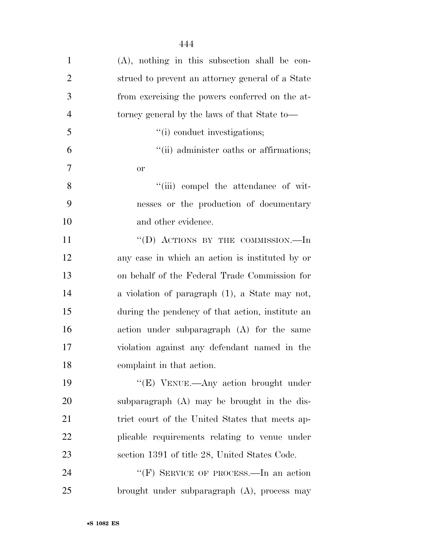| $\mathbf{1}$   | $(A)$ , nothing in this subsection shall be con- |
|----------------|--------------------------------------------------|
| $\overline{2}$ | strued to prevent an attorney general of a State |
| 3              | from exercising the powers conferred on the at-  |
| $\overline{4}$ | torney general by the laws of that State to—     |
| 5              | "(i) conduct investigations;                     |
| 6              | "(ii) administer oaths or affirmations;          |
| 7              | <b>or</b>                                        |
| 8              | "(iii) compel the attendance of wit-             |
| 9              | nesses or the production of documentary          |
| 10             | and other evidence.                              |
| 11             | "(D) ACTIONS BY THE COMMISSION.—In               |
| 12             | any case in which an action is instituted by or  |
| 13             | on behalf of the Federal Trade Commission for    |
| 14             | a violation of paragraph (1), a State may not,   |
| 15             | during the pendency of that action, institute an |
| 16             | action under subparagraph (A) for the same       |
| 17             | violation against any defendant named in the     |
| 18             | complaint in that action.                        |
| 19             | "(E) VENUE.—Any action brought under             |
| 20             | subparagraph (A) may be brought in the dis-      |
| 21             | trict court of the United States that meets ap-  |
| 22             | plicable requirements relating to venue under    |
| 23             | section 1391 of title 28, United States Code.    |
| 24             | "(F) SERVICE OF PROCESS.—In an action            |
| 25             | brought under subparagraph (A), process may      |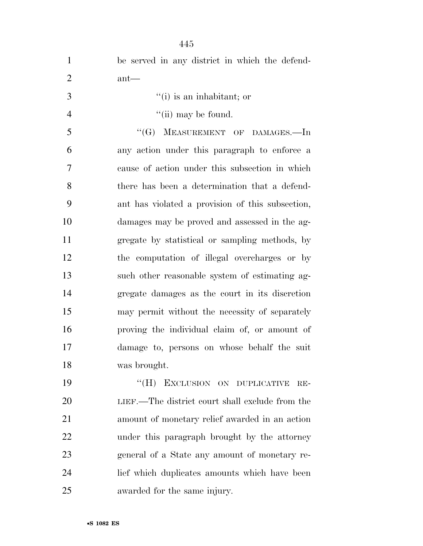| $\mathbf{1}$   | be served in any district in which the defend-   |
|----------------|--------------------------------------------------|
| $\overline{2}$ | $ant$ —                                          |
| 3              | $f'(i)$ is an inhabitant; or                     |
| $\overline{4}$ | "(ii) may be found.                              |
| 5              | $``$ (G)<br>MEASUREMENT OF DAMAGES.-In           |
| 6              | any action under this paragraph to enforce a     |
| $\overline{7}$ | cause of action under this subsection in which   |
| 8              | there has been a determination that a defend-    |
| 9              | ant has violated a provision of this subsection, |
| 10             | damages may be proved and assessed in the ag-    |
| 11             | gregate by statistical or sampling methods, by   |
| 12             | the computation of illegal overcharges or by     |
| 13             | such other reasonable system of estimating ag-   |
| 14             | gregate damages as the court in its discretion   |
| 15             | may permit without the necessity of separately   |
| 16             | proving the individual claim of, or amount of    |
| 17             | damage to, persons on whose behalf the suit      |
| 18             | was brought.                                     |
| 19             | "(H) EXCLUSION ON DUPLICATIVE<br>$RE-$           |
| 20             | LIEF.—The district court shall exclude from the  |
| 21             | amount of monetary relief awarded in an action   |
| 22             | under this paragraph brought by the attorney     |
| 23             | general of a State any amount of monetary re-    |
| 24             | lief which duplicates amounts which have been    |
| 25             | awarded for the same injury.                     |

•**S 1082 ES**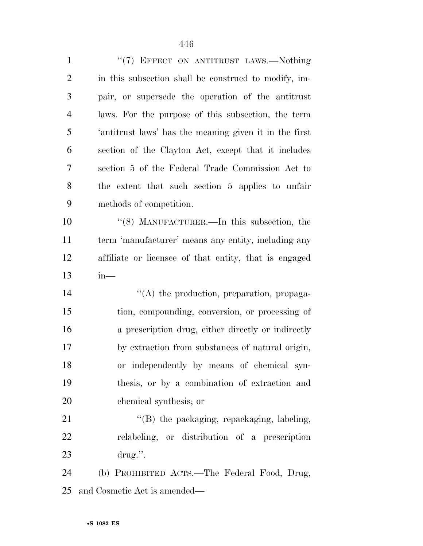| $\mathbf{1}$   | "(7) EFFECT ON ANTITRUST LAWS.-Nothing                 |
|----------------|--------------------------------------------------------|
| $\overline{2}$ | in this subsection shall be construed to modify, im-   |
| 3              | pair, or supersede the operation of the antitrust      |
| $\overline{4}$ | laws. For the purpose of this subsection, the term     |
| 5              | 'antitrust laws' has the meaning given it in the first |
| 6              | section of the Clayton Act, except that it includes    |
| 7              | section 5 of the Federal Trade Commission Act to       |
| 8              | the extent that such section 5 applies to unfair       |
| 9              | methods of competition.                                |
| 10             | "(8) MANUFACTURER.—In this subsection, the             |
| 11             | term 'manufacturer' means any entity, including any    |
| 12             | affiliate or licensee of that entity, that is engaged  |
| 13             | $in-$                                                  |
|                |                                                        |
| 14             | $\lq\lq$ the production, preparation, propaga-         |
| 15             | tion, compounding, conversion, or processing of        |
| 16             | a prescription drug, either directly or indirectly     |
| 17             | by extraction from substances of natural origin,       |
| 18             | or independently by means of chemical syn-             |
| 19             | thesis, or by a combination of extraction and          |
| 20             | chemical synthesis; or                                 |
| 21             | "(B) the packaging, repackaging, labeling,             |
| 22             | relabeling, or distribution of a prescription          |
| 23             | drug.".                                                |
| 24             | (b) PROHIBITED ACTS.—The Federal Food, Drug,           |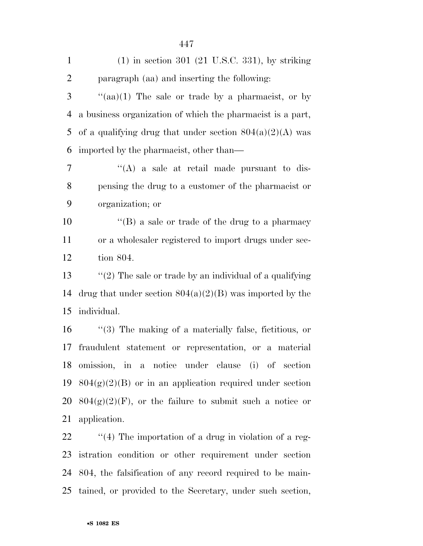| $\mathbf{1}$   | $(1)$ in section 301 $(21 \text{ U.S.C. } 331)$ , by striking |
|----------------|---------------------------------------------------------------|
| $\overline{2}$ | paragraph (aa) and inserting the following:                   |
| 3              | " $(aa)(1)$ The sale or trade by a pharmacist, or by          |
| $\overline{4}$ | a business organization of which the pharmacist is a part,    |
| 5              | of a qualifying drug that under section $804(a)(2)(A)$ was    |
| 6              | imported by the pharmacist, other than—                       |
| 7              | "(A) a sale at retail made pursuant to dis-                   |
| 8              | pensing the drug to a customer of the pharmacist or           |
| 9              | organization; or                                              |
| 10             | $\lq\lq (B)$ a sale or trade of the drug to a pharmacy        |
| 11             | or a wholesaler registered to import drugs under sec-         |
| 12             | tion 804.                                                     |
| 13             | " $(2)$ The sale or trade by an individual of a qualifying    |
| 14             | drug that under section $804(a)(2)(B)$ was imported by the    |
| 15             | individual.                                                   |
| 16             | $\lq(3)$ The making of a materially false, fictitious, or     |
| 17             | fraudulent statement or representation, or a material         |
| 18             | omission, in a notice under clause (i) of section             |
| 19             | $804(g)(2)(B)$ or in an application required under section    |
| 20             | $804(g)(2)(F)$ , or the failure to submit such a notice or    |
| 21             | application.                                                  |
| 22             | $\lq(4)$ The importation of a drug in violation of a reg-     |
| 23             | istration condition or other requirement under section        |

 804, the falsification of any record required to be main-tained, or provided to the Secretary, under such section,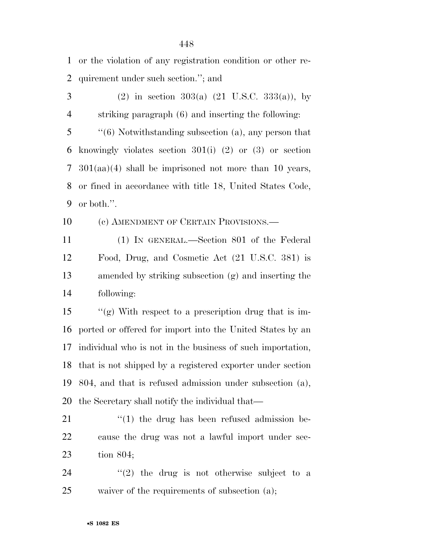or the violation of any registration condition or other re-quirement under such section.''; and

 (2) in section 303(a) (21 U.S.C. 333(a)), by striking paragraph (6) and inserting the following: ''(6) Notwithstanding subsection (a), any person that knowingly violates section 301(i) (2) or (3) or section 301(aa)(4) shall be imprisoned not more than 10 years, or fined in accordance with title 18, United States Code, or both.''.

10 (c) AMENDMENT OF CERTAIN PROVISIONS.—

 (1) IN GENERAL.—Section 801 of the Federal Food, Drug, and Cosmetic Act (21 U.S.C. 381) is amended by striking subsection (g) and inserting the following:

 ''(g) With respect to a prescription drug that is im- ported or offered for import into the United States by an individual who is not in the business of such importation, that is not shipped by a registered exporter under section 804, and that is refused admission under subsection (a), the Secretary shall notify the individual that—

 ''(1) the drug has been refused admission be- cause the drug was not a lawful import under sec-tion 804;

24  $(2)$  the drug is not otherwise subject to a waiver of the requirements of subsection (a);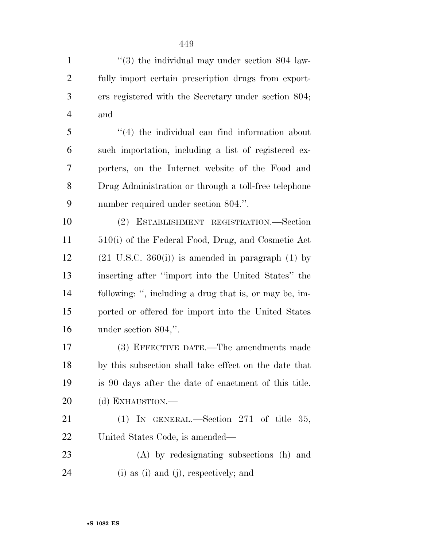$\frac{4}{3}$  the individual may under section 804 law- fully import certain prescription drugs from export- ers registered with the Secretary under section 804; and

 ''(4) the individual can find information about such importation, including a list of registered ex- porters, on the Internet website of the Food and Drug Administration or through a toll-free telephone number required under section 804.''.

 (2) ESTABLISHMENT REGISTRATION.—Section 510(i) of the Federal Food, Drug, and Cosmetic Act 12 (21 U.S.C. 360(i)) is amended in paragraph (1) by inserting after ''import into the United States'' the following: '', including a drug that is, or may be, im- ported or offered for import into the United States under section 804,''.

 (3) EFFECTIVE DATE.—The amendments made by this subsection shall take effect on the date that is 90 days after the date of enactment of this title. 20 (d) EXHAUSTION.—

21 (1) IN GENERAL.—Section 271 of title 35, United States Code, is amended—

 (A) by redesignating subsections (h) and (i) as (i) and (j), respectively; and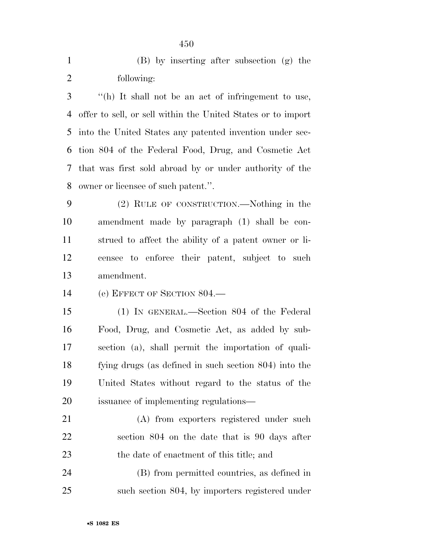| $\mathbf{1}$   | (B) by inserting after subsection (g) the                    |
|----------------|--------------------------------------------------------------|
| $\overline{2}$ | following:                                                   |
| 3              | "(h) It shall not be an act of infringement to use,          |
| 4              | offer to sell, or sell within the United States or to import |
| 5              | into the United States any patented invention under sec-     |
| 6              | tion 804 of the Federal Food, Drug, and Cosmetic Act         |
| 7              | that was first sold abroad by or under authority of the      |
| 8              | owner or licensee of such patent.".                          |
| 9              | (2) RULE OF CONSTRUCTION.—Nothing in the                     |
| 10             | amendment made by paragraph (1) shall be con-                |
| 11             | strued to affect the ability of a patent owner or li-        |
| 12             | censee to enforce their patent, subject to such              |
| 13             | amendment.                                                   |
| 14             | (e) EFFECT OF SECTION $804$ .                                |
| 15             | $(1)$ IN GENERAL.—Section 804 of the Federal                 |
| 16             | Food, Drug, and Cosmetic Act, as added by sub-               |
| 17             | section (a), shall permit the importation of quali-          |
| 18             | fying drugs (as defined in such section 804) into the        |
| 19             | United States without regard to the status of the            |
| 20             | issuance of implementing regulations—                        |
| 21             | (A) from exporters registered under such                     |
| 22             | section 804 on the date that is 90 days after                |
| 23             | the date of enactment of this title; and                     |

 (B) from permitted countries, as defined in such section 804, by importers registered under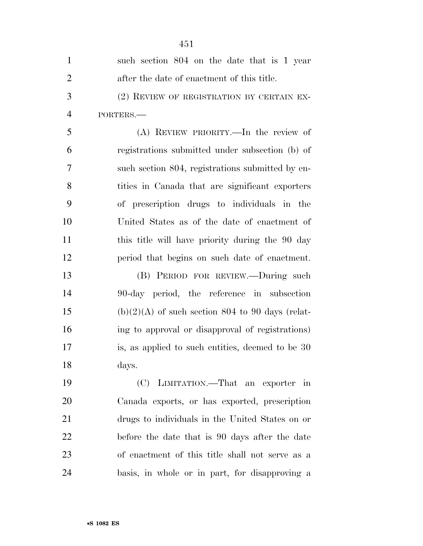| $\mathbf{1}$   | such section 804 on the date that is 1 year        |
|----------------|----------------------------------------------------|
| $\overline{2}$ | after the date of enactment of this title.         |
| 3              | (2) REVIEW OF REGISTRATION BY CERTAIN EX-          |
| $\overline{4}$ | PORTERS.-                                          |
| 5              | (A) REVIEW PRIORITY.—In the review of              |
| 6              | registrations submitted under subsection (b) of    |
| 7              | such section 804, registrations submitted by en-   |
| 8              | tities in Canada that are significant exporters    |
| 9              | of prescription drugs to individuals in the        |
| 10             | United States as of the date of enactment of       |
| 11             | this title will have priority during the 90 day    |
| 12             | period that begins on such date of enactment.      |
| 13             | (B) PERIOD FOR REVIEW.—During such                 |
| 14             | 90-day period, the reference in subsection         |
| 15             | $(b)(2)(A)$ of such section 804 to 90 days (relat- |
| 16             | ing to approval or disapproval of registrations)   |
| 17             | is, as applied to such entities, deemed to be 30   |
| 18             | days.                                              |
| 19             | (C) LIMITATION.—That an exporter in                |
| 20             | Canada exports, or has exported, prescription      |
| 21             | drugs to individuals in the United States on or    |
| 22             | before the date that is 90 days after the date     |
| 23             | of enactment of this title shall not serve as a    |
| 24             | basis, in whole or in part, for disapproving a     |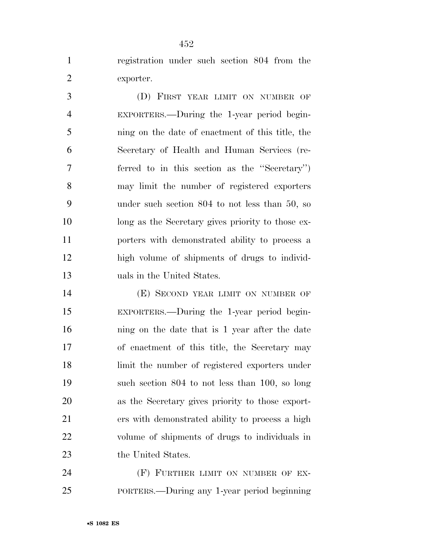registration under such section 804 from the exporter.

 (D) FIRST YEAR LIMIT ON NUMBER OF EXPORTERS.—During the 1-year period begin- ning on the date of enactment of this title, the Secretary of Health and Human Services (re- ferred to in this section as the ''Secretary'') may limit the number of registered exporters under such section 804 to not less than 50, so long as the Secretary gives priority to those ex- porters with demonstrated ability to process a high volume of shipments of drugs to individ-uals in the United States.

**(E) SECOND YEAR LIMIT ON NUMBER OF**  EXPORTERS.—During the 1-year period begin- ning on the date that is 1 year after the date of enactment of this title, the Secretary may limit the number of registered exporters under such section 804 to not less than 100, so long as the Secretary gives priority to those export- ers with demonstrated ability to process a high volume of shipments of drugs to individuals in 23 the United States.

**(F) FURTHER LIMIT ON NUMBER OF EX-**PORTERS.—During any 1-year period beginning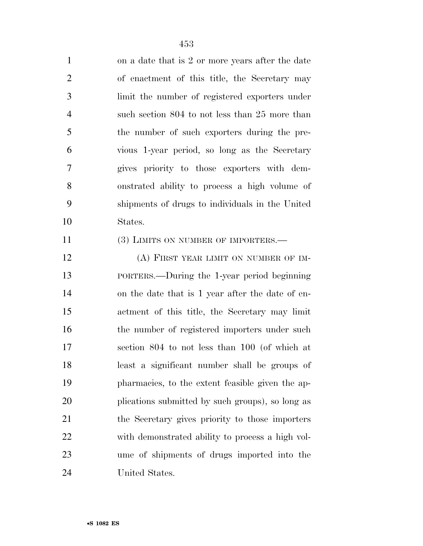| $\mathbf{1}$   | on a date that is 2 or more years after the date |
|----------------|--------------------------------------------------|
| $\overline{2}$ | of enactment of this title, the Secretary may    |
| 3              | limit the number of registered exporters under   |
| $\overline{4}$ | such section 804 to not less than 25 more than   |
| 5              | the number of such exporters during the pre-     |
| 6              | vious 1-year period, so long as the Secretary    |
| $\overline{7}$ | gives priority to those exporters with dem-      |
| 8              | onstrated ability to process a high volume of    |
| 9              | shipments of drugs to individuals in the United  |
| 10             | States.                                          |
| 11             | (3) LIMITS ON NUMBER OF IMPORTERS.-              |
| 12             | (A) FIRST YEAR LIMIT ON NUMBER OF IM-            |
| 13             | PORTERS.—During the 1-year period beginning      |
| 14             | on the date that is 1 year after the date of en- |
| 15             | actment of this title, the Secretary may limit   |
| 16             | the number of registered importers under such    |
| 17             | section 804 to not less than 100 (of which at    |
| 18             | least a significant number shall be groups of    |
| 19             | pharmacies, to the extent feasible given the ap- |
| 20             | plications submitted by such groups), so long as |
| 21             | the Secretary gives priority to those importers  |
| 22             | with demonstrated ability to process a high vol- |
| 23             | ume of shipments of drugs imported into the      |
| 24             | United States.                                   |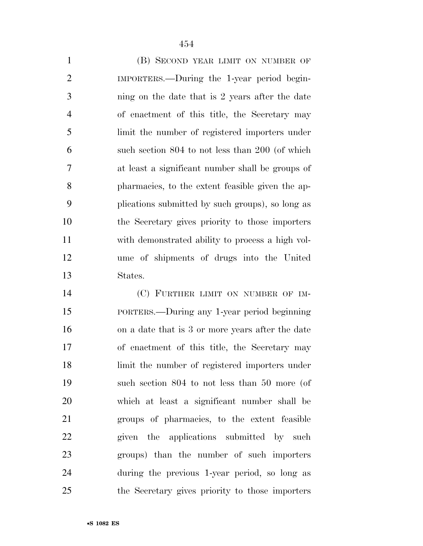1 (B) SECOND YEAR LIMIT ON NUMBER OF IMPORTERS.—During the 1-year period begin- ning on the date that is 2 years after the date of enactment of this title, the Secretary may limit the number of registered importers under such section 804 to not less than 200 (of which at least a significant number shall be groups of pharmacies, to the extent feasible given the ap- plications submitted by such groups), so long as the Secretary gives priority to those importers with demonstrated ability to process a high vol- ume of shipments of drugs into the United States.

 (C) FURTHER LIMIT ON NUMBER OF IM- PORTERS.—During any 1-year period beginning on a date that is 3 or more years after the date of enactment of this title, the Secretary may limit the number of registered importers under such section 804 to not less than 50 more (of which at least a significant number shall be groups of pharmacies, to the extent feasible 22 given the applications submitted by such groups) than the number of such importers during the previous 1-year period, so long as the Secretary gives priority to those importers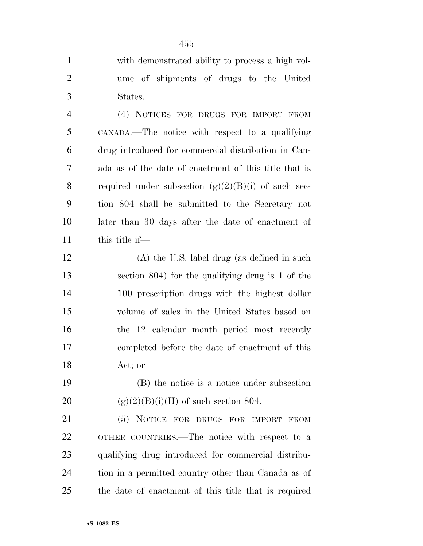with demonstrated ability to process a high vol- ume of shipments of drugs to the United States.

 (4) NOTICES FOR DRUGS FOR IMPORT FROM CANADA.—The notice with respect to a qualifying drug introduced for commercial distribution in Can- ada as of the date of enactment of this title that is 8 required under subsection  $(g)(2)(B)(i)$  of such sec- tion 804 shall be submitted to the Secretary not later than 30 days after the date of enactment of this title if—

 (A) the U.S. label drug (as defined in such section 804) for the qualifying drug is 1 of the 100 prescription drugs with the highest dollar volume of sales in the United States based on the 12 calendar month period most recently completed before the date of enactment of this Act; or

 (B) the notice is a notice under subsection 20 (g)(2)(B)(i)(II) of such section 804.

 (5) NOTICE FOR DRUGS FOR IMPORT FROM OTHER COUNTRIES.—The notice with respect to a qualifying drug introduced for commercial distribu- tion in a permitted country other than Canada as of the date of enactment of this title that is required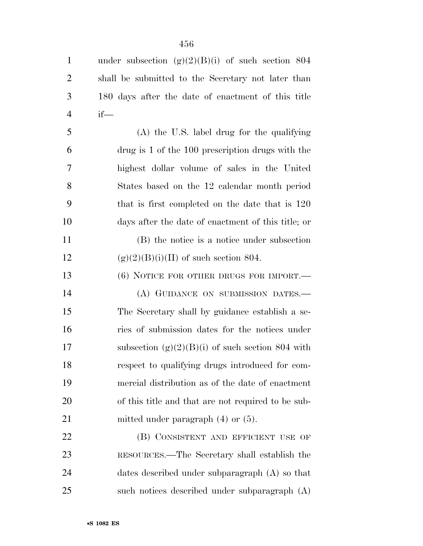| $\mathbf{1}$   | under subsection $(g)(2)(B)(i)$ of such section 804 |
|----------------|-----------------------------------------------------|
| $\overline{2}$ | shall be submitted to the Secretary not later than  |
| 3              | 180 days after the date of enactment of this title  |
| $\overline{4}$ | $if$ —                                              |
| 5              | $(A)$ the U.S. label drug for the qualifying        |
| 6              | drug is 1 of the 100 prescription drugs with the    |
| 7              | highest dollar volume of sales in the United        |
| 8              | States based on the 12 calendar month period        |
| 9              | that is first completed on the date that is 120     |
| 10             | days after the date of enactment of this title; or  |
| 11             | (B) the notice is a notice under subsection         |
| 12             | $(g)(2)(B)(i)(II)$ of such section 804.             |
| 13             | $(6)$ NOTICE FOR OTHER DRUGS FOR IMPORT.—           |
| 14             | (A) GUIDANCE ON SUBMISSION DATES.-                  |
| 15             | The Secretary shall by guidance establish a se-     |
| 16             | ries of submission dates for the notices under      |
| 17             | subsection $(g)(2)(B)(i)$ of such section 804 with  |
| 18             | respect to qualifying drugs introduced for com-     |
| 19             | mercial distribution as of the date of enactment    |
| 20             | of this title and that are not required to be sub-  |
| 21             | mitted under paragraph $(4)$ or $(5)$ .             |
| 22             | (B) CONSISTENT AND EFFICIENT USE OF                 |
| 23             | RESOURCES.—The Secretary shall establish the        |
| 24             | dates described under subparagraph (A) so that      |
| 25             | such notices described under subparagraph $(A)$     |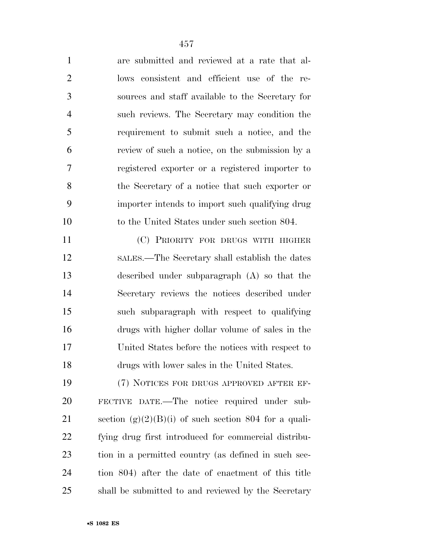| $\mathbf{1}$   | are submitted and reviewed at a rate that al-           |
|----------------|---------------------------------------------------------|
| $\overline{2}$ | lows consistent and efficient use of the re-            |
| 3              | sources and staff available to the Secretary for        |
| $\overline{4}$ | such reviews. The Secretary may condition the           |
| 5              | requirement to submit such a notice, and the            |
| 6              | review of such a notice, on the submission by a         |
| 7              | registered exporter or a registered importer to         |
| 8              | the Secretary of a notice that such exporter or         |
| 9              | importer intends to import such qualifying drug         |
| 10             | to the United States under such section 804.            |
| 11             | (C) PRIORITY FOR DRUGS WITH HIGHER                      |
| 12             | SALES.—The Secretary shall establish the dates          |
| 13             | described under subparagraph $(A)$ so that the          |
| 14             | Secretary reviews the notices described under           |
| 15             | such subparagraph with respect to qualifying            |
| 16             | drugs with higher dollar volume of sales in the         |
| 17             | United States before the notices with respect to        |
| 18             | drugs with lower sales in the United States.            |
| 19             | (7) NOTICES FOR DRUGS APPROVED AFTER EF-                |
| 20             | FECTIVE DATE.—The notice required under sub-            |
| 21             | section $(g)(2)(B)(i)$ of such section 804 for a quali- |

fying drug first introduced for commercial distribu-

tion in a permitted country (as defined in such sec-

tion 804) after the date of enactment of this title

shall be submitted to and reviewed by the Secretary

•**S 1082 ES**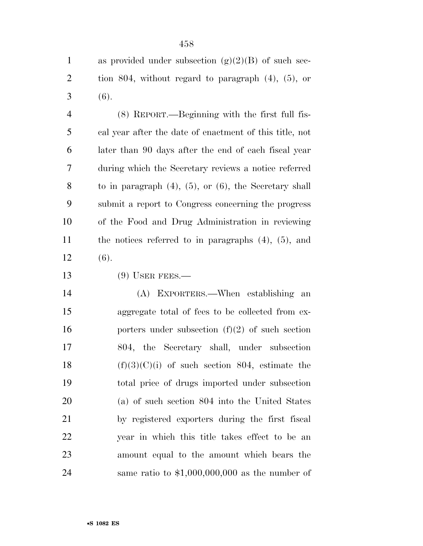1 as provided under subsection  $(g)(2)(B)$  of such sec- tion 804, without regard to paragraph (4), (5), or  $3(6)$ .

 (8) REPORT.—Beginning with the first full fis- cal year after the date of enactment of this title, not later than 90 days after the end of each fiscal year during which the Secretary reviews a notice referred to in paragraph (4), (5), or (6), the Secretary shall submit a report to Congress concerning the progress of the Food and Drug Administration in reviewing the notices referred to in paragraphs (4), (5), and (6).

13 (9) USER FEES.—

 (A) EXPORTERS.—When establishing an aggregate total of fees to be collected from ex-16 porters under subsection  $(f)(2)$  of such section 804, the Secretary shall, under subsection  $(f)(3)(C)(i)$  of such section 804, estimate the total price of drugs imported under subsection (a) of such section 804 into the United States by registered exporters during the first fiscal year in which this title takes effect to be an amount equal to the amount which bears the same ratio to \$1,000,000,000 as the number of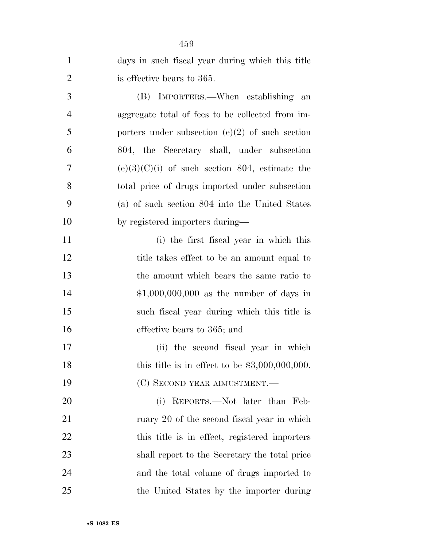| $\mathbf{1}$   | days in such fiscal year during which this title  |
|----------------|---------------------------------------------------|
| $\overline{2}$ | is effective bears to 365.                        |
| 3              | (B) IMPORTERS.—When establishing<br>an            |
| $\overline{4}$ | aggregate total of fees to be collected from im-  |
| 5              | porters under subsection $(e)(2)$ of such section |
| 6              | 804, the Secretary shall, under subsection        |
| 7              | $(e)(3)(C)(i)$ of such section 804, estimate the  |
| 8              | total price of drugs imported under subsection    |
| 9              | (a) of such section 804 into the United States    |
| 10             | by registered importers during—                   |
| 11             | (i) the first fiscal year in which this           |
| 12             | title takes effect to be an amount equal to       |
| 13             | the amount which bears the same ratio to          |
| 14             | $$1,000,000,000$ as the number of days in         |
| 15             | such fiscal year during which this title is       |
| 16             | effective bears to 365; and                       |
| 17             | (ii) the second fiscal year in which              |
| 18             | this title is in effect to be $$3,000,000,000$ .  |
| 19             | (C) SECOND YEAR ADJUSTMENT.—                      |
| 20             | (i) REPORTS.—Not later than Feb-                  |
| 21             | ruary 20 of the second fiscal year in which       |
| 22             | this title is in effect, registered importers     |
| 23             | shall report to the Secretary the total price     |
| 24             | and the total volume of drugs imported to         |
| 25             | the United States by the importer during          |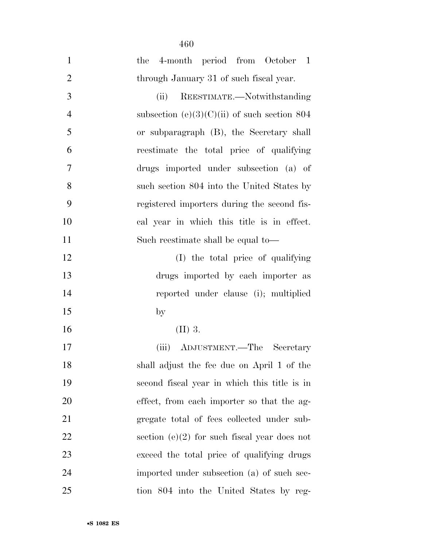| $\mathbf{1}$   | the 4-month period from October 1              |
|----------------|------------------------------------------------|
| $\mathbf{2}$   | through January 31 of such fiscal year.        |
| 3              | REESTIMATE.—Notwithstanding<br>(ii)            |
| $\overline{4}$ | subsection (e)(3)(C)(ii) of such section 804   |
| 5              | or subparagraph (B), the Secretary shall       |
| 6              | reestimate the total price of qualifying       |
| $\tau$         | drugs imported under subsection (a) of         |
| 8              | such section 804 into the United States by     |
| 9              | registered importers during the second fis-    |
| 10             | cal year in which this title is in effect.     |
| 11             | Such reestimate shall be equal to—             |
| 12             | (I) the total price of qualifying              |
| 13             | drugs imported by each importer as             |
| 14             | reported under clause (i); multiplied          |
| 15             | $\mathbf{b}$                                   |
| 16             | $(II)$ 3.                                      |
| 17             | (iii) ADJUSTMENT.—The Secretary                |
| 18             | shall adjust the fee due on April 1 of the     |
| 19             | second fiscal year in which this title is in   |
| 20             | effect, from each importer so that the ag-     |
| 21             | gregate total of fees collected under sub-     |
| 22             | section $(e)(2)$ for such fiscal year does not |
| 23             | exceed the total price of qualifying drugs     |
| 24             | imported under subsection (a) of such sec-     |
| 25             | tion 804 into the United States by reg-        |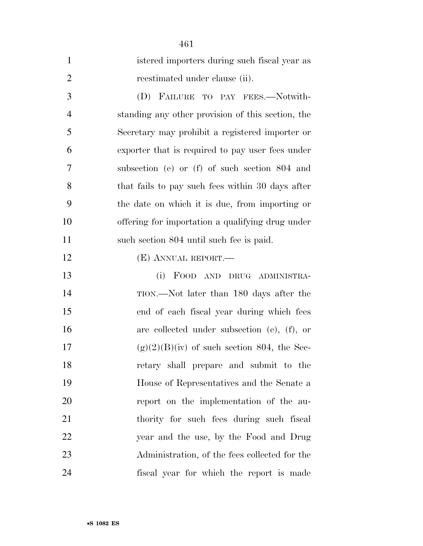| $\mathbf{1}$   | istered importers during such fiscal year as      |
|----------------|---------------------------------------------------|
| $\overline{2}$ | reestimated under clause (ii).                    |
| 3              | (D) FAILURE TO PAY FEES.—Notwith-                 |
| $\overline{4}$ | standing any other provision of this section, the |
| 5              | Secretary may prohibit a registered importer or   |
| 6              | exporter that is required to pay user fees under  |
| 7              | subsection (e) or (f) of such section 804 and     |
| 8              | that fails to pay such fees within 30 days after  |
| 9              | the date on which it is due, from importing or    |
| 10             | offering for importation a qualifying drug under  |
| 11             | such section 804 until such fee is paid.          |
| 12             | (E) ANNUAL REPORT.—                               |
| 13             | FOOD AND<br>(i)<br>DRUG ADMINISTRA-               |
| 14             | TION.—Not later than 180 days after the           |
| 15             | end of each fiscal year during which fees         |
| 16             | are collected under subsection (e), (f), or       |
| 17             | $(g)(2)(B)(iv)$ of such section 804, the Sec-     |
| 18             | retary shall prepare and submit to the            |
| 19             | House of Representatives and the Senate a         |
| 20             | report on the implementation of the au-           |
| 21             | thority for such fees during such fiscal          |
| 22             | year and the use, by the Food and Drug            |
| 23             | Administration, of the fees collected for the     |
| 24             | fiscal year for which the report is made          |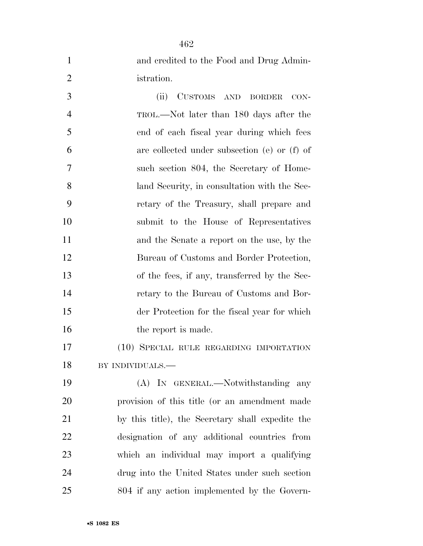| $\mathbf{1}$   | and credited to the Food and Drug Admin-         |
|----------------|--------------------------------------------------|
| $\overline{2}$ | istration.                                       |
| 3              | CUSTOMS AND BORDER<br>(ii)<br>$CON-$             |
| $\overline{4}$ | TROL.—Not later than 180 days after the          |
| 5              | end of each fiscal year during which fees        |
| 6              | are collected under subsection (e) or (f) of     |
| 7              | such section 804, the Secretary of Home-         |
| 8              | land Security, in consultation with the Sec-     |
| 9              | retary of the Treasury, shall prepare and        |
| 10             | submit to the House of Representatives           |
| <sup>11</sup>  | and the Senate a report on the use, by the       |
| 12             | Bureau of Customs and Border Protection,         |
| 13             | of the fees, if any, transferred by the Sec-     |
| 14             | retary to the Bureau of Customs and Bor-         |
| 15             | der Protection for the fiscal year for which     |
| 16             | the report is made.                              |
| 17             | (10) SPECIAL RULE REGARDING IMPORTATION          |
| 18             | BY INDIVIDUALS.—                                 |
| 19             | (A) IN GENERAL.—Notwithstanding any              |
| 20             | provision of this title (or an amendment made    |
| 21             | by this title), the Secretary shall expedite the |
| 22             | designation of any additional countries from     |
| 23             | which an individual may import a qualifying      |
| 24             | drug into the United States under such section   |
| 25             | 804 if any action implemented by the Govern-     |

•**S 1082 ES**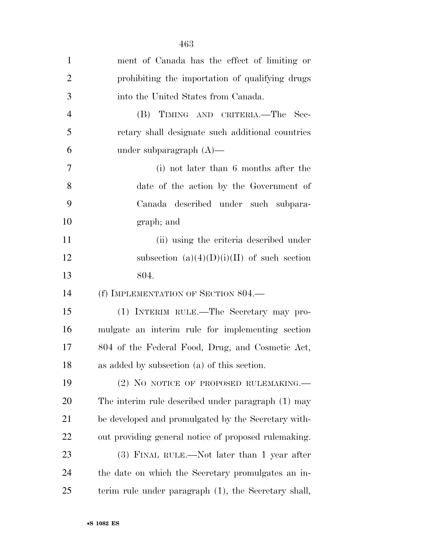| $\mathbf{1}$   | ment of Canada has the effect of limiting or         |
|----------------|------------------------------------------------------|
| $\overline{2}$ | prohibiting the importation of qualifying drugs      |
| 3              | into the United States from Canada.                  |
| $\overline{4}$ | (B) TIMING AND CRITERIA.—The<br>- Sec-               |
| 5              | retary shall designate such additional countries     |
| 6              | under subparagraph $(A)$ —                           |
| 7              | (i) not later than 6 months after the                |
| 8              | date of the action by the Government of              |
| 9              | Canada described under such subpara-                 |
| 10             | graph; and                                           |
| 11             | (ii) using the criteria described under              |
| 12             | subsection $(a)(4)(D)(i)(II)$ of such section        |
| 13             | 804.                                                 |
| 14             | (f) IMPLEMENTATION OF SECTION 804.—                  |
| 15             | (1) INTERIM RULE.—The Secretary may pro-             |
| 16             | mulgate an interim rule for implementing section     |
| 17             | 804 of the Federal Food, Drug, and Cosmetic Act,     |
| 18             | as added by subsection (a) of this section.          |
| 19             | (2) NO NOTICE OF PROPOSED RULEMAKING.—               |
| 20             | The interim rule described under paragraph (1) may   |
| 21             | be developed and promulgated by the Secretary with-  |
| 22             | out providing general notice of proposed rulemaking. |
| 23             | (3) FINAL RULE.—Not later than 1 year after          |
| 24             | the date on which the Secretary promulgates an in-   |
| 25             | terim rule under paragraph (1), the Secretary shall, |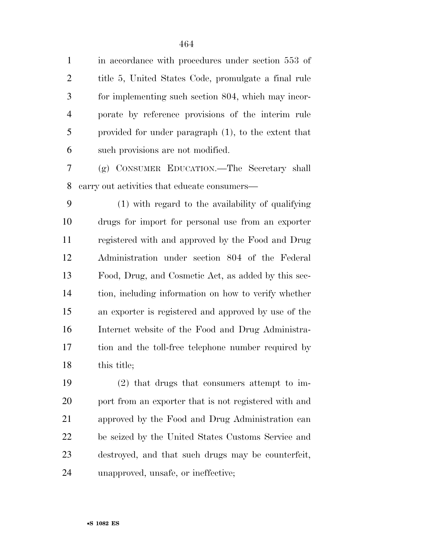1 in accordance with procedures under section 553 of title 5, United States Code, promulgate a final rule for implementing such section 804, which may incor- porate by reference provisions of the interim rule provided for under paragraph (1), to the extent that such provisions are not modified.

 (g) CONSUMER EDUCATION.—The Secretary shall carry out activities that educate consumers—

 (1) with regard to the availability of qualifying drugs for import for personal use from an exporter registered with and approved by the Food and Drug Administration under section 804 of the Federal Food, Drug, and Cosmetic Act, as added by this sec- tion, including information on how to verify whether an exporter is registered and approved by use of the Internet website of the Food and Drug Administra- tion and the toll-free telephone number required by 18 this title:

 (2) that drugs that consumers attempt to im- port from an exporter that is not registered with and approved by the Food and Drug Administration can be seized by the United States Customs Service and destroyed, and that such drugs may be counterfeit, unapproved, unsafe, or ineffective;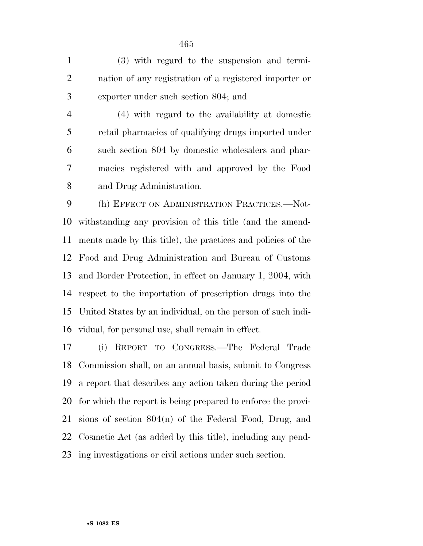(3) with regard to the suspension and termi- nation of any registration of a registered importer or exporter under such section 804; and

 (4) with regard to the availability at domestic retail pharmacies of qualifying drugs imported under such section 804 by domestic wholesalers and phar- macies registered with and approved by the Food and Drug Administration.

 (h) EFFECT ON ADMINISTRATION PRACTICES.—Not- withstanding any provision of this title (and the amend- ments made by this title), the practices and policies of the Food and Drug Administration and Bureau of Customs and Border Protection, in effect on January 1, 2004, with respect to the importation of prescription drugs into the United States by an individual, on the person of such indi-vidual, for personal use, shall remain in effect.

 (i) REPORT TO CONGRESS.—The Federal Trade Commission shall, on an annual basis, submit to Congress a report that describes any action taken during the period for which the report is being prepared to enforce the provi- sions of section 804(n) of the Federal Food, Drug, and Cosmetic Act (as added by this title), including any pend-ing investigations or civil actions under such section.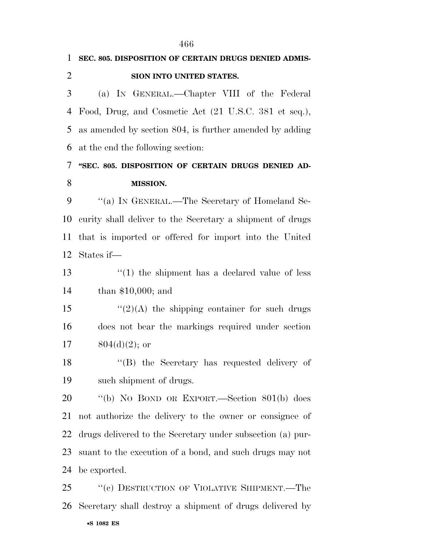**SEC. 805. DISPOSITION OF CERTAIN DRUGS DENIED ADMIS- SION INTO UNITED STATES.**  (a) IN GENERAL.—Chapter VIII of the Federal Food, Drug, and Cosmetic Act (21 U.S.C. 381 et seq.), as amended by section 804, is further amended by adding at the end the following section: **''SEC. 805. DISPOSITION OF CERTAIN DRUGS DENIED AD- MISSION.**  9 "(a) IN GENERAL.—The Secretary of Homeland Se- curity shall deliver to the Secretary a shipment of drugs that is imported or offered for import into the United States if— 13 ''(1) the shipment has a declared value of less than \$10,000; and  $\frac{1}{2}(2)$  (A) the shipping container for such drugs does not bear the markings required under section  $804(d)(2)$ ; or ''(B) the Secretary has requested delivery of such shipment of drugs. ''(b) NO BOND OR EXPORT.—Section 801(b) does not authorize the delivery to the owner or consignee of drugs delivered to the Secretary under subsection (a) pur- suant to the execution of a bond, and such drugs may not be exported.

•**S 1082 ES** 25 "(c) DESTRUCTION OF VIOLATIVE SHIPMENT.—The Secretary shall destroy a shipment of drugs delivered by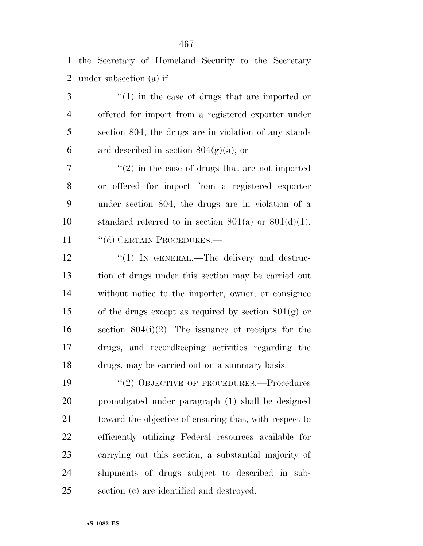the Secretary of Homeland Security to the Secretary under subsection (a) if—

 ''(1) in the case of drugs that are imported or offered for import from a registered exporter under section 804, the drugs are in violation of any stand-6 ard described in section  $804(g)(5)$ ; or

 $\frac{1}{2}$  <sup>''</sup>(2) in the case of drugs that are not imported or offered for import from a registered exporter under section 804, the drugs are in violation of a 10 standard referred to in section  $801(a)$  or  $801(d)(1)$ .

11 "(d) CERTAIN PROCEDURES.—

12 "(1) In GENERAL.—The delivery and destruc- tion of drugs under this section may be carried out without notice to the importer, owner, or consignee 15 of the drugs except as required by section  $801(g)$  or section 804(i)(2). The issuance of receipts for the drugs, and recordkeeping activities regarding the drugs, may be carried out on a summary basis.

19 "(2) OBJECTIVE OF PROCEDURES.—Procedures promulgated under paragraph (1) shall be designed toward the objective of ensuring that, with respect to efficiently utilizing Federal resources available for carrying out this section, a substantial majority of shipments of drugs subject to described in sub-section (c) are identified and destroyed.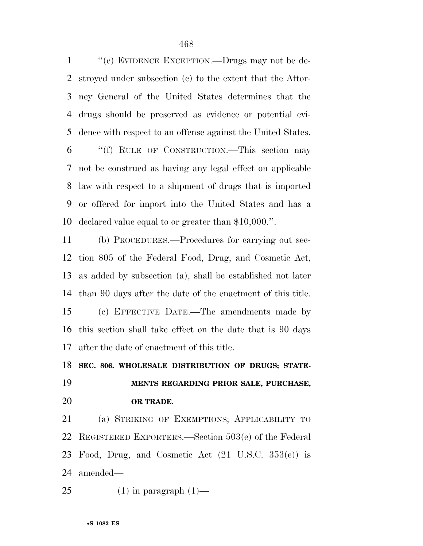''(e) EVIDENCE EXCEPTION.—Drugs may not be de- stroyed under subsection (c) to the extent that the Attor- ney General of the United States determines that the drugs should be preserved as evidence or potential evi- dence with respect to an offense against the United States. ''(f) RULE OF CONSTRUCTION.—This section may not be construed as having any legal effect on applicable law with respect to a shipment of drugs that is imported or offered for import into the United States and has a declared value equal to or greater than \$10,000.''.

 (b) PROCEDURES.—Procedures for carrying out sec- tion 805 of the Federal Food, Drug, and Cosmetic Act, as added by subsection (a), shall be established not later than 90 days after the date of the enactment of this title. (c) EFFECTIVE DATE.—The amendments made by this section shall take effect on the date that is 90 days after the date of enactment of this title.

## **SEC. 806. WHOLESALE DISTRIBUTION OF DRUGS; STATE-**

**MENTS REGARDING PRIOR SALE, PURCHASE,** 

## **OR TRADE.**

 (a) STRIKING OF EXEMPTIONS; APPLICABILITY TO REGISTERED EXPORTERS.—Section 503(e) of the Federal Food, Drug, and Cosmetic Act (21 U.S.C. 353(e)) is amended—

25  $(1)$  in paragraph  $(1)$ —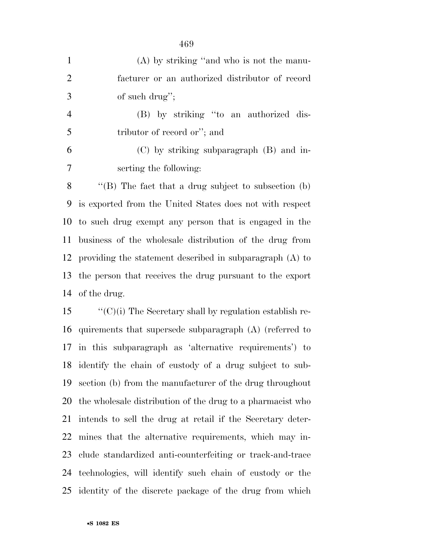| $\mathbf{1}$   | $(A)$ by striking "and who is not the manu-                     |
|----------------|-----------------------------------------------------------------|
| $\overline{2}$ | facturer or an authorized distributor of record                 |
| 3              | of such drug";                                                  |
| $\overline{4}$ | (B) by striking "to an authorized dis-                          |
| 5              | tributor of record or"; and                                     |
| 6              | $(C)$ by striking subparagraph $(B)$ and in-                    |
| 7              | serting the following:                                          |
| 8              | $\lq$ (B) The fact that a drug subject to subsection (b)        |
| 9              | is exported from the United States does not with respect        |
|                | 10 to such drug exempt any person that is engaged in the        |
| 11             | business of the wholesale distribution of the drug from         |
| 12             | providing the statement described in subparagraph $(A)$ to      |
|                | 13 the person that receives the drug pursuant to the export     |
| 14             | of the drug.                                                    |
| 15             | $\lq\lq$ (C)(i) The Secretary shall by regulation establish re- |
|                |                                                                 |

 quirements that supersede subparagraph (A) (referred to in this subparagraph as 'alternative requirements') to identify the chain of custody of a drug subject to sub- section (b) from the manufacturer of the drug throughout the wholesale distribution of the drug to a pharmacist who intends to sell the drug at retail if the Secretary deter- mines that the alternative requirements, which may in- clude standardized anti-counterfeiting or track-and-trace technologies, will identify such chain of custody or the identity of the discrete package of the drug from which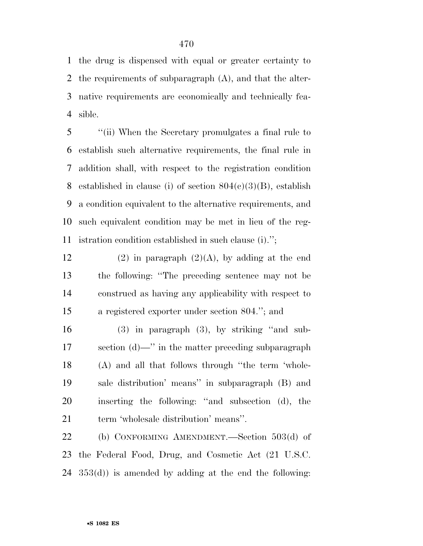the drug is dispensed with equal or greater certainty to the requirements of subparagraph (A), and that the alter- native requirements are economically and technically fea-sible.

 ''(ii) When the Secretary promulgates a final rule to establish such alternative requirements, the final rule in addition shall, with respect to the registration condition 8 established in clause (i) of section  $804(c)(3)(B)$ , establish a condition equivalent to the alternative requirements, and such equivalent condition may be met in lieu of the reg-istration condition established in such clause (i).'';

12 (2) in paragraph  $(2)(A)$ , by adding at the end the following: ''The preceding sentence may not be construed as having any applicability with respect to a registered exporter under section 804.''; and

 (3) in paragraph (3), by striking ''and sub- section (d)—'' in the matter preceding subparagraph (A) and all that follows through ''the term 'whole- sale distribution' means'' in subparagraph (B) and inserting the following: ''and subsection (d), the term 'wholesale distribution' means''.

 (b) CONFORMING AMENDMENT.—Section 503(d) of the Federal Food, Drug, and Cosmetic Act (21 U.S.C. 353(d)) is amended by adding at the end the following: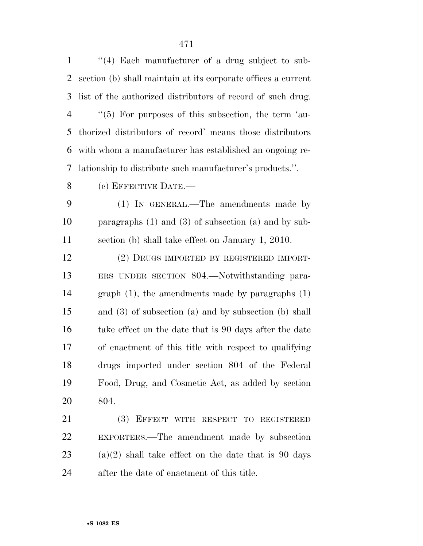| $\mathbf{1}$   | $(4)$ Each manufacturer of a drug subject to sub-             |
|----------------|---------------------------------------------------------------|
| $\overline{2}$ | section (b) shall maintain at its corporate offices a current |
| 3              | list of the authorized distributors of record of such drug.   |
| $\overline{4}$ | $\lq(5)$ For purposes of this subsection, the term 'au-       |
| 5              | thorized distributors of record' means those distributors     |
| 6              | with whom a manufacturer has established an ongoing re-       |
| 7              | lationship to distribute such manufacturer's products.".      |
| 8              | (c) EFFECTIVE DATE.-                                          |
| 9              | (1) IN GENERAL.—The amendments made by                        |
| 10             | paragraphs $(1)$ and $(3)$ of subsection $(a)$ and by sub-    |
| 11             | section (b) shall take effect on January 1, 2010.             |
| 12             | (2) DRUGS IMPORTED BY REGISTERED IMPORT-                      |
| 13             | ERS UNDER SECTION 804.—Notwithstanding para-                  |
| 14             | graph $(1)$ , the amendments made by paragraphs $(1)$         |
| 15             | and $(3)$ of subsection $(a)$ and by subsection $(b)$ shall   |
| 16             | take effect on the date that is 90 days after the date        |
| 17             | of enactment of this title with respect to qualifying         |
| 18             | drugs imported under section 804 of the Federal               |
| 19             | Food, Drug, and Cosmetic Act, as added by section             |
| 20             | 804.                                                          |
| 21             | (3) EFFECT WITH RESPECT TO REGISTERED                         |
| 22             | EXPORTERS.—The amendment made by subsection                   |
| 23             | $(a)(2)$ shall take effect on the date that is 90 days        |

after the date of enactment of this title.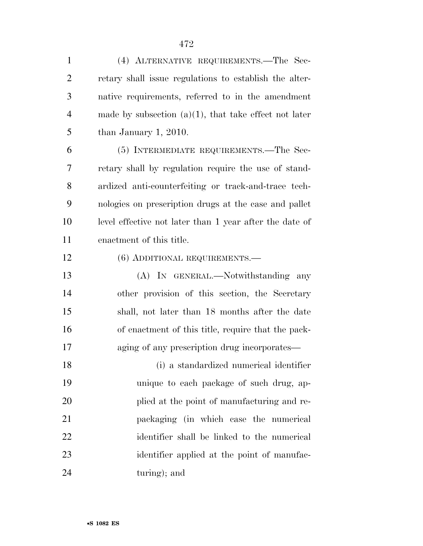| $\mathbf{1}$   | (4) ALTERNATIVE REQUIREMENTS.—The Sec-                   |
|----------------|----------------------------------------------------------|
| $\overline{2}$ | retary shall issue regulations to establish the alter-   |
| 3              | native requirements, referred to in the amendment        |
| $\overline{4}$ | made by subsection $(a)(1)$ , that take effect not later |
| 5              | than January 1, 2010.                                    |
| 6              | (5) INTERMEDIATE REQUIREMENTS.—The Sec-                  |
| 7              | retary shall by regulation require the use of stand-     |
| 8              | ardized anti-counterfeiting or track-and-trace tech-     |
| 9              | nologies on prescription drugs at the case and pallet    |
| 10             | level effective not later than 1 year after the date of  |
| 11             | enactment of this title.                                 |
| 12             | (6) ADDITIONAL REQUIREMENTS.—                            |
| 13             | (A) IN GENERAL.—Notwithstanding any                      |
| 14             | other provision of this section, the Secretary           |
| 15             | shall, not later than 18 months after the date           |
| 16             | of enactment of this title, require that the pack-       |
| 17             | aging of any prescription drug incorporates—             |
| 18             | (i) a standardized numerical identifier                  |
| 19             | unique to each package of such drug, ap-                 |
| 20             | plied at the point of manufacturing and re-              |
| 21             | packaging (in which case the numerical                   |
| 22             | identifier shall be linked to the numerical              |
| 23             | identifier applied at the point of manufac-              |
| 24             | turing); and                                             |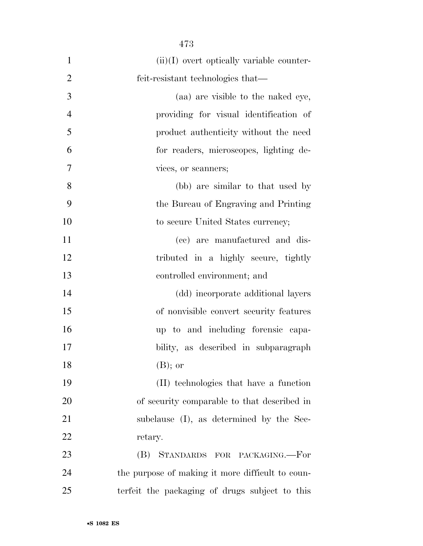| $\mathbf{1}$   | $(ii)(I)$ overt optically variable counter-      |
|----------------|--------------------------------------------------|
| $\overline{2}$ | feit-resistant technologies that—                |
| 3              | (aa) are visible to the naked eye,               |
| $\overline{4}$ | providing for visual identification of           |
| 5              | product authenticity without the need            |
| 6              | for readers, microscopes, lighting de-           |
| 7              | vices, or scanners;                              |
| 8              | (bb) are similar to that used by                 |
| 9              | the Bureau of Engraving and Printing             |
| 10             | to secure United States currency;                |
| 11             | (ce) are manufactured and dis-                   |
| 12             | tributed in a highly secure, tightly             |
| 13             | controlled environment; and                      |
| 14             | (dd) incorporate additional layers               |
| 15             | of nonvisible convert security features          |
| 16             | up to and including forensic capa-               |
| 17             | bility, as described in subparagraph             |
| 18             | $(B)$ ; or                                       |
| 19             | (II) technologies that have a function           |
| 20             | of security comparable to that described in      |
| 21             | subclause (I), as determined by the Sec-         |
| 22             | retary.                                          |
| 23             | (B) STANDARDS FOR PACKAGING.-For                 |
| 24             | the purpose of making it more difficult to coun- |
| 25             | terfeit the packaging of drugs subject to this   |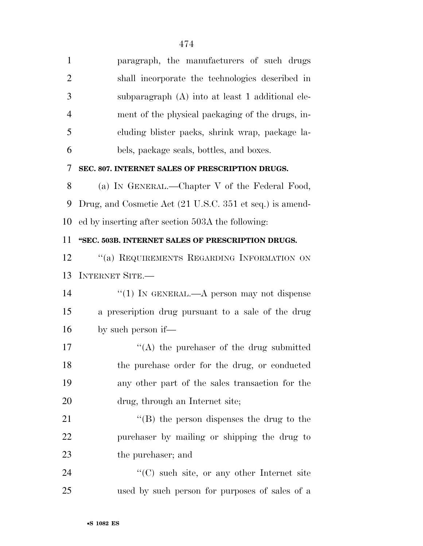| $\mathbf{1}$   | paragraph, the manufacturers of such drugs               |
|----------------|----------------------------------------------------------|
| $\overline{2}$ | shall incorporate the technologies described in          |
| 3              | subparagraph (A) into at least 1 additional ele-         |
| $\overline{4}$ | ment of the physical packaging of the drugs, in-         |
| 5              | cluding blister packs, shrink wrap, package la-          |
| 6              | bels, package seals, bottles, and boxes.                 |
| 7              | SEC. 807. INTERNET SALES OF PRESCRIPTION DRUGS.          |
| 8              | (a) IN GENERAL.—Chapter V of the Federal Food,           |
| 9              | Drug, and Cosmetic Act (21 U.S.C. 351 et seq.) is amend- |
| 10             | ed by inserting after section 503A the following:        |
| 11             | "SEC. 503B. INTERNET SALES OF PRESCRIPTION DRUGS.        |
| 12             | "(a) REQUIREMENTS REGARDING INFORMATION ON               |
| 13             | <b>INTERNET SITE.—</b>                                   |
| 14             | "(1) IN GENERAL.—A person may not dispense               |
| 15             | a prescription drug pursuant to a sale of the drug       |
| 16             | by such person if—                                       |
| 17             | $\lq\lq$ the purchaser of the drug submitted             |
| 18             | the purchase order for the drug, or conducted            |
| 19             | any other part of the sales transaction for the          |
| 20             | drug, through an Internet site;                          |
| 21             | $\lq\lq$ (B) the person dispenses the drug to the        |
| 22             | purchaser by mailing or shipping the drug to             |
| 23             | the purchaser; and                                       |
| 24             | $\lq\lq$ such site, or any other Internet site           |
| 25             | used by such person for purposes of sales of a           |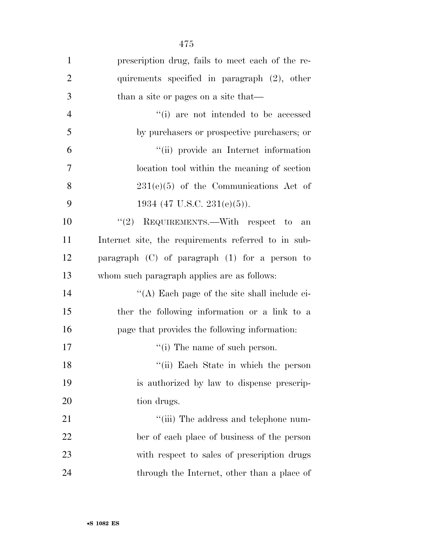| $\mathbf{1}$   | prescription drug, fails to meet each of the re-    |
|----------------|-----------------------------------------------------|
| $\overline{2}$ | quirements specified in paragraph (2), other        |
| 3              | than a site or pages on a site that—                |
| $\overline{4}$ | "(i) are not intended to be accessed                |
| 5              | by purchasers or prospective purchasers; or         |
| 6              | "(ii) provide an Internet information               |
| $\overline{7}$ | location tool within the meaning of section         |
| 8              | $231(e)(5)$ of the Communications Act of            |
| 9              | 1934 (47 U.S.C. 231(e)(5)).                         |
| 10             | "(2) REQUIREMENTS.—With respect to<br>an            |
| 11             | Internet site, the requirements referred to in sub- |
| 12             | paragraph $(C)$ of paragraph $(1)$ for a person to  |
| 13             | whom such paragraph applies are as follows:         |
| 14             | "(A) Each page of the site shall include ei-        |
| 15             | ther the following information or a link to a       |
| 16             | page that provides the following information:       |
| 17             | $\lq\lq$ (i) The name of such person.               |
| 18             | "(ii) Each State in which the person                |
| 19             | is authorized by law to dispense prescrip-          |
| 20             | tion drugs.                                         |
| 21             | "(iii) The address and telephone num-               |
| 22             | ber of each place of business of the person         |
| 23             | with respect to sales of prescription drugs         |
| 24             | through the Internet, other than a place of         |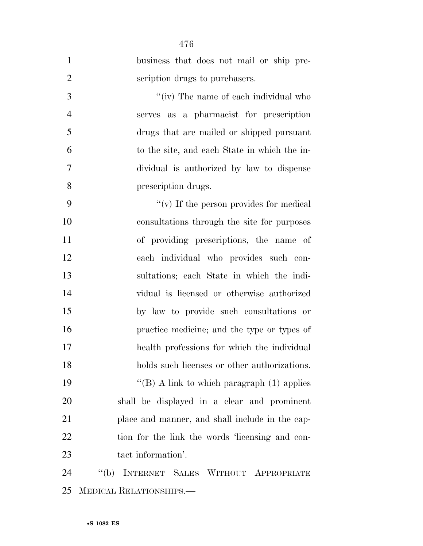| $\mathbf{1}$   | business that does not mail or ship pre-          |
|----------------|---------------------------------------------------|
| $\overline{2}$ | scription drugs to purchasers.                    |
| 3              | "(iv) The name of each individual who             |
| $\overline{4}$ | serves as a pharmacist for prescription           |
| 5              | drugs that are mailed or shipped pursuant         |
| 6              | to the site, and each State in which the in-      |
| 7              | dividual is authorized by law to dispense         |
| 8              | prescription drugs.                               |
| 9              | $``(v)$ If the person provides for medical        |
| 10             | consultations through the site for purposes       |
| 11             | of providing prescriptions, the name of           |
| 12             | each individual who provides such con-            |
| 13             | sultations; each State in which the indi-         |
| 14             | vidual is licensed or otherwise authorized        |
| 15             | by law to provide such consultations or           |
| 16             | practice medicine; and the type or types of       |
| 17             | health professions for which the individual       |
| 18             | holds such licenses or other authorizations.      |
| 19             | "(B) A link to which paragraph $(1)$ applies      |
| 20             | shall be displayed in a clear and prominent       |
| 21             | place and manner, and shall include in the cap-   |
| 22             | tion for the link the words 'licensing and con-   |
| 23             | tact information'.                                |
| 24             | INTERNET SALES WITHOUT APPROPRIATE<br>$\lq\lq(b)$ |
| 25             | MEDICAL RELATIONSHIPS.—                           |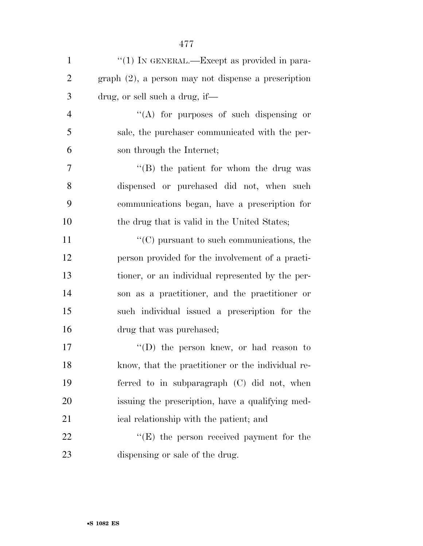| $\mathbf{1}$   | "(1) IN GENERAL.—Except as provided in para-           |
|----------------|--------------------------------------------------------|
| $\overline{2}$ | $graph (2)$ , a person may not dispense a prescription |
| 3              | drug, or sell such a drug, if—                         |
| $\overline{4}$ | $\lq\lq$ for purposes of such dispensing or            |
| 5              | sale, the purchaser communicated with the per-         |
| 6              | son through the Internet;                              |
| $\tau$         | $\lq\lq$ the patient for whom the drug was             |
| 8              | dispensed or purchased did not, when such              |
| 9              | communications began, have a prescription for          |
| 10             | the drug that is valid in the United States;           |
| 11             | $\lq\lq$ (C) pursuant to such communications, the      |
| 12             | person provided for the involvement of a practi-       |
| 13             | tioner, or an individual represented by the per-       |
| 14             | son as a practitioner, and the practitioner or         |
| 15             | such individual issued a prescription for the          |
| 16             | drug that was purchased;                               |
| 17             | $\lq\lq$ the person knew, or had reason to             |
| 18             | know, that the practitioner or the individual re-      |
| 19             | ferred to in subparagraph (C) did not, when            |
| 20             | issuing the prescription, have a qualifying med-       |
| 21             | ical relationship with the patient; and                |
| 22             | $\lq\lq(E)$ the person received payment for the        |
| 23             | dispensing or sale of the drug.                        |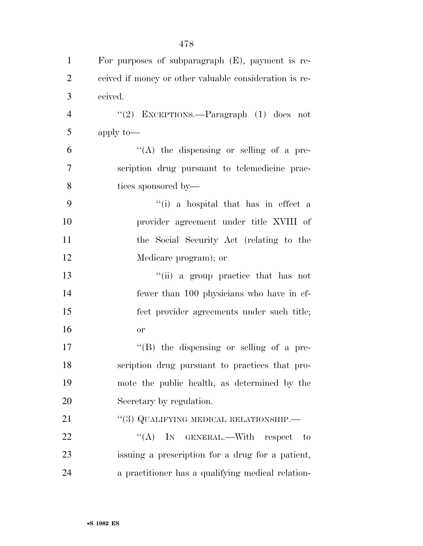| $\mathbf{1}$   | For purposes of subparagraph $(E)$ , payment is re-    |
|----------------|--------------------------------------------------------|
| $\overline{2}$ | ceived if money or other valuable consideration is re- |
| 3              | ceived.                                                |
| $\overline{4}$ | "(2) EXCEPTIONS.—Paragraph $(1)$ does not              |
| 5              | apply to-                                              |
| 6              | "(A) the dispensing or selling of a pre-               |
| 7              | scription drug pursuant to telemedicine prac-          |
| 8              | tices sponsored by—                                    |
| 9              | "(i) a hospital that has in effect a                   |
| 10             | provider agreement under title XVIII of                |
| 11             | the Social Security Act (relating to the               |
| 12             | Medicare program); or                                  |
| 13             | "(ii) a group practice that has not                    |
| 14             | fewer than 100 physicians who have in ef-              |
| 15             | fect provider agreements under such title;             |
| 16             | <b>or</b>                                              |
| 17             | $\lq\lq (B)$ the dispensing or selling of a pre-       |
| 18             | scription drug pursuant to practices that pro-         |
| 19             | mote the public health, as determined by the           |
| 20             | Secretary by regulation.                               |
| 21             | "(3) QUALIFYING MEDICAL RELATIONSHIP.—                 |
| 22             | ``(A)<br>IN GENERAL.—With respect<br>to                |
| 23             | issuing a prescription for a drug for a patient,       |
| 24             | a practitioner has a qualifying medical relation-      |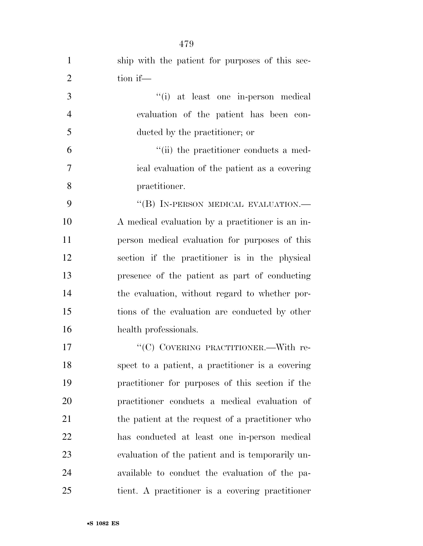| $\mathbf{1}$   | ship with the patient for purposes of this sec-  |
|----------------|--------------------------------------------------|
| $\overline{2}$ | tion if-                                         |
| 3              | "(i) at least one in-person medical              |
| $\overline{4}$ | evaluation of the patient has been con-          |
| 5              | ducted by the practitioner; or                   |
| 6              | "(ii) the practitioner conducts a med-           |
| $\tau$         | ical evaluation of the patient as a covering     |
| 8              | practitioner.                                    |
| 9              | "(B) IN-PERSON MEDICAL EVALUATION.-              |
| 10             | A medical evaluation by a practitioner is an in- |
| 11             | person medical evaluation for purposes of this   |
| 12             | section if the practitioner is in the physical   |
| 13             | presence of the patient as part of conducting    |
| 14             | the evaluation, without regard to whether por-   |
| 15             | tions of the evaluation are conducted by other   |
| 16             | health professionals.                            |
| 17             | "(C) COVERING PRACTITIONER.—With re-             |
| 18             | spect to a patient, a practitioner is a covering |
| 19             | practitioner for purposes of this section if the |
| 20             | practitioner conducts a medical evaluation of    |
| 21             | the patient at the request of a practitioner who |
| 22             | has conducted at least one in-person medical     |
| 23             | evaluation of the patient and is temporarily un- |
| 24             | available to conduct the evaluation of the pa-   |
| 25             | tient. A practitioner is a covering practitioner |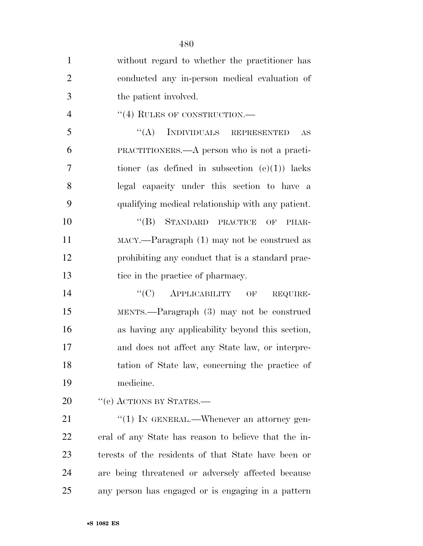| $\mathbf{1}$   | without regard to whether the practitioner has          |
|----------------|---------------------------------------------------------|
| $\overline{2}$ | conducted any in-person medical evaluation of           |
| 3              | the patient involved.                                   |
| $\overline{4}$ | $``(4)$ RULES OF CONSTRUCTION.—                         |
| 5              | INDIVIDUALS REPRESENTED<br>``(A)<br>AS                  |
| 6              | PRACTITIONERS.—A person who is not a practi-            |
| $\overline{7}$ | tioner (as defined in subsection $(e)(1)$ ) lacks       |
| 8              | legal capacity under this section to have a             |
| 9              | qualifying medical relationship with any patient.       |
| 10             | $``(B)$ STANDARD PRACTICE<br>OF<br>PHAR-                |
| 11             | $\text{MACY}$ .—Paragraph $(1)$ may not be construed as |
| 12             | prohibiting any conduct that is a standard prac-        |
| 13             | tice in the practice of pharmacy.                       |
| 14             | $``(C)$ APPLICABILITY OF<br>REQUIRE-                    |
| 15             | MENTS.—Paragraph (3) may not be construed               |
| 16             | as having any applicability beyond this section,        |
| 17             | and does not affect any State law, or interpre-         |
| 18             | tation of State law, concerning the practice of         |
| 19             | medicine.                                               |
| 20             | $``$ (c) ACTIONS BY STATES.—                            |
| 21             | "(1) IN GENERAL.—Whenever an attorney gen-              |
| 22             | eral of any State has reason to believe that the in-    |
| 23             | terests of the residents of that State have been or     |
| 24             | are being threatened or adversely affected because      |
| 25             | any person has engaged or is engaging in a pattern      |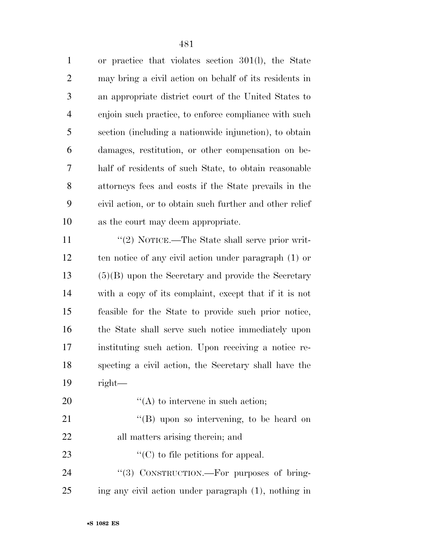or practice that violates section 301(l), the State may bring a civil action on behalf of its residents in an appropriate district court of the United States to enjoin such practice, to enforce compliance with such section (including a nationwide injunction), to obtain damages, restitution, or other compensation on be- half of residents of such State, to obtain reasonable attorneys fees and costs if the State prevails in the civil action, or to obtain such further and other relief as the court may deem appropriate.

11 ''(2) NOTICE.—The State shall serve prior writ- ten notice of any civil action under paragraph (1) or (5)(B) upon the Secretary and provide the Secretary with a copy of its complaint, except that if it is not feasible for the State to provide such prior notice, the State shall serve such notice immediately upon instituting such action. Upon receiving a notice re- specting a civil action, the Secretary shall have the right—

- 20  $\langle (A)$  to intervene in such action;
- 21 ''(B) upon so intervening, to be heard on all matters arising therein; and
- 23  $\cdot$   $\cdot$   $\cdot$  (C) to file petitions for appeal.
- 24 "(3) CONSTRUCTION.—For purposes of bring-ing any civil action under paragraph (1), nothing in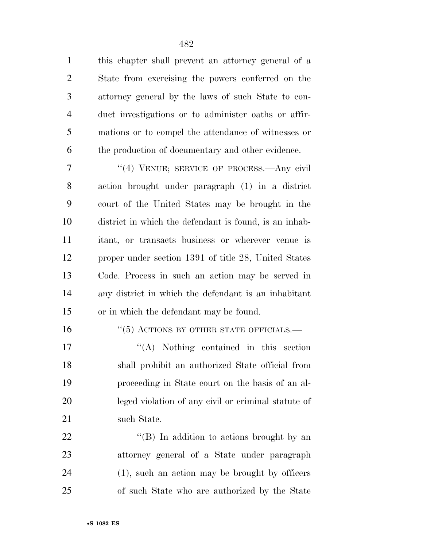this chapter shall prevent an attorney general of a State from exercising the powers conferred on the attorney general by the laws of such State to con- duct investigations or to administer oaths or affir- mations or to compel the attendance of witnesses or the production of documentary and other evidence.

7 "(4) VENUE; SERVICE OF PROCESS.—Any civil action brought under paragraph (1) in a district court of the United States may be brought in the district in which the defendant is found, is an inhab- itant, or transacts business or wherever venue is proper under section 1391 of title 28, United States Code. Process in such an action may be served in any district in which the defendant is an inhabitant or in which the defendant may be found.

#### 16 "(5) ACTIONS BY OTHER STATE OFFICIALS.—

17 ''(A) Nothing contained in this section shall prohibit an authorized State official from proceeding in State court on the basis of an al- leged violation of any civil or criminal statute of 21 such State.

  $\text{``(B)}$  In addition to actions brought by an attorney general of a State under paragraph (1), such an action may be brought by officers of such State who are authorized by the State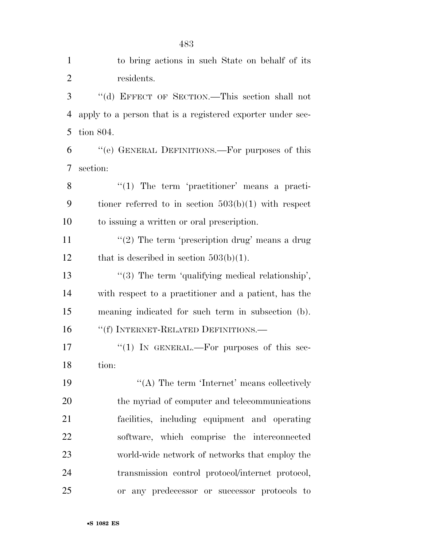| $\mathbf{1}$   | to bring actions in such State on behalf of its            |
|----------------|------------------------------------------------------------|
| $\overline{2}$ | residents.                                                 |
| 3              | "(d) EFFECT OF SECTION.—This section shall not             |
| $\overline{4}$ | apply to a person that is a registered exporter under sec- |
| 5              | tion 804.                                                  |
| 6              | "(e) GENERAL DEFINITIONS.—For purposes of this             |
| 7              | section:                                                   |
| 8              | $\lq(1)$ The term 'practitioner' means a practi-           |
| 9              | tioner referred to in section $503(b)(1)$ with respect     |
| 10             | to issuing a written or oral prescription.                 |
| 11             | "(2) The term 'prescription drug' means a drug             |
| 12             | that is described in section $503(b)(1)$ .                 |
| 13             | $\lq(3)$ The term 'qualifying medical relationship',       |
| 14             | with respect to a practitioner and a patient, has the      |
| 15             | meaning indicated for such term in subsection (b).         |
| 16             | "(f) INTERNET-RELATED DEFINITIONS.—                        |
| 17             | "(1) IN GENERAL.—For purposes of this sec-                 |
| 18             | tion:                                                      |
| 19             | "(A) The term 'Internet' means collectively                |
| 20             | the myriad of computer and telecommunications              |
| 21             | facilities, including equipment and operating              |
| 22             | software, which comprise the interconnected                |
| 23             | world-wide network of networks that employ the             |
| 24             | transmission control protocol/internet protocol,           |
| 25             | any predecessor or successor protocols to<br><b>or</b>     |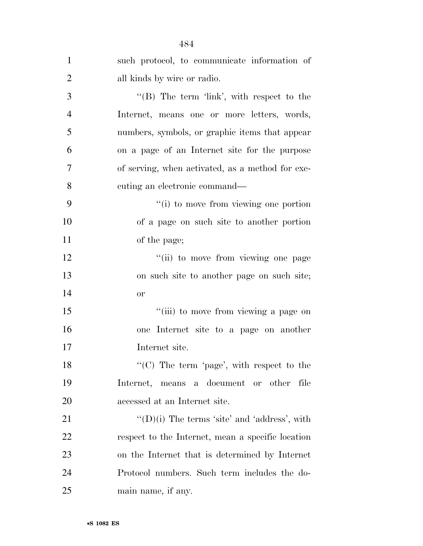| $\mathbf{1}$   | such protocol, to communicate information of         |
|----------------|------------------------------------------------------|
| $\overline{2}$ | all kinds by wire or radio.                          |
| 3              | "(B) The term 'link', with respect to the            |
| $\overline{4}$ | Internet, means one or more letters, words,          |
| 5              | numbers, symbols, or graphic items that appear       |
| 6              | on a page of an Internet site for the purpose        |
| 7              | of serving, when activated, as a method for exe-     |
| 8              | cuting an electronic command—                        |
| 9              | "(i) to move from viewing one portion                |
| 10             | of a page on such site to another portion            |
| 11             | of the page;                                         |
| 12             | "(ii) to move from viewing one page                  |
| 13             | on such site to another page on such site;           |
| 14             | <b>or</b>                                            |
| 15             | "(iii) to move from viewing a page on                |
| 16             | one Internet site to a page on another               |
| 17             | Internet site.                                       |
| 18             | " $(C)$ The term 'page', with respect to the         |
| 19             | Internet, means a document or other<br>file          |
| 20             | accessed at an Internet site.                        |
| 21             | $\lq\lq$ (D)(i) The terms 'site' and 'address', with |
| 22             | respect to the Internet, mean a specific location    |
| 23             | on the Internet that is determined by Internet       |
| 24             | Protocol numbers. Such term includes the do-         |
| 25             | main name, if any.                                   |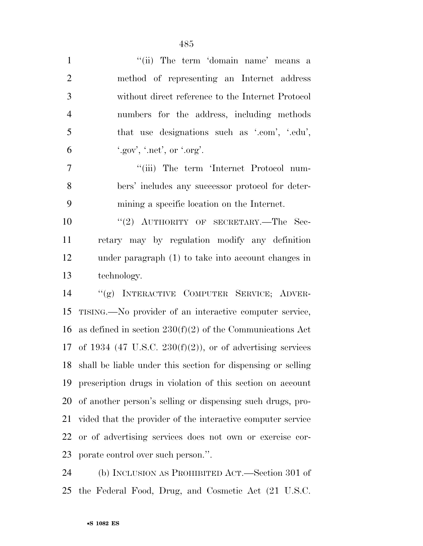| $\mathbf{1}$   | "(ii) The term 'domain name' means a                         |
|----------------|--------------------------------------------------------------|
| $\overline{2}$ | method of representing an Internet address                   |
| 3              | without direct reference to the Internet Protocol            |
| $\overline{4}$ | numbers for the address, including methods                   |
| 5              | that use designations such as '.com', '.edu',                |
| 6              | ".gov", ".net", or ".org".                                   |
| 7              | "(iii) The term 'Internet Protocol num-                      |
| 8              | bers' includes any successor protocol for deter-             |
| 9              | mining a specific location on the Internet.                  |
| 10             | "(2) AUTHORITY OF SECRETARY.—The Sec-                        |
| 11             | retary may by regulation modify any definition               |
| 12             | under paragraph (1) to take into account changes in          |
| 13             | technology.                                                  |
| 14             | "(g) INTERACTIVE COMPUTER SERVICE; ADVER-                    |
| 15             | TISING.—No provider of an interactive computer service,      |
| 16             | as defined in section $230(f)(2)$ of the Communications Act  |
| 17             | of 1934 (47 U.S.C. 230(f)(2)), or of advertising services    |
| 18             | shall be liable under this section for dispensing or selling |
| 19             | prescription drugs in violation of this section on account   |
| 20             | of another person's selling or dispensing such drugs, pro-   |
| 21             | vided that the provider of the interactive computer service  |
| 22             | or of advertising services does not own or exercise cor-     |
| 23             | porate control over such person.".                           |
|                |                                                              |

 (b) INCLUSION AS PROHIBITED ACT.—Section 301 of the Federal Food, Drug, and Cosmetic Act (21 U.S.C.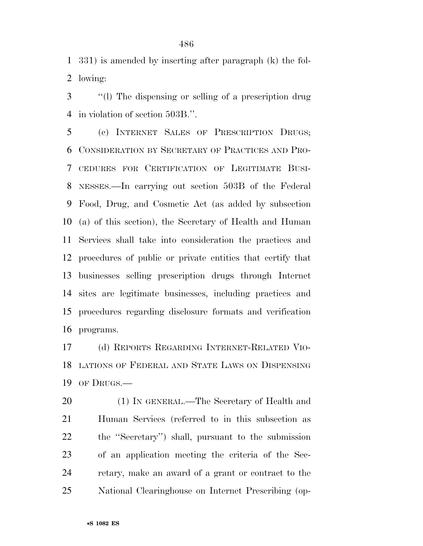331) is amended by inserting after paragraph (k) the fol-lowing:

 ''(l) The dispensing or selling of a prescription drug in violation of section 503B.''.

 (c) INTERNET SALES OF PRESCRIPTION DRUGS; CONSIDERATION BY SECRETARY OF PRACTICES AND PRO- CEDURES FOR CERTIFICATION OF LEGITIMATE BUSI- NESSES.—In carrying out section 503B of the Federal Food, Drug, and Cosmetic Act (as added by subsection (a) of this section), the Secretary of Health and Human Services shall take into consideration the practices and procedures of public or private entities that certify that businesses selling prescription drugs through Internet sites are legitimate businesses, including practices and procedures regarding disclosure formats and verification programs.

 (d) REPORTS REGARDING INTERNET-RELATED VIO- LATIONS OF FEDERAL AND STATE LAWS ON DISPENSING OF DRUGS.—

 (1) IN GENERAL.—The Secretary of Health and Human Services (referred to in this subsection as the ''Secretary'') shall, pursuant to the submission of an application meeting the criteria of the Sec- retary, make an award of a grant or contract to the National Clearinghouse on Internet Prescribing (op-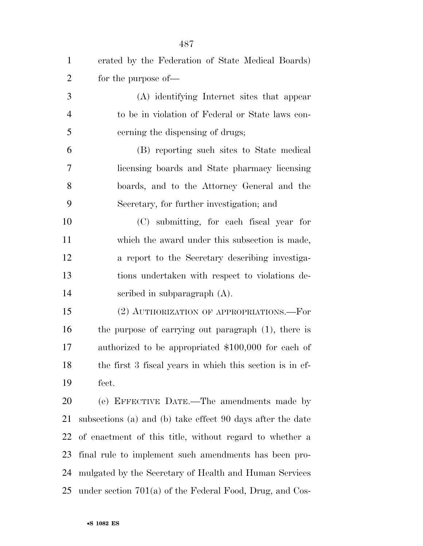| $\mathbf{1}$   | erated by the Federation of State Medical Boards)          |
|----------------|------------------------------------------------------------|
| $\overline{2}$ | for the purpose of—                                        |
| 3              | (A) identifying Internet sites that appear                 |
| $\overline{4}$ | to be in violation of Federal or State laws con-           |
| 5              | cerning the dispensing of drugs;                           |
| 6              | (B) reporting such sites to State medical                  |
| $\tau$         | licensing boards and State pharmacy licensing              |
| 8              | boards, and to the Attorney General and the                |
| 9              | Secretary, for further investigation; and                  |
| 10             | (C) submitting, for each fiscal year for                   |
| 11             | which the award under this subsection is made,             |
| 12             | a report to the Secretary describing investiga-            |
| 13             | tions undertaken with respect to violations de-            |
| 14             | scribed in subparagraph $(A)$ .                            |
| 15             | (2) AUTHORIZATION OF APPROPRIATIONS.—For                   |
| 16             | the purpose of carrying out paragraph (1), there is        |
| 17             | authorized to be appropriated \$100,000 for each of        |
| 18             | the first 3 fiscal years in which this section is in ef-   |
| 19             | fect.                                                      |
| 20             | (e) EFFECTIVE DATE.—The amendments made by                 |
| 21             | subsections (a) and (b) take effect 90 days after the date |
| 22             | of enactment of this title, without regard to whether a    |
| 23             | final rule to implement such amendments has been pro-      |
| 24             | mulgated by the Secretary of Health and Human Services     |
| 25             | under section $701(a)$ of the Federal Food, Drug, and Cos- |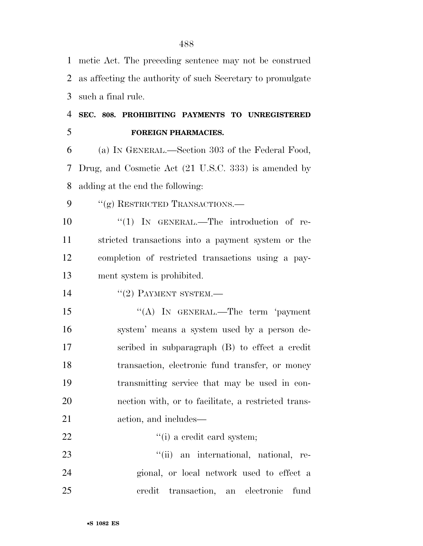| $\mathbf{1}$ | metic Act. The preceding sentence may not be construed     |
|--------------|------------------------------------------------------------|
| 2            | as affecting the authority of such Secretary to promulgate |
| 3            | such a final rule.                                         |
| 4            | SEC. 808. PROHIBITING PAYMENTS TO UNREGISTERED             |
| 5            | <b>FOREIGN PHARMACIES.</b>                                 |
| 6            | (a) IN GENERAL.—Section 303 of the Federal Food,           |
| 7            | Drug, and Cosmetic Act (21 U.S.C. 333) is amended by       |
| 8            | adding at the end the following:                           |
| 9            | "(g) RESTRICTED TRANSACTIONS.—                             |
| 10           | "(1) IN GENERAL.—The introduction of re-                   |
| 11           | stricted transactions into a payment system or the         |
| 12           | completion of restricted transactions using a pay-         |
| 13           | ment system is prohibited.                                 |
| 14           | $"(2)$ PAYMENT SYSTEM.—                                    |
| 15           | "(A) In GENERAL.—The term 'payment                         |
| 16           | system' means a system used by a person de-                |
| 17           | scribed in subparagraph (B) to effect a credit             |
| 18           | transaction, electronic fund transfer, or money            |
| 19           | transmitting service that may be used in con-              |
| 20           | nection with, or to facilitate, a restricted trans-        |
| 21           | action, and includes—                                      |
| 22           | "(i) a credit card system;                                 |
| 23           | "(ii) an international, national, re-                      |
| 24           | gional, or local network used to effect a                  |
| 25           | transaction, an electronic<br>credit<br>fund               |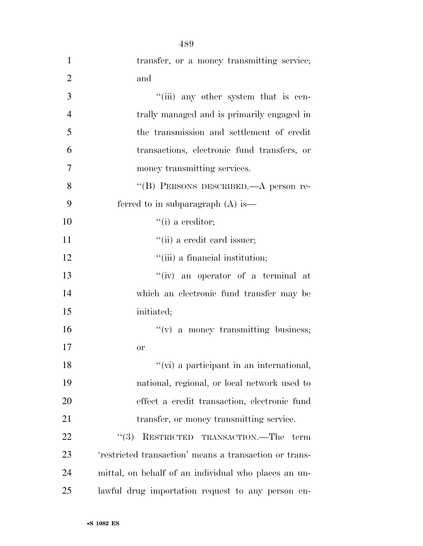|                | 489                                                    |
|----------------|--------------------------------------------------------|
| $\mathbf{1}$   | transfer, or a money transmitting service;             |
| $\overline{2}$ | and                                                    |
| 3              | "(iii) any other system that is cen-                   |
| $\overline{4}$ | trally managed and is primarily engaged in             |
| 5              | the transmission and settlement of credit              |
| 6              | transactions, electronic fund transfers, or            |
| 7              | money transmitting services.                           |
| 8              | "(B) PERSONS DESCRIBED. A person re-                   |
| 9              | ferred to in subparagraph $(A)$ is —                   |
| 10             | $``(i)$ a creditor;                                    |
| 11             | "(ii) a credit card issuer;                            |
| 12             | "(iii) a financial institution;                        |
| 13             | "(iv) an operator of a terminal at                     |
| 14             | which an electronic fund transfer may be               |
| 15             | initiated;                                             |
| 16             | $f'(v)$ a money transmitting business;                 |
| 17             | or                                                     |
| 18             | "(vi) a participant in an international,               |
| 19             | national, regional, or local network used to           |
| 20             | effect a credit transaction, electronic fund           |
| 21             | transfer, or money transmitting service.               |
| 22             | RESTRICTED TRANSACTION.—The term<br>(3)                |
| 23             | 'restricted transaction' means a transaction or trans- |
| 24             | mittal, on behalf of an individual who places an un-   |
| 25             | lawful drug importation request to any person en-      |

•**S 1082 ES**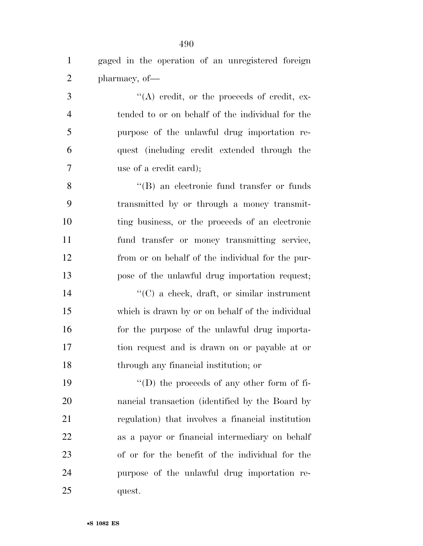gaged in the operation of an unregistered foreign pharmacy, of— 3 ''(A) credit, or the proceeds of credit, ex- tended to or on behalf of the individual for the purpose of the unlawful drug importation re- quest (including credit extended through the use of a credit card); 8 ''(B) an electronic fund transfer or funds transmitted by or through a money transmit- ting business, or the proceeds of an electronic fund transfer or money transmitting service, from or on behalf of the individual for the pur- pose of the unlawful drug importation request; ''(C) a check, draft, or similar instrument which is drawn by or on behalf of the individual 16 for the purpose of the unlawful drug importa- tion request and is drawn on or payable at or through any financial institution; or ''(D) the proceeds of any other form of fi- nancial transaction (identified by the Board by regulation) that involves a financial institution as a payor or financial intermediary on behalf of or for the benefit of the individual for the purpose of the unlawful drug importation re-

quest.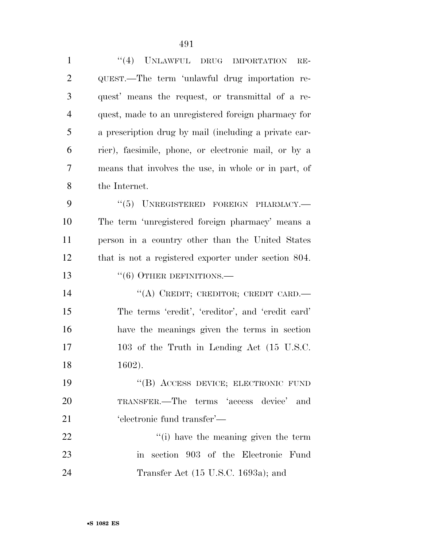| $\mathbf{1}$   | "(4) UNLAWFUL DRUG IMPORTATION<br>$RE-$               |
|----------------|-------------------------------------------------------|
| $\overline{2}$ | QUEST.—The term 'unlawful drug importation re-        |
| 3              | quest' means the request, or transmittal of a re-     |
| $\overline{4}$ | quest, made to an unregistered foreign pharmacy for   |
| 5              | a prescription drug by mail (including a private car- |
| 6              | rier), facsimile, phone, or electronic mail, or by a  |
| 7              | means that involves the use, in whole or in part, of  |
| 8              | the Internet.                                         |
| 9              | $``(5)$ UNREGISTERED FOREIGN PHARMACY.—               |
| 10             | The term 'unregistered foreign pharmacy' means a      |
| 11             | person in a country other than the United States      |
| 12             | that is not a registered exporter under section 804.  |
| 13             | $``(6)$ OTHER DEFINITIONS.—                           |
| 14             | "(A) CREDIT; CREDITOR; CREDIT CARD.-                  |
| 15             | The terms 'credit', 'creditor', and 'credit card'     |
| 16             | have the meanings given the terms in section          |
| 17             | 103 of the Truth in Lending Act (15 U.S.C.            |
| 18             | $1602$ ).                                             |
| 19             | "(B) ACCESS DEVICE; ELECTRONIC FUND                   |
| 20             | TRANSFER.—The terms 'access device' and               |
| 21             | 'electronic fund transfer'—                           |
| 22             | "(i) have the meaning given the term                  |
| 23             | in section 903 of the Electronic Fund                 |

Transfer Act (15 U.S.C. 1693a); and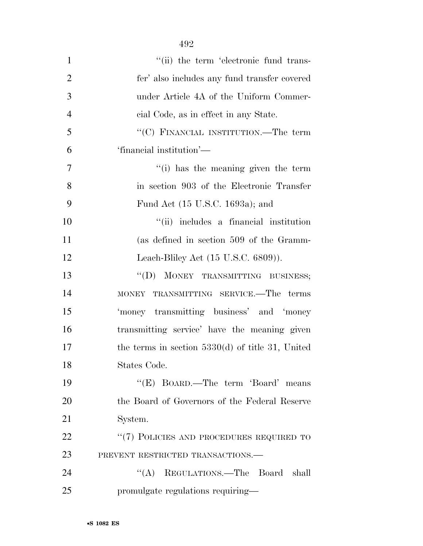| $\mathbf{1}$   | "(ii) the term 'electronic fund trans-             |
|----------------|----------------------------------------------------|
| $\overline{2}$ | fer' also includes any fund transfer covered       |
| 3              | under Article 4A of the Uniform Commer-            |
| $\overline{4}$ | cial Code, as in effect in any State.              |
| 5              | "(C) FINANCIAL INSTITUTION.—The term               |
| 6              | 'financial institution'—                           |
| 7              | "(i) has the meaning given the term                |
| 8              | in section 903 of the Electronic Transfer          |
| 9              | Fund Act (15 U.S.C. 1693a); and                    |
| 10             | "(ii) includes a financial institution             |
| 11             | (as defined in section 509 of the Gramm-           |
| 12             | Leach-Bliley Act $(15 \text{ U.S.C. } 6809)$ ).    |
| 13             | "(D) MONEY TRANSMITTING BUSINESS;                  |
| 14             | MONEY TRANSMITTING SERVICE.—The terms              |
| 15             | 'money transmitting business' and 'money           |
| 16             | transmitting service' have the meaning given       |
| 17             | the terms in section $5330(d)$ of title 31, United |
| 18             | States Code.                                       |
| 19             | "(E) BOARD.—The term 'Board' means                 |
| 20             | the Board of Governors of the Federal Reserve      |
| 21             | System.                                            |
| 22             | "(7) POLICIES AND PROCEDURES REQUIRED TO           |
| 23             | PREVENT RESTRICTED TRANSACTIONS.                   |
| 24             | "(A) REGULATIONS.—The Board<br>shall               |
| 25             | promulgate regulations requiring—                  |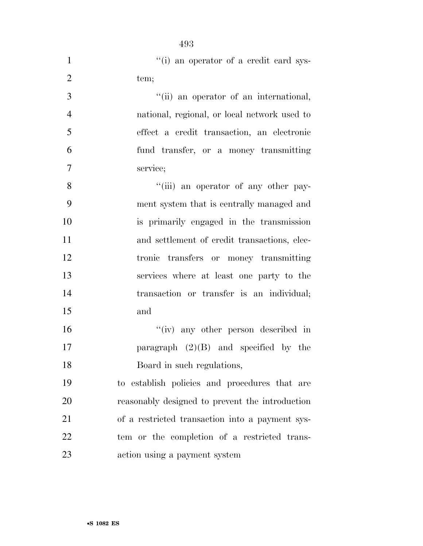| $\mathbf{1}$   | "(i) an operator of a credit card sys-          |
|----------------|-------------------------------------------------|
| $\overline{2}$ | tem;                                            |
| $\overline{3}$ | "(ii) an operator of an international,          |
| $\overline{4}$ | national, regional, or local network used to    |
| 5              | effect a credit transaction, an electronic      |
| 6              | fund transfer, or a money transmitting          |
| 7              | service;                                        |
| 8              | "(iii) an operator of any other pay-            |
| 9              | ment system that is centrally managed and       |
| 10             | is primarily engaged in the transmission        |
| 11             | and settlement of credit transactions, elec-    |
| 12             | tronic transfers or money transmitting          |
| 13             | services where at least one party to the        |
| 14             | transaction or transfer is an individual;       |
| 15             | and                                             |
| 16             | "(iv) any other person described in             |
| 17             | paragraph $(2)(B)$ and specified by the         |
| 18             | Board in such regulations,                      |
| 19             | to establish policies and procedures that are   |
| 20             | reasonably designed to prevent the introduction |
| 21             | of a restricted transaction into a payment sys- |
| <u>22</u>      | tem or the completion of a restricted trans-    |
| 23             | action using a payment system                   |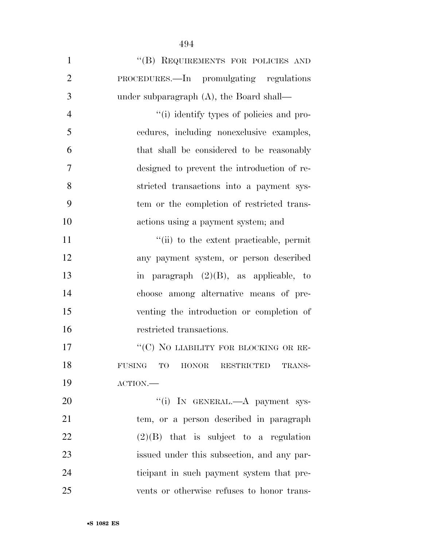| $\mathbf{1}$   | "(B) REQUIREMENTS FOR POLICIES AND                       |
|----------------|----------------------------------------------------------|
| $\overline{2}$ | PROCEDURES.—In promulgating regulations                  |
| 3              | under subparagraph $(A)$ , the Board shall—              |
| $\overline{4}$ | "(i) identify types of policies and pro-                 |
| 5              | cedures, including nonexclusive examples,                |
| 6              | that shall be considered to be reasonably                |
| 7              | designed to prevent the introduction of re-              |
| 8              | stricted transactions into a payment sys-                |
| 9              | tem or the completion of restricted trans-               |
| 10             | actions using a payment system; and                      |
| 11             | "(ii) to the extent practicable, permit                  |
| 12             | any payment system, or person described                  |
| 13             | in paragraph $(2)(B)$ , as applicable, to                |
| 14             | choose among alternative means of pre-                   |
| 15             | venting the introduction or completion of                |
| 16             | restricted transactions.                                 |
| 17             | "(C) NO LIABILITY FOR BLOCKING OR RE-                    |
| 18             | HONOR RESTRICTED<br><b>FUSING</b><br><b>TO</b><br>TRANS- |
| 19             | $\text{ACTION}$ .                                        |
| 20             | "(i) IN GENERAL.—A payment sys-                          |
| 21             | tem, or a person described in paragraph                  |
| 22             | $(2)(B)$ that is subject to a regulation                 |
| 23             | issued under this subsection, and any par-               |
| 24             | ticipant in such payment system that pre-                |
| 25             | vents or otherwise refuses to honor trans-               |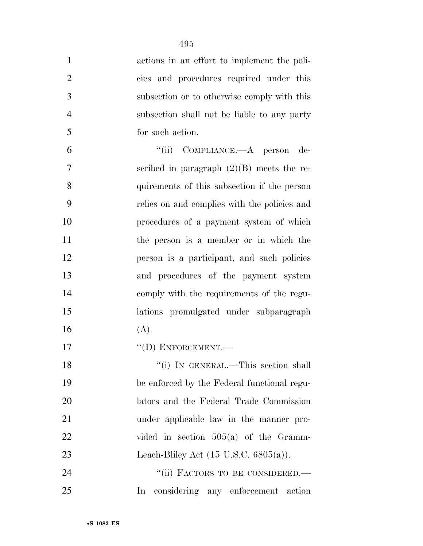| $\mathbf{1}$   | actions in an effort to implement the poli-       |
|----------------|---------------------------------------------------|
| $\overline{2}$ | cies and procedures required under this           |
| 3              | subsection or to otherwise comply with this       |
| $\overline{4}$ | subsection shall not be liable to any party       |
| 5              | for such action.                                  |
| 6              | "(ii) COMPLIANCE.—A person<br>de-                 |
| $\overline{7}$ | scribed in paragraph $(2)(B)$ meets the re-       |
| 8              | quirements of this subsection if the person       |
| 9              | relies on and complies with the policies and      |
| 10             | procedures of a payment system of which           |
| 11             | the person is a member or in which the            |
| 12             | person is a participant, and such policies        |
| 13             | and procedures of the payment system              |
| 14             | comply with the requirements of the regu-         |
| 15             | lations promulgated under subparagraph            |
| 16             | (A).                                              |
| 17             | $\lq\lq$ (D) ENFORCEMENT.                         |
| 18             | "(i) IN GENERAL.—This section shall               |
| 19             | be enforced by the Federal functional regu-       |
| 20             | lators and the Federal Trade Commission           |
| 21             | under applicable law in the manner pro-           |
| 22             | vided in section $505(a)$ of the Gramm-           |
| 23             | Leach-Bliley Act $(15 \text{ U.S.C. } 6805(a))$ . |
| 24             | "(ii) FACTORS TO BE CONSIDERED.-                  |
| 25             | considering any enforcement<br>In<br>action       |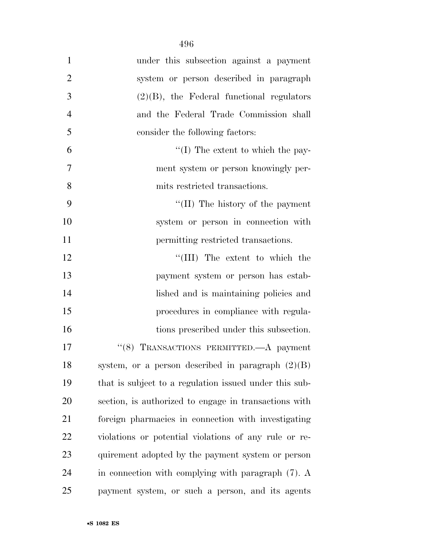| $\mathbf{1}$   | under this subsection against a payment                |
|----------------|--------------------------------------------------------|
| $\overline{2}$ | system or person described in paragraph                |
| 3              | $(2)(B)$ , the Federal functional regulators           |
| $\overline{4}$ | and the Federal Trade Commission shall                 |
| 5              | consider the following factors:                        |
| 6              | $\lq\lq$ (I) The extent to which the pay-              |
| 7              | ment system or person knowingly per-                   |
| 8              | mits restricted transactions.                          |
| 9              | $\lq\lq$ (II) The history of the payment               |
| 10             | system or person in connection with                    |
| 11             | permitting restricted transactions.                    |
| 12             | "(III) The extent to which the                         |
| 13             | payment system or person has estab-                    |
| 14             | lished and is maintaining policies and                 |
| 15             | procedures in compliance with regula-                  |
| 16             | tions prescribed under this subsection.                |
| 17             | "(8) TRANSACTIONS PERMITTED.—A payment                 |
| 18             | system, or a person described in paragraph $(2)(B)$    |
| 19             | that is subject to a regulation issued under this sub- |
| 20             | section, is authorized to engage in transactions with  |
| 21             | foreign pharmacies in connection with investigating    |
| 22             | violations or potential violations of any rule or re-  |
| 23             | quirement adopted by the payment system or person      |
| 24             | in connection with complying with paragraph $(7)$ . A  |
| 25             | payment system, or such a person, and its agents       |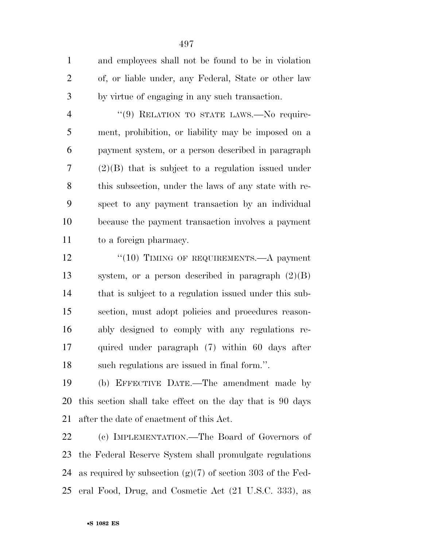and employees shall not be found to be in violation of, or liable under, any Federal, State or other law by virtue of engaging in any such transaction.

4 "(9) RELATION TO STATE LAWS.—No require- ment, prohibition, or liability may be imposed on a payment system, or a person described in paragraph (2)(B) that is subject to a regulation issued under this subsection, under the laws of any state with re- spect to any payment transaction by an individual because the payment transaction involves a payment to a foreign pharmacy.

12 "(10) TIMING OF REQUIREMENTS.—A payment system, or a person described in paragraph (2)(B) that is subject to a regulation issued under this sub- section, must adopt policies and procedures reason- ably designed to comply with any regulations re- quired under paragraph (7) within 60 days after such regulations are issued in final form.''.

 (b) EFFECTIVE DATE.—The amendment made by this section shall take effect on the day that is 90 days after the date of enactment of this Act.

 (c) IMPLEMENTATION.—The Board of Governors of the Federal Reserve System shall promulgate regulations as required by subsection (g)(7) of section 303 of the Fed-eral Food, Drug, and Cosmetic Act (21 U.S.C. 333), as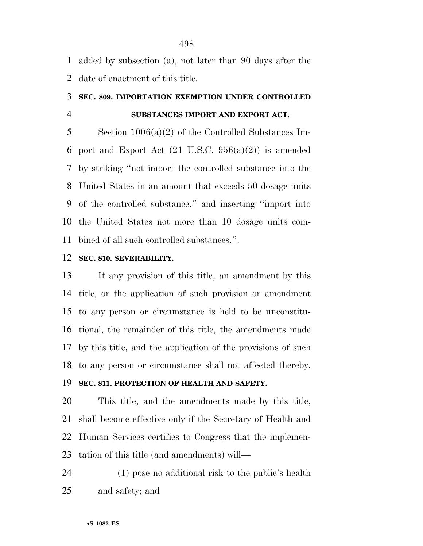added by subsection (a), not later than 90 days after the date of enactment of this title.

#### **SEC. 809. IMPORTATION EXEMPTION UNDER CONTROLLED**

## **SUBSTANCES IMPORT AND EXPORT ACT.**

 Section 1006(a)(2) of the Controlled Substances Im-6 port and Export Act  $(21 \text{ U.S.C. } 956(a)(2))$  is amended by striking ''not import the controlled substance into the United States in an amount that exceeds 50 dosage units of the controlled substance.'' and inserting ''import into the United States not more than 10 dosage units com-bined of all such controlled substances.''.

#### **SEC. 810. SEVERABILITY.**

 If any provision of this title, an amendment by this title, or the application of such provision or amendment to any person or circumstance is held to be unconstitu- tional, the remainder of this title, the amendments made by this title, and the application of the provisions of such to any person or circumstance shall not affected thereby.

### **SEC. 811. PROTECTION OF HEALTH AND SAFETY.**

 This title, and the amendments made by this title, shall become effective only if the Secretary of Health and Human Services certifies to Congress that the implemen-tation of this title (and amendments) will—

 (1) pose no additional risk to the public's health and safety; and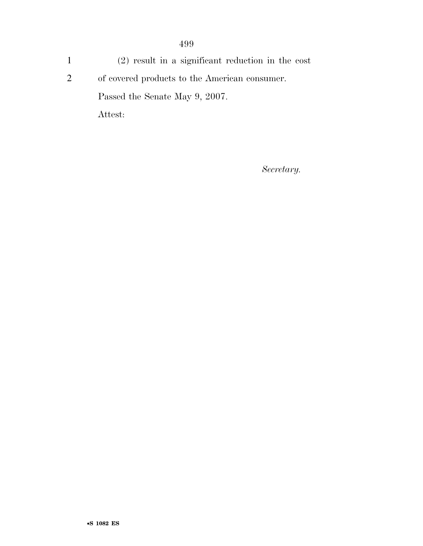1 (2) result in a significant reduction in the cost 2 of covered products to the American consumer. Passed the Senate May 9, 2007. Attest:

*Secretary.*